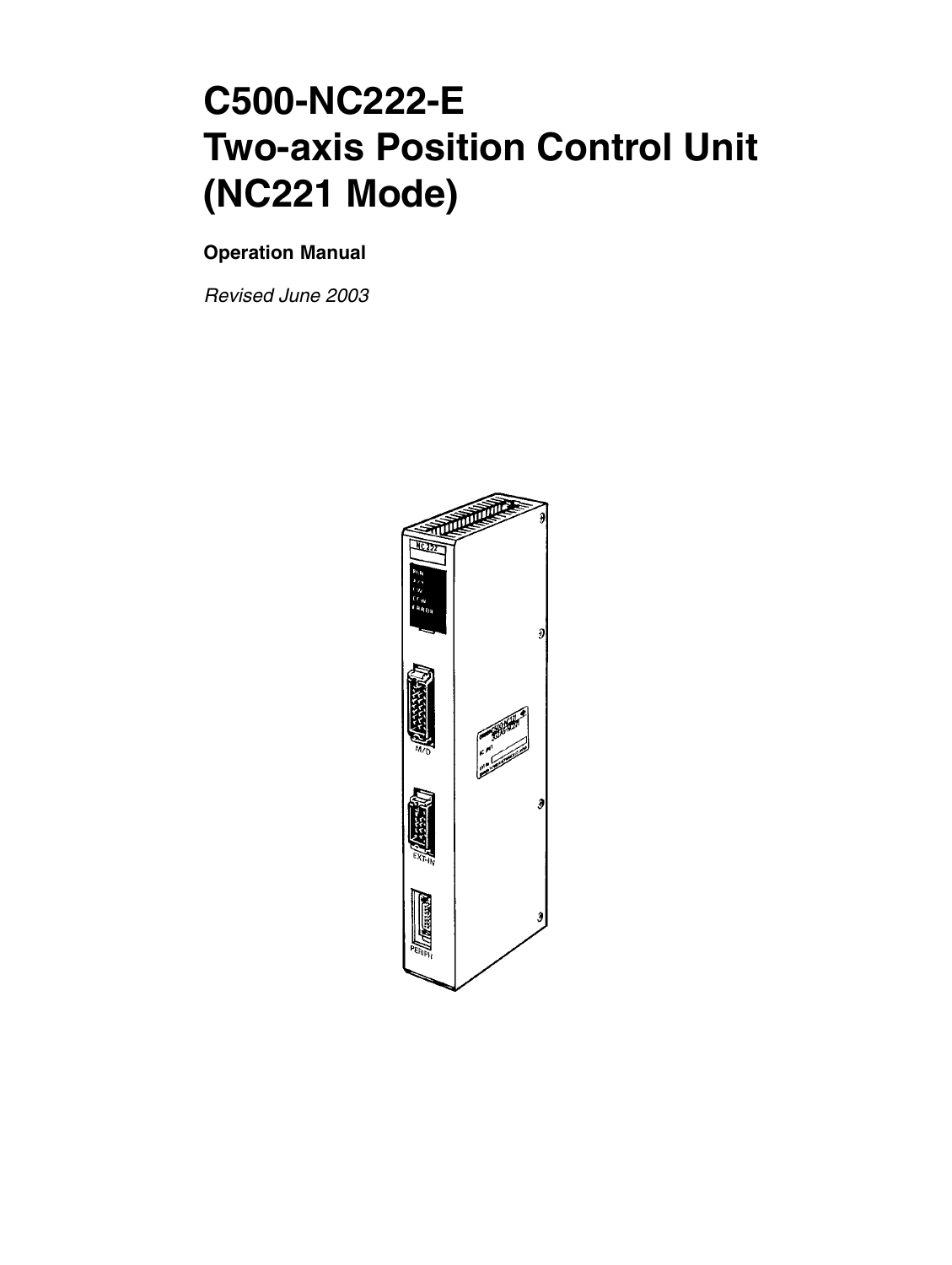# **C500-NC222-E Two-axis Position Control Unit (NC221 Mode)**

#### **Operation Manual**

*Revised June 2003*

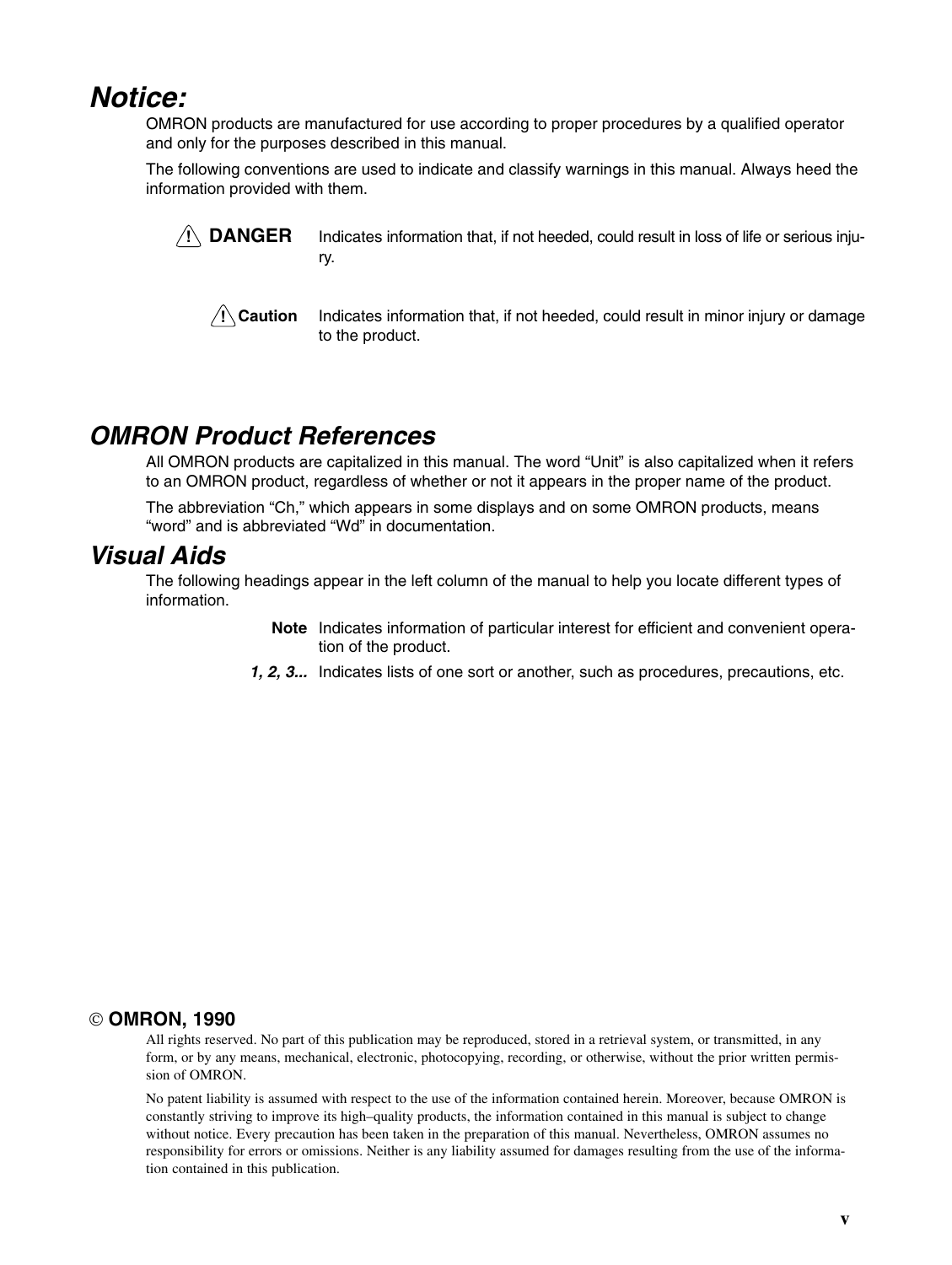## *Notice:*

OMRON products are manufactured for use according to proper procedures by a qualified operator and only for the purposes described in this manual.

The following conventions are used to indicate and classify warnings in this manual. Always heed the information provided with them.



Indicates information that, if not heeded, could result in loss of life or serious injury.



Indicates information that, if not heeded, could result in minor injury or damage to the product.

## *OMRON Product References*

All OMRON products are capitalized in this manual. The word "Unit" is also capitalized when it refers to an OMRON product, regardless of whether or not it appears in the proper name of the product.

The abbreviation "Ch," which appears in some displays and on some OMRON products, means "word" and is abbreviated "Wd" in documentation.

### *Visual Aids*

The following headings appear in the left column of the manual to help you locate different types of information.

- Note Indicates information of particular interest for efficient and convenient operation of the product.
- 1, 2, 3... Indicates lists of one sort or another, such as procedures, precautions, etc.

#### **OMRON, 1990**

All rights reserved. No part of this publication may be reproduced, stored in a retrieval system, or transmitted, in any form, or by any means, mechanical, electronic, photocopying, recording, or otherwise, without the prior written permission of OMRON.

No patent liability is assumed with respect to the use of the information contained herein. Moreover, because OMRON is constantly striving to improve its high–quality products, the information contained in this manual is subject to change without notice. Every precaution has been taken in the preparation of this manual. Nevertheless, OMRON assumes no responsibility for errors or omissions. Neither is any liability assumed for damages resulting from the use of the information contained in this publication.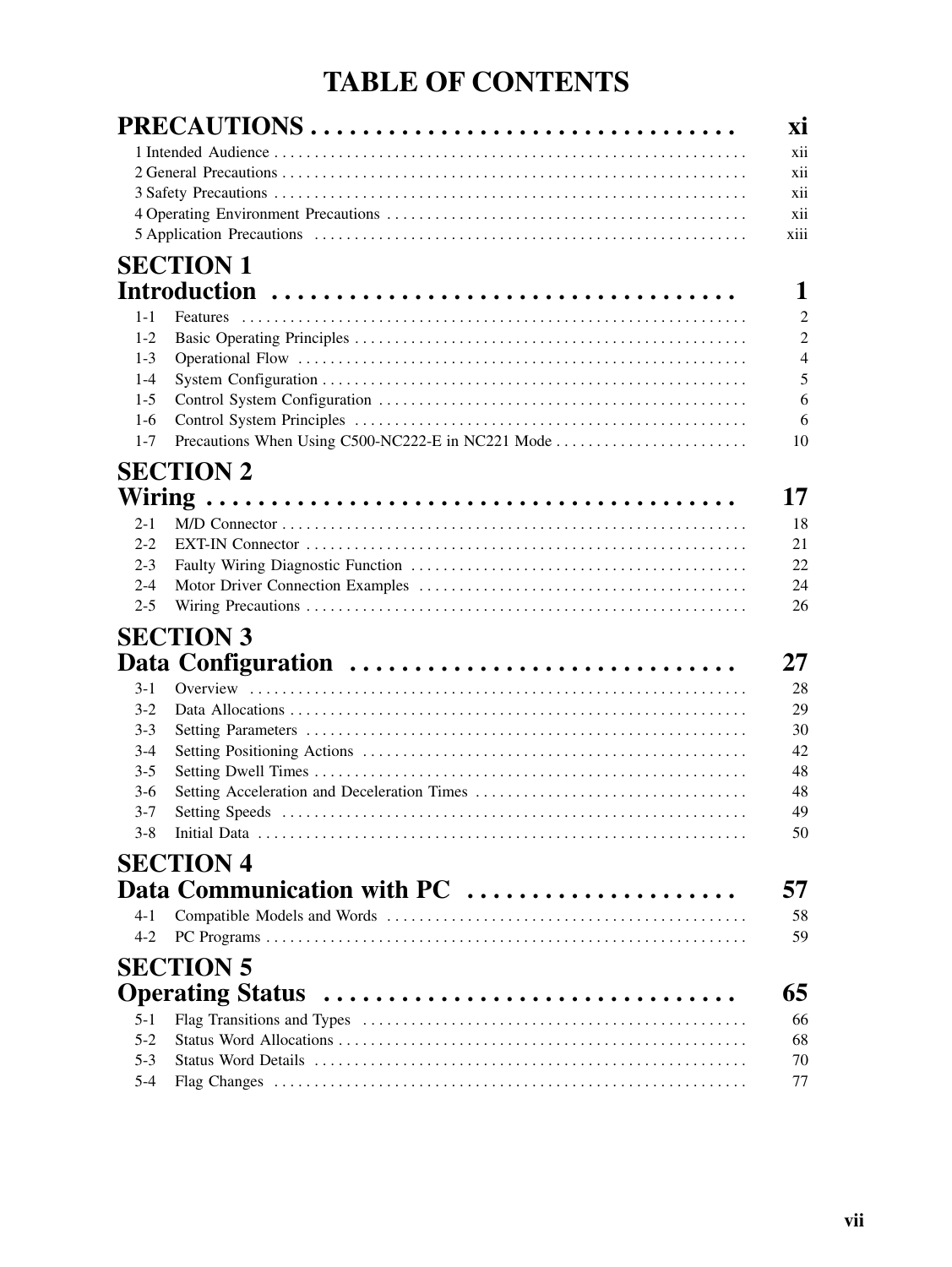## **TABLE OF CONTENTS**

|                  | PRECAUTIONS                                       |
|------------------|---------------------------------------------------|
|                  |                                                   |
|                  |                                                   |
|                  |                                                   |
|                  |                                                   |
|                  |                                                   |
|                  | <b>SECTION 1</b>                                  |
|                  |                                                   |
| $1 - 1$          | <b>Features</b>                                   |
| $1 - 2$          |                                                   |
| $1 - 3$          |                                                   |
| $1 - 4$          |                                                   |
| $1-5$            |                                                   |
| $1-6$            |                                                   |
| $1 - 7$          | Precautions When Using C500-NC222-E in NC221 Mode |
|                  |                                                   |
|                  | <b>SECTION 2</b>                                  |
|                  |                                                   |
| $2 - 1$          |                                                   |
| $2 - 2$          |                                                   |
| $2 - 3$          |                                                   |
| $2 - 4$          |                                                   |
| $2 - 5$          |                                                   |
|                  | <b>SECTION 3</b>                                  |
|                  | Data Configuration                                |
|                  |                                                   |
| $3-1$            |                                                   |
| $3-2$<br>$3 - 3$ |                                                   |
| $3-4$            |                                                   |
| $3 - 5$          |                                                   |
| $3-6$            |                                                   |
| $3 - 7$          |                                                   |
| $3 - 8$          |                                                   |
|                  |                                                   |
|                  | <b>SECTION 4</b>                                  |
|                  | Data Communication with PC                        |
| 4-1              |                                                   |
| $4-2$            |                                                   |
|                  | <b>SECTION 5</b>                                  |
|                  | Operating Status                                  |
| $5 - 1$          |                                                   |
| $5 - 2$          |                                                   |
| $5-3$            |                                                   |
| $5 - 4$          |                                                   |
|                  |                                                   |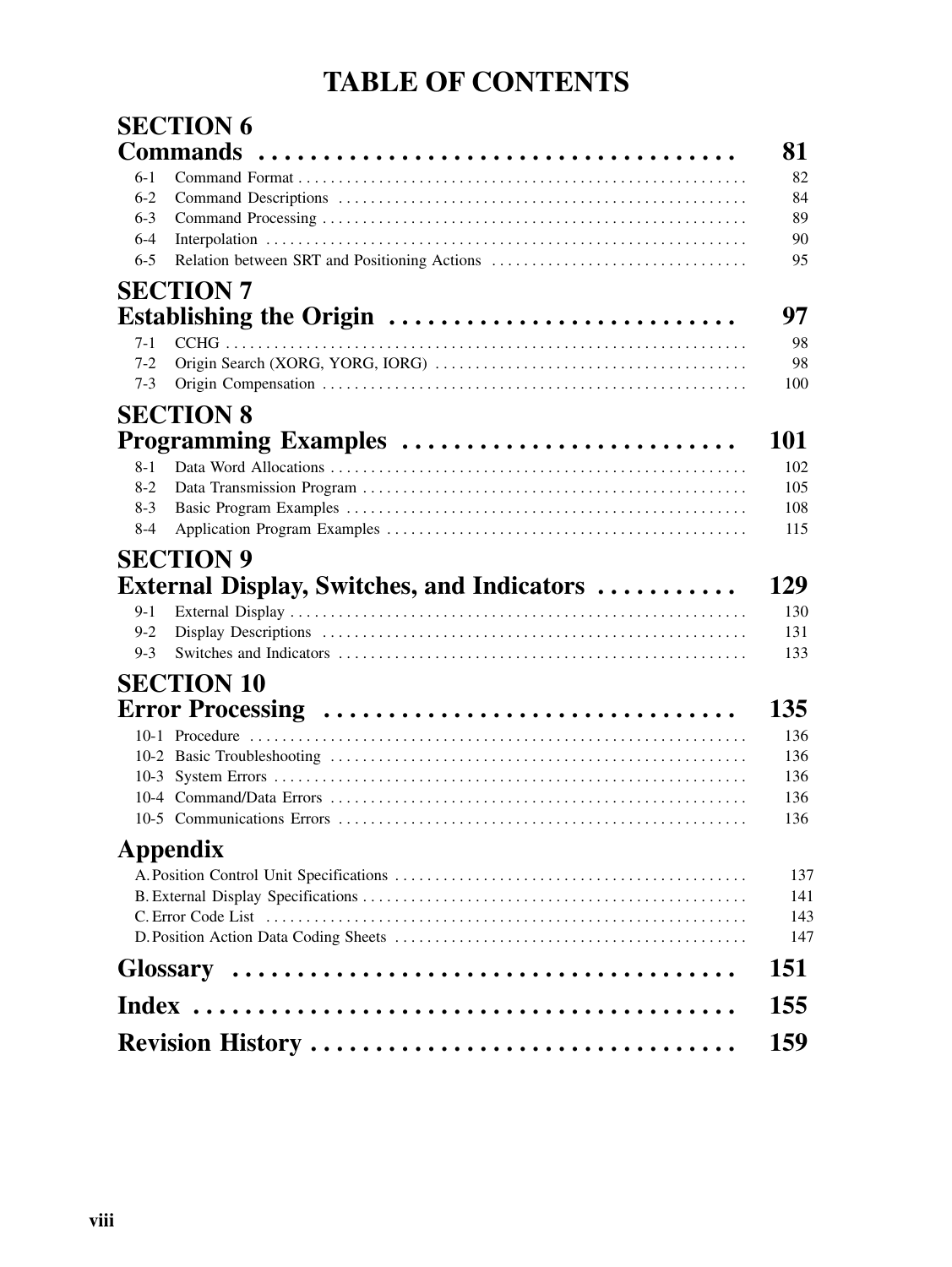## **TABLE OF CONTENTS**

|         | <b>SECTION 6</b>                                   |     |
|---------|----------------------------------------------------|-----|
|         | <b>Commands</b>                                    | 81  |
| $6-1$   |                                                    | 82  |
| $6-2$   |                                                    | 84  |
| $6 - 3$ |                                                    | 89  |
| $6 - 4$ |                                                    | 90  |
| $6 - 5$ | Relation between SRT and Positioning Actions       | 95  |
|         | <b>SECTION 7</b>                                   |     |
|         | Establishing the Origin                            | 97  |
| $7-1$   |                                                    | 98  |
| $7-2$   |                                                    | 98  |
| $7-3$   |                                                    | 100 |
|         | <b>SECTION 8</b>                                   |     |
|         | Programming Examples                               | 101 |
| $8 - 1$ |                                                    | 102 |
| $8-2$   |                                                    | 105 |
| $8-3$   |                                                    | 108 |
| $8-4$   |                                                    | 115 |
|         | <b>SECTION 9</b>                                   |     |
|         | <b>External Display, Switches, and Indicators </b> | 129 |
| $9-1$   |                                                    | 130 |
| $9 - 2$ |                                                    | 131 |
| $9-3$   |                                                    | 133 |
|         | <b>SECTION 10</b>                                  |     |
|         | Error Processing                                   | 135 |
|         |                                                    | 136 |
|         |                                                    | 136 |
|         |                                                    | 136 |
|         |                                                    | 136 |
|         |                                                    | 136 |
|         | Appendix                                           |     |
|         |                                                    | 137 |
|         |                                                    | 141 |
|         |                                                    | 143 |
|         |                                                    | 147 |
|         |                                                    | 151 |
|         |                                                    | 155 |
|         |                                                    | 159 |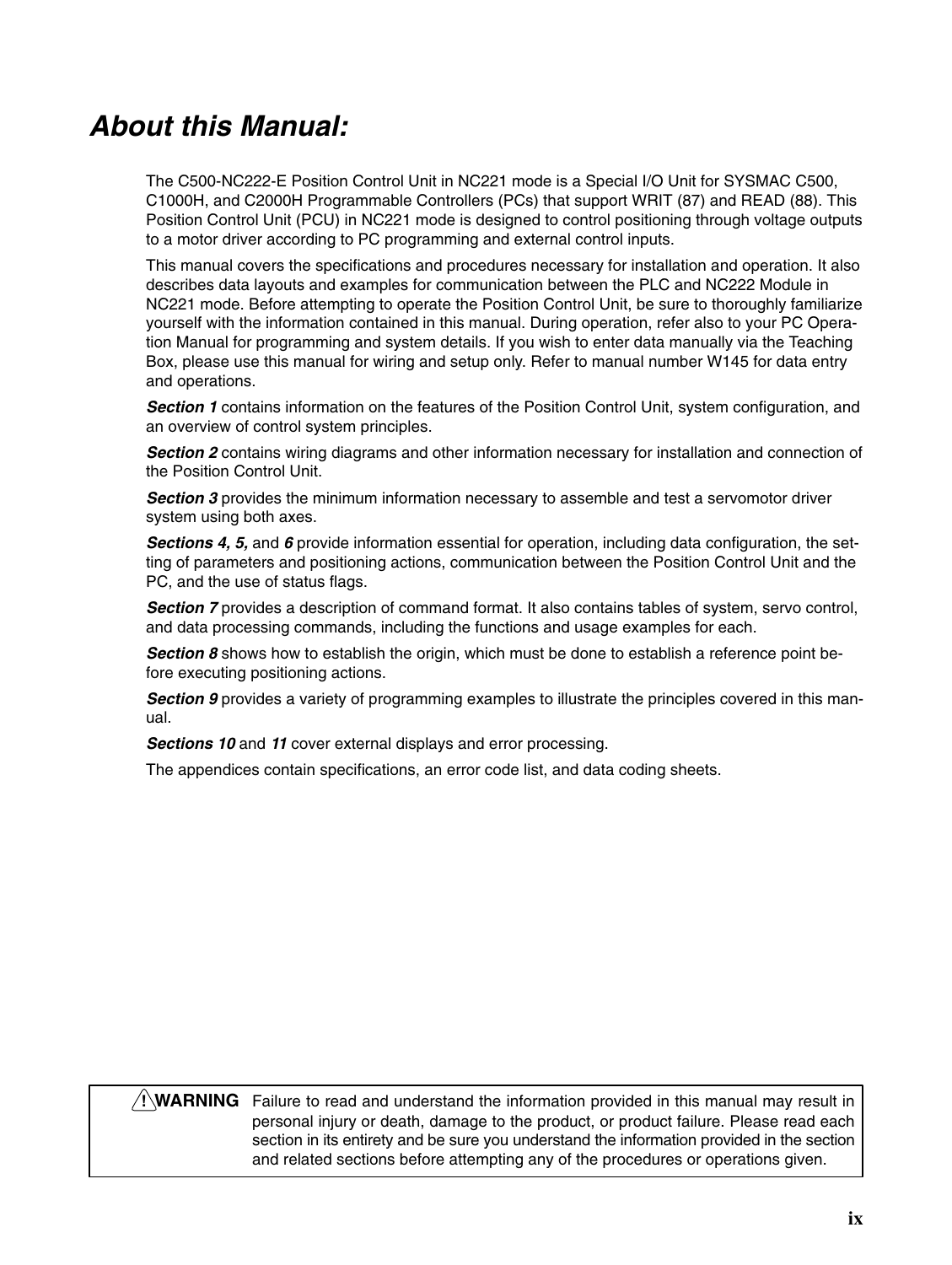## *About this Manual:*

The C500-NC222-E Position Control Unit in NC221 mode is a Special I/O Unit for SYSMAC C500, C1000H, and C2000H Programmable Controllers (PCs) that support WRIT (87) and READ (88). This Position Control Unit (PCU) in NC221 mode is designed to control positioning through voltage outputs to a motor driver according to PC programming and external control inputs.

This manual covers the specifications and procedures necessary for installation and operation. It also describes data layouts and examples for communication between the PLC and NC222 Module in NC221 mode. Before attempting to operate the Position Control Unit, be sure to thoroughly familiarize yourself with the information contained in this manual. During operation, refer also to your PC Operation Manual for programming and system details. If you wish to enter data manually via the Teaching Box, please use this manual for wiring and setup only. Refer to manual number W145 for data entry and operations.

**Section 1** contains information on the features of the Position Control Unit, system configuration, and an overview of control system principles.

*Section 2* contains wiring diagrams and other information necessary for installation and connection of the Position Control Unit.

**Section 3** provides the minimum information necessary to assemble and test a servomotor driver system using both axes.

*Sections 4, 5,* and *6* provide information essential for operation, including data configuration, the setting of parameters and positioning actions, communication between the Position Control Unit and the PC, and the use of status flags.

**Section 7** provides a description of command format. It also contains tables of system, servo control, and data processing commands, including the functions and usage examples for each.

**Section 8** shows how to establish the origin, which must be done to establish a reference point before executing positioning actions.

*Section 9* provides a variety of programming examples to illustrate the principles covered in this manual.

*Sections 10* and *11* cover external displays and error processing.

The appendices contain specifications, an error code list, and data coding sheets.

#### **WARNING** Failure to read and understand the information provided in this manual may result in **!**personal injury or death, damage to the product, or product failure. Please read each section in its entirety and be sure you understand the information provided in the section and related sections before attempting any of the procedures or operations given.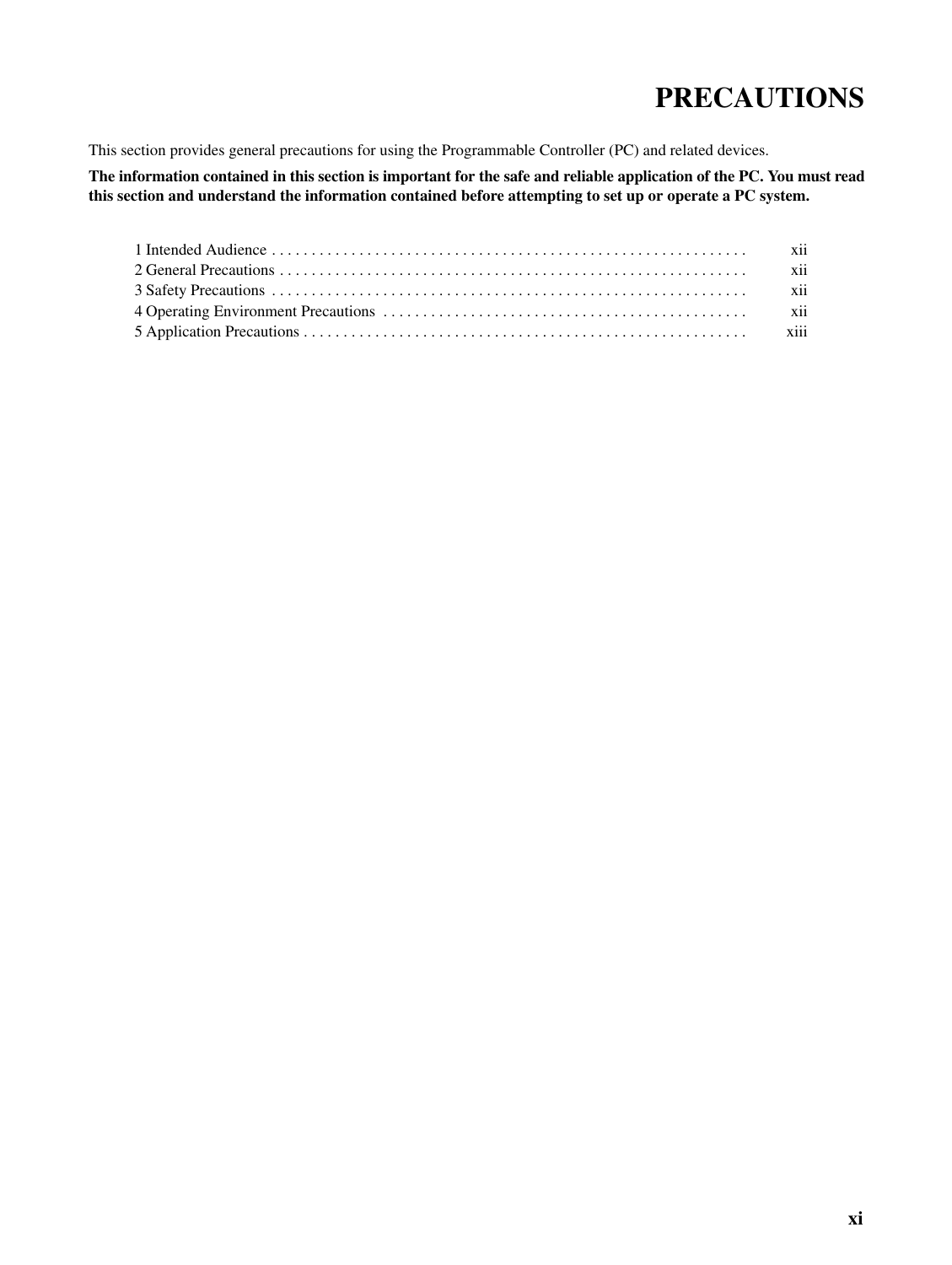## **PRECAUTIONS**

This section provides general precautions for using the Programmable Controller (PC) and related devices.

**The information contained in this section is important for the safe and reliable application of the PC. You must read this section and understand the information contained before attempting to set up or operate a PC system.**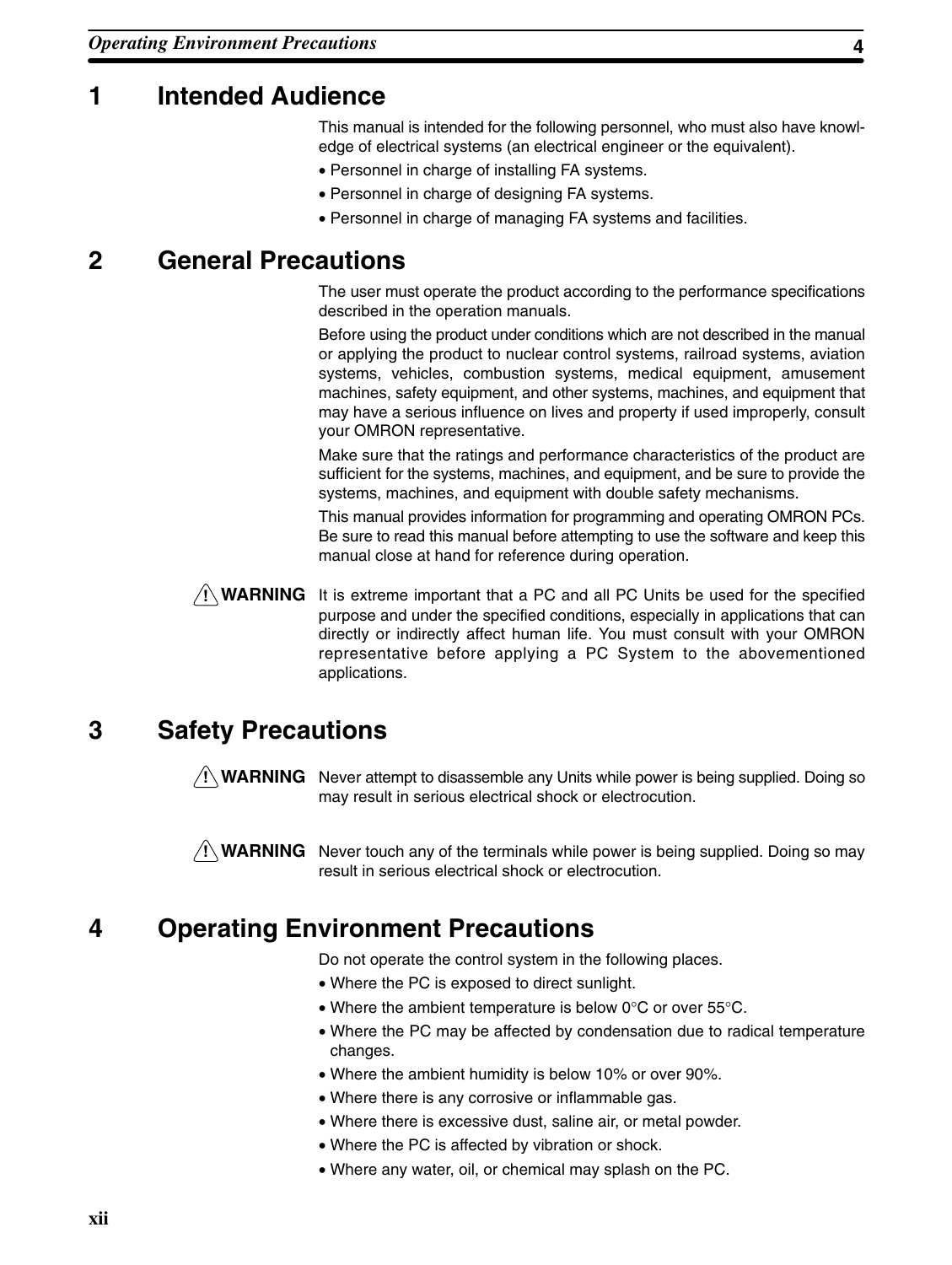### **1 Intended Audience**

This manual is intended for the following personnel, who must also have knowledge of electrical systems (an electrical engineer or the equivalent).

- Personnel in charge of installing FA systems.
- Personnel in charge of designing FA systems.
- Personnel in charge of managing FA systems and facilities.

### **2 General Precautions**

The user must operate the product according to the performance specifications described in the operation manuals.

Before using the product under conditions which are not described in the manual or applying the product to nuclear control systems, railroad systems, aviation systems, vehicles, combustion systems, medical equipment, amusement machines, safety equipment, and other systems, machines, and equipment that may have a serious influence on lives and property if used improperly, consult your OMRON representative.

Make sure that the ratings and performance characteristics of the product are sufficient for the systems, machines, and equipment, and be sure to provide the systems, machines, and equipment with double safety mechanisms.

This manual provides information for programming and operating OMRON PCs. Be sure to read this manual before attempting to use the software and keep this manual close at hand for reference during operation.

**! WARNING** It is extreme important that a PC and all PC Units be used for the specified purpose and under the specified conditions, especially in applications that can directly or indirectly affect human life. You must consult with your OMRON representative before applying a PC System to the abovementioned applications.

### **3 Safety Precautions**

**! WARNING** Never attempt to disassemble any Units while power is being supplied. Doing so may result in serious electrical shock or electrocution.



**! WARNING** Never touch any of the terminals while power is being supplied. Doing so may result in serious electrical shock or electrocution.

## **4 Operating Environment Precautions**

Do not operate the control system in the following places.

- Where the PC is exposed to direct sunlight.
- Where the ambient temperature is below 0°C or over 55°C.
- Where the PC may be affected by condensation due to radical temperature changes.
- Where the ambient humidity is below 10% or over 90%.
- Where there is any corrosive or inflammable gas.
- Where there is excessive dust, saline air, or metal powder.
- Where the PC is affected by vibration or shock.
- Where any water, oil, or chemical may splash on the PC.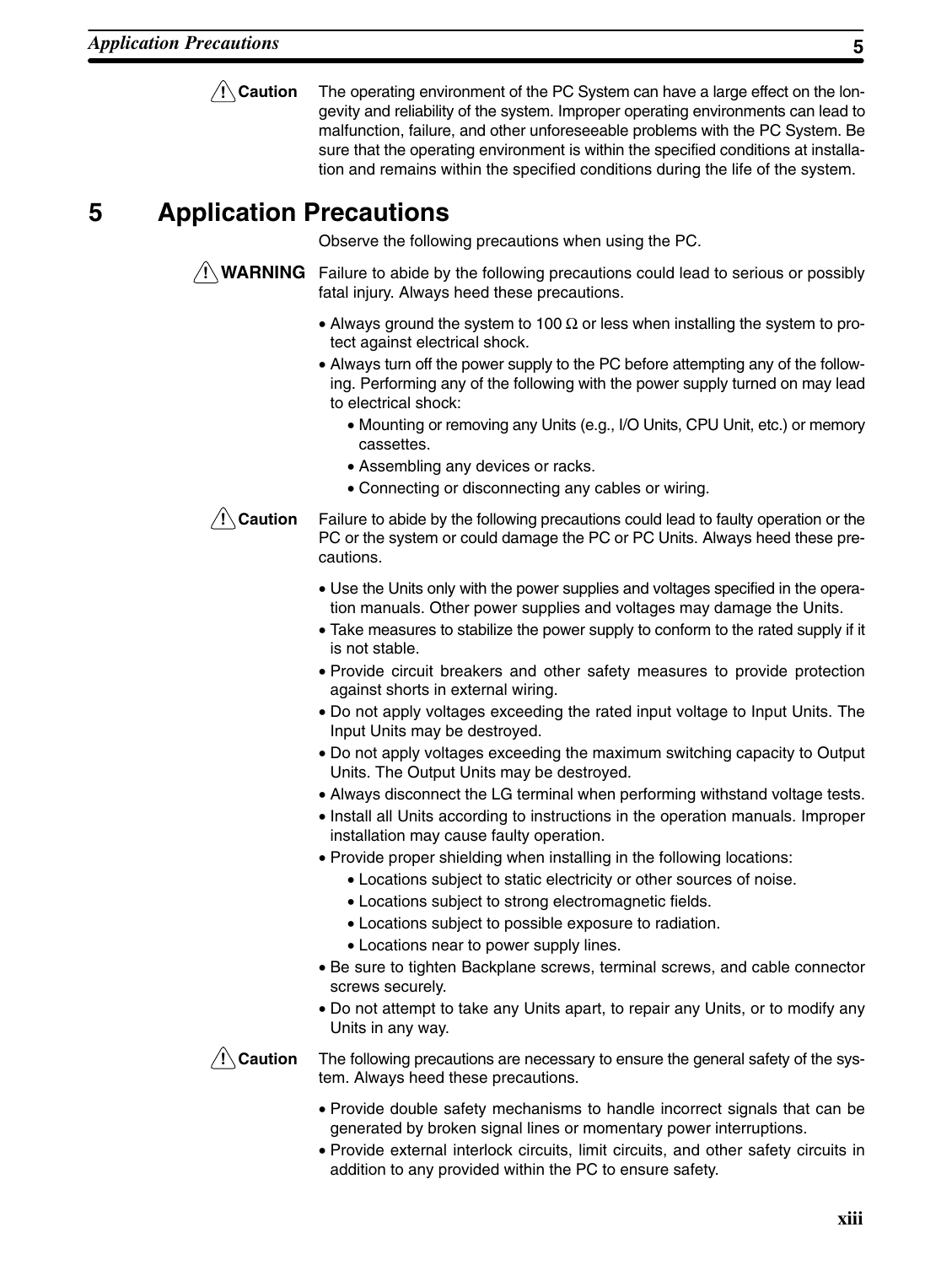**/!**∖ Caution The operating environment of the PC System can have a large effect on the longevity and reliability of the system. Improper operating environments can lead to malfunction, failure, and other unforeseeable problems with the PC System. Be sure that the operating environment is within the specified conditions at installation and remains within the specified conditions during the life of the system.

## **5 Application Precautions**

Observe the following precautions when using the PC.

**! WARNING** Failure to abide by the following precautions could lead to serious or possibly fatal injury. Always heed these precautions.

- Always ground the system to 100  $\Omega$  or less when installing the system to protect against electrical shock.
- Always turn off the power supply to the PC before attempting any of the following. Performing any of the following with the power supply turned on may lead to electrical shock:
	- Mounting or removing any Units (e.g., I/O Units, CPU Unit, etc.) or memory cassettes.
	- Assembling any devices or racks.
	- Connecting or disconnecting any cables or wiring.



Failure to abide by the following precautions could lead to faulty operation or the PC or the system or could damage the PC or PC Units. Always heed these precautions.

- Use the Units only with the power supplies and voltages specified in the operation manuals. Other power supplies and voltages may damage the Units.
- Take measures to stabilize the power supply to conform to the rated supply if it is not stable.
- Provide circuit breakers and other safety measures to provide protection against shorts in external wiring.
- Do not apply voltages exceeding the rated input voltage to Input Units. The Input Units may be destroyed.
- Do not apply voltages exceeding the maximum switching capacity to Output Units. The Output Units may be destroyed.
- Always disconnect the LG terminal when performing withstand voltage tests.
- Install all Units according to instructions in the operation manuals. Improper installation may cause faulty operation.
- Provide proper shielding when installing in the following locations:
	- Locations subject to static electricity or other sources of noise.
	- Locations subject to strong electromagnetic fields.
	- Locations subject to possible exposure to radiation.
	- Locations near to power supply lines.
- Be sure to tighten Backplane screws, terminal screws, and cable connector screws securely.
- Do not attempt to take any Units apart, to repair any Units, or to modify any Units in any way.

**/!∖** Caution

The following precautions are necessary to ensure the general safety of the system. Always heed these precautions.

- Provide double safety mechanisms to handle incorrect signals that can be generated by broken signal lines or momentary power interruptions.
- Provide external interlock circuits, limit circuits, and other safety circuits in addition to any provided within the PC to ensure safety.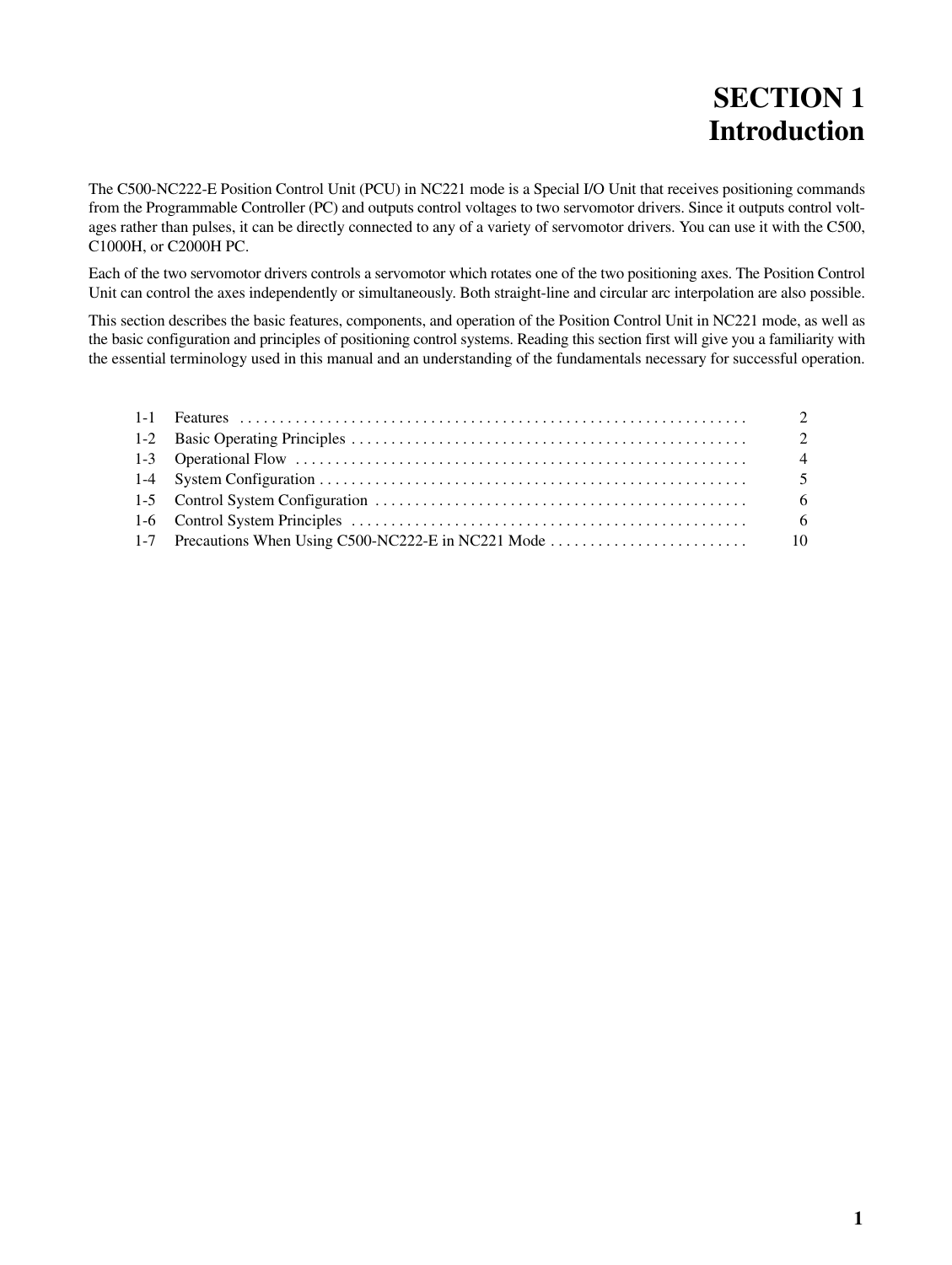## **SECTION 1 Introduction**

The C500-NC222-E Position Control Unit (PCU) in NC221 mode is a Special I/O Unit that receives positioning commands from the Programmable Controller (PC) and outputs control voltages to two servomotor drivers. Since it outputs control voltages rather than pulses, it can be directly connected to any of a variety of servomotor drivers. You can use it with the C500, C1000H, or C2000H PC.

Each of the two servomotor drivers controls a servomotor which rotates one of the two positioning axes. The Position Control Unit can control the axes independently or simultaneously. Both straight-line and circular arc interpolation are also possible.

This section describes the basic features, components, and operation of the Position Control Unit in NC221 mode, as well as the basic configuration and principles of positioning control systems. Reading this section first will give you a familiarity with the essential terminology used in this manual and an understanding of the fundamentals necessary for successful operation.

|  | 2              |
|--|----------------|
|  | 2              |
|  | $\overline{4}$ |
|  |                |
|  | - 6            |
|  |                |
|  |                |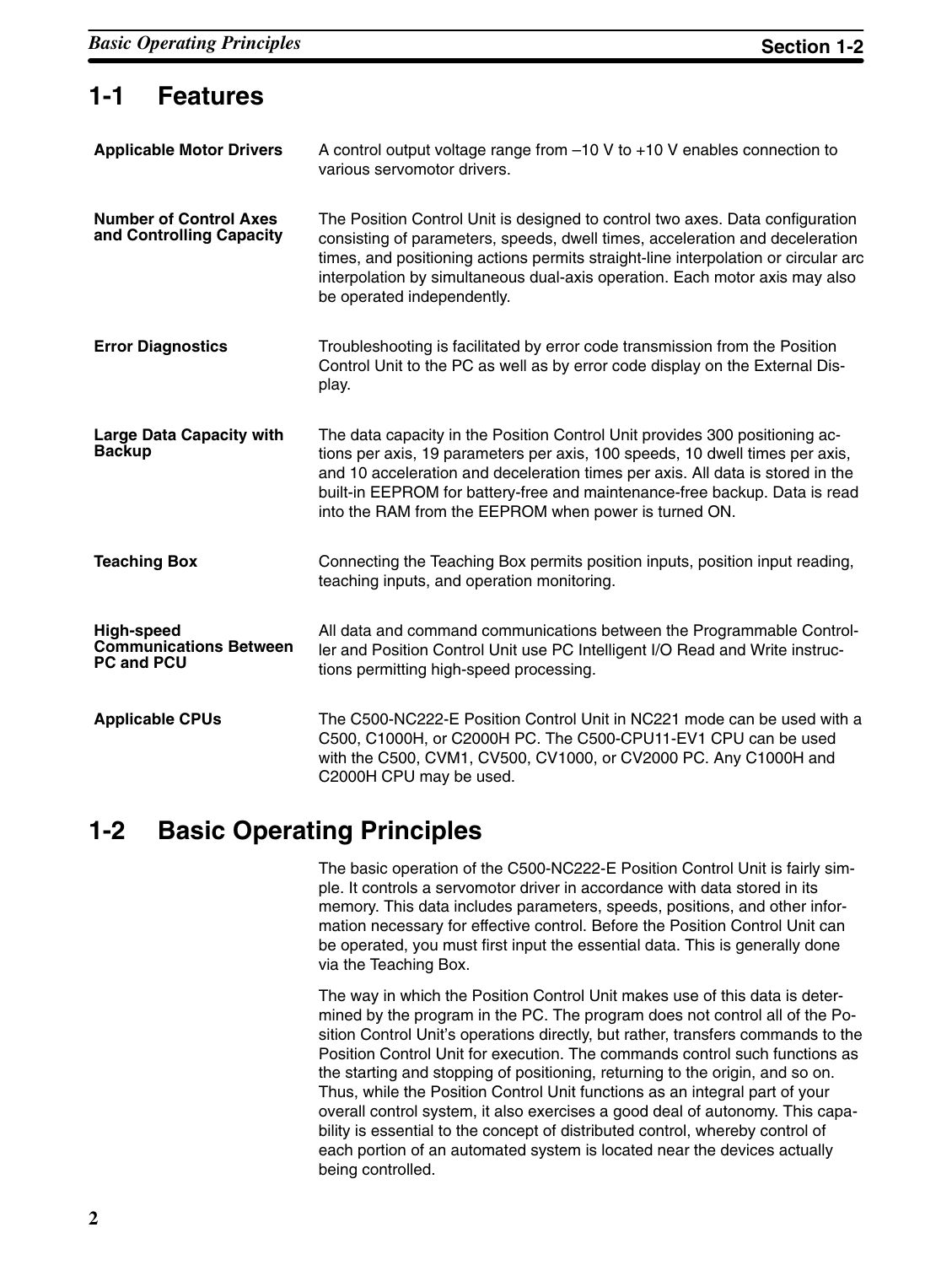### **1-1 Features**

| <b>Applicable Motor Drivers</b>                                  | A control output voltage range from $-10$ V to $+10$ V enables connection to<br>various servomotor drivers.                                                                                                                                                                                                                                                                          |
|------------------------------------------------------------------|--------------------------------------------------------------------------------------------------------------------------------------------------------------------------------------------------------------------------------------------------------------------------------------------------------------------------------------------------------------------------------------|
| <b>Number of Control Axes</b><br>and Controlling Capacity        | The Position Control Unit is designed to control two axes. Data configuration<br>consisting of parameters, speeds, dwell times, acceleration and deceleration<br>times, and positioning actions permits straight-line interpolation or circular arc<br>interpolation by simultaneous dual-axis operation. Each motor axis may also<br>be operated independently.                     |
| <b>Error Diagnostics</b>                                         | Troubleshooting is facilitated by error code transmission from the Position<br>Control Unit to the PC as well as by error code display on the External Dis-<br>play.                                                                                                                                                                                                                 |
| <b>Large Data Capacity with</b><br><b>Backup</b>                 | The data capacity in the Position Control Unit provides 300 positioning ac-<br>tions per axis, 19 parameters per axis, 100 speeds, 10 dwell times per axis,<br>and 10 acceleration and deceleration times per axis. All data is stored in the<br>built-in EEPROM for battery-free and maintenance-free backup. Data is read<br>into the RAM from the EEPROM when power is turned ON. |
| <b>Teaching Box</b>                                              | Connecting the Teaching Box permits position inputs, position input reading,<br>teaching inputs, and operation monitoring.                                                                                                                                                                                                                                                           |
| High-speed<br><b>Communications Between</b><br><b>PC and PCU</b> | All data and command communications between the Programmable Control-<br>ler and Position Control Unit use PC Intelligent I/O Read and Write instruc-<br>tions permitting high-speed processing.                                                                                                                                                                                     |
| <b>Applicable CPUs</b>                                           | The C500-NC222-E Position Control Unit in NC221 mode can be used with a<br>C500, C1000H, or C2000H PC. The C500-CPU11-EV1 CPU can be used<br>with the C500, CVM1, CV500, CV1000, or CV2000 PC. Any C1000H and<br>C2000H CPU may be used.                                                                                                                                             |

### **1-2 Basic Operating Principles**

The basic operation of the C500-NC222-E Position Control Unit is fairly simple. It controls a servomotor driver in accordance with data stored in its memory. This data includes parameters, speeds, positions, and other information necessary for effective control. Before the Position Control Unit can be operated, you must first input the essential data. This is generally done via the Teaching Box.

The way in which the Position Control Unit makes use of this data is determined by the program in the PC. The program does not control all of the Position Control Unit's operations directly, but rather, transfers commands to the Position Control Unit for execution. The commands control such functions as the starting and stopping of positioning, returning to the origin, and so on. Thus, while the Position Control Unit functions as an integral part of your overall control system, it also exercises a good deal of autonomy. This capability is essential to the concept of distributed control, whereby control of each portion of an automated system is located near the devices actually being controlled.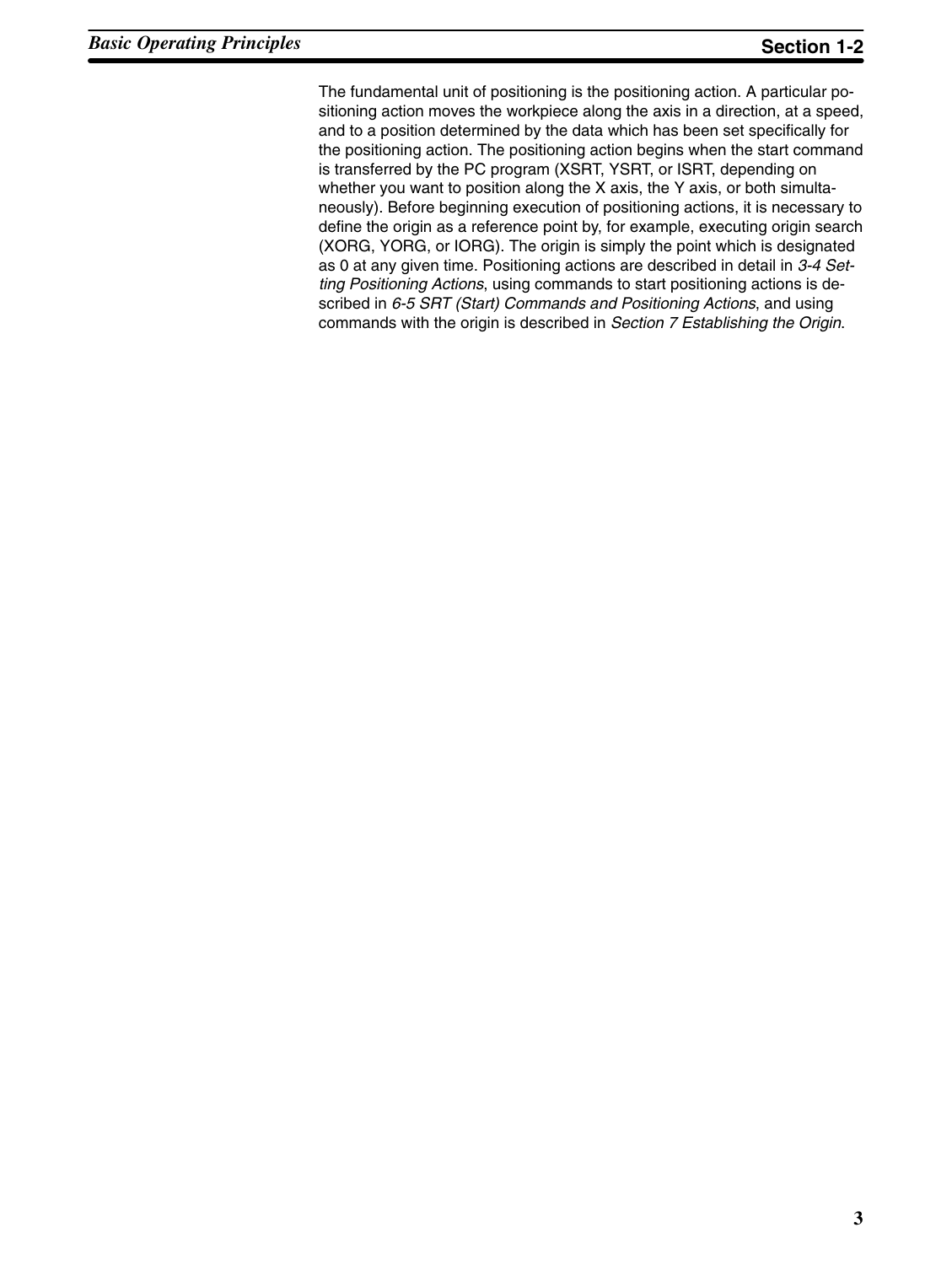The fundamental unit of positioning is the positioning action. A particular positioning action moves the workpiece along the axis in a direction, at a speed, and to a position determined by the data which has been set specifically for the positioning action. The positioning action begins when the start command is transferred by the PC program (XSRT, YSRT, or ISRT, depending on whether you want to position along the X axis, the Y axis, or both simultaneously). Before beginning execution of positioning actions, it is necessary to define the origin as a reference point by, for example, executing origin search (XORG, YORG, or IORG). The origin is simply the point which is designated as 0 at any given time. Positioning actions are described in detail in *3-4 Setting Positioning Actions*, using commands to start positioning actions is described in *6-5 SRT (Start) Commands and Positioning Actions*, and using commands with the origin is described in *Section 7 Establishing the Origin*.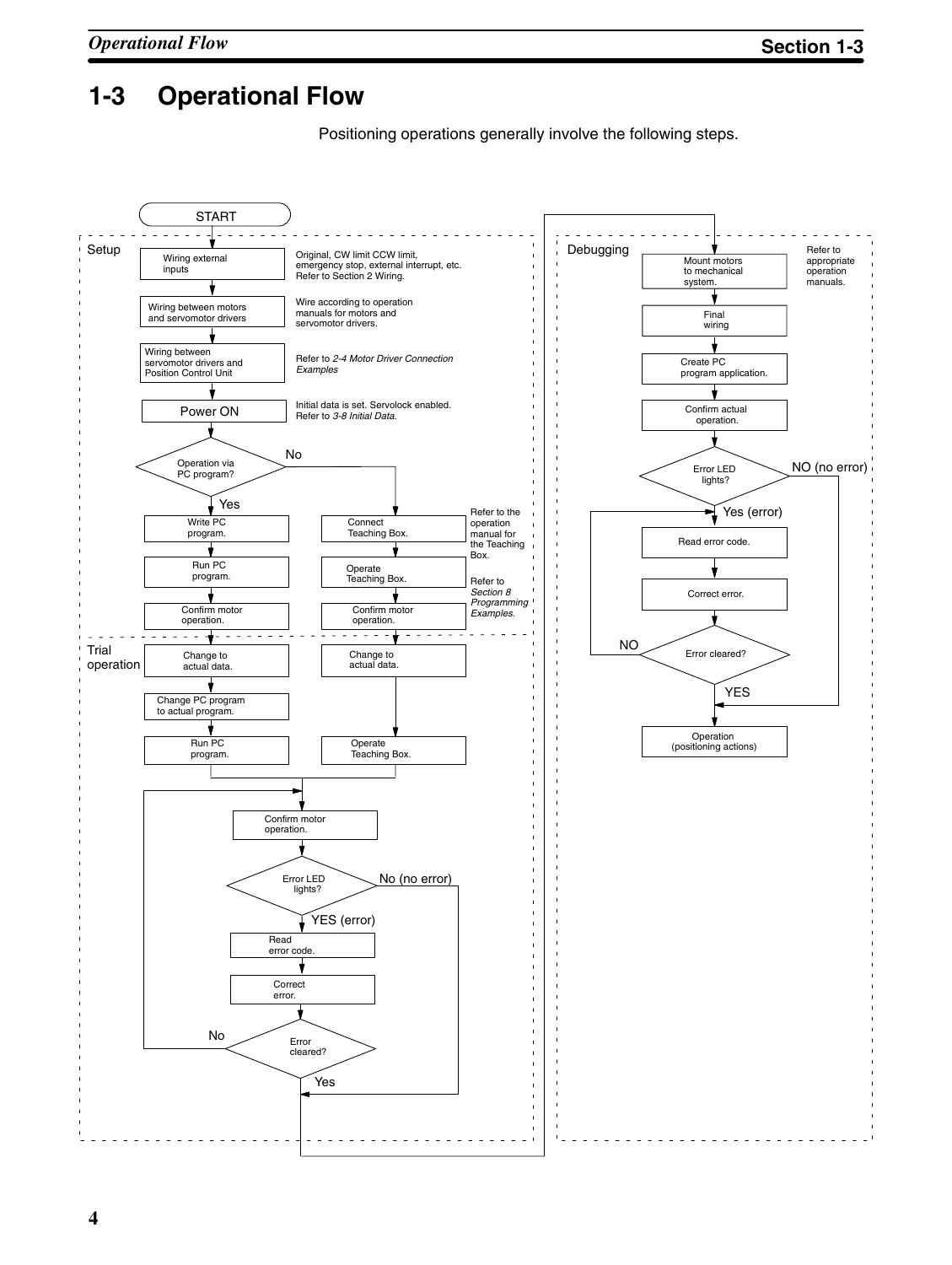## **1-3 Operational Flow**

Positioning operations generally involve the following steps.

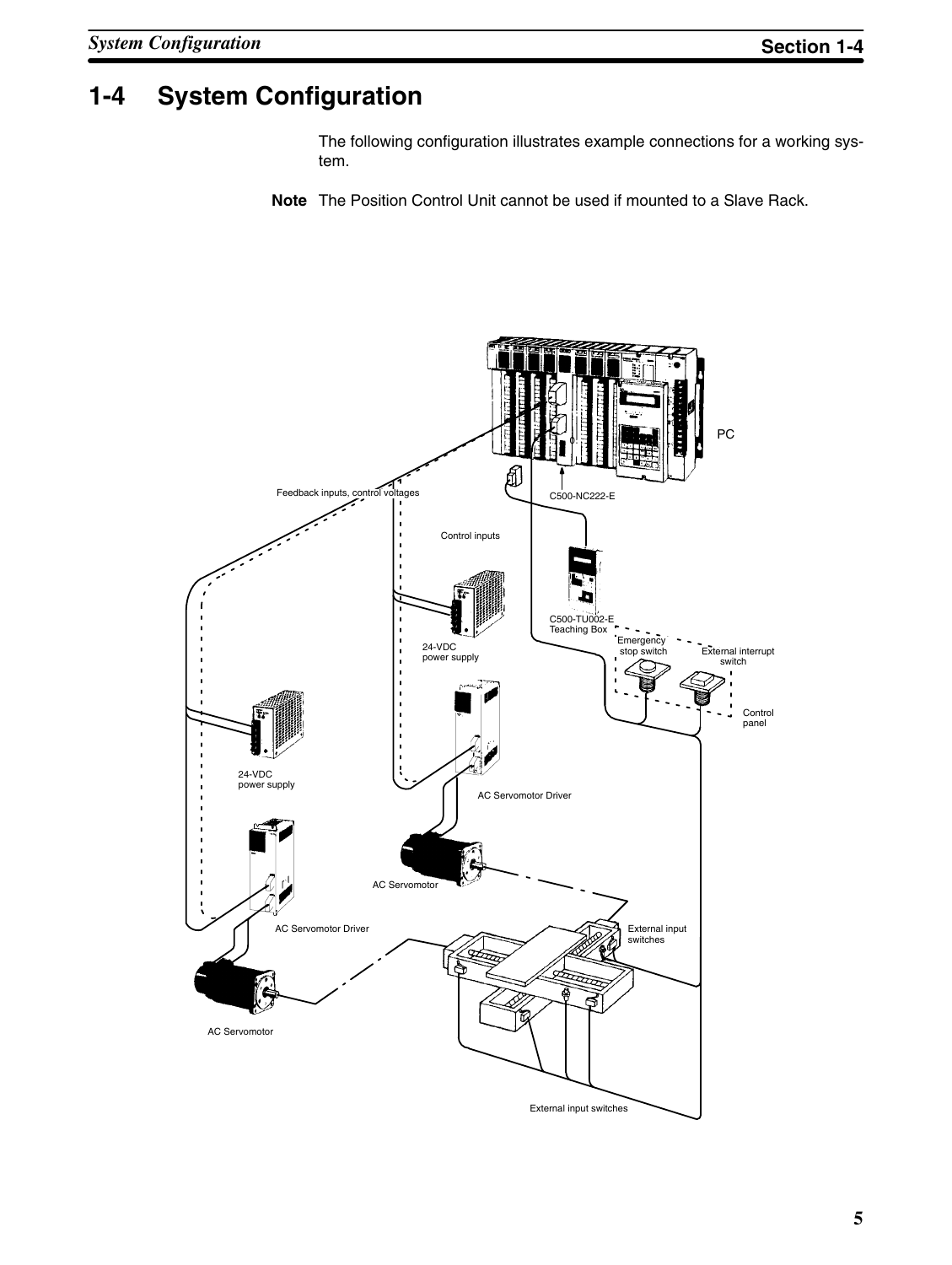## **1-4 System Configuration**

The following configuration illustrates example connections for a working system.

**Note** The Position Control Unit cannot be used if mounted to a Slave Rack.

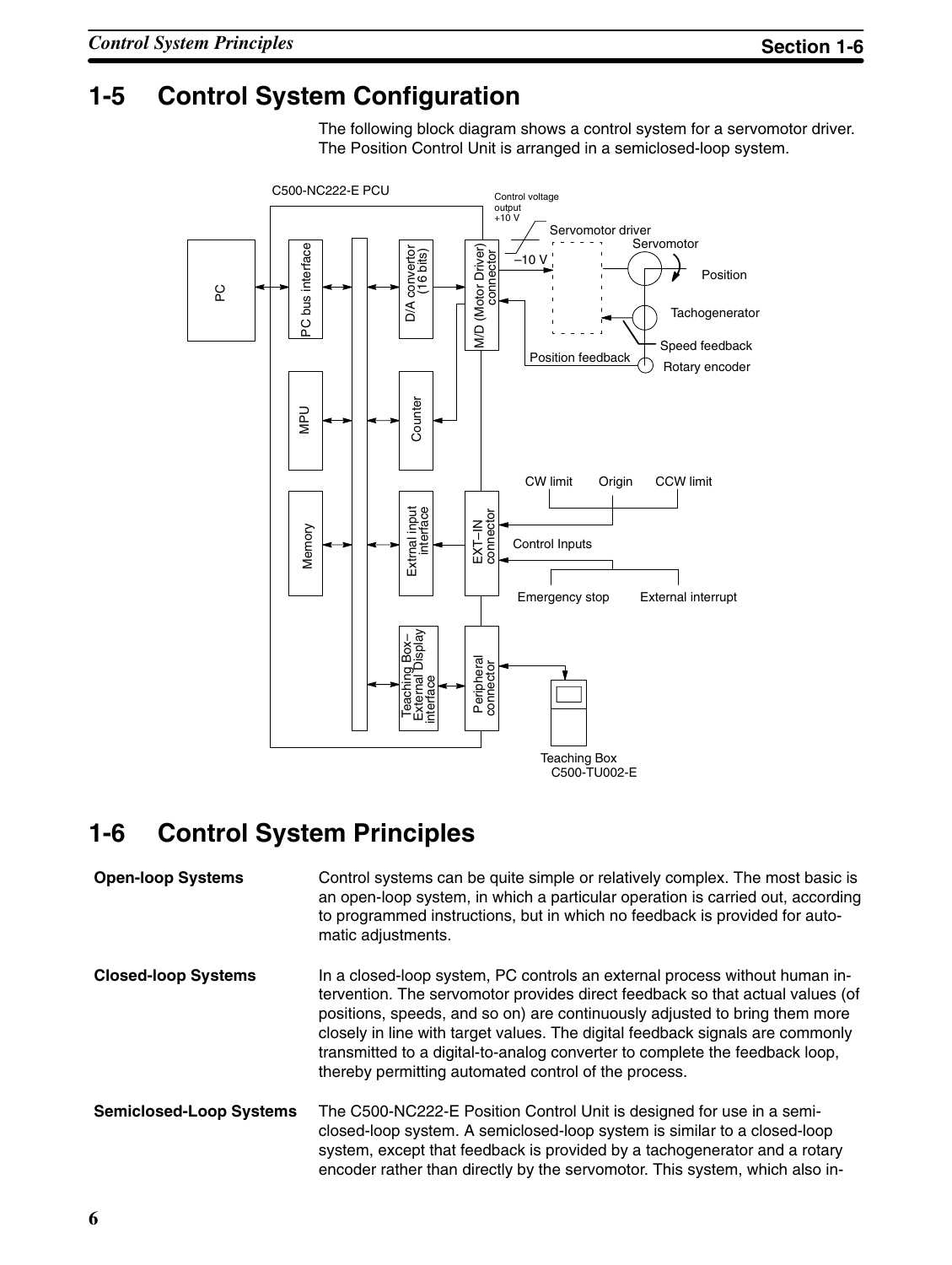## **1-5 Control System Configuration**

The following block diagram shows a control system for a servomotor driver. The Position Control Unit is arranged in a semiclosed-loop system.



## **1-6 Control System Principles**

| <b>Open-loop Systems</b>       | Control systems can be quite simple or relatively complex. The most basic is<br>an open-loop system, in which a particular operation is carried out, according<br>to programmed instructions, but in which no feedback is provided for auto-<br>matic adjustments.                                                                                                                                                                                                |
|--------------------------------|-------------------------------------------------------------------------------------------------------------------------------------------------------------------------------------------------------------------------------------------------------------------------------------------------------------------------------------------------------------------------------------------------------------------------------------------------------------------|
| <b>Closed-loop Systems</b>     | In a closed-loop system, PC controls an external process without human in-<br>tervention. The servomotor provides direct feedback so that actual values (of<br>positions, speeds, and so on) are continuously adjusted to bring them more<br>closely in line with target values. The digital feedback signals are commonly<br>transmitted to a digital-to-analog converter to complete the feedback loop,<br>thereby permitting automated control of the process. |
| <b>Semiclosed-Loop Systems</b> | The C500-NC222-E Position Control Unit is designed for use in a semi-<br>closed-loop system. A semiclosed-loop system is similar to a closed-loop<br>system, except that feedback is provided by a tachogenerator and a rotary<br>encoder rather than directly by the servomotor. This system, which also in-                                                                                                                                                     |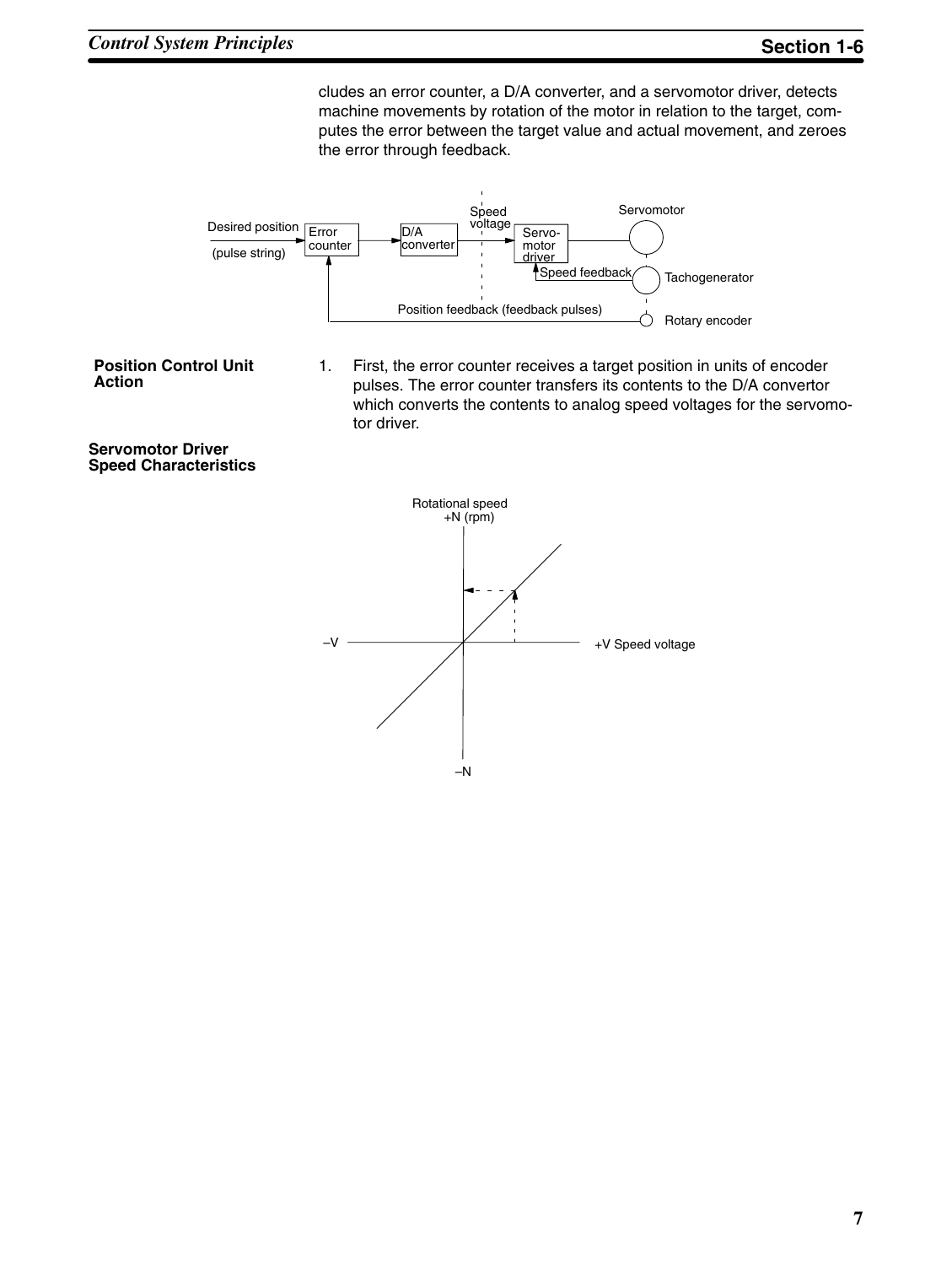cludes an error counter, a D/A converter, and a servomotor driver, detects machine movements by rotation of the motor in relation to the target, computes the error between the target value and actual movement, and zeroes the error through feedback.



- **Position Control Unit Action**
- 1. First, the error counter receives a target position in units of encoder pulses. The error counter transfers its contents to the D/A convertor which converts the contents to analog speed voltages for the servomotor driver.

**Servomotor Driver Speed Characteristics**

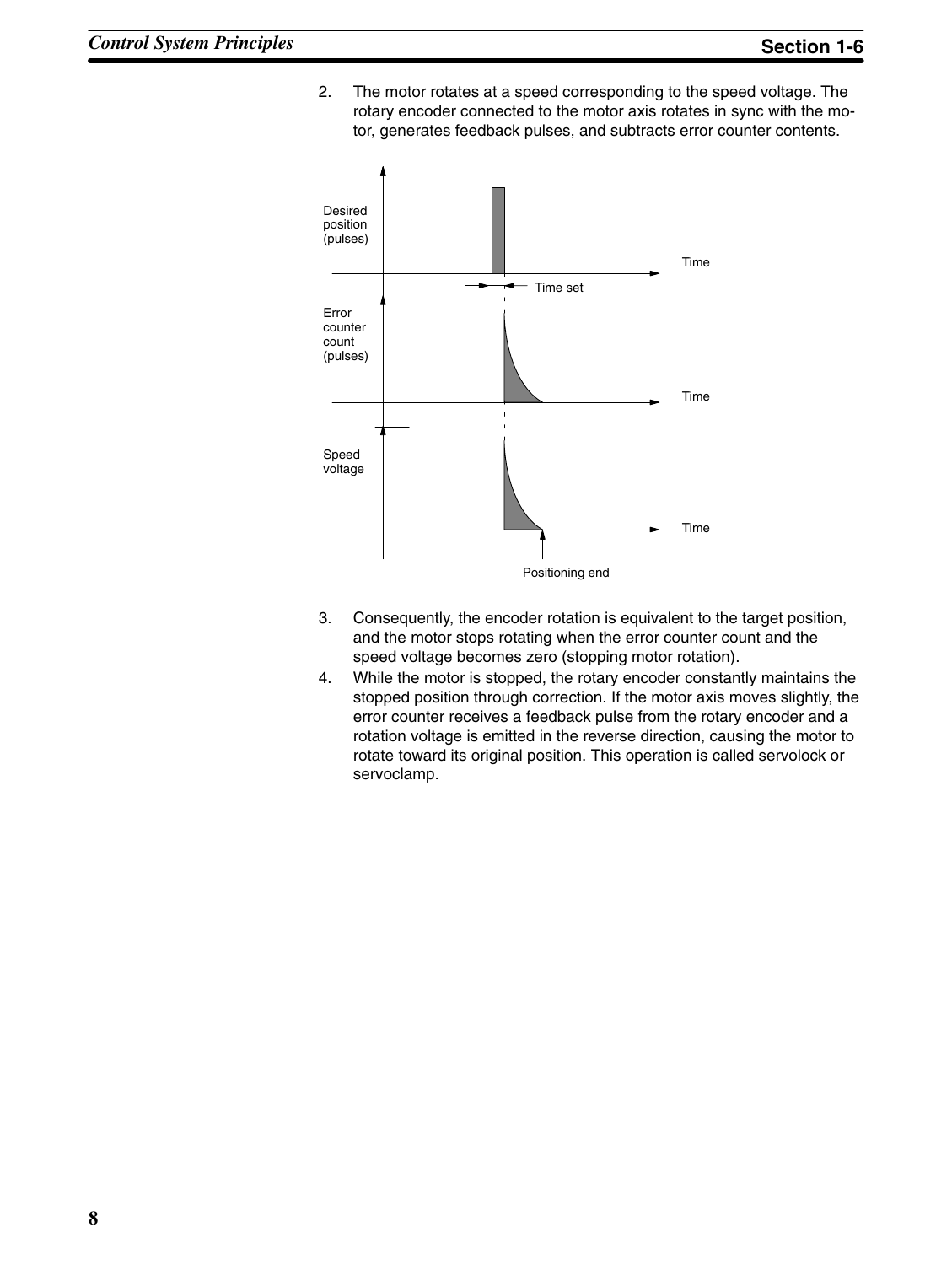2. The motor rotates at a speed corresponding to the speed voltage. The rotary encoder connected to the motor axis rotates in sync with the motor, generates feedback pulses, and subtracts error counter contents.



- 3. Consequently, the encoder rotation is equivalent to the target position, and the motor stops rotating when the error counter count and the speed voltage becomes zero (stopping motor rotation).
- 4. While the motor is stopped, the rotary encoder constantly maintains the stopped position through correction. If the motor axis moves slightly, the error counter receives a feedback pulse from the rotary encoder and a rotation voltage is emitted in the reverse direction, causing the motor to rotate toward its original position. This operation is called servolock or servoclamp.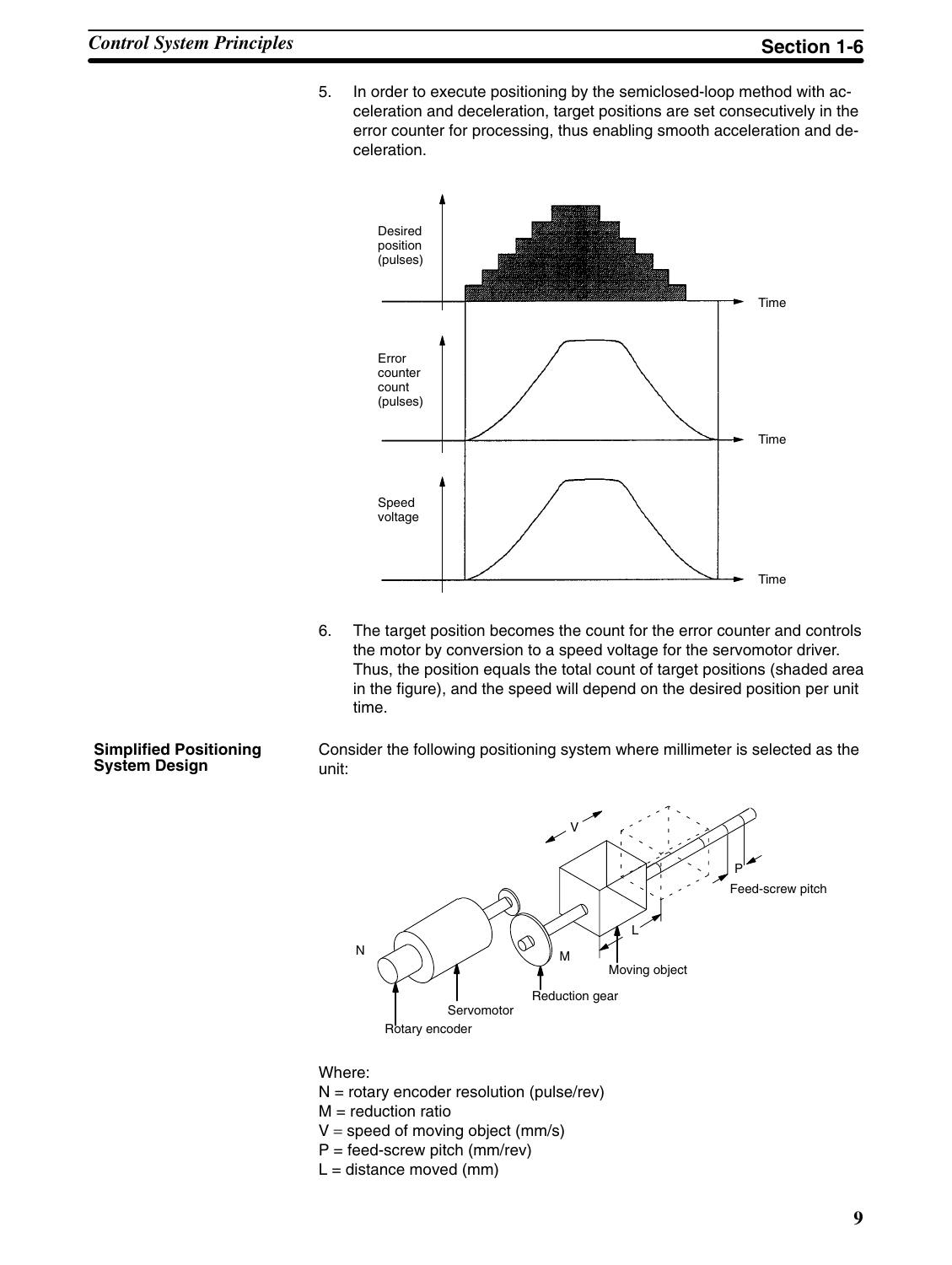5. In order to execute positioning by the semiclosed-loop method with acceleration and deceleration, target positions are set consecutively in the error counter for processing, thus enabling smooth acceleration and deceleration.



6. The target position becomes the count for the error counter and controls the motor by conversion to a speed voltage for the servomotor driver. Thus, the position equals the total count of target positions (shaded area in the figure), and the speed will depend on the desired position per unit time.

#### **Simplified Positioning System Design**

Consider the following positioning system where millimeter is selected as the unit:



Where:

- $N =$  rotary encoder resolution (pulse/rev)
- $M =$  reduction ratio
- $V =$  speed of moving object (mm/s)
- $P = \text{feed-score}$  pitch (mm/rev)
- $L =$  distance moved (mm)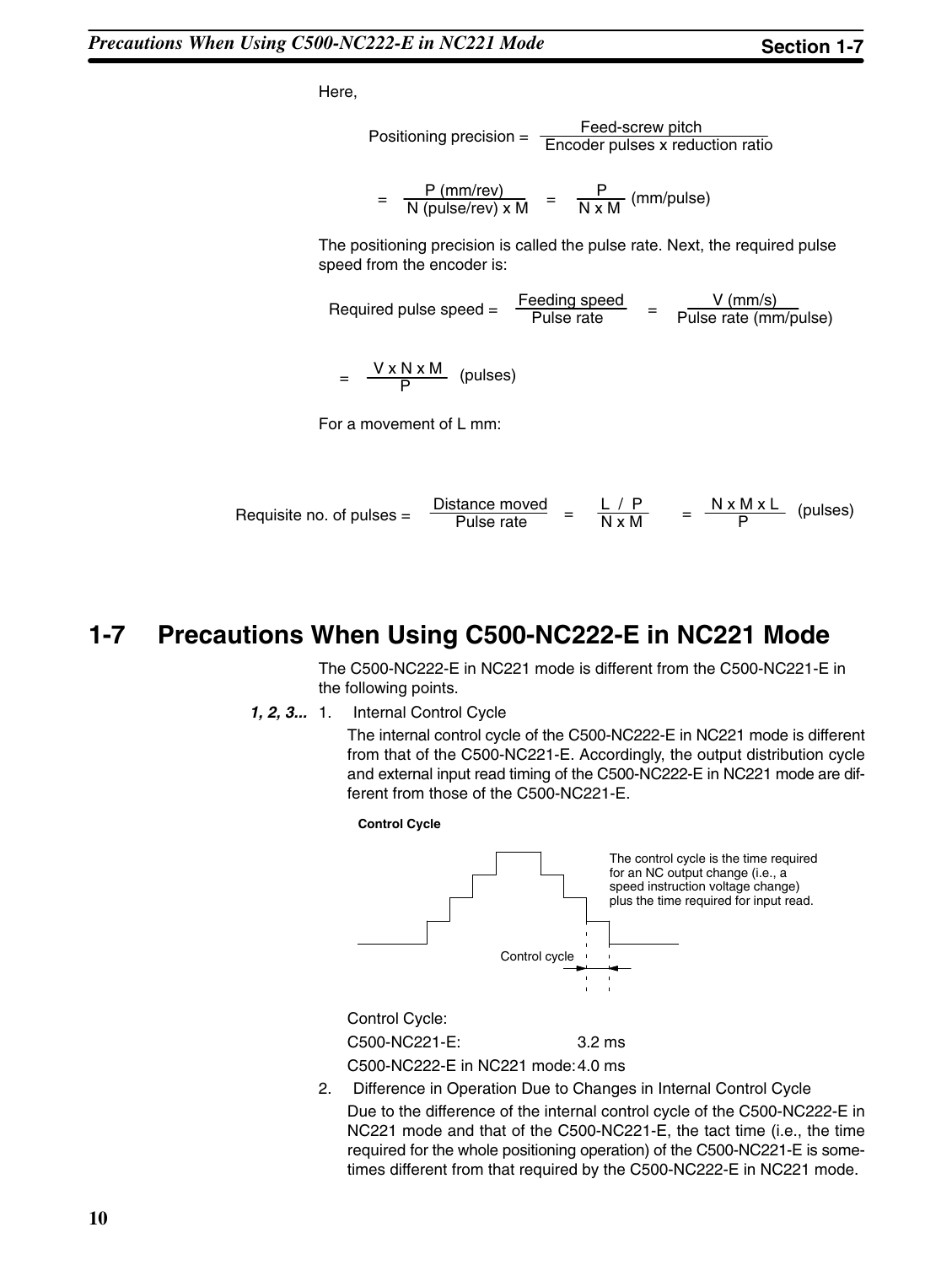Here,

Positioning precision = Feed-screw pitch Encoder pulses x reduction ratio

 $= \frac{P \text{ (mm/rev)}}{N \text{ (pulse/rev)} \times M} = \frac{P}{N \times M} \text{ (mm/pulse)}$ 

The positioning precision is called the pulse rate. Next, the required pulse speed from the encoder is:

Required pulse speed =  $\frac{\text{Feeding speed}}{\text{Blue rate}}$  Pulse rate V (mm/s) Pulse rate (mm/pulse)

$$
= \frac{V \times N \times M}{P}
$$
 (pulses)

For a movement of L mm:

$$
Required no. of pulses = \frac{Distance moved}{Pulse rate} = \frac{L/P}{N x M} = \frac{N x M x L}{P}
$$
 (pulses)

### **1-7 Precautions When Using C500-NC222-E in NC221 Mode**

The C500-NC222-E in NC221 mode is different from the C500-NC221-E in the following points.

*1, 2, 3...* 1. Internal Control Cycle

The internal control cycle of the C500-NC222-E in NC221 mode is different from that of the C500-NC221-E. Accordingly, the output distribution cycle and external input read timing of the C500-NC222-E in NC221 mode are different from those of the C500-NC221-E.



C500-NC222-E in NC221 mode:4.0 ms

2. Difference in Operation Due to Changes in Internal Control Cycle Due to the difference of the internal control cycle of the C500-NC222-E in NC221 mode and that of the C500-NC221-E, the tact time (i.e., the time required for the whole positioning operation) of the C500-NC221-E is sometimes different from that required by the C500-NC222-E in NC221 mode.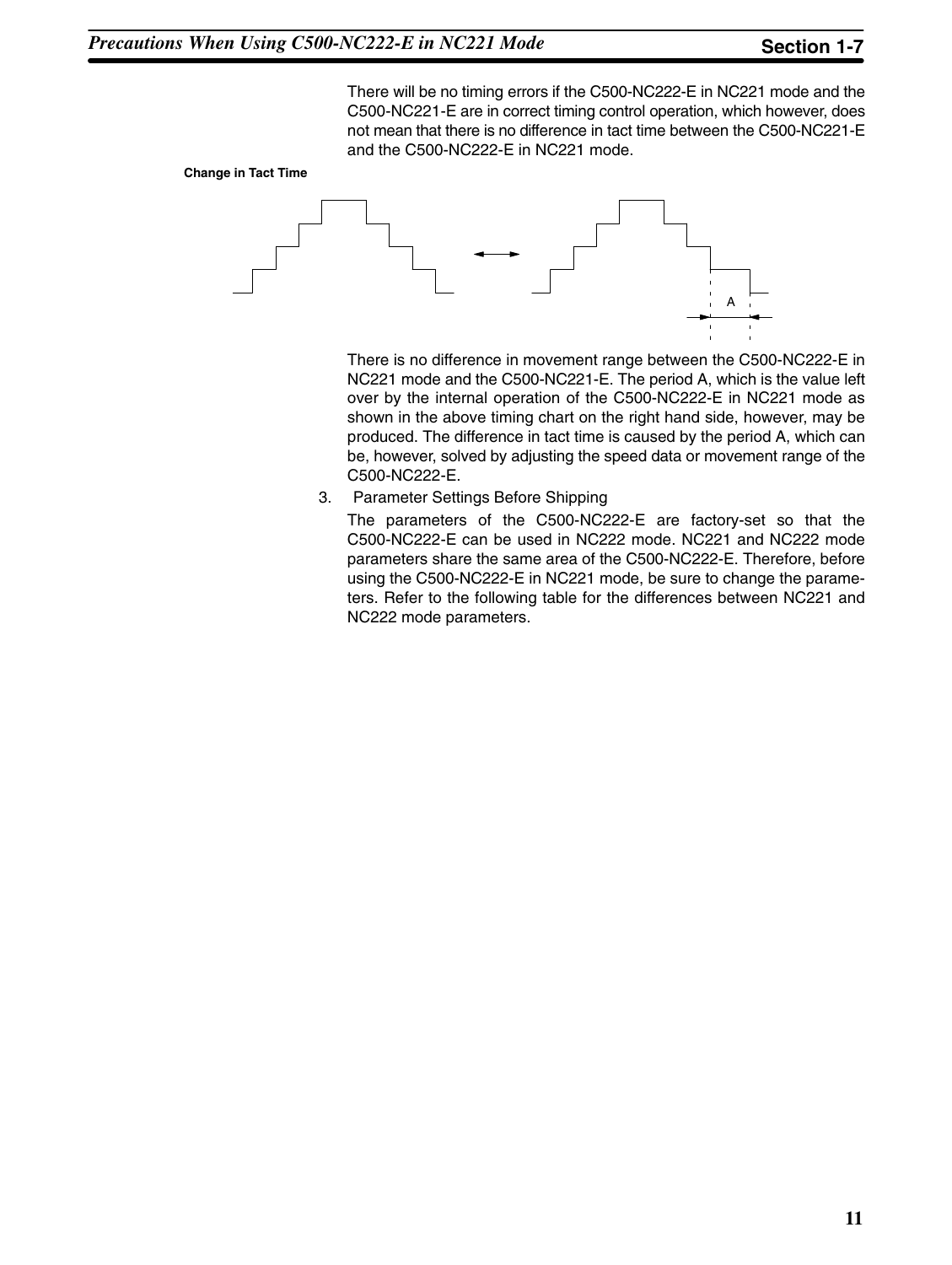There will be no timing errors if the C500-NC222-E in NC221 mode and the C500-NC221-E are in correct timing control operation, which however, does not mean that there is no difference in tact time between the C500-NC221-E and the C500-NC222-E in NC221 mode.





There is no difference in movement range between the C500-NC222-E in NC221 mode and the C500-NC221-E. The period A, which is the value left over by the internal operation of the C500-NC222-E in NC221 mode as shown in the above timing chart on the right hand side, however, may be produced. The difference in tact time is caused by the period A, which can be, however, solved by adjusting the speed data or movement range of the C500-NC222-E.

3. Parameter Settings Before Shipping

The parameters of the C500-NC222-E are factory-set so that the C500-NC222-E can be used in NC222 mode. NC221 and NC222 mode parameters share the same area of the C500-NC222-E. Therefore, before using the C500-NC222-E in NC221 mode, be sure to change the parameters. Refer to the following table for the differences between NC221 and NC222 mode parameters.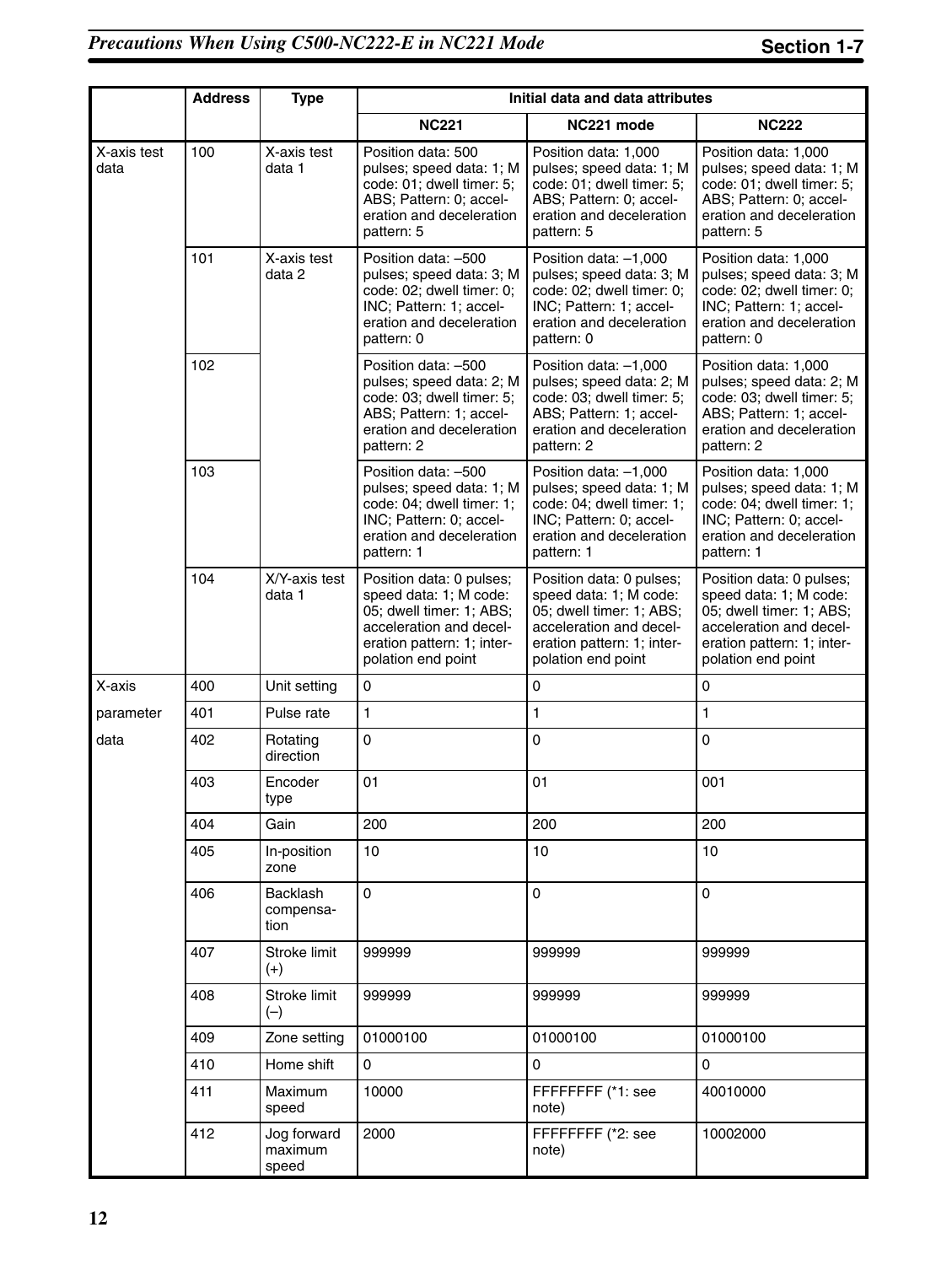|                     | <b>Address</b> | <b>Type</b>                     | Initial data and data attributes                                                                                                                              |                                                                                                                                                               |                                                                                                                                                               |
|---------------------|----------------|---------------------------------|---------------------------------------------------------------------------------------------------------------------------------------------------------------|---------------------------------------------------------------------------------------------------------------------------------------------------------------|---------------------------------------------------------------------------------------------------------------------------------------------------------------|
|                     |                |                                 | <b>NC221</b>                                                                                                                                                  | NC221 mode                                                                                                                                                    | <b>NC222</b>                                                                                                                                                  |
| X-axis test<br>data | 100            | X-axis test<br>data 1           | Position data: 500<br>pulses; speed data: 1; M<br>code: 01; dwell timer: 5;<br>ABS; Pattern: 0; accel-<br>eration and deceleration<br>pattern: 5              | Position data: 1,000<br>pulses; speed data: 1; M<br>code: 01; dwell timer: 5;<br>ABS; Pattern: 0; accel-<br>eration and deceleration<br>pattern: 5            | Position data: 1,000<br>pulses; speed data: 1; M<br>code: 01; dwell timer: 5;<br>ABS; Pattern: 0; accel-<br>eration and deceleration<br>pattern: 5            |
|                     | 101            | X-axis test<br>data 2           | Position data: -500<br>pulses; speed data: 3; M<br>code: 02; dwell timer: 0;<br>INC; Pattern: 1; accel-<br>eration and deceleration<br>pattern: 0             | Position data: -1,000<br>pulses; speed data: 3; M<br>code: 02; dwell timer: 0;<br>INC; Pattern: 1; accel-<br>eration and deceleration<br>pattern: 0           | Position data: 1,000<br>pulses; speed data: 3; M<br>code: 02; dwell timer: 0;<br>INC; Pattern: 1; accel-<br>eration and deceleration<br>pattern: 0            |
|                     | 102            |                                 | Position data: -500<br>pulses; speed data: 2; M<br>code: 03; dwell timer: 5;<br>ABS; Pattern: 1; accel-<br>eration and deceleration<br>pattern: 2             | Position data: -1,000<br>pulses; speed data: 2; M<br>code: 03; dwell timer: 5;<br>ABS; Pattern: 1; accel-<br>eration and deceleration<br>pattern: 2           | Position data: 1,000<br>pulses; speed data: 2; M<br>code: 03; dwell timer: 5;<br>ABS; Pattern: 1; accel-<br>eration and deceleration<br>pattern: 2            |
|                     | 103            |                                 | Position data: -500<br>pulses; speed data: 1; M<br>code: 04; dwell timer: 1;<br>INC; Pattern: 0; accel-<br>eration and deceleration<br>pattern: 1             | Position data: -1,000<br>pulses; speed data: 1; M<br>code: 04; dwell timer: 1;<br>INC; Pattern: 0; accel-<br>eration and deceleration<br>pattern: 1           | Position data: 1,000<br>pulses; speed data: 1; M<br>code: 04; dwell timer: 1;<br>INC; Pattern: 0; accel-<br>eration and deceleration<br>pattern: 1            |
|                     | 104            | X/Y-axis test<br>data 1         | Position data: 0 pulses;<br>speed data: 1; M code:<br>05; dwell timer: 1; ABS;<br>acceleration and decel-<br>eration pattern: 1; inter-<br>polation end point | Position data: 0 pulses;<br>speed data: 1; M code:<br>05; dwell timer: 1; ABS;<br>acceleration and decel-<br>eration pattern: 1; inter-<br>polation end point | Position data: 0 pulses;<br>speed data: 1; M code:<br>05; dwell timer: 1; ABS;<br>acceleration and decel-<br>eration pattern: 1; inter-<br>polation end point |
| X-axis              | 400            | Unit setting                    | $\pmb{0}$                                                                                                                                                     | 0                                                                                                                                                             | 0                                                                                                                                                             |
| parameter           | 401            | Pulse rate                      | 1                                                                                                                                                             | 1                                                                                                                                                             | 1                                                                                                                                                             |
| data                | 402            | Rotating<br>direction           | $\mathsf 0$                                                                                                                                                   | 0                                                                                                                                                             | 0                                                                                                                                                             |
|                     | 403            | Encoder<br>type                 | 01                                                                                                                                                            | 01                                                                                                                                                            | 001                                                                                                                                                           |
|                     | 404            | Gain                            | 200                                                                                                                                                           | 200                                                                                                                                                           | 200                                                                                                                                                           |
|                     | 405            | In-position<br>zone             | 10                                                                                                                                                            | 10                                                                                                                                                            | 10                                                                                                                                                            |
|                     | 406            | Backlash<br>compensa-<br>tion   | $\mathbf 0$                                                                                                                                                   | $\mathbf 0$                                                                                                                                                   | 0                                                                                                                                                             |
|                     | 407            | Stroke limit<br>$(+)$           | 999999                                                                                                                                                        | 999999                                                                                                                                                        | 999999                                                                                                                                                        |
|                     | 408            | Stroke limit<br>$(-)$           | 999999                                                                                                                                                        | 999999                                                                                                                                                        | 999999                                                                                                                                                        |
|                     | 409            | Zone setting                    | 01000100                                                                                                                                                      | 01000100                                                                                                                                                      | 01000100                                                                                                                                                      |
|                     | 410            | Home shift                      | 0                                                                                                                                                             | 0                                                                                                                                                             | 0                                                                                                                                                             |
|                     | 411            | Maximum<br>speed                | 10000                                                                                                                                                         | FFFFFFFF (*1: see<br>note)                                                                                                                                    | 40010000                                                                                                                                                      |
|                     | 412            | Jog forward<br>maximum<br>speed | 2000                                                                                                                                                          | FFFFFFFF (*2: see<br>note)                                                                                                                                    | 10002000                                                                                                                                                      |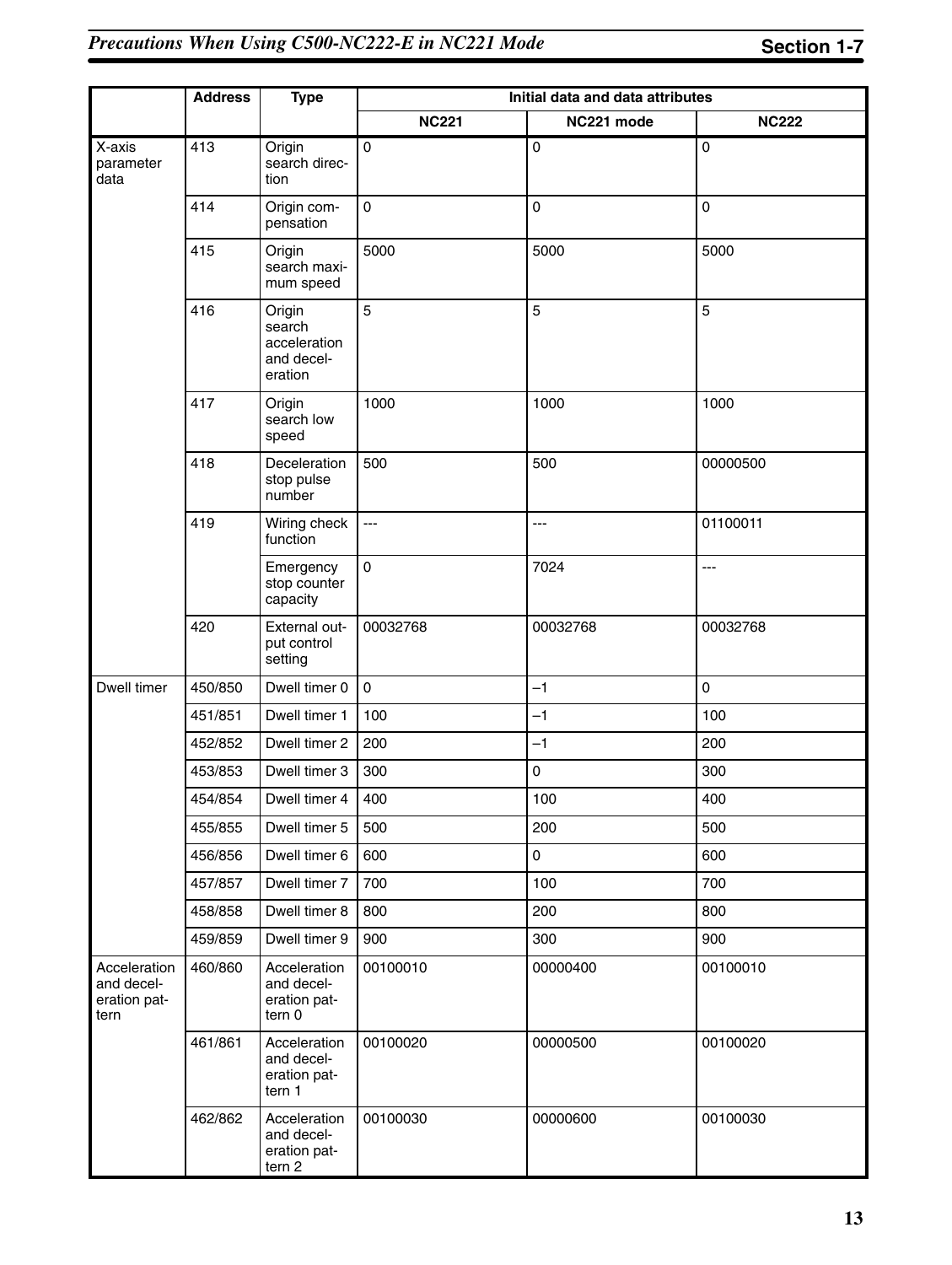|                                                    | <b>Address</b><br><b>Type</b> |                                                           | Initial data and data attributes |                |              |  |
|----------------------------------------------------|-------------------------------|-----------------------------------------------------------|----------------------------------|----------------|--------------|--|
|                                                    |                               |                                                           | <b>NC221</b>                     | NC221 mode     | <b>NC222</b> |  |
| X-axis<br>parameter<br>data                        | 413                           | Origin<br>search direc-<br>tion                           | 0                                | 0              | 0            |  |
|                                                    | 414                           | Origin com-<br>pensation                                  | 0                                | 0              | 0            |  |
|                                                    | 415                           | Origin<br>search maxi-<br>mum speed                       | 5000                             | 5000           | 5000         |  |
|                                                    | 416                           | Origin<br>search<br>acceleration<br>and decel-<br>eration | 5                                | 5              | 5            |  |
|                                                    | 417                           | Origin<br>search low<br>speed                             | 1000                             | 1000           | 1000         |  |
|                                                    | 418                           | Deceleration<br>stop pulse<br>number                      | 500                              | 500            | 00000500     |  |
|                                                    | 419                           | Wiring check<br>function                                  | ---                              | $\overline{a}$ | 01100011     |  |
|                                                    |                               | Emergency<br>stop counter<br>capacity                     | 0                                | 7024           | ---          |  |
|                                                    | 420                           | External out-<br>put control<br>setting                   | 00032768                         | 00032768       | 00032768     |  |
| Dwell timer                                        | 450/850                       | Dwell timer 0                                             | $\mathbf 0$                      | $-1$           | 0            |  |
|                                                    | 451/851                       | Dwell timer 1                                             | 100                              | $-1$           | 100          |  |
|                                                    | 452/852                       | Dwell timer 2                                             | 200                              | $-1$           | 200          |  |
|                                                    | 453/853                       | Dwell timer 3                                             | 300                              | 0              | 300          |  |
|                                                    | 454/854                       | Dwell timer 4                                             | 400                              | 100            | 400          |  |
|                                                    | 455/855                       | Dwell timer 5                                             | 500                              | 200            | 500          |  |
|                                                    | 456/856                       | Dwell timer 6                                             | 600                              | 0              | 600          |  |
|                                                    | 457/857                       | Dwell timer 7                                             | 700                              | 100            | 700          |  |
|                                                    | 458/858                       | Dwell timer 8                                             | 800                              | 200            | 800          |  |
|                                                    | 459/859                       | Dwell timer 9                                             | 900                              | 300            | 900          |  |
| Acceleration<br>and decel-<br>eration pat-<br>tern | 460/860                       | Acceleration<br>and decel-<br>eration pat-<br>tern 0      | 00100010                         | 00000400       | 00100010     |  |
|                                                    | 461/861                       | Acceleration<br>and decel-<br>eration pat-<br>tern 1      | 00100020                         | 00000500       | 00100020     |  |
|                                                    | 462/862                       | Acceleration<br>and decel-<br>eration pat-<br>tern 2      | 00100030                         | 00000600       | 00100030     |  |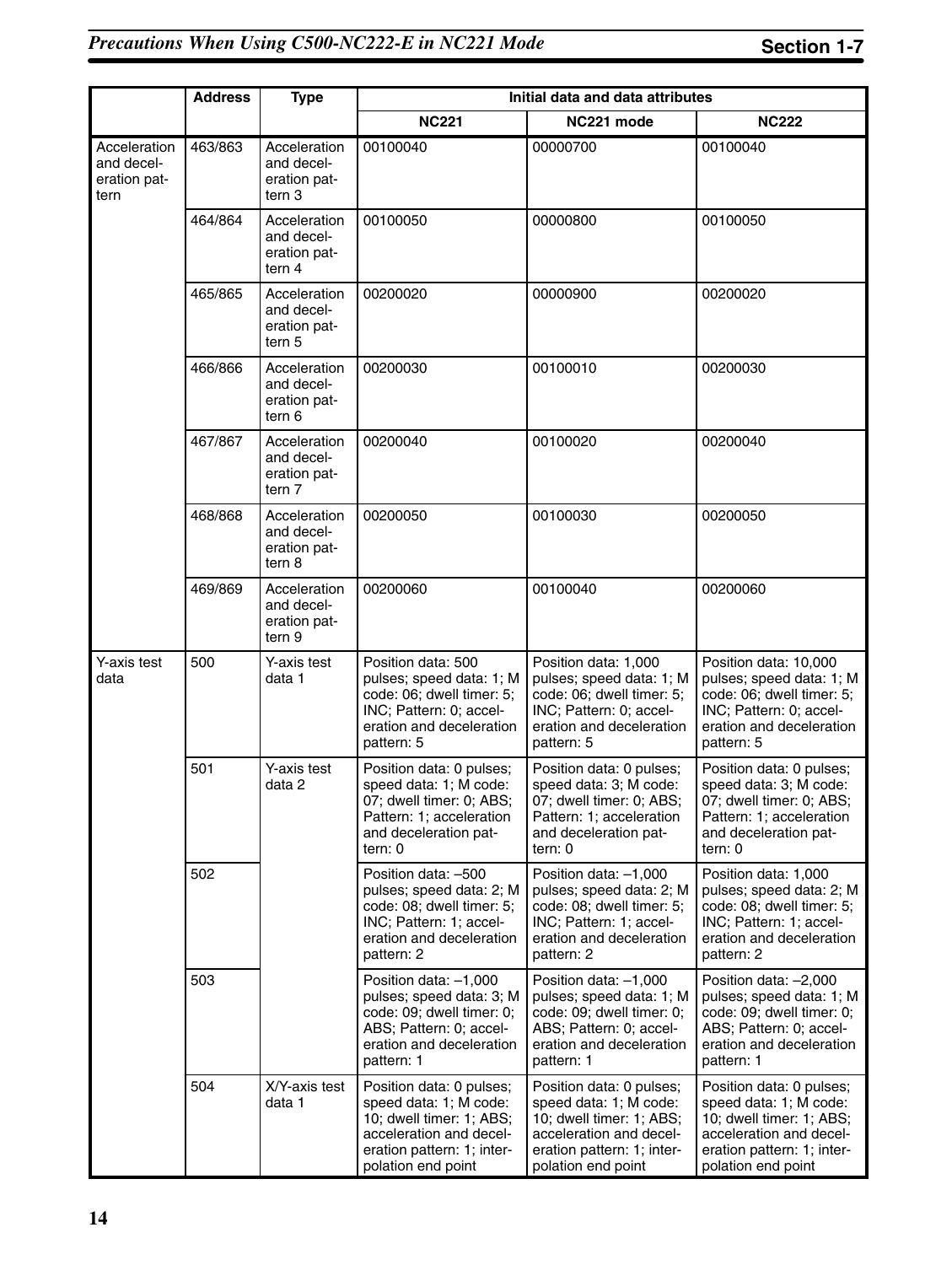|                                                    | <b>Address</b><br><b>Type</b> |                                                                 | Initial data and data attributes                                                                                                                              |                                                                                                                                                               |                                                                                                                                                               |  |
|----------------------------------------------------|-------------------------------|-----------------------------------------------------------------|---------------------------------------------------------------------------------------------------------------------------------------------------------------|---------------------------------------------------------------------------------------------------------------------------------------------------------------|---------------------------------------------------------------------------------------------------------------------------------------------------------------|--|
|                                                    |                               |                                                                 | <b>NC221</b>                                                                                                                                                  | NC221 mode                                                                                                                                                    | <b>NC222</b>                                                                                                                                                  |  |
| Acceleration<br>and decel-<br>eration pat-<br>tern | 463/863                       | Acceleration<br>and decel-<br>eration pat-<br>tern 3            | 00100040                                                                                                                                                      | 00000700                                                                                                                                                      | 00100040                                                                                                                                                      |  |
|                                                    | 464/864                       | Acceleration<br>and decel-<br>eration pat-<br>tern 4            | 00100050                                                                                                                                                      | 00000800                                                                                                                                                      | 00100050                                                                                                                                                      |  |
|                                                    | 465/865                       | Acceleration<br>and decel-<br>eration pat-<br>tern 5            | 00200020                                                                                                                                                      | 00000900                                                                                                                                                      | 00200020                                                                                                                                                      |  |
|                                                    | 466/866                       | Acceleration<br>and decel-<br>eration pat-<br>tern 6            | 00200030                                                                                                                                                      | 00100010                                                                                                                                                      | 00200030                                                                                                                                                      |  |
|                                                    | 467/867                       | Acceleration<br>and decel-<br>eration pat-<br>tern <sub>7</sub> | 00200040                                                                                                                                                      | 00100020                                                                                                                                                      | 00200040                                                                                                                                                      |  |
|                                                    | 468/868                       | Acceleration<br>and decel-<br>eration pat-<br>tern 8            | 00200050                                                                                                                                                      | 00100030                                                                                                                                                      | 00200050                                                                                                                                                      |  |
|                                                    | 469/869                       | Acceleration<br>and decel-<br>eration pat-<br>tern 9            | 00200060                                                                                                                                                      | 00100040                                                                                                                                                      | 00200060                                                                                                                                                      |  |
| Y-axis test<br>data                                | 500                           | Y-axis test<br>data 1                                           | Position data: 500<br>pulses; speed data: 1; M<br>code: 06; dwell timer: 5;<br>INC; Pattern: 0; accel-<br>eration and deceleration<br>pattern: 5              | Position data: 1,000<br>pulses; speed data: 1; M<br>code: 06; dwell timer: 5;<br>INC; Pattern: 0; accel-<br>eration and deceleration<br>pattern: 5            | Position data: 10,000<br>pulses; speed data: 1; M<br>code: 06; dwell timer: 5;<br>INC; Pattern: 0; accel-<br>eration and deceleration<br>pattern: 5           |  |
|                                                    | 501                           | Y-axis test<br>data 2                                           | Position data: 0 pulses;<br>speed data: 1; M code:<br>07; dwell timer: 0; ABS;<br>Pattern: 1; acceleration<br>and deceleration pat-<br>tern: 0                | Position data: 0 pulses;<br>speed data: 3; M code:<br>07; dwell timer: 0; ABS;<br>Pattern: 1; acceleration<br>and deceleration pat-<br>tern: 0                | Position data: 0 pulses;<br>speed data: 3; M code:<br>07; dwell timer: 0; ABS;<br>Pattern: 1; acceleration<br>and deceleration pat-<br>tern: 0                |  |
|                                                    | 502                           |                                                                 | Position data: -500<br>pulses; speed data: 2; M<br>code: 08; dwell timer: 5;<br>INC; Pattern: 1; accel-<br>eration and deceleration<br>pattern: 2             | Position data: -1,000<br>pulses; speed data: 2; M<br>code: 08; dwell timer: 5;<br>INC; Pattern: 1; accel-<br>eration and deceleration<br>pattern: 2           | Position data: 1,000<br>pulses; speed data: 2; M<br>code: 08; dwell timer: 5;<br>INC; Pattern: 1; accel-<br>eration and deceleration<br>pattern: 2            |  |
|                                                    | 503                           |                                                                 | Position data: -1,000<br>pulses; speed data: 3; M<br>code: 09; dwell timer: 0;<br>ABS; Pattern: 0; accel-<br>eration and deceleration<br>pattern: 1           | Position data: -1,000<br>pulses; speed data: 1; M<br>code: 09; dwell timer: 0;<br>ABS; Pattern: 0; accel-<br>eration and deceleration<br>pattern: 1           | Position data: -2,000<br>pulses; speed data: 1; M<br>code: 09; dwell timer: 0;<br>ABS; Pattern: 0; accel-<br>eration and deceleration<br>pattern: 1           |  |
|                                                    | 504                           | X/Y-axis test<br>data 1                                         | Position data: 0 pulses;<br>speed data: 1; M code:<br>10; dwell timer: 1; ABS;<br>acceleration and decel-<br>eration pattern: 1; inter-<br>polation end point | Position data: 0 pulses;<br>speed data: 1; M code:<br>10; dwell timer: 1; ABS;<br>acceleration and decel-<br>eration pattern: 1; inter-<br>polation end point | Position data: 0 pulses;<br>speed data: 1; M code:<br>10; dwell timer: 1; ABS;<br>acceleration and decel-<br>eration pattern: 1; inter-<br>polation end point |  |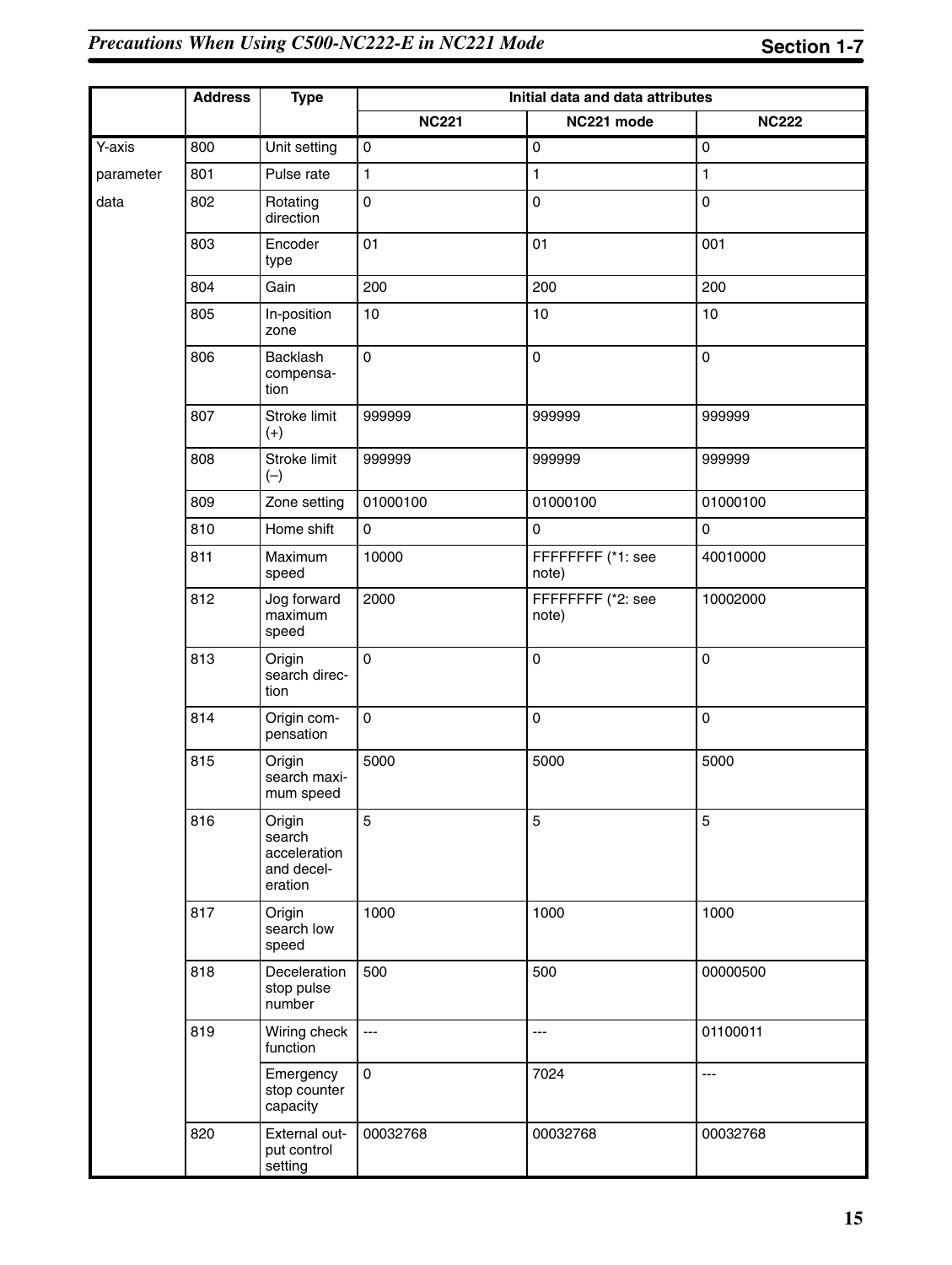|           | <b>Address</b> | <b>Type</b>                                               | Initial data and data attributes |                            |                     |
|-----------|----------------|-----------------------------------------------------------|----------------------------------|----------------------------|---------------------|
|           |                |                                                           | <b>NC221</b>                     | NC221 mode                 | <b>NC222</b>        |
| Y-axis    | 800            | Unit setting                                              | $\mathsf{O}\xspace$              | $\mathsf{O}\xspace$        | $\mathsf{O}\xspace$ |
| parameter | 801            | Pulse rate                                                | $\mathbf{1}$                     | $\blacksquare$             | 1                   |
| data      | 802            | Rotating<br>direction                                     | $\pmb{0}$                        | $\pmb{0}$                  | $\mathbf 0$         |
|           | 803            | Encoder<br>type                                           | 01                               | 01                         | 001                 |
|           | 804            | Gain                                                      | 200                              | 200                        | 200                 |
|           | 805            | In-position<br>zone                                       | 10                               | 10                         | 10                  |
|           | 806            | Backlash<br>compensa-<br>tion                             | $\pmb{0}$                        | $\pmb{0}$                  | $\mathsf{O}\xspace$ |
|           | 807            | Stroke limit<br>$(+)$                                     | 999999                           | 999999                     | 999999              |
|           | 808            | Stroke limit<br>$(-)$                                     | 999999                           | 999999                     | 999999              |
|           | 809            | Zone setting                                              | 01000100                         | 01000100                   | 01000100            |
|           | 810            | Home shift                                                | $\mathsf 0$                      | $\pmb{0}$                  | $\pmb{0}$           |
|           | 811            | Maximum<br>speed                                          | 10000                            | FFFFFFFF (*1: see<br>note) | 40010000            |
|           | 812            | Jog forward<br>maximum<br>speed                           | 2000                             | FFFFFFFF (*2: see<br>note) | 10002000            |
|           | 813            | Origin<br>search direc-<br>tion                           | $\pmb{0}$                        | $\pmb{0}$                  | 0                   |
|           | 814            | Origin com-<br>pensation                                  | $\pmb{0}$                        | $\pmb{0}$                  | $\mathbf 0$         |
|           | 815            | Origin<br>search maxi-<br>mum speed                       | 5000                             | 5000                       | 5000                |
|           | 816            | Origin<br>search<br>acceleration<br>and decel-<br>eration | 5                                | 5                          | 5                   |
|           | 817            | Origin<br>search low<br>speed                             | 1000                             | 1000                       | 1000                |
|           | 818            | Deceleration<br>stop pulse<br>number                      | 500                              | 500                        | 00000500            |
|           | 819            | Wiring check<br>function                                  | $\hspace{0.05cm} \ldots$         | ---                        | 01100011            |
|           |                | Emergency<br>stop counter<br>capacity                     | $\mathsf{O}\xspace$              | 7024                       | ---                 |
|           | 820            | External out-<br>put control<br>setting                   | 00032768                         | 00032768                   | 00032768            |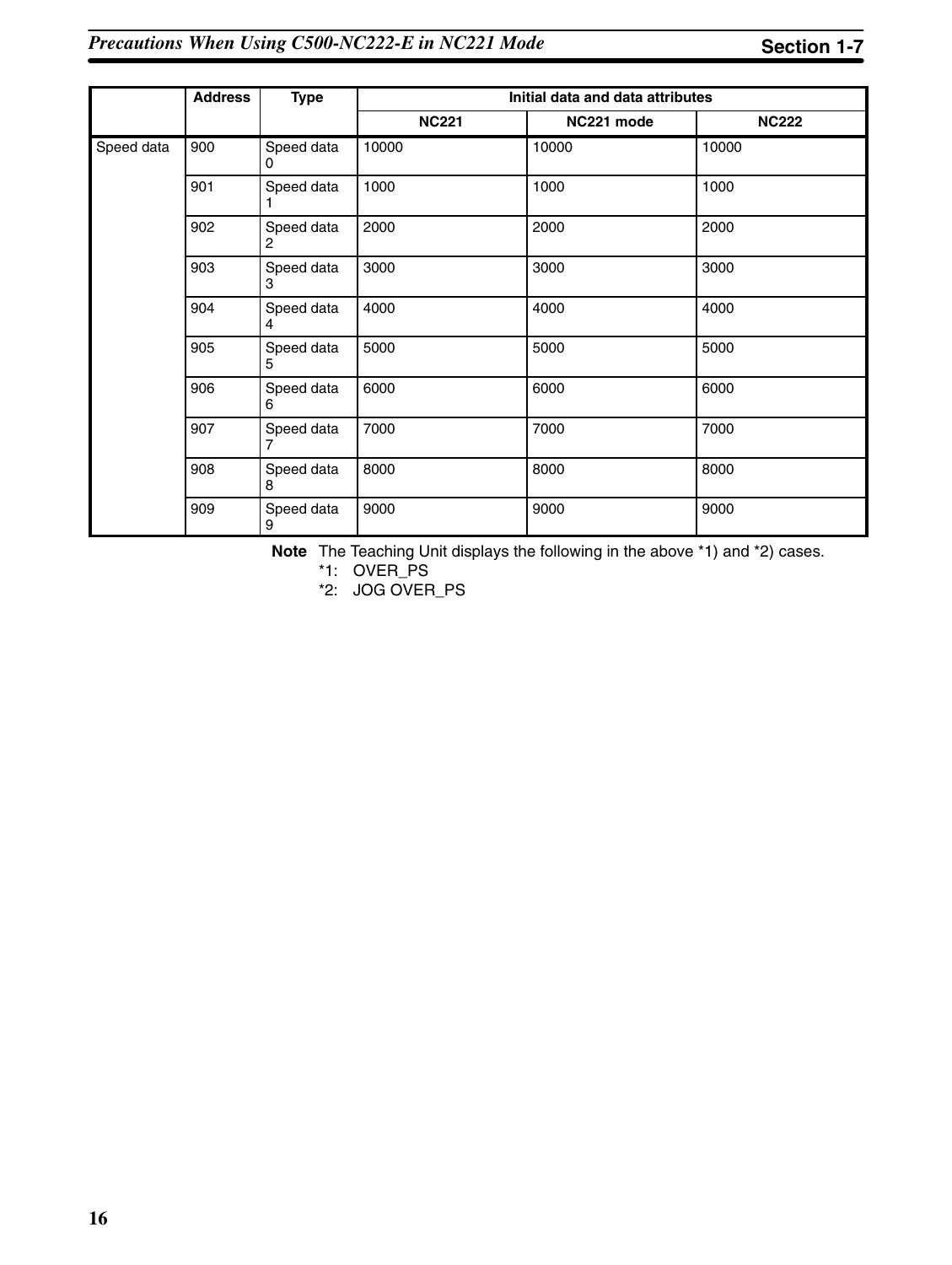|            | <b>Address</b><br><b>Type</b> |                 | Initial data and data attributes |            |              |
|------------|-------------------------------|-----------------|----------------------------------|------------|--------------|
|            |                               |                 | <b>NC221</b>                     | NC221 mode | <b>NC222</b> |
| Speed data | 900                           | Speed data<br>0 | 10000                            | 10000      | 10000        |
|            | 901                           | Speed data      | 1000                             | 1000       | 1000         |
|            | 902                           | Speed data<br>2 | 2000                             | 2000       | 2000         |
|            | 903                           | Speed data<br>3 | 3000                             | 3000       | 3000         |
|            | 904                           | Speed data<br>4 | 4000                             | 4000       | 4000         |
|            | 905                           | Speed data<br>5 | 5000                             | 5000       | 5000         |
|            | 906                           | Speed data<br>6 | 6000                             | 6000       | 6000         |
|            | 907                           | Speed data<br>7 | 7000                             | 7000       | 7000         |
|            | 908                           | Speed data<br>8 | 8000                             | 8000       | 8000         |
|            | 909                           | Speed data<br>9 | 9000                             | 9000       | 9000         |

**Note** The Teaching Unit displays the following in the above \*1) and \*2) cases.

\*1: OVER\_PS

\*2: JOG OVER\_PS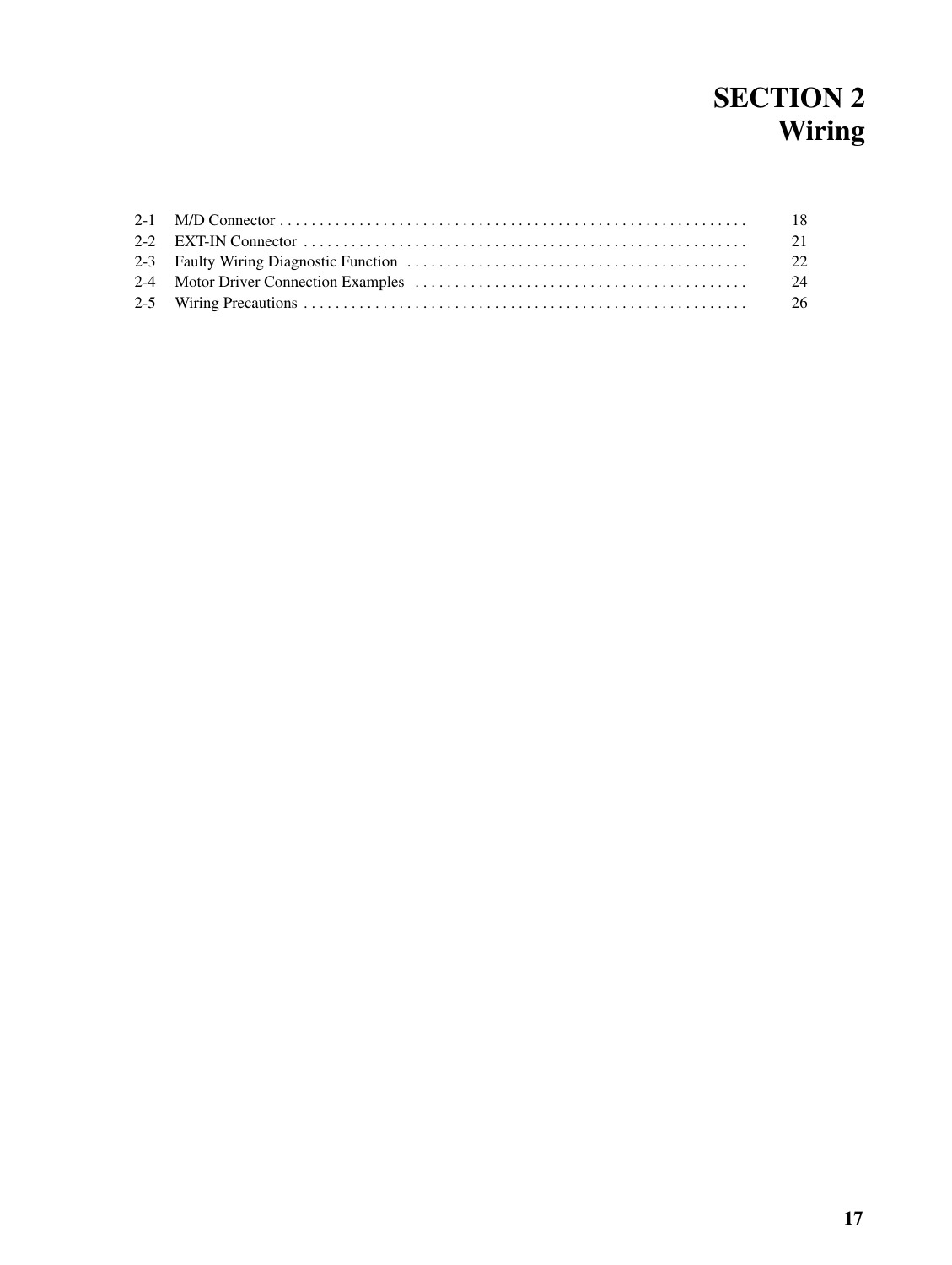## **SECTION 2 Wiring**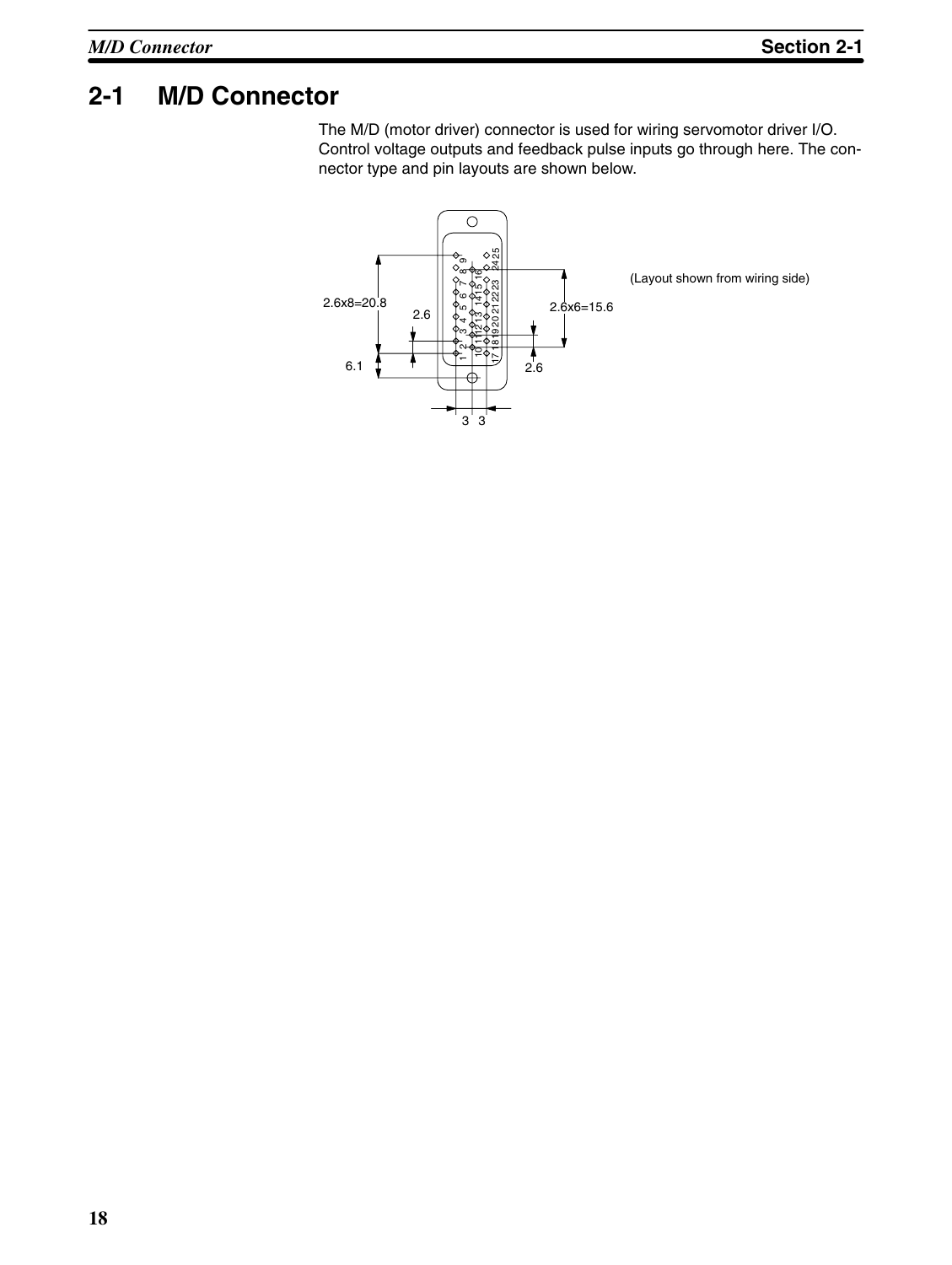## **2-1 M/D Connector**

The M/D (motor driver) connector is used for wiring servomotor driver I/O. Control voltage outputs and feedback pulse inputs go through here. The connector type and pin layouts are shown below.

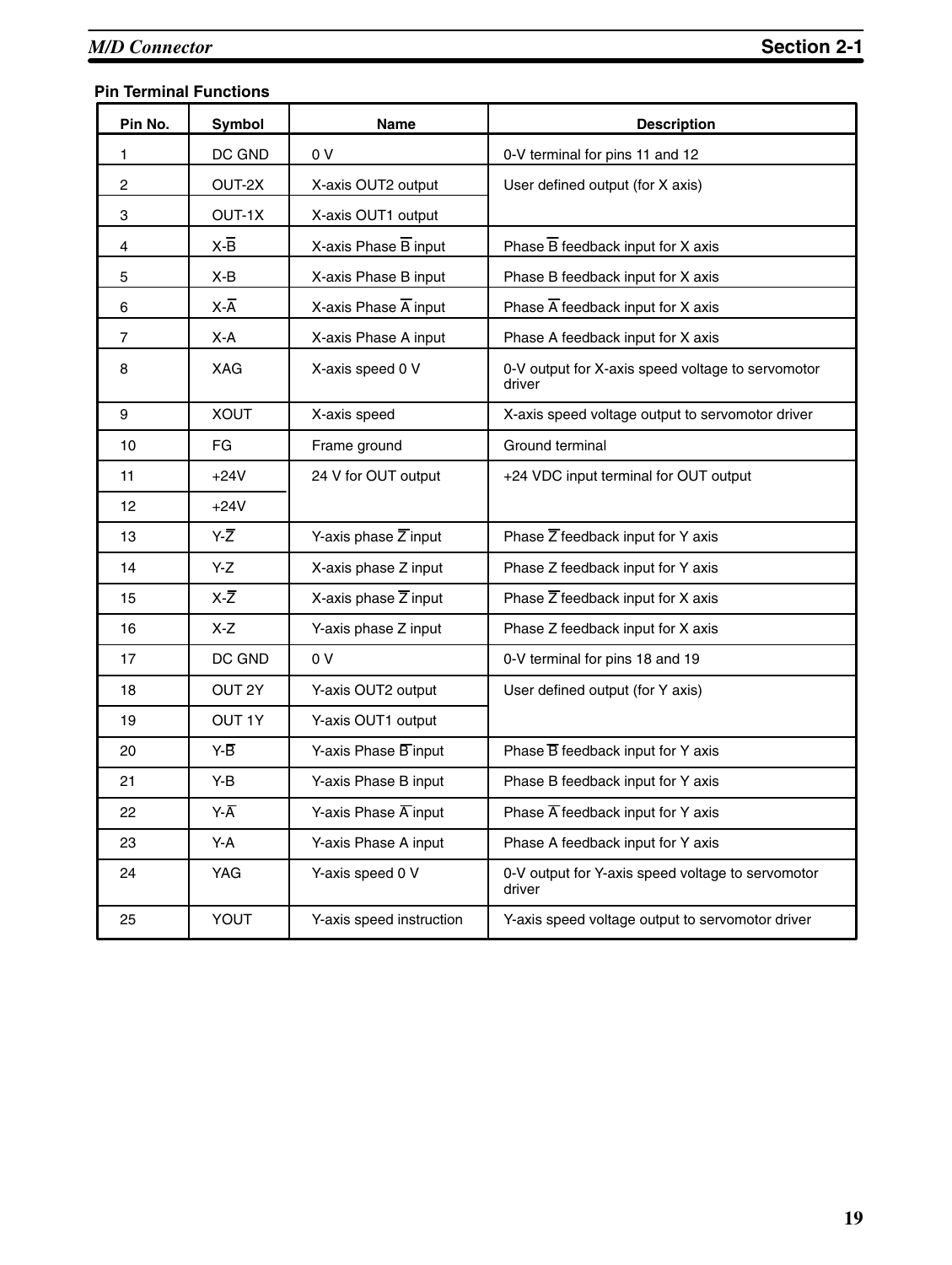#### **Pin Terminal Functions**

| Pin No. | Symbol            | Name                              | <b>Description</b>                                          |
|---------|-------------------|-----------------------------------|-------------------------------------------------------------|
| 1       | DC GND            | 0 V                               | 0-V terminal for pins 11 and 12                             |
| 2       | OUT-2X            | X-axis OUT2 output                | User defined output (for X axis)                            |
| 3       | OUT-1X            | X-axis OUT1 output                |                                                             |
| 4       | $X-\overline{B}$  | X-axis Phase $\overline{B}$ input | Phase $\overline{B}$ feedback input for X axis              |
| 5       | X-B               | X-axis Phase B input              | Phase B feedback input for X axis                           |
| 6       | $X-\overline{A}$  | X-axis Phase $\overline{A}$ input | Phase $\overline{A}$ feedback input for X axis              |
| 7       | X-A               | X-axis Phase A input              | Phase A feedback input for X axis                           |
| 8       | <b>XAG</b>        | X-axis speed 0 V                  | 0-V output for X-axis speed voltage to servomotor<br>driver |
| 9       | <b>XOUT</b>       | X-axis speed                      | X-axis speed voltage output to servomotor driver            |
| 10      | FG                | Frame ground                      | Ground terminal                                             |
| 11      | $+24V$            | 24 V for OUT output               | +24 VDC input terminal for OUT output                       |
| 12      | $+24V$            |                                   |                                                             |
| 13      | Y-Z               | Y-axis phase $\overline{Z}$ input | Phase $\overline{Z}$ feedback input for Y axis              |
| 14      | Y-Z               | X-axis phase Z input              | Phase Z feedback input for Y axis                           |
| 15      | $X-Z$             | X-axis phase $\overline{Z}$ input | Phase $\overline{Z}$ feedback input for X axis              |
| 16      | X-Z               | Y-axis phase Z input              | Phase Z feedback input for X axis                           |
| 17      | DC GND            | 0 V                               | 0-V terminal for pins 18 and 19                             |
| 18      | OUT <sub>2Y</sub> | Y-axis OUT2 output                | User defined output (for Y axis)                            |
| 19      | <b>OUT 1Y</b>     | Y-axis OUT1 output                |                                                             |
| 20      | Y-B               | Y-axis Phase B input              | Phase $\overline{B}$ feedback input for Y axis              |
| 21      | Y-B               | Y-axis Phase B input              | Phase B feedback input for Y axis                           |
| 22      | Y-Ā               | Y-axis Phase $\overline{A}$ input | Phase $\overline{A}$ feedback input for Y axis              |
| 23      | Y-A               | Y-axis Phase A input              | Phase A feedback input for Y axis                           |
| 24      | <b>YAG</b>        | Y-axis speed 0 V                  | 0-V output for Y-axis speed voltage to servomotor<br>driver |
| 25      | YOUT              | Y-axis speed instruction          | Y-axis speed voltage output to servomotor driver            |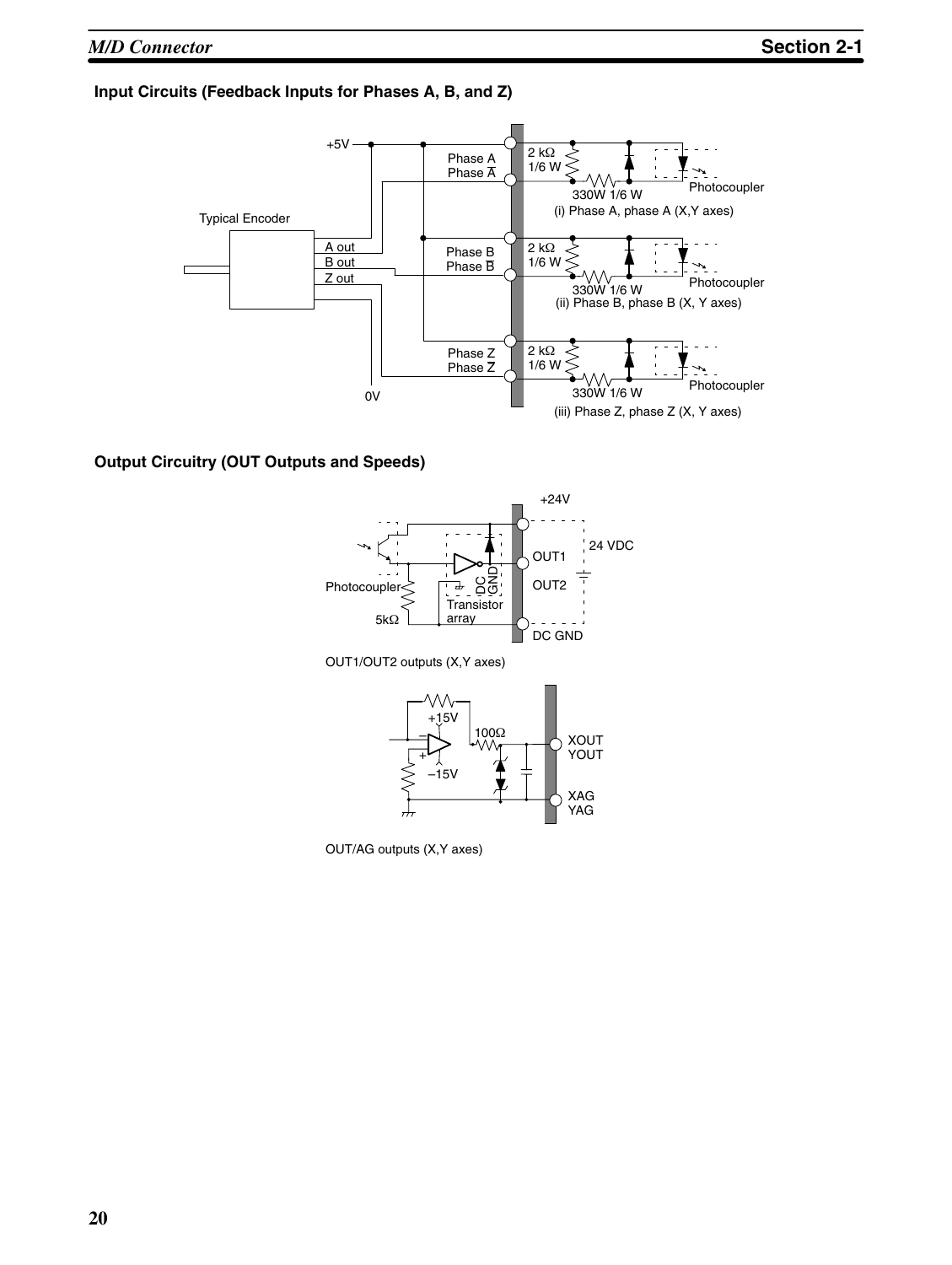#### **Input Circuits (Feedback Inputs for Phases A, B, and Z)**



#### **Output Circuitry (OUT Outputs and Speeds)**



OUT1/OUT2 outputs (X,Y axes)



OUT/AG outputs (X,Y axes)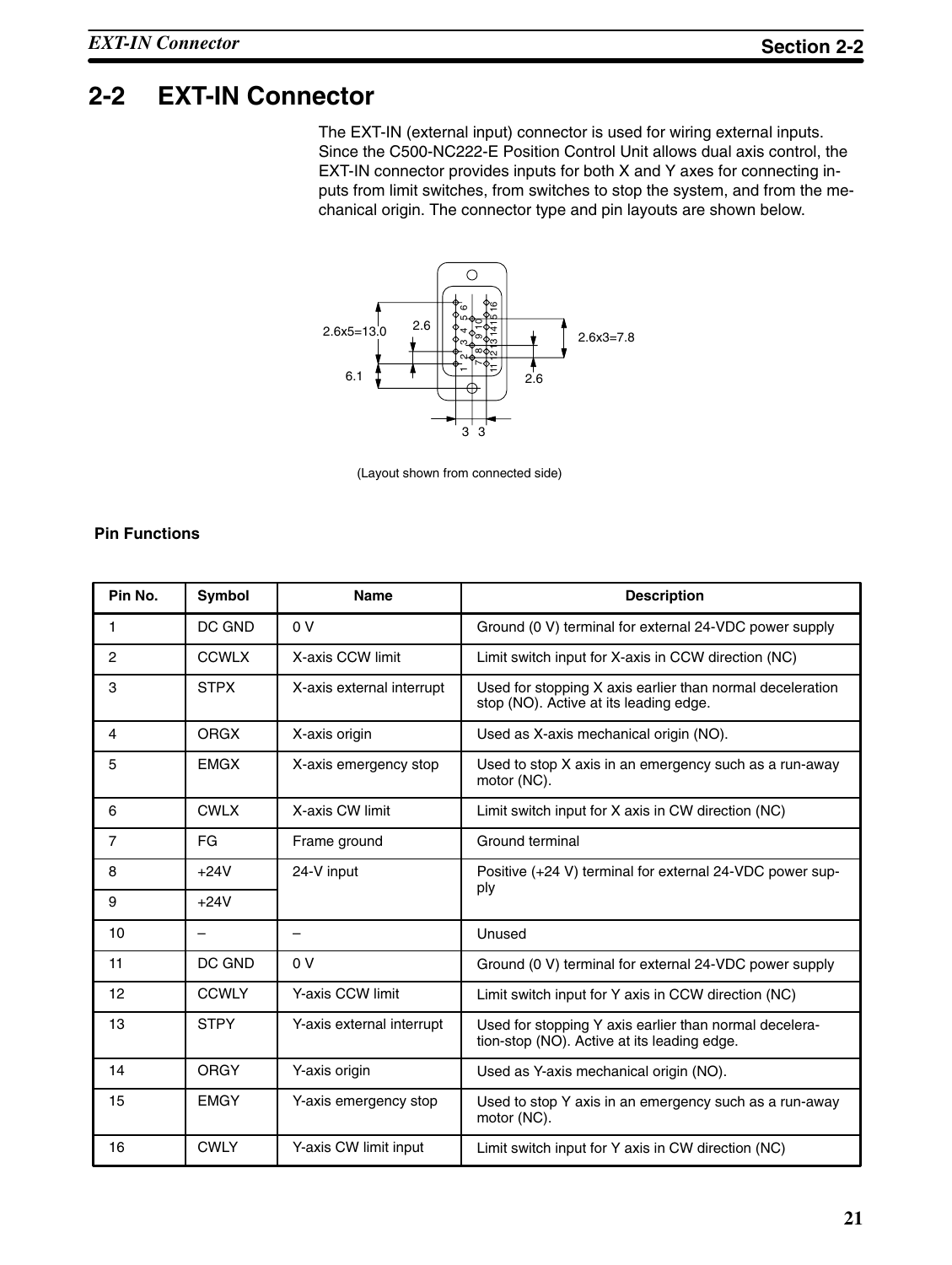## **2-2 EXT-IN Connector**

The EXT-IN (external input) connector is used for wiring external inputs. Since the C500-NC222-E Position Control Unit allows dual axis control, the EXT-IN connector provides inputs for both X and Y axes for connecting inputs from limit switches, from switches to stop the system, and from the mechanical origin. The connector type and pin layouts are shown below.



(Layout shown from connected side)

#### **Pin Functions**

| Pin No. | <b>Symbol</b> | <b>Name</b>               | <b>Description</b>                                                                                    |
|---------|---------------|---------------------------|-------------------------------------------------------------------------------------------------------|
| 1       | DC GND        | 0 <sup>V</sup>            | Ground (0 V) terminal for external 24-VDC power supply                                                |
| 2       | <b>CCWLX</b>  | X-axis CCW limit          | Limit switch input for X-axis in CCW direction (NC)                                                   |
| 3       | <b>STPX</b>   | X-axis external interrupt | Used for stopping X axis earlier than normal deceleration<br>stop (NO). Active at its leading edge.   |
| 4       | <b>ORGX</b>   | X-axis origin             | Used as X-axis mechanical origin (NO).                                                                |
| 5       | <b>EMGX</b>   | X-axis emergency stop     | Used to stop X axis in an emergency such as a run-away<br>motor (NC).                                 |
| 6       | <b>CWLX</b>   | X-axis CW limit           | Limit switch input for X axis in CW direction (NC)                                                    |
| 7       | FG            | Frame ground              | Ground terminal                                                                                       |
| 8       | $+24V$        | 24-V input                | Positive (+24 V) terminal for external 24-VDC power sup-                                              |
| 9       | $+24V$        |                           | ply                                                                                                   |
| 10      | —             |                           | Unused                                                                                                |
| 11      | DC GND        | 0 <sup>V</sup>            | Ground (0 V) terminal for external 24-VDC power supply                                                |
| 12      | <b>CCWLY</b>  | Y-axis CCW limit          | Limit switch input for Y axis in CCW direction (NC)                                                   |
| 13      | <b>STPY</b>   | Y-axis external interrupt | Used for stopping Y axis earlier than normal decelera-<br>tion-stop (NO). Active at its leading edge. |
| 14      | <b>ORGY</b>   | Y-axis origin             | Used as Y-axis mechanical origin (NO).                                                                |
| 15      | <b>EMGY</b>   | Y-axis emergency stop     | Used to stop Y axis in an emergency such as a run-away<br>motor (NC).                                 |
| 16      | <b>CWLY</b>   | Y-axis CW limit input     | Limit switch input for Y axis in CW direction (NC)                                                    |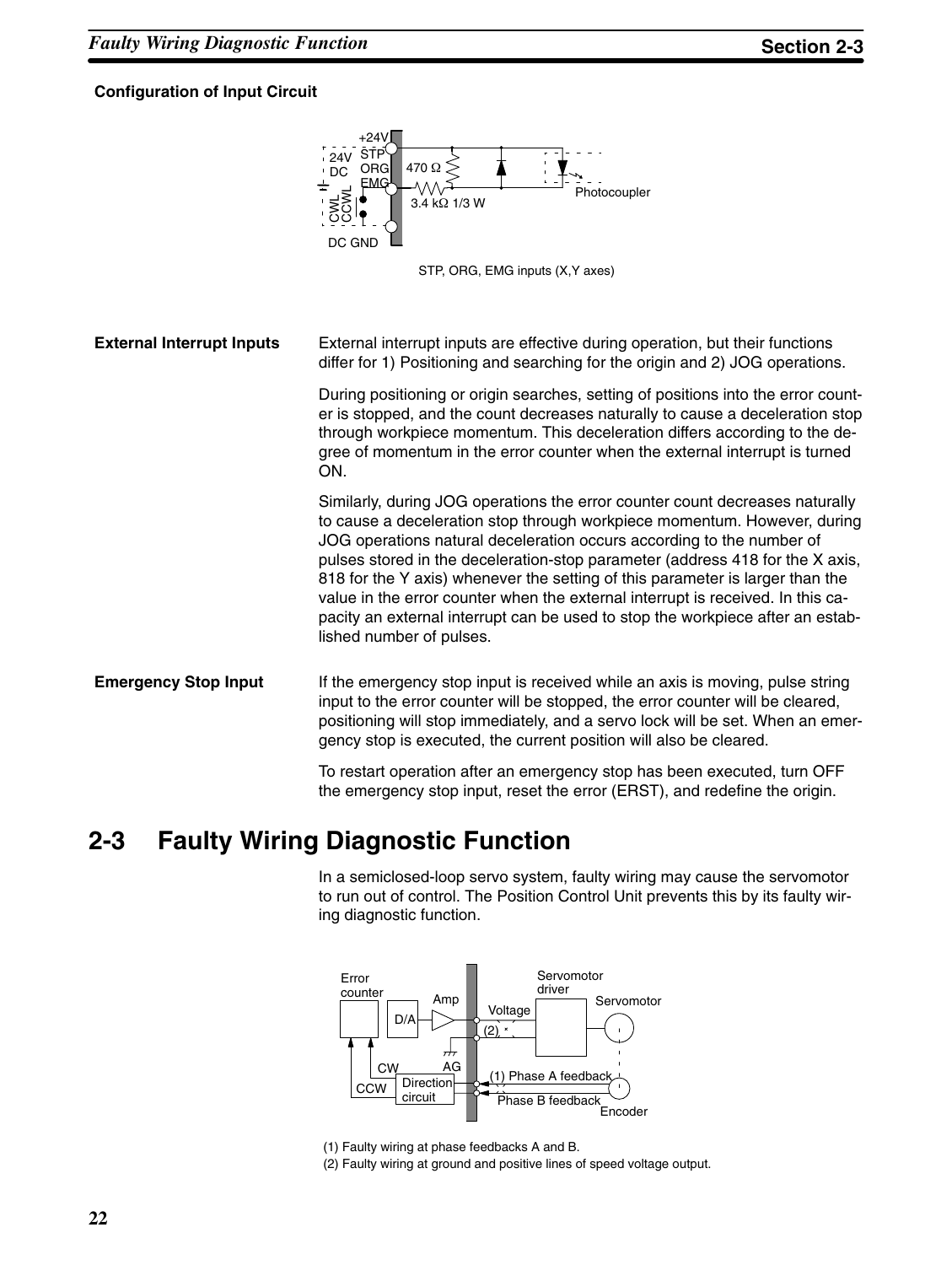#### **Configuration of Input Circuit**





**External Interrupt Inputs** External interrupt inputs are effective during operation, but their functions differ for 1) Positioning and searching for the origin and 2) JOG operations. During positioning or origin searches, setting of positions into the error counter is stopped, and the count decreases naturally to cause a deceleration stop through workpiece momentum. This deceleration differs according to the degree of momentum in the error counter when the external interrupt is turned ON. Similarly, during JOG operations the error counter count decreases naturally to cause a deceleration stop through workpiece momentum. However, during JOG operations natural deceleration occurs according to the number of pulses stored in the deceleration-stop parameter (address 418 for the X axis, 818 for the Y axis) whenever the setting of this parameter is larger than the value in the error counter when the external interrupt is received. In this capacity an external interrupt can be used to stop the workpiece after an established number of pulses. **Emergency Stop Input** If the emergency stop input is received while an axis is moving, pulse string input to the error counter will be stopped, the error counter will be cleared, positioning will stop immediately, and a servo lock will be set. When an emergency stop is executed, the current position will also be cleared. To restart operation after an emergency stop has been executed, turn OFF the emergency stop input, reset the error (ERST), and redefine the origin.

### **2-3 Faulty Wiring Diagnostic Function**

In a semiclosed-loop servo system, faulty wiring may cause the servomotor to run out of control. The Position Control Unit prevents this by its faulty wiring diagnostic function.



(1) Faulty wiring at phase feedbacks A and B. (2) Faulty wiring at ground and positive lines of speed voltage output.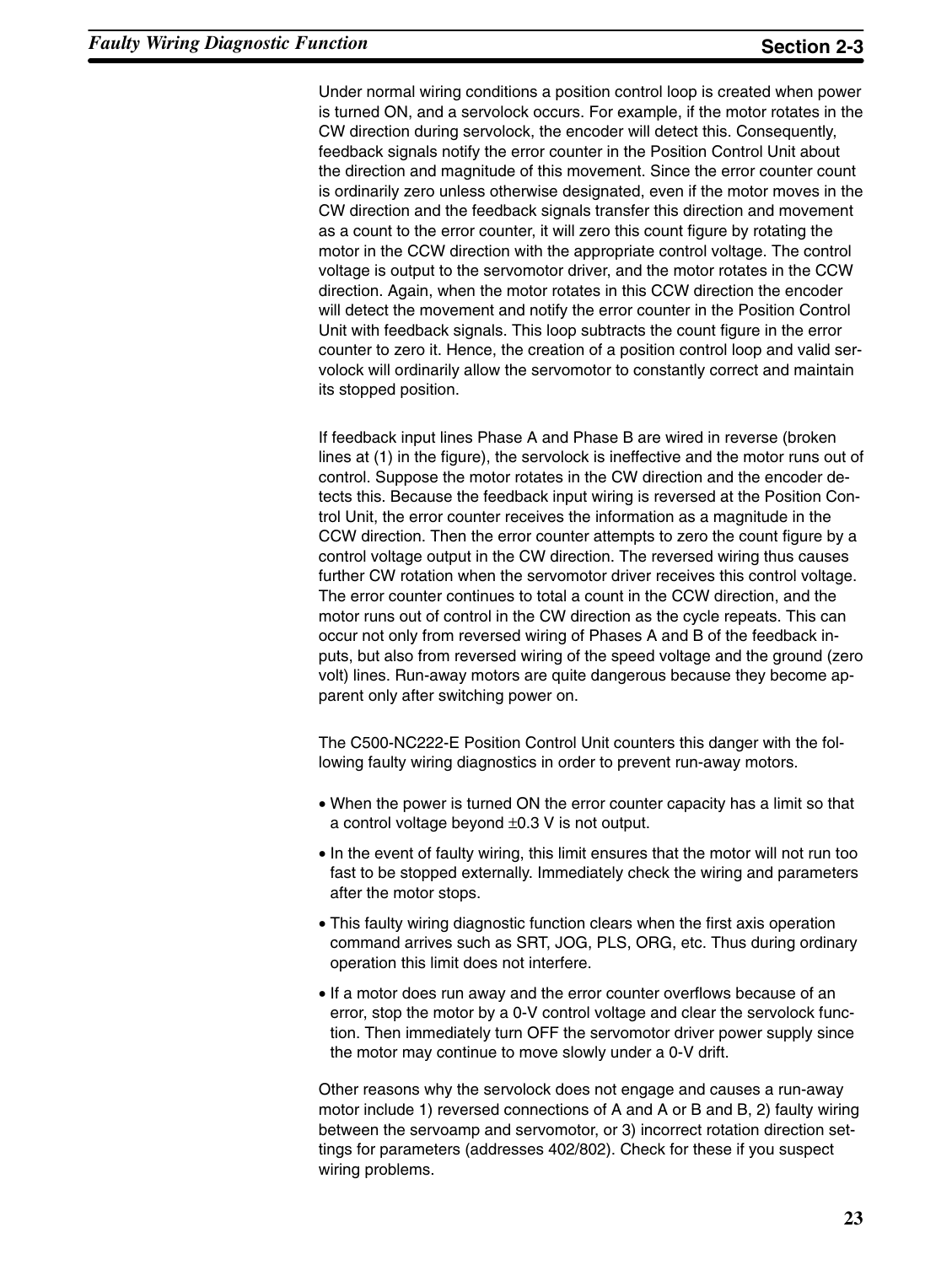Under normal wiring conditions a position control loop is created when power is turned ON, and a servolock occurs. For example, if the motor rotates in the CW direction during servolock, the encoder will detect this. Consequently, feedback signals notify the error counter in the Position Control Unit about the direction and magnitude of this movement. Since the error counter count is ordinarily zero unless otherwise designated, even if the motor moves in the CW direction and the feedback signals transfer this direction and movement as a count to the error counter, it will zero this count figure by rotating the motor in the CCW direction with the appropriate control voltage. The control voltage is output to the servomotor driver, and the motor rotates in the CCW direction. Again, when the motor rotates in this CCW direction the encoder will detect the movement and notify the error counter in the Position Control Unit with feedback signals. This loop subtracts the count figure in the error counter to zero it. Hence, the creation of a position control loop and valid servolock will ordinarily allow the servomotor to constantly correct and maintain its stopped position.

If feedback input lines Phase A and Phase B are wired in reverse (broken lines at (1) in the figure), the servolock is ineffective and the motor runs out of control. Suppose the motor rotates in the CW direction and the encoder detects this. Because the feedback input wiring is reversed at the Position Control Unit, the error counter receives the information as a magnitude in the CCW direction. Then the error counter attempts to zero the count figure by a control voltage output in the CW direction. The reversed wiring thus causes further CW rotation when the servomotor driver receives this control voltage. The error counter continues to total a count in the CCW direction, and the motor runs out of control in the CW direction as the cycle repeats. This can occur not only from reversed wiring of Phases A and B of the feedback inputs, but also from reversed wiring of the speed voltage and the ground (zero volt) lines. Run-away motors are quite dangerous because they become apparent only after switching power on.

The C500-NC222-E Position Control Unit counters this danger with the following faulty wiring diagnostics in order to prevent run-away motors.

- When the power is turned ON the error counter capacity has a limit so that a control voltage beyond ±0.3 V is not output.
- In the event of faulty wiring, this limit ensures that the motor will not run too fast to be stopped externally. Immediately check the wiring and parameters after the motor stops.
- This faulty wiring diagnostic function clears when the first axis operation command arrives such as SRT, JOG, PLS, ORG, etc. Thus during ordinary operation this limit does not interfere.
- If a motor does run away and the error counter overflows because of an error, stop the motor by a 0-V control voltage and clear the servolock function. Then immediately turn OFF the servomotor driver power supply since the motor may continue to move slowly under a 0-V drift.

Other reasons why the servolock does not engage and causes a run-away motor include 1) reversed connections of A and A or B and B, 2) faulty wiring between the servoamp and servomotor, or 3) incorrect rotation direction settings for parameters (addresses 402/802). Check for these if you suspect wiring problems.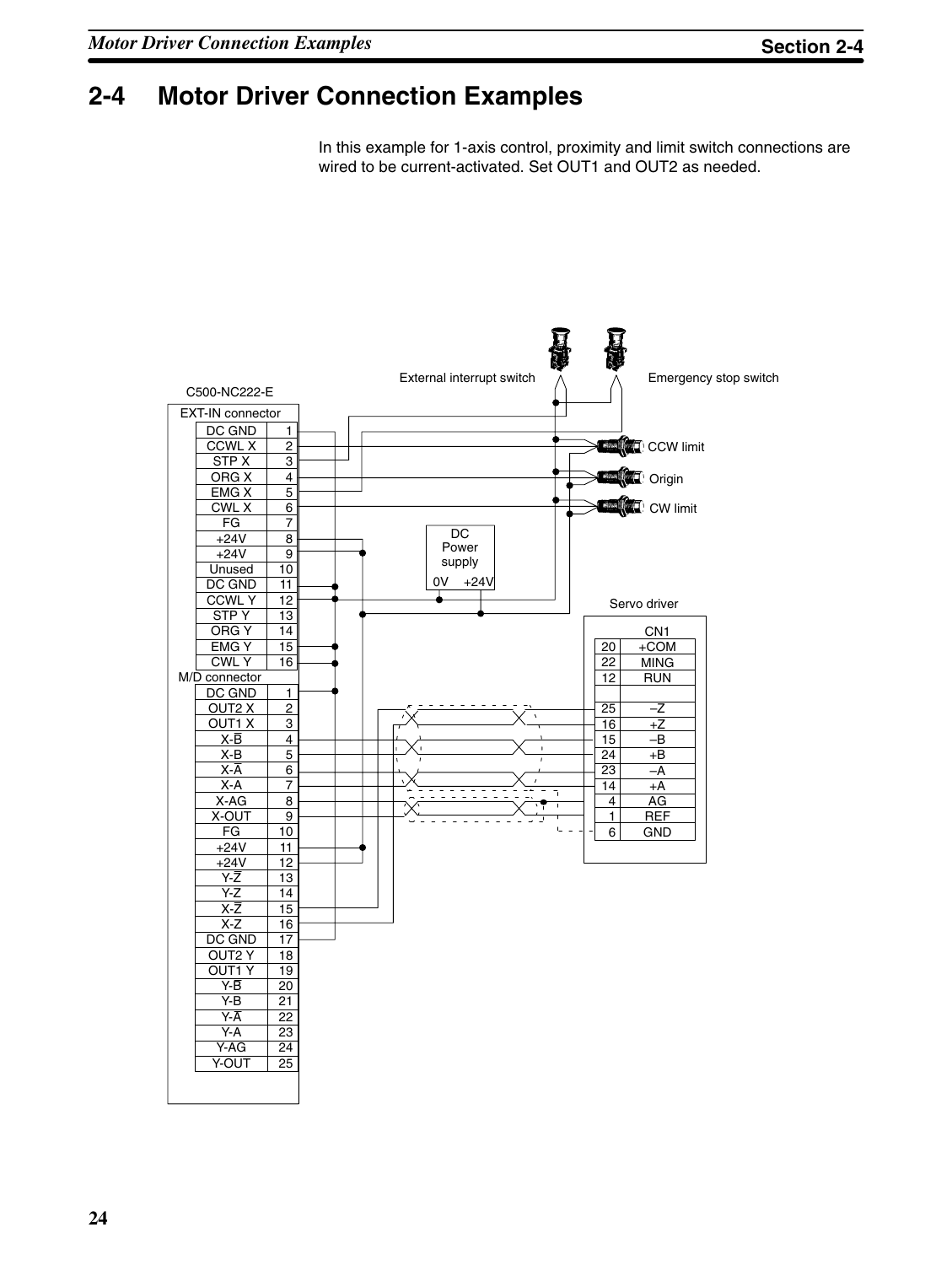## **2-4 Motor Driver Connection Examples**

In this example for 1-axis control, proximity and limit switch connections are wired to be current-activated. Set OUT1 and OUT2 as needed.

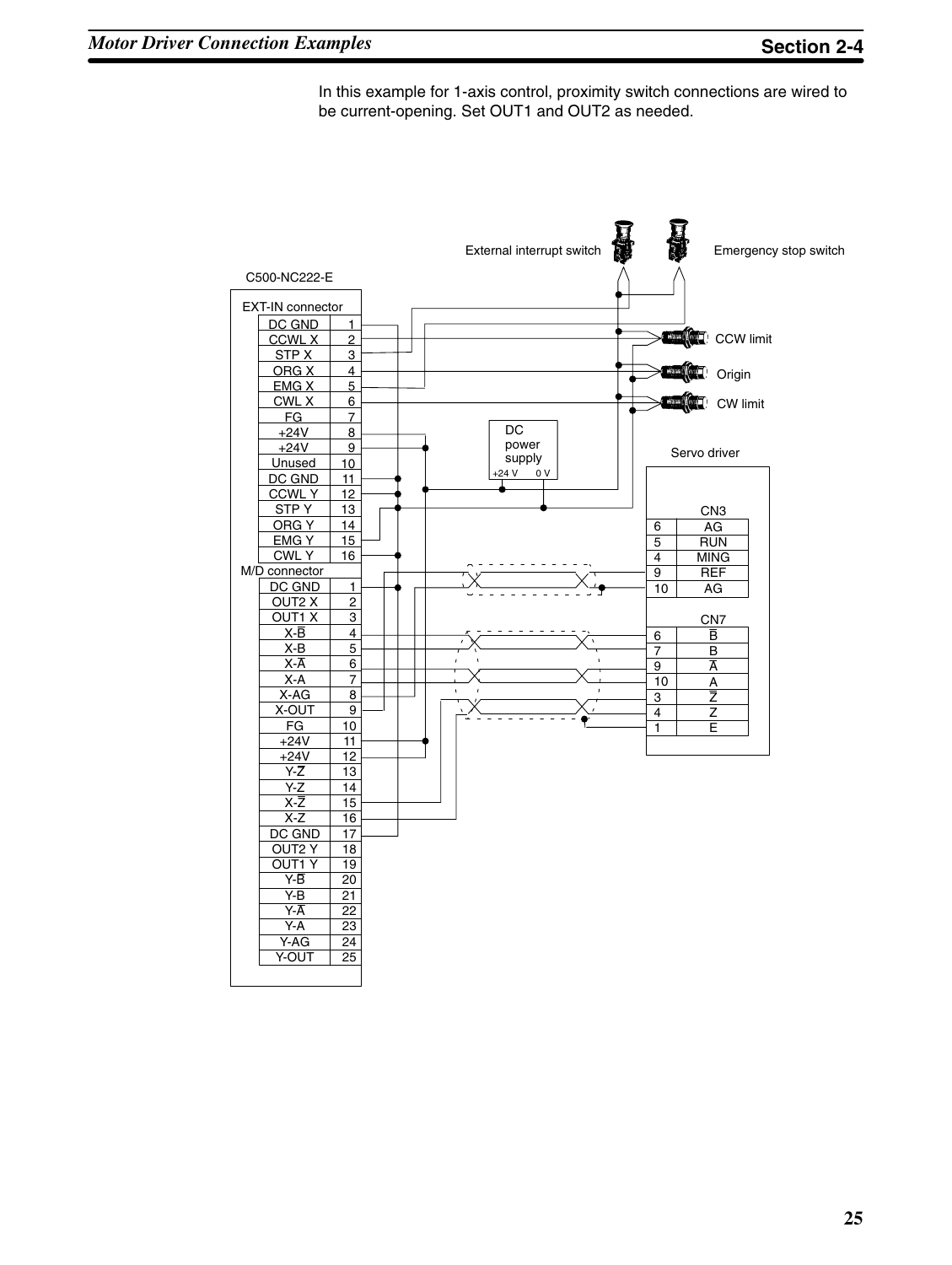In this example for 1-axis control, proximity switch connections are wired to be current-opening. Set OUT1 and OUT2 as needed.

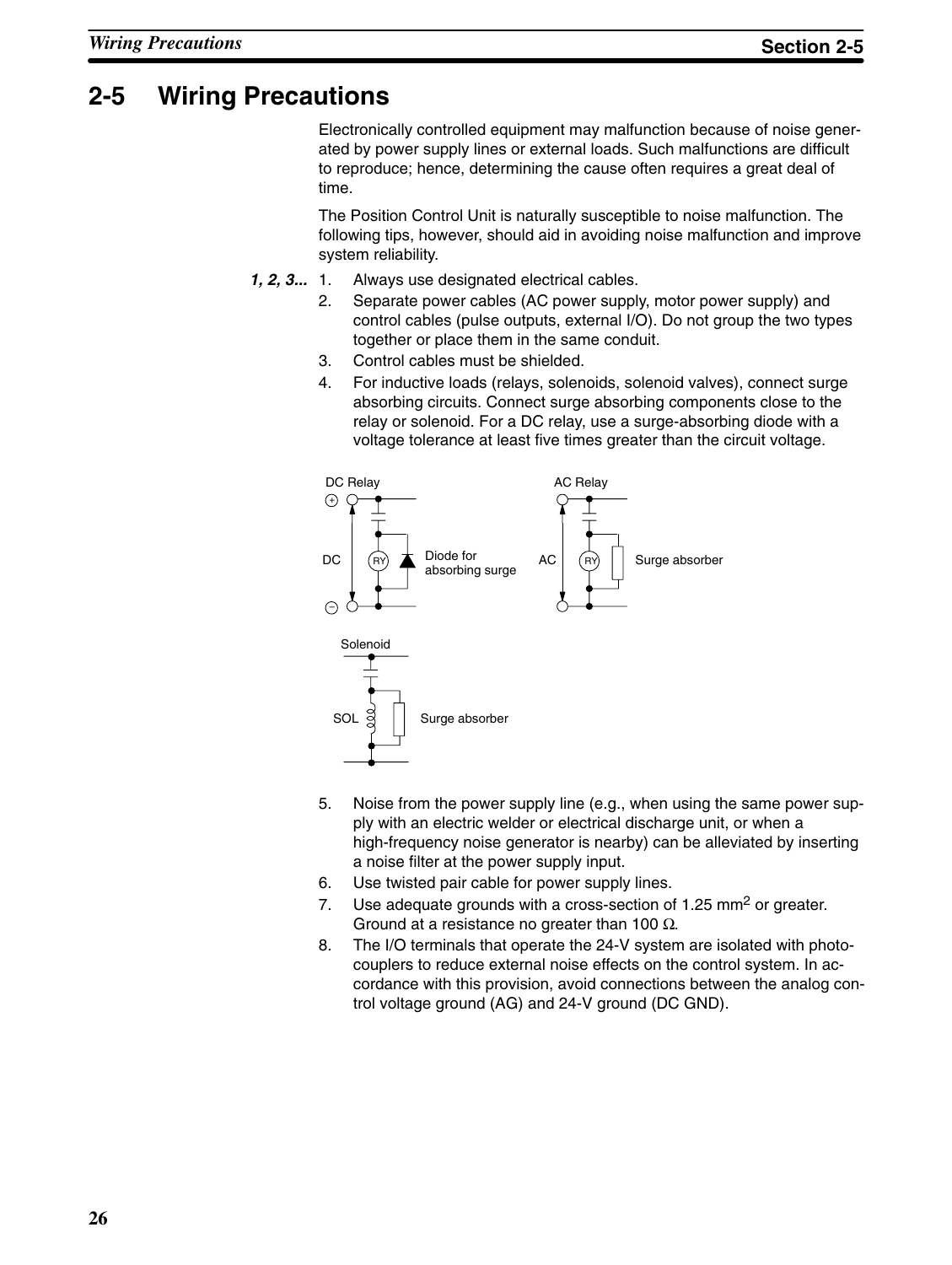## **2-5 Wiring Precautions**

Electronically controlled equipment may malfunction because of noise generated by power supply lines or external loads. Such malfunctions are difficult to reproduce; hence, determining the cause often requires a great deal of time.

The Position Control Unit is naturally susceptible to noise malfunction. The following tips, however, should aid in avoiding noise malfunction and improve system reliability.

- Always use designated electrical cables. *1, 2, 3...*
	- 2. Separate power cables (AC power supply, motor power supply) and control cables (pulse outputs, external I/O). Do not group the two types together or place them in the same conduit.
	- 3. Control cables must be shielded.
	- 4. For inductive loads (relays, solenoids, solenoid valves), connect surge absorbing circuits. Connect surge absorbing components close to the relay or solenoid. For a DC relay, use a surge-absorbing diode with a voltage tolerance at least five times greater than the circuit voltage.



- 5. Noise from the power supply line (e.g., when using the same power supply with an electric welder or electrical discharge unit, or when a high-frequency noise generator is nearby) can be alleviated by inserting a noise filter at the power supply input.
- 6. Use twisted pair cable for power supply lines.
- 7. Use adequate grounds with a cross-section of 1.25 mm<sup>2</sup> or greater. Ground at a resistance no greater than 100  $\Omega$ .
- 8. The I/O terminals that operate the 24-V system are isolated with photocouplers to reduce external noise effects on the control system. In accordance with this provision, avoid connections between the analog control voltage ground (AG) and 24-V ground (DC GND).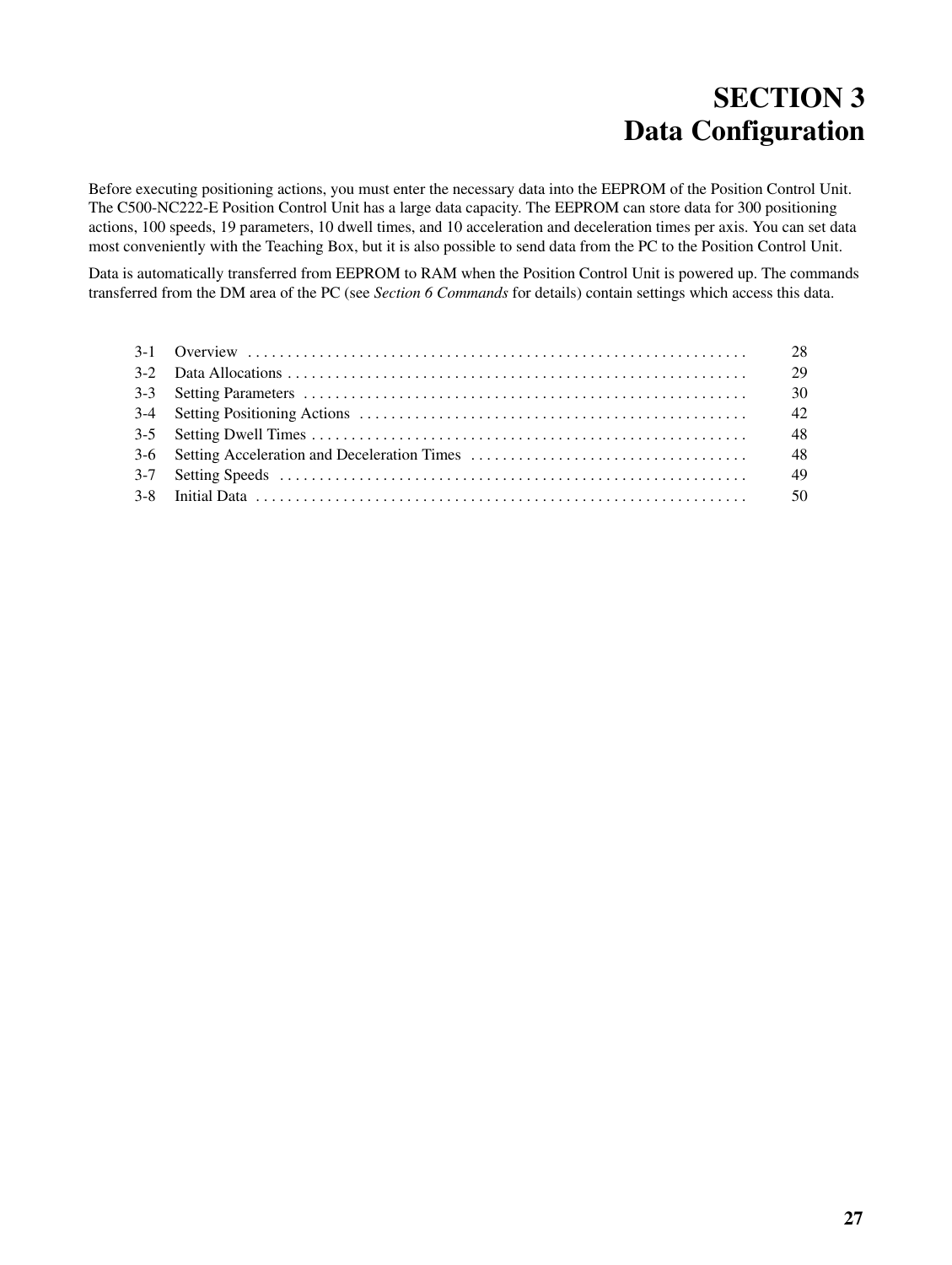## **SECTION 3 Data Configuration**

Before executing positioning actions, you must enter the necessary data into the EEPROM of the Position Control Unit. The C500-NC222-E Position Control Unit has a large data capacity. The EEPROM can store data for 300 positioning actions, 100 speeds, 19 parameters, 10 dwell times, and 10 acceleration and deceleration times per axis. You can set data most conveniently with the Teaching Box, but it is also possible to send data from the PC to the Position Control Unit.

Data is automatically transferred from EEPROM to RAM when the Position Control Unit is powered up. The commands transferred from the DM area of the PC (see *Section 6 Commands* for details) contain settings which access this data.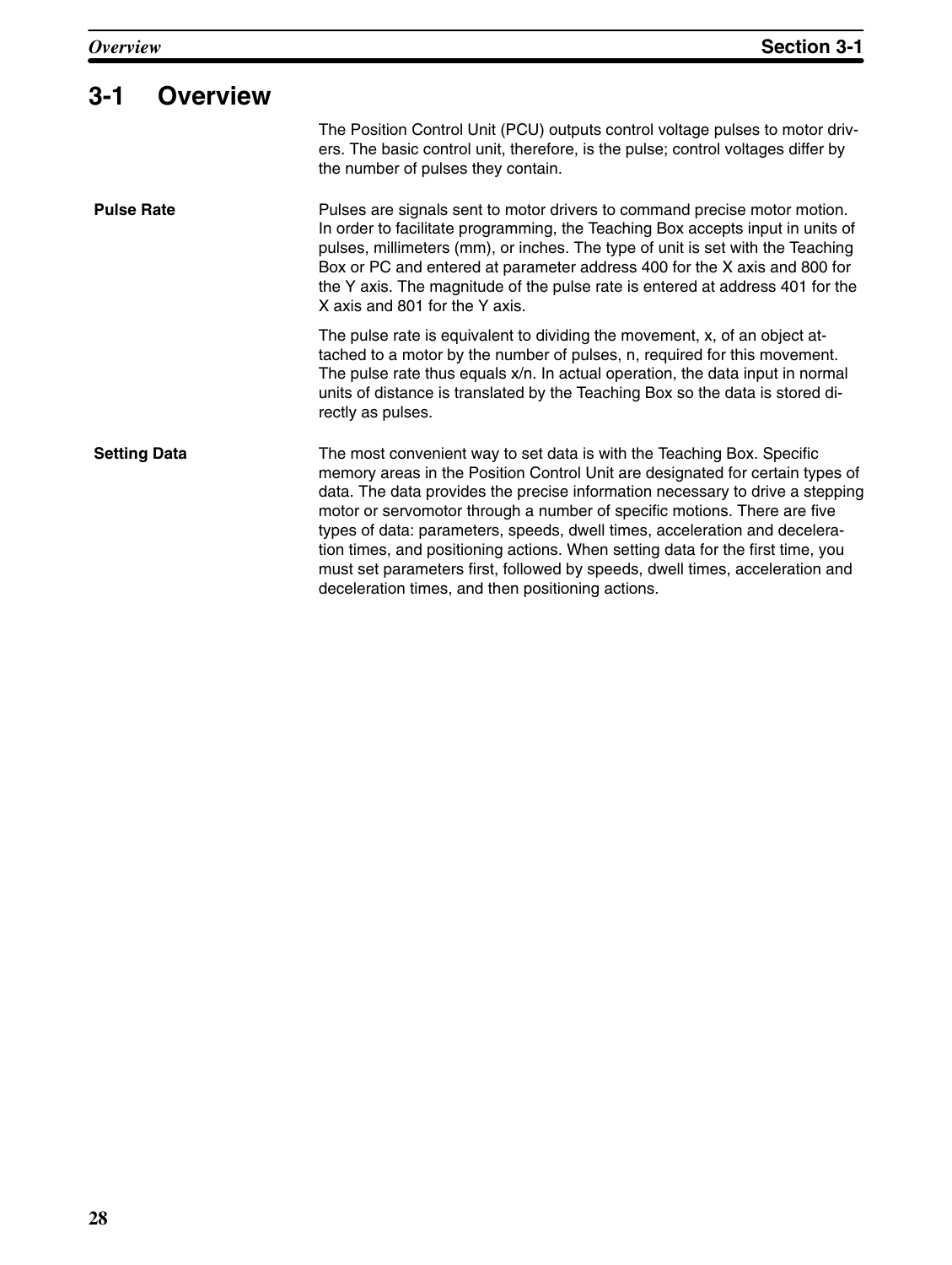| $3 - 1$<br><b>Overview</b> |                                                                                                                                                                                                                                                                                                                                                                                                                                                                                                                                                                                                                           |  |
|----------------------------|---------------------------------------------------------------------------------------------------------------------------------------------------------------------------------------------------------------------------------------------------------------------------------------------------------------------------------------------------------------------------------------------------------------------------------------------------------------------------------------------------------------------------------------------------------------------------------------------------------------------------|--|
|                            | The Position Control Unit (PCU) outputs control voltage pulses to motor driv-<br>ers. The basic control unit, therefore, is the pulse; control voltages differ by<br>the number of pulses they contain.                                                                                                                                                                                                                                                                                                                                                                                                                   |  |
| <b>Pulse Rate</b>          | Pulses are signals sent to motor drivers to command precise motor motion.<br>In order to facilitate programming, the Teaching Box accepts input in units of<br>pulses, millimeters (mm), or inches. The type of unit is set with the Teaching<br>Box or PC and entered at parameter address 400 for the X axis and 800 for<br>the Y axis. The magnitude of the pulse rate is entered at address 401 for the<br>X axis and 801 for the Y axis.                                                                                                                                                                             |  |
|                            | The pulse rate is equivalent to dividing the movement, x, of an object at-<br>tached to a motor by the number of pulses, n, required for this movement.<br>The pulse rate thus equals x/n. In actual operation, the data input in normal<br>units of distance is translated by the Teaching Box so the data is stored di-<br>rectly as pulses.                                                                                                                                                                                                                                                                            |  |
| <b>Setting Data</b>        | The most convenient way to set data is with the Teaching Box. Specific<br>memory areas in the Position Control Unit are designated for certain types of<br>data. The data provides the precise information necessary to drive a stepping<br>motor or servomotor through a number of specific motions. There are five<br>types of data: parameters, speeds, dwell times, acceleration and decelera-<br>tion times, and positioning actions. When setting data for the first time, you<br>must set parameters first, followed by speeds, dwell times, acceleration and<br>deceleration times, and then positioning actions. |  |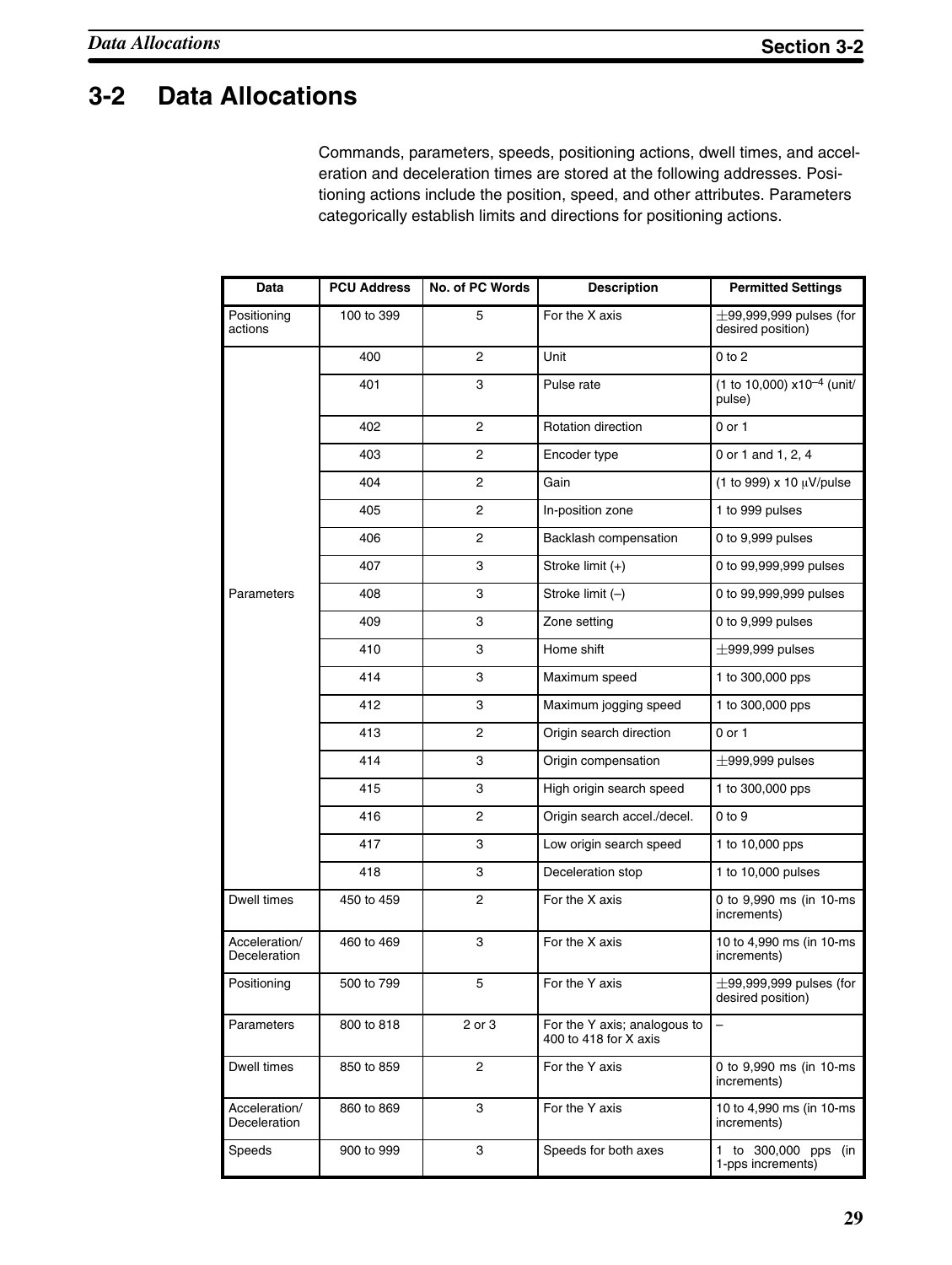# **3-2 Data Allocations**

Commands, parameters, speeds, positioning actions, dwell times, and acceleration and deceleration times are stored at the following addresses. Positioning actions include the position, speed, and other attributes. Parameters categorically establish limits and directions for positioning actions.

| Data                          | <b>PCU Address</b> | No. of PC Words | <b>Description</b>                                    | <b>Permitted Settings</b>                         |
|-------------------------------|--------------------|-----------------|-------------------------------------------------------|---------------------------------------------------|
| Positioning<br>actions        | 100 to 399         | 5               | For the X axis                                        | $\pm$ 99,999,999 pulses (for<br>desired position) |
|                               | 400                | 2               | Unit                                                  | $0$ to $2$                                        |
|                               | 401                | 3               | Pulse rate                                            | (1 to 10,000) $x10^{-4}$ (unit/<br>pulse)         |
|                               | 402                | 2               | <b>Rotation direction</b>                             | $0$ or $1$                                        |
|                               | 403                | 2               | Encoder type                                          | 0 or 1 and 1, 2, 4                                |
|                               | 404                | 2               | Gain                                                  | (1 to 999) x 10 μV/pulse                          |
|                               | 405                | 2               | In-position zone                                      | 1 to 999 pulses                                   |
|                               | 406                | 2               | Backlash compensation                                 | 0 to 9,999 pulses                                 |
|                               | 407                | 3               | Stroke limit (+)                                      | 0 to 99,999,999 pulses                            |
| Parameters                    | 408                | 3               | Stroke limit (-)                                      | 0 to 99,999,999 pulses                            |
|                               | 409                | 3               | Zone setting                                          | 0 to 9,999 pulses                                 |
|                               | 410                | 3               | Home shift                                            | $\pm$ 999,999 pulses                              |
|                               | 414                | 3               | Maximum speed                                         | 1 to 300,000 pps                                  |
|                               | 412                | 3               | Maximum jogging speed                                 | 1 to 300,000 pps                                  |
|                               | 413                | 2               | Origin search direction                               | 0 or 1                                            |
|                               | 414                | 3               | Origin compensation                                   | $\pm$ 999,999 pulses                              |
|                               | 415                | 3               | High origin search speed                              | 1 to 300,000 pps                                  |
|                               | 416                | 2               | Origin search accel./decel.                           | $0$ to $9$                                        |
|                               | 417                | 3               | Low origin search speed                               | 1 to 10,000 pps                                   |
|                               | 418                | 3               | Deceleration stop                                     | 1 to 10,000 pulses                                |
| Dwell times                   | 450 to 459         | 2               | For the X axis                                        | 0 to 9,990 ms (in 10-ms<br>increments)            |
| Acceleration/<br>Deceleration | 460 to 469         | 3               | For the X axis                                        | 10 to 4,990 ms (in 10-ms)<br>increments)          |
| Positioning                   | 500 to 799         | 5               | For the Y axis                                        | $\pm$ 99,999,999 pulses (for<br>desired position) |
| Parameters                    | 800 to 818         | 2 or 3          | For the Y axis; analogous to<br>400 to 418 for X axis |                                                   |
| Dwell times                   | 850 to 859         | 2               | For the Y axis                                        | 0 to 9,990 ms (in 10-ms<br>increments)            |
| Acceleration/<br>Deceleration | 860 to 869         | 3               | For the Y axis                                        | 10 to 4,990 ms (in 10-ms<br>increments)           |
| Speeds                        | 900 to 999         | 3               | Speeds for both axes                                  | 1 to 300,000 pps (in<br>1-pps increments)         |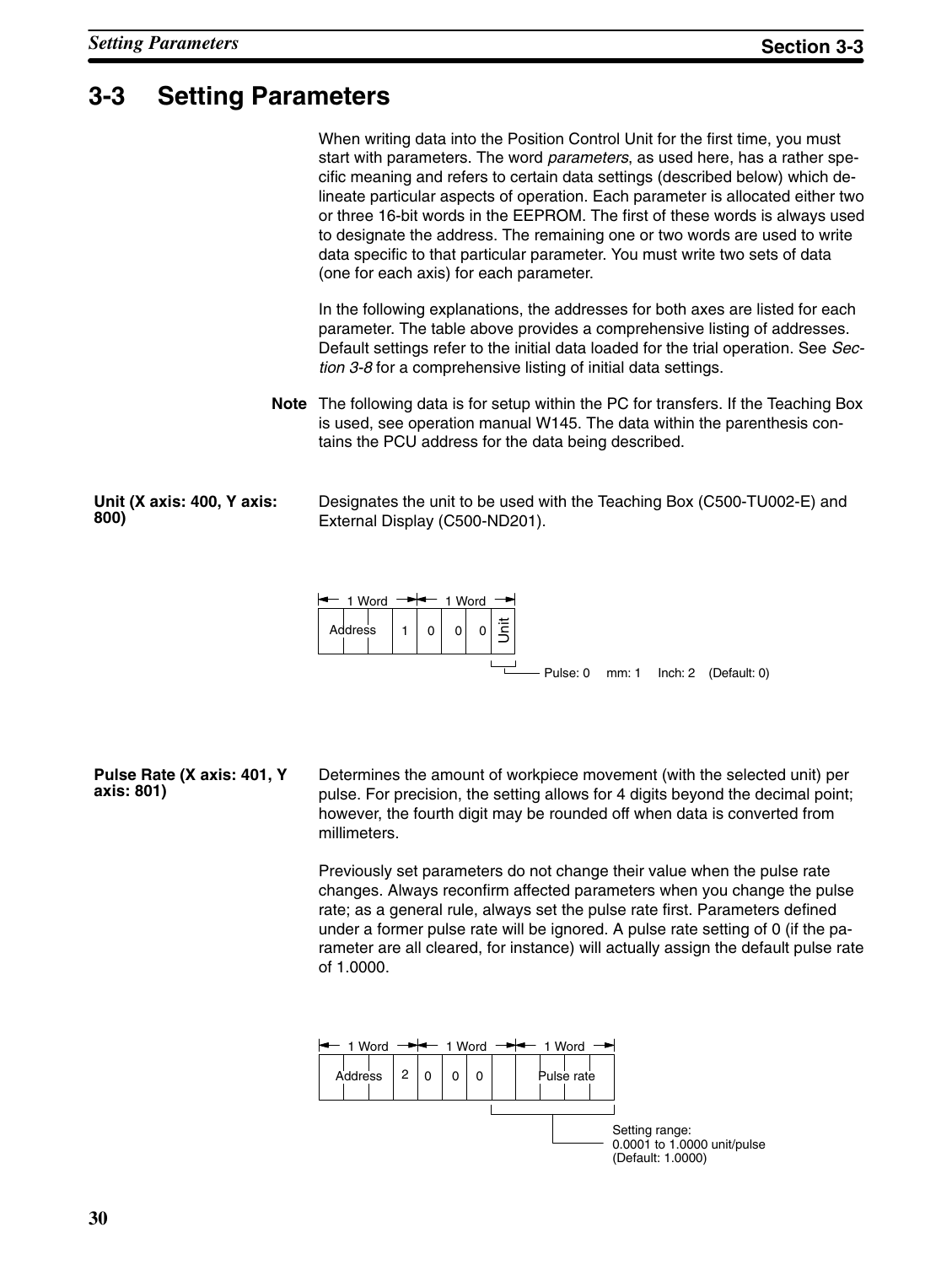# **3-3 Setting Parameters**

|                                    | When writing data into the Position Control Unit for the first time, you must<br>start with parameters. The word <i>parameters</i> , as used here, has a rather spe-<br>cific meaning and refers to certain data settings (described below) which de-<br>lineate particular aspects of operation. Each parameter is allocated either two<br>or three 16-bit words in the EEPROM. The first of these words is always used<br>to designate the address. The remaining one or two words are used to write<br>data specific to that particular parameter. You must write two sets of data<br>(one for each axis) for each parameter. |
|------------------------------------|----------------------------------------------------------------------------------------------------------------------------------------------------------------------------------------------------------------------------------------------------------------------------------------------------------------------------------------------------------------------------------------------------------------------------------------------------------------------------------------------------------------------------------------------------------------------------------------------------------------------------------|
|                                    | In the following explanations, the addresses for both axes are listed for each<br>parameter. The table above provides a comprehensive listing of addresses.<br>Default settings refer to the initial data loaded for the trial operation. See Sec-<br>tion 3-8 for a comprehensive listing of initial data settings.                                                                                                                                                                                                                                                                                                             |
|                                    | Note The following data is for setup within the PC for transfers. If the Teaching Box<br>is used, see operation manual W145. The data within the parenthesis con-<br>tains the PCU address for the data being described.                                                                                                                                                                                                                                                                                                                                                                                                         |
| Unit (X axis: 400, Y axis:<br>800) | Designates the unit to be used with the Teaching Box (C500-TU002-E) and<br>External Display (C500-ND201).                                                                                                                                                                                                                                                                                                                                                                                                                                                                                                                        |
|                                    | $\leftarrow$ 1 Word $\rightarrow$ 1 Word $\rightarrow$                                                                                                                                                                                                                                                                                                                                                                                                                                                                                                                                                                           |



**Pulse Rate (X axis: 401, Y axis: 801)**

Determines the amount of workpiece movement (with the selected unit) per pulse. For precision, the setting allows for 4 digits beyond the decimal point; however, the fourth digit may be rounded off when data is converted from millimeters.

Previously set parameters do not change their value when the pulse rate changes. Always reconfirm affected parameters when you change the pulse rate; as a general rule, always set the pulse rate first. Parameters defined under a former pulse rate will be ignored. A pulse rate setting of 0 (if the parameter are all cleared, for instance) will actually assign the default pulse rate of 1.0000.

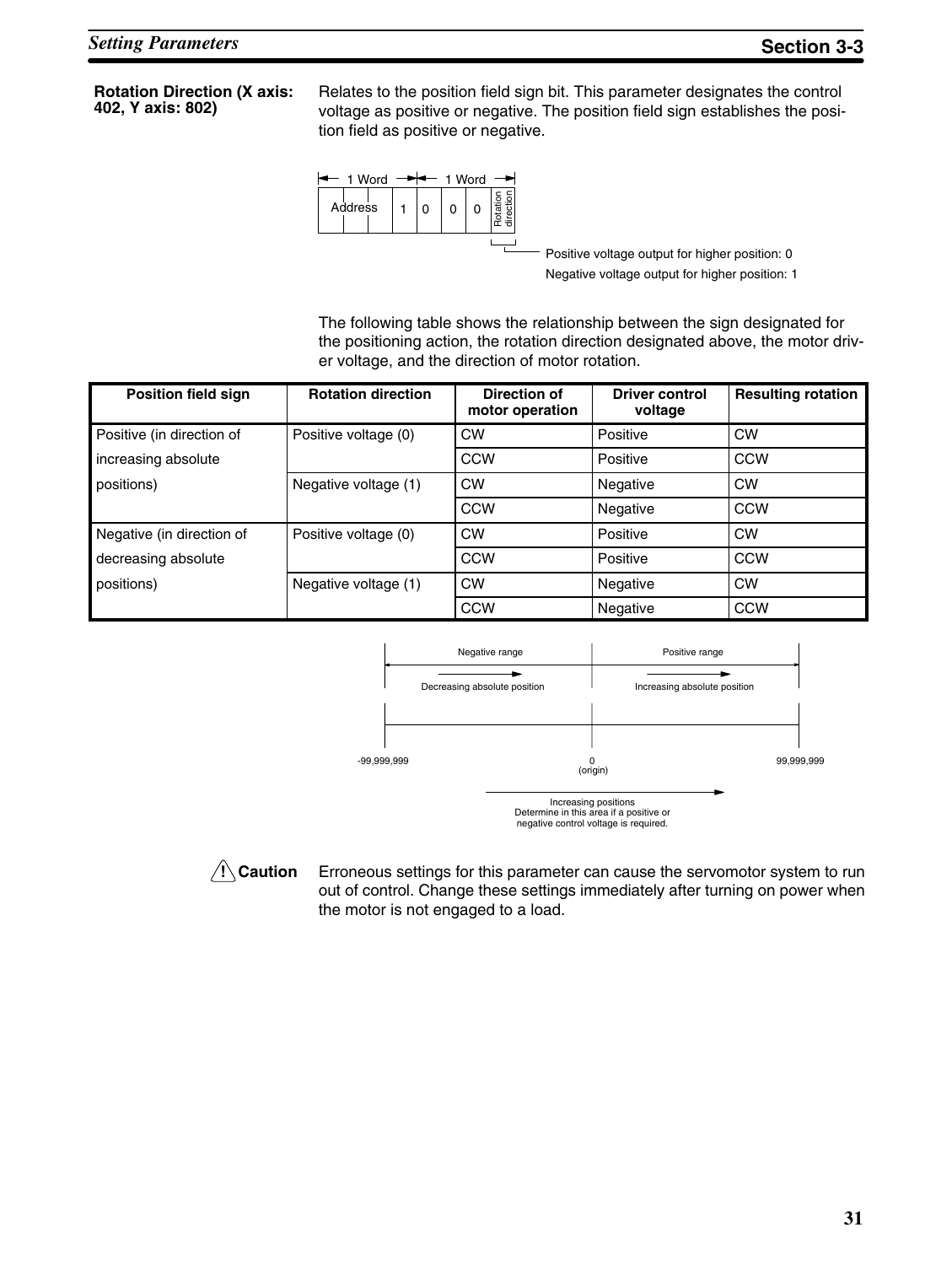**Rotation Direction (X axis: 402, Y axis: 802)**

Relates to the position field sign bit. This parameter designates the control voltage as positive or negative. The position field sign establishes the position field as positive or negative.



Positive voltage output for higher position: 0 Negative voltage output for higher position: 1

The following table shows the relationship between the sign designated for the positioning action, the rotation direction designated above, the motor driver voltage, and the direction of motor rotation.

| <b>Position field sign</b> | <b>Rotation direction</b> | <b>Direction of</b><br>motor operation | <b>Driver control</b><br>voltage | <b>Resulting rotation</b> |
|----------------------------|---------------------------|----------------------------------------|----------------------------------|---------------------------|
| Positive (in direction of  | Positive voltage (0)      | <b>CW</b>                              | Positive                         | <b>CW</b>                 |
| increasing absolute        |                           | CCW                                    | Positive                         | <b>CCW</b>                |
| positions)                 | Negative voltage (1)      | <b>CW</b>                              | Negative                         | <b>CW</b>                 |
|                            |                           | <b>CCW</b>                             | Negative                         | <b>CCW</b>                |
| Negative (in direction of  | Positive voltage (0)      | <b>CW</b>                              | Positive                         | <b>CW</b>                 |
| decreasing absolute        |                           | <b>CCW</b>                             | Positive                         | <b>CCW</b>                |
| positions)                 | Negative voltage (1)      | <b>CW</b>                              | Negative                         | <b>CW</b>                 |
|                            |                           | <b>CCW</b>                             | Negative                         | <b>CCW</b>                |



Increasing positions Determine in this area if a positive or negative control voltage is required.

## **/↑ Caution**

Erroneous settings for this parameter can cause the servomotor system to run out of control. Change these settings immediately after turning on power when the motor is not engaged to a load.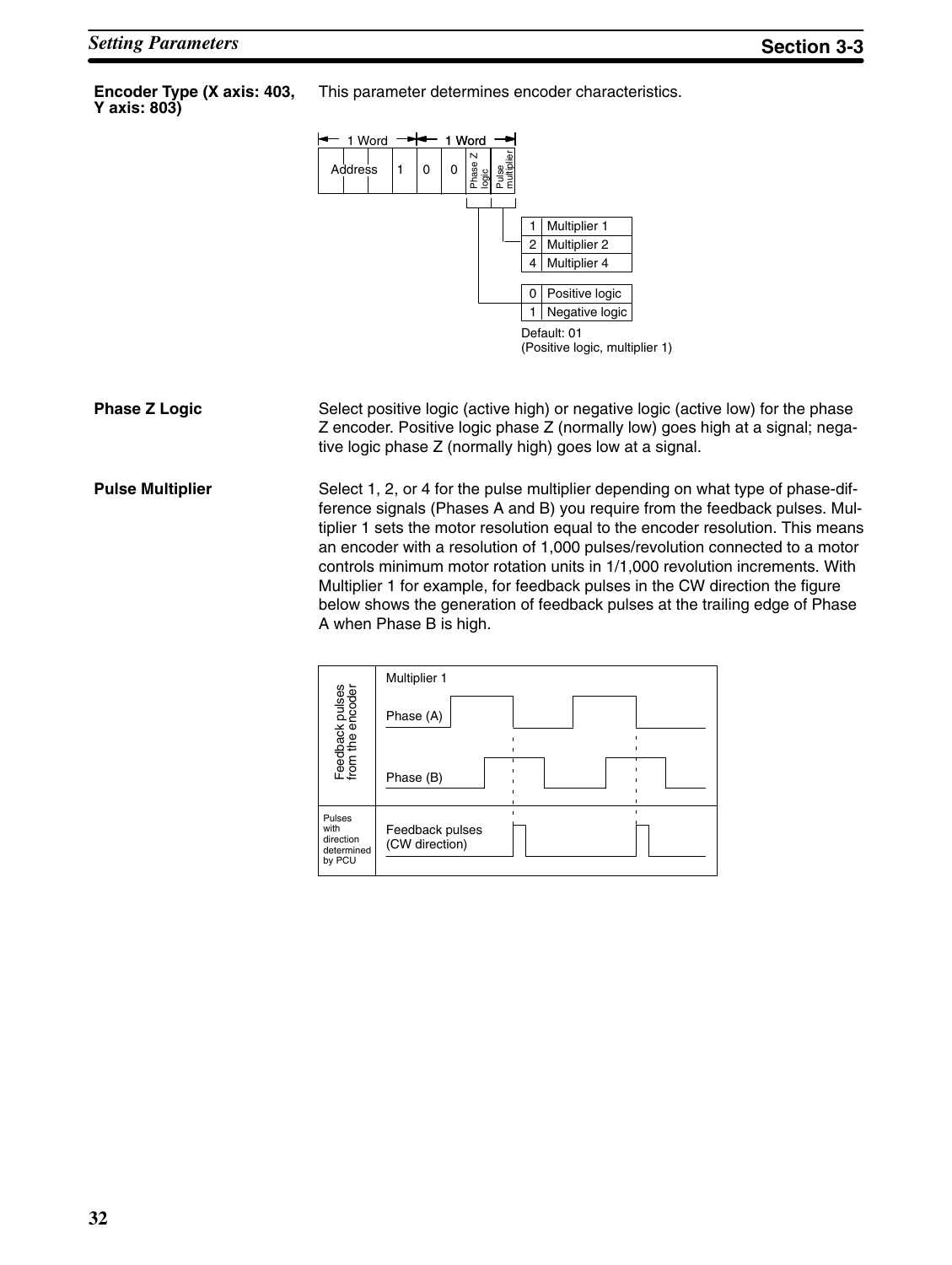**Encoder Type (X axis: 403, Y axis: 803)**

This parameter determines encoder characteristics.



Select positive logic (active high) or negative logic (active low) for the phase Z encoder. Positive logic phase Z (normally low) goes high at a signal; negative logic phase Z (normally high) goes low at a signal. **Phase Z Logic**

Select 1, 2, or 4 for the pulse multiplier depending on what type of phase-difference signals (Phases A and B) you require from the feedback pulses. Multiplier 1 sets the motor resolution equal to the encoder resolution. This means an encoder with a resolution of 1,000 pulses/revolution connected to a motor controls minimum motor rotation units in 1/1,000 revolution increments. With Multiplier 1 for example, for feedback pulses in the CW direction the figure below shows the generation of feedback pulses at the trailing edge of Phase A when Phase B is high. **Pulse Multiplier**

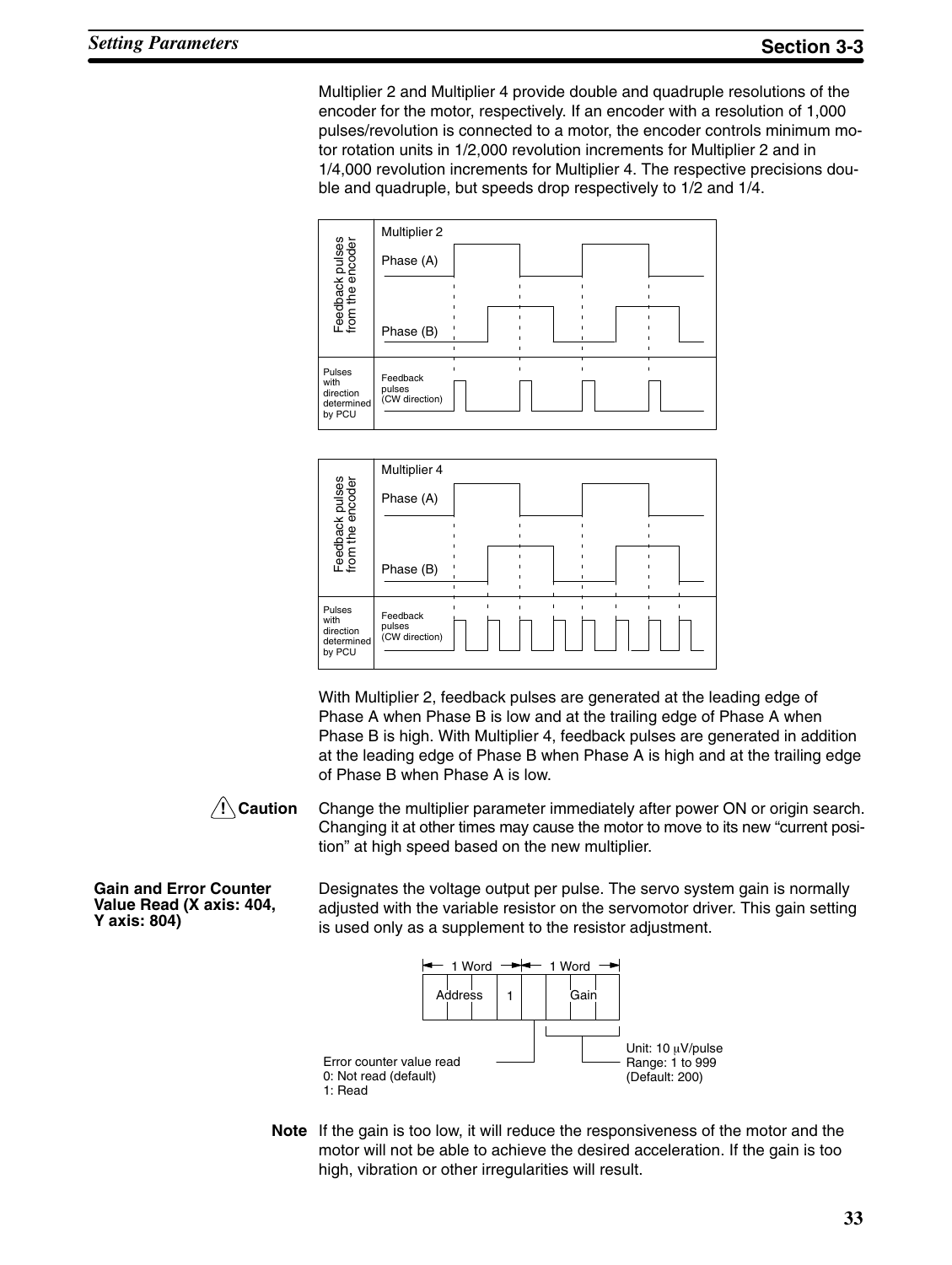Multiplier 2 and Multiplier 4 provide double and quadruple resolutions of the encoder for the motor, respectively. If an encoder with a resolution of 1,000 pulses/revolution is connected to a motor, the encoder controls minimum motor rotation units in 1/2,000 revolution increments for Multiplier 2 and in 1/4,000 revolution increments for Multiplier 4. The respective precisions double and quadruple, but speeds drop respectively to 1/2 and 1/4.





With Multiplier 2, feedback pulses are generated at the leading edge of Phase A when Phase B is low and at the trailing edge of Phase A when Phase B is high. With Multiplier 4, feedback pulses are generated in addition at the leading edge of Phase B when Phase A is high and at the trailing edge of Phase B when Phase A is low.



Change the multiplier parameter immediately after power ON or origin search. Changing it at other times may cause the motor to move to its new "current position" at high speed based on the new multiplier.

**Gain and Error Counter Value Read (X axis: 404, Y axis: 804)**

Designates the voltage output per pulse. The servo system gain is normally adjusted with the variable resistor on the servomotor driver. This gain setting is used only as a supplement to the resistor adjustment.



**Note** If the gain is too low, it will reduce the responsiveness of the motor and the motor will not be able to achieve the desired acceleration. If the gain is too high, vibration or other irregularities will result.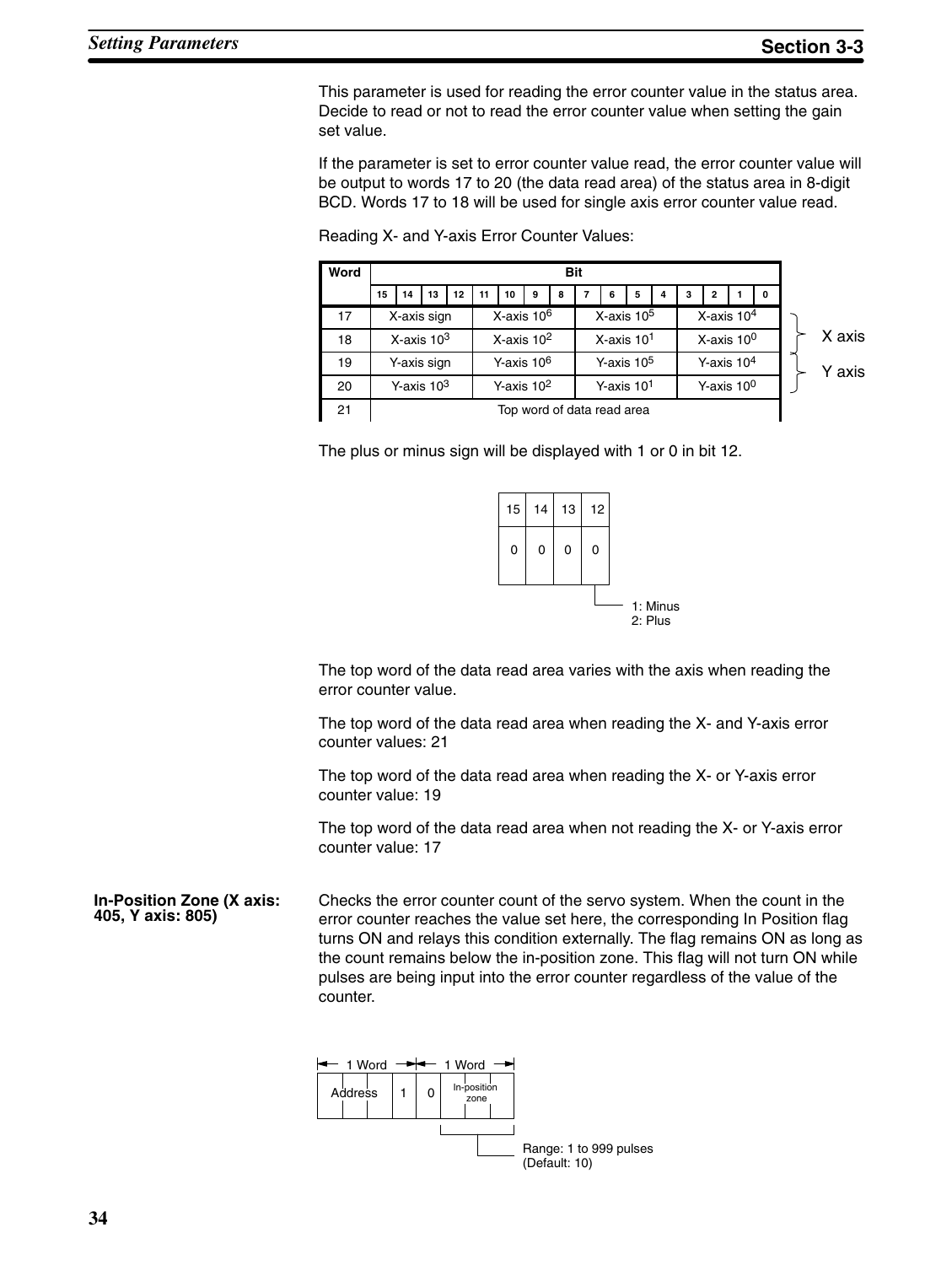This parameter is used for reading the error counter value in the status area. Decide to read or not to read the error counter value when setting the gain set value.

If the parameter is set to error counter value read, the error counter value will be output to words 17 to 20 (the data read area) of the status area in 8-digit BCD. Words 17 to 18 will be used for single axis error counter value read.



Reading X- and Y-axis Error Counter Values:

The plus or minus sign will be displayed with 1 or 0 in bit 12.



The top word of the data read area varies with the axis when reading the error counter value.

The top word of the data read area when reading the X- and Y-axis error counter values: 21

The top word of the data read area when reading the X- or Y-axis error counter value: 19

The top word of the data read area when not reading the X- or Y-axis error counter value: 17

Checks the error counter count of the servo system. When the count in the error counter reaches the value set here, the corresponding In Position flag turns ON and relays this condition externally. The flag remains ON as long as the count remains below the in-position zone. This flag will not turn ON while pulses are being input into the error counter regardless of the value of the counter. **In-Position Zone (X axis: 405, Y axis: 805)**

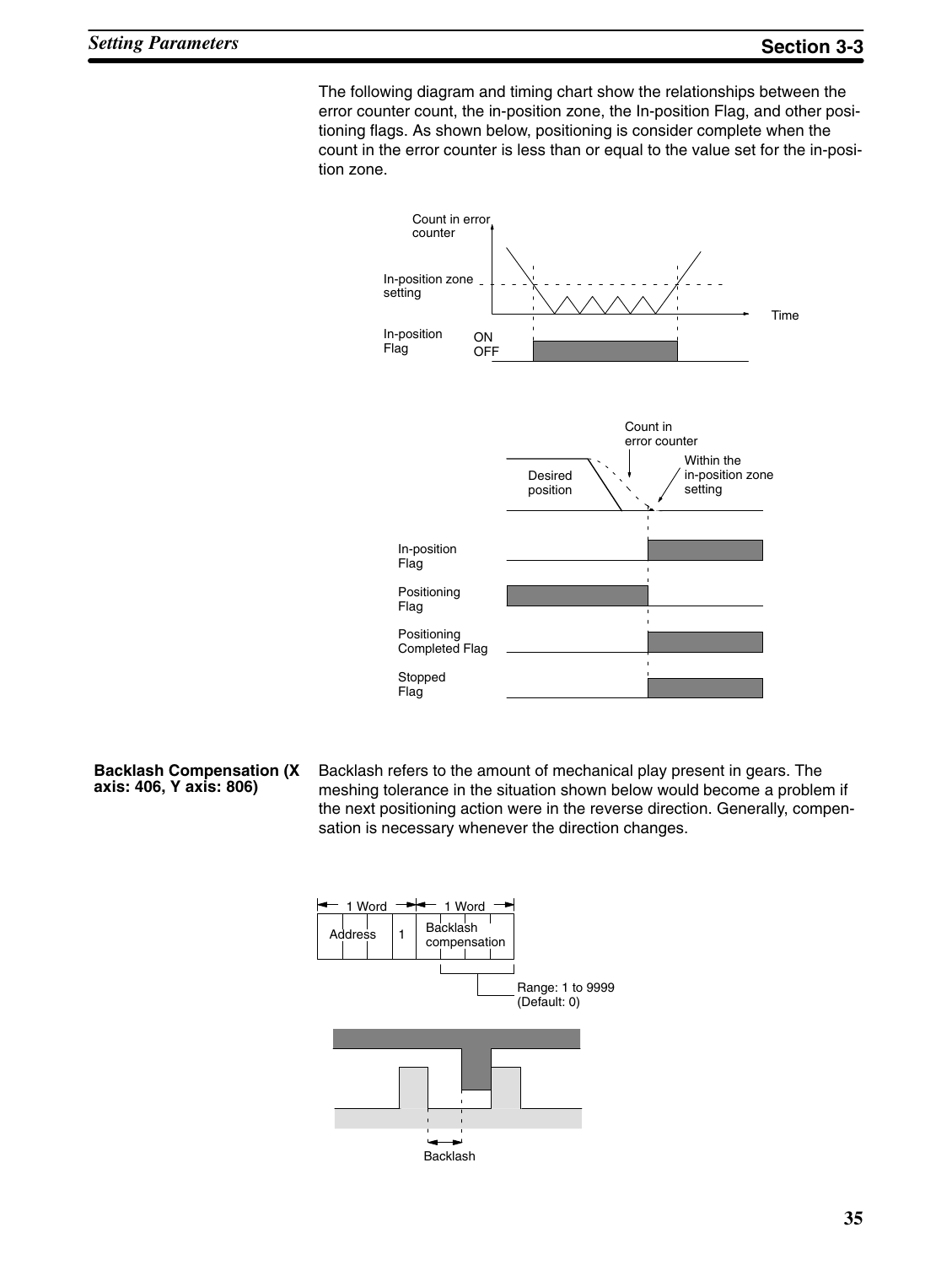The following diagram and timing chart show the relationships between the error counter count, the in-position zone, the In-position Flag, and other positioning flags. As shown below, positioning is consider complete when the count in the error counter is less than or equal to the value set for the in-position zone.



- **Backlash Compensation (X axis: 406, Y axis: 806)**
- Backlash refers to the amount of mechanical play present in gears. The meshing tolerance in the situation shown below would become a problem if the next positioning action were in the reverse direction. Generally, compensation is necessary whenever the direction changes.

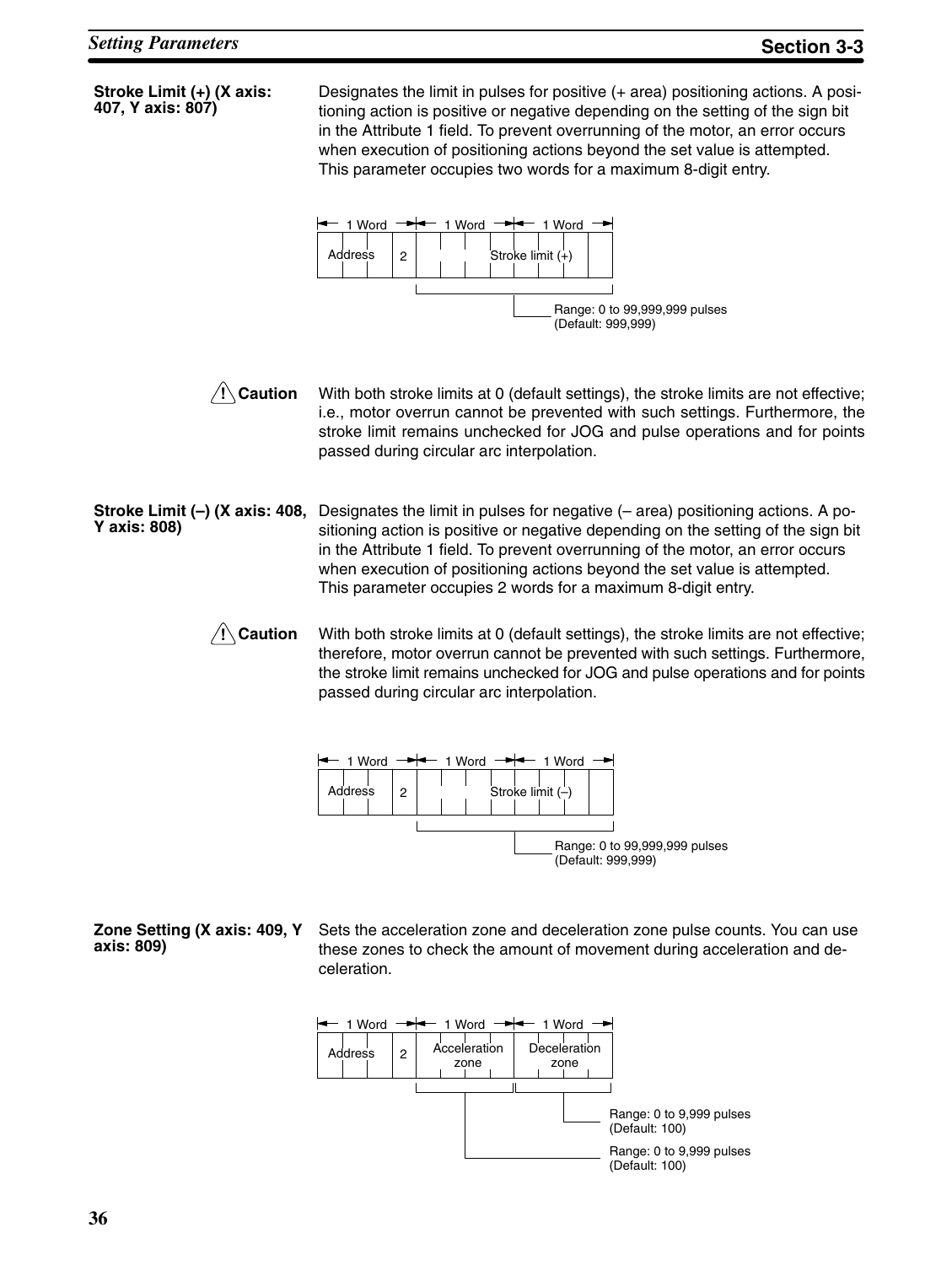| Stroke Limit (+) (X axis:<br>407, Y axis: 807) | Designates the limit in pulses for positive (+ area) positioning actions. A posi-<br>tioning action is positive or negative depending on the setting of the sign bit<br>in the Attribute 1 field. To prevent overrunning of the motor, an error occurs<br>when execution of positioning actions beyond the set value is attempted.<br>This parameter occupies two words for a maximum 8-digit entry. |  |  |
|------------------------------------------------|------------------------------------------------------------------------------------------------------------------------------------------------------------------------------------------------------------------------------------------------------------------------------------------------------------------------------------------------------------------------------------------------------|--|--|
|                                                | 1 Word<br>1 Word $\rightarrow$ 1 Word<br>Address<br>2<br>Stroke limit (+)<br>Range: 0 to 99,999,999 pulses<br>(Default: 999,999)                                                                                                                                                                                                                                                                     |  |  |
| $\sqrt{!}$ Caution                             | With both stroke limits at 0 (default settings), the stroke limits are not effective;<br>i.e., motor overrun cannot be prevented with such settings. Furthermore, the<br>stroke limit remains unchecked for JOG and pulse operations and for points<br>passed during circular arc interpolation.                                                                                                     |  |  |
| Stroke Limit (–) (X axis: 408,<br>Y axis: 808) | Designates the limit in pulses for negative $(-$ area) positioning actions. A po-<br>sitioning action is positive or negative depending on the setting of the sign bit<br>in the Attribute 1 field. To prevent overrunning of the motor, an error occurs<br>when execution of positioning actions beyond the set value is attempted.<br>This parameter occupies 2 words for a maximum 8-digit entry. |  |  |
| $\sqrt{!} \setminus$ Caution                   | With both stroke limits at 0 (default settings), the stroke limits are not effective;<br>therefore, motor overrun cannot be prevented with such settings. Furthermore,<br>the stroke limit remains unchecked for JOG and pulse operations and for points<br>passed during circular arc interpolation.                                                                                                |  |  |
|                                                | $-$ 1 Word $-$<br>1 Word<br>1 Word $\rightarrow$<br>Address<br>2<br>Stroke limit $(-)$<br>Range: 0 to 99,999,999 pulses<br>(Default: 999,999)                                                                                                                                                                                                                                                        |  |  |
| Zone Setting (X axis: 409, Y<br>axis: 809)     | Sets the acceleration zone and deceleration zone pulse counts. You can use<br>these zones to check the amount of movement during acceleration and de-<br>celeration.                                                                                                                                                                                                                                 |  |  |
|                                                | 1 Word <del>- → + + +</del> 1 Word - <del>→ + + +</del> + 1 Word - <del>→</del>                                                                                                                                                                                                                                                                                                                      |  |  |

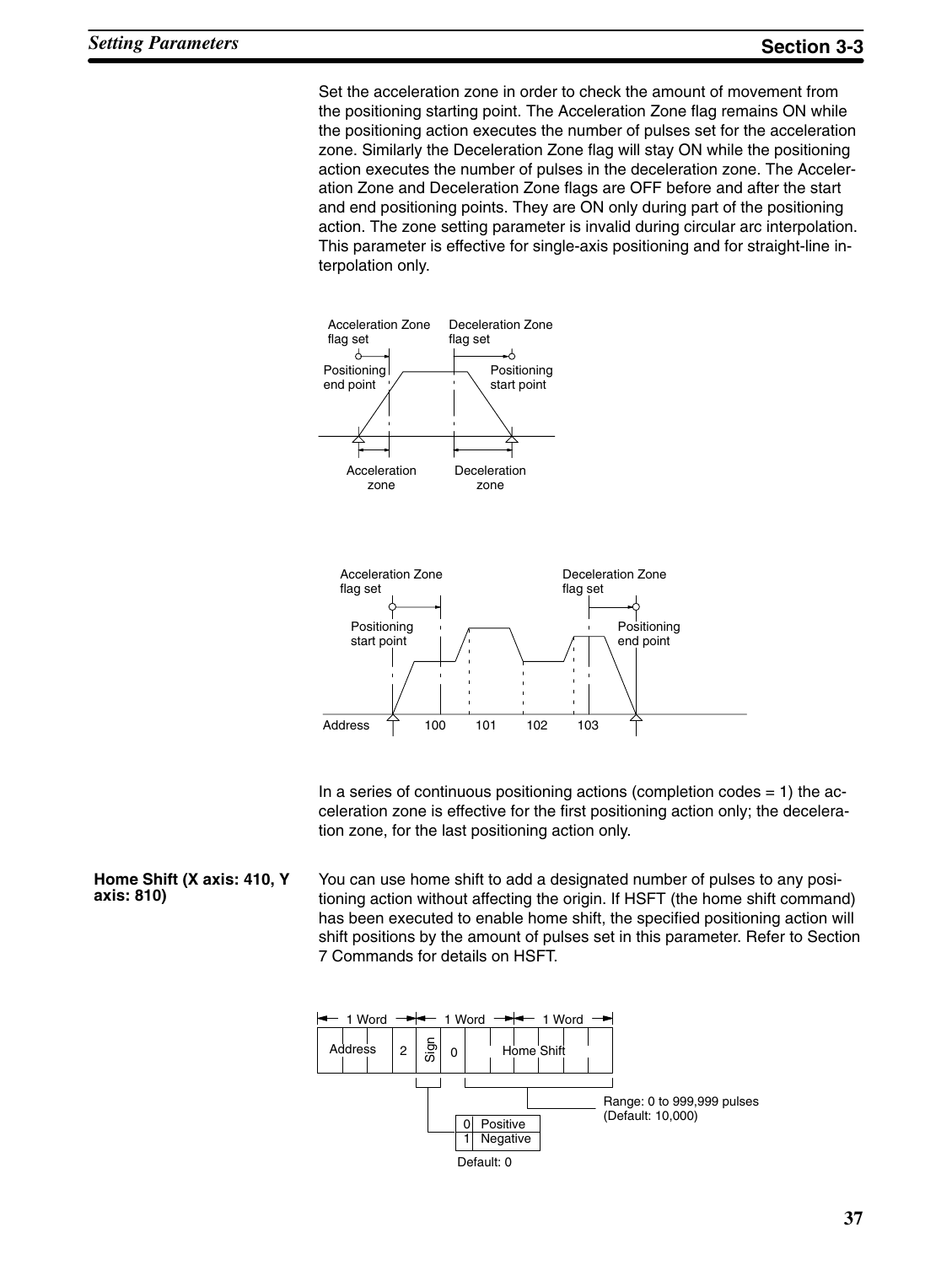Set the acceleration zone in order to check the amount of movement from the positioning starting point. The Acceleration Zone flag remains ON while the positioning action executes the number of pulses set for the acceleration zone. Similarly the Deceleration Zone flag will stay ON while the positioning action executes the number of pulses in the deceleration zone. The Acceleration Zone and Deceleration Zone flags are OFF before and after the start and end positioning points. They are ON only during part of the positioning action. The zone setting parameter is invalid during circular arc interpolation. This parameter is effective for single-axis positioning and for straight-line interpolation only.





In a series of continuous positioning actions (completion codes  $= 1$ ) the acceleration zone is effective for the first positioning action only; the deceleration zone, for the last positioning action only.

You can use home shift to add a designated number of pulses to any positioning action without affecting the origin. If HSFT (the home shift command) has been executed to enable home shift, the specified positioning action will shift positions by the amount of pulses set in this parameter. Refer to Section 7 Commands for details on HSFT. **Home Shift (X axis: 410, Y axis: 810)**

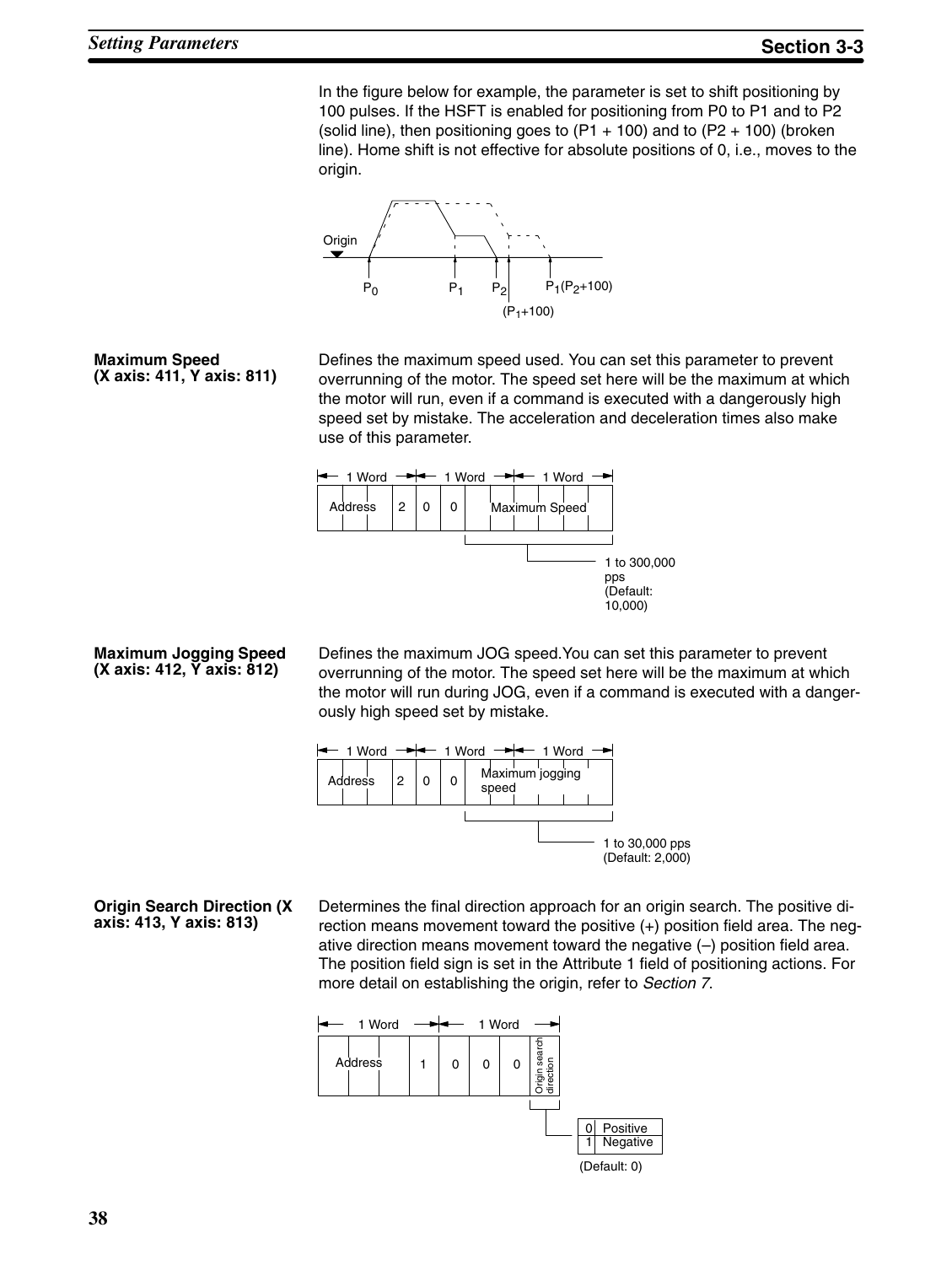In the figure below for example, the parameter is set to shift positioning by 100 pulses. If the HSFT is enabled for positioning from P0 to P1 and to P2 (solid line), then positioning goes to  $(P1 + 100)$  and to  $(P2 + 100)$  (broken line). Home shift is not effective for absolute positions of 0, i.e., moves to the origin.



**Maximum Speed (X axis: 411, Y axis: 811)**

Defines the maximum speed used. You can set this parameter to prevent overrunning of the motor. The speed set here will be the maximum at which the motor will run, even if a command is executed with a dangerously high speed set by mistake. The acceleration and deceleration times also make use of this parameter.



**Maximum Jogging Speed (X axis: 412, Y axis: 812)**

Defines the maximum JOG speed.You can set this parameter to prevent overrunning of the motor. The speed set here will be the maximum at which the motor will run during JOG, even if a command is executed with a dangerously high speed set by mistake.



Determines the final direction approach for an origin search. The positive direction means movement toward the positive (+) position field area. The negative direction means movement toward the negative (–) position field area. The position field sign is set in the Attribute 1 field of positioning actions. For more detail on establishing the origin, refer to *Section 7*. **Origin Search Direction (X**



**axis: 413, Y axis: 813)**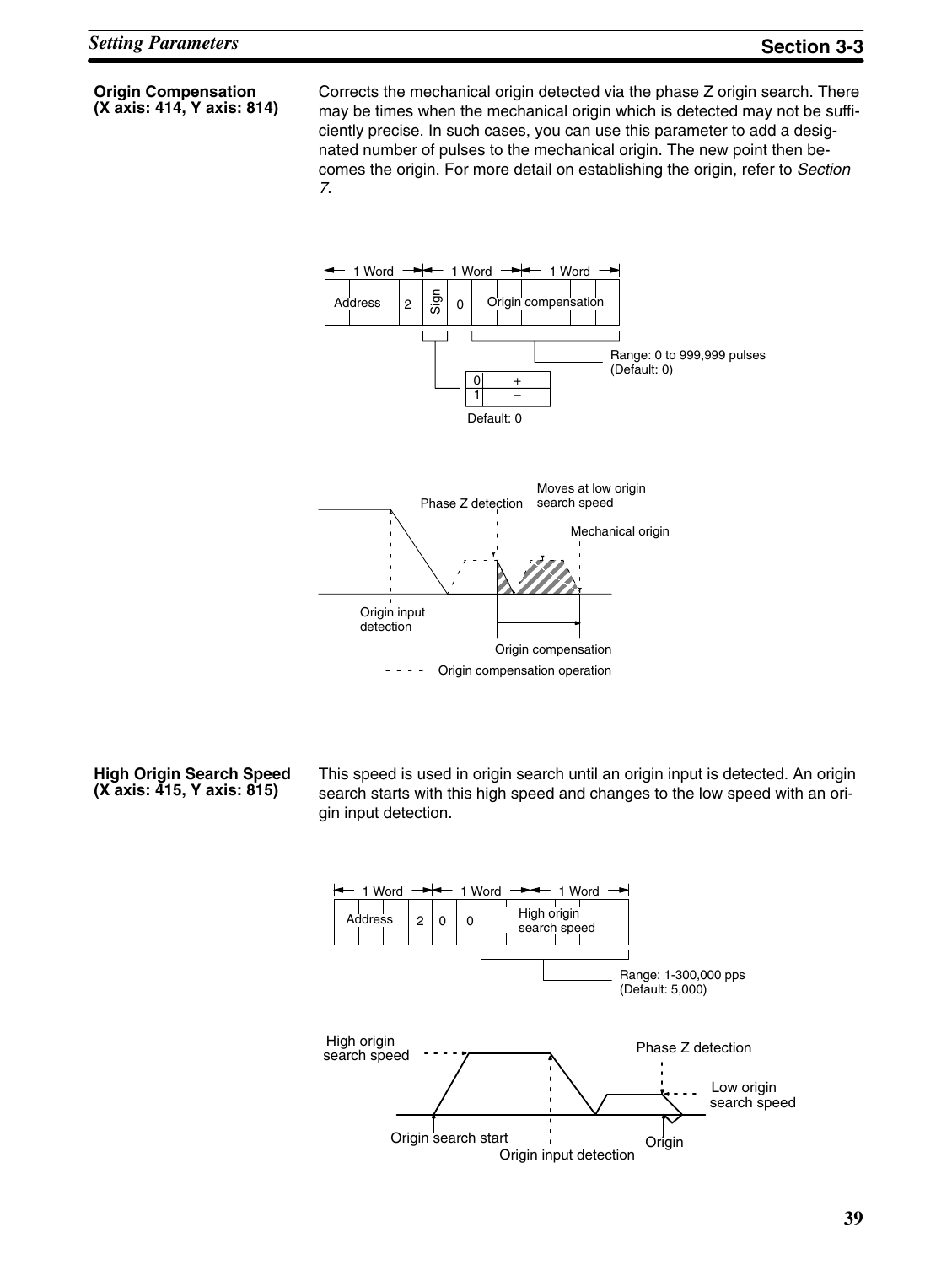**Origin Compensation (X axis: 414, Y axis: 814)** Corrects the mechanical origin detected via the phase Z origin search. There may be times when the mechanical origin which is detected may not be sufficiently precise. In such cases, you can use this parameter to add a designated number of pulses to the mechanical origin. The new point then becomes the origin. For more detail on establishing the origin, refer to *Section 7*.



**High Origin Search Speed (X axis: 415, Y axis: 815)**

This speed is used in origin search until an origin input is detected. An origin search starts with this high speed and changes to the low speed with an origin input detection.

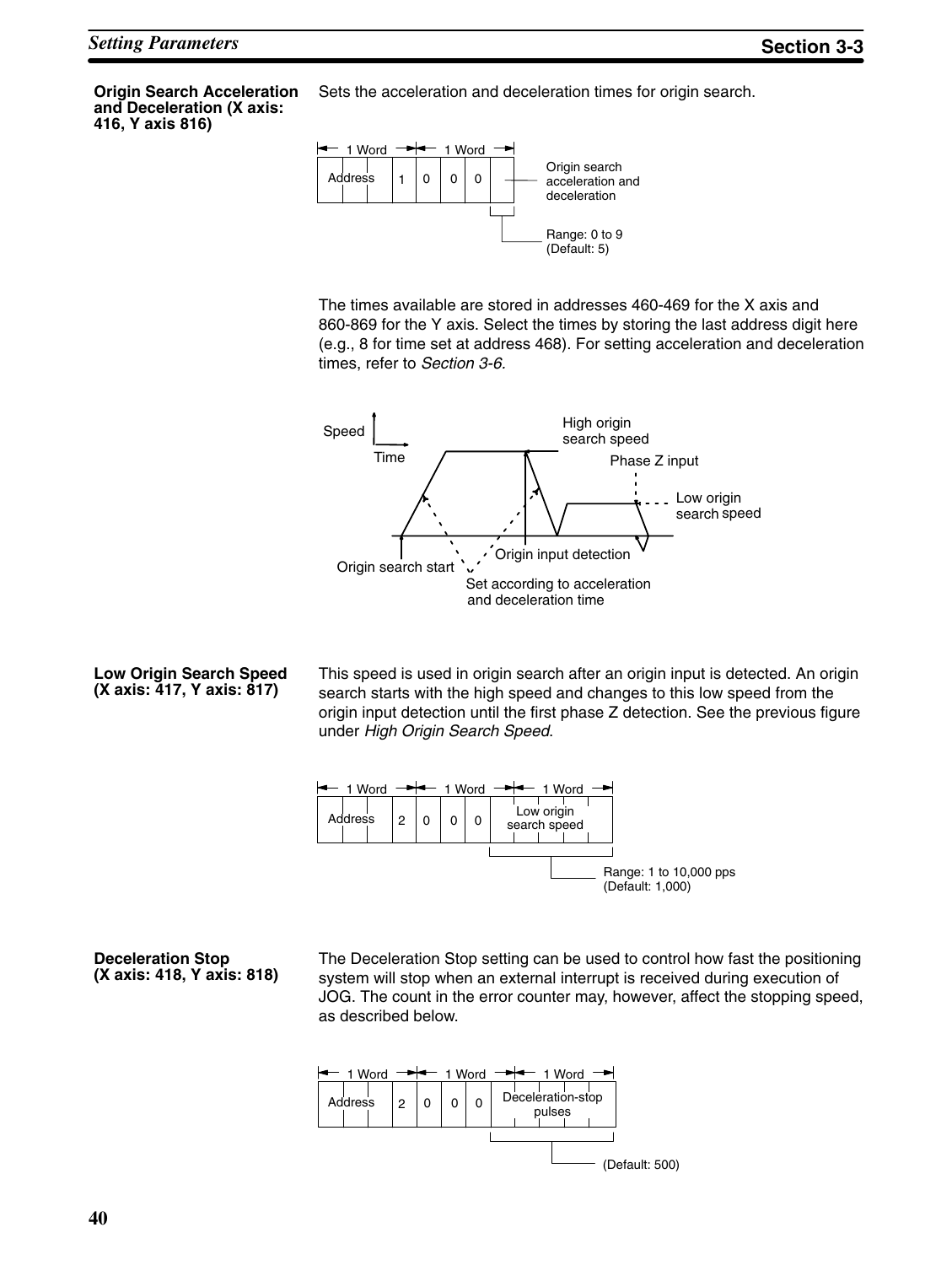**Origin Search Acceleration and Deceleration (X axis: 416, Y axis 816)**

Sets the acceleration and deceleration times for origin search.



The times available are stored in addresses 460-469 for the X axis and 860-869 for the Y axis. Select the times by storing the last address digit here (e.g., 8 for time set at address 468). For setting acceleration and deceleration times, refer to *Section 3-6.*



#### **Low Origin Search Speed (X axis: 417, Y axis: 817)**

This speed is used in origin search after an origin input is detected. An origin search starts with the high speed and changes to this low speed from the origin input detection until the first phase Z detection. See the previous figure under *High Origin Search Speed*.



**Deceleration Stop (X axis: 418, Y axis: 818)**

The Deceleration Stop setting can be used to control how fast the positioning system will stop when an external interrupt is received during execution of JOG. The count in the error counter may, however, affect the stopping speed, as described below.

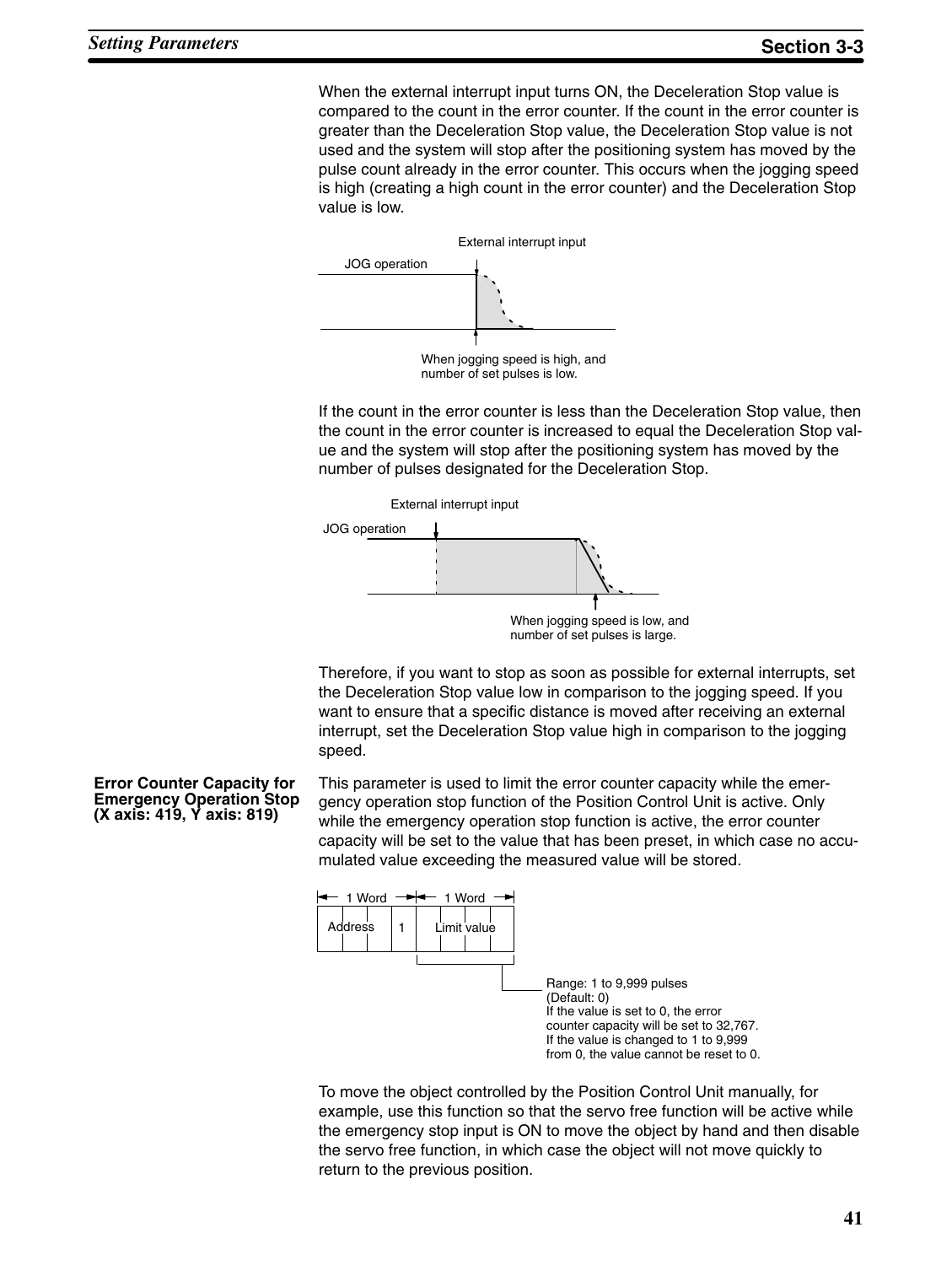When the external interrupt input turns ON, the Deceleration Stop value is compared to the count in the error counter. If the count in the error counter is greater than the Deceleration Stop value, the Deceleration Stop value is not used and the system will stop after the positioning system has moved by the pulse count already in the error counter. This occurs when the jogging speed is high (creating a high count in the error counter) and the Deceleration Stop value is low.



number of set pulses is low.

If the count in the error counter is less than the Deceleration Stop value, then the count in the error counter is increased to equal the Deceleration Stop value and the system will stop after the positioning system has moved by the number of pulses designated for the Deceleration Stop.



Therefore, if you want to stop as soon as possible for external interrupts, set the Deceleration Stop value low in comparison to the jogging speed. If you want to ensure that a specific distance is moved after receiving an external interrupt, set the Deceleration Stop value high in comparison to the jogging speed.

**Error Counter Capacity for Emergency Operation Stop (X axis: 419, Y axis: 819)**

This parameter is used to limit the error counter capacity while the emergency operation stop function of the Position Control Unit is active. Only while the emergency operation stop function is active, the error counter capacity will be set to the value that has been preset, in which case no accumulated value exceeding the measured value will be stored.



To move the object controlled by the Position Control Unit manually, for example, use this function so that the servo free function will be active while the emergency stop input is ON to move the object by hand and then disable the servo free function, in which case the object will not move quickly to return to the previous position.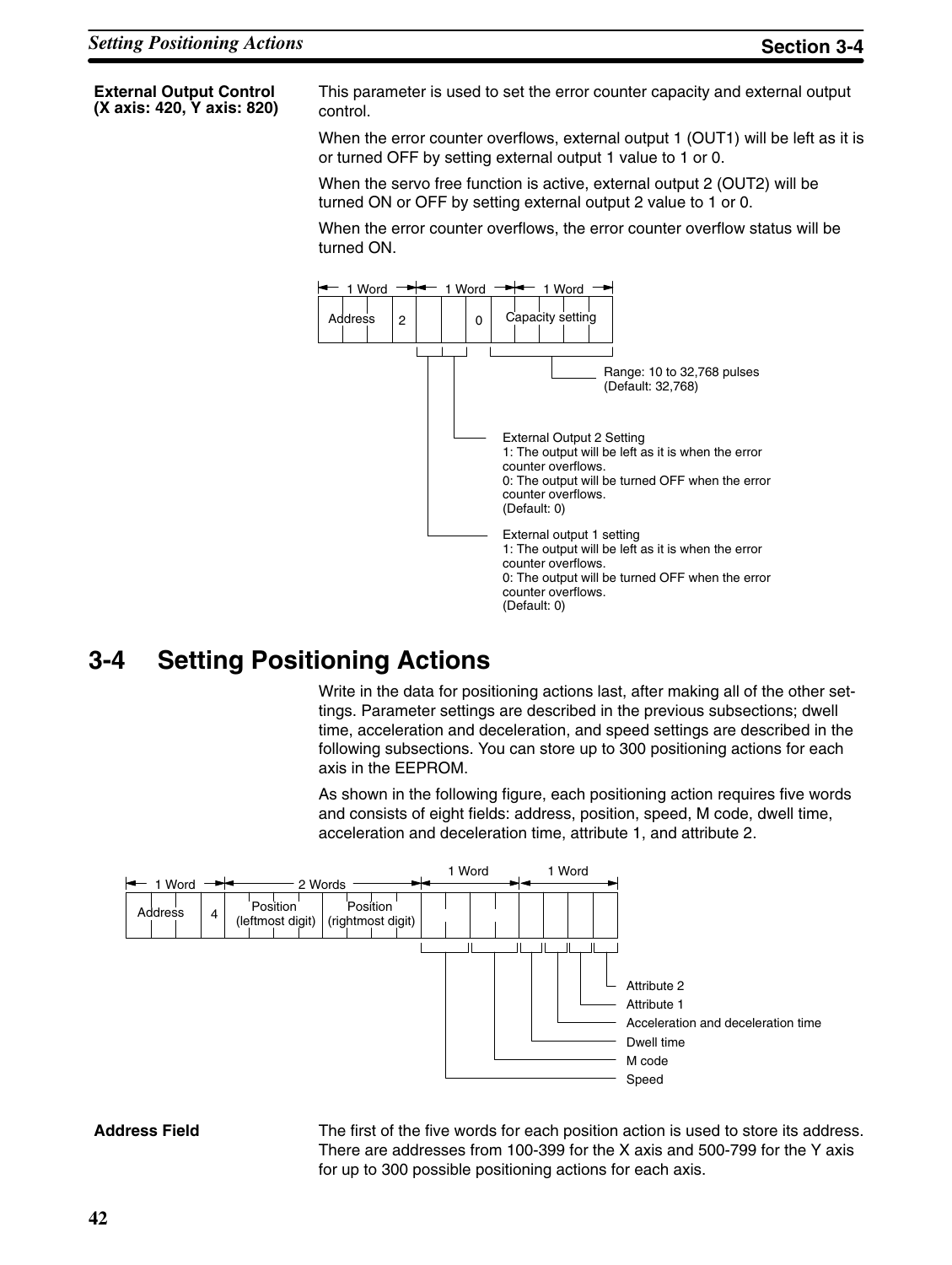**External Output Control (X axis: 420, Y axis: 820)**

This parameter is used to set the error counter capacity and external output control.

When the error counter overflows, external output 1 (OUT1) will be left as it is or turned OFF by setting external output 1 value to 1 or 0.

When the servo free function is active, external output 2 (OUT2) will be turned ON or OFF by setting external output 2 value to 1 or 0.

When the error counter overflows, the error counter overflow status will be turned ON.



# **3-4 Setting Positioning Actions**

Write in the data for positioning actions last, after making all of the other settings. Parameter settings are described in the previous subsections; dwell time, acceleration and deceleration, and speed settings are described in the following subsections. You can store up to 300 positioning actions for each axis in the EEPROM.

As shown in the following figure, each positioning action requires five words and consists of eight fields: address, position, speed, M code, dwell time, acceleration and deceleration time, attribute 1, and attribute 2.



#### **Address Field**

The first of the five words for each position action is used to store its address. There are addresses from 100-399 for the X axis and 500-799 for the Y axis for up to 300 possible positioning actions for each axis.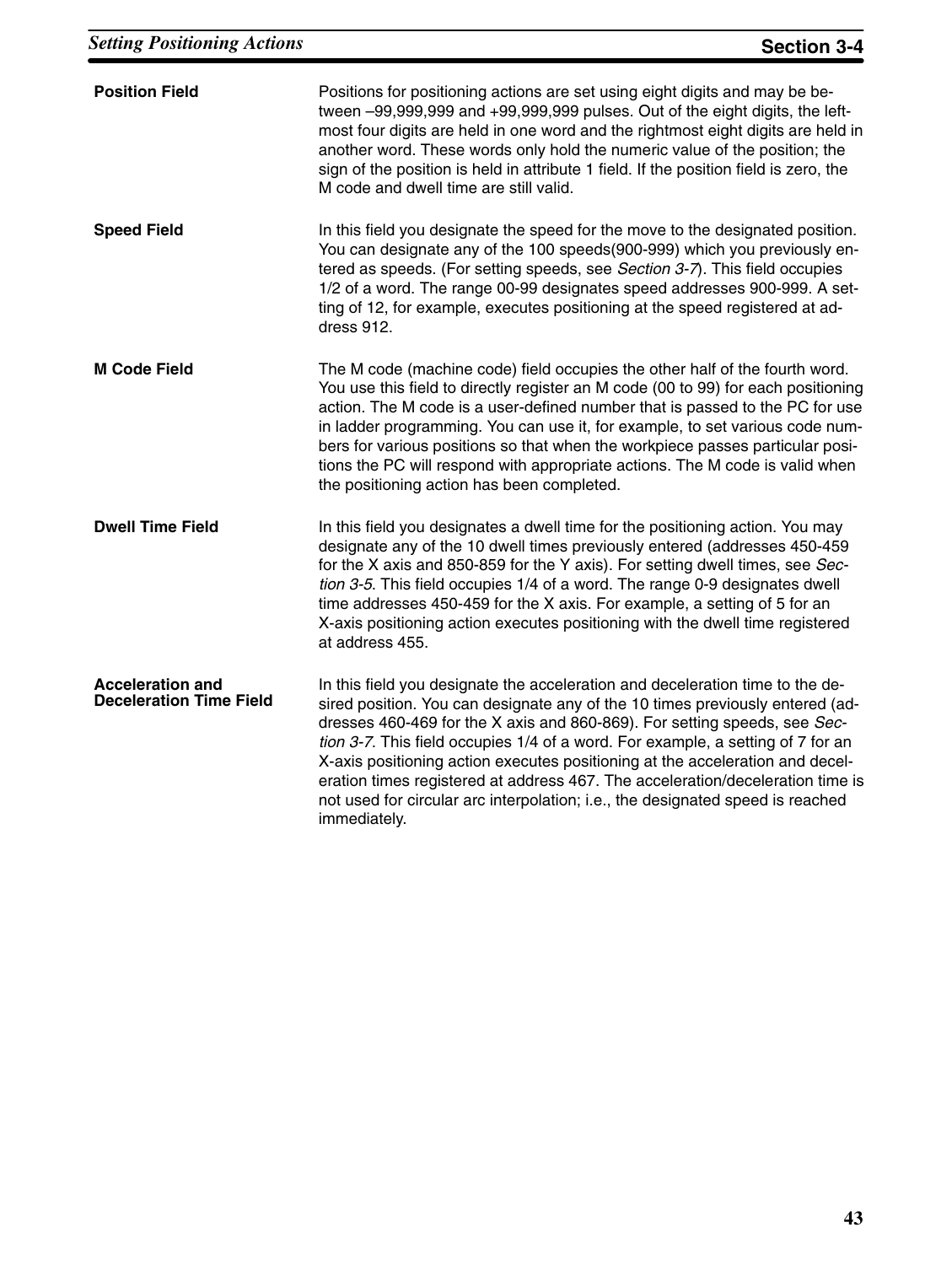| <b>Position Field</b>                                     | Positions for positioning actions are set using eight digits and may be be-<br>tween -99,999,999 and +99,999,999 pulses. Out of the eight digits, the left-<br>most four digits are held in one word and the rightmost eight digits are held in<br>another word. These words only hold the numeric value of the position; the<br>sign of the position is held in attribute 1 field. If the position field is zero, the<br>M code and dwell time are still valid.                                                                                                                                    |
|-----------------------------------------------------------|-----------------------------------------------------------------------------------------------------------------------------------------------------------------------------------------------------------------------------------------------------------------------------------------------------------------------------------------------------------------------------------------------------------------------------------------------------------------------------------------------------------------------------------------------------------------------------------------------------|
| <b>Speed Field</b>                                        | In this field you designate the speed for the move to the designated position.<br>You can designate any of the 100 speeds(900-999) which you previously en-<br>tered as speeds. (For setting speeds, see Section 3-7). This field occupies<br>1/2 of a word. The range 00-99 designates speed addresses 900-999. A set-<br>ting of 12, for example, executes positioning at the speed registered at ad-<br>dress 912.                                                                                                                                                                               |
| <b>M Code Field</b>                                       | The M code (machine code) field occupies the other half of the fourth word.<br>You use this field to directly register an M code (00 to 99) for each positioning<br>action. The M code is a user-defined number that is passed to the PC for use<br>in ladder programming. You can use it, for example, to set various code num-<br>bers for various positions so that when the workpiece passes particular posi-<br>tions the PC will respond with appropriate actions. The M code is valid when<br>the positioning action has been completed.                                                     |
| <b>Dwell Time Field</b>                                   | In this field you designates a dwell time for the positioning action. You may<br>designate any of the 10 dwell times previously entered (addresses 450-459<br>for the X axis and 850-859 for the Y axis). For setting dwell times, see Sec-<br>tion 3-5. This field occupies 1/4 of a word. The range 0-9 designates dwell<br>time addresses 450-459 for the X axis. For example, a setting of 5 for an<br>X-axis positioning action executes positioning with the dwell time registered<br>at address 455.                                                                                         |
| <b>Acceleration and</b><br><b>Deceleration Time Field</b> | In this field you designate the acceleration and deceleration time to the de-<br>sired position. You can designate any of the 10 times previously entered (ad-<br>dresses 460-469 for the X axis and 860-869). For setting speeds, see Sec-<br>tion 3-7. This field occupies 1/4 of a word. For example, a setting of 7 for an<br>X-axis positioning action executes positioning at the acceleration and decel-<br>eration times registered at address 467. The acceleration/deceleration time is<br>not used for circular arc interpolation; i.e., the designated speed is reached<br>immediately. |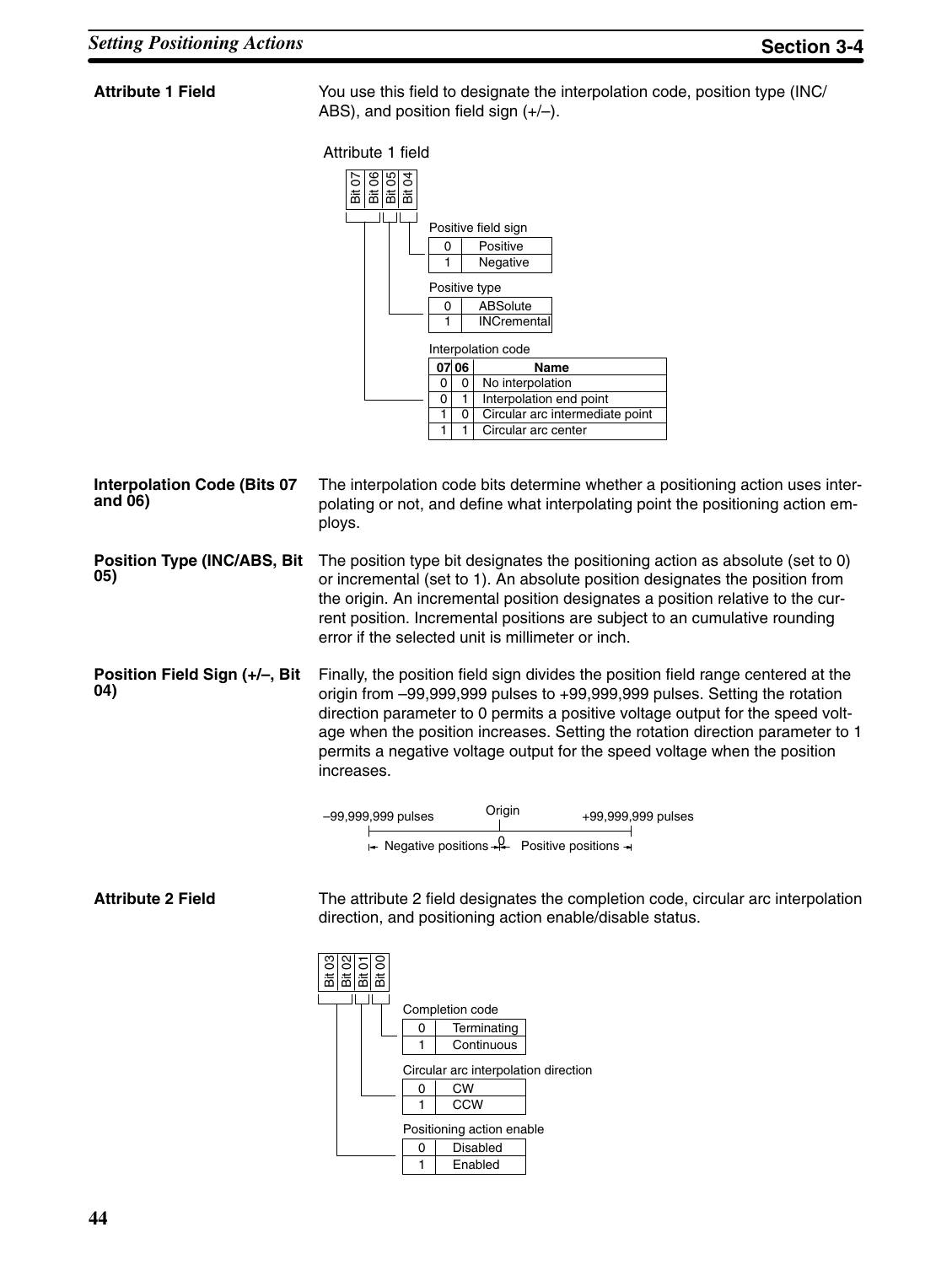### **Attribute 1 Field**

You use this field to designate the interpolation code, position type (INC/ ABS), and position field sign (+/–).



The interpolation code bits determine whether a positioning action uses interpolating or not, and define what interpolating point the positioning action employs. The position type bit designates the positioning action as absolute (set to 0) or incremental (set to 1). An absolute position designates the position from the origin. An incremental position designates a position relative to the current position. Incremental positions are subject to an cumulative rounding error if the selected unit is millimeter or inch. Finally, the position field sign divides the position field range centered at the origin from –99,999,999 pulses to +99,999,999 pulses. Setting the rotation direction parameter to 0 permits a positive voltage output for the speed voltage when the position increases. Setting the rotation direction parameter to 1 permits a negative voltage output for the speed voltage when the position increases. **Interpolation Code (Bits 07 and 06) Position Type (INC/ABS, Bit 05) Position Field Sign (+/–, Bit 04)**



**Attribute 2 Field**

The attribute 2 field designates the completion code, circular arc interpolation direction, and positioning action enable/disable status.

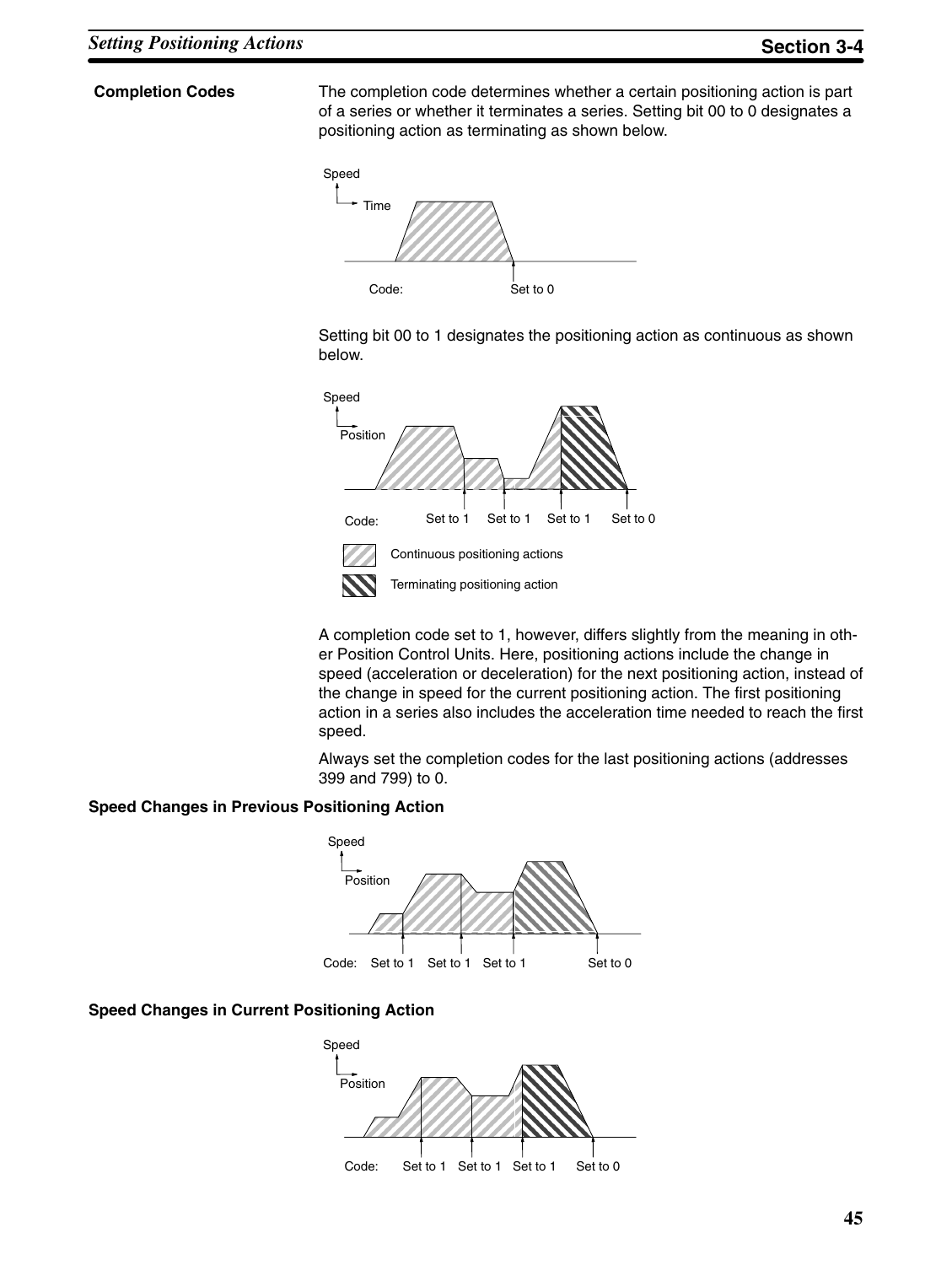#### **Completion Codes**

The completion code determines whether a certain positioning action is part of a series or whether it terminates a series. Setting bit 00 to 0 designates a positioning action as terminating as shown below.



Setting bit 00 to 1 designates the positioning action as continuous as shown below.



A completion code set to 1, however, differs slightly from the meaning in other Position Control Units. Here, positioning actions include the change in speed (acceleration or deceleration) for the next positioning action, instead of the change in speed for the current positioning action. The first positioning action in a series also includes the acceleration time needed to reach the first speed.

Always set the completion codes for the last positioning actions (addresses 399 and 799) to 0.

#### **Speed Changes in Previous Positioning Action**



### **Speed Changes in Current Positioning Action**

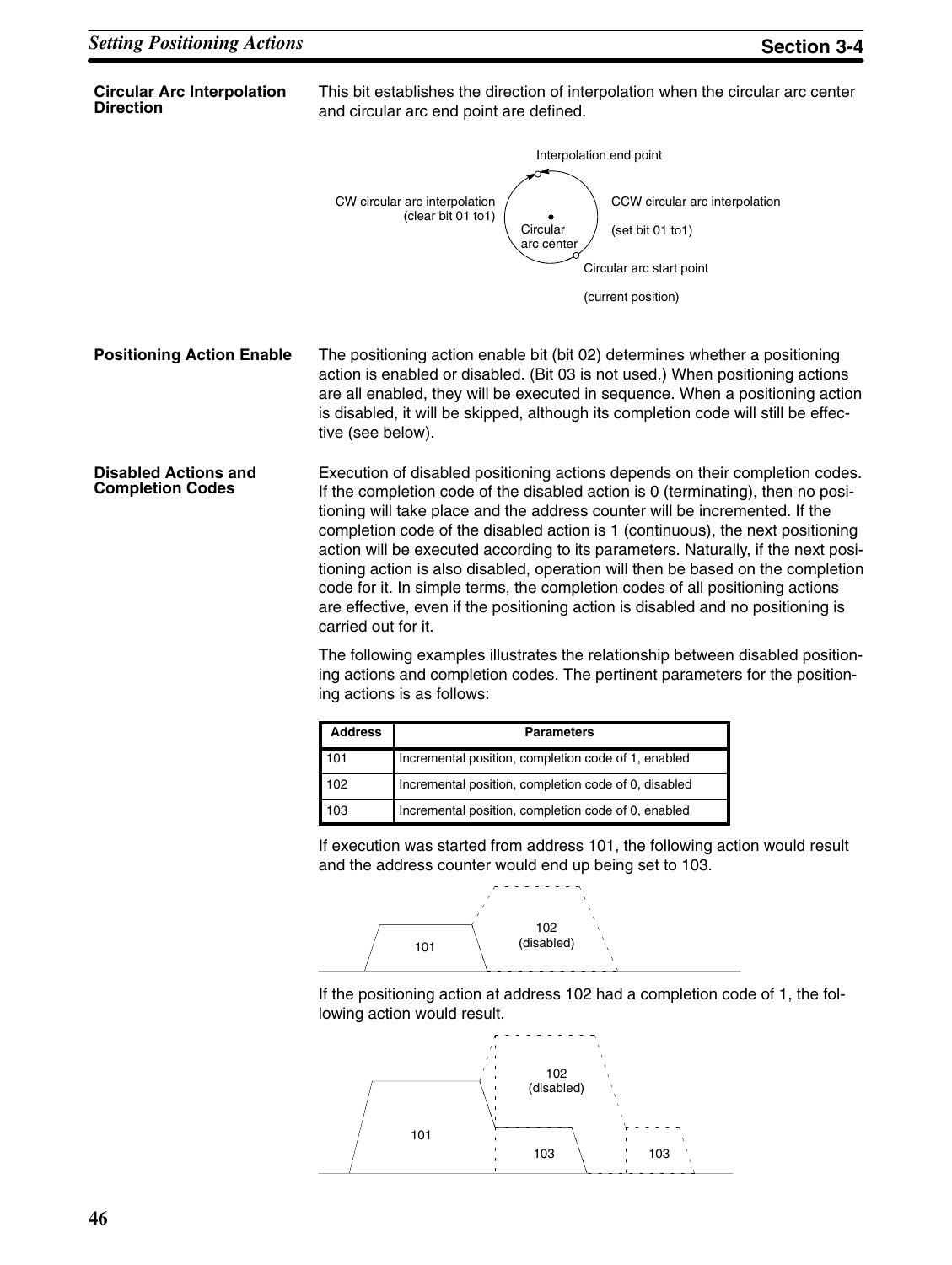#### **Circular Arc Interpolation Direction**

This bit establishes the direction of interpolation when the circular arc center and circular arc end point are defined.



The positioning action enable bit (bit 02) determines whether a positioning action is enabled or disabled. (Bit 03 is not used.) When positioning actions are all enabled, they will be executed in sequence. When a positioning action is disabled, it will be skipped, although its completion code will still be effective (see below). **Positioning Action Enable**

Execution of disabled positioning actions depends on their completion codes. If the completion code of the disabled action is 0 (terminating), then no positioning will take place and the address counter will be incremented. If the completion code of the disabled action is 1 (continuous), the next positioning action will be executed according to its parameters. Naturally, if the next positioning action is also disabled, operation will then be based on the completion code for it. In simple terms, the completion codes of all positioning actions are effective, even if the positioning action is disabled and no positioning is carried out for it. **Disabled Actions and Completion Codes**

> The following examples illustrates the relationship between disabled positioning actions and completion codes. The pertinent parameters for the positioning actions is as follows:

| <b>Address</b> | <b>Parameters</b>                                    |
|----------------|------------------------------------------------------|
| 101            | Incremental position, completion code of 1, enabled  |
| 102            | Incremental position, completion code of 0, disabled |
| 103            | Incremental position, completion code of 0, enabled  |

If execution was started from address 101, the following action would result and the address counter would end up being set to 103.



If the positioning action at address 102 had a completion code of 1, the following action would result.

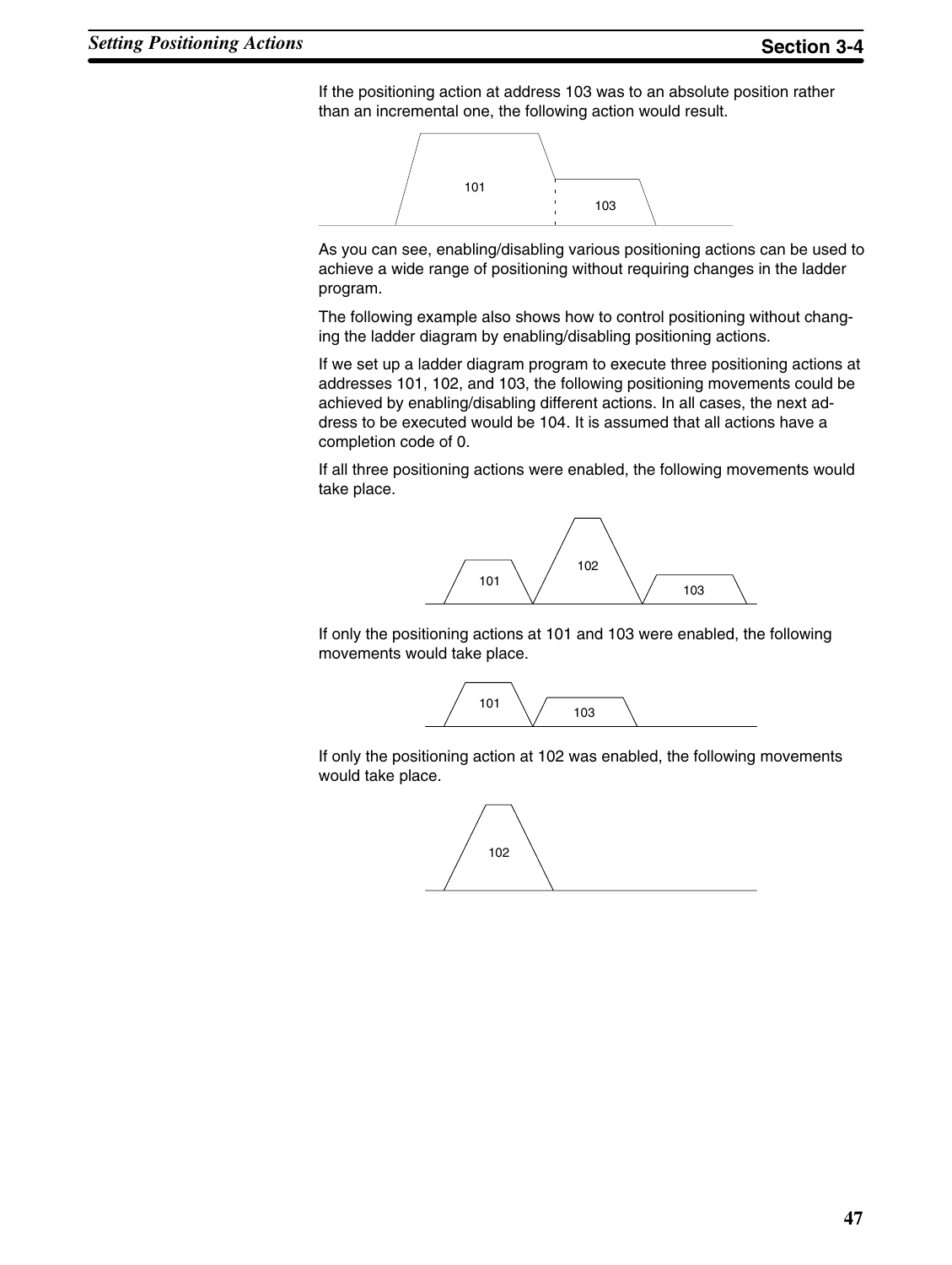If the positioning action at address 103 was to an absolute position rather than an incremental one, the following action would result.



As you can see, enabling/disabling various positioning actions can be used to achieve a wide range of positioning without requiring changes in the ladder program.

The following example also shows how to control positioning without changing the ladder diagram by enabling/disabling positioning actions.

If we set up a ladder diagram program to execute three positioning actions at addresses 101, 102, and 103, the following positioning movements could be achieved by enabling/disabling different actions. In all cases, the next address to be executed would be 104. It is assumed that all actions have a completion code of 0.

If all three positioning actions were enabled, the following movements would take place.



If only the positioning actions at 101 and 103 were enabled, the following movements would take place.



If only the positioning action at 102 was enabled, the following movements would take place.

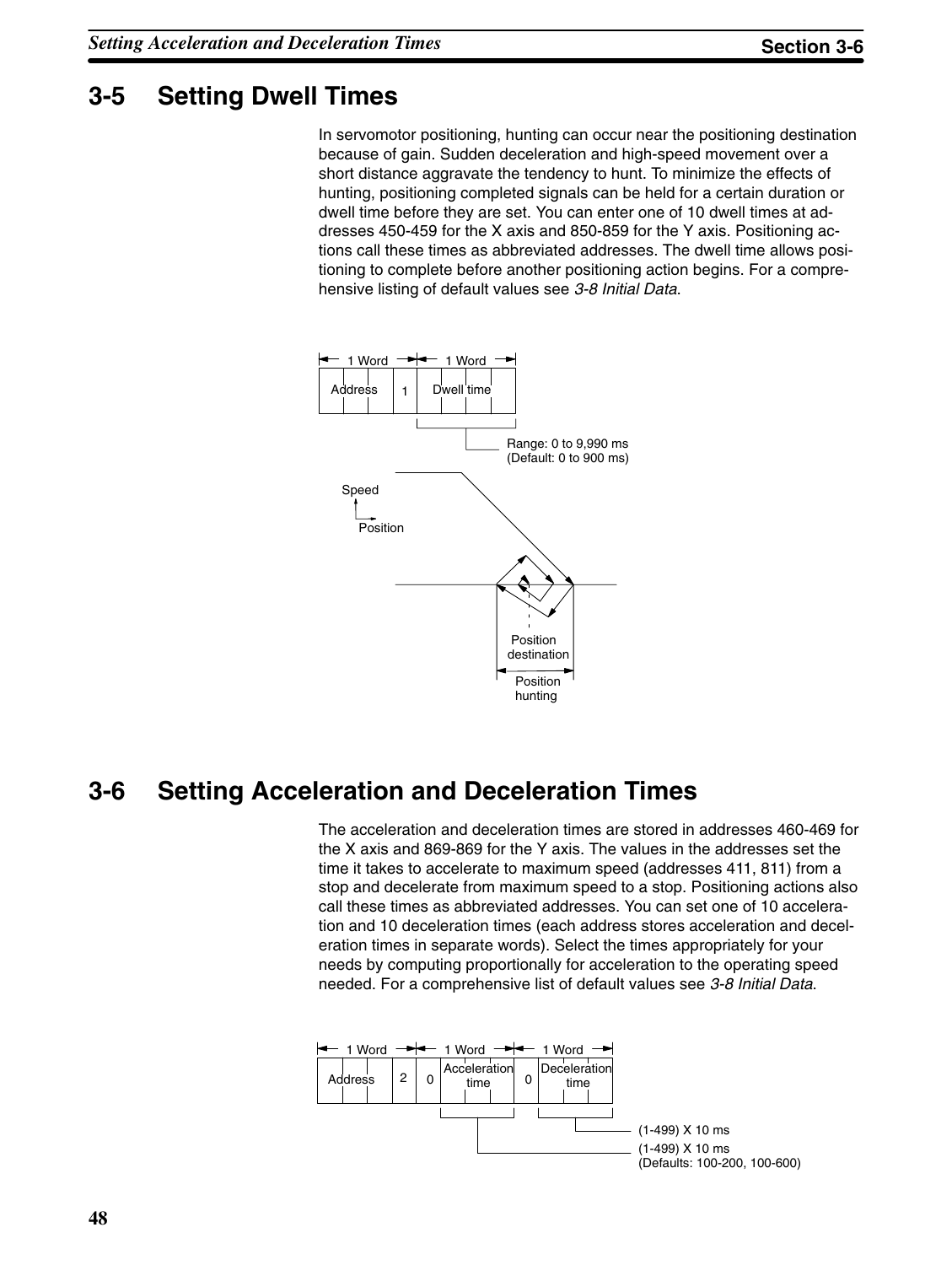# **3-5 Setting Dwell Times**

In servomotor positioning, hunting can occur near the positioning destination because of gain. Sudden deceleration and high-speed movement over a short distance aggravate the tendency to hunt. To minimize the effects of hunting, positioning completed signals can be held for a certain duration or dwell time before they are set. You can enter one of 10 dwell times at addresses 450-459 for the X axis and 850-859 for the Y axis. Positioning actions call these times as abbreviated addresses. The dwell time allows positioning to complete before another positioning action begins. For a comprehensive listing of default values see *3-8 Initial Data*.



# **3-6 Setting Acceleration and Deceleration Times**

The acceleration and deceleration times are stored in addresses 460-469 for the X axis and 869-869 for the Y axis. The values in the addresses set the time it takes to accelerate to maximum speed (addresses 411, 811) from a stop and decelerate from maximum speed to a stop. Positioning actions also call these times as abbreviated addresses. You can set one of 10 acceleration and 10 deceleration times (each address stores acceleration and deceleration times in separate words). Select the times appropriately for your needs by computing proportionally for acceleration to the operating speed needed. For a comprehensive list of default values see *3-8 Initial Data*.

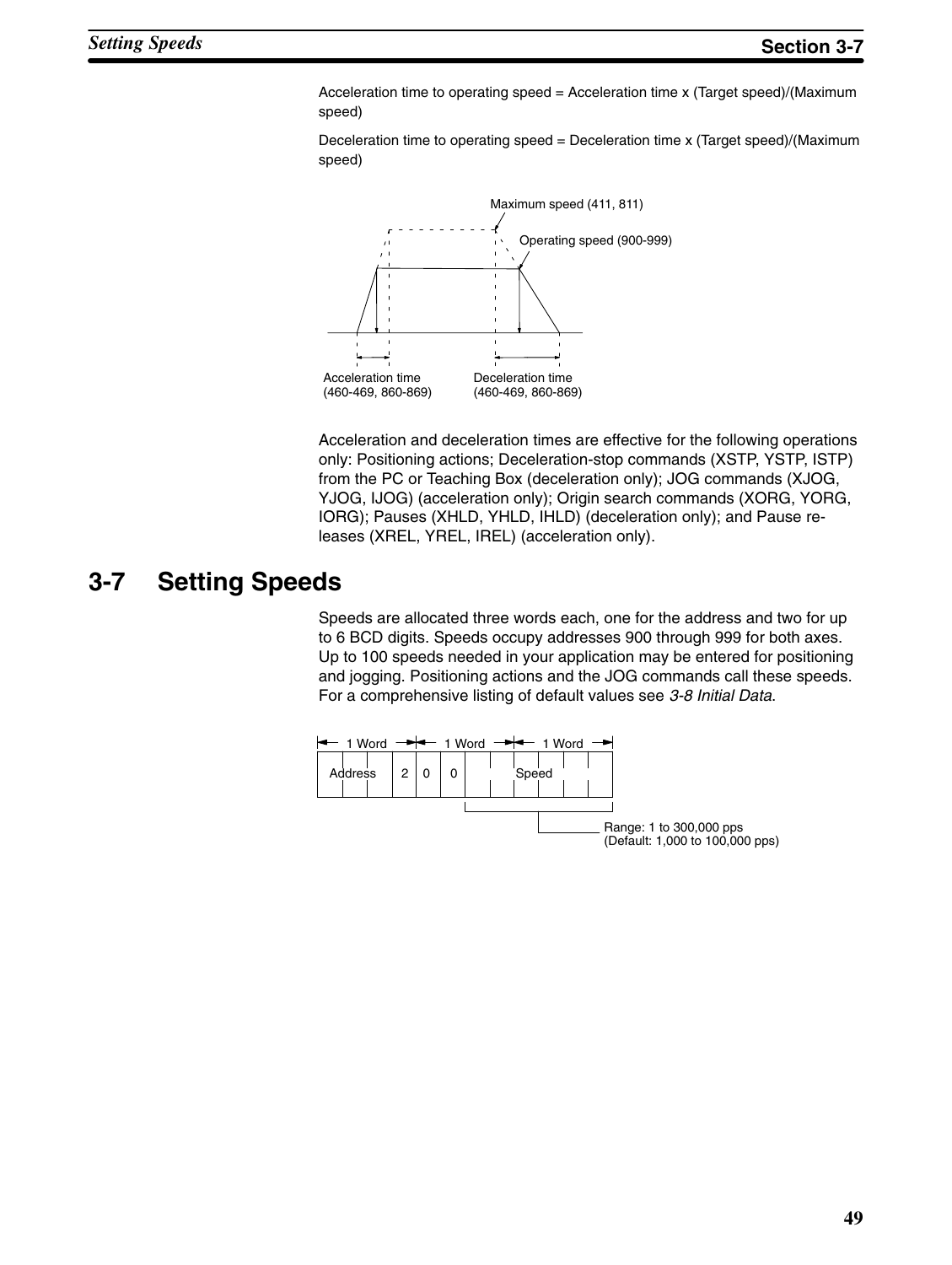Acceleration time to operating speed = Acceleration time x (Target speed)/(Maximum speed)

Deceleration time to operating speed = Deceleration time x (Target speed)/(Maximum speed)



Acceleration and deceleration times are effective for the following operations only: Positioning actions; Deceleration-stop commands (XSTP, YSTP, ISTP) from the PC or Teaching Box (deceleration only); JOG commands (XJOG, YJOG, IJOG) (acceleration only); Origin search commands (XORG, YORG, IORG); Pauses (XHLD, YHLD, IHLD) (deceleration only); and Pause releases (XREL, YREL, IREL) (acceleration only).

# **3-7 Setting Speeds**

Speeds are allocated three words each, one for the address and two for up to 6 BCD digits. Speeds occupy addresses 900 through 999 for both axes. Up to 100 speeds needed in your application may be entered for positioning and jogging. Positioning actions and the JOG commands call these speeds. For a comprehensive listing of default values see *3-8 Initial Data*.

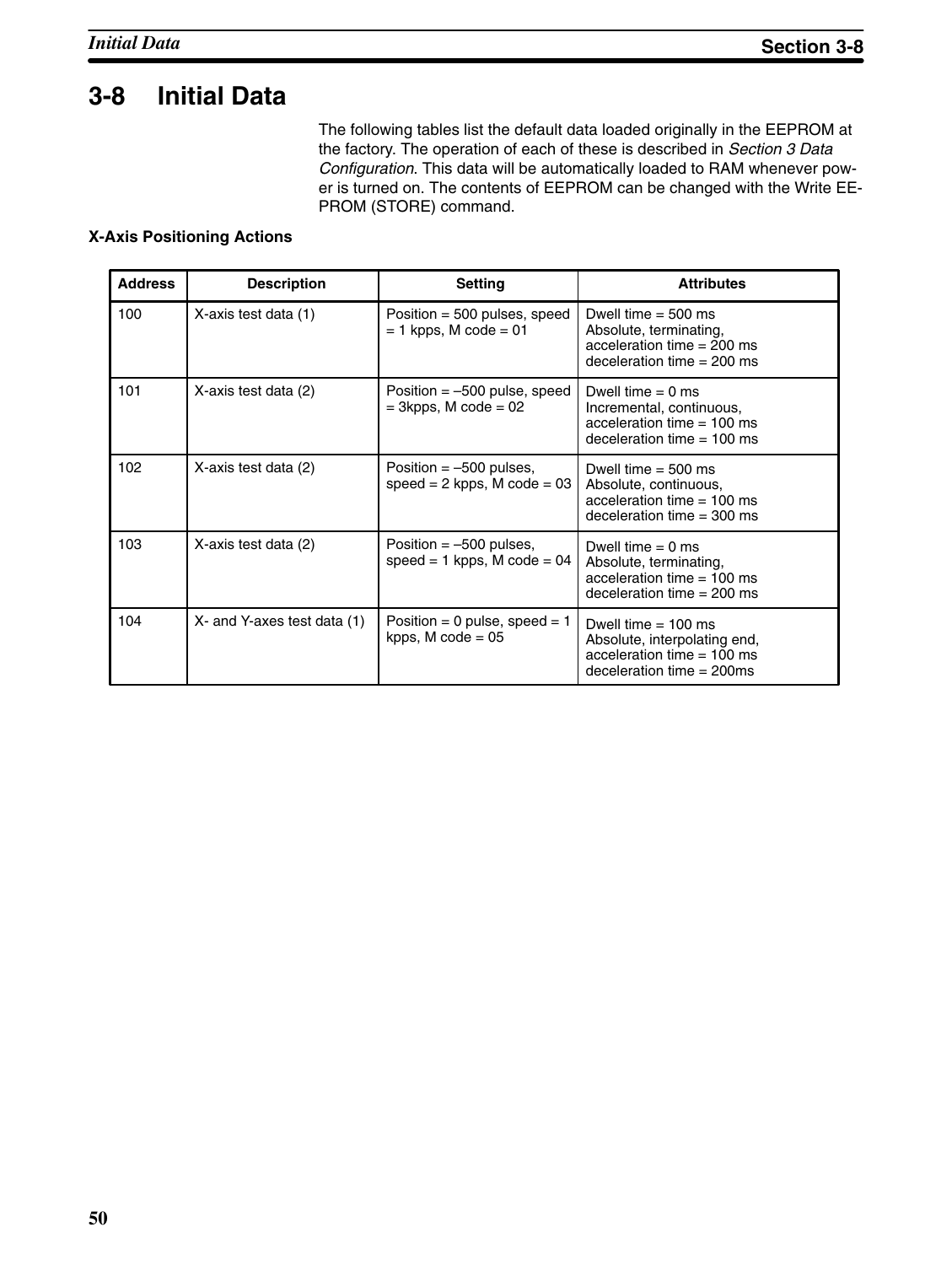# **3-8 Initial Data**

The following tables list the default data loaded originally in the EEPROM at the factory. The operation of each of these is described in *Section 3 Data Configuration*. This data will be automatically loaded to RAM whenever power is turned on. The contents of EEPROM can be changed with the Write EE-PROM (STORE) command.

## **X-Axis Positioning Actions**

| <b>Address</b> | <b>Description</b>          | <b>Setting</b>                                                 | <b>Attributes</b>                                                                                                    |
|----------------|-----------------------------|----------------------------------------------------------------|----------------------------------------------------------------------------------------------------------------------|
| 100            | X-axis test data (1)        | Position = $500$ pulses, speed<br>$= 1$ kpps, M code $= 01$    | Dwell time $=$ 500 ms<br>Absolute, terminating,<br>acceleration time $= 200$ ms<br>deceleration time $= 200$ ms      |
| 101            | X-axis test data (2)        | Position $=$ -500 pulse, speed<br>$=$ 3kpps, M code $=$ 02     | Dwell time $= 0$ ms<br>Incremental, continuous,<br>acceleration time $= 100$ ms<br>deceleration time $= 100$ ms      |
| 102            | X-axis test data (2)        | Position $=$ -500 pulses,<br>$speed = 2 kpps$ , M $code = 03$  | Dwell time $=$ 500 ms<br>Absolute, continuous,<br>acceleration time $= 100$ ms<br>deceleration time $=$ 300 ms       |
| 103            | X-axis test data (2)        | Position $=$ -500 pulses,<br>speed = $1$ kpps, M code = 04     | Dwell time $= 0$ ms<br>Absolute, terminating,<br>acceleration time $= 100$ ms<br>deceleration time $= 200$ ms        |
| 104            | X- and Y-axes test data (1) | Position = 0 pulse, speed = $1$<br>kpps, $M \text{ code} = 05$ | Dwell time $= 100$ ms<br>Absolute, interpolating end,<br>acceleration time $= 100$ ms<br>deceleration time $=$ 200ms |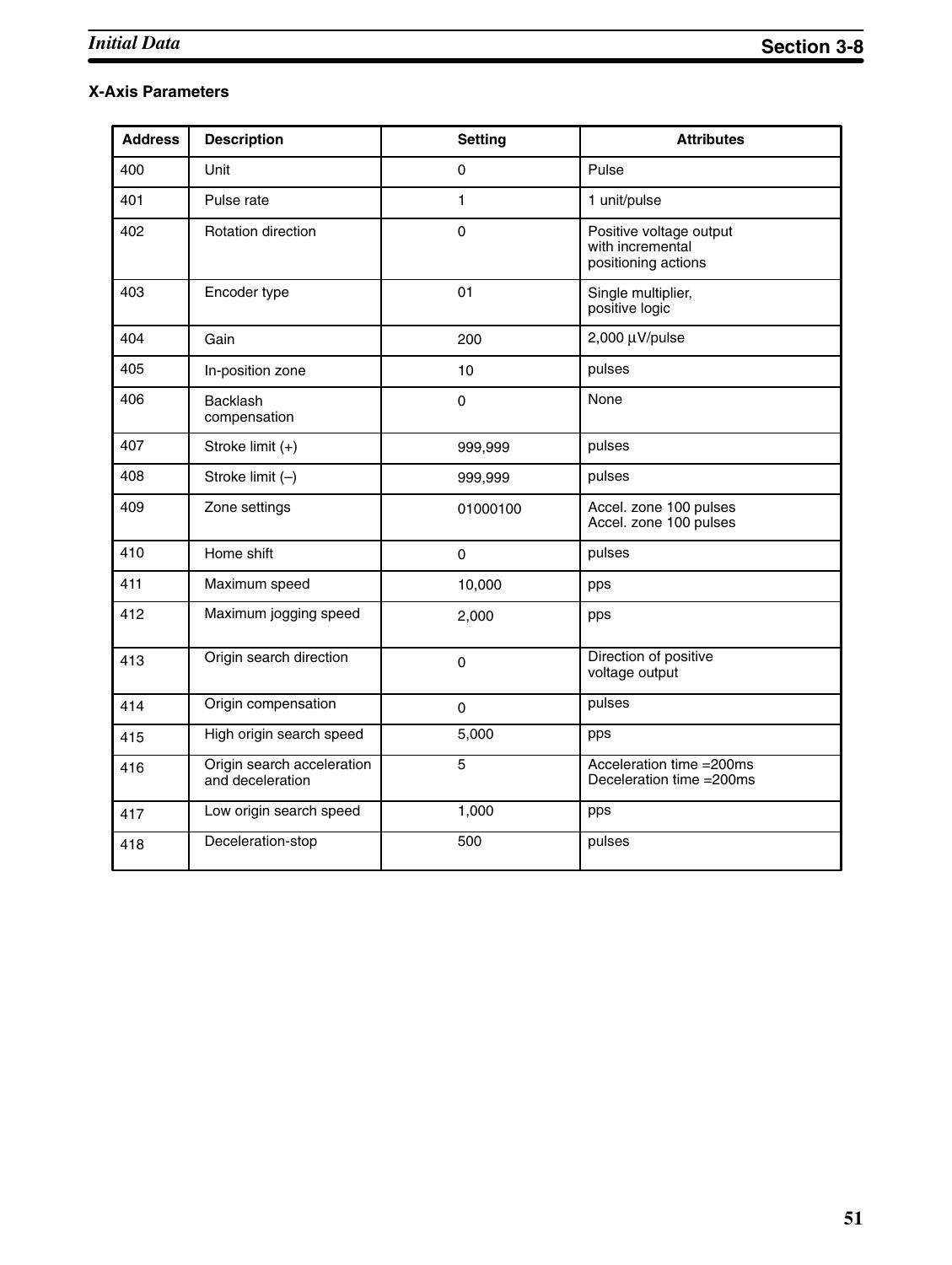## **X-Axis Parameters**

| <b>Address</b> | <b>Description</b>                             | <b>Setting</b> | <b>Attributes</b>                                                  |
|----------------|------------------------------------------------|----------------|--------------------------------------------------------------------|
| 400            | Unit                                           | 0              | Pulse                                                              |
| 401            | Pulse rate                                     | 1              | 1 unit/pulse                                                       |
| 402            | Rotation direction                             | 0              | Positive voltage output<br>with incremental<br>positioning actions |
| 403            | Encoder type                                   | 01             | Single multiplier,<br>positive logic                               |
| 404            | Gain                                           | 200            | 2,000 µV/pulse                                                     |
| 405            | In-position zone                               | 10             | pulses                                                             |
| 406            | <b>Backlash</b><br>compensation                | 0              | None                                                               |
| 407            | Stroke limit (+)                               | 999,999        | pulses                                                             |
| 408            | Stroke limit $(-)$                             | 999,999        | pulses                                                             |
| 409            | Zone settings                                  | 01000100       | Accel. zone 100 pulses<br>Accel. zone 100 pulses                   |
| 410            | Home shift                                     | $\mathbf 0$    | pulses                                                             |
| 411            | Maximum speed                                  | 10,000         | pps                                                                |
| 412            | Maximum jogging speed                          | 2,000          | pps                                                                |
| 413            | Origin search direction                        | $\mathsf 0$    | Direction of positive<br>voltage output                            |
| 414            | Origin compensation                            | 0              | pulses                                                             |
| 415            | High origin search speed                       | 5,000          | pps                                                                |
| 416            | Origin search acceleration<br>and deceleration | 5              | Acceleration time = 200ms<br>Deceleration time = 200ms             |
| 417            | Low origin search speed                        | 1,000          | pps                                                                |
| 418            | Deceleration-stop                              | 500            | pulses                                                             |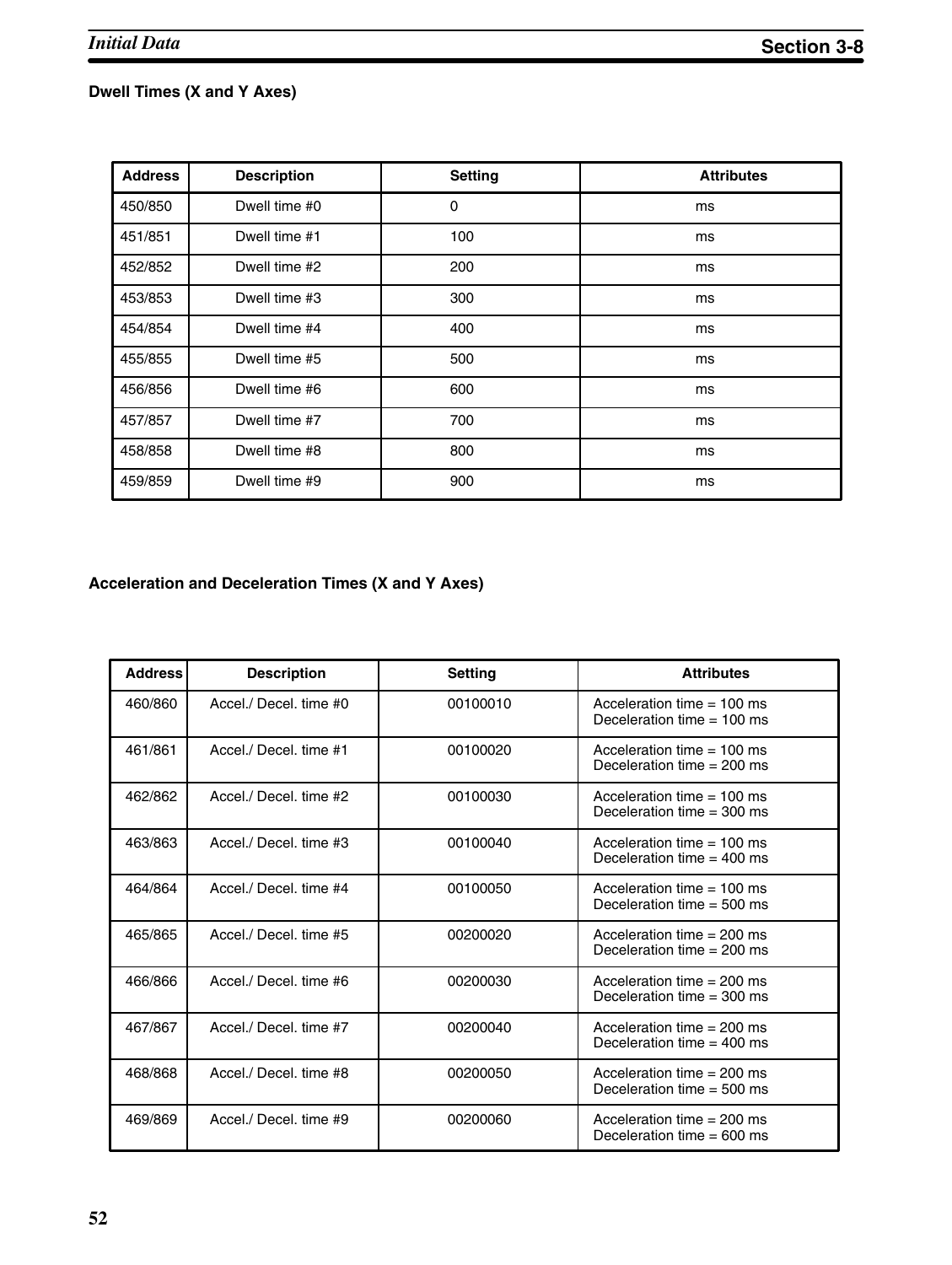## **Dwell Times (X and Y Axes)**

| <b>Address</b> | <b>Description</b> | <b>Setting</b> | <b>Attributes</b> |
|----------------|--------------------|----------------|-------------------|
| 450/850        | Dwell time #0      | 0              | ms                |
| 451/851        | Dwell time #1      | 100            | ms                |
| 452/852        | Dwell time #2      | 200            | ms                |
| 453/853        | Dwell time #3      | 300            | ms                |
| 454/854        | Dwell time #4      | 400            | ms                |
| 455/855        | Dwell time #5      | 500            | ms                |
| 456/856        | Dwell time #6      | 600            | ms                |
| 457/857        | Dwell time #7      | 700            | ms                |
| 458/858        | Dwell time #8      | 800            | ms                |
| 459/859        | Dwell time #9      | 900            | ms                |

## **Acceleration and Deceleration Times (X and Y Axes)**

| <b>Address</b> | <b>Description</b>     | <b>Setting</b> | <b>Attributes</b>                                            |
|----------------|------------------------|----------------|--------------------------------------------------------------|
| 460/860        | Accel./ Decel. time #0 | 00100010       | Acceleration time $= 100$ ms<br>Deceleration time $= 100$ ms |
| 461/861        | Accel./ Decel. time #1 | 00100020       | Acceleration time $= 100$ ms<br>Deceleration time $= 200$ ms |
| 462/862        | Accel./ Decel. time #2 | 00100030       | Acceleration time $= 100$ ms<br>Deceleration time $=$ 300 ms |
| 463/863        | Accel./ Decel. time #3 | 00100040       | Acceleration time $= 100$ ms<br>Deceleration time $=$ 400 ms |
| 464/864        | Accel./ Decel. time #4 | 00100050       | Acceleration time $= 100$ ms<br>Deceleration time $= 500$ ms |
| 465/865        | Accel./ Decel. time #5 | 00200020       | Acceleration time $= 200$ ms<br>Deceleration time $= 200$ ms |
| 466/866        | Accel./ Decel. time #6 | 00200030       | Acceleration time $= 200$ ms<br>Deceleration time $=$ 300 ms |
| 467/867        | Accel / Decel, time #7 | 00200040       | Acceleration time $= 200$ ms<br>Deceleration time $=$ 400 ms |
| 468/868        | Accel./ Decel. time #8 | 00200050       | Acceleration time $= 200$ ms<br>Deceleration time $= 500$ ms |
| 469/869        | Accel./ Decel. time #9 | 00200060       | Acceleration time $= 200$ ms<br>Deceleration time $= 600$ ms |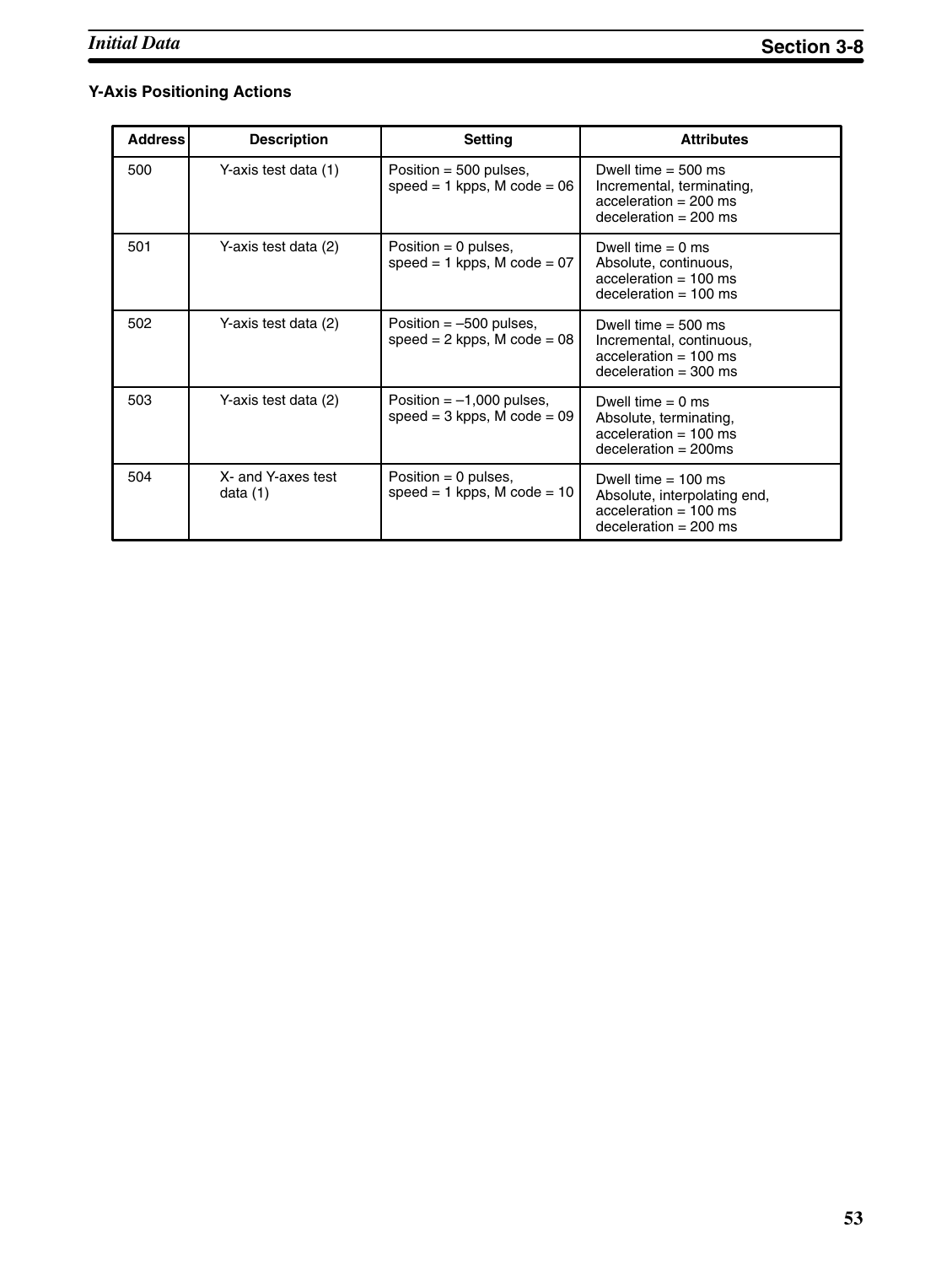## **Y-Axis Positioning Actions**

| <b>Address</b> | <b>Description</b>               | Setting                                                         | <b>Attributes</b>                                                                                           |
|----------------|----------------------------------|-----------------------------------------------------------------|-------------------------------------------------------------------------------------------------------------|
| 500            | Y-axis test data (1)             | Position = $500$ pulses,<br>$speed = 1 kpps$ , M $code = 06$    | Dwell time $= 500$ ms<br>Incremental, terminating,<br>$acceleration = 200$ ms<br>deceleration = $200$ ms    |
| 501            | Y-axis test data (2)             | Position = 0 pulses,<br>$speed = 1 kpps$ , M $code = 07$        | Dwell time $= 0$ ms<br>Absolute, continuous,<br>$acceleration = 100$ ms<br>$deceleration = 100$ ms          |
| 502            | Y-axis test data (2)             | Position $=$ -500 pulses,<br>$speed = 2 kpps$ , M $code = 08$   | Dwell time $= 500$ ms<br>Incremental, continuous,<br>$acceleration = 100$ ms<br>$deceleration = 300$ ms     |
| 503            | Y-axis test data (2)             | Position $= -1,000$ pulses,<br>$speed = 3 kpps$ , M $code = 09$ | Dwell time $= 0$ ms<br>Absolute, terminating,<br>$acceleration = 100$ ms<br>$deceleration = 200ms$          |
| 504            | X- and Y-axes test<br>data $(1)$ | Position $= 0$ pulses,<br>$speed = 1 kpps$ , M $code = 10$      | Dwell time $= 100$ ms<br>Absolute, interpolating end,<br>$acceleration = 100$ ms<br>$deceleration = 200$ ms |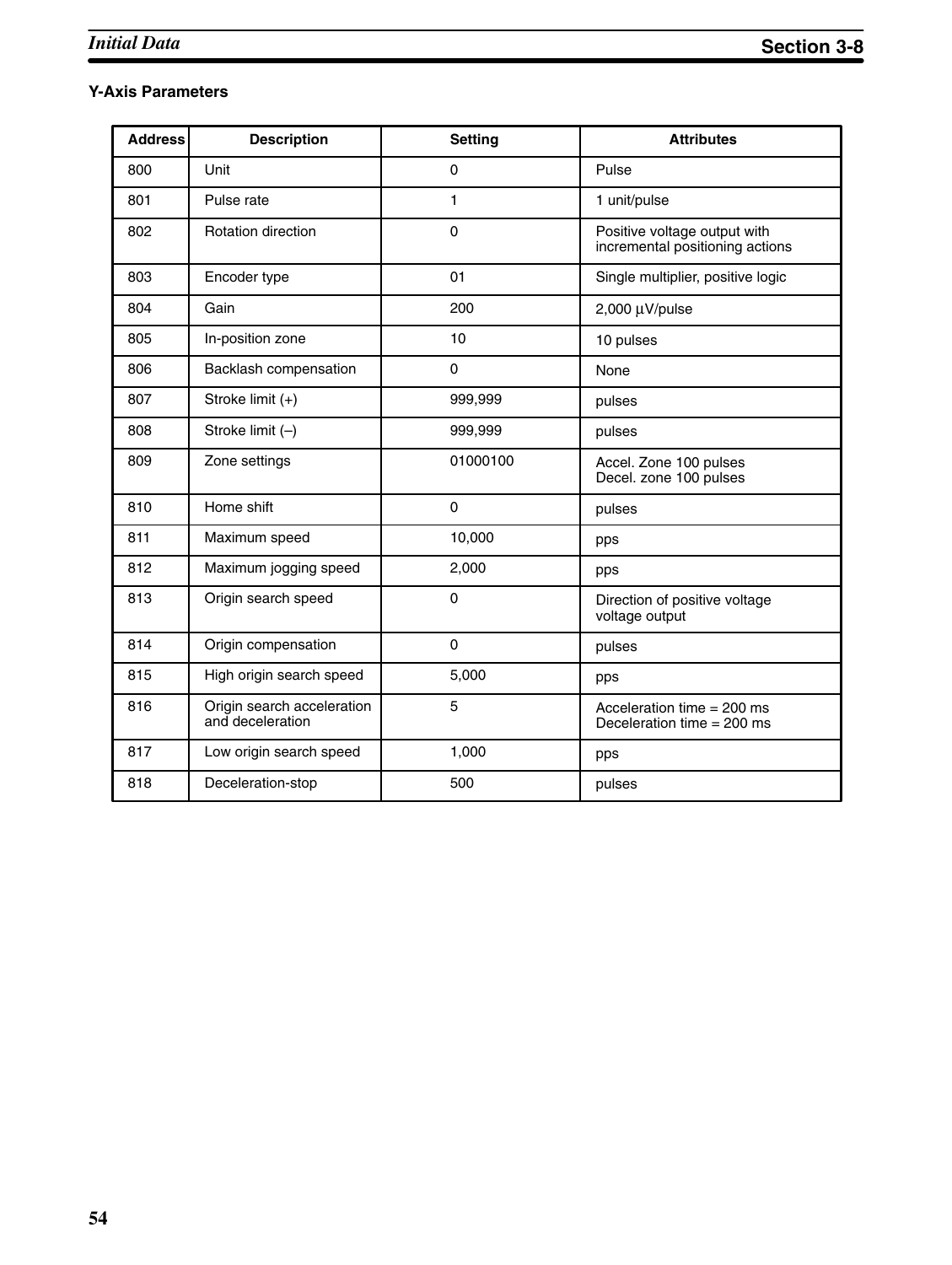## **Y-Axis Parameters**

| <b>Address</b> | <b>Description</b>                             | <b>Setting</b> | <b>Attributes</b>                                               |
|----------------|------------------------------------------------|----------------|-----------------------------------------------------------------|
| 800            | Unit                                           | 0              | Pulse                                                           |
| 801            | Pulse rate                                     | 1              | 1 unit/pulse                                                    |
| 802            | <b>Rotation direction</b>                      | 0              | Positive voltage output with<br>incremental positioning actions |
| 803            | Encoder type                                   | 01             | Single multiplier, positive logic                               |
| 804            | Gain                                           | 200            | $2,000 \mu V$ /pulse                                            |
| 805            | In-position zone                               | 10             | 10 pulses                                                       |
| 806            | Backlash compensation                          | $\Omega$       | None                                                            |
| 807            | Stroke limit (+)                               | 999,999        | pulses                                                          |
| 808            | Stroke limit (-)                               | 999,999        | pulses                                                          |
| 809            | Zone settings                                  | 01000100       | Accel. Zone 100 pulses<br>Decel. zone 100 pulses                |
| 810            | Home shift                                     | $\Omega$       | pulses                                                          |
| 811            | Maximum speed                                  | 10,000         | pps                                                             |
| 812            | Maximum jogging speed                          | 2,000          | pps                                                             |
| 813            | Origin search speed                            | $\mathbf 0$    | Direction of positive voltage<br>voltage output                 |
| 814            | Origin compensation                            | 0              | pulses                                                          |
| 815            | High origin search speed                       | 5,000          | pps                                                             |
| 816            | Origin search acceleration<br>and deceleration | 5              | Acceleration time $= 200$ ms<br>Deceleration time $= 200$ ms    |
| 817            | Low origin search speed                        | 1,000          | pps                                                             |
| 818            | Deceleration-stop                              | 500            | pulses                                                          |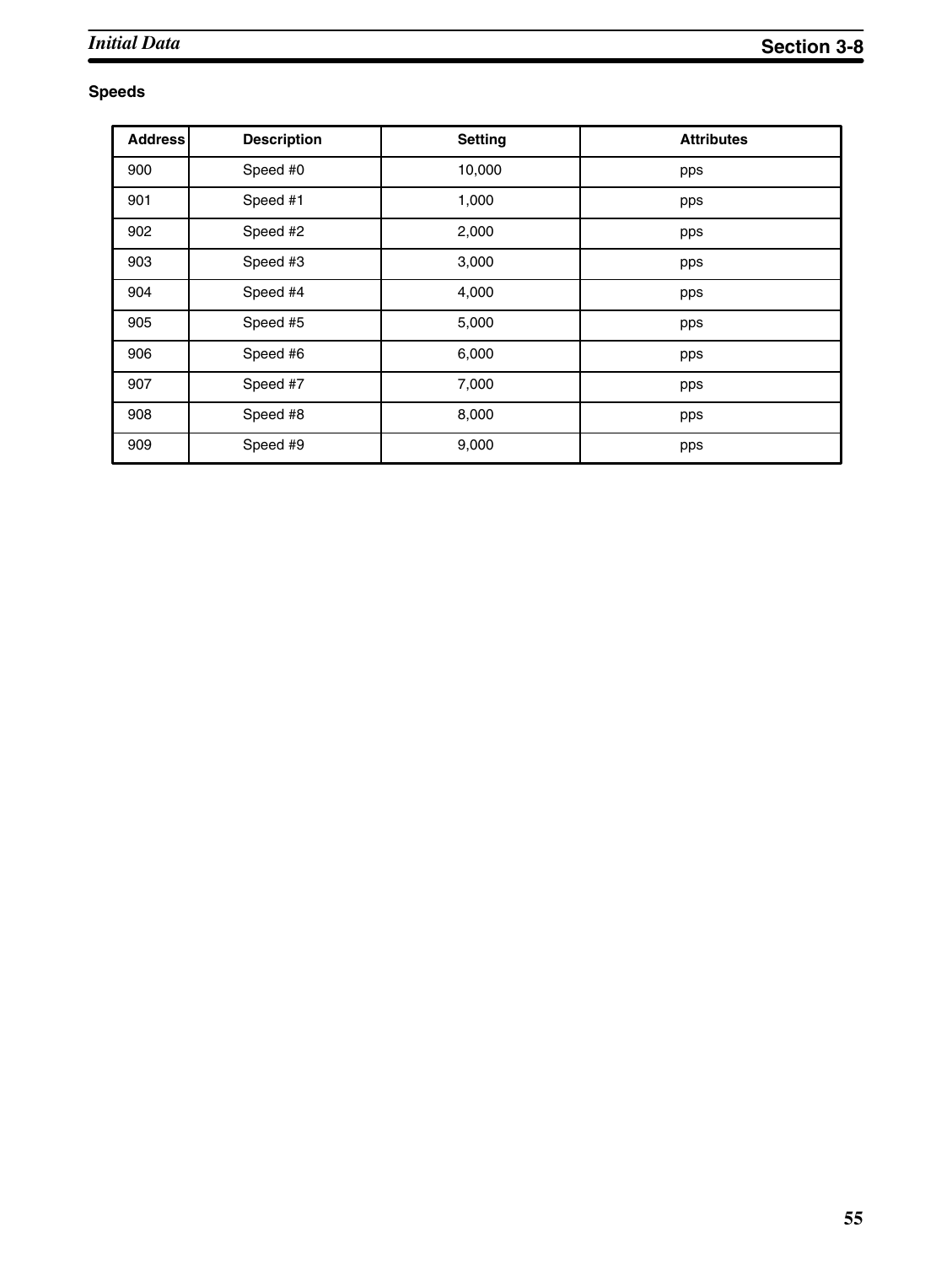## **Speeds**

| <b>Address</b> | <b>Description</b> | <b>Setting</b> | <b>Attributes</b> |
|----------------|--------------------|----------------|-------------------|
| 900            | Speed #0           | 10,000         | pps               |
| 901            | Speed #1           | 1,000          | pps               |
| 902            | Speed #2           | 2,000          | pps               |
| 903            | Speed #3           | 3,000          | pps               |
| 904            | Speed #4           | 4,000          | pps               |
| 905            | Speed #5           | 5,000          | pps               |
| 906            | Speed #6           | 6,000          | pps               |
| 907            | Speed #7           | 7,000          | pps               |
| 908            | Speed #8           | 8,000          | pps               |
| 909            | Speed #9           | 9,000          | pps               |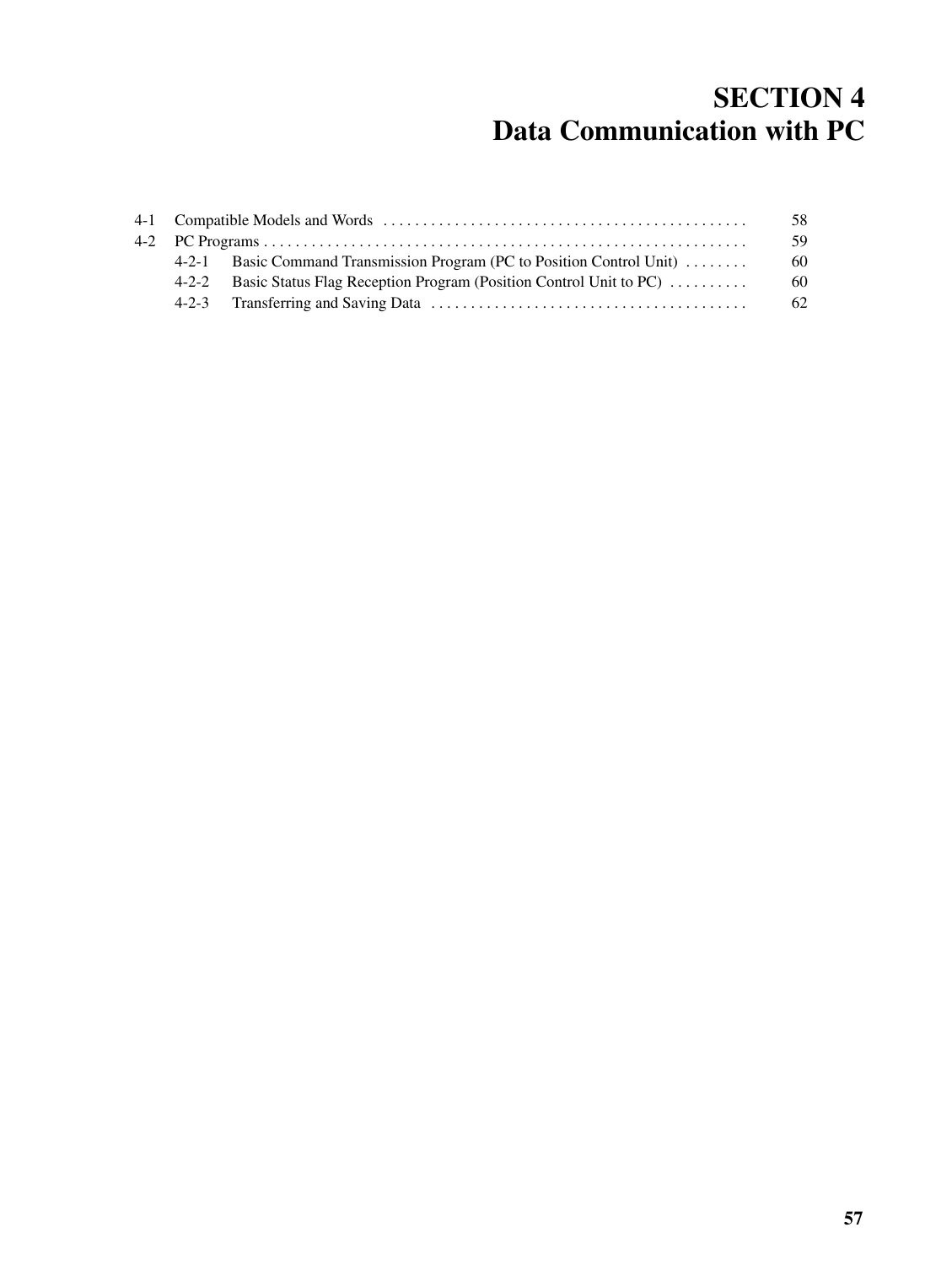# **SECTION 4 Data Communication with PC**

|  |                                                                         | 58 |
|--|-------------------------------------------------------------------------|----|
|  |                                                                         | 59 |
|  | 4-2-1 Basic Command Transmission Program (PC to Position Control Unit)  | 60 |
|  | 4-2-2 Basic Status Flag Reception Program (Position Control Unit to PC) | 60 |
|  |                                                                         | 62 |
|  |                                                                         |    |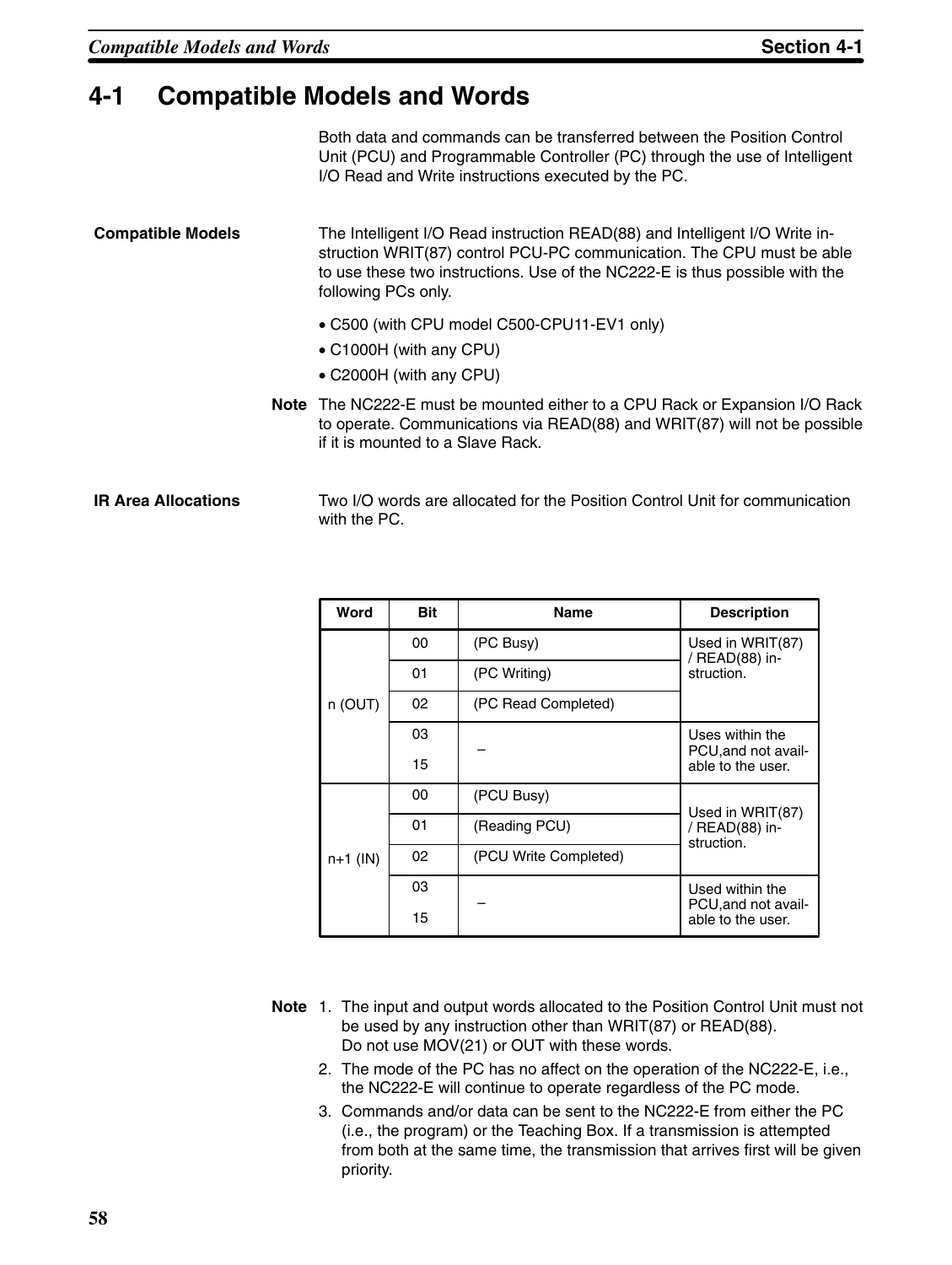# **4-1 Compatible Models and Words**

Both data and commands can be transferred between the Position Control Unit (PCU) and Programmable Controller (PC) through the use of Intelligent I/O Read and Write instructions executed by the PC.

The Intelligent I/O Read instruction READ(88) and Intelligent I/O Write instruction WRIT(87) control PCU-PC communication. The CPU must be able to use these two instructions. Use of the NC222-E is thus possible with the following PCs only. **Compatible Models**

- C500 (with CPU model C500-CPU11-EV1 only)
- C1000H (with any CPU)
- C2000H (with any CPU)
- **Note** The NC222-E must be mounted either to a CPU Rack or Expansion I/O Rack to operate. Communications via READ(88) and WRIT(87) will not be possible if it is mounted to a Slave Rack.

#### Two I/O words are allocated for the Position Control Unit for communication with the PC. **IR Area Allocations**

| Word                  | Bit | <b>Name</b>           | <b>Description</b>                     |  |
|-----------------------|-----|-----------------------|----------------------------------------|--|
|                       | 00  | (PC Busy)             | Used in WRIT(87)<br>/ READ(88) in-     |  |
| n (OUT)<br>$n+1$ (IN) | 01  | (PC Writing)          | struction.                             |  |
|                       | 02  | (PC Read Completed)   |                                        |  |
|                       | 03  |                       | Uses within the<br>PCU, and not avail- |  |
|                       | 15  |                       | able to the user.                      |  |
|                       | 00  | (PCU Busy)            | Used in WRIT(87)                       |  |
|                       | 01  | (Reading PCU)         | / READ(88) in-<br>struction.           |  |
|                       | 02  | (PCU Write Completed) |                                        |  |
|                       | 03  |                       | Used within the<br>PCU, and not avail- |  |
|                       | 15  |                       | able to the user.                      |  |

- **Note** 1. The input and output words allocated to the Position Control Unit must not be used by any instruction other than WRIT(87) or READ(88). Do not use MOV(21) or OUT with these words.
	- 2. The mode of the PC has no affect on the operation of the NC222-E, i.e., the NC222-E will continue to operate regardless of the PC mode.
	- 3. Commands and/or data can be sent to the NC222-E from either the PC (i.e., the program) or the Teaching Box. If a transmission is attempted from both at the same time, the transmission that arrives first will be given priority.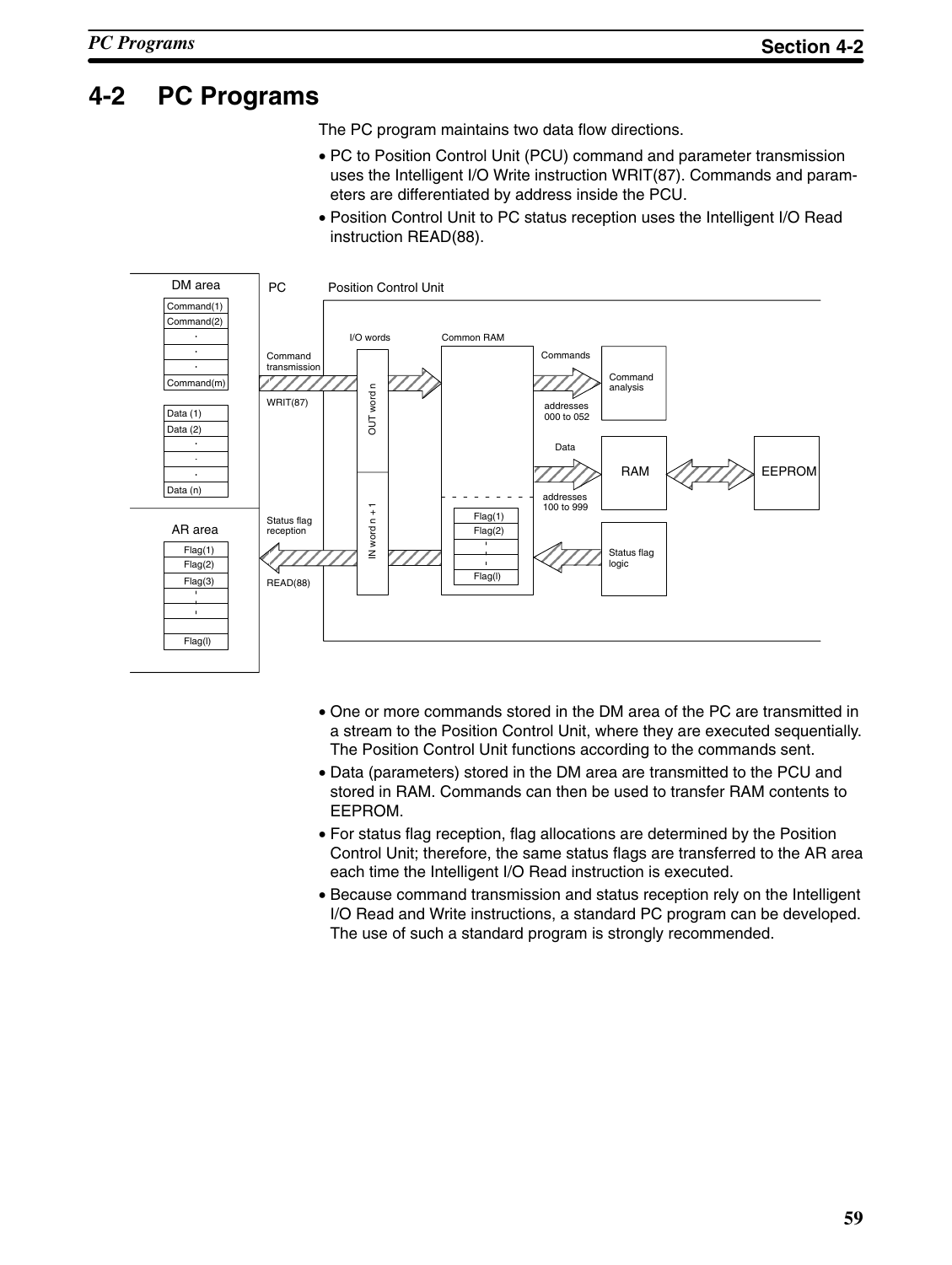# **4-2 PC Programs**

The PC program maintains two data flow directions.

- PC to Position Control Unit (PCU) command and parameter transmission uses the Intelligent I/O Write instruction WRIT(87). Commands and parameters are differentiated by address inside the PCU.
- Position Control Unit to PC status reception uses the Intelligent I/O Read instruction READ(88).



- One or more commands stored in the DM area of the PC are transmitted in a stream to the Position Control Unit, where they are executed sequentially. The Position Control Unit functions according to the commands sent.
- Data (parameters) stored in the DM area are transmitted to the PCU and stored in RAM. Commands can then be used to transfer RAM contents to EEPROM.
- For status flag reception, flag allocations are determined by the Position Control Unit; therefore, the same status flags are transferred to the AR area each time the Intelligent I/O Read instruction is executed.
- Because command transmission and status reception rely on the Intelligent I/O Read and Write instructions, a standard PC program can be developed. The use of such a standard program is strongly recommended.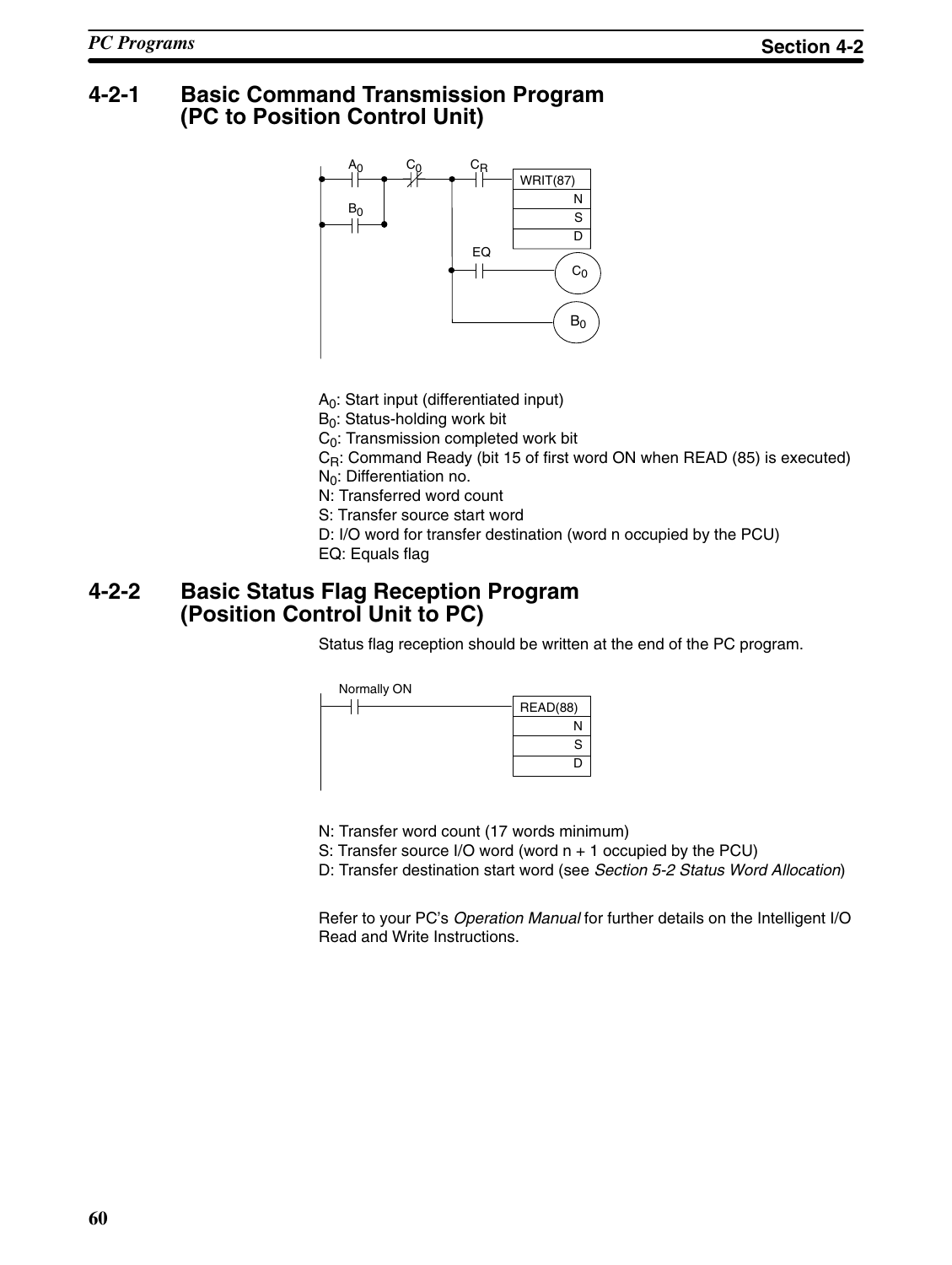## **4-2-1 Basic Command Transmission Program (PC to Position Control Unit)**



A0: Start input (differentiated input)

 $B_0$ : Status-holding work bit

 $C_0$ : Transmission completed work bit

C<sub>R</sub>: Command Ready (bit 15 of first word ON when READ (85) is executed)

 $N_0$ : Differentiation no.

N: Transferred word count

S: Transfer source start word

D: I/O word for transfer destination (word n occupied by the PCU)

EQ: Equals flag

## **4-2-2 Basic Status Flag Reception Program (Position Control Unit to PC)**

Status flag reception should be written at the end of the PC program.



N: Transfer word count (17 words minimum)

S: Transfer source I/O word (word n + 1 occupied by the PCU)

D: Transfer destination start word (see *Section 5-2 Status Word Allocation*)

Refer to your PC's *Operation Manual* for further details on the Intelligent I/O Read and Write Instructions.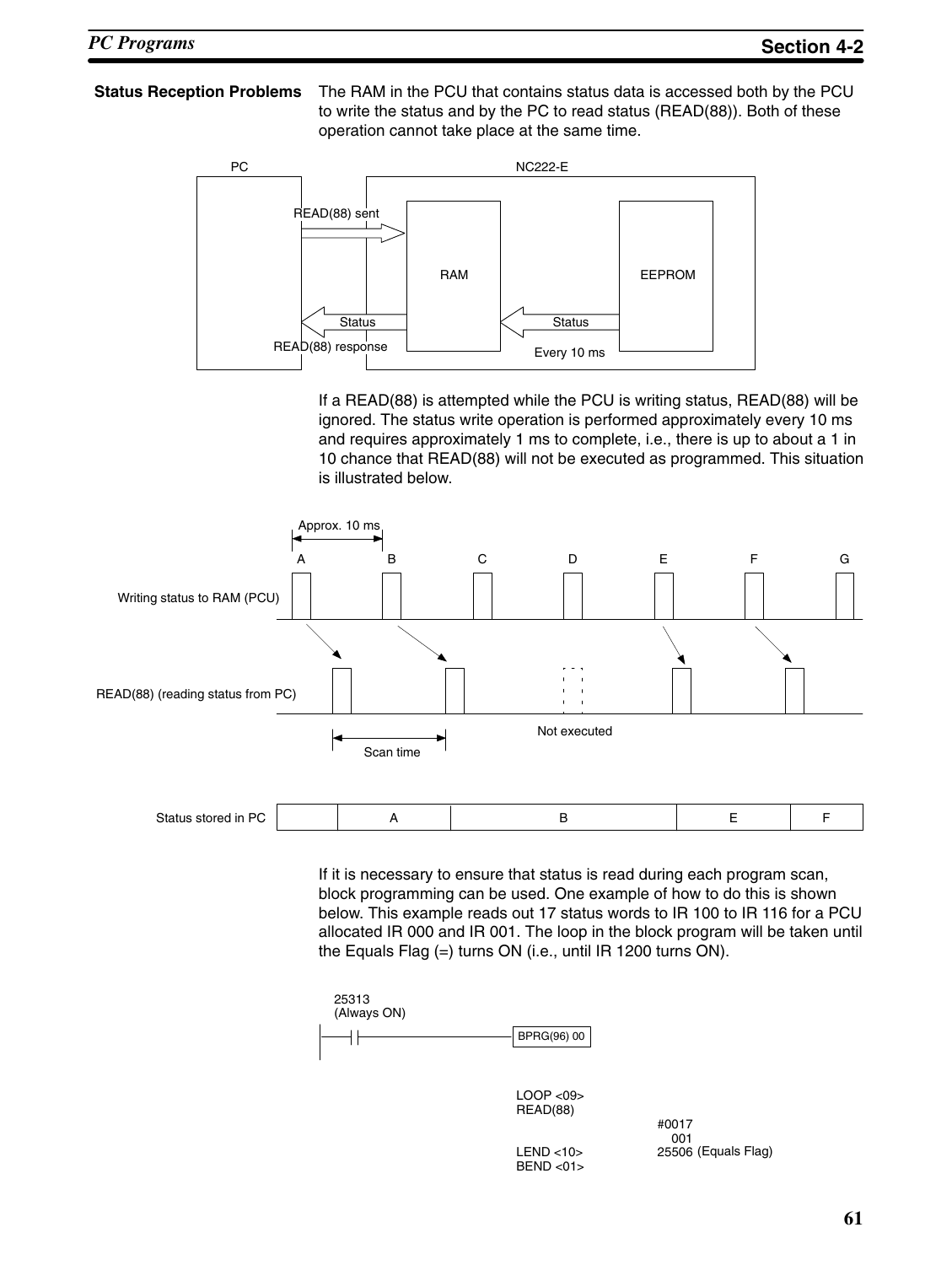## **Status Reception Problems** The RAM in the PCU that contains status data is accessed both by the PCU to write the status and by the PC to read status (READ(88)). Both of these operation cannot take place at the same time.



If a READ(88) is attempted while the PCU is writing status, READ(88) will be ignored. The status write operation is performed approximately every 10 ms and requires approximately 1 ms to complete, i.e., there is up to about a 1 in 10 chance that READ(88) will not be executed as programmed. This situation is illustrated below.



If it is necessary to ensure that status is read during each program scan, block programming can be used. One example of how to do this is shown below. This example reads out 17 status words to IR 100 to IR 116 for a PCU allocated IR 000 and IR 001. The loop in the block program will be taken until the Equals Flag (=) turns ON (i.e., until IR 1200 turns ON).



#0017 001 (Equals Flag)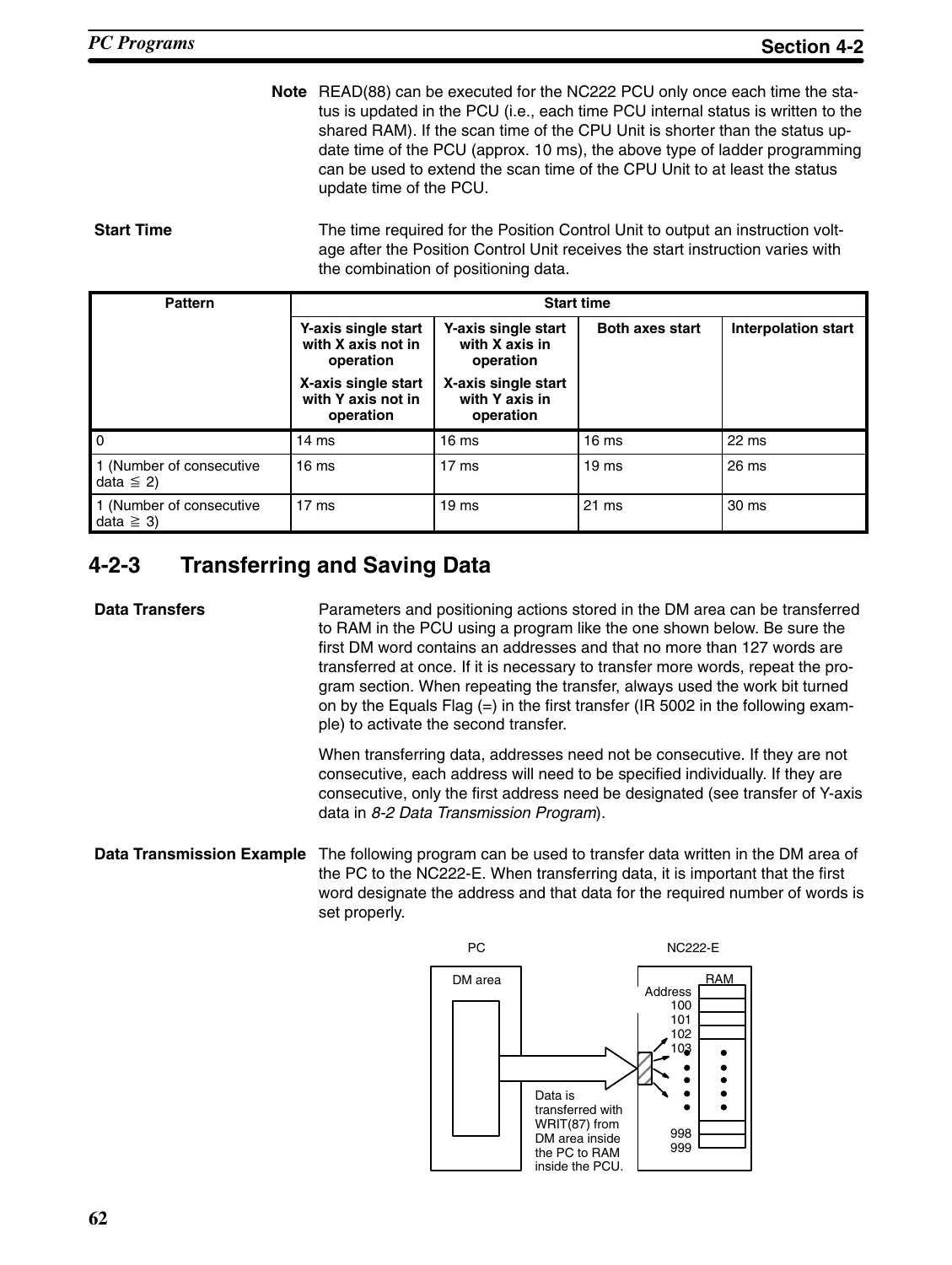**Note** READ(88) can be executed for the NC222 PCU only once each time the status is updated in the PCU (i.e., each time PCU internal status is written to the shared RAM). If the scan time of the CPU Unit is shorter than the status update time of the PCU (approx. 10 ms), the above type of ladder programming can be used to extend the scan time of the CPU Unit to at least the status update time of the PCU.

**Start Time** The time required for the Position Control Unit to output an instruction voltage after the Position Control Unit receives the start instruction varies with the combination of positioning data.

| <b>Pattern</b>                             | <b>Start time</b>                                      |                                                    |                        |                            |  |
|--------------------------------------------|--------------------------------------------------------|----------------------------------------------------|------------------------|----------------------------|--|
|                                            | Y-axis single start<br>with X axis not in<br>operation | Y-axis single start<br>with X axis in<br>operation | <b>Both axes start</b> | <b>Interpolation start</b> |  |
|                                            | X-axis single start<br>with Y axis not in<br>operation | X-axis single start<br>with Y axis in<br>operation |                        |                            |  |
| l o                                        | 14 <sub>ms</sub>                                       | 16 <sub>ms</sub>                                   | 16 <sub>ms</sub>       | 22 ms                      |  |
| 1 (Number of consecutive<br>data $\leq$ 2) | 16 <sub>ms</sub>                                       | 17 <sub>ms</sub>                                   | 19 <sub>ms</sub>       | 26 ms                      |  |
| 1 (Number of consecutive<br>data $\geq$ 3) | 17 <sub>ms</sub>                                       | 19 <sub>ms</sub>                                   | 21 ms                  | 30 ms                      |  |

# **4-2-3 Transferring and Saving Data**

**Data Transfers Parameters and positioning actions stored in the DM area can be transferred** to RAM in the PCU using a program like the one shown below. Be sure the first DM word contains an addresses and that no more than 127 words are transferred at once. If it is necessary to transfer more words, repeat the program section. When repeating the transfer, always used the work bit turned on by the Equals Flag  $(=)$  in the first transfer (IR 5002 in the following example) to activate the second transfer.

> When transferring data, addresses need not be consecutive. If they are not consecutive, each address will need to be specified individually. If they are consecutive, only the first address need be designated (see transfer of Y-axis data in *8-2 Data Transmission Program*).

### **Data Transmission Example** The following program can be used to transfer data written in the DM area of the PC to the NC222-E. When transferring data, it is important that the first word designate the address and that data for the required number of words is set properly.

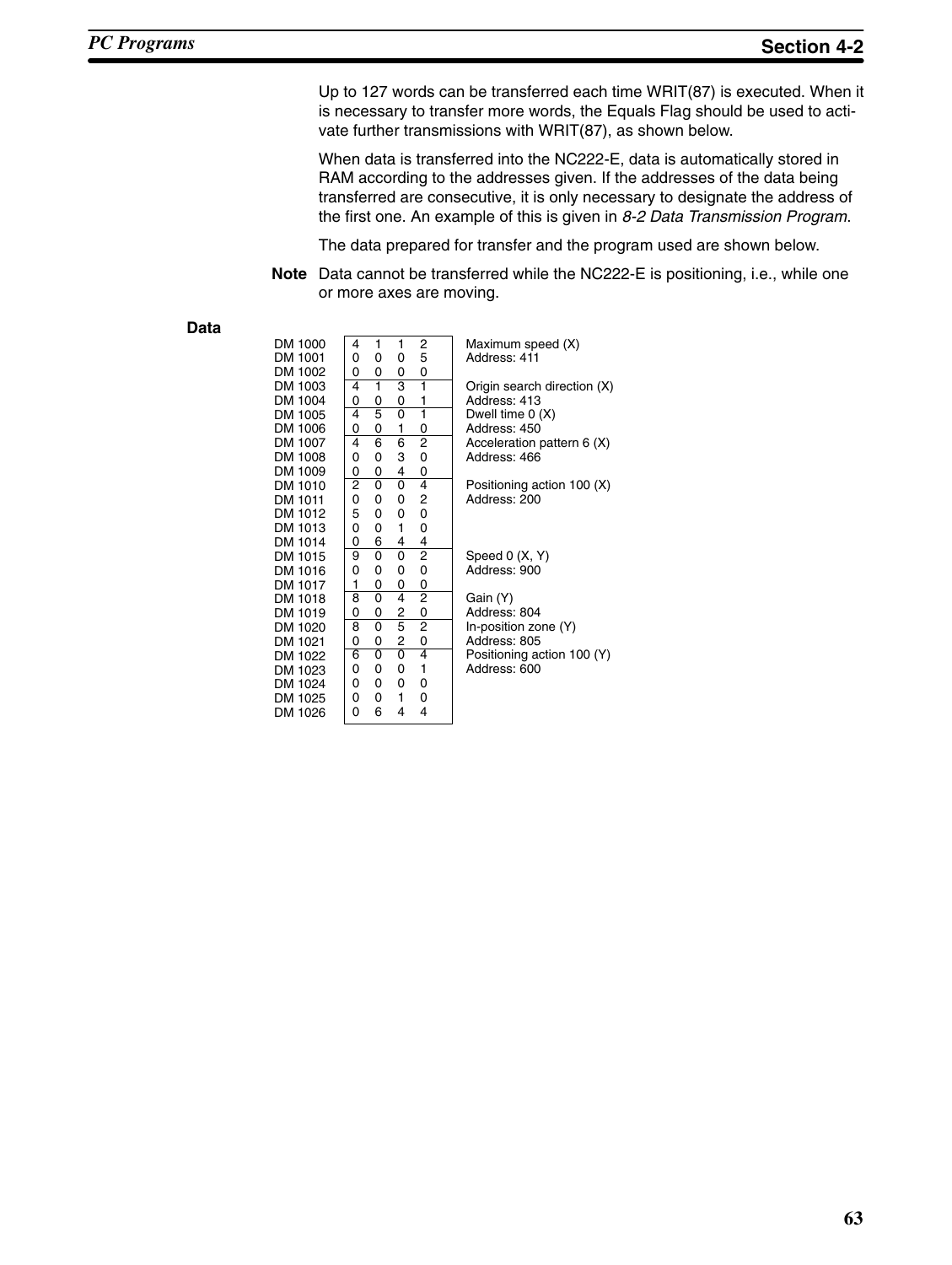Up to 127 words can be transferred each time WRIT(87) is executed. When it is necessary to transfer more words, the Equals Flag should be used to activate further transmissions with WRIT(87), as shown below.

When data is transferred into the NC222-E, data is automatically stored in RAM according to the addresses given. If the addresses of the data being transferred are consecutive, it is only necessary to designate the address of the first one. An example of this is given in *8-2 Data Transmission Program*.

The data prepared for transfer and the program used are shown below.

**Note** Data cannot be transferred while the NC222-E is positioning, i.e., while one or more axes are moving.

**Data**

| DM 1000 | 4      | 1                         | 1              | 2              | I              |
|---------|--------|---------------------------|----------------|----------------|----------------|
| DM 1001 | 0      | 0                         | 0              | 5              | I              |
| DM 1002 | 0      | 0                         | 0              | 0              |                |
| DM 1003 | 4      | ī                         | 3              | ī              | Ó              |
| DM 1004 | 0      | 0                         | 0              | 1              | ı              |
| DM 1005 | 4      | 5                         | $\overline{0}$ | ī              | I              |
| DM 1006 | 0      | 0                         | 1              | 0              | $\overline{1}$ |
| DM 1007 | 4      | 6                         | 6              | 2              | י<br>י         |
| DM 1008 | 0      | 0                         | 3              | 0              |                |
| DM 1009 | 0      | 0                         | 4              | 0              |                |
| DM 1010 | 2<br>0 | 0                         | 0              | 4              | I              |
| DM 1011 |        | 0                         | 0              | 2              | í              |
| DM 1012 | 5      | 0                         | 0              | 0              |                |
| DM 1013 | 0      | 0                         | 1              | 0              |                |
| DM 1014 | 0      | 6                         | 4              | 4              |                |
| DM 1015 | 9      | 0                         | 0              | $\overline{c}$ | :<br>،         |
| DM 1016 | 0      | 0                         | 0              | 0              |                |
| DM 1017 | 1      | 0                         | 0              | 0              |                |
| DM 1018 | 8      | 0                         | 4              | $\overline{2}$ | (              |
| DM 1019 | 0      | 0                         | $\overline{2}$ | 0              |                |
| DM 1020 | 8      | 0                         | $\overline{5}$ | $\overline{2}$ | l              |
| DM 1021 | 0      | 0                         | $\overline{c}$ | 0              |                |
| DM 1022 | 6      | $\overline{\mathfrak{o}}$ | ō              | 4              | I              |
| DM 1023 | 0      | 0                         | 0              | 1              | $\overline{1}$ |
| DM 1024 | 0      | 0                         | 0              | 0              |                |
| DM 1025 | 0      | 0                         | 1              | 0              |                |
| DM 1026 | 0      | 6                         | 4              | 4              |                |
|         |        |                           |                |                |                |

Maximum speed (X) Address: 411 Origin search direction (X) Address: 413 Dwell time 0 (X) Address: 450 Acceleration pattern 6 (X) Address: 466 Positioning action 100 (X) Address: 200

Speed 0 (X, Y) Address: 900

Gain (Y) Address: 804 In-position zone (Y) Address: 805 Positioning action 100 (Y) Address: 600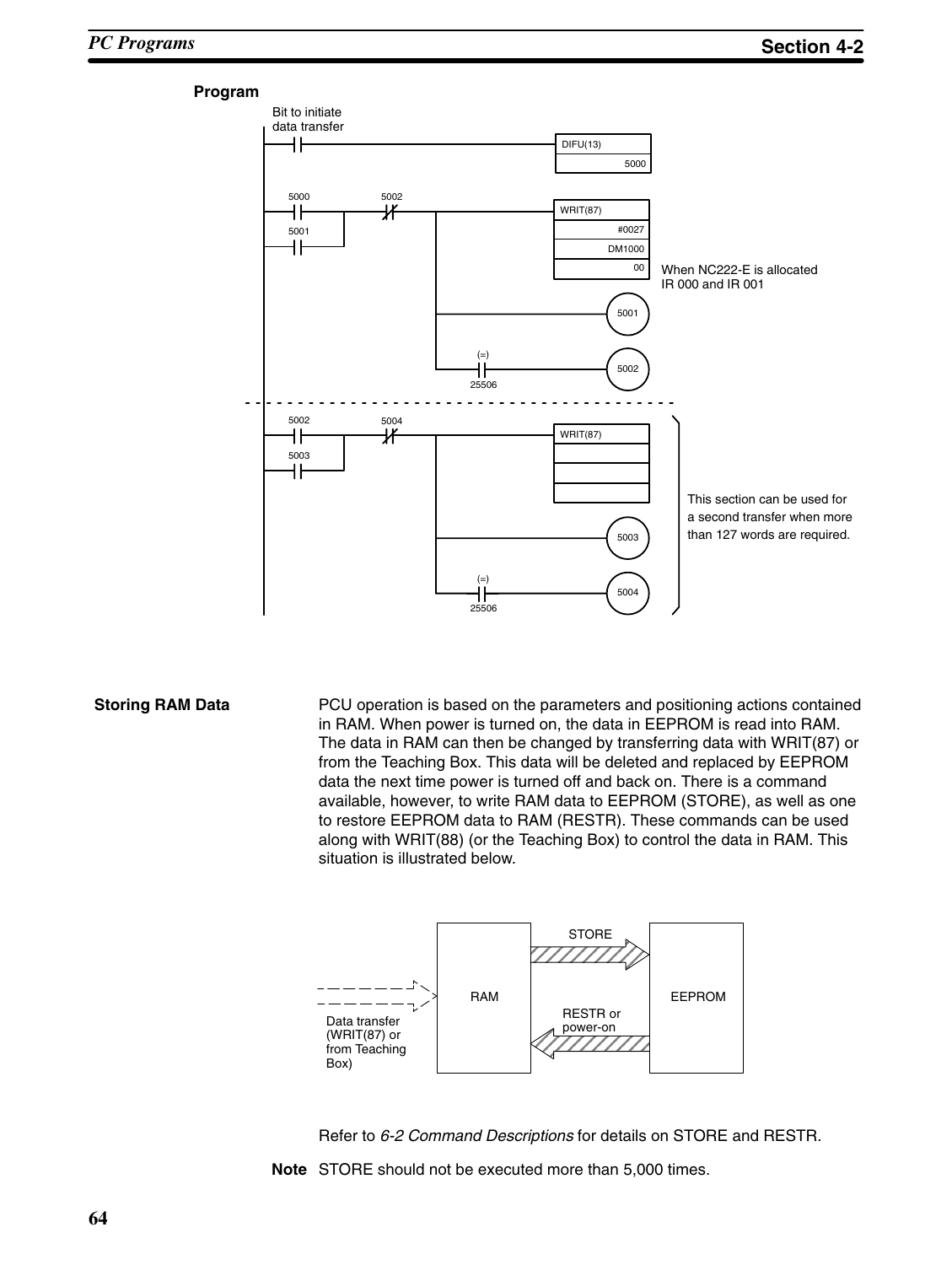#### **Program**



**Storing RAM Data PCU** operation is based on the parameters and positioning actions contained in RAM. When power is turned on, the data in EEPROM is read into RAM. The data in RAM can then be changed by transferring data with WRIT(87) or from the Teaching Box. This data will be deleted and replaced by EEPROM data the next time power is turned off and back on. There is a command available, however, to write RAM data to EEPROM (STORE), as well as one to restore EEPROM data to RAM (RESTR). These commands can be used along with WRIT(88) (or the Teaching Box) to control the data in RAM. This situation is illustrated below.





**Note** STORE should not be executed more than 5,000 times.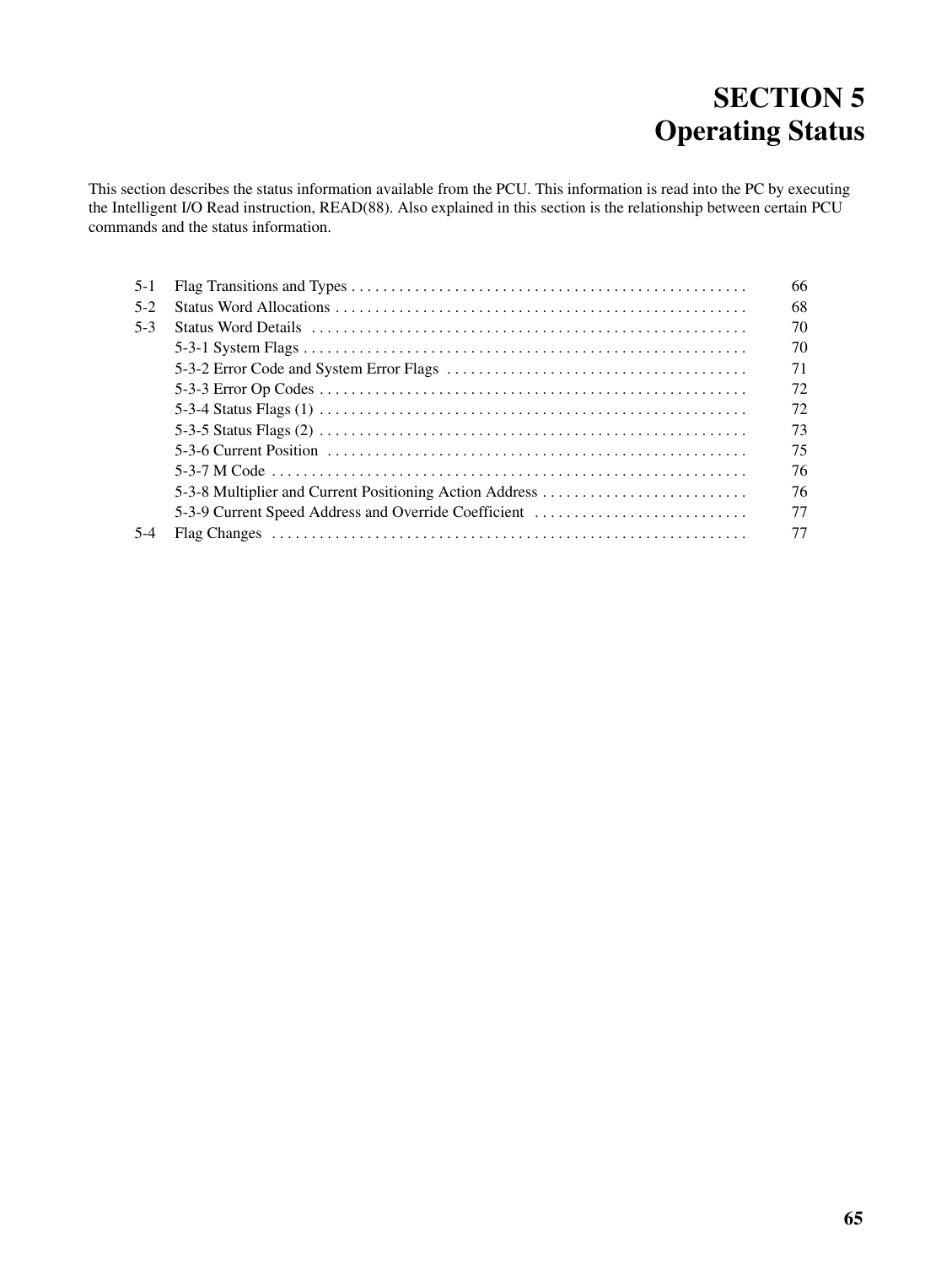# **SECTION 5 Operating Status**

This section describes the status information available from the PCU. This information is read into the PC by executing the Intelligent I/O Read instruction, READ(88). Also explained in this section is the relationship between certain PCU commands and the status information.

| $5 - 1$ |                                                         | 66 |
|---------|---------------------------------------------------------|----|
| $5-2$   |                                                         | 68 |
| $5-3$   |                                                         | 70 |
|         |                                                         | 70 |
|         |                                                         | 71 |
|         |                                                         | 72 |
|         |                                                         | 72 |
|         |                                                         | 73 |
|         |                                                         | 75 |
|         |                                                         | 76 |
|         | 5-3-8 Multiplier and Current Positioning Action Address | 76 |
|         | 5-3-9 Current Speed Address and Override Coefficient    | 77 |
| $5-4$   |                                                         | 77 |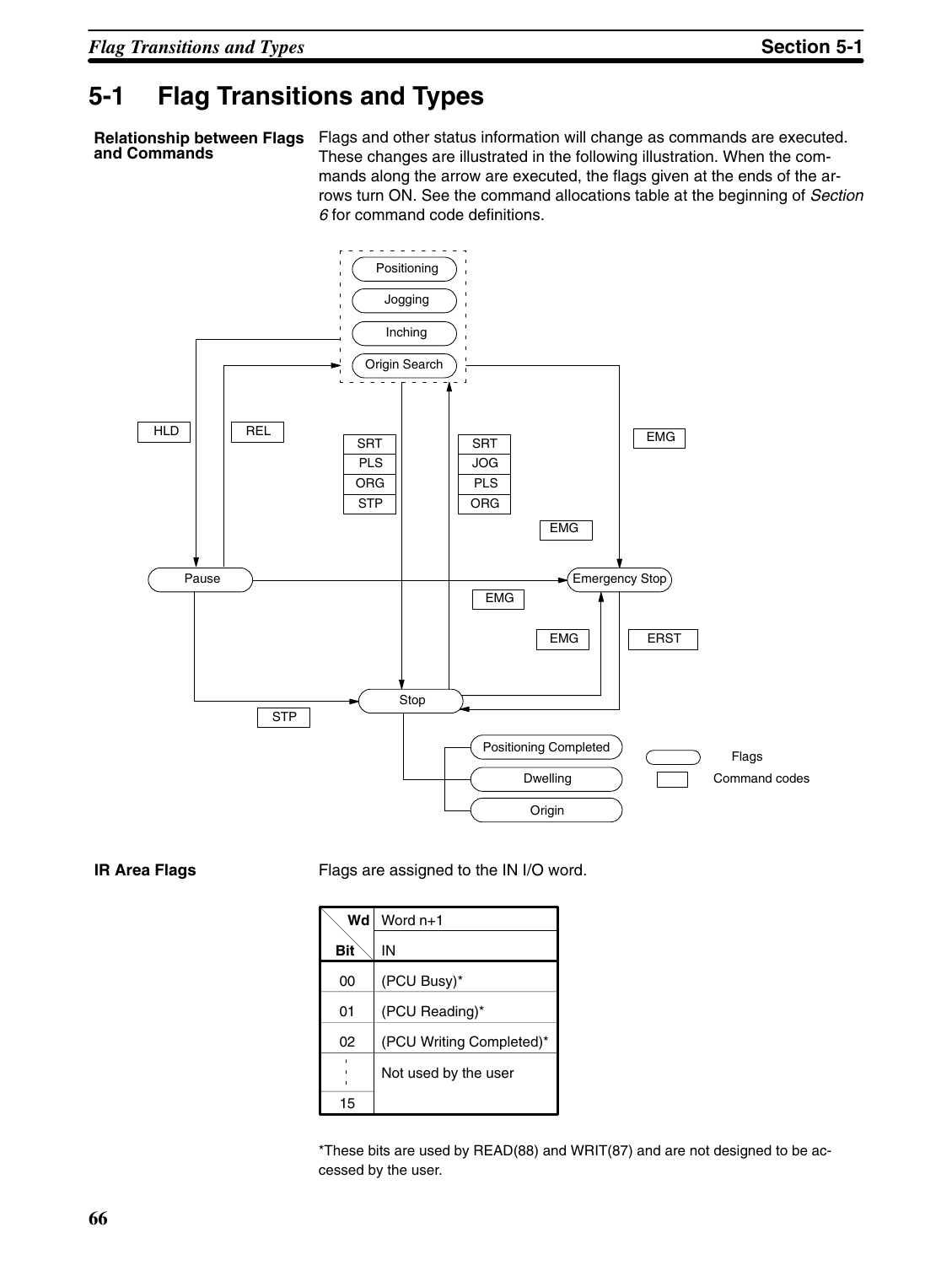# **5-1 Flag Transitions and Types**

**and Commands**

Relationship between Flags Flags and other status information will change as commands are executed. These changes are illustrated in the following illustration. When the commands along the arrow are executed, the flags given at the ends of the arrows turn ON. See the command allocations table at the beginning of *Section 6* for command code definitions.



**IR Area Flags** Flags are assigned to the IN I/O word.

| Wd  | Word $n+1$               |
|-----|--------------------------|
| Bit | IN                       |
| 00  | (PCU Busy)*              |
| 01  | (PCU Reading)*           |
| 02  | (PCU Writing Completed)* |
|     | Not used by the user     |
| 15  |                          |

\*These bits are used by READ(88) and WRIT(87) and are not designed to be accessed by the user.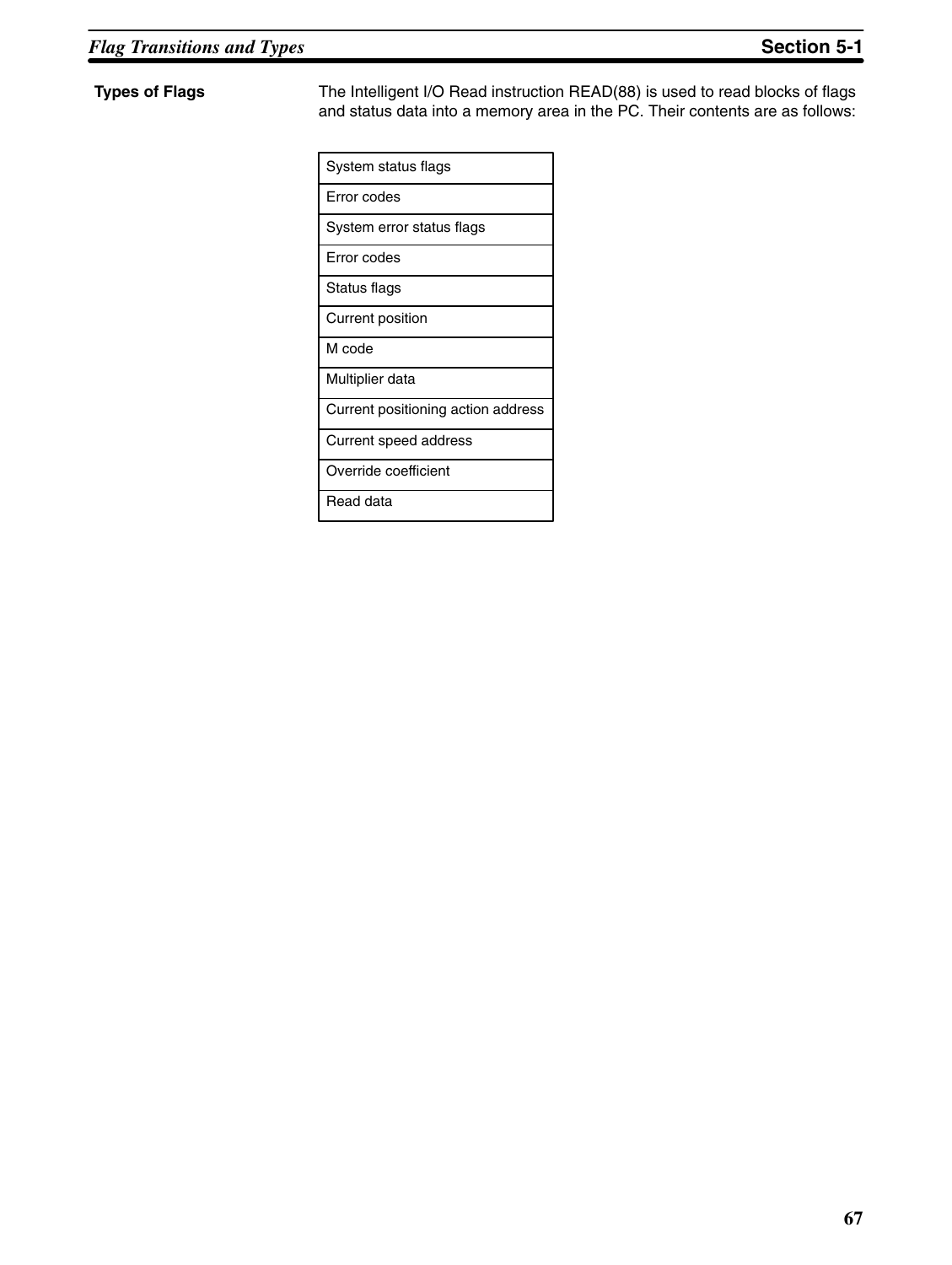**Types of Flags** The Intelligent I/O Read instruction READ(88) is used to read blocks of flags and status data into a memory area in the PC. Their contents are as follows:

| System status flags                |
|------------------------------------|
| Error codes                        |
| System error status flags          |
| Error codes                        |
| Status flags                       |
| Current position                   |
| M code                             |
| Multiplier data                    |
| Current positioning action address |
| Current speed address              |
| Override coefficient               |
| Read data                          |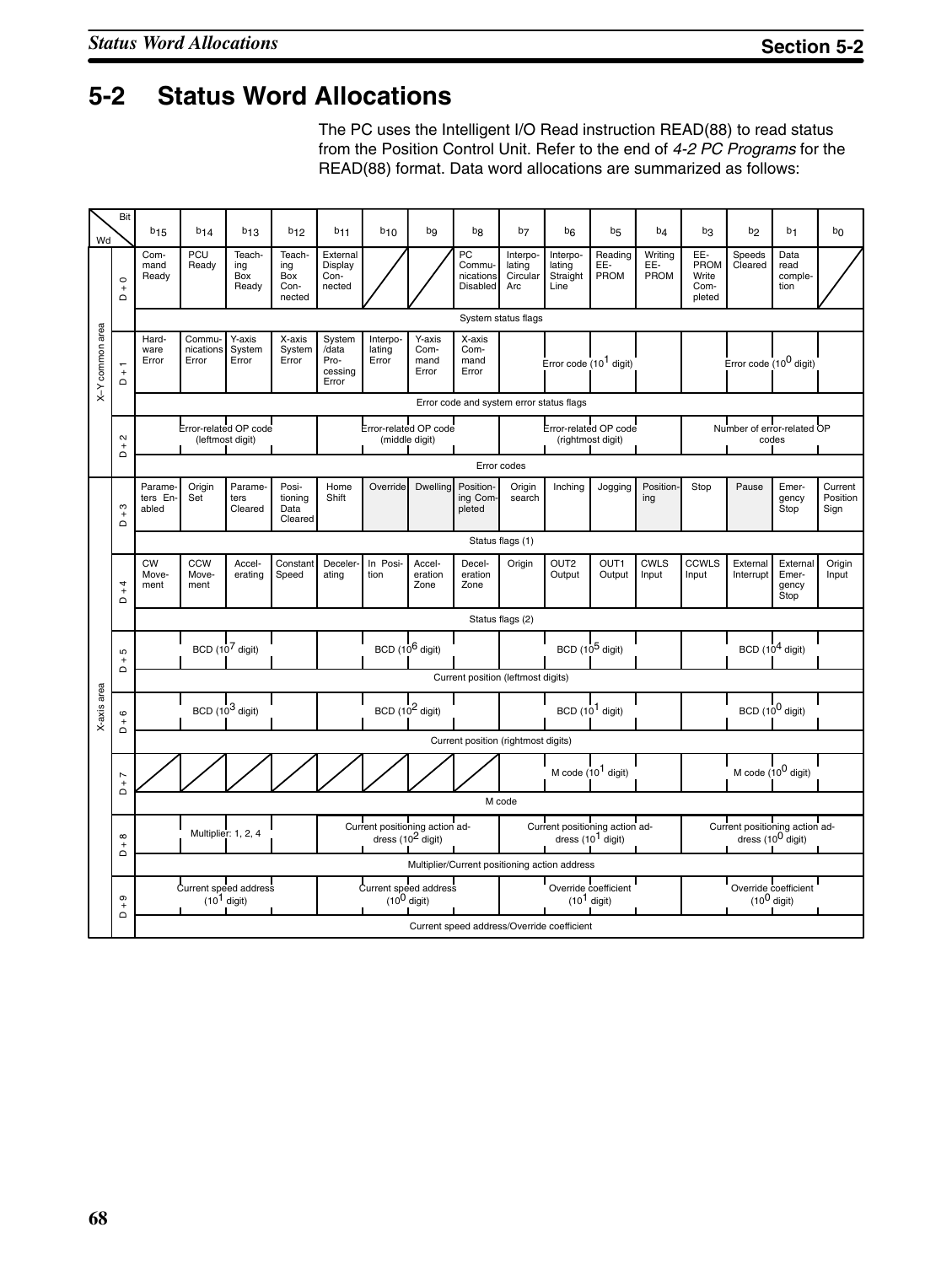# **5-2 Status Word Allocations**

The PC uses the Intelligent I/O Read instruction READ(88) to read status from the Position Control Unit. Refer to the end of *4-2 PC Programs* for the READ(88) format. Data word allocations are summarized as follows:

| Wd              | Bit                                                      | $b_{15}$                           | $b_{14}$                     | $b_{13}$                                  | <b>b</b> <sub>12</sub>                 | <b>b</b> <sub>11</sub>                      | $b_{10}$                                                  | bg                              | b <sub>8</sub>                        | b7                                    | b <sub>6</sub>                                        | b <sub>5</sub>             | b <sub>4</sub>         | bз                                     | b <sub>2</sub>                                                  | b <sub>1</sub>                     | bo                          |
|-----------------|----------------------------------------------------------|------------------------------------|------------------------------|-------------------------------------------|----------------------------------------|---------------------------------------------|-----------------------------------------------------------|---------------------------------|---------------------------------------|---------------------------------------|-------------------------------------------------------|----------------------------|------------------------|----------------------------------------|-----------------------------------------------------------------|------------------------------------|-----------------------------|
|                 | $\circ$<br>$\overline{a}^+$                              | Com-<br>mand<br>Ready              | PCU<br>Ready                 | Teach-<br>ing<br>Box<br>Ready             | Teach-<br>ing<br>Box<br>Con-<br>nected | External<br>Display<br>Con-<br>nected       |                                                           |                                 | PC<br>Commu-<br>nications<br>Disabled | Interpo-<br>lating<br>Circular<br>Arc | Interpo-<br>lating<br>Straight<br>Line                | Reading<br>EE-<br>PROM     | Writing<br>EE-<br>PROM | EE-<br>PROM<br>Write<br>Com-<br>pleted | Speeds<br>Cleared                                               | Data<br>read<br>comple-<br>tion    |                             |
|                 |                                                          |                                    |                              |                                           |                                        |                                             |                                                           |                                 |                                       | System status flags                   |                                                       |                            |                        |                                        |                                                                 |                                    |                             |
| X-Y common area | $\overline{\phantom{0}}$<br>$\overline{\mathsf{L}}$      | Hard-<br>ware<br>Error             | Commu-<br>nications<br>Error | Y-axis<br>System<br>Error                 | X-axis<br>System<br>Error              | System<br>/data<br>Pro-<br>cessing<br>Error | Interpo-<br>lating<br>Error                               | Y-axis<br>Com-<br>mand<br>Error | X-axis<br>Com-<br>mand<br>Error       |                                       | Error code (10 <sup>1</sup> digit)                    |                            |                        |                                        | Error code $(10^0$ digit)                                       |                                    |                             |
|                 | Error code and system error status flags                 |                                    |                              |                                           |                                        |                                             |                                                           |                                 |                                       |                                       |                                                       |                            |                        |                                        |                                                                 |                                    |                             |
|                 | $\sim$<br>$^{+}$<br>$\Omega$                             |                                    |                              | Error-related OP code<br>(leftmost digit) |                                        |                                             | Error-related OP code<br>(middle digit)                   |                                 |                                       |                                       | Error-related OP code<br>(rightmost digit)            |                            |                        |                                        | Number of error-related OP<br>codes                             |                                    |                             |
|                 |                                                          |                                    |                              |                                           |                                        |                                             |                                                           |                                 |                                       | Error codes                           |                                                       |                            |                        |                                        |                                                                 |                                    |                             |
|                 | ო<br>$\ddot{}$<br>$\Omega$                               | Parame-<br>ters En-<br>abled       | Origin<br>Set                | Parame-<br>ters<br>Cleared                | Posi-<br>tioning<br>Data<br>Cleared    | Home<br>Shift                               | Override                                                  | Dwelling                        | Position-<br>ing Com-<br>pleted       | Origin<br>search                      | Inching                                               | Jogging                    | Position-<br>ing       | Stop                                   | Pause                                                           | Emer-<br>gency<br>Stop             | Current<br>Position<br>Sign |
|                 |                                                          |                                    |                              |                                           |                                        |                                             |                                                           |                                 |                                       | Status flags (1)                      |                                                       |                            |                        |                                        |                                                                 |                                    |                             |
|                 | 4<br>$\overline{+}$<br>$\mathsf \Omega$                  | <b>CW</b><br>Move-<br>ment         | <b>CCW</b><br>Move-<br>ment  | Accel-<br>erating                         | Constant<br>Speed                      | <b>Deceler</b><br>ating                     | In Posi-<br>tion                                          | Accel-<br>eration<br>Zone       | Decel-<br>eration<br>Zone             | Origin                                | OUT <sub>2</sub><br>Output                            | OUT <sub>1</sub><br>Output | <b>CWLS</b><br>Input   | <b>CCWLS</b><br>Input                  | External<br>Interrupt                                           | External<br>Emer-<br>gency<br>Stop | Origin<br>Input             |
|                 |                                                          |                                    |                              |                                           |                                        |                                             |                                                           |                                 |                                       | Status flags (2)                      |                                                       |                            |                        |                                        |                                                                 |                                    |                             |
|                 | Б<br>$\begin{array}{c} + \end{array}$<br>$\Omega$        |                                    | BCD (10 <sup>7</sup> digit)  |                                           |                                        |                                             | BCD (10 <sup>6</sup> digit)                               |                                 |                                       |                                       | BCD (10 <sup>5</sup> digit)                           |                            |                        |                                        | BCD $(10^4$ digit)                                              |                                    |                             |
|                 |                                                          | Current position (leftmost digits) |                              |                                           |                                        |                                             |                                                           |                                 |                                       |                                       |                                                       |                            |                        |                                        |                                                                 |                                    |                             |
| X-axis area     | $\circ$<br>$\frac{1}{2}$<br>$\Omega$                     |                                    | BCD (10 <sup>3</sup> digit)  |                                           |                                        |                                             | BCD (10 <sup>2</sup> digit)                               |                                 |                                       |                                       | $BCD(101$ digit)                                      |                            |                        |                                        | BCD (10 <sup>0</sup> digit)                                     |                                    |                             |
|                 |                                                          |                                    |                              |                                           |                                        |                                             |                                                           |                                 | Current position (rightmost digits)   |                                       |                                                       |                            |                        |                                        |                                                                 |                                    |                             |
|                 | $\overline{ }$<br>$\! + \!$<br>$\Omega$                  |                                    |                              |                                           |                                        |                                             |                                                           |                                 |                                       |                                       | M code $(10^1$ digit)                                 |                            |                        |                                        | M code $(10^0$ digit)                                           |                                    |                             |
|                 |                                                          |                                    |                              |                                           |                                        |                                             |                                                           |                                 |                                       | M code                                |                                                       |                            |                        |                                        |                                                                 |                                    |                             |
|                 | $\infty$<br>$\ddot{}$<br>$\Omega$                        |                                    | Multiplier: 1, 2, 4          |                                           |                                        |                                             | Current positioning action address $(10^2 \text{ digit})$ |                                 |                                       |                                       | Current positioning action ad-<br>dress $(101$ digit) |                            |                        |                                        | Current positioning action ad-<br>dress (10 <sup>0</sup> digit) |                                    |                             |
|                 |                                                          |                                    |                              |                                           |                                        |                                             |                                                           |                                 |                                       |                                       | Multiplier/Current positioning action address         |                            |                        |                                        |                                                                 |                                    |                             |
|                 | $\sigma$<br>$\begin{array}{c} + \end{array}$<br>$\Omega$ |                                    | $(101$ digit)                | Current speed address                     |                                        |                                             | Current speed address<br>$(10^0$ digit)                   |                                 |                                       |                                       | Override coefficient<br>$(101$ digit)                 |                            |                        |                                        | Override coefficient<br>$(10^0$ digit)                          |                                    |                             |
|                 |                                                          |                                    |                              |                                           |                                        |                                             |                                                           |                                 |                                       |                                       | Current speed address/Override coefficient            |                            |                        |                                        |                                                                 |                                    |                             |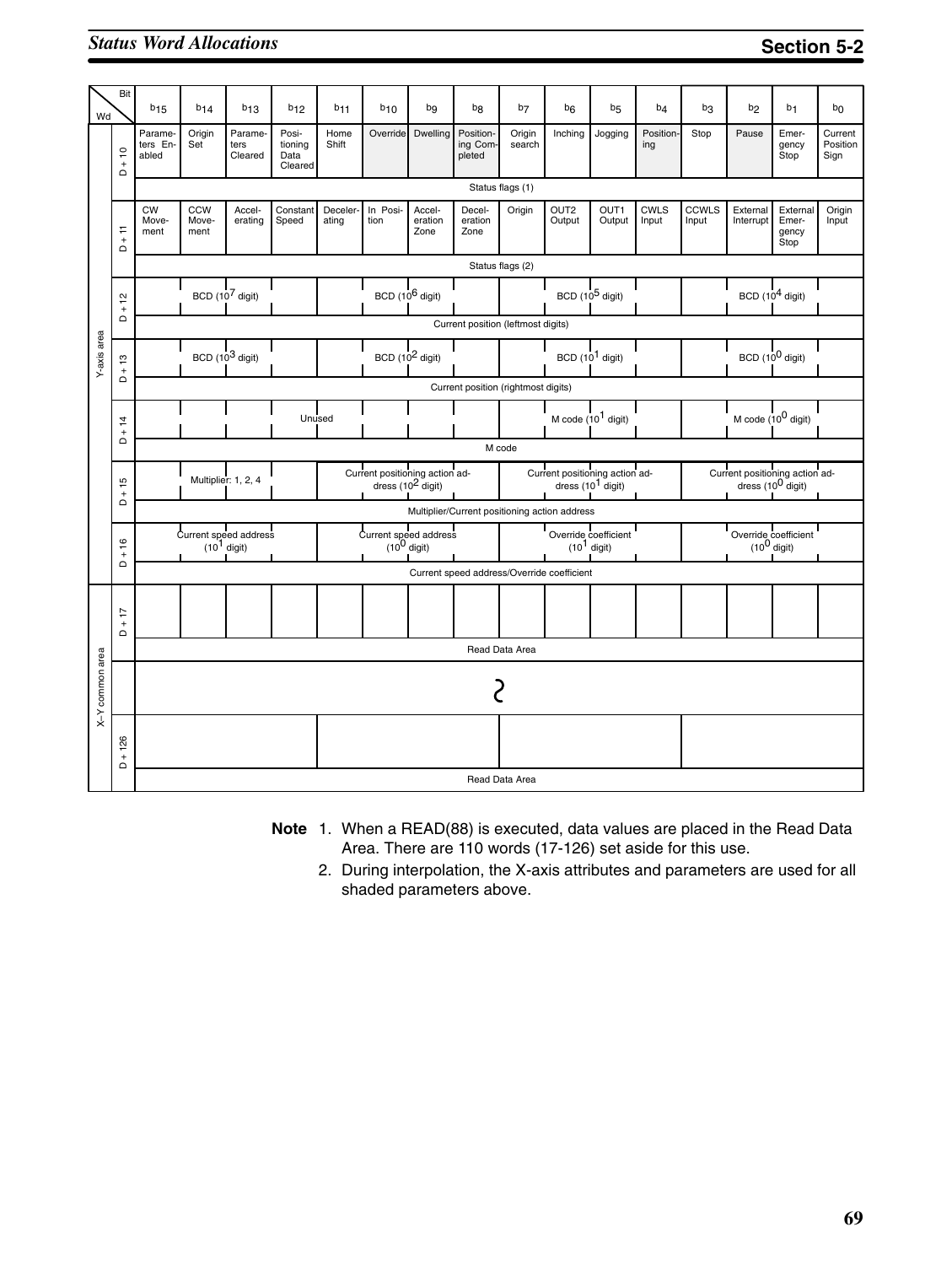## *Status Word Allocations* **Section 5-2**

| Wd              | Bit                                    | $b_{15}$                                      | $b_{14}$                            | $b_{13}$                               | $b_{12}$                            | <b>b</b> <sub>11</sub> | $b_{10}$                                               | bg                                         | b <sub>8</sub>                  | b <sub>7</sub>   | b <sub>6</sub>             | b <sub>5</sub>                                         | b <sub>4</sub>       | b3                    | b <sub>2</sub>        | b <sub>1</sub>                                             | bo                          |
|-----------------|----------------------------------------|-----------------------------------------------|-------------------------------------|----------------------------------------|-------------------------------------|------------------------|--------------------------------------------------------|--------------------------------------------|---------------------------------|------------------|----------------------------|--------------------------------------------------------|----------------------|-----------------------|-----------------------|------------------------------------------------------------|-----------------------------|
|                 | $\frac{1}{2}$<br>$\ddot{}$<br>$\Omega$ | Parame-<br>ters En-<br>abled                  | Origin<br>Set                       | Parame-<br>ters<br>Cleared             | Posi-<br>tioning<br>Data<br>Cleared | Home<br>Shift          | Override                                               | Dwelling                                   | Position-<br>ing Com-<br>pleted | Origin<br>search | Inching                    | Jogging                                                | Position-<br>ing     | Stop                  | Pause                 | Emer-<br>gency<br>Stop                                     | Current<br>Position<br>Sign |
|                 |                                        |                                               |                                     |                                        |                                     |                        |                                                        |                                            |                                 | Status flags (1) |                            |                                                        |                      |                       |                       |                                                            |                             |
|                 | Ε<br>$\overline{+}$<br>$\Omega$        | <b>CW</b><br>Move-<br>ment                    | <b>CCW</b><br>Move-<br>ment         | Accel-<br>erating                      | Constant<br>Speed                   | Deceler-<br>ating      | In Posi-<br>tion                                       | Accel-<br>eration<br>Zone                  | Decel-<br>eration<br>Zone       | Origin           | OUT <sub>2</sub><br>Output | OUT1<br>Output                                         | <b>CWLS</b><br>Input | <b>CCWLS</b><br>Input | External<br>Interrupt | External<br>Emer-<br>gency<br>Stop                         | Origin<br>Input             |
|                 |                                        |                                               | Status flags (2)                    |                                        |                                     |                        |                                                        |                                            |                                 |                  |                            |                                                        |                      |                       |                       |                                                            |                             |
|                 | $\frac{1}{2}$                          |                                               |                                     | BCD (10 <sup>7</sup> digit)            |                                     |                        | BCD (10 <sup>6</sup> digit)                            |                                            |                                 |                  |                            | BCD (10 <sup>5</sup> digit)                            |                      |                       |                       | BCD $(10^4$ digit)                                         |                             |
|                 | $\overline{a}^+$                       |                                               | Current position (leftmost digits)  |                                        |                                     |                        |                                                        |                                            |                                 |                  |                            |                                                        |                      |                       |                       |                                                            |                             |
| Y-axis area     | $\frac{1}{2}$<br>$\ddot{}$             |                                               |                                     | BCD $(10^3$ digit)                     |                                     |                        | $BCD(102$ digit)                                       |                                            |                                 |                  |                            | BCD (10 <sup>1</sup> digit)                            |                      |                       |                       | BCD $(10^0$ digit)                                         |                             |
|                 | $\Omega$                               |                                               | Current position (rightmost digits) |                                        |                                     |                        |                                                        |                                            |                                 |                  |                            |                                                        |                      |                       |                       |                                                            |                             |
|                 | $\frac{1}{4}$<br>$\ddot{}$             |                                               |                                     |                                        |                                     | Unused                 |                                                        |                                            |                                 |                  |                            | M code $(10^1$ digit)                                  |                      |                       |                       | M code $(10^0$ digit)                                      |                             |
|                 | $\Omega$                               |                                               |                                     |                                        |                                     |                        |                                                        |                                            |                                 | M code           |                            |                                                        |                      |                       |                       |                                                            |                             |
|                 | Б<br>$\overline{+}$                    |                                               |                                     | Multiplier: 1, 2, 4                    |                                     |                        | Current positioning action ad-<br>dress $(10^2$ digit) |                                            |                                 |                  |                            | Current positioning action ad-<br>dress $(10^1$ digit) |                      |                       |                       | Current positioning action address (10 <sup>0</sup> digit) |                             |
|                 | $\mathbf \Omega$                       | Multiplier/Current positioning action address |                                     |                                        |                                     |                        |                                                        |                                            |                                 |                  |                            |                                                        |                      |                       |                       |                                                            |                             |
|                 | 16<br>$\ddot{}$                        |                                               |                                     | Current speed address<br>$(101$ digit) |                                     |                        | I<br>Current speed address<br>$(10^0$ digit)           |                                            |                                 |                  |                            | Override coefficient<br>$(101$ digit)                  |                      |                       |                       | Override coefficient<br>$(10^0 \text{ digit})$             |                             |
|                 | $\Omega$                               |                                               |                                     |                                        |                                     |                        |                                                        | Current speed address/Override coefficient |                                 |                  |                            |                                                        |                      |                       |                       |                                                            |                             |
|                 | $-17$                                  |                                               |                                     |                                        |                                     |                        |                                                        |                                            |                                 |                  |                            |                                                        |                      |                       |                       |                                                            |                             |
|                 | $\Omega$                               |                                               |                                     |                                        |                                     |                        |                                                        |                                            |                                 | Read Data Area   |                            |                                                        |                      |                       |                       |                                                            |                             |
| X-Y common area |                                        |                                               |                                     |                                        |                                     |                        |                                                        |                                            |                                 |                  |                            |                                                        |                      |                       |                       |                                                            |                             |
|                 | $+126$                                 |                                               |                                     |                                        |                                     |                        |                                                        |                                            |                                 |                  |                            |                                                        |                      |                       |                       |                                                            |                             |
|                 | ۵                                      |                                               |                                     |                                        |                                     |                        |                                                        |                                            |                                 | Read Data Area   |                            |                                                        |                      |                       |                       |                                                            |                             |

- **Note** 1. When a READ(88) is executed, data values are placed in the Read Data Area. There are 110 words (17-126) set aside for this use.
	- 2. During interpolation, the X-axis attributes and parameters are used for all shaded parameters above.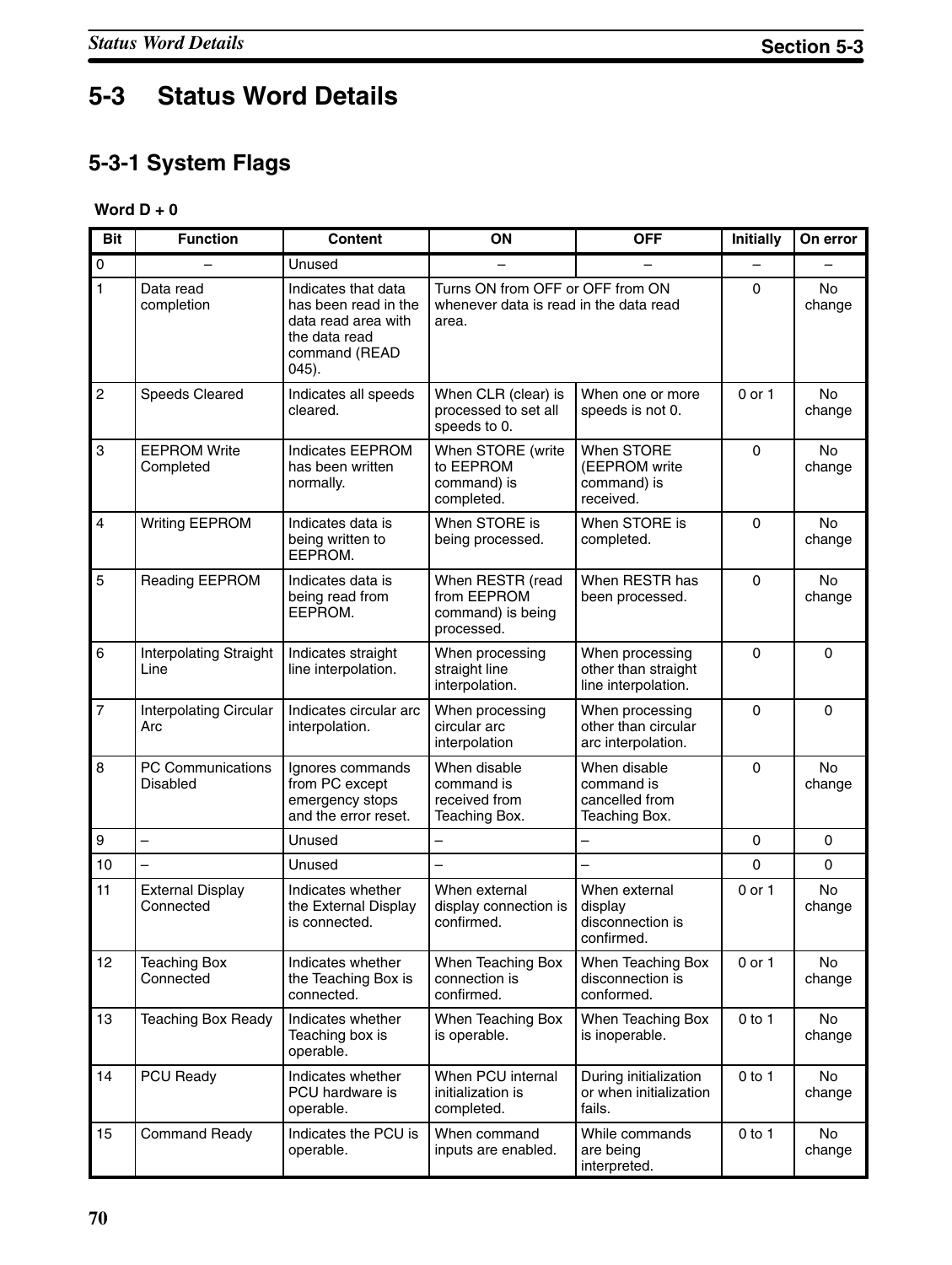# **5-3 Status Word Details**

# **5-3-1 System Flags**

#### **Word D + 0**

| <b>Bit</b>       | <b>Function</b>                             | <b>Content</b>                                                                                                   | ON                                                                                  | <b>OFF</b>                                                    | <b>Initially</b> | On error            |
|------------------|---------------------------------------------|------------------------------------------------------------------------------------------------------------------|-------------------------------------------------------------------------------------|---------------------------------------------------------------|------------------|---------------------|
| $\mathsf 0$      |                                             | Unused                                                                                                           |                                                                                     |                                                               |                  |                     |
| $\overline{1}$   | Data read<br>completion                     | Indicates that data<br>has been read in the<br>data read area with<br>the data read<br>command (READ<br>$045$ ). | Turns ON from OFF or OFF from ON<br>whenever data is read in the data read<br>area. |                                                               | $\mathbf 0$      | No<br>change        |
| $\overline{c}$   | Speeds Cleared                              | Indicates all speeds<br>cleared.                                                                                 | When CLR (clear) is<br>processed to set all<br>speeds to 0.                         | When one or more<br>speeds is not 0.                          | $0$ or $1$       | <b>No</b><br>change |
| 3                | <b>EEPROM Write</b><br>Completed            | <b>Indicates EEPROM</b><br>has been written<br>normally.                                                         | When STORE (write<br>to EEPROM<br>command) is<br>completed.                         | When STORE<br>(EEPROM write<br>command) is<br>received.       | $\Omega$         | <b>No</b><br>change |
| $\overline{4}$   | <b>Writing EEPROM</b>                       | Indicates data is<br>being written to<br>EEPROM.                                                                 | When STORE is<br>being processed.                                                   | When STORE is<br>completed.                                   | $\mathbf 0$      | No<br>change        |
| 5                | Reading EEPROM                              | Indicates data is<br>being read from<br>EEPROM.                                                                  | When RESTR (read<br>from EEPROM<br>command) is being<br>processed.                  | When RESTR has<br>been processed.                             | $\mathbf 0$      | No<br>change        |
| $6\phantom{a}$   | <b>Interpolating Straight</b><br>Line       | Indicates straight<br>line interpolation.                                                                        | When processing<br>straight line<br>interpolation.                                  | When processing<br>other than straight<br>line interpolation. | 0                | $\Omega$            |
| $\overline{7}$   | <b>Interpolating Circular</b><br>Arc        | Indicates circular arc<br>interpolation.                                                                         | When processing<br>circular arc<br>interpolation                                    | When processing<br>other than circular<br>arc interpolation.  | 0                | $\Omega$            |
| 8                | <b>PC Communications</b><br><b>Disabled</b> | Ignores commands<br>from PC except<br>emergency stops<br>and the error reset.                                    | When disable<br>command is<br>received from<br>Teaching Box.                        | When disable<br>command is<br>cancelled from<br>Teaching Box. | $\mathbf 0$      | No<br>change        |
| $\boldsymbol{9}$ | $\overline{\phantom{0}}$                    | Unused                                                                                                           | $\overline{\phantom{0}}$                                                            | $\overline{\phantom{0}}$                                      | $\mathbf 0$      | $\Omega$            |
| 10               | $\overline{\phantom{0}}$                    | Unused                                                                                                           | $\equiv$                                                                            | $\equiv$                                                      | 0                | $\Omega$            |
| 11               | <b>External Display</b><br>Connected        | Indicates whether<br>the External Display<br>is connected.                                                       | When external<br>display connection is<br>confirmed.                                | When external<br>display<br>disconnection is<br>confirmed.    | 0 or 1           | No<br>change        |
| 12               | <b>Teaching Box</b><br>Connected            | Indicates whether<br>the Teaching Box is<br>connected.                                                           | When Teaching Box<br>connection is<br>confirmed.                                    | When Teaching Box<br>disconnection is<br>conformed.           | $0$ or $1$       | No<br>change        |
| 13               | <b>Teaching Box Ready</b>                   | Indicates whether<br>Teaching box is<br>operable.                                                                | When Teaching Box<br>is operable.                                                   | When Teaching Box<br>is inoperable.                           | $0$ to 1         | No<br>change        |
| 14               | PCU Ready                                   | Indicates whether<br>PCU hardware is<br>operable.                                                                | When PCU internal<br>initialization is<br>completed.                                | During initialization<br>or when initialization<br>fails.     | $0$ to 1         | No<br>change        |
| 15               | <b>Command Ready</b>                        | Indicates the PCU is<br>operable.                                                                                | When command<br>inputs are enabled.                                                 | While commands<br>are being<br>interpreted.                   | $0$ to 1         | No<br>change        |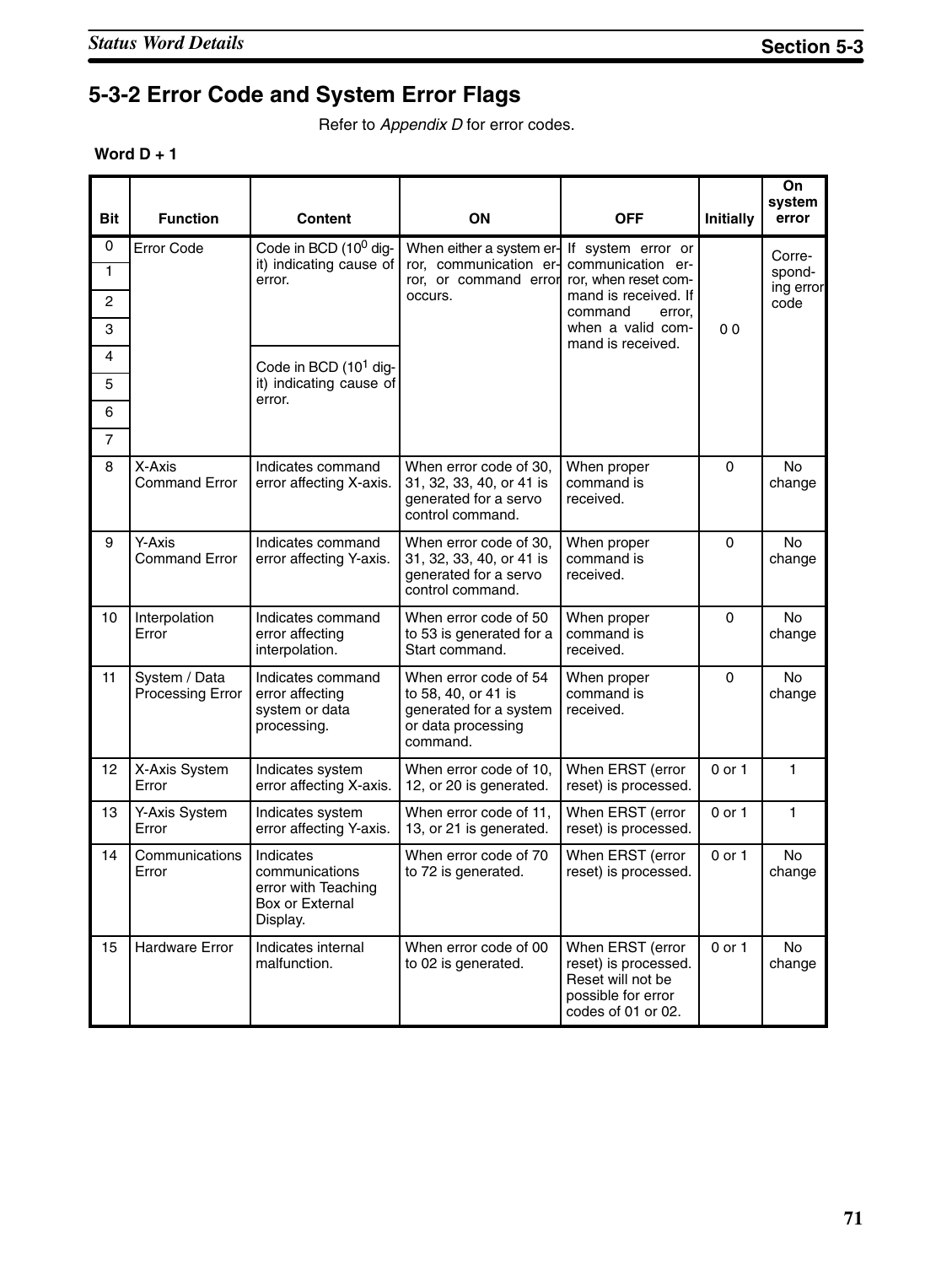# **5-3-2 Error Code and System Error Flags**

Refer to *Appendix D* for error codes.

| Word $D + 1$ |  |  |
|--------------|--|--|
|--------------|--|--|

| <b>Bit</b>                    | <b>Function</b>                   | <b>Content</b>                                                                    | ON                                                                                                       | <b>OFF</b>                                                                                                                        | <b>Initially</b> | On<br>system<br>error                 |
|-------------------------------|-----------------------------------|-----------------------------------------------------------------------------------|----------------------------------------------------------------------------------------------------------|-----------------------------------------------------------------------------------------------------------------------------------|------------------|---------------------------------------|
| 0<br>1<br>$\overline{c}$<br>3 | <b>Error Code</b>                 | Code in BCD (10 <sup>0</sup> dig-<br>it) indicating cause of<br>error.            | When either a system er-<br>ror, communication er-<br>ror, or command error<br>occurs.                   | If system error or<br>communication er-<br>ror, when reset com-<br>mand is received. If<br>command<br>error.<br>when a valid com- | 0 <sub>0</sub>   | Corre-<br>spond-<br>ing error<br>code |
| 4<br>5<br>6<br>$\overline{7}$ |                                   | Code in BCD (10 <sup>1</sup> dig-<br>it) indicating cause of<br>error.            |                                                                                                          | mand is received.                                                                                                                 |                  |                                       |
| 8                             | X-Axis<br><b>Command Error</b>    | Indicates command<br>error affecting X-axis.                                      | When error code of 30,<br>31, 32, 33, 40, or 41 is<br>generated for a servo<br>control command.          | When proper<br>command is<br>received.                                                                                            | $\Omega$         | <b>No</b><br>change                   |
| 9                             | Y-Axis<br><b>Command Error</b>    | Indicates command<br>error affecting Y-axis.                                      | When error code of 30.<br>31, 32, 33, 40, or 41 is<br>generated for a servo<br>control command.          | When proper<br>command is<br>received.                                                                                            | $\mathbf{0}$     | <b>No</b><br>change                   |
| 10                            | Interpolation<br>Error            | Indicates command<br>error affecting<br>interpolation.                            | When error code of 50<br>to 53 is generated for a<br>Start command.                                      | When proper<br>command is<br>received.                                                                                            | $\mathbf 0$      | <b>No</b><br>change                   |
| 11                            | System / Data<br>Processing Error | Indicates command<br>error affecting<br>system or data<br>processing.             | When error code of 54<br>to 58, 40, or 41 is<br>generated for a system<br>or data processing<br>command. | When proper<br>command is<br>received.                                                                                            | $\Omega$         | <b>No</b><br>change                   |
| 12                            | X-Axis System<br>Error            | Indicates system<br>error affecting X-axis.                                       | When error code of 10,<br>12, or 20 is generated.                                                        | When ERST (error<br>reset) is processed.                                                                                          | $0$ or $1$       | $\mathbf{1}$                          |
| 13                            | Y-Axis System<br>Error            | Indicates system<br>error affecting Y-axis.                                       | When error code of 11,<br>13, or 21 is generated.                                                        | When ERST (error<br>reset) is processed.                                                                                          | $0$ or $1$       | $\mathbf{1}$                          |
| 14                            | Communications<br>Error           | Indicates<br>communications<br>error with Teaching<br>Box or External<br>Display. | When error code of 70<br>to 72 is generated.                                                             | When ERST (error<br>reset) is processed.                                                                                          | $0$ or $1$       | No<br>change                          |
| 15                            | <b>Hardware Error</b>             | Indicates internal<br>malfunction.                                                | When error code of 00<br>to 02 is generated.                                                             | When ERST (error<br>reset) is processed.<br>Reset will not be<br>possible for error<br>codes of 01 or 02.                         | 0 or 1           | <b>No</b><br>change                   |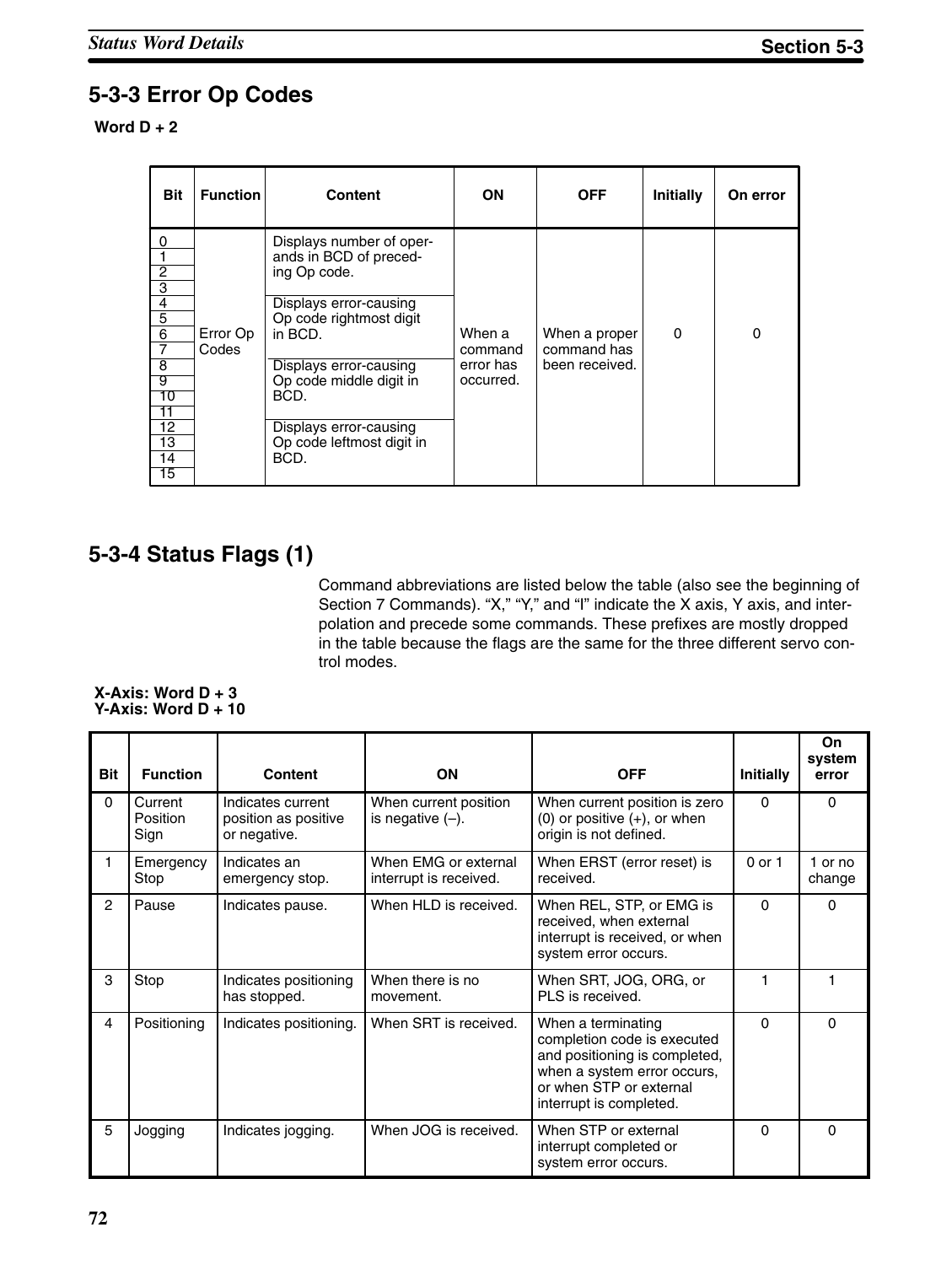## **5-3-3 Error Op Codes**

### **Word D + 2**

| <b>Bit</b>                                                                                                                                                                | <b>Function</b>   | <b>Content</b>                                                                                                                                                                                                                                                 | ΟN                                          | <b>OFF</b>                                     | Initially | On error |
|---------------------------------------------------------------------------------------------------------------------------------------------------------------------------|-------------------|----------------------------------------------------------------------------------------------------------------------------------------------------------------------------------------------------------------------------------------------------------------|---------------------------------------------|------------------------------------------------|-----------|----------|
| 0<br>$\overline{c}$<br>$\overline{3}$<br>4<br>$\overline{5}$<br>$\overline{6}$<br>$\overline{7}$<br>$\overline{8}$<br>-9<br>10<br>11<br>12<br>13<br>14<br>$\overline{15}$ | Error Op<br>Codes | Displays number of oper-<br>ands in BCD of preced-<br>ing Op code.<br>Displays error-causing<br>Op code rightmost digit<br>in BCD.<br>Displays error-causing<br>Op code middle digit in<br>BCD.<br>Displays error-causing<br>Op code leftmost digit in<br>BCD. | When a<br>command<br>error has<br>occurred. | When a proper<br>command has<br>been received. | 0         | 0        |

### **5-3-4 Status Flags (1)**

Command abbreviations are listed below the table (also see the beginning of Section 7 Commands). "X," "Y," and "I" indicate the X axis, Y axis, and interpolation and precede some commands. These prefixes are mostly dropped in the table because the flags are the same for the three different servo control modes.

#### **X-Axis: Word D + 3 Y-Axis: Word D + 10**

| <b>Bit</b>     | <b>Function</b>             | <b>Content</b>                                            | ON                                             | <b>OFF</b>                                                                                                                                                              | Initially | On<br>system<br>error |
|----------------|-----------------------------|-----------------------------------------------------------|------------------------------------------------|-------------------------------------------------------------------------------------------------------------------------------------------------------------------------|-----------|-----------------------|
| 0              | Current<br>Position<br>Sign | Indicates current<br>position as positive<br>or negative. | When current position<br>is negative $(-)$ .   | When current position is zero<br>$(0)$ or positive $(+)$ , or when<br>origin is not defined.                                                                            | $\Omega$  | 0                     |
| $\mathbf{1}$   | Emergency<br>Stop           | Indicates an<br>emergency stop.                           | When EMG or external<br>interrupt is received. | When ERST (error reset) is<br>received.                                                                                                                                 | 0 or 1    | 1 or no<br>change     |
| $\overline{2}$ | Pause                       | Indicates pause.                                          | When HLD is received.                          | When REL, STP, or EMG is<br>received, when external<br>interrupt is received, or when<br>system error occurs.                                                           | $\Omega$  | $\Omega$              |
| 3              | Stop                        | Indicates positioning<br>has stopped.                     | When there is no<br>movement.                  | When SRT, JOG, ORG, or<br>PLS is received.                                                                                                                              |           |                       |
| 4              | Positioning                 | Indicates positioning.                                    | When SRT is received.                          | When a terminating<br>completion code is executed<br>and positioning is completed,<br>when a system error occurs,<br>or when STP or external<br>interrupt is completed. | $\Omega$  | $\Omega$              |
| 5              | Jogging                     | Indicates jogging.                                        | When JOG is received.                          | When STP or external<br>interrupt completed or<br>system error occurs.                                                                                                  | $\Omega$  | $\Omega$              |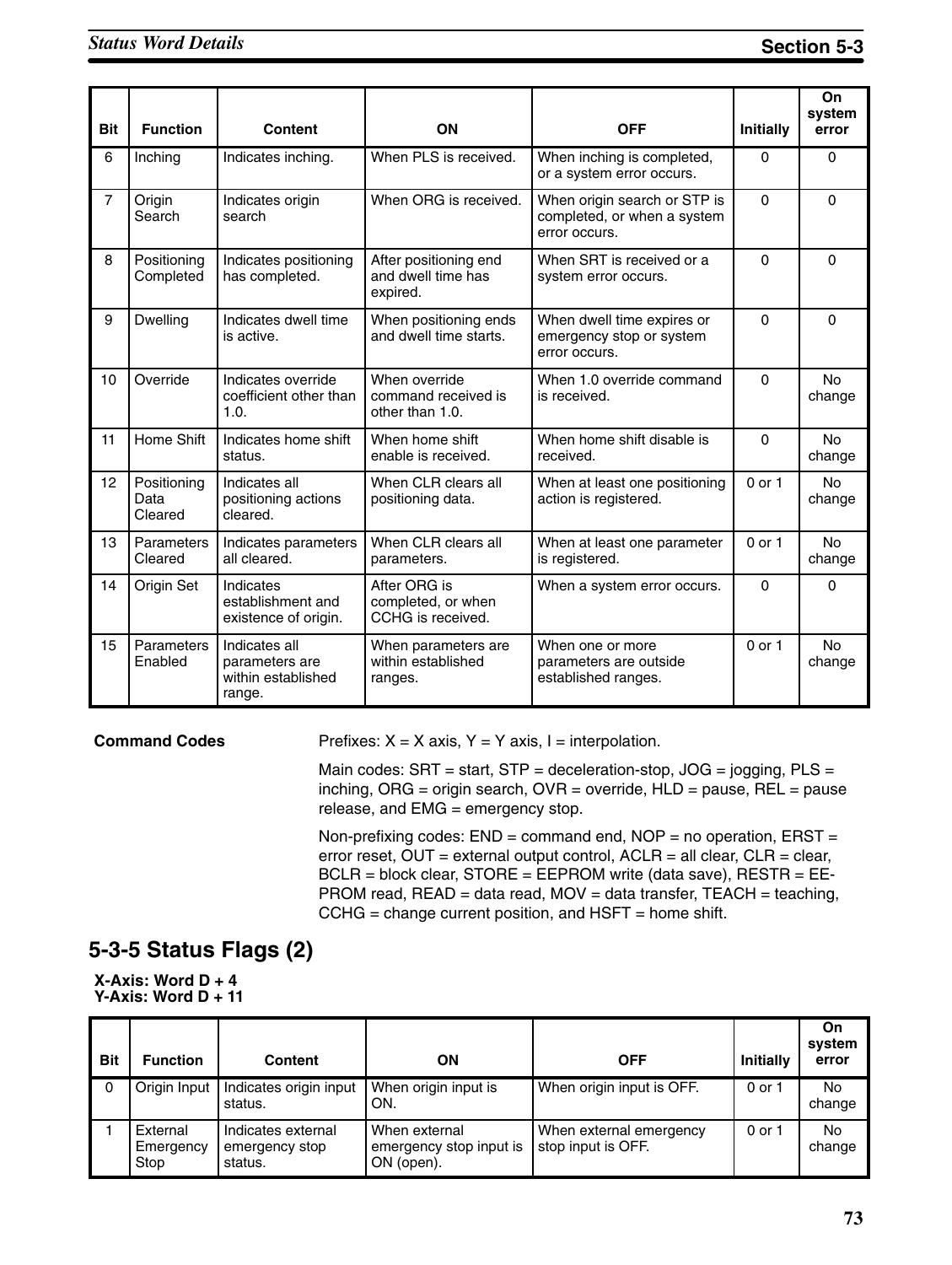| <b>Bit</b>     | <b>Function</b>                | <b>Content</b>                                                  | ON                                                      | <b>OFF</b>                                                                   | Initially  | On<br>system<br>error |
|----------------|--------------------------------|-----------------------------------------------------------------|---------------------------------------------------------|------------------------------------------------------------------------------|------------|-----------------------|
| 6              | Inching                        | Indicates inching.                                              | When PLS is received.                                   | When inching is completed,<br>or a system error occurs.                      | 0          | $\Omega$              |
| $\overline{7}$ | Origin<br>Search               | Indicates origin<br>search                                      | When ORG is received.                                   | When origin search or STP is<br>completed, or when a system<br>error occurs. | $\Omega$   | $\Omega$              |
| 8              | Positioning<br>Completed       | Indicates positioning<br>has completed.                         | After positioning end<br>and dwell time has<br>expired. | When SRT is received or a<br>system error occurs.                            | $\Omega$   | $\Omega$              |
| 9              | <b>Dwelling</b>                | Indicates dwell time<br>is active.                              | When positioning ends<br>and dwell time starts.         | When dwell time expires or<br>emergency stop or system<br>error occurs.      | 0          | $\Omega$              |
| 10             | Override                       | Indicates override<br>coefficient other than<br>1.0.            | When override<br>command received is<br>other than 1.0. | When 1.0 override command<br>is received.                                    | $\Omega$   | <b>No</b><br>change   |
| 11             | Home Shift                     | Indicates home shift<br>status.                                 | When home shift<br>enable is received.                  | When home shift disable is<br>received.                                      | $\Omega$   | No<br>change          |
| 12             | Positioning<br>Data<br>Cleared | Indicates all<br>positioning actions<br>cleared.                | When CLR clears all<br>positioning data.                | When at least one positioning<br>action is registered.                       | $0$ or $1$ | <b>No</b><br>change   |
| 13             | Parameters<br>Cleared          | Indicates parameters<br>all cleared.                            | When CLR clears all<br>parameters.                      | When at least one parameter<br>is registered.                                | $0$ or $1$ | <b>No</b><br>change   |
| 14             | Origin Set                     | Indicates<br>establishment and<br>existence of origin.          | After ORG is<br>completed, or when<br>CCHG is received. | When a system error occurs.                                                  | $\Omega$   | $\Omega$              |
| 15             | Parameters<br>Enabled          | Indicates all<br>parameters are<br>within established<br>range. | When parameters are<br>within established<br>ranges.    | When one or more<br>parameters are outside<br>established ranges.            | $0$ or $1$ | No.<br>change         |

#### **Command Codes**

Prefixes:  $X = X$  axis,  $Y = Y$  axis,  $I =$  interpolation.

Main codes:  $SRT = start$ ,  $STP = deceleration-stop$ ,  $JOG = jogging$ ,  $PLS =$ inching, ORG = origin search, OVR = override, HLD = pause, REL = pause release, and EMG = emergency stop.

Non-prefixing codes:  $END =$  command end,  $NOP =$  no operation,  $ERST =$ error reset, OUT = external output control, ACLR = all clear, CLR = clear, BCLR = block clear, STORE = EEPROM write (data save), RESTR = EE-PROM read, READ = data read, MOV = data transfer, TEACH = teaching,  $CCHG = change current position, and HSFT = home shift.$ 

## **5-3-5 Status Flags (2)**

**X-Axis: Word D + 4 Y-Axis: Word D + 11**

| <b>Bit</b> | <b>Function</b>               | Content                                         | ΟN                                                     | <b>OFF</b>                                    | <b>Initially</b> | On<br>system<br>error |
|------------|-------------------------------|-------------------------------------------------|--------------------------------------------------------|-----------------------------------------------|------------------|-----------------------|
| $\Omega$   | Origin Input                  | Indicates origin input<br>status.               | When origin input is<br>ON.                            | When origin input is OFF.                     | 0 or 1           | No<br>change          |
|            | External<br>Emergency<br>Stop | Indicates external<br>emergency stop<br>status. | When external<br>emergency stop input is<br>ON (open). | When external emergency<br>stop input is OFF. | 0 or 1           | No<br>change          |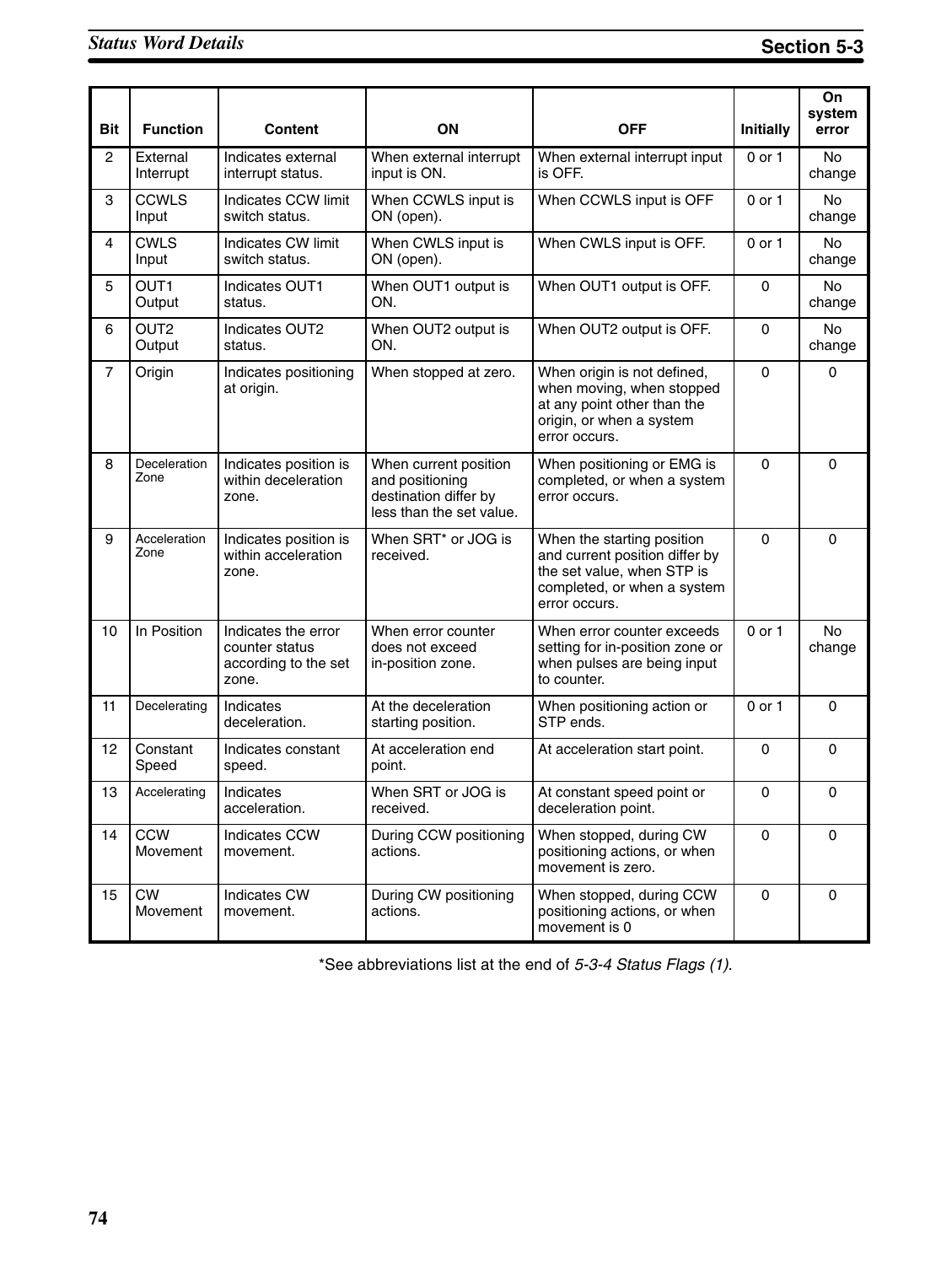| <b>Bit</b>     | <b>Function</b>            | <b>Content</b>                                                         | ON                                                                                            | <b>OFF</b>                                                                                                                                 | <b>Initially</b> | On<br>system<br>error |
|----------------|----------------------------|------------------------------------------------------------------------|-----------------------------------------------------------------------------------------------|--------------------------------------------------------------------------------------------------------------------------------------------|------------------|-----------------------|
| $\overline{2}$ | External<br>Interrupt      | Indicates external<br>interrupt status.                                | When external interrupt<br>input is ON.                                                       | When external interrupt input<br>is OFF.                                                                                                   | 0 or 1           | <b>No</b><br>change   |
| 3              | <b>CCWLS</b><br>Input      | Indicates CCW limit<br>switch status.                                  | When CCWLS input is<br>ON (open).                                                             | When CCWLS input is OFF                                                                                                                    | 0 or 1           | <b>No</b><br>change   |
| $\overline{4}$ | <b>CWLS</b><br>Input       | Indicates CW limit<br>switch status.                                   | When CWLS input is<br>ON (open).                                                              | When CWLS input is OFF.                                                                                                                    | $0$ or $1$       | <b>No</b><br>change   |
| 5              | OUT1<br>Output             | Indicates OUT1<br>status.                                              | When OUT1 output is<br>ON.                                                                    | When OUT1 output is OFF.                                                                                                                   | 0                | No<br>change          |
| 6              | OUT <sub>2</sub><br>Output | Indicates OUT2<br>status.                                              | When OUT2 output is<br>ON.                                                                    | When OUT2 output is OFF.                                                                                                                   | 0                | <b>No</b><br>change   |
| $\overline{7}$ | Origin                     | Indicates positioning<br>at origin.                                    | When stopped at zero.                                                                         | When origin is not defined,<br>when moving, when stopped<br>at any point other than the<br>origin, or when a system<br>error occurs.       | 0                | 0                     |
| 8              | Deceleration<br>Zone       | Indicates position is<br>within deceleration<br>zone.                  | When current position<br>and positioning<br>destination differ by<br>less than the set value. | When positioning or EMG is<br>completed, or when a system<br>error occurs.                                                                 | 0                | $\mathbf 0$           |
| 9              | Acceleration<br>Zone       | Indicates position is<br>within acceleration<br>zone.                  | When SRT* or JOG is<br>received.                                                              | When the starting position<br>and current position differ by<br>the set value, when STP is<br>completed, or when a system<br>error occurs. | $\mathbf 0$      | $\mathbf 0$           |
| 10             | In Position                | Indicates the error<br>counter status<br>according to the set<br>zone. | When error counter<br>does not exceed<br>in-position zone.                                    | When error counter exceeds<br>setting for in-position zone or<br>when pulses are being input<br>to counter.                                | 0 or 1           | No<br>change          |
| 11             | Decelerating               | Indicates<br>deceleration.                                             | At the deceleration<br>starting position.                                                     | When positioning action or<br>STP ends.                                                                                                    | $0$ or $1$       | 0                     |
| 12             | Constant<br>Speed          | Indicates constant<br>speed.                                           | At acceleration end<br>point.                                                                 | At acceleration start point.                                                                                                               | 0                | $\mathbf 0$           |
| 13             | Accelerating               | Indicates<br>acceleration.                                             | When SRT or JOG is<br>received.                                                               | At constant speed point or<br>deceleration point.                                                                                          | 0                | $\mathbf 0$           |
| 14             | <b>CCW</b><br>Movement     | Indicates CCW<br>movement.                                             | During CCW positioning<br>actions.                                                            | When stopped, during CW<br>positioning actions, or when<br>movement is zero.                                                               | 0                | $\mathbf 0$           |
| 15             | <b>CW</b><br>Movement      | Indicates CW<br>movement.                                              | During CW positioning<br>actions.                                                             | When stopped, during CCW<br>positioning actions, or when<br>movement is 0                                                                  | 0                | $\mathbf 0$           |

\*See abbreviations list at the end of *5-3-4 Status Flags (1)*.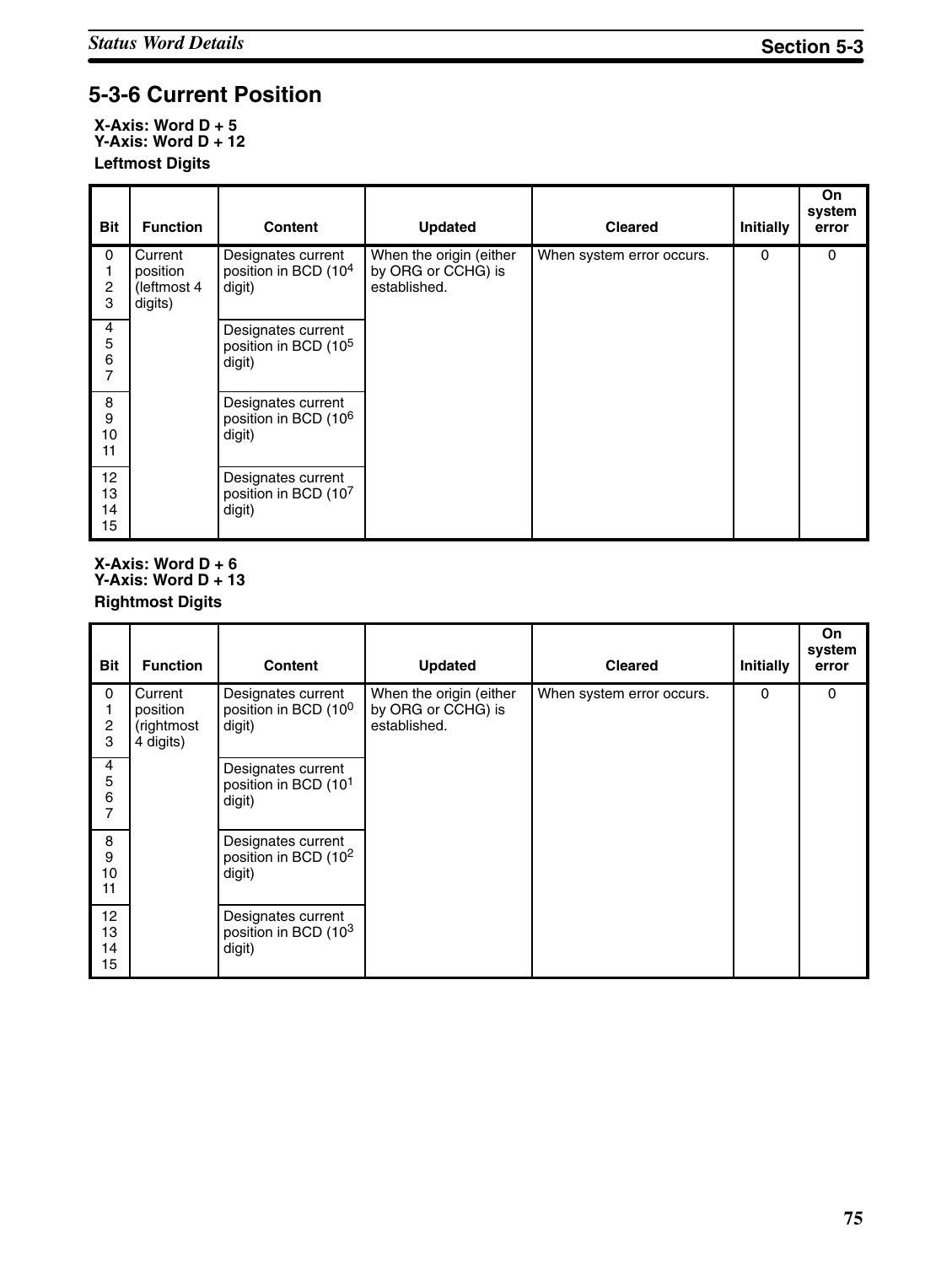# **5-3-6 Current Position**

**X-Axis: Word D + 5 Y-Axis: Word D + 12 Leftmost Digits**

| <b>Bit</b>                    | <b>Function</b>                               | <b>Content</b>                                                   | <b>Updated</b>                                                | <b>Cleared</b>            | Initially | <b>On</b><br>system<br>error |
|-------------------------------|-----------------------------------------------|------------------------------------------------------------------|---------------------------------------------------------------|---------------------------|-----------|------------------------------|
| 0<br>$\boldsymbol{2}$<br>3    | Current<br>position<br>(leftmost 4<br>digits) | Designates current<br>position in BCD (10 <sup>4</sup><br>digit) | When the origin (either<br>by ORG or CCHG) is<br>established. | When system error occurs. | $\Omega$  | 0                            |
| 4<br>5<br>6<br>$\overline{7}$ |                                               | Designates current<br>position in BCD (10 <sup>5</sup><br>digit) |                                                               |                           |           |                              |
| 8<br>9<br>10<br>11            |                                               | Designates current<br>position in BCD (10 <sup>6</sup><br>digit) |                                                               |                           |           |                              |
| 12<br>13<br>14<br>15          |                                               | Designates current<br>position in BCD (107<br>digit)             |                                                               |                           |           |                              |

#### **X-Axis: Word D + 6 Y-Axis: Word D + 13 Rightmost Digits**

| <b>Bit</b>           | <b>Function</b>                                | <b>Content</b>                                                   | <b>Updated</b>                                                | <b>Cleared</b>            | <b>Initially</b> | On<br>system<br>error |
|----------------------|------------------------------------------------|------------------------------------------------------------------|---------------------------------------------------------------|---------------------------|------------------|-----------------------|
| 0<br>2<br>3          | Current<br>position<br>(rightmost<br>4 digits) | Designates current<br>position in BCD (10 <sup>0</sup><br>digit) | When the origin (either<br>by ORG or CCHG) is<br>established. | When system error occurs. | 0                | 0                     |
| 4<br>5<br>6<br>7     |                                                | Designates current<br>position in BCD (10 <sup>1</sup><br>digit) |                                                               |                           |                  |                       |
| 8<br>9<br>10<br>11   |                                                | Designates current<br>position in BCD (10 <sup>2</sup><br>digit) |                                                               |                           |                  |                       |
| 12<br>13<br>14<br>15 |                                                | Designates current<br>position in BCD (103<br>digit)             |                                                               |                           |                  |                       |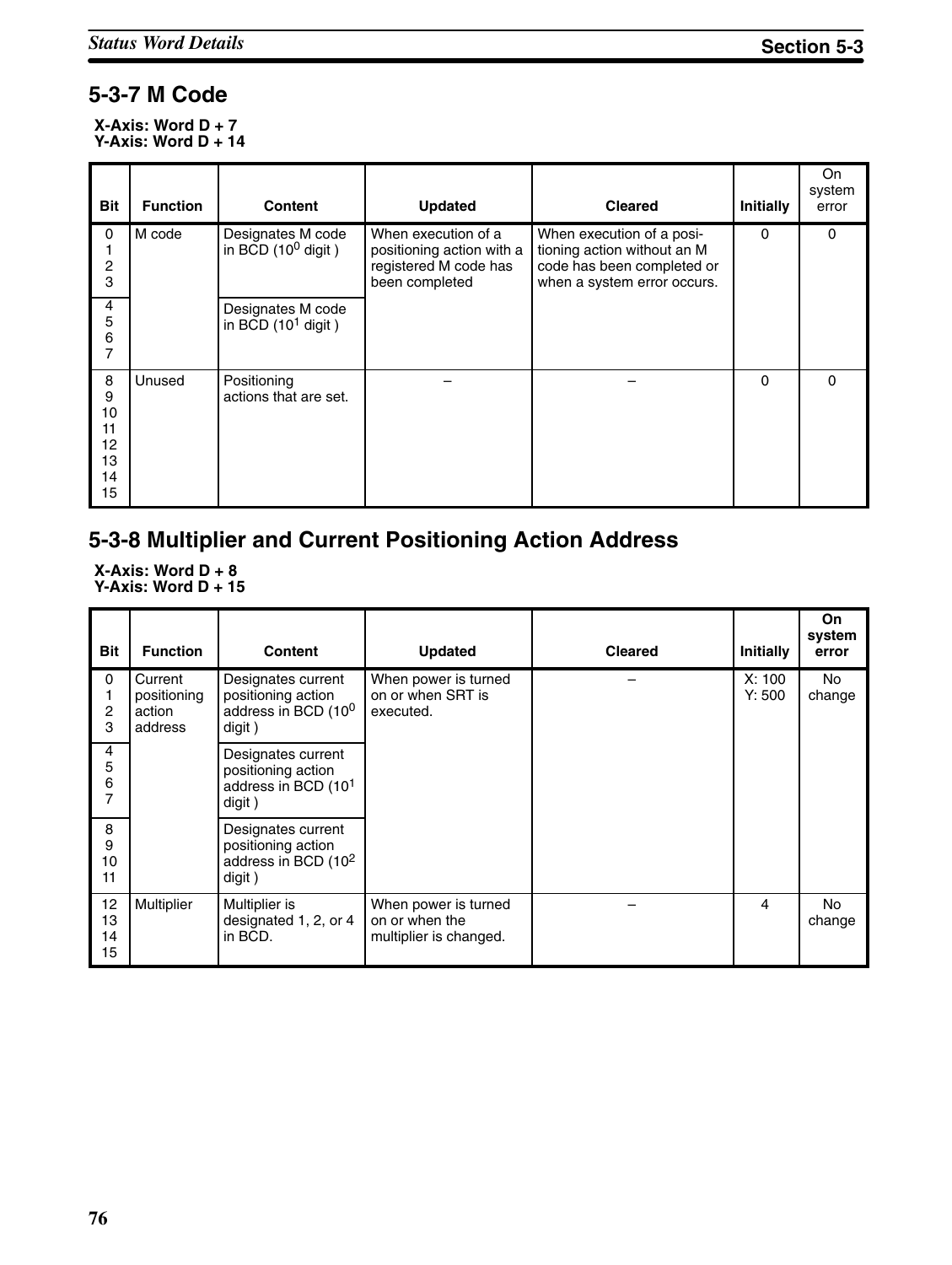## **5-3-7 M Code**

**X-Axis: Word D + 7 Y-Axis: Word D + 14**

| <b>Bit</b>                                 | <b>Function</b> | <b>Content</b>                                     | <b>Updated</b>                                                                              | <b>Cleared</b>                                                                                                        | Initially | On.<br>system<br>error |
|--------------------------------------------|-----------------|----------------------------------------------------|---------------------------------------------------------------------------------------------|-----------------------------------------------------------------------------------------------------------------------|-----------|------------------------|
| 0<br>2<br>3                                | M code          | Designates M code<br>in BCD $(10^0 \text{ digit})$ | When execution of a<br>positioning action with a<br>registered M code has<br>been completed | When execution of a posi-<br>tioning action without an M<br>code has been completed or<br>when a system error occurs. | $\Omega$  | 0                      |
| 4<br>5<br>6<br>7                           |                 | Designates M code<br>in BCD $(10^1$ digit)         |                                                                                             |                                                                                                                       |           |                        |
| 8<br>9<br>10<br>11<br>12<br>13<br>14<br>15 | Unused          | Positioning<br>actions that are set.               |                                                                                             |                                                                                                                       | $\Omega$  | $\Omega$               |

## **5-3-8 Multiplier and Current Positioning Action Address**

**X-Axis: Word D + 8 Y-Axis: Word D + 15**

| <b>Bit</b>           | <b>Function</b>                             | <b>Content</b>                                                                        | <b>Updated</b>                                                   | <b>Cleared</b> | Initially        | On<br>system<br>error |
|----------------------|---------------------------------------------|---------------------------------------------------------------------------------------|------------------------------------------------------------------|----------------|------------------|-----------------------|
| 0<br>2<br>3          | Current<br>positioning<br>action<br>address | Designates current<br>positioning action<br>address in BCD (10 <sup>0</sup><br>digit) | When power is turned<br>on or when SRT is<br>executed.           |                | X: 100<br>Y: 500 | No<br>change          |
| 4<br>5<br>6<br>7     |                                             | Designates current<br>positioning action<br>address in BCD (10 <sup>1</sup><br>digit) |                                                                  |                |                  |                       |
| 8<br>9<br>10<br>11   |                                             | Designates current<br>positioning action<br>address in BCD (10 <sup>2</sup><br>digit) |                                                                  |                |                  |                       |
| 12<br>13<br>14<br>15 | Multiplier                                  | Multiplier is<br>designated 1, 2, or 4<br>in BCD.                                     | When power is turned<br>on or when the<br>multiplier is changed. |                | 4                | No<br>change          |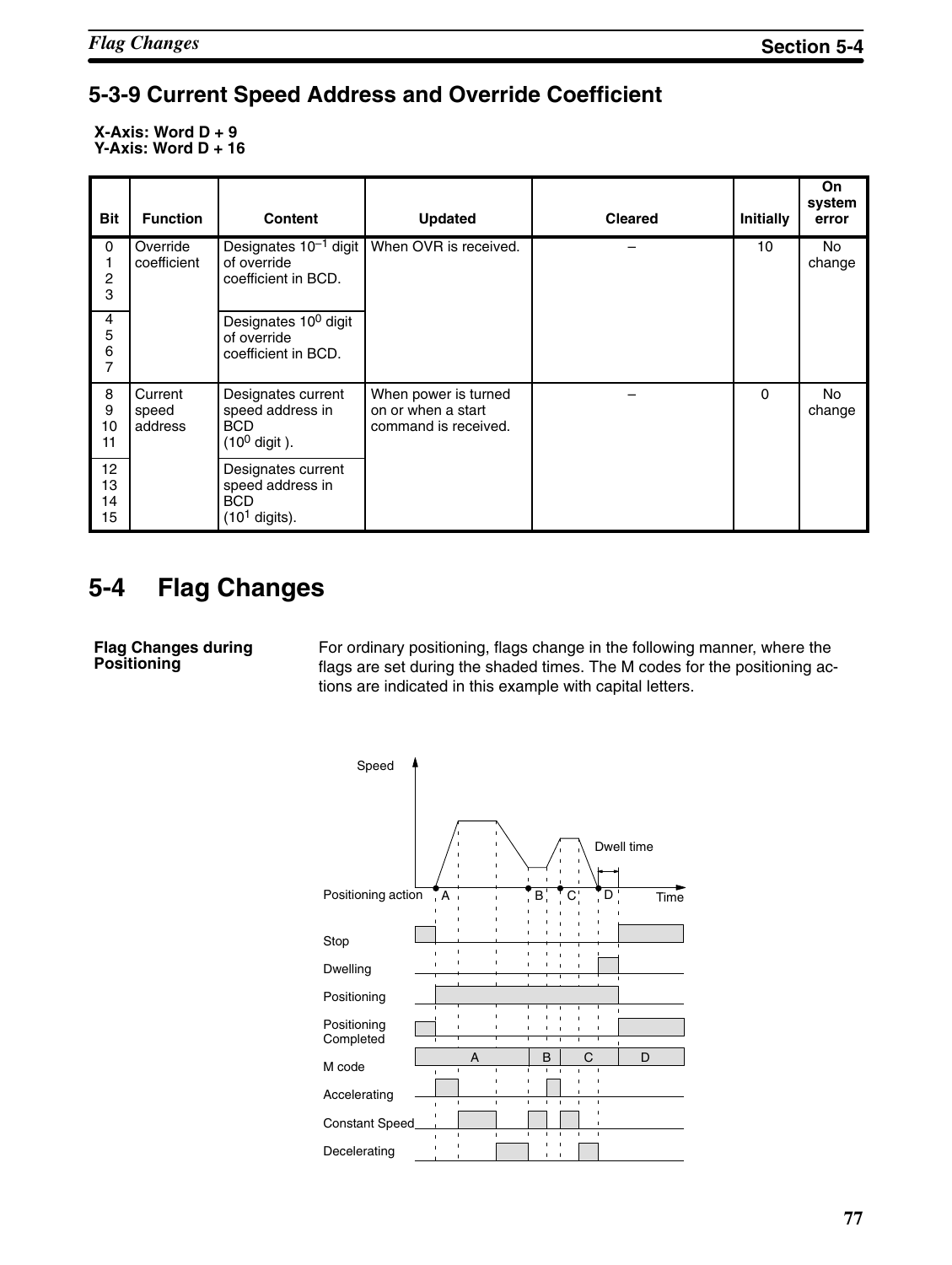## **5-3-9 Current Speed Address and Override Coefficient**

**X-Axis: Word D + 9 Y-Axis: Word D + 16**

| <b>Bit</b>                    | <b>Function</b>             | <b>Content</b>                                                                   | <b>Updated</b>                                                     | <b>Cleared</b> | Initially | On<br>system<br>error |
|-------------------------------|-----------------------------|----------------------------------------------------------------------------------|--------------------------------------------------------------------|----------------|-----------|-----------------------|
| 0<br>2<br>3                   | Override<br>coefficient     | Designates $10^{-1}$ digit<br>of override<br>coefficient in BCD.                 | When OVR is received.                                              |                | 10        | No<br>change          |
| 4<br>5<br>6<br>$\overline{7}$ |                             | Designates 10 <sup>0</sup> digit<br>of override<br>coefficient in BCD.           |                                                                    |                |           |                       |
| 8<br>9<br>10<br>11            | Current<br>speed<br>address | Designates current<br>speed address in<br><b>BCD</b><br>$(10^0 \text{ digit})$ . | When power is turned<br>on or when a start<br>command is received. |                | $\Omega$  | No<br>change          |
| 12<br>13<br>14<br>15          |                             | Designates current<br>speed address in<br><b>BCD</b><br>$(101$ digits).          |                                                                    |                |           |                       |

# **5-4 Flag Changes**

**Flag Changes during Positioning**

For ordinary positioning, flags change in the following manner, where the flags are set during the shaded times. The M codes for the positioning actions are indicated in this example with capital letters.

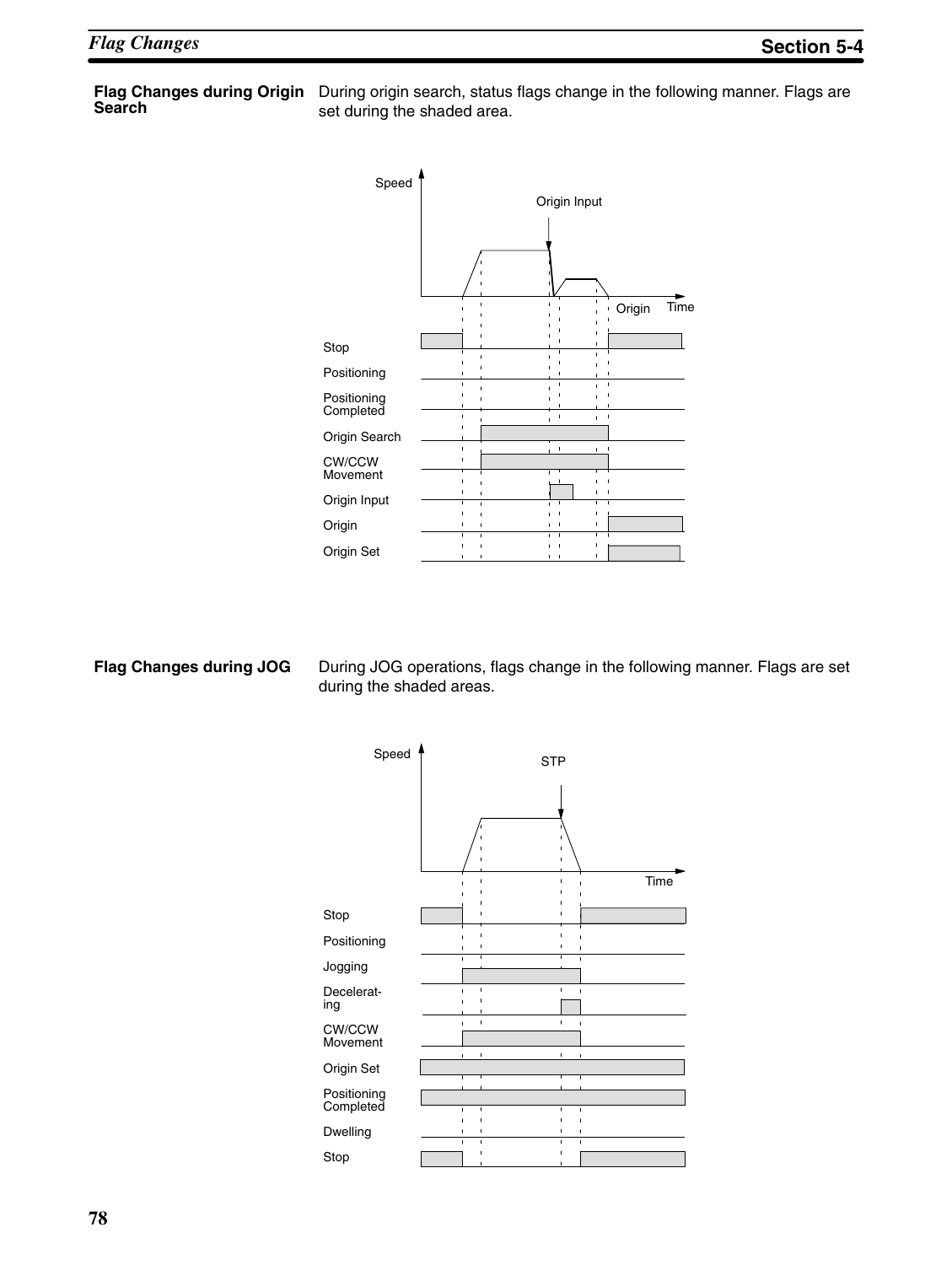# **Search**

**Flag Changes during Origin** During origin search, status flags change in the following manner. Flags are set during the shaded area.



### **Flag Changes during JOG**

During JOG operations, flags change in the following manner. Flags are set during the shaded areas.

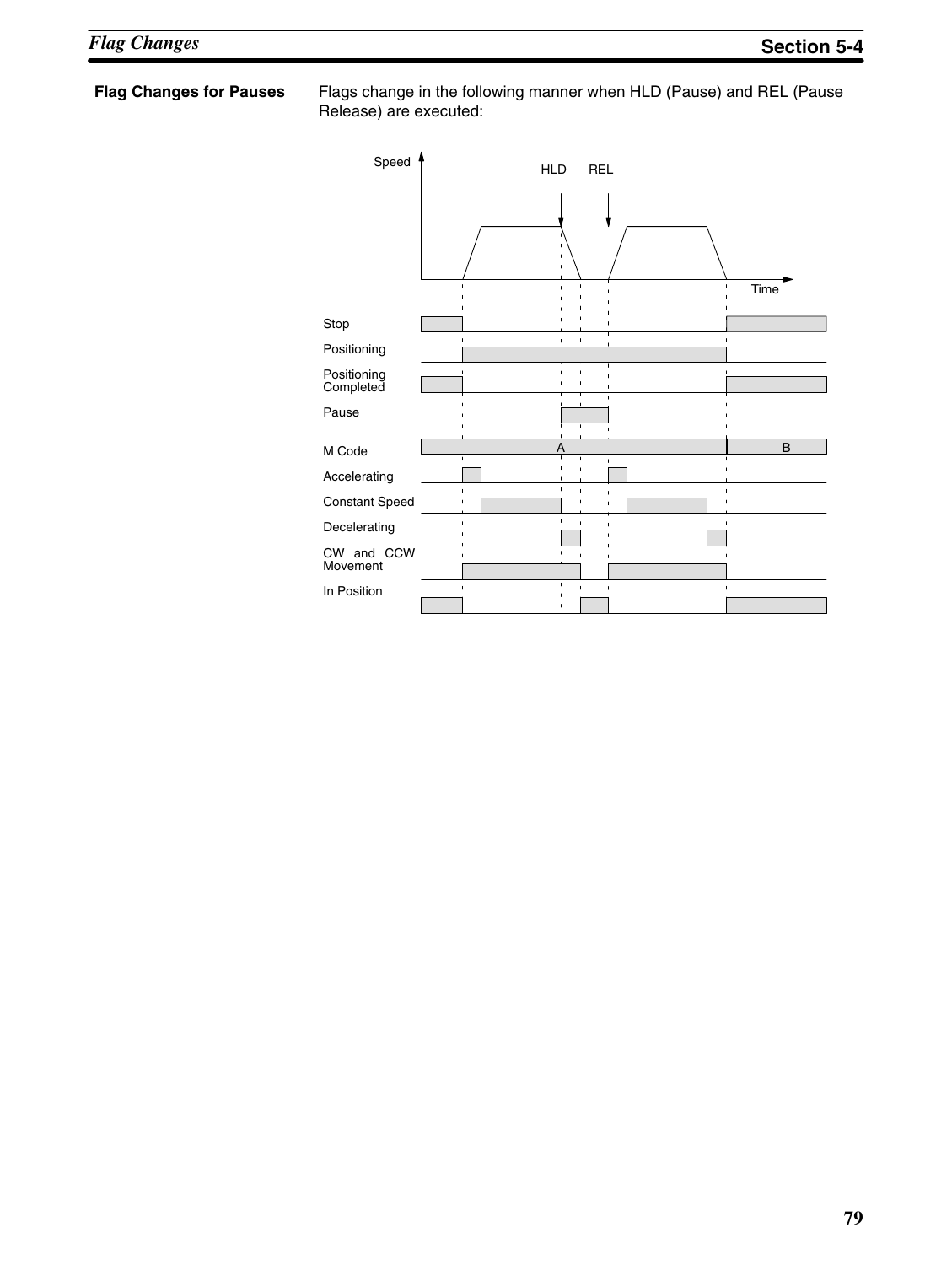**Flag Changes for Pauses** Flags change in the following manner when HLD (Pause) and REL (Pause Release) are executed:

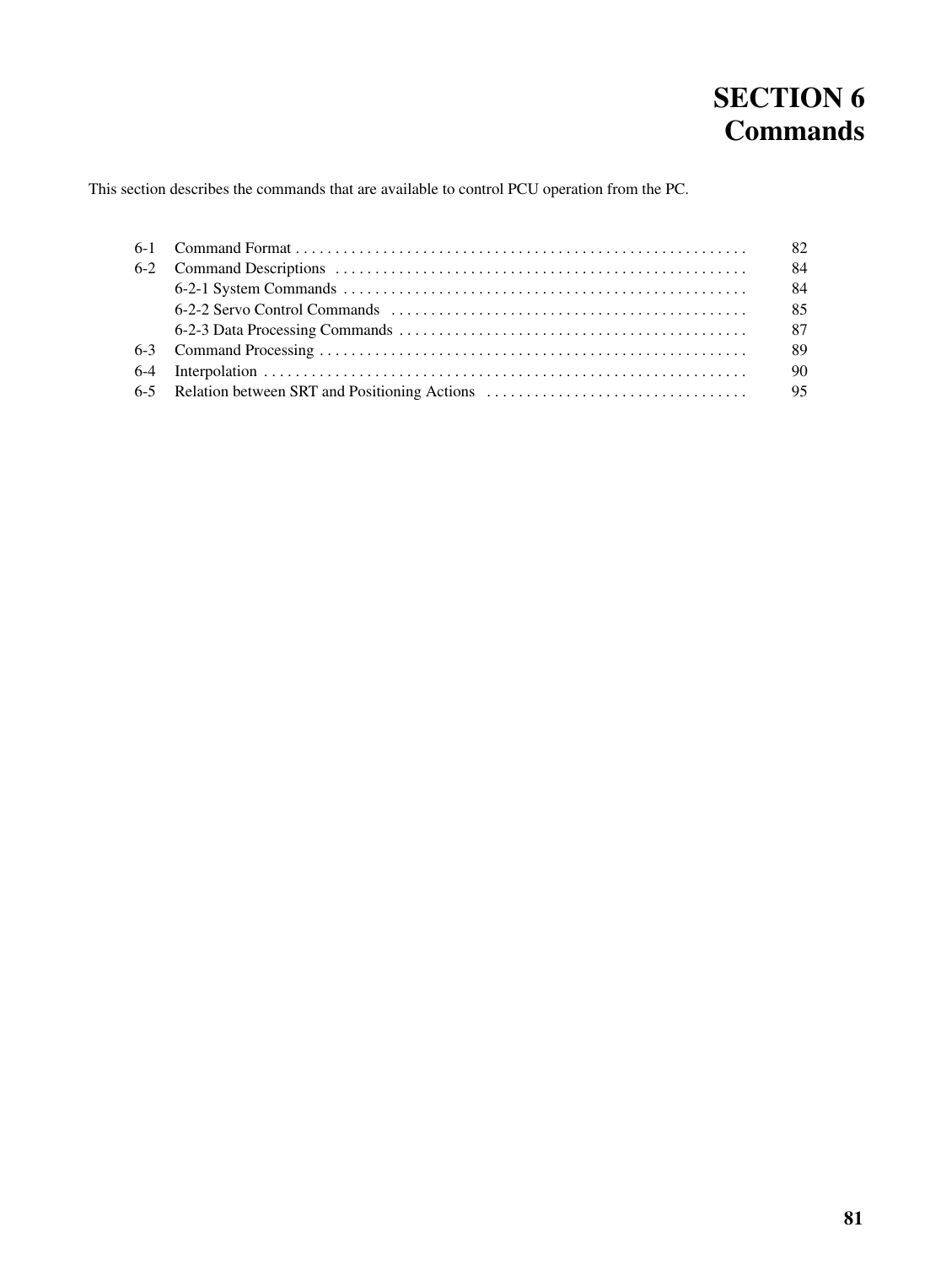# **SECTION 6 Commands**

This section describes the commands that are available to control PCU operation from the PC.

|  | -84 |
|--|-----|
|  | -84 |
|  |     |
|  |     |
|  |     |
|  |     |
|  |     |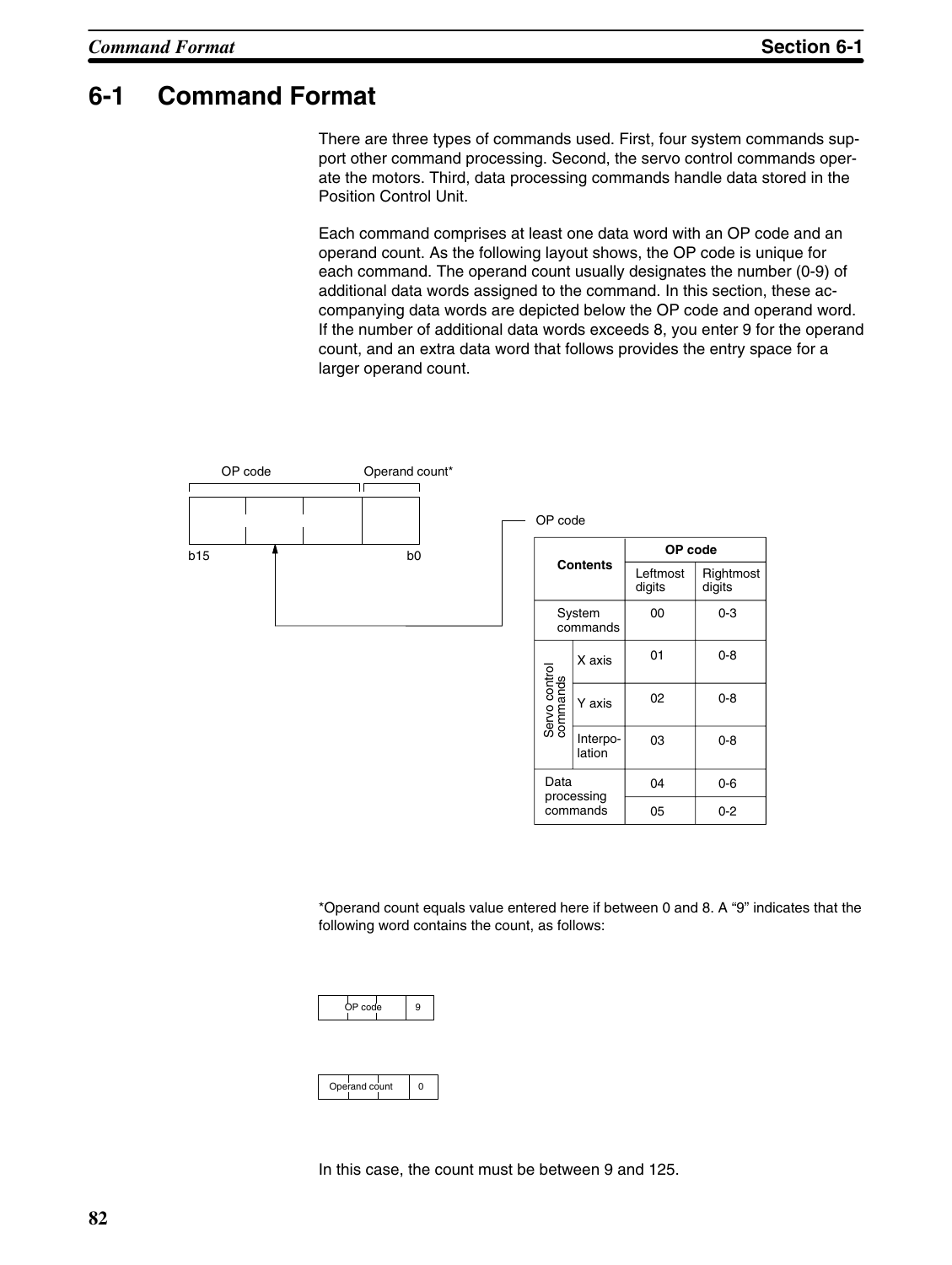## **6-1 Command Format**

There are three types of commands used. First, four system commands support other command processing. Second, the servo control commands operate the motors. Third, data processing commands handle data stored in the Position Control Unit.

Each command comprises at least one data word with an OP code and an operand count. As the following layout shows, the OP code is unique for each command. The operand count usually designates the number (0-9) of additional data words assigned to the command. In this section, these accompanying data words are depicted below the OP code and operand word. If the number of additional data words exceeds 8, you enter 9 for the operand count, and an extra data word that follows provides the entry space for a larger operand count.



\*Operand count equals value entered here if between 0 and 8. A "9" indicates that the following word contains the count, as follows:

| code |  |
|------|--|
|------|--|

| Operand count |  |
|---------------|--|
|               |  |
|               |  |

In this case, the count must be between 9 and 125.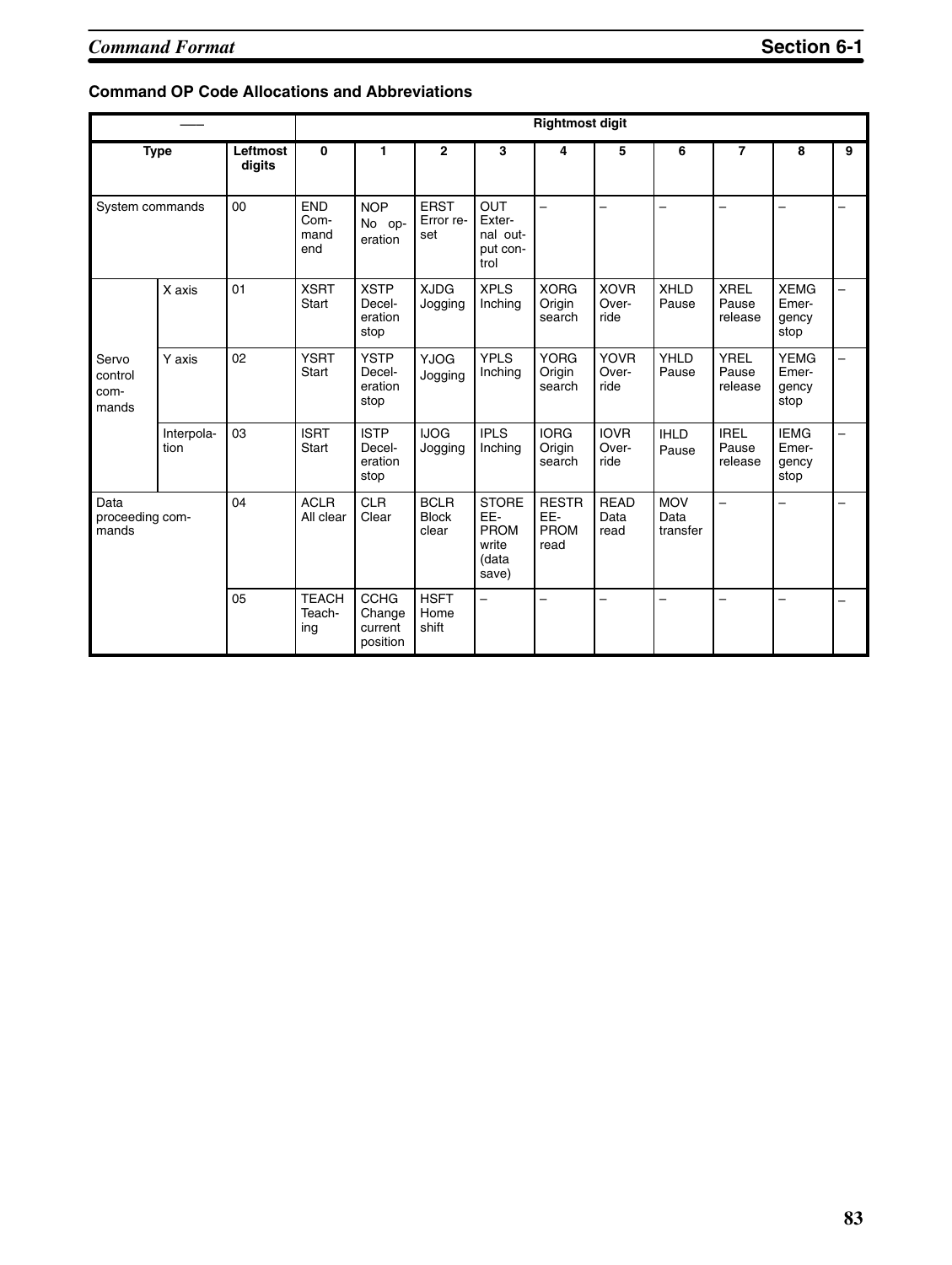### **Command OP Code Allocations and Abbreviations**

|                                   |                    |                    |                                   |                                              |                                      |                                                        | <b>Rightmost digit</b>              |                              |                                |                                 |                                       |   |
|-----------------------------------|--------------------|--------------------|-----------------------------------|----------------------------------------------|--------------------------------------|--------------------------------------------------------|-------------------------------------|------------------------------|--------------------------------|---------------------------------|---------------------------------------|---|
|                                   | <b>Type</b>        | Leftmost<br>digits | 0                                 | 1                                            | $\mathbf{2}$                         | 3                                                      | 4                                   | 5                            | 6                              | $\overline{7}$                  | 8                                     | 9 |
| System commands                   |                    | 00                 | <b>END</b><br>Com-<br>mand<br>end | <b>NOP</b><br>No op-<br>eration              | <b>ERST</b><br>Error re-<br>set      | <b>OUT</b><br>Exter-<br>nal out-<br>put con-<br>trol   | $\overline{\phantom{0}}$            | -                            |                                | -                               |                                       |   |
|                                   | X axis             | 01                 | <b>XSRT</b><br>Start              | <b>XSTP</b><br>Decel-<br>eration<br>stop     | <b>XJDG</b><br>Jogging               | <b>XPLS</b><br>Inching                                 | <b>XORG</b><br>Origin<br>search     | <b>XOVR</b><br>Over-<br>ride | <b>XHLD</b><br>Pause           | <b>XREL</b><br>Pause<br>release | <b>XEMG</b><br>Emer-<br>gency<br>stop | - |
| Servo<br>control<br>com-<br>mands | Y axis             | 02                 | <b>YSRT</b><br>Start              | <b>YSTP</b><br>Decel-<br>eration<br>stop     | <b>YJOG</b><br>Jogging               | <b>YPLS</b><br>Inching                                 | <b>YORG</b><br>Origin<br>search     | <b>YOVR</b><br>Over-<br>ride | YHLD<br>Pause                  | <b>YREL</b><br>Pause<br>release | <b>YEMG</b><br>Emer-<br>gency<br>stop |   |
|                                   | Interpola-<br>tion | 03                 | <b>ISRT</b><br>Start              | <b>ISTP</b><br>Decel-<br>eration<br>stop     | <b>IJOG</b><br>Jogging               | <b>IPLS</b><br>Inching                                 | <b>IORG</b><br>Origin<br>search     | <b>IOVR</b><br>Over-<br>ride | <b>IHLD</b><br>Pause           | <b>IREL</b><br>Pause<br>release | <b>IEMG</b><br>Emer-<br>gency<br>stop | - |
| Data<br>proceeding com-<br>mands  |                    | 04                 | <b>ACLR</b><br>All clear          | <b>CLR</b><br>Clear                          | <b>BCLR</b><br><b>Block</b><br>clear | <b>STORE</b><br>EE-<br>PROM<br>write<br>(data<br>save) | <b>RESTR</b><br>EE-<br>PROM<br>read | <b>READ</b><br>Data<br>read  | <b>MOV</b><br>Data<br>transfer | $\overline{\phantom{0}}$        |                                       |   |
|                                   |                    | 05                 | <b>TEACH</b><br>Teach-<br>ing     | <b>CCHG</b><br>Change<br>current<br>position | <b>HSFT</b><br>Home<br>shift         | $\overline{\phantom{0}}$                               |                                     | -                            |                                |                                 |                                       |   |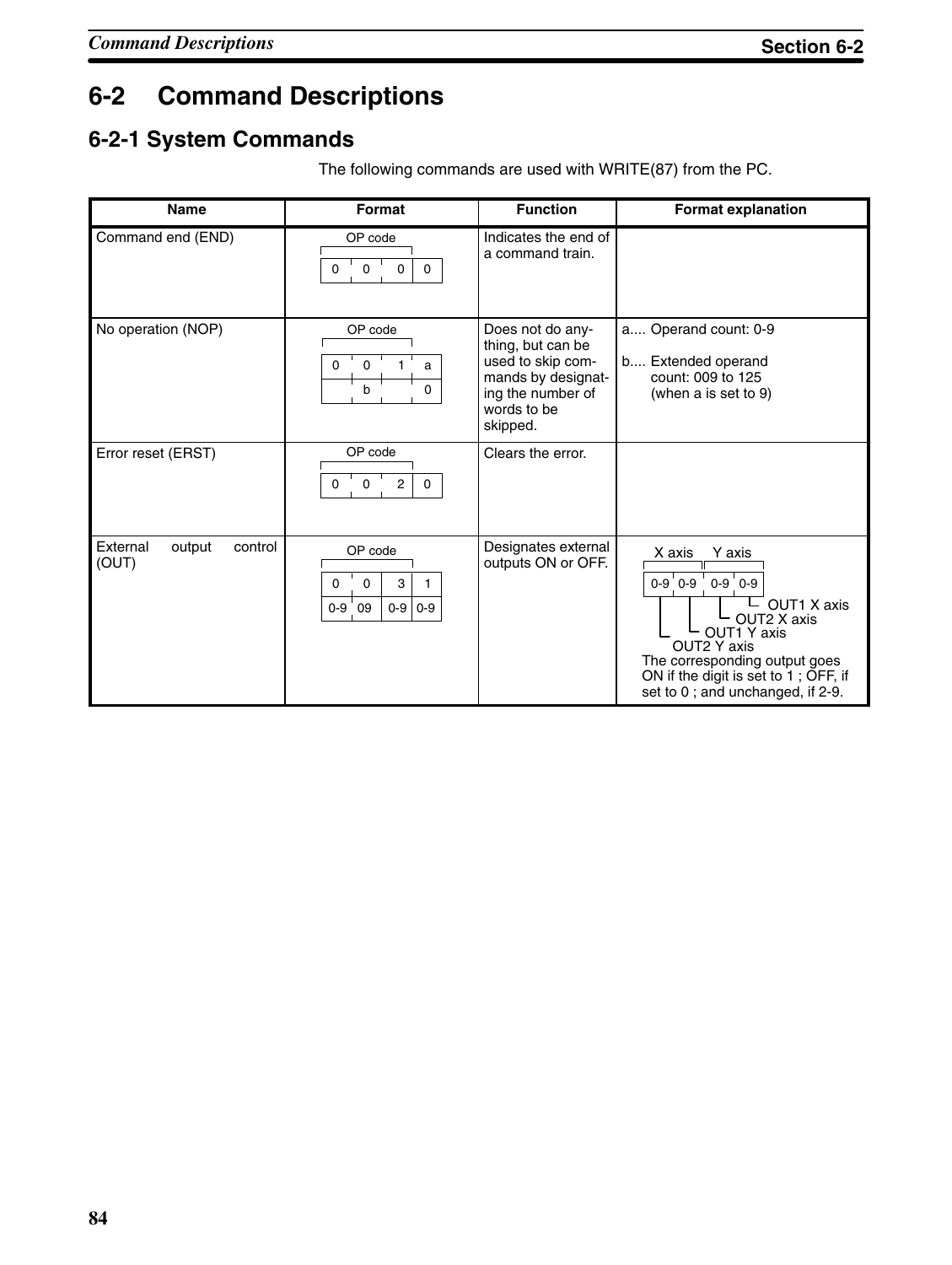# **6-2 Command Descriptions**

## **6-2-1 System Commands**

| <b>Name</b>                            | Format                                                                 | <b>Function</b>                                                                                                                  | <b>Format explanation</b>                                                                                                                                                                                               |
|----------------------------------------|------------------------------------------------------------------------|----------------------------------------------------------------------------------------------------------------------------------|-------------------------------------------------------------------------------------------------------------------------------------------------------------------------------------------------------------------------|
| Command end (END)                      | OP code<br>0<br>$\mathbf 0$<br>$\mathbf 0$<br>0                        | Indicates the end of<br>a command train.                                                                                         |                                                                                                                                                                                                                         |
| No operation (NOP)                     | OP code<br>$\mathbf 0$<br>a<br>0<br>b<br>0                             | Does not do any-<br>thing, but can be<br>used to skip com-<br>mands by designat-<br>ing the number of<br>words to be<br>skipped. | a Operand count: 0-9<br>b Extended operand<br>count: 009 to 125<br>(when a is set to 9)                                                                                                                                 |
| Error reset (ERST)                     | OP code<br>$\mathsf 0$<br>2<br>$\Omega$<br>0                           | Clears the error.                                                                                                                |                                                                                                                                                                                                                         |
| control<br>External<br>output<br>(OUT) | OP code<br>$\mathbf 0$<br>3<br>0<br>1<br>$0-9$<br>$0-9$<br>$0-9$<br>09 | Designates external<br>outputs ON or OFF.                                                                                        | X axis<br>Y axis<br>$0-9$ $0-9$<br>$0 - 9$ 0-9<br>OUT1 X axis<br>OUT2 X axis<br>OUT1 Y axis<br>OUT2 Y axis<br>The corresponding output goes<br>ON if the digit is set to 1; OFF, if<br>set to 0; and unchanged, if 2-9. |

The following commands are used with WRITE(87) from the PC.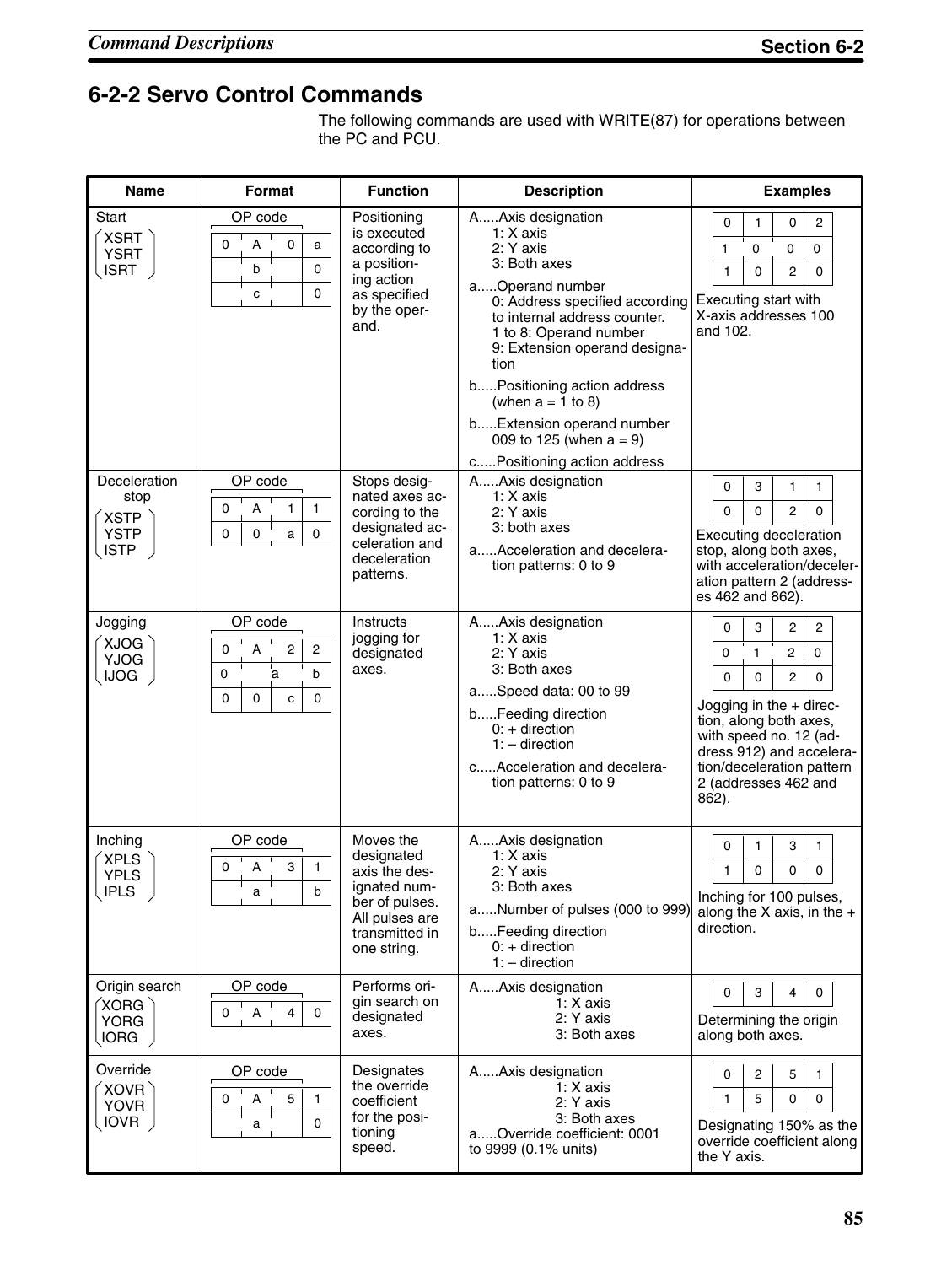## **6-2-2 Servo Control Commands**

The following commands are used with WRITE(87) for operations between the PC and PCU.

| <b>Name</b>                                                                 | <b>Format</b>                                                                                   | <b>Function</b>                                                                                                               | <b>Description</b>                                                                                                                                                                                                                                                                                                                                                    | <b>Examples</b>                                                                                                                                                                                                                                                        |
|-----------------------------------------------------------------------------|-------------------------------------------------------------------------------------------------|-------------------------------------------------------------------------------------------------------------------------------|-----------------------------------------------------------------------------------------------------------------------------------------------------------------------------------------------------------------------------------------------------------------------------------------------------------------------------------------------------------------------|------------------------------------------------------------------------------------------------------------------------------------------------------------------------------------------------------------------------------------------------------------------------|
| Start<br><b>XSRT</b><br><b>YSRT</b><br><b>ISRT</b>                          | OP code<br>A<br>0<br>0<br>a<br>0<br>b<br>0<br>C                                                 | Positioning<br>is executed<br>according to<br>a position-<br>ing action<br>as specified<br>by the oper-<br>and.               | A Axis designation<br>1: X axis<br>2: Y axis<br>3: Both axes<br>aOperand number<br>0: Address specified according<br>to internal address counter.<br>1 to 8: Operand number<br>9: Extension operand designa-<br>tion<br>bPositioning action address<br>(when $a = 1$ to 8)<br>b Extension operand number<br>009 to 125 (when $a = 9$ )<br>cPositioning action address | $\overline{2}$<br>0<br>0<br>$\mathbf{1}$<br>0<br>$\mathbf 0$<br>0<br>1<br>$\overline{c}$<br>$\mathbf 0$<br>$\mathbf 0$<br>$\mathbf{1}$<br>Executing start with<br>X-axis addresses 100<br>and 102.                                                                     |
| Deceleration<br>stop<br><b>XSTP</b><br><b>YSTP</b><br><b>ISTP</b>           | OP code<br>0<br>А<br>1<br>$\mathbf{1}$<br>0<br>$\mathsf 0$<br>0<br>a                            | Stops desig-<br>nated axes ac-<br>cording to the<br>designated ac-<br>celeration and<br>deceleration<br>patterns.             | A Axis designation<br>1: X axis<br>2: Y axis<br>3: both axes<br>aAcceleration and decelera-<br>tion patterns: 0 to 9                                                                                                                                                                                                                                                  | 0<br>3<br>1<br>1<br>$\overline{2}$<br>$\Omega$<br>0<br>$\Omega$<br><b>Executing deceleration</b><br>stop, along both axes,<br>with acceleration/deceler-<br>ation pattern 2 (address-<br>es 462 and 862).                                                              |
| Jogging<br>XJOG<br><b>YJOG</b><br><b>IJOG</b>                               | OP code<br>2<br>$\overline{c}$<br>0<br>А<br>ā<br>$\mathbf 0$<br>b<br>0<br>$\mathbf 0$<br>0<br>c | <b>Instructs</b><br>jogging for<br>designated<br>axes.                                                                        | A Axis designation<br>$1: X$ axis<br>2: Y axis<br>3: Both axes<br>aSpeed data: 00 to 99<br>bFeeding direction<br>$0: +$ direction<br>$1: -$ direction<br>cAcceleration and decelera-<br>tion patterns: 0 to 9                                                                                                                                                         | $\overline{2}$<br>0<br>3<br>2<br>0<br>$\mathbf{1}$<br>2<br>0<br>$\overline{c}$<br>0<br>0<br>0<br>Jogging in the + direc-<br>tion, along both axes,<br>with speed no. 12 (ad-<br>dress 912) and accelera-<br>tion/deceleration pattern<br>2 (addresses 462 and<br>862). |
| Inching<br><b>XPLS</b><br><b>YPLS</b><br>( IPLS                             | OP code<br>3<br>A<br>1<br>0<br>$\mathsf{h}$                                                     | Moves the<br>designated<br>axis the des-<br>ignated num-<br>ber of pulses.<br>All pulses are<br>transmitted in<br>one string. | AAxis designation<br>1: X axis<br>2: Y axis<br>3: Both axes<br>aNumber of pulses (000 to 999)<br>bFeeding direction<br>$0: +$ direction<br>$1: -$ direction                                                                                                                                                                                                           | 3<br>0<br>$\mathbf{1}$<br>$\mathbf{1}$<br>1<br>0<br>0<br>0<br>Inching for 100 pulses,<br>along the X axis, in the $+$<br>direction.                                                                                                                                    |
| Origin search<br>$\acute{}$ XORG $\grave{}\,$<br><b>YORG</b><br><b>IORG</b> | OP code<br>0<br>А<br>4<br>0                                                                     | Performs ori-<br>gin search on<br>designated<br>axes.                                                                         | AAxis designation<br>$1: X$ axis<br>2: Y axis<br>3: Both axes                                                                                                                                                                                                                                                                                                         | 0<br>3<br>4<br>$\mathbf 0$<br>Determining the origin<br>along both axes.                                                                                                                                                                                               |
| Override<br>XOVR<br><b>YOVR</b><br><b>IOVR</b>                              | OP code<br>5<br>0<br>A<br>1<br>0<br>a                                                           | Designates<br>the override<br>coefficient<br>for the posi-<br>tioning<br>speed.                                               | AAxis designation<br>$1: X$ axis<br>2: Y axis<br>3: Both axes<br>aOverride coefficient: 0001<br>to 9999 (0.1% units)                                                                                                                                                                                                                                                  | 0<br>2<br>5<br>1<br>1<br>5<br>0<br>0<br>Designating 150% as the<br>override coefficient along<br>the Y axis.                                                                                                                                                           |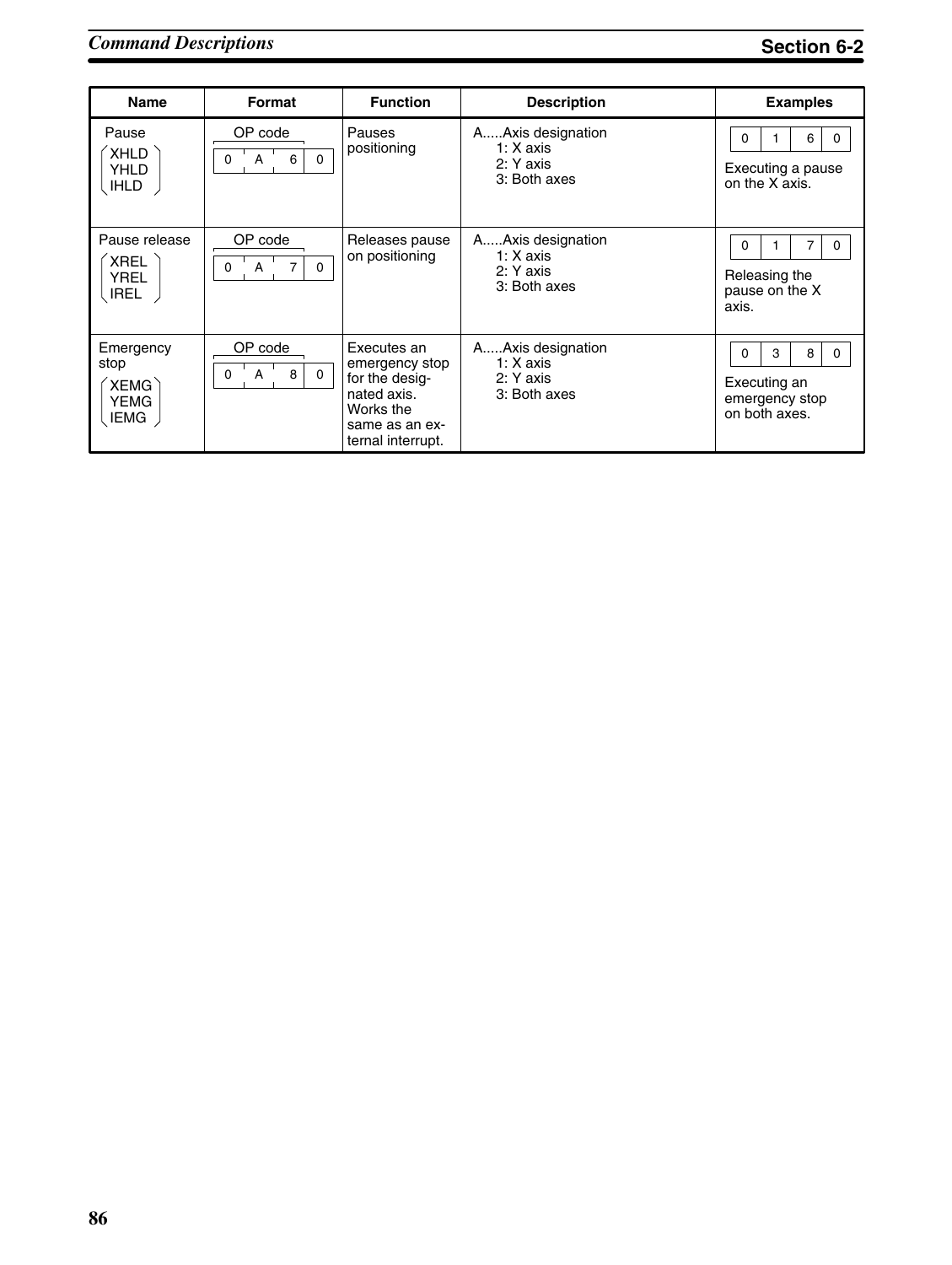# *Command Descriptions* **Section 6-2**

| <b>Name</b>                                                            | Format                                    | <b>Function</b>                                                                                                    | <b>Description</b>                                            | <b>Examples</b>                                                            |
|------------------------------------------------------------------------|-------------------------------------------|--------------------------------------------------------------------------------------------------------------------|---------------------------------------------------------------|----------------------------------------------------------------------------|
| Pause<br>XHLD<br>YHLD<br><b>IHLD</b>                                   | OP code<br>A<br>6<br>0<br>$\Omega$        | Pauses<br>positioning                                                                                              | AAxis designation<br>1: $X$ axis<br>2: Y axis<br>3: Both axes | 6<br>O<br>0<br>Executing a pause<br>on the X axis.                         |
| Pause release<br><b>XREL</b><br><b>YREL</b><br>, IREL                  | OP code<br>A<br>7<br>$\Omega$<br>0        | Releases pause<br>on positioning                                                                                   | AAxis designation<br>$1: X$ axis<br>2: Y axis<br>3: Both axes | 0<br>0<br>Releasing the<br>pause on the X<br>axis.                         |
| Emergency<br>stop<br>$\check{}$ XEMG $\check{}$<br>YEMG<br><b>IEMG</b> | OP code<br>8<br>A<br>$\Omega$<br>$\Omega$ | Executes an<br>emergency stop<br>for the desig-<br>nated axis.<br>Works the<br>same as an ex-<br>ternal interrupt. | AAxis designation<br>$1: X$ axis<br>2: Y axis<br>3: Both axes | 3<br>8<br>0<br>$\Omega$<br>Executing an<br>emergency stop<br>on both axes. |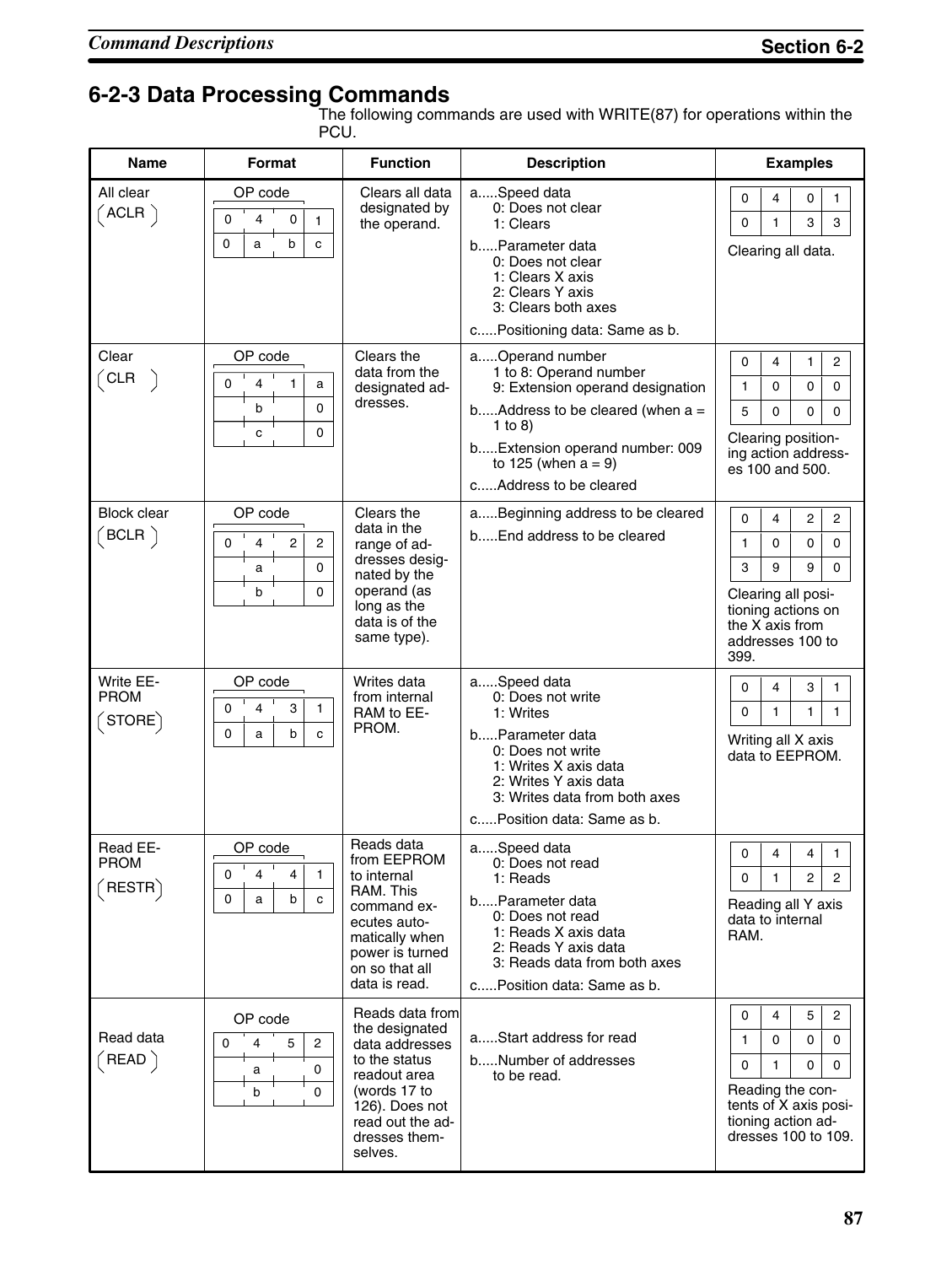# **6-2-3 Data Processing Commands**

The following commands are used with WRITE(87) for operations within the PCU.

| <b>Name</b>                                                                             | <b>Format</b>                                                             | <b>Function</b>                                                                                                                                                        | <b>Description</b>                                                                                                                                                                                                    | <b>Examples</b>                                                                                                                                                                      |
|-----------------------------------------------------------------------------------------|---------------------------------------------------------------------------|------------------------------------------------------------------------------------------------------------------------------------------------------------------------|-----------------------------------------------------------------------------------------------------------------------------------------------------------------------------------------------------------------------|--------------------------------------------------------------------------------------------------------------------------------------------------------------------------------------|
| All clear<br>$($ ACLR $\, \rangle$                                                      | OP code<br>0<br>4<br>0<br>1<br>0<br>b<br>c<br>a                           | Clears all data<br>designated by<br>the operand.                                                                                                                       | aSpeed data<br>0: Does not clear<br>1: Clears<br>bParameter data<br>0: Does not clear<br>1: Clears X axis<br>2: Clears Y axis<br>3: Clears both axes<br>cPositioning data: Same as b.                                 | 0<br>0<br>4<br>1<br>3<br>3<br>1<br>0<br>Clearing all data.                                                                                                                           |
| Clear<br>$\big($ CLR                                                                    | OP code<br>0<br>4<br>1<br>a<br>0<br>b<br>0<br>c                           | Clears the<br>data from the<br>designated ad-<br>dresses.                                                                                                              | aOperand number<br>1 to 8: Operand number<br>9: Extension operand designation<br>b Address to be cleared (when $a =$<br>1 to 8)<br>bExtension operand number: 009<br>to 125 (when $a = 9$ )<br>cAddress to be cleared | $\overline{2}$<br>0<br>4<br>1<br>$\mathbf{1}$<br>0<br>$\Omega$<br>0<br>5<br>$\Omega$<br>0<br>0<br>Clearing position-<br>ing action address-<br>es 100 and 500.                       |
| <b>Block clear</b><br>$($ BCLR $\,)$                                                    | OP code<br>$\overline{2}$<br>0<br>4<br>$\overline{2}$<br>0<br>a<br>0<br>b | Clears the<br>data in the<br>range of ad-<br>dresses desig-<br>nated by the<br>operand (as<br>long as the<br>data is of the<br>same type).                             | aBeginning address to be cleared<br>bEnd address to be cleared                                                                                                                                                        | 4<br>$\overline{2}$<br>$\overline{2}$<br>0<br>0<br>0<br>1<br>0<br>3<br>9<br>9<br>$\Omega$<br>Clearing all posi-<br>tioning actions on<br>the X axis from<br>addresses 100 to<br>399. |
| Write EE-<br><b>PROM</b><br>$\textcolor{red}{\check{}}\textcolor{blue}{\mathsf{STORE}}$ | OP code<br>3<br>$\Omega$<br>4<br>1<br>0<br>b<br>a<br>C                    | Writes data<br>from internal<br>RAM to EE-<br>PROM.                                                                                                                    | aSpeed data<br>0: Does not write<br>1: Writes<br>bParameter data<br>0: Does not write<br>1: Writes X axis data<br>2: Writes Y axis data<br>3: Writes data from both axes<br>c Position data: Same as b.               | 0<br>4<br>3<br>$\mathbf{1}$<br>1<br>0<br>1<br>$\mathbf{1}$<br>Writing all X axis<br>data to EEPROM.                                                                                  |
| Read EE-<br><b>PROM</b><br>∫RESTR`                                                      | OP code<br>0<br>4<br>4<br>$\mathbf{1}$<br>b<br>0<br>c<br>a                | Reads data<br>from EEPROM<br>to internal<br>RAM. This<br>command ex-<br>ecutes auto-<br>matically when<br>power is turned<br>on so that all<br>data is read.           | aSpeed data<br>0: Does not read<br>1: Reads<br>bParameter data<br>0: Does not read<br>1: Reads X axis data<br>2: Reads Y axis data<br>3: Reads data from both axes<br>cPosition data: Same as b.                      | 4<br>4<br>$\mathbf{1}$<br>0<br>$\mathbf{2}$<br>$\overline{2}$<br>0<br>1<br>Reading all Y axis<br>data to internal<br>RAM.                                                            |
| Read data<br>$($ READ $)$                                                               | OP code<br>$\overline{2}$<br>0<br>5<br>4<br>0<br>а<br>b<br>0              | Reads data from<br>the designated<br>data addresses<br>to the status<br>readout area<br>(words 17 to<br>126). Does not<br>read out the ad-<br>dresses them-<br>selves. | aStart address for read<br>bNumber of addresses<br>to be read.                                                                                                                                                        | 4<br>5<br>$\overline{2}$<br>0<br>1<br>0<br>0<br>0<br>1<br>0<br>0<br>0<br>Reading the con-<br>tents of X axis posi-<br>tioning action ad-<br>dresses 100 to 109.                      |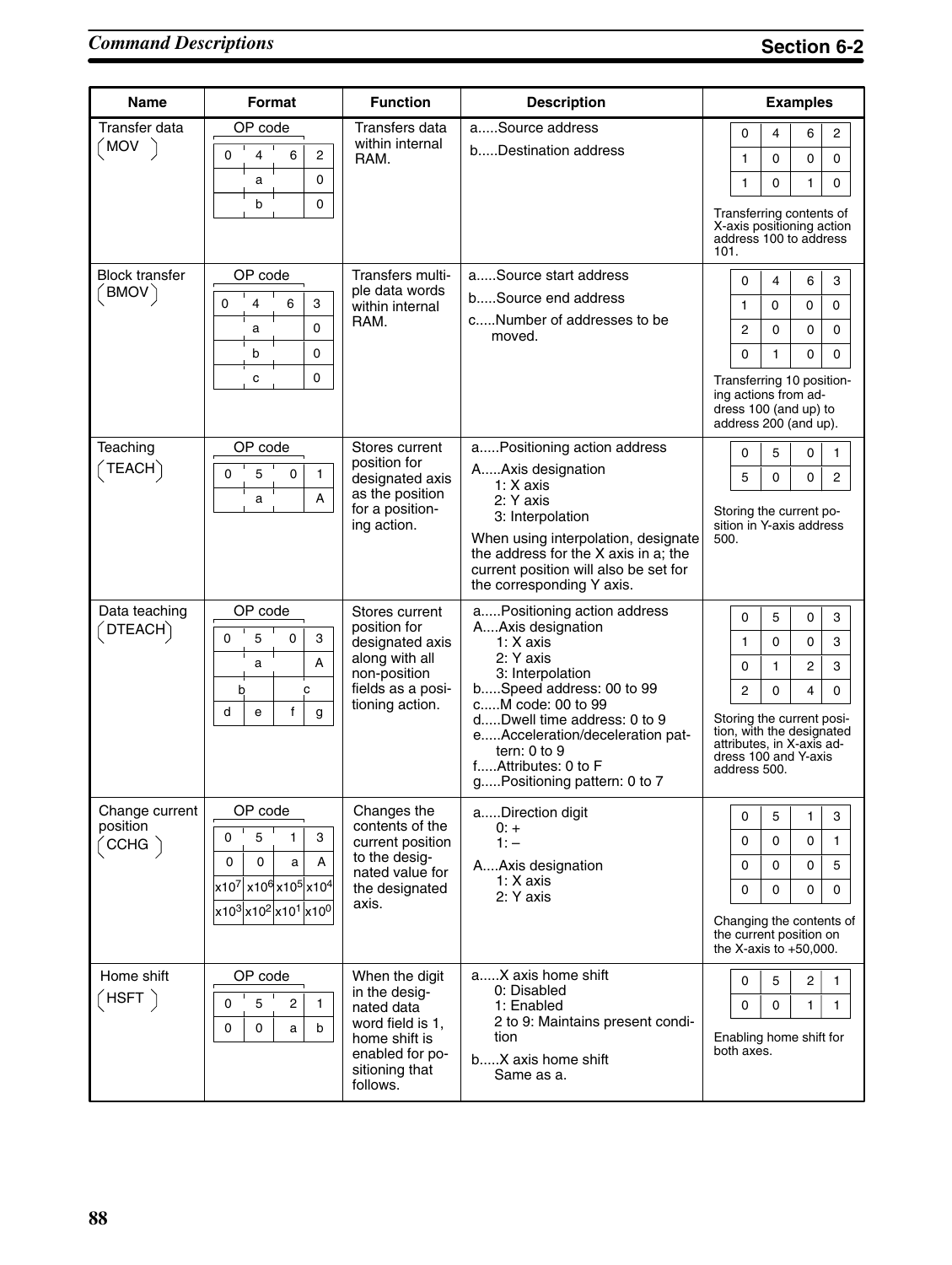| <b>Name</b>                                              | Format                                                                                                                                                                                                                                                                           | <b>Function</b>                                                                                                                     | <b>Description</b>                                                                                                                                                                                                                                                                           | <b>Examples</b>                                                                                                                                                                                                                                                                 |
|----------------------------------------------------------|----------------------------------------------------------------------------------------------------------------------------------------------------------------------------------------------------------------------------------------------------------------------------------|-------------------------------------------------------------------------------------------------------------------------------------|----------------------------------------------------------------------------------------------------------------------------------------------------------------------------------------------------------------------------------------------------------------------------------------------|---------------------------------------------------------------------------------------------------------------------------------------------------------------------------------------------------------------------------------------------------------------------------------|
| Transfer data<br><b>MOV</b>                              | OP code<br>0<br>4<br>6<br>$\overline{c}$<br>$\mathbf 0$<br>a<br>b<br>0                                                                                                                                                                                                           | Transfers data<br>within internal<br>RAM.                                                                                           | aSource address<br>bDestination address                                                                                                                                                                                                                                                      | $\overline{c}$<br>0<br>4<br>6<br>0<br>1<br>0<br>0<br>0<br>1<br>0<br>1<br>Transferring contents of<br>X-axis positioning action<br>address 100 to address<br>101.                                                                                                                |
| <b>Block transfer</b><br>$'$ BMOV $\rangle$              | OP code<br>3<br>0<br>4<br>6<br>$\mathbf 0$<br>а<br>0<br>b<br>0<br>C                                                                                                                                                                                                              | Transfers multi-<br>ple data words<br>within internal<br>RAM.                                                                       | aSource start address<br>bSource end address<br>cNumber of addresses to be<br>moved.                                                                                                                                                                                                         | 0<br>4<br>6<br>3<br>$\mathbf{1}$<br>$\mathbf 0$<br>0<br>0<br>$\overline{c}$<br>0<br>0<br>0<br>0<br>0<br>1<br>0<br>Transferring 10 position-<br>ing actions from ad-<br>dress 100 (and up) to<br>address 200 (and up).                                                           |
| Teaching<br>TEACH                                        | OP code<br>5<br>$\mathbf 0$<br>0<br>$\mathbf{1}$<br>A<br>a                                                                                                                                                                                                                       | Stores current<br>position for<br>designated axis<br>as the position<br>for a position-<br>ing action.                              | aPositioning action address<br>AAxis designation<br>$1: X$ axis<br>2: Y axis<br>3: Interpolation<br>When using interpolation, designate<br>the address for the X axis in a; the<br>current position will also be set for<br>the corresponding Y axis.                                        | 0<br>5<br>0<br>1<br>0<br>2<br>5<br>0<br>Storing the current po-<br>sition in Y-axis address<br>500.                                                                                                                                                                             |
| Data teaching<br>$\sqrt{\mathsf{DTEACH}}$                | OP code<br>5<br>0<br>0<br>3<br>A<br>a<br>c<br>b<br>$\mathsf{f}$<br>d<br>e<br>g                                                                                                                                                                                                   | Stores current<br>position for<br>designated axis<br>along with all<br>non-position<br>fields as a posi-<br>tioning action.         | aPositioning action address<br>AAxis designation<br>1: X axis<br>2: Y axis<br>3: Interpolation<br>bSpeed address: 00 to 99<br>cM code: 00 to 99<br>dDwell time address: 0 to 9<br>eAcceleration/deceleration pat-<br>tern: $0$ to $9$<br>fAttributes: 0 to F<br>gPositioning pattern: 0 to 7 | 5<br>0<br>3<br>0<br>$\ensuremath{\mathsf{3}}$<br>0<br>1<br>0<br>$\overline{2}$<br>3<br>$\mathbf{1}$<br>0<br>$\overline{c}$<br>$\Omega$<br>0<br>4<br>Storing the current posi-<br>tion, with the designated<br>attributes, in X-axis ad-<br>dress 100 and Y-axis<br>address 500. |
| Change current<br>position<br>$\left(\text{CCHG}\right)$ | OP code<br>$\mathbf 0$<br>5<br>1.<br>3<br>0<br>0<br>a<br>А<br>$\left  {{\mathsf{x}}} \right 10^7\left  {{\mathsf{x}}} \right 10^6\left  {{\mathsf{x}}} \right 0^5\left  {{\mathsf{x}}} \right 0^4\right $<br>x10 <sup>3</sup> x10 <sup>2</sup> x10 <sup>1</sup> x10 <sup>0</sup> | Changes the<br>contents of the<br>current position<br>to the desig-<br>nated value for<br>the designated<br>axis.                   | aDirection digit<br>0: +<br>$1: -$<br>AAxis designation<br>1: X axis<br>2: Y axis                                                                                                                                                                                                            | 5<br>3<br>0<br>1<br>0<br>0<br>1<br>0<br>0<br>0<br>5<br>0<br>0<br>0<br>0<br>0<br>Changing the contents of<br>the current position on<br>the X-axis to $+50,000$ .                                                                                                                |
| Home shift<br>$^{\prime}$ HSFT $^{\backprime}$           | OP code<br>5<br>$\overline{c}$<br>$\mathbf 0$<br>1<br>0<br>0<br>a<br>b                                                                                                                                                                                                           | When the digit<br>in the desig-<br>nated data<br>word field is 1,<br>home shift is<br>enabled for po-<br>sitioning that<br>follows. | aX axis home shift<br>0: Disabled<br>1: Enabled<br>2 to 9: Maintains present condi-<br>tion<br>bX axis home shift<br>Same as a.                                                                                                                                                              | 0<br>5<br>2<br>1<br>0<br>0<br>1<br>1<br>Enabling home shift for<br>both axes.                                                                                                                                                                                                   |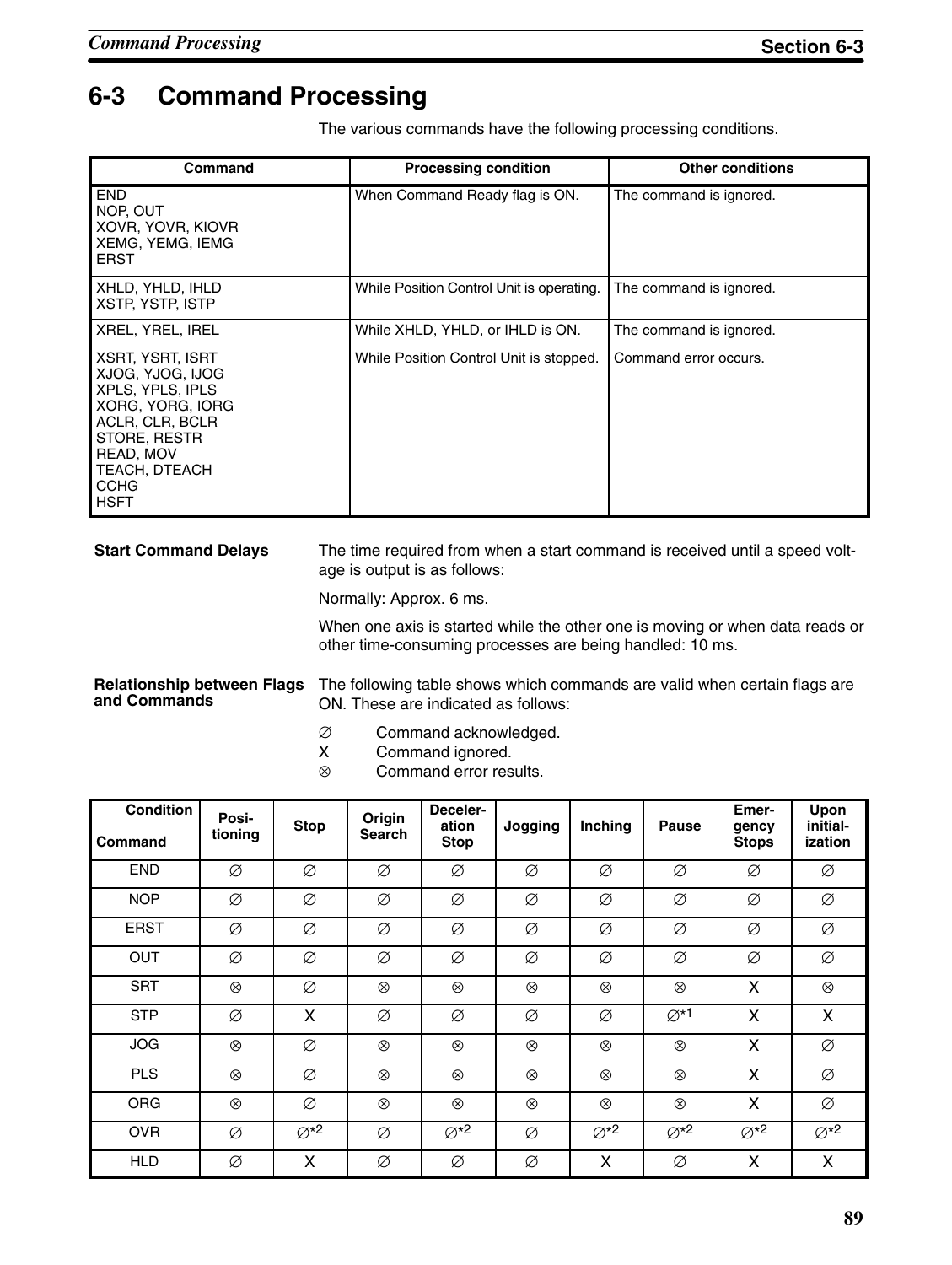# **6-3 Command Processing**

The various commands have the following processing conditions.

| Command                                                                                                                                                                     | <b>Processing condition</b>                                                                                         | <b>Other conditions</b>                                                                                                                                     |  |  |  |
|-----------------------------------------------------------------------------------------------------------------------------------------------------------------------------|---------------------------------------------------------------------------------------------------------------------|-------------------------------------------------------------------------------------------------------------------------------------------------------------|--|--|--|
| <b>END</b><br>NOP, OUT<br>XOVR, YOVR, KIOVR<br>XEMG, YEMG, IEMG<br><b>ERST</b>                                                                                              | When Command Ready flag is ON.                                                                                      | The command is ignored.                                                                                                                                     |  |  |  |
| XHLD, YHLD, IHLD<br><b>XSTP, YSTP, ISTP</b>                                                                                                                                 | While Position Control Unit is operating.                                                                           | The command is ignored.                                                                                                                                     |  |  |  |
| XREL, YREL, IREL                                                                                                                                                            | While XHLD, YHLD, or IHLD is ON.                                                                                    | The command is ignored.                                                                                                                                     |  |  |  |
| XSRT, YSRT, ISRT<br>XJOG, YJOG, IJOG<br>XPLS, YPLS, IPLS<br>XORG, YORG, IORG<br>ACLR, CLR, BCLR<br>STORE, RESTR<br>READ, MOV<br>TEACH, DTEACH<br><b>CCHG</b><br><b>HSFT</b> | While Position Control Unit is stopped.                                                                             | Command error occurs.                                                                                                                                       |  |  |  |
| <b>Start Command Delays</b>                                                                                                                                                 | age is output is as follows:<br>Normally: Approx. 6 ms.<br>other time-consuming processes are being handled: 10 ms. | The time required from when a start command is received until a speed volt-<br>When one axis is started while the other one is moving or when data reads or |  |  |  |

#### Relationship between Flags The following table shows which commands are valid when certain flags are **and Commands**

- ON. These are indicated as follows:  $\varnothing$  Command acknowledged.<br>X Command ignored.
- $X$  Command ignored.<br>  $\otimes$  Command error res
- Command error results.

| <b>Condition</b><br>Command | Posi-<br>tioning | <b>Stop</b>                 | Origin<br><b>Search</b> | Deceler-<br>ation<br><b>Stop</b> | Jogging        | Inching          | <b>Pause</b>      | Emer-<br>gency<br><b>Stops</b> | Upon<br>initial-<br>ization |
|-----------------------------|------------------|-----------------------------|-------------------------|----------------------------------|----------------|------------------|-------------------|--------------------------------|-----------------------------|
| <b>END</b>                  | Ø                | Ø                           | Ø                       | Ø                                | Ø              | Ø                | Ø                 | Ø                              | Ø                           |
| <b>NOP</b>                  | Ø                | Ø                           | Ø                       | Ø                                | Ø              | Ø                | Ø                 | Ø                              | Ø                           |
| <b>ERST</b>                 | Ø                | Ø                           | Ø                       | Ø                                | Ø              | Ø                | Ø                 | Ø                              | Ø                           |
| <b>OUT</b>                  | Ø                | Ø                           | Ø                       | Ø                                | Ø              | Ø                | Ø                 | Ø                              | Ø                           |
| <b>SRT</b>                  | $\otimes$        | Ø                           | $^{\circledR}$          | $\otimes$                        | $\otimes$      | $\otimes$        | $^{\circledR}$    | X                              | $^{\circledR}$              |
| <b>STP</b>                  | Ø                | X                           | Ø                       | Ø                                | Ø              | Ø                | $\varnothing^*$ 1 | X                              | X                           |
| <b>JOG</b>                  | $\otimes$        | Ø                           | $^{\circ}$              | $\otimes$                        | $^{\circledR}$ | $^{\circledR}$   | $\otimes$         | X                              | Ø                           |
| <b>PLS</b>                  | $^{\circledR}$   | Ø                           | $^{\circ}$              | $^{\circledR}$                   | $^{\circledR}$ | $^{\circledR}$   | $^{\circ}$        | X                              | Ø                           |
| <b>ORG</b>                  | $^{\circledR}$   | Ø                           | $^{\circ}$              | $\otimes$                        | $^{\circledR}$ | $\otimes$        | ⊗                 | X                              | Ø                           |
| <b>OVR</b>                  | Ø                | $\varnothing$ <sup>*2</sup> | Ø                       | $\varnothing$ <sup>*2</sup>      | Ø              | $\varnothing$ *2 | $\varnothing$ *2  | $\varnothing$ <sup>*2</sup>    | $\varnothing$ <sup>*2</sup> |
| <b>HLD</b>                  | Ø                | X                           | Ø                       | Ø                                | Ø              | X                | Ø                 | X                              | X                           |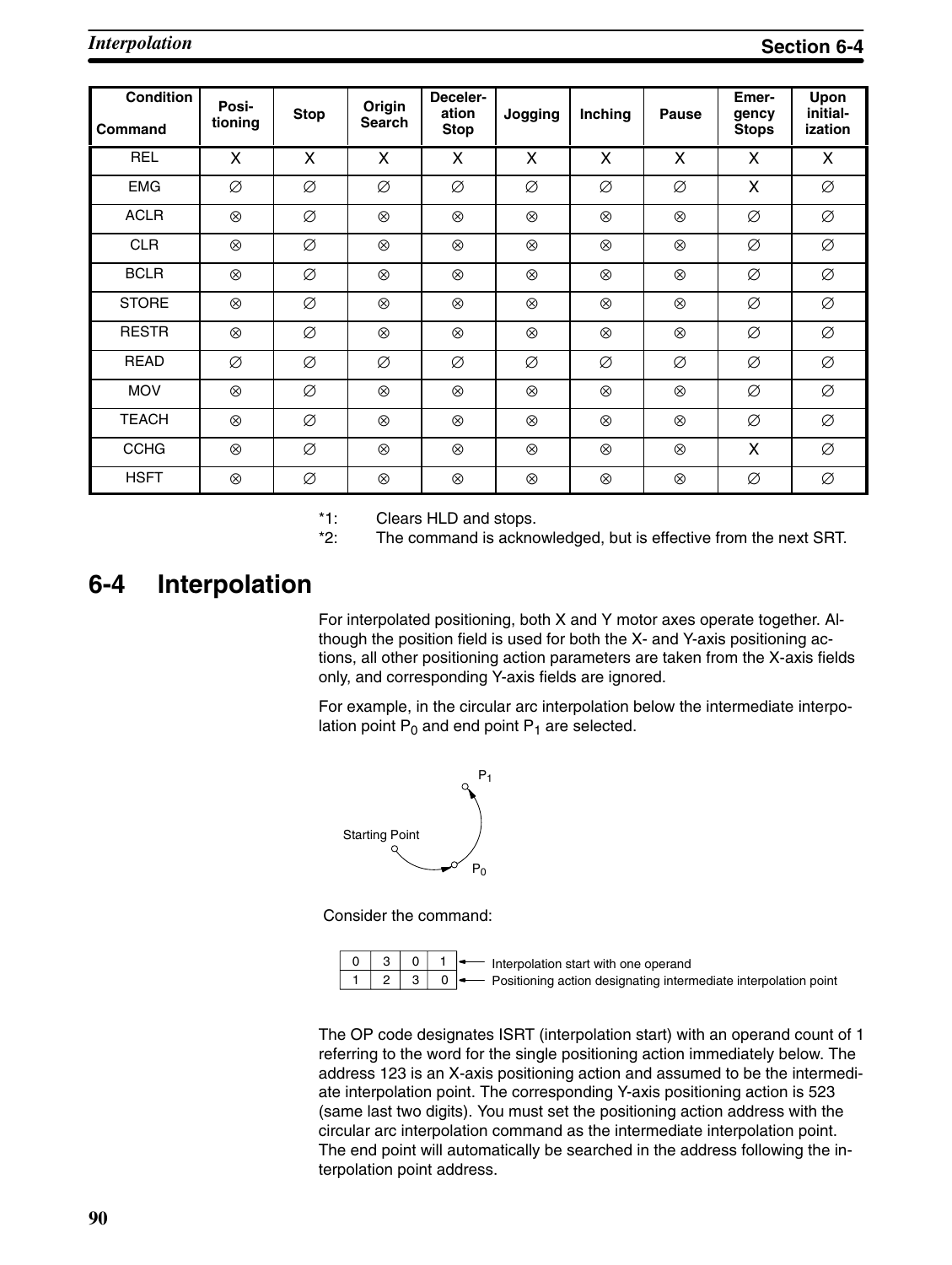| <b>Condition</b><br><b>Command</b> | Posi-<br>tioning | <b>Stop</b> | Origin<br><b>Search</b> | Deceler-<br>ation<br><b>Stop</b> | Jogging        | Inching        | <b>Pause</b>   | Emer-<br>gency<br><b>Stops</b> | Upon<br>initial-<br>ization |
|------------------------------------|------------------|-------------|-------------------------|----------------------------------|----------------|----------------|----------------|--------------------------------|-----------------------------|
| <b>REL</b>                         | X                | X           | X                       | X                                | X              | X              | X              | X                              | X                           |
| <b>EMG</b>                         | Ø                | Ø           | Ø                       | Ø                                | Ø              | Ø              | Ø              | X                              | Ø                           |
| <b>ACLR</b>                        | $\otimes$        | Ø           | $\otimes$               | $\otimes$                        | $\otimes$      | $\otimes$      | $\otimes$      | Ø                              | Ø                           |
| <b>CLR</b>                         | $\otimes$        | Ø           | $^{\circledR}$          | $\otimes$                        | $\otimes$      | $\otimes$      | $\otimes$      | Ø                              | Ø                           |
| <b>BCLR</b>                        | $\otimes$        | Ø           | $\otimes$               | $\otimes$                        | $\otimes$      | $\otimes$      | $\otimes$      | Ø                              | Ø                           |
| <b>STORE</b>                       | $\otimes$        | Ø           | $^{\circledR}$          | $\otimes$                        | $^{\circledR}$ | $\otimes$      | $^{\circledR}$ | Ø                              | Ø                           |
| <b>RESTR</b>                       | $\otimes$        | Ø           | $^{\circledR}$          | $^{\circledR}$                   | $\otimes$      | $\otimes$      | $\otimes$      | Ø                              | Ø                           |
| <b>READ</b>                        | Ø                | Ø           | Ø                       | Ø                                | Ø              | Ø              | Ø              | Ø                              | Ø                           |
| <b>MOV</b>                         | $\otimes$        | Ø           | $^{\circledR}$          | $^{\circledR}$                   | $^{\circledR}$ | $\otimes$      | $^{\circledR}$ | Ø                              | Ø                           |
| <b>TEACH</b>                       | $^{\circledR}$   | Ø           | $^{\circledR}$          | $^{\circledR}$                   | $^{\circledR}$ | $\otimes$      | $^{\circledR}$ | Ø                              | Ø                           |
| <b>CCHG</b>                        | $^{\circledR}$   | Ø           | $^{\circledR}$          | $^{\circledR}$                   | $^{\circledR}$ | $^{\circledR}$ | $^{\circledR}$ | X                              | Ø                           |
| <b>HSFT</b>                        | $^{\circledR}$   | Ø           | $^{\circledR}$          | $^{\circledR}$                   | $^{\circledR}$ | $^{\circledR}$ | $^{\circledR}$ | Ø                              | Ø                           |

\*1: Clears HLD and stops.<br>\*2: The command is acknow

The command is acknowledged, but is effective from the next SRT.

### **6-4 Interpolation**

For interpolated positioning, both X and Y motor axes operate together. Although the position field is used for both the X- and Y-axis positioning actions, all other positioning action parameters are taken from the X-axis fields only, and corresponding Y-axis fields are ignored.

For example, in the circular arc interpolation below the intermediate interpolation point  $P_0$  and end point  $P_1$  are selected.



Consider the command:



- Interpolation start with one operand - Positioning action designating intermediate interpolation point

The OP code designates ISRT (interpolation start) with an operand count of 1 referring to the word for the single positioning action immediately below. The address 123 is an X-axis positioning action and assumed to be the intermediate interpolation point. The corresponding Y-axis positioning action is 523 (same last two digits). You must set the positioning action address with the circular arc interpolation command as the intermediate interpolation point. The end point will automatically be searched in the address following the interpolation point address.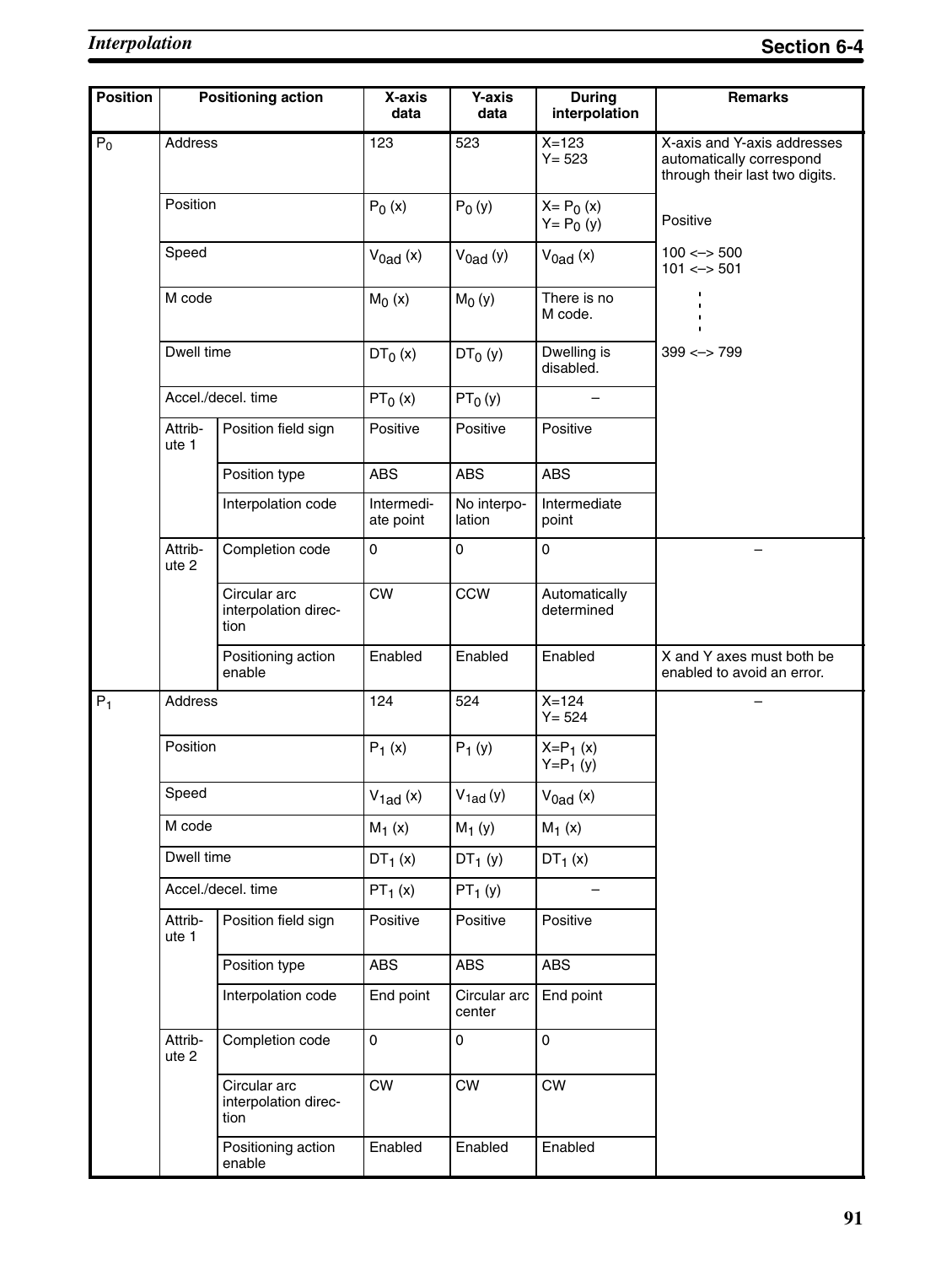| <b>Position</b> |                  | <b>Positioning action</b>                    | X-axis<br>data          | <b>Y-axis</b><br>data  | <b>During</b><br>interpolation | <b>Remarks</b>                                                                            |
|-----------------|------------------|----------------------------------------------|-------------------------|------------------------|--------------------------------|-------------------------------------------------------------------------------------------|
| $P_0$           | Address          |                                              | 123                     | 523                    | $X = 123$<br>$Y = 523$         | X-axis and Y-axis addresses<br>automatically correspond<br>through their last two digits. |
|                 | Position         |                                              | $P_0(x)$                | $P_0(y)$               | $X = P_0(x)$<br>$Y = P_0 (y)$  | Positive                                                                                  |
|                 | Speed            |                                              | $V_{0ad}$ (x)           | $V_{0ad} (y)$          | $V_{0ad}$ (x)                  | $100 \leftarrow > 500$<br>$101 \le -501$                                                  |
|                 | M code           |                                              | $M_0(x)$                | $M_0(y)$               | There is no<br>M code.         |                                                                                           |
|                 | Dwell time       |                                              | $DT_0(x)$               | $DT0$ (y)              | Dwelling is<br>disabled.       | $399 \le -2799$                                                                           |
|                 |                  | Accel./decel. time                           | $PT_0(x)$               | $PT_0(y)$              |                                |                                                                                           |
|                 | Attrib-<br>ute 1 | Position field sign                          | Positive                | Positive               | Positive                       |                                                                                           |
|                 |                  | Position type                                | <b>ABS</b>              | <b>ABS</b>             | <b>ABS</b>                     |                                                                                           |
|                 |                  | Interpolation code                           | Intermedi-<br>ate point | No interpo-<br>lation  | Intermediate<br>point          |                                                                                           |
|                 | Attrib-<br>ute 2 | Completion code                              | 0                       | 0                      | 0                              |                                                                                           |
|                 |                  | Circular arc<br>interpolation direc-<br>tion | <b>CW</b>               | <b>CCW</b>             | Automatically<br>determined    |                                                                                           |
|                 |                  | Positioning action<br>enable                 | Enabled                 | Enabled                | Enabled                        | X and Y axes must both be<br>enabled to avoid an error.                                   |
| $P_1$           | Address          |                                              | 124                     | 524                    | $X=124$<br>$Y = 524$           |                                                                                           |
|                 | Position         |                                              | $P_1(x)$                | $P_1(y)$               | $X = P_1(x)$<br>$Y = P_1(y)$   |                                                                                           |
|                 | Speed            |                                              | $V_{1ad}$ (x)           | $V_{1ad}(y)$           | $V_{0ad}$ (x)                  |                                                                                           |
|                 | M code           |                                              | $M_1(x)$                | $M_1(y)$               | $M_1(x)$                       |                                                                                           |
|                 | Dwell time       |                                              | $DT_1(x)$               | $DT_1(y)$              | $DT_1(x)$                      |                                                                                           |
|                 |                  | Accel./decel.time                            | $PT_1(x)$               | $PT_1(y)$              |                                |                                                                                           |
|                 | Attrib-<br>ute 1 | Position field sign                          | Positive                | Positive               | Positive                       |                                                                                           |
|                 |                  | Position type                                | <b>ABS</b>              | <b>ABS</b>             | <b>ABS</b>                     |                                                                                           |
|                 |                  | Interpolation code                           | End point               | Circular arc<br>center | End point                      |                                                                                           |
|                 | Attrib-<br>ute 2 | Completion code                              | 0                       | $\mathsf 0$            | 0                              |                                                                                           |
|                 |                  | Circular arc<br>interpolation direc-<br>tion | <b>CW</b>               | <b>CW</b>              | <b>CW</b>                      |                                                                                           |
|                 |                  | Positioning action<br>enable                 | Enabled                 | Enabled                | Enabled                        |                                                                                           |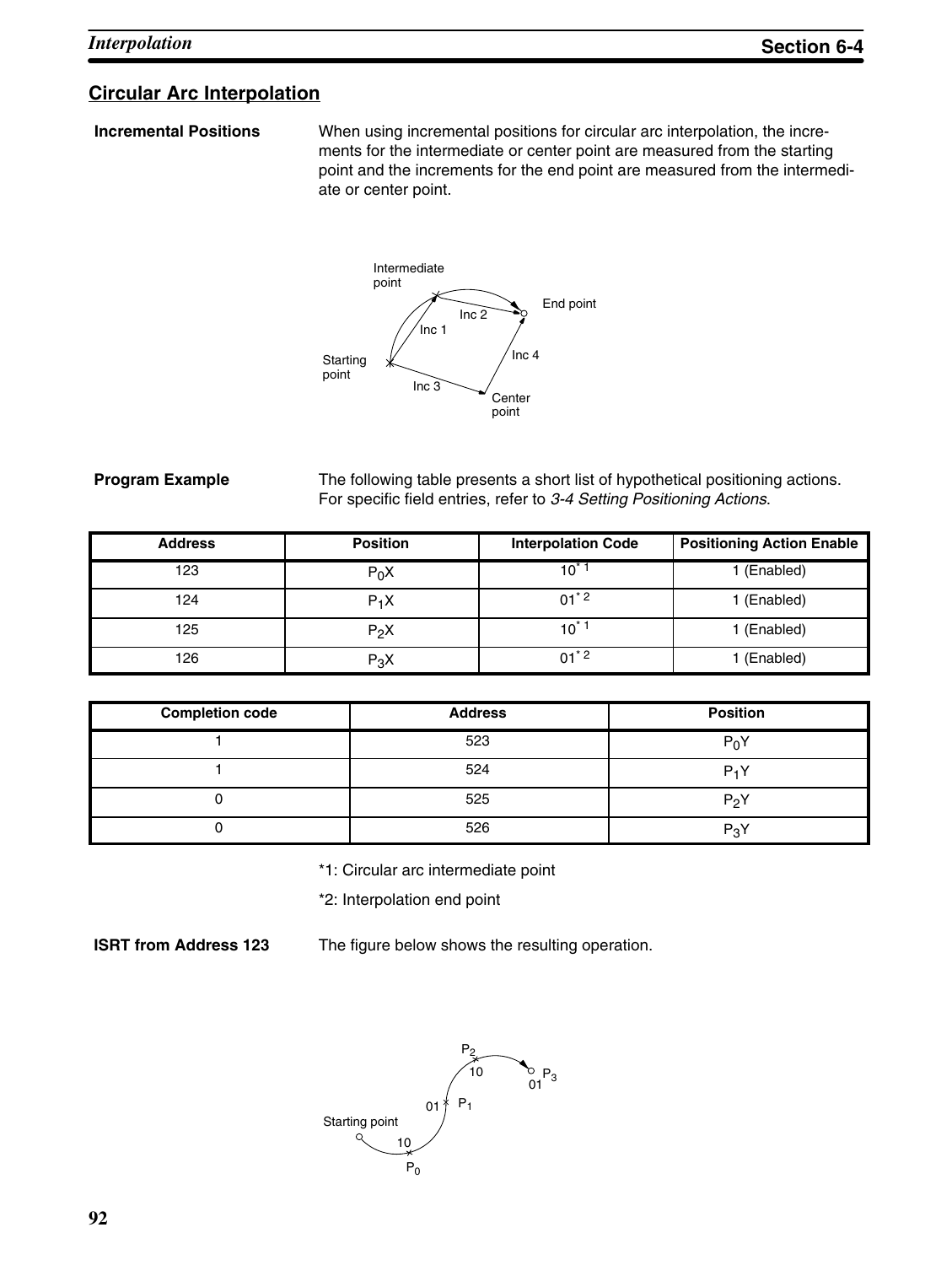### **Circular Arc Interpolation**

**Incremental Positions** When using incremental positions for circular arc interpolation, the increments for the intermediate or center point are measured from the starting point and the increments for the end point are measured from the intermediate or center point.



#### **Program Example**

The following table presents a short list of hypothetical positioning actions. For specific field entries, refer to *3-4 Setting Positioning Actions*.

| <b>Address</b> | <b>Position</b> | <b>Interpolation Code</b> | <b>Positioning Action Enable</b> |
|----------------|-----------------|---------------------------|----------------------------------|
| 123            | $P_0X$          | $10^*$                    | 1 (Enabled)                      |
| 124            | $P_1X$          | $01^*$ 2                  | 1 (Enabled)                      |
| 125            | $P_2X$          | $10^{*}$ 1                | 1 (Enabled)                      |
| 126            | $P_3X$          | $01^*$ <sup>2</sup>       | (Enabled)                        |

| <b>Completion code</b> | <b>Address</b> | <b>Position</b> |
|------------------------|----------------|-----------------|
|                        | 523            | $P_0Y$          |
|                        | 524            | $P_1Y$          |
|                        | 525            | $P_2Y$          |
|                        | 526            | $P_3Y$          |

\*1: Circular arc intermediate point

\*2: Interpolation end point

**ISRT from Address 123**

The figure below shows the resulting operation.

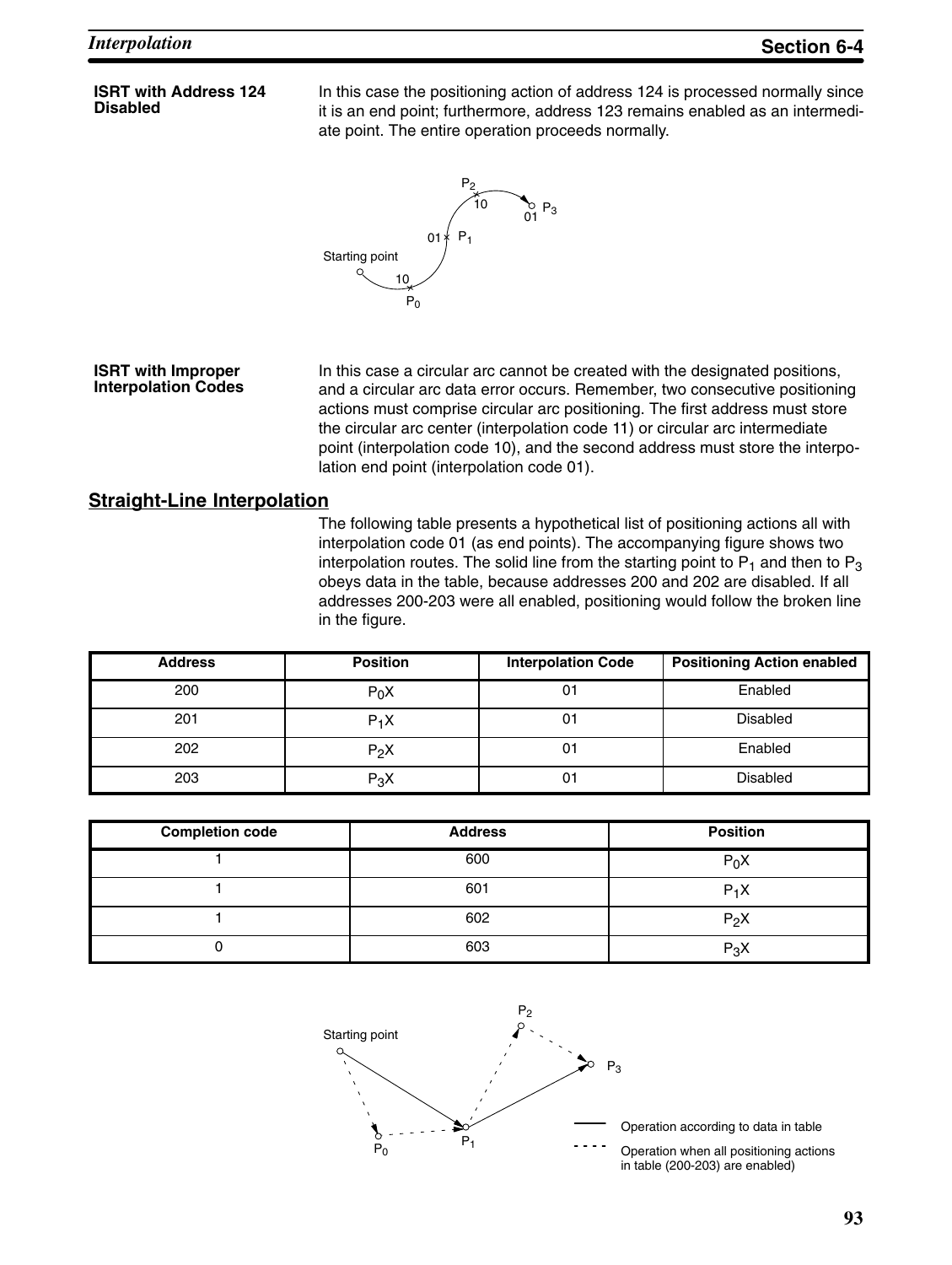#### **ISRT with Address 124 Disabled**

In this case the positioning action of address 124 is processed normally since it is an end point; furthermore, address 123 remains enabled as an intermediate point. The entire operation proceeds normally.



#### **ISRT with Improper Interpolation Codes**

In this case a circular arc cannot be created with the designated positions, and a circular arc data error occurs. Remember, two consecutive positioning actions must comprise circular arc positioning. The first address must store the circular arc center (interpolation code 11) or circular arc intermediate point (interpolation code 10), and the second address must store the interpolation end point (interpolation code 01).

#### **Straight-Line Interpolation**

The following table presents a hypothetical list of positioning actions all with interpolation code 01 (as end points). The accompanying figure shows two interpolation routes. The solid line from the starting point to  $P_1$  and then to  $P_3$ obeys data in the table, because addresses 200 and 202 are disabled. If all addresses 200-203 were all enabled, positioning would follow the broken line in the figure.

| <b>Address</b> | <b>Position</b> | <b>Interpolation Code</b> | <b>Positioning Action enabled</b> |
|----------------|-----------------|---------------------------|-----------------------------------|
| 200            | $P_0X$          | 01                        | Enabled                           |
| 201            | $P_1X$          | 01                        | <b>Disabled</b>                   |
| 202            | $P_2X$          | 01                        | Enabled                           |
| 203            | $P_3X$          | 01                        | <b>Disabled</b>                   |

| <b>Completion code</b> | <b>Address</b> | <b>Position</b> |
|------------------------|----------------|-----------------|
|                        | 600            | $P_0X$          |
|                        | 601            | $P_1X$          |
|                        | 602            | $P_2X$          |
|                        | 603            | $P_3X$          |



Operation according to data in table

Operation when all positioning actions in table (200-203) are enabled)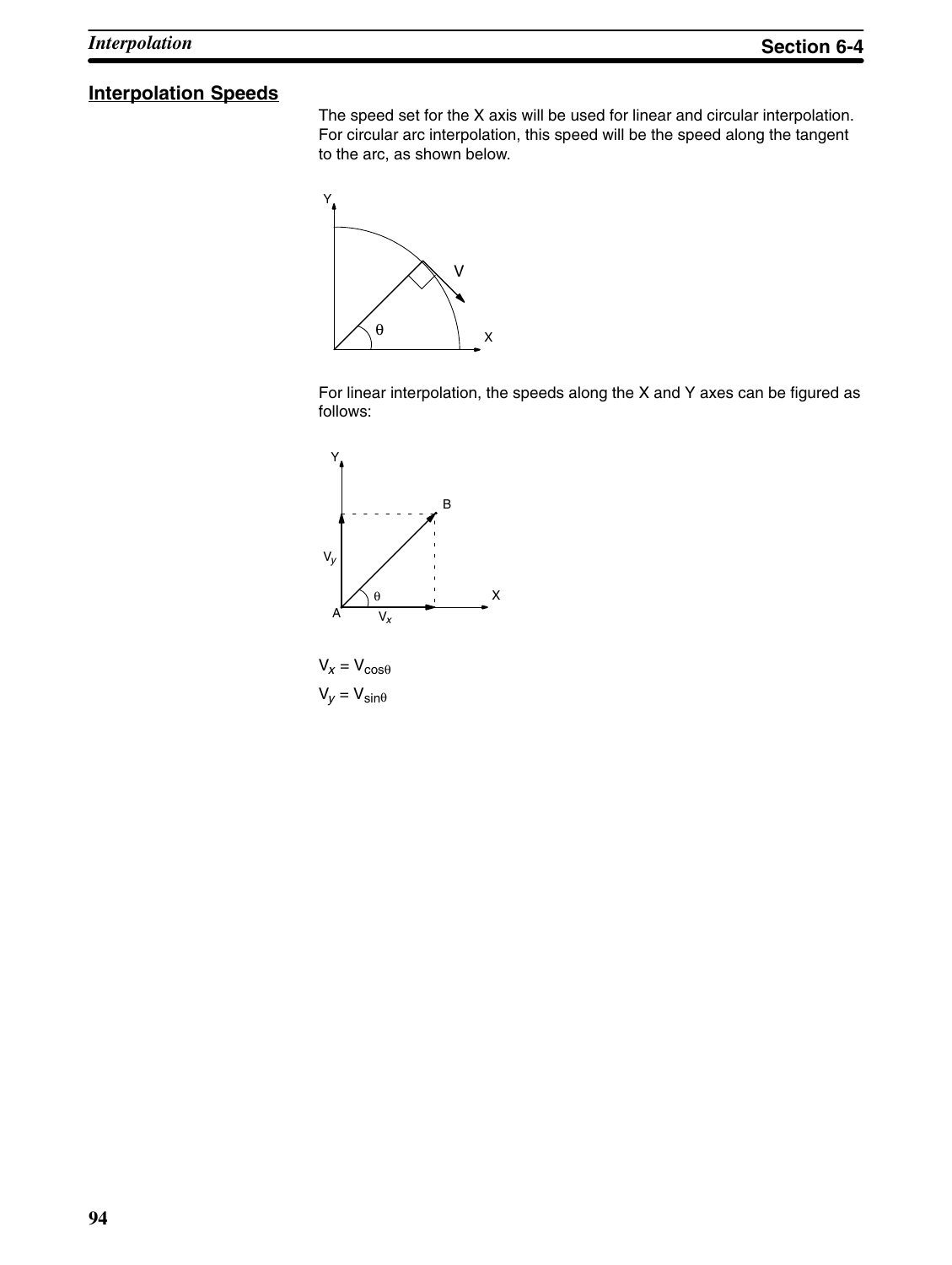## **Interpolation Speeds**

The speed set for the X axis will be used for linear and circular interpolation. For circular arc interpolation, this speed will be the speed along the tangent to the arc, as shown below.



For linear interpolation, the speeds along the X and Y axes can be figured as follows:



 $V_x = V_{cos\theta}$  $V_y = V_{\text{sin}\theta}$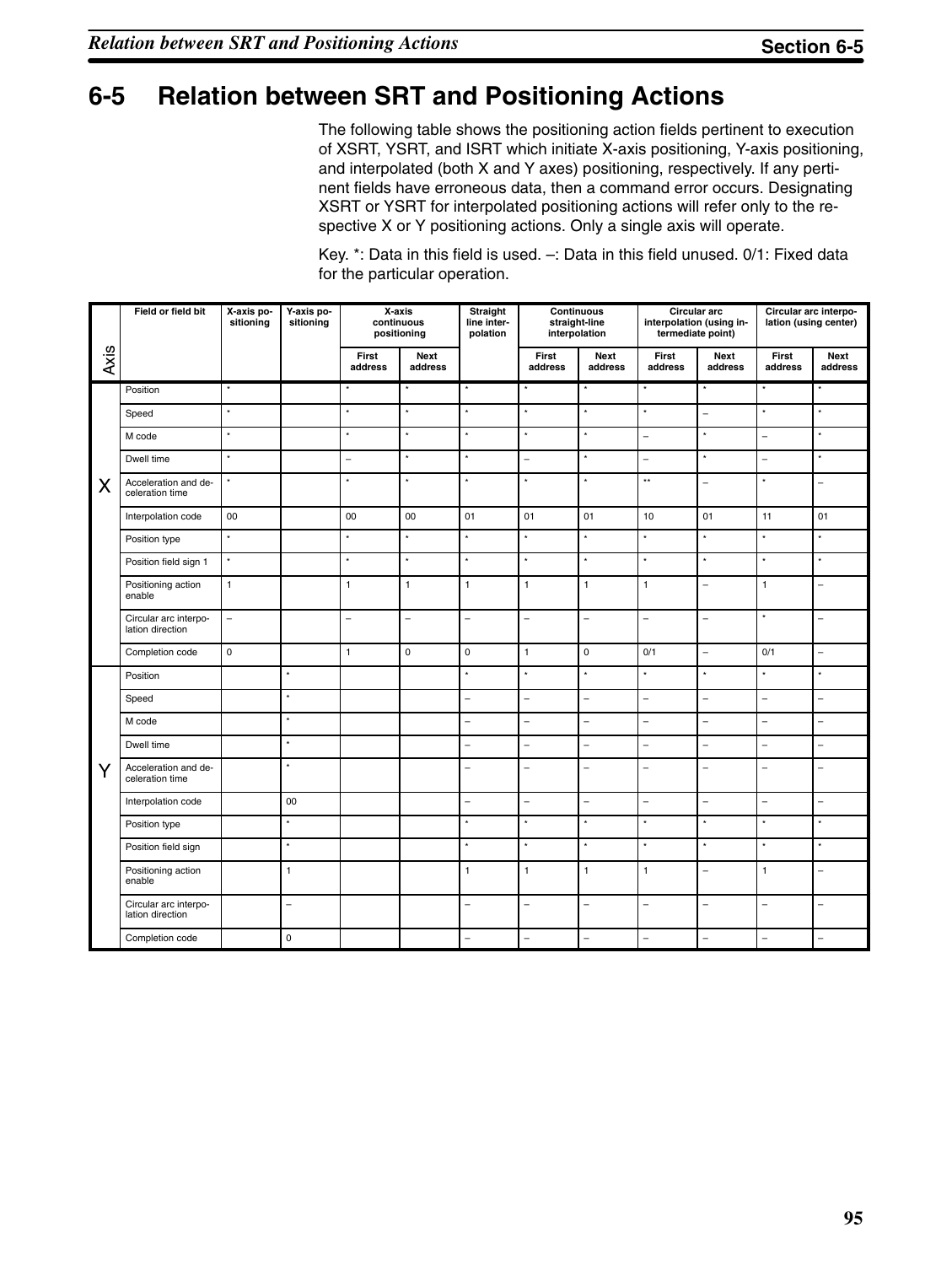## **6-5 Relation between SRT and Positioning Actions**

The following table shows the positioning action fields pertinent to execution of XSRT, YSRT, and ISRT which initiate X-axis positioning, Y-axis positioning, and interpolated (both X and Y axes) positioning, respectively. If any pertinent fields have erroneous data, then a command error occurs. Designating XSRT or YSRT for interpolated positioning actions will refer only to the respective X or Y positioning actions. Only a single axis will operate.

|      | Field or field bit                        | X-axis po-<br>sitioning | Y-axis po-<br>sitioning |                          | X-axis<br>continuous<br>positioning | Straight<br>line inter-<br>polation |                          | <b>Continuous</b><br>straight-line<br>interpolation |                          | Circular arc<br>interpolation (using in-<br>termediate point) |                          | Circular arc interpo-<br>lation (using center) |
|------|-------------------------------------------|-------------------------|-------------------------|--------------------------|-------------------------------------|-------------------------------------|--------------------------|-----------------------------------------------------|--------------------------|---------------------------------------------------------------|--------------------------|------------------------------------------------|
| Axis |                                           |                         |                         | First<br>address         | Next<br>address                     |                                     | First<br>address         | Next<br>address                                     | First<br>address         | Next<br>address                                               | First<br>address         | Next<br>address                                |
|      | Position                                  |                         |                         |                          |                                     | $\star$                             |                          |                                                     |                          |                                                               |                          |                                                |
|      | Speed                                     | $\star$                 |                         | $\star$                  | $\star$                             | $^\star$                            | $\star$                  | $\star$                                             | $\star$                  | $\overline{a}$                                                | $\star$                  | $\star$                                        |
|      | M code                                    | $^\star$                |                         | $^\star$                 | $^\star$                            | $^\star$                            | $^\star$                 | $^\star$                                            | $\equiv$                 | $^\star$                                                      | $\overline{a}$           | $^\star$                                       |
|      | Dwell time                                | $^\star$                |                         | $\equiv$                 | $\star$                             | $^\star$                            | $\overline{a}$           | $\star$                                             | $\overline{\phantom{0}}$ | $\star$                                                       | $\overline{a}$           | $\star$                                        |
| X    | Acceleration and de-<br>celeration time   | $\star$                 |                         | $\star$                  | $\star$                             | $\star$                             | $\star$                  | $\star$                                             | $\star\star$             | $\equiv$                                                      | ×                        | $\overline{a}$                                 |
|      | Interpolation code                        | 00                      |                         | 00                       | 00                                  | 01                                  | 01                       | 01                                                  | 10                       | 01                                                            | 11                       | 01                                             |
|      | Position type                             | $^\star$                |                         | $^\star$                 | $\star$                             | $^\star$                            | $^\star$                 | $^\star$                                            | $\star$                  | $^\star$                                                      | $^\star$                 | $^\star$                                       |
|      | Position field sign 1                     | $^\star$                |                         | $\star$                  | $\star$                             | $^\star$                            | $\star$                  | $\star$                                             | $\star$                  | $^\star$                                                      | $\star$                  | $\star$                                        |
|      | Positioning action<br>enable              | $\mathbf{1}$            |                         | $\mathbf{1}$             | $\mathbf{1}$                        | $\mathbf{1}$                        | $\mathbf{1}$             | $\mathbf{1}$                                        | $\mathbf{1}$             | $\equiv$                                                      | $\mathbf{1}$             | $\overline{\phantom{0}}$                       |
|      | Circular arc interpo-<br>lation direction | $\overline{a}$          |                         | $\overline{\phantom{0}}$ | -                                   | $\overline{\phantom{0}}$            | $\overline{\phantom{0}}$ | $\equiv$                                            | $\overline{\phantom{0}}$ | $\bar{\phantom{a}}$                                           | $\star$                  | $\overline{a}$                                 |
|      | Completion code                           | $\mathbf 0$             |                         | $\mathbf{1}$             | $\mathbf 0$                         | $\mathbf 0$                         | $\mathbf{1}$             | $\mathbf 0$                                         | 0/1                      | $\equiv$                                                      | 0/1                      | $\overline{a}$                                 |
|      | Position                                  |                         | $\star$                 |                          |                                     | $^\star$                            | $\star$                  | $\star$                                             | $\star$                  | $^\star$                                                      | $\star$                  | $\star$                                        |
|      | Speed                                     |                         | $\star$                 |                          |                                     | $\equiv$                            | -                        | L.                                                  | $\overline{\phantom{0}}$ | $\equiv$                                                      | $\overline{a}$           | $\overline{a}$                                 |
|      | M code                                    |                         | ÷                       |                          |                                     | $\overline{a}$                      | $\overline{\phantom{0}}$ | $\overline{a}$                                      | $\overline{\phantom{0}}$ | $\bar{\phantom{a}}$                                           | $\overline{a}$           | $\overline{a}$                                 |
|      | Dwell time                                |                         | $\star$                 |                          |                                     | $\qquad \qquad -$                   | $\equiv$                 | $\bar{ }$                                           | $\equiv$                 | $\bar{ }$                                                     | $\overline{a}$           | $\overline{a}$                                 |
| Y    | Acceleration and de-<br>celeration time   |                         | $\star$                 |                          |                                     | $\equiv$                            | -                        | L.                                                  | $\overline{\phantom{0}}$ | $\equiv$                                                      | $\overline{\phantom{0}}$ | $\overline{a}$                                 |
|      | Interpolation code                        |                         | 00                      |                          |                                     | $\equiv$                            | $\overline{\phantom{0}}$ | $\equiv$                                            | $\overline{\phantom{0}}$ | $\equiv$                                                      | $\overline{\phantom{0}}$ | $\overline{a}$                                 |
|      | Position type                             |                         | $\star$                 |                          |                                     | $\star$                             | $\star$                  | $^\star$                                            | $\star$                  | $\star$                                                       | ÷                        | $\star$                                        |
|      | Position field sign                       |                         | $\star$                 |                          |                                     | $^\star$                            | $\star$                  | $^\star$                                            | $\star$                  | $^\star$                                                      | $\star$                  | $\star$                                        |
|      | Positioning action<br>enable              |                         | $\mathbf{1}$            |                          |                                     | $\overline{1}$                      | $\mathbf{1}$             | $\mathbf{1}$                                        | $\mathbf{1}$             | $\equiv$                                                      | $\mathbf{1}$             | L                                              |
|      | Circular arc interpo-<br>lation direction |                         | $\overline{a}$          |                          |                                     | $\equiv$                            | $\overline{\phantom{0}}$ | L.                                                  | $\overline{\phantom{0}}$ | $\equiv$                                                      | ÷.                       | L,                                             |
|      | Completion code                           |                         | $\pmb{0}$               |                          |                                     | $\equiv$                            | $\overline{a}$           | $\equiv$                                            | $\equiv$                 | $\equiv$                                                      | $\overline{a}$           | $\overline{a}$                                 |

Key. \*: Data in this field is used. –: Data in this field unused. 0/1: Fixed data for the particular operation.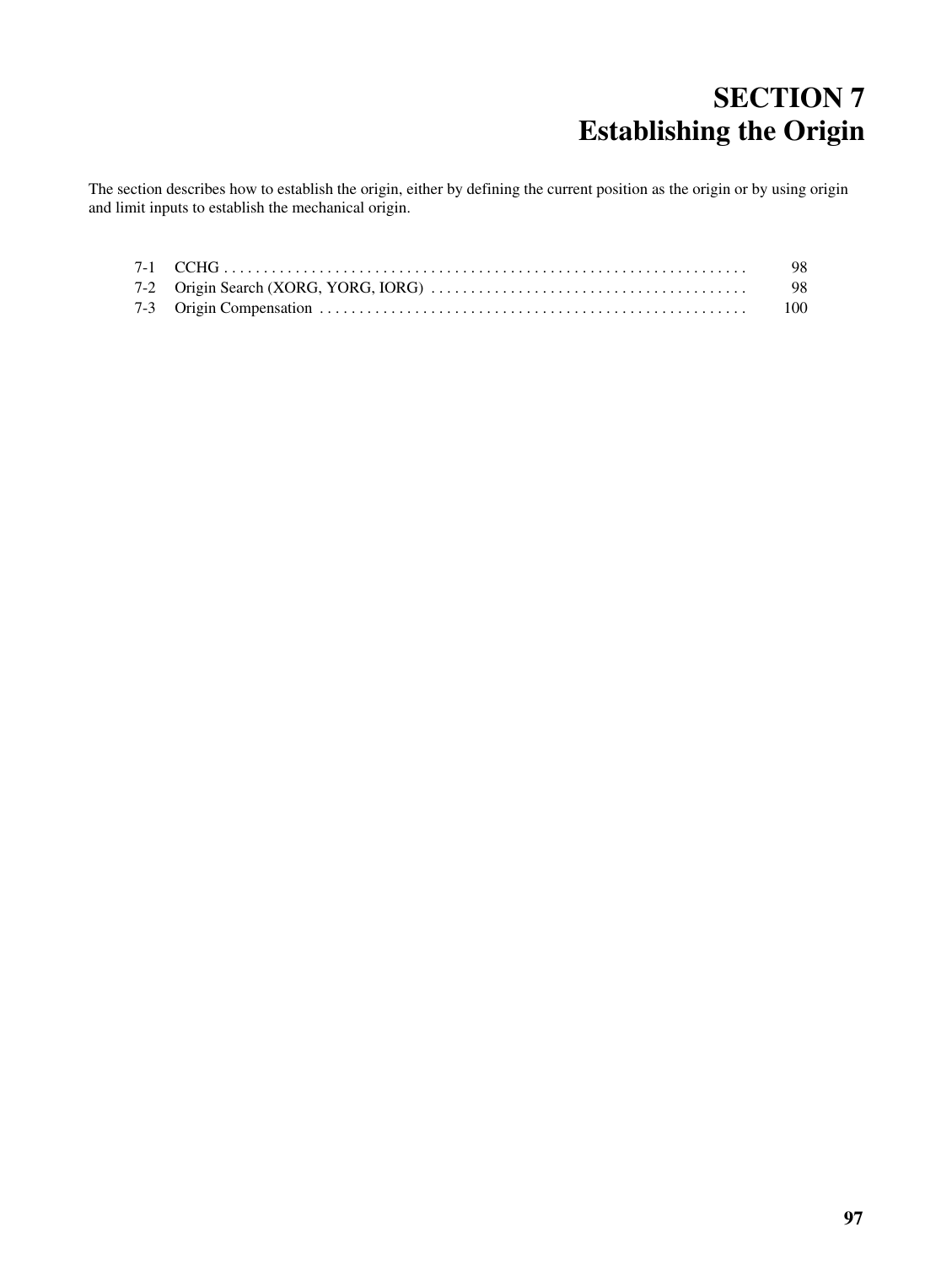# **SECTION 7 Establishing the Origin**

The section describes how to establish the origin, either by defining the current position as the origin or by using origin and limit inputs to establish the mechanical origin.

|  | - 98 |
|--|------|
|  |      |
|  |      |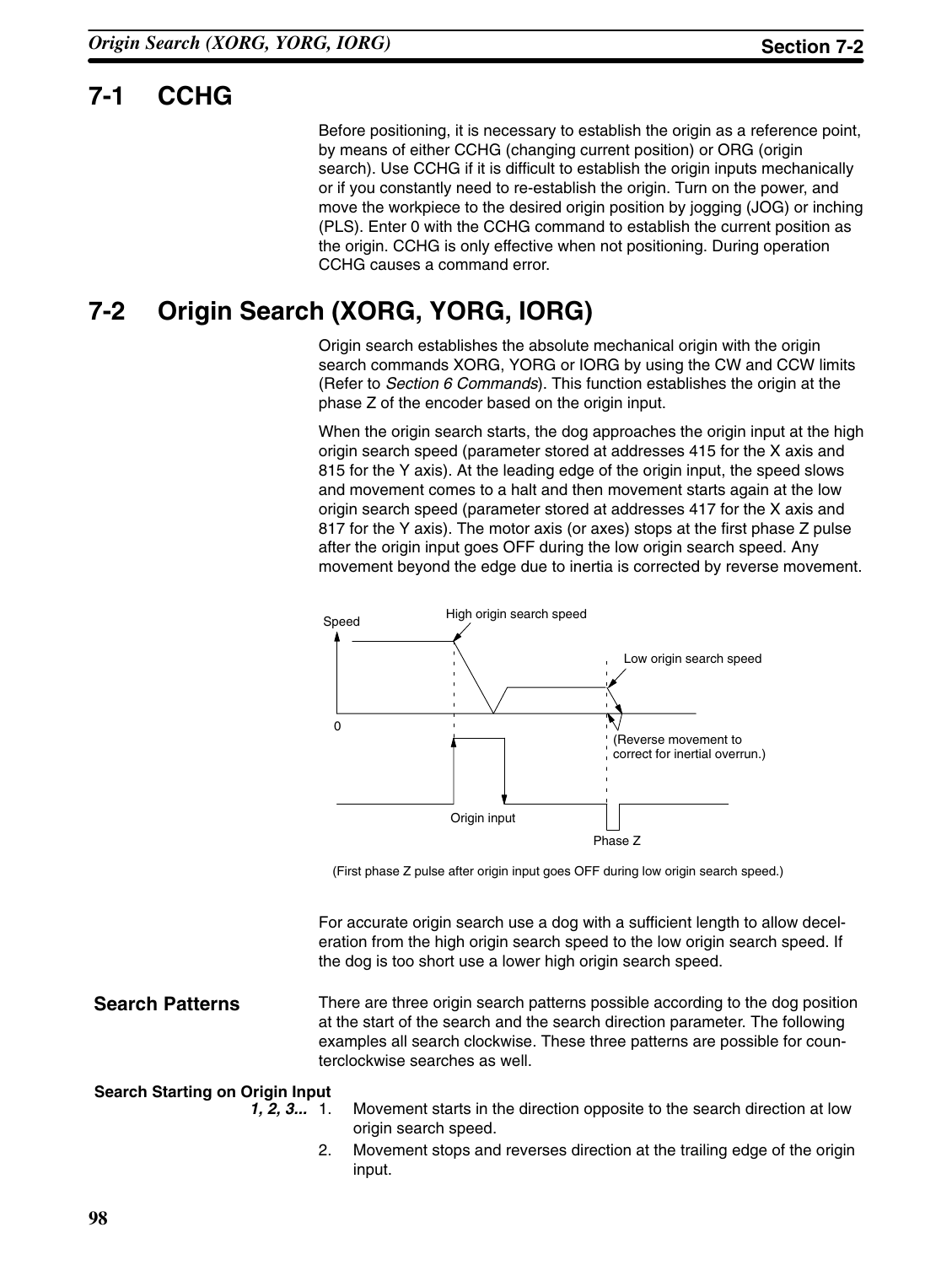# **7-1 CCHG**

Before positioning, it is necessary to establish the origin as a reference point, by means of either CCHG (changing current position) or ORG (origin search). Use CCHG if it is difficult to establish the origin inputs mechanically or if you constantly need to re-establish the origin. Turn on the power, and move the workpiece to the desired origin position by jogging (JOG) or inching (PLS). Enter 0 with the CCHG command to establish the current position as the origin. CCHG is only effective when not positioning. During operation CCHG causes a command error.

# **7-2 Origin Search (XORG, YORG, IORG)**

Origin search establishes the absolute mechanical origin with the origin search commands XORG, YORG or IORG by using the CW and CCW limits (Refer to *Section 6 Commands*). This function establishes the origin at the phase Z of the encoder based on the origin input.

When the origin search starts, the dog approaches the origin input at the high origin search speed (parameter stored at addresses 415 for the X axis and 815 for the Y axis). At the leading edge of the origin input, the speed slows and movement comes to a halt and then movement starts again at the low origin search speed (parameter stored at addresses 417 for the X axis and 817 for the Y axis). The motor axis (or axes) stops at the first phase Z pulse after the origin input goes OFF during the low origin search speed. Any movement beyond the edge due to inertia is corrected by reverse movement.



(First phase Z pulse after origin input goes OFF during low origin search speed.)

For accurate origin search use a dog with a sufficient length to allow deceleration from the high origin search speed to the low origin search speed. If the dog is too short use a lower high origin search speed.

### **Search Patterns**

There are three origin search patterns possible according to the dog position at the start of the search and the search direction parameter. The following examples all search clockwise. These three patterns are possible for counterclockwise searches as well.

#### **Search Starting on Origin Input**

- 
- *1, 2, 3...* 1. Movement starts in the direction opposite to the search direction at low origin search speed.
	- 2. Movement stops and reverses direction at the trailing edge of the origin input.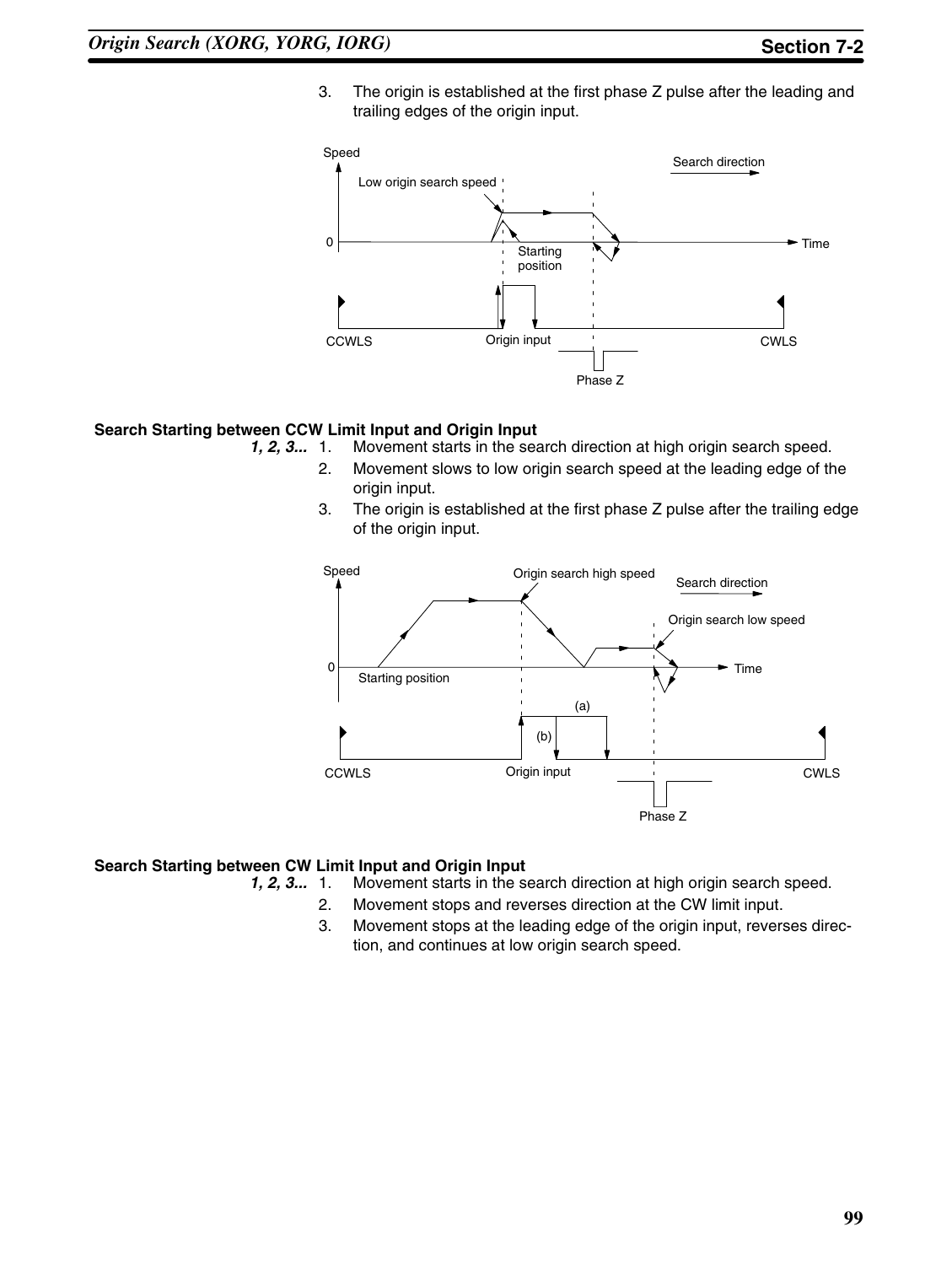3. The origin is established at the first phase Z pulse after the leading and trailing edges of the origin input.



# **Search Starting between CCW Limit Input and Origin Input**<br>1, 2, 3... 1. Movement starts in the sea

- *1, 2, 3...* 1. Movement starts in the search direction at high origin search speed.
	- 2. Movement slows to low origin search speed at the leading edge of the origin input.
	- 3. The origin is established at the first phase Z pulse after the trailing edge of the origin input.



#### **Search Starting between CW Limit Input and Origin Input**

- *1, 2, 3...* 1. Movement starts in the search direction at high origin search speed.
	- 2. Movement stops and reverses direction at the CW limit input.
	- 3. Movement stops at the leading edge of the origin input, reverses direction, and continues at low origin search speed.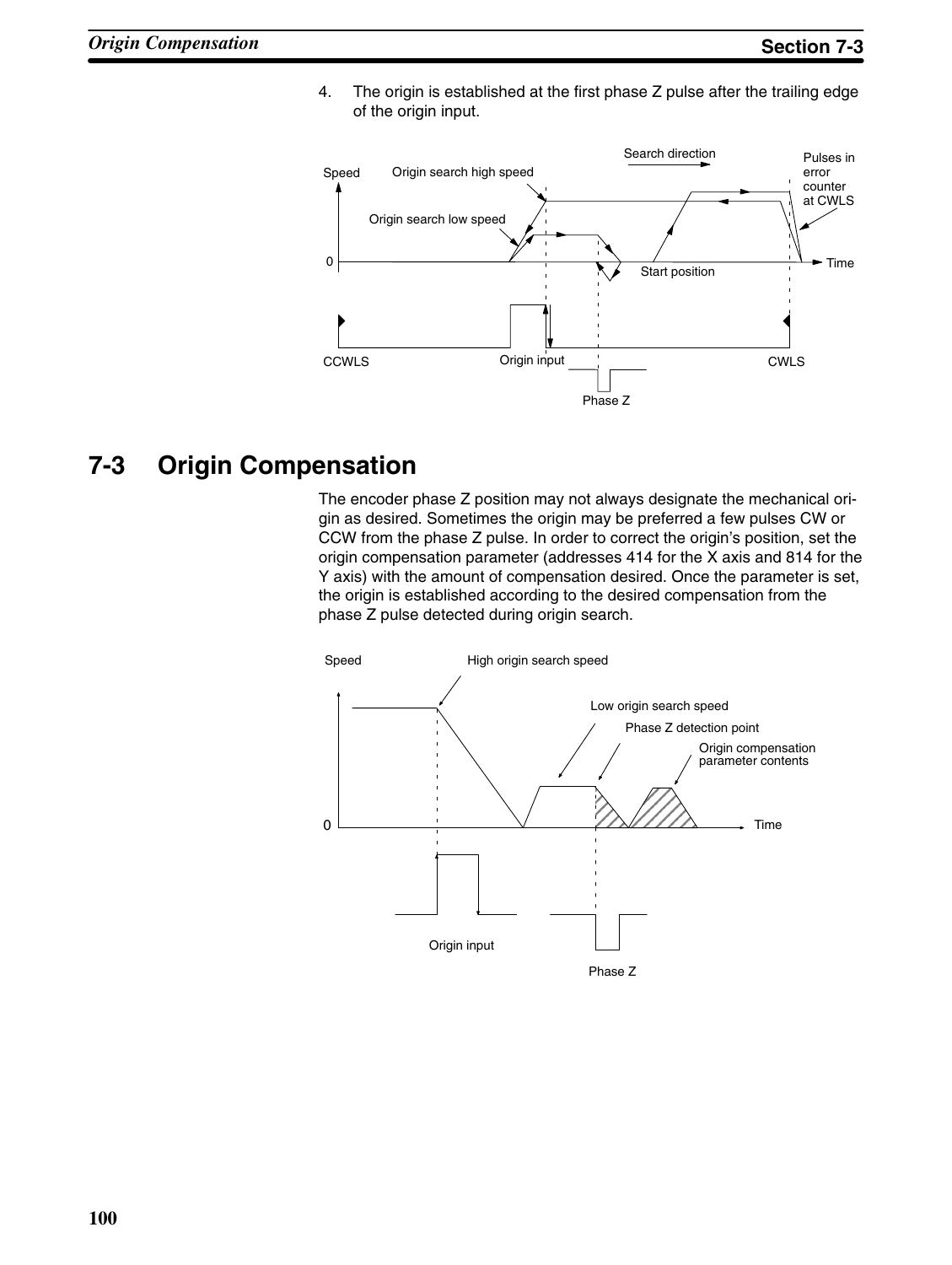

4. The origin is established at the first phase Z pulse after the trailing edge of the origin input.

## **7-3 Origin Compensation**

The encoder phase Z position may not always designate the mechanical origin as desired. Sometimes the origin may be preferred a few pulses CW or CCW from the phase Z pulse. In order to correct the origin's position, set the origin compensation parameter (addresses 414 for the X axis and 814 for the Y axis) with the amount of compensation desired. Once the parameter is set, the origin is established according to the desired compensation from the phase Z pulse detected during origin search.

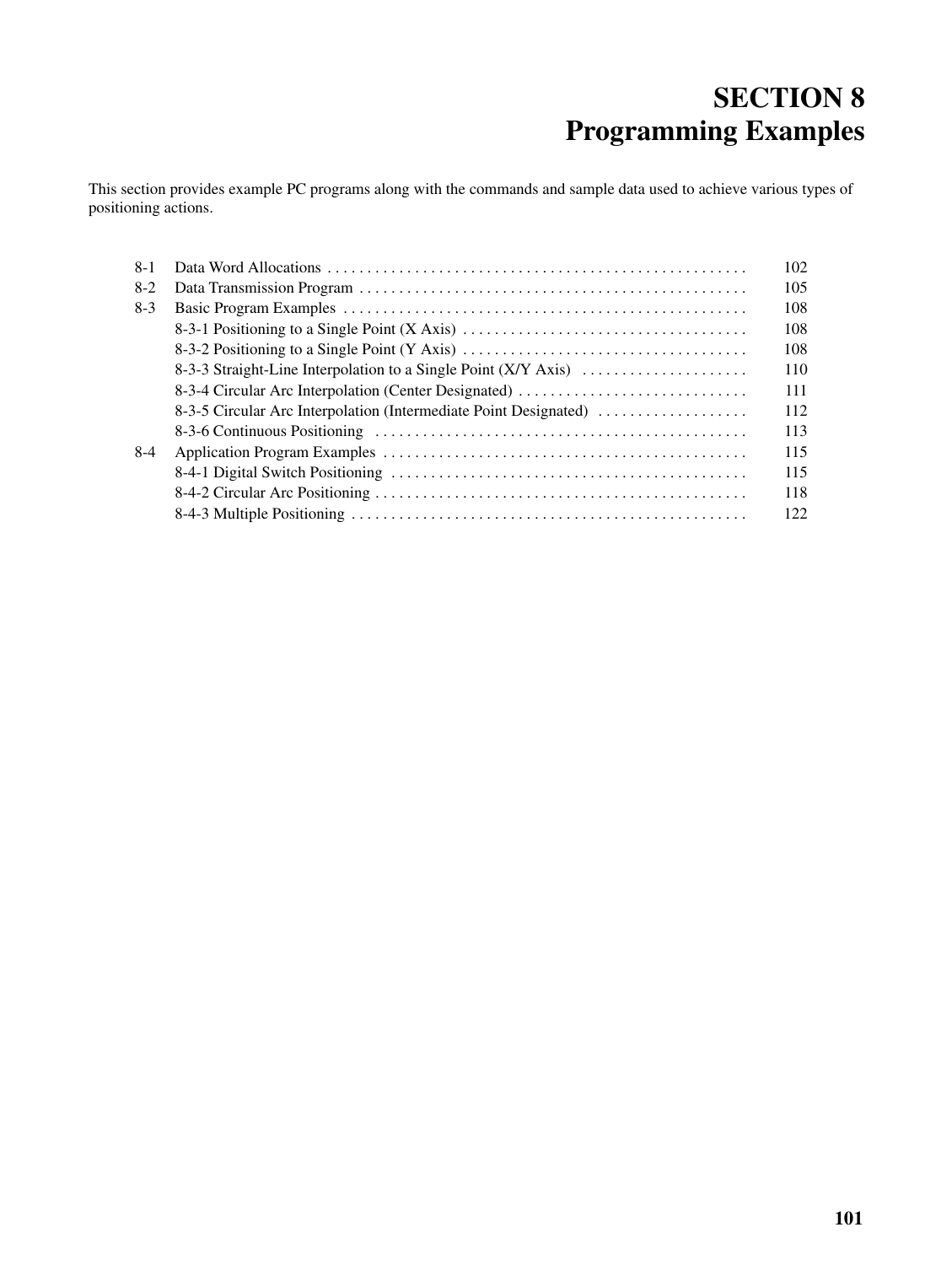# **SECTION 8 Programming Examples**

This section provides example PC programs along with the commands and sample data used to achieve various types of positioning actions.

| $8-1$ |                                                                  | 102 |  |  |  |  |  |  |
|-------|------------------------------------------------------------------|-----|--|--|--|--|--|--|
| $8-2$ |                                                                  | 105 |  |  |  |  |  |  |
| $8-3$ |                                                                  |     |  |  |  |  |  |  |
|       |                                                                  | 108 |  |  |  |  |  |  |
|       |                                                                  | 108 |  |  |  |  |  |  |
|       | 8-3-3 Straight-Line Interpolation to a Single Point (X/Y Axis)   |     |  |  |  |  |  |  |
|       | 8-3-4 Circular Arc Interpolation (Center Designated)             |     |  |  |  |  |  |  |
|       | 8-3-5 Circular Arc Interpolation (Intermediate Point Designated) |     |  |  |  |  |  |  |
|       |                                                                  | 113 |  |  |  |  |  |  |
| 8-4   |                                                                  | 115 |  |  |  |  |  |  |
|       |                                                                  | 115 |  |  |  |  |  |  |
|       |                                                                  | 118 |  |  |  |  |  |  |
|       |                                                                  | 122 |  |  |  |  |  |  |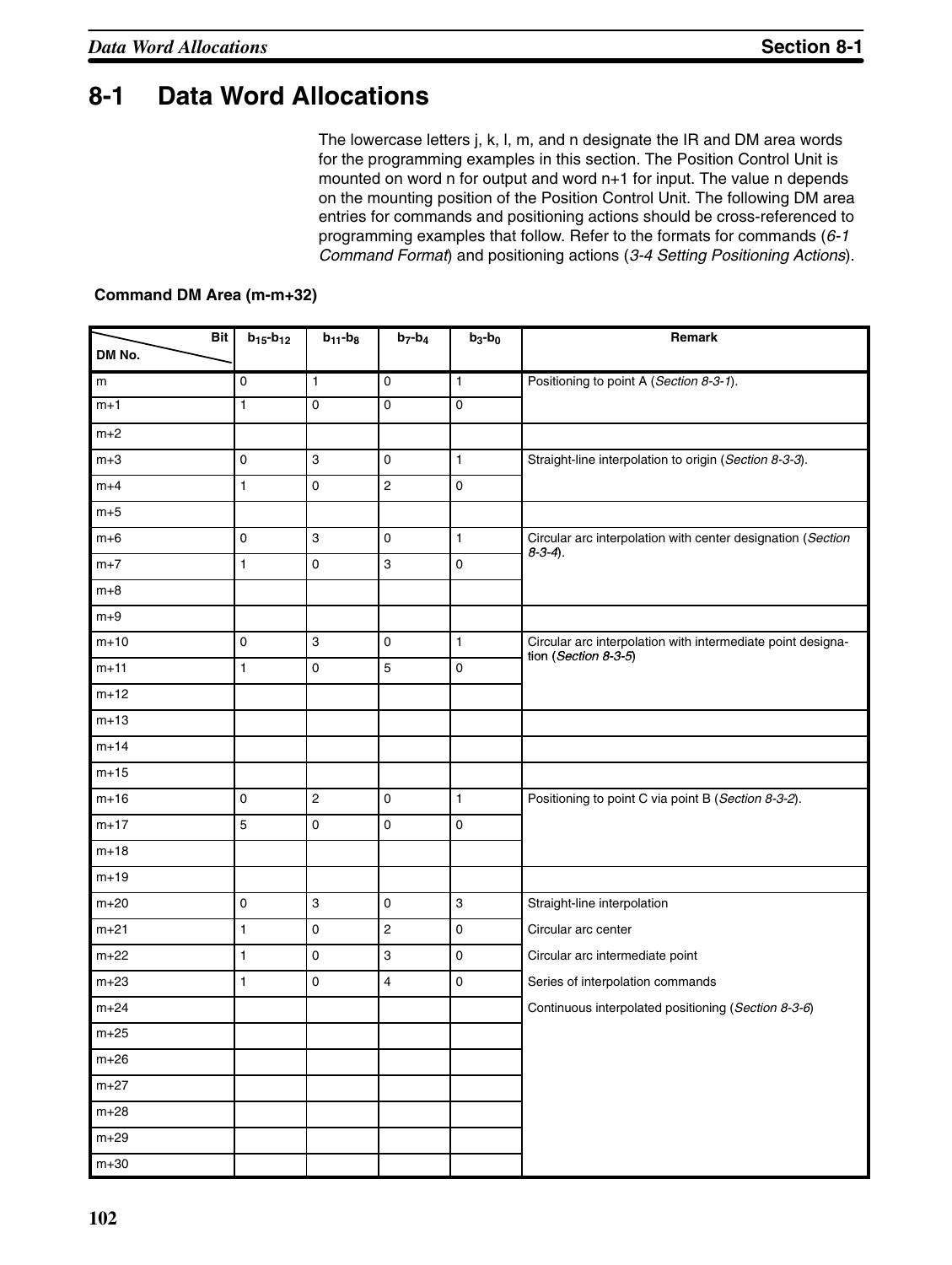## **8-1 Data Word Allocations**

The lowercase letters j, k, l, m, and n designate the IR and DM area words for the programming examples in this section. The Position Control Unit is mounted on word n for output and word n+1 for input. The value n depends on the mounting position of the Position Control Unit. The following DM area entries for commands and positioning actions should be cross-referenced to programming examples that follow. Refer to the formats for commands (*6-1 Command Format*) and positioning actions (*3-4 Setting Positioning Actions*).

#### **Command DM Area (m-m+32)**

| <b>Bit</b> | $b_{15} - b_{12}$   | $b_{11}$ - $b_8$          | $b_7-b_4$               | $b_3-b_0$    | Remark                                                                                 |
|------------|---------------------|---------------------------|-------------------------|--------------|----------------------------------------------------------------------------------------|
| DM No.     |                     |                           |                         |              |                                                                                        |
| m          | 0                   | $\mathbf{1}$              | $\mathbf 0$             | $\mathbf{1}$ | Positioning to point A (Section 8-3-1).                                                |
| $m+1$      | 1                   | 0                         | 0                       | $\mathbf 0$  |                                                                                        |
| $m+2$      |                     |                           |                         |              |                                                                                        |
| $m+3$      | 0                   | $\mathsf 3$               | 0                       | $\mathbf{1}$ | Straight-line interpolation to origin (Section 8-3-3).                                 |
| $m+4$      | 1                   | $\pmb{0}$                 | $\mathbf 2$             | $\pmb{0}$    |                                                                                        |
| $m+5$      |                     |                           |                         |              |                                                                                        |
| $m+6$      | $\mathsf 0$         | $\mathsf 3$               | $\mathsf 0$             | $\mathbf{1}$ | Circular arc interpolation with center designation (Section<br>$8-3-4$ ).              |
| $m+7$      | 1                   | $\pmb{0}$                 | 3                       | $\pmb{0}$    |                                                                                        |
| $m+8$      |                     |                           |                         |              |                                                                                        |
| $m+9$      |                     |                           |                         |              |                                                                                        |
| $m+10$     | 0                   | $\ensuremath{\mathsf{3}}$ | 0                       | $\mathbf{1}$ | Circular arc interpolation with intermediate point designa-<br>tion (Section $8-3-5$ ) |
| $m+11$     | 1                   | $\pmb{0}$                 | 5                       | $\pmb{0}$    |                                                                                        |
| $m+12$     |                     |                           |                         |              |                                                                                        |
| $m+13$     |                     |                           |                         |              |                                                                                        |
| $m+14$     |                     |                           |                         |              |                                                                                        |
| $m+15$     |                     |                           |                         |              |                                                                                        |
| $m+16$     | 0                   | $\mathbf 2$               | $\mathsf 0$             | $\mathbf{1}$ | Positioning to point C via point B (Section 8-3-2).                                    |
| $m+17$     | 5                   | $\pmb{0}$                 | 0                       | $\pmb{0}$    |                                                                                        |
| $m+18$     |                     |                           |                         |              |                                                                                        |
| $m+19$     |                     |                           |                         |              |                                                                                        |
| $m+20$     | $\mathsf{O}\xspace$ | $\mathsf 3$               | $\mathsf 0$             | $\mathbf{3}$ | Straight-line interpolation                                                            |
| $m+21$     | 1                   | $\pmb{0}$                 | $\overline{\mathbf{c}}$ | $\pmb{0}$    | Circular arc center                                                                    |
| $m+22$     | 1                   | $\pmb{0}$                 | 3                       | $\pmb{0}$    | Circular arc intermediate point                                                        |
| $m+23$     | 1                   | $\pmb{0}$                 | 4                       | $\pmb{0}$    | Series of interpolation commands                                                       |
| $m + 24$   |                     |                           |                         |              | Continuous interpolated positioning (Section 8-3-6)                                    |
| $m+25$     |                     |                           |                         |              |                                                                                        |
| $m+26$     |                     |                           |                         |              |                                                                                        |
| $m+27$     |                     |                           |                         |              |                                                                                        |
| $m+28$     |                     |                           |                         |              |                                                                                        |
| $m+29$     |                     |                           |                         |              |                                                                                        |
| $m+30$     |                     |                           |                         |              |                                                                                        |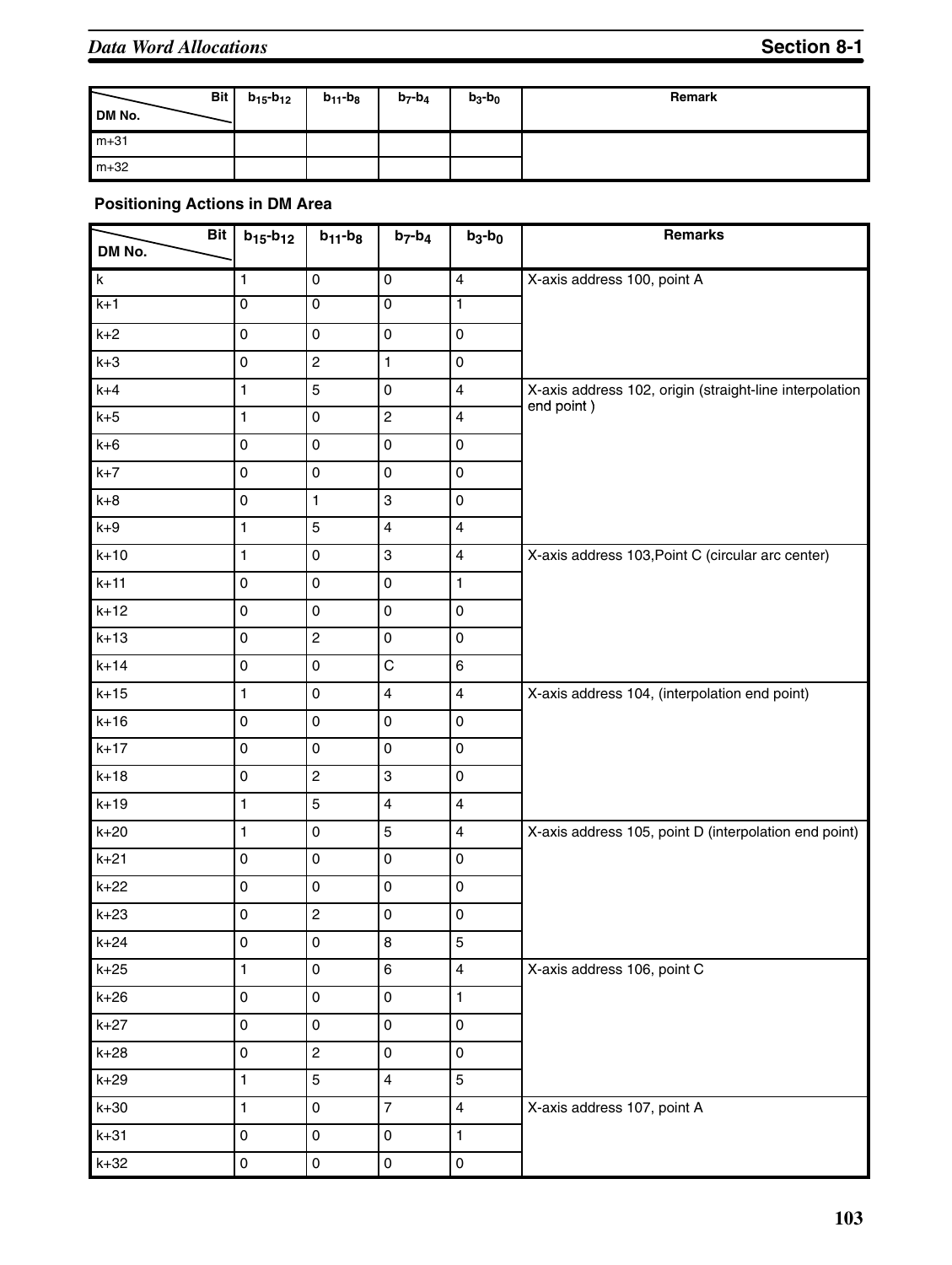| DM No.   | <b>Bit</b> | $b_{15}$ - $b_{12}$ | $b_{11} - b_8$ | $b_7 - b_4$ | $b_3-b_0$ | Remark |
|----------|------------|---------------------|----------------|-------------|-----------|--------|
| $m + 31$ |            |                     |                |             |           |        |
| $m+32$   |            |                     |                |             |           |        |

### **Positioning Actions in DM Area**

| <b>Bit</b><br>DM No. | $b_{15} - b_{12}$   | $b_{11} - b_8$      | $b_7-b_4$               | $b_3-b_0$               | <b>Remarks</b>                                          |
|----------------------|---------------------|---------------------|-------------------------|-------------------------|---------------------------------------------------------|
| k                    | $\mathbf{1}$        | $\mathsf 0$         | $\mathsf 0$             | $\overline{\mathbf{4}}$ | X-axis address 100, point A                             |
| $k+1$                | $\overline{0}$      | $\overline{0}$      | $\overline{0}$          | 1                       |                                                         |
| $k+2$                | 0                   | 0                   | $\mathsf 0$             | 0                       |                                                         |
| $k+3$                | $\mathsf 0$         | $\overline{c}$      | $\mathbf{1}$            | 0                       |                                                         |
| $k+4$                | 1                   | 5                   | $\mathsf 0$             | $\overline{4}$          | X-axis address 102, origin (straight-line interpolation |
| $k+5$                | 1                   | 0                   | $\overline{c}$          | $\overline{\mathbf{4}}$ | end point)                                              |
| $k+6$                | 0                   | 0                   | $\mathsf 0$             | 0                       |                                                         |
| $k+7$                | 0                   | $\mathbf 0$         | $\mathsf 0$             | 0                       |                                                         |
| $k+8$                | 0                   | $\mathbf{1}$        | 3                       | 0                       |                                                         |
| $k+9$                | $\mathbf{1}$        | 5                   | $\overline{\mathbf{4}}$ | $\overline{\mathbf{4}}$ |                                                         |
| $k+10$               | $\mathbf{1}$        | 0                   | 3                       | $\overline{\mathbf{4}}$ | X-axis address 103, Point C (circular arc center)       |
| $k+11$               | 0                   | 0                   | $\pmb{0}$               | $\mathbf{1}$            |                                                         |
| $k+12$               | $\mathsf 0$         | $\mathsf{O}\xspace$ | $\mathsf{O}\xspace$     | $\mathsf 0$             |                                                         |
| $k+13$               | 0                   | $\overline{c}$      | $\mathsf 0$             | 0                       |                                                         |
| $k+14$               | 0                   | 0                   | $\mathsf C$             | 6                       |                                                         |
| $k+15$               | $\mathbf{1}$        | 0                   | $\overline{\mathbf{4}}$ | $\overline{\mathbf{4}}$ | X-axis address 104, (interpolation end point)           |
| $k+16$               | 0                   | 0                   | $\mathsf{O}\xspace$     | 0                       |                                                         |
| $k+17$               | $\mathsf 0$         | 0                   | $\mathsf{O}\xspace$     | 0                       |                                                         |
| $k+18$               | 0                   | $\overline{c}$      | 3                       | 0                       |                                                         |
| $k+19$               | 1                   | 5                   | $\overline{4}$          | $\overline{\mathbf{4}}$ |                                                         |
| $k+20$               | 1                   | 0                   | 5                       | $\overline{\mathbf{4}}$ | X-axis address 105, point D (interpolation end point)   |
| $k+21$               | $\mathsf 0$         | 0                   | $\mathsf 0$             | 0                       |                                                         |
| $k+22$               | $\mathsf 0$         | 0                   | $\pmb{0}$               | 0                       |                                                         |
| $k+23$               | 0                   | $\overline{c}$      | $\mathsf{O}\xspace$     | 0                       |                                                         |
| $k+24$               | $\overline{0}$      | $\mathsf{O}\xspace$ | 8                       | 5                       |                                                         |
| $k+25$               | $\mathbf{1}$        | $\mathsf{O}\xspace$ | 6                       | $\overline{4}$          | X-axis address 106, point C                             |
| $k+26$               | $\mathsf{O}\xspace$ | $\mathsf{O}\xspace$ | $\pmb{0}$               | $\mathbf{1}$            |                                                         |
| $k+27$               | $\mathsf{O}\xspace$ | $\mathsf{O}\xspace$ | 0                       | $\mathbf{O}$            |                                                         |
| $k+28$               | $\mathsf{O}\xspace$ | $\overline{c}$      | 0                       | $\mathsf{O}\xspace$     |                                                         |
| $k+29$               | $\mathbf{1}$        | 5                   | $\overline{4}$          | 5                       |                                                         |
| $k+30$               | $\mathbf{1}$        | $\mathsf{O}\xspace$ | $\overline{7}$          | $\overline{4}$          | X-axis address 107, point A                             |
| $k+31$               | $\mathsf 0$         | $\mathsf{O}\xspace$ | 0                       | $\mathbf{1}$            |                                                         |
| $k+32$               | $\pmb{0}$           | $\mathsf{O}\xspace$ | $\pmb{0}$               | $\mathsf{O}\xspace$     |                                                         |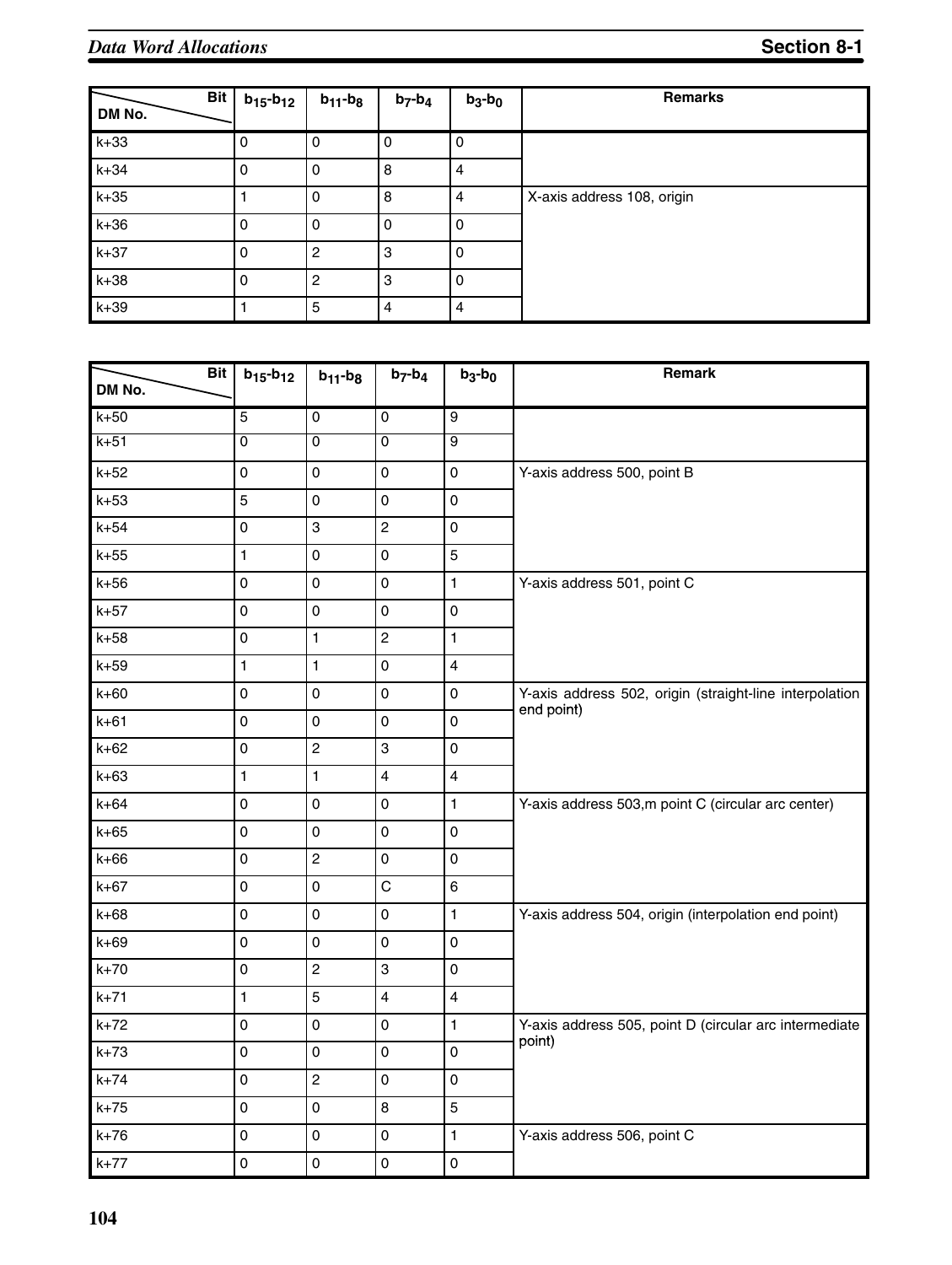| <b>Bit</b><br>DM No. | $b_{15} - b_{12}$ | $b_{11}$ - $b_8$ | $b_7-b_4$      | $b_3-b_0$      | <b>Remarks</b>             |
|----------------------|-------------------|------------------|----------------|----------------|----------------------------|
| $k+33$               | 0                 | 0                | $\overline{0}$ | 0              |                            |
| $k+34$               | $\mathbf 0$       | 0                | 8              | $\overline{4}$ |                            |
| $k+35$               |                   | 0                | 8              | $\overline{4}$ | X-axis address 108, origin |
| $k+36$               | 0                 | 0                | $\Omega$       | 0              |                            |
| $k+37$               | $\Omega$          | $\overline{c}$   | 3              | 0              |                            |
| $k+38$               | $\Omega$          | $\overline{c}$   | 3              | 0              |                            |
| $k+39$               |                   | 5                | $\overline{4}$ | $\overline{4}$ |                            |

| <b>Bit</b><br>DM No. | $b_{15} - b_{12}$   | $b_{11}$ - $b_{8}$  | $b_7-b_4$      | $b_3-b_0$               | Remark                                                  |
|----------------------|---------------------|---------------------|----------------|-------------------------|---------------------------------------------------------|
| $k+50$               | 5                   | 0                   | 0              | $\overline{9}$          |                                                         |
| $k+51$               | 0                   | $\overline{0}$      | $\mathbf 0$    | 9                       |                                                         |
| $k+52$               | $\mathsf 0$         | 0                   | $\pmb{0}$      | 0                       | Y-axis address 500, point B                             |
| $k+53$               | 5                   | $\mathsf{O}\xspace$ | $\pmb{0}$      | $\mathsf 0$             |                                                         |
| $k+54$               | 0                   | 3                   | $\overline{c}$ | 0                       |                                                         |
| $k+55$               | $\mathbf{1}$        | 0                   | $\pmb{0}$      | 5                       |                                                         |
| $k+56$               | $\mathsf 0$         | 0                   | 0              | 1                       | Y-axis address 501, point C                             |
| $k+57$               | $\mathsf 0$         | 0                   | 0              | $\mathsf 0$             |                                                         |
| $k+58$               | 0                   | 1                   | $\overline{c}$ | 1                       |                                                         |
| $k+59$               | 1                   | 1                   | 0              | $\overline{4}$          |                                                         |
| $k+60$               | 0                   | 0                   | $\mathbf 0$    | 0                       | Y-axis address 502, origin (straight-line interpolation |
| $k+61$               | 0                   | 0                   | 0              | $\mathsf 0$             | end point)                                              |
| $k+62$               | $\mathsf{O}\xspace$ | $\overline{c}$      | 3              | $\mathsf 0$             |                                                         |
| $k+63$               | $\mathbf{1}$        | $\mathbf{1}$        | $\overline{4}$ | $\overline{\mathbf{4}}$ |                                                         |
| $k+64$               | 0                   | 0                   | $\mathbf 0$    | 1                       | Y-axis address 503,m point C (circular arc center)      |
| $k+65$               | $\mathsf 0$         | $\mathsf{O}\xspace$ | $\mathbf 0$    | $\mathsf 0$             |                                                         |
| $k+66$               | $\mathsf{O}\xspace$ | $\overline{c}$      | $\pmb{0}$      | 0                       |                                                         |
| $k+67$               | $\pmb{0}$           | 0                   | $\mathsf C$    | $\,6$                   |                                                         |
| $k+68$               | $\mathsf 0$         | 0                   | $\pmb{0}$      | $\mathbf{1}$            | Y-axis address 504, origin (interpolation end point)    |
| $k+69$               | 0                   | 0                   | $\mathbf 0$    | 0                       |                                                         |
| $k+70$               | $\mathsf 0$         | $\overline{c}$      | 3              | $\mathsf 0$             |                                                         |
| $k+71$               | $\mathbf{1}$        | 5                   | $\overline{4}$ | $\overline{\mathbf{4}}$ |                                                         |
| $k+72$               | $\mathsf 0$         | 0                   | 0              | 1                       | Y-axis address 505, point D (circular arc intermediate  |
| $k+73$               | $\mathbf 0$         | 0                   | $\mathbf 0$    | 0                       | point)                                                  |
| $k+74$               | 0                   | $\overline{c}$      | 0              | $\mathsf 0$             |                                                         |
| $k+75$               | $\mathbf 0$         | 0                   | 8              | 5                       |                                                         |
| $k+76$               | $\mathsf 0$         | 0                   | $\pmb{0}$      | 1                       | Y-axis address 506, point C                             |
| $k+77$               | $\mathbf 0$         | 0                   | $\mathbf 0$    | 0                       |                                                         |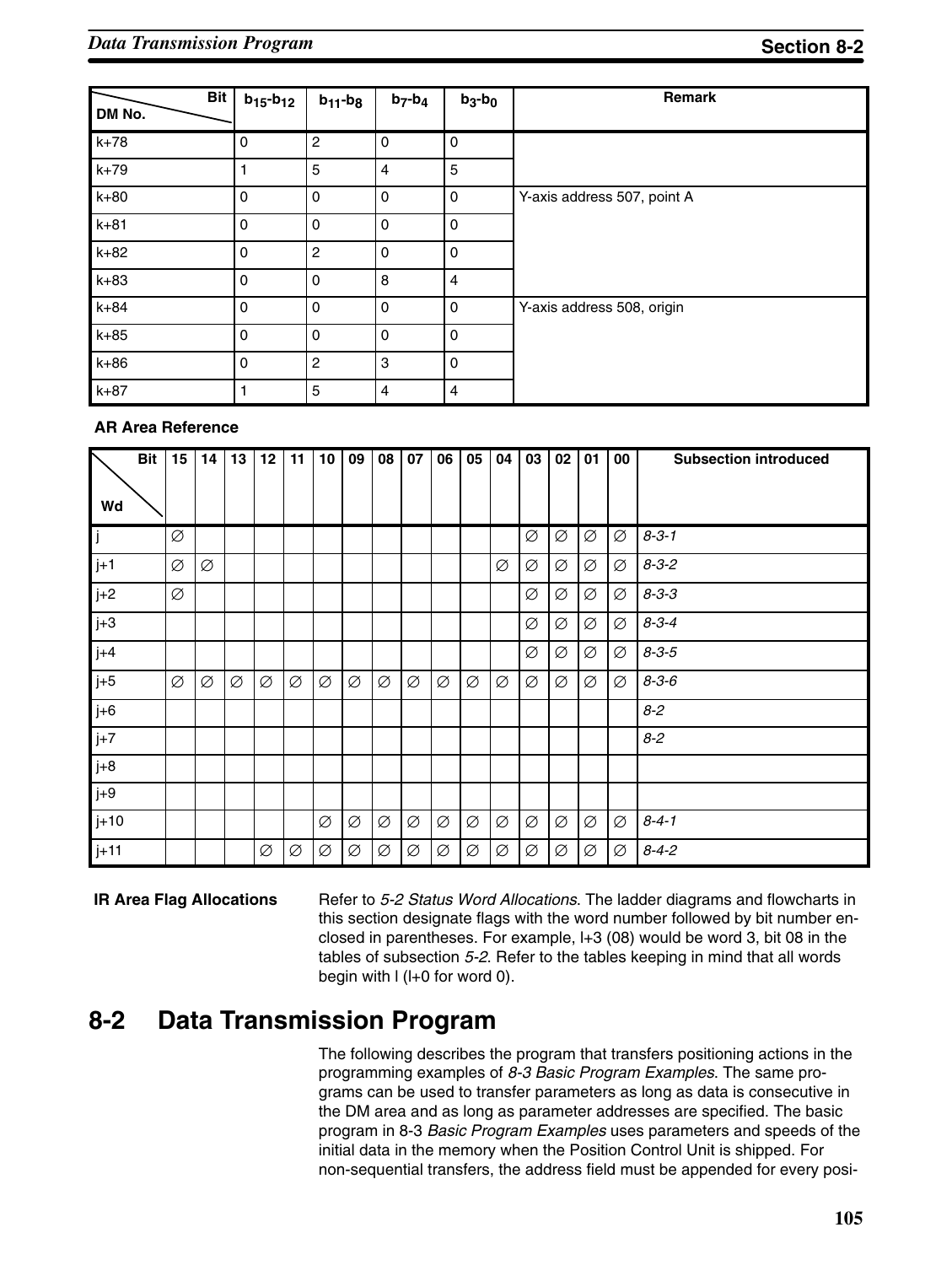| <b>Bit</b><br>DM No. | $b_{15} - b_{12}$ | $b_{11}$ - $b_8$ | $b_7-b_4$   | $b_3-b_0$      | Remark                      |
|----------------------|-------------------|------------------|-------------|----------------|-----------------------------|
| $k+78$               | 0                 | $\overline{c}$   | 0           | 0              |                             |
| $k+79$               | 1                 | 5                | 4           | 5              |                             |
| $k+80$               | $\mathbf 0$       | $\mathbf 0$      | 0           | 0              | Y-axis address 507, point A |
| $k+81$               | $\mathbf 0$       | $\Omega$         | 0           | 0              |                             |
| $k+82$               | $\mathbf 0$       | $\overline{c}$   | 0           | 0              |                             |
| $k+83$               | 0                 | 0                | 8           | 4              |                             |
| $k+84$               | $\mathbf 0$       | $\mathbf 0$      | $\mathbf 0$ | 0              | Y-axis address 508, origin  |
| $k+85$               | $\mathbf 0$       | $\mathbf 0$      | $\mathbf 0$ | 0              |                             |
| $k+86$               | $\mathbf 0$       | $\overline{c}$   | 3           | 0              |                             |
| $k+87$               |                   | 5                | 4           | $\overline{4}$ |                             |

#### **AR Area Reference**

|        | <b>Bit</b> | 15 | 14 | 13 | 12 | 11 | 10 | 09 | 08 | 07 | 06 | 05 | 04 | 03 | 02 | 01 | 00 | <b>Subsection introduced</b> |
|--------|------------|----|----|----|----|----|----|----|----|----|----|----|----|----|----|----|----|------------------------------|
| Wd     |            |    |    |    |    |    |    |    |    |    |    |    |    |    |    |    |    |                              |
| IJ     |            | Ø  |    |    |    |    |    |    |    |    |    |    |    | Ø  | Ø  | Ø  | Ø  | $8 - 3 - 1$                  |
| $j+1$  |            | Ø  | Ø  |    |    |    |    |    |    |    |    |    | Ø  | Ø  | Ø  | Ø  | Ø  | $8 - 3 - 2$                  |
| $j+2$  |            | Ø  |    |    |    |    |    |    |    |    |    |    |    | Ø  | Ø  | Ø  | Ø  | $8 - 3 - 3$                  |
| $j+3$  |            |    |    |    |    |    |    |    |    |    |    |    |    | Ø  | Ø  | Ø  | Ø  | $8 - 3 - 4$                  |
| $j+4$  |            |    |    |    |    |    |    |    |    |    |    |    |    | Ø  | Ø  | Ø  | Ø  | $8 - 3 - 5$                  |
| $j+5$  |            | Ø  | Ø  | Ø  | Ø  | Ø  | Ø  | Ø  | Ø  | Ø  | Ø  | Ø  | Ø  | Ø  | Ø  | Ø  | Ø  | $8 - 3 - 6$                  |
| $j+6$  |            |    |    |    |    |    |    |    |    |    |    |    |    |    |    |    |    | $8 - 2$                      |
| $j+7$  |            |    |    |    |    |    |    |    |    |    |    |    |    |    |    |    |    | $8 - 2$                      |
| $j+8$  |            |    |    |    |    |    |    |    |    |    |    |    |    |    |    |    |    |                              |
| $j+9$  |            |    |    |    |    |    |    |    |    |    |    |    |    |    |    |    |    |                              |
| $j+10$ |            |    |    |    |    |    | Ø  | Ø  | Ø  | Ø  | Ø  | Ø  | Ø  | Ø  | Ø  | Ø  | Ø  | $8 - 4 - 1$                  |
| $j+11$ |            |    |    |    | Ø  | Ø  | Ø  | Ø  | Ø  | Ø  | Ø  | Ø  | Ø  | Ø  | Ø  | Ø  | Ø  | $8 - 4 - 2$                  |

#### **IR Area Flag Allocations**

Refer to *5-2 Status Word Allocations*. The ladder diagrams and flowcharts in this section designate flags with the word number followed by bit number enclosed in parentheses. For example, l+3 (08) would be word 3, bit 08 in the tables of subsection *5-2*. Refer to the tables keeping in mind that all words begin with l (l+0 for word 0).

### **8-2 Data Transmission Program**

The following describes the program that transfers positioning actions in the programming examples of *8-3 Basic Program Examples*. The same programs can be used to transfer parameters as long as data is consecutive in the DM area and as long as parameter addresses are specified. The basic program in 8-3 *Basic Program Examples* uses parameters and speeds of the initial data in the memory when the Position Control Unit is shipped. For non-sequential transfers, the address field must be appended for every posi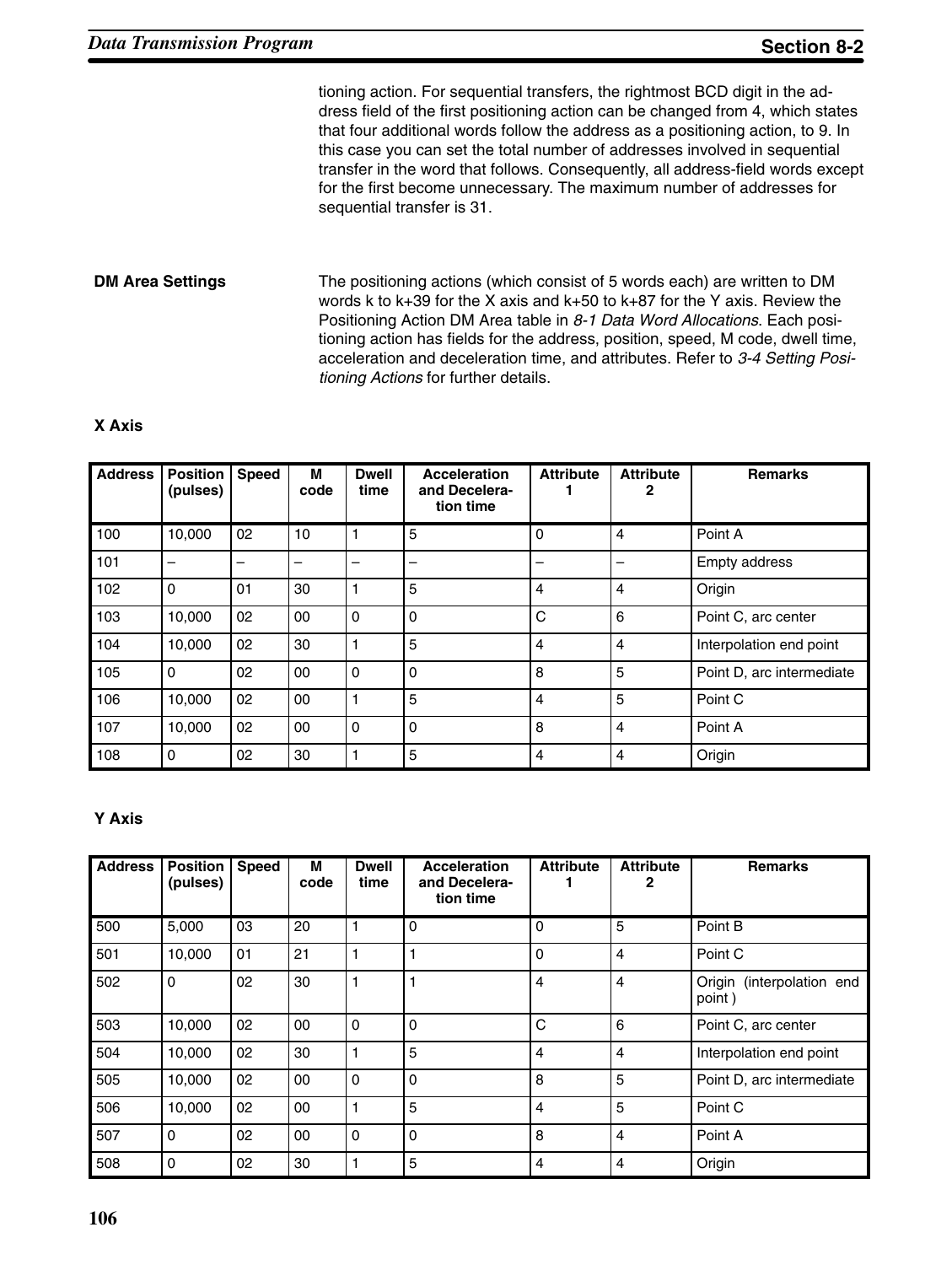tioning action. For sequential transfers, the rightmost BCD digit in the address field of the first positioning action can be changed from 4, which states that four additional words follow the address as a positioning action, to 9. In this case you can set the total number of addresses involved in sequential transfer in the word that follows. Consequently, all address-field words except for the first become unnecessary. The maximum number of addresses for sequential transfer is 31.

#### The positioning actions (which consist of 5 words each) are written to DM words k to k+39 for the X axis and k+50 to k+87 for the Y axis. Review the Positioning Action DM Area table in *8-1 Data Word Allocations*. Each positioning action has fields for the address, position, speed, M code, dwell time, acceleration and deceleration time, and attributes. Refer to *3-4 Setting Positioning Actions* for further details. **DM Area Settings**

#### **X Axis**

| <b>Address</b> | <b>Position</b><br>(pulses) | <b>Speed</b> | м<br>code | <b>Dwell</b><br>time | <b>Acceleration</b><br>and Decelera-<br>tion time | <b>Attribute</b> | <b>Attribute</b><br>2 | <b>Remarks</b>            |
|----------------|-----------------------------|--------------|-----------|----------------------|---------------------------------------------------|------------------|-----------------------|---------------------------|
| 100            | 10,000                      | 02           | 10        |                      | 5                                                 | $\Omega$         | $\overline{4}$        | Point A                   |
| 101            | $\overline{\phantom{0}}$    | -            | -         |                      |                                                   |                  |                       | Empty address             |
| 102            | $\Omega$                    | 01           | 30        |                      | 5                                                 | $\overline{4}$   | $\overline{4}$        | Origin                    |
| 103            | 10,000                      | 02           | 00        | 0                    | $\Omega$                                          | C                | 6                     | Point C, arc center       |
| 104            | 10,000                      | 02           | 30        |                      | 5                                                 | 4                | $\overline{4}$        | Interpolation end point   |
| 105            | $\Omega$                    | 02           | 00        | 0                    | $\Omega$                                          | 8                | 5                     | Point D, arc intermediate |
| 106            | 10,000                      | 02           | 00        |                      | 5                                                 | 4                | 5                     | Point C                   |
| 107            | 10,000                      | 02           | 00        | $\mathbf 0$          | 0                                                 | 8                | $\overline{4}$        | Point A                   |
| 108            | 0                           | 02           | 30        |                      | 5                                                 | 4                | $\overline{4}$        | Origin                    |

#### **Y Axis**

| <b>Address</b> | <b>Position</b><br>(pulses) | <b>Speed</b> | M<br>code | <b>Dwell</b><br>time | <b>Acceleration</b><br>and Decelera-<br>tion time | <b>Attribute</b> | <b>Attribute</b> | <b>Remarks</b>                         |
|----------------|-----------------------------|--------------|-----------|----------------------|---------------------------------------------------|------------------|------------------|----------------------------------------|
| 500            | 5,000                       | 03           | 20        |                      | 0                                                 | $\Omega$         | 5                | Point B                                |
| 501            | 10,000                      | 01           | 21        |                      |                                                   | $\mathbf 0$      | $\overline{4}$   | Point C                                |
| 502            | $\mathbf 0$                 | 02           | 30        |                      |                                                   | $\overline{4}$   | $\overline{4}$   | (interpolation end<br>Origin<br>point) |
| 503            | 10,000                      | 02           | 00        | 0                    | 0                                                 | C                | 6                | Point C, arc center                    |
| 504            | 10,000                      | 02           | 30        |                      | 5                                                 | 4                | $\overline{4}$   | Interpolation end point                |
| 505            | 10,000                      | 02           | 00        | $\mathbf 0$          | 0                                                 | 8                | 5                | Point D, arc intermediate              |
| 506            | 10,000                      | 02           | 00        |                      | 5                                                 | $\overline{4}$   | 5                | Point C                                |
| 507            | $\Omega$                    | 02           | 00        | $\mathbf 0$          | $\Omega$                                          | 8                | $\overline{4}$   | Point A                                |
| 508            | 0                           | 02           | 30        |                      | 5                                                 | $\overline{4}$   | $\overline{4}$   | Origin                                 |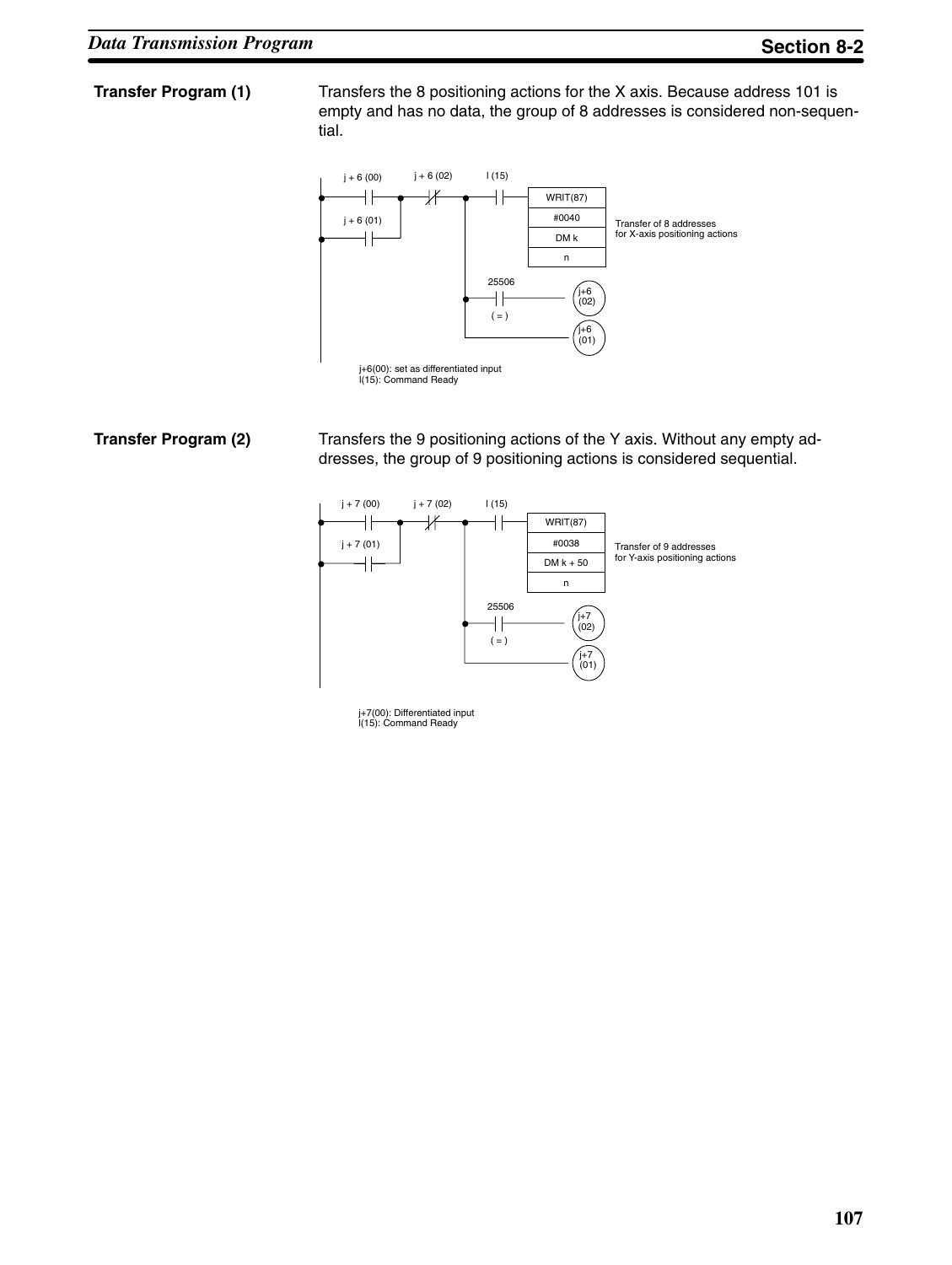#### **Transfer Program (1)**

Transfers the 8 positioning actions for the X axis. Because address 101 is empty and has no data, the group of 8 addresses is considered non-sequential.



#### **Transfer Program (2)**

Transfers the 9 positioning actions of the Y axis. Without any empty addresses, the group of 9 positioning actions is considered sequential.



j+7(00): Differentiated input l(15): Command Ready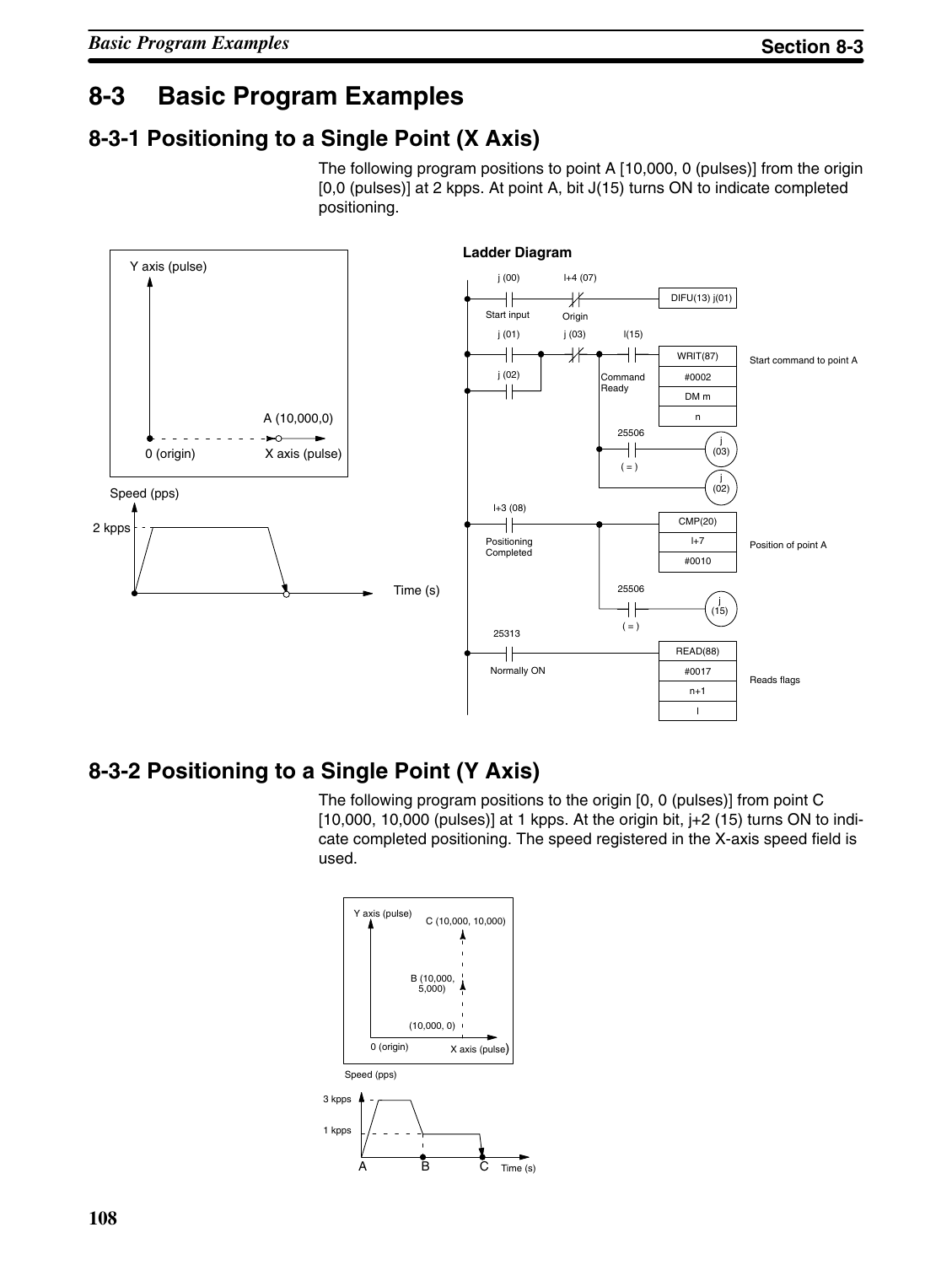### **8-3 Basic Program Examples**

### **8-3-1 Positioning to a Single Point (X Axis)**

The following program positions to point A [10,000, 0 (pulses)] from the origin [0,0 (pulses)] at 2 kpps. At point A, bit J(15) turns ON to indicate completed positioning.



### **8-3-2 Positioning to a Single Point (Y Axis)**

The following program positions to the origin [0, 0 (pulses)] from point C  $[10,000, 10,000$  (pulses)] at 1 kpps. At the origin bit,  $j+2$  (15) turns ON to indicate completed positioning. The speed registered in the X-axis speed field is used.

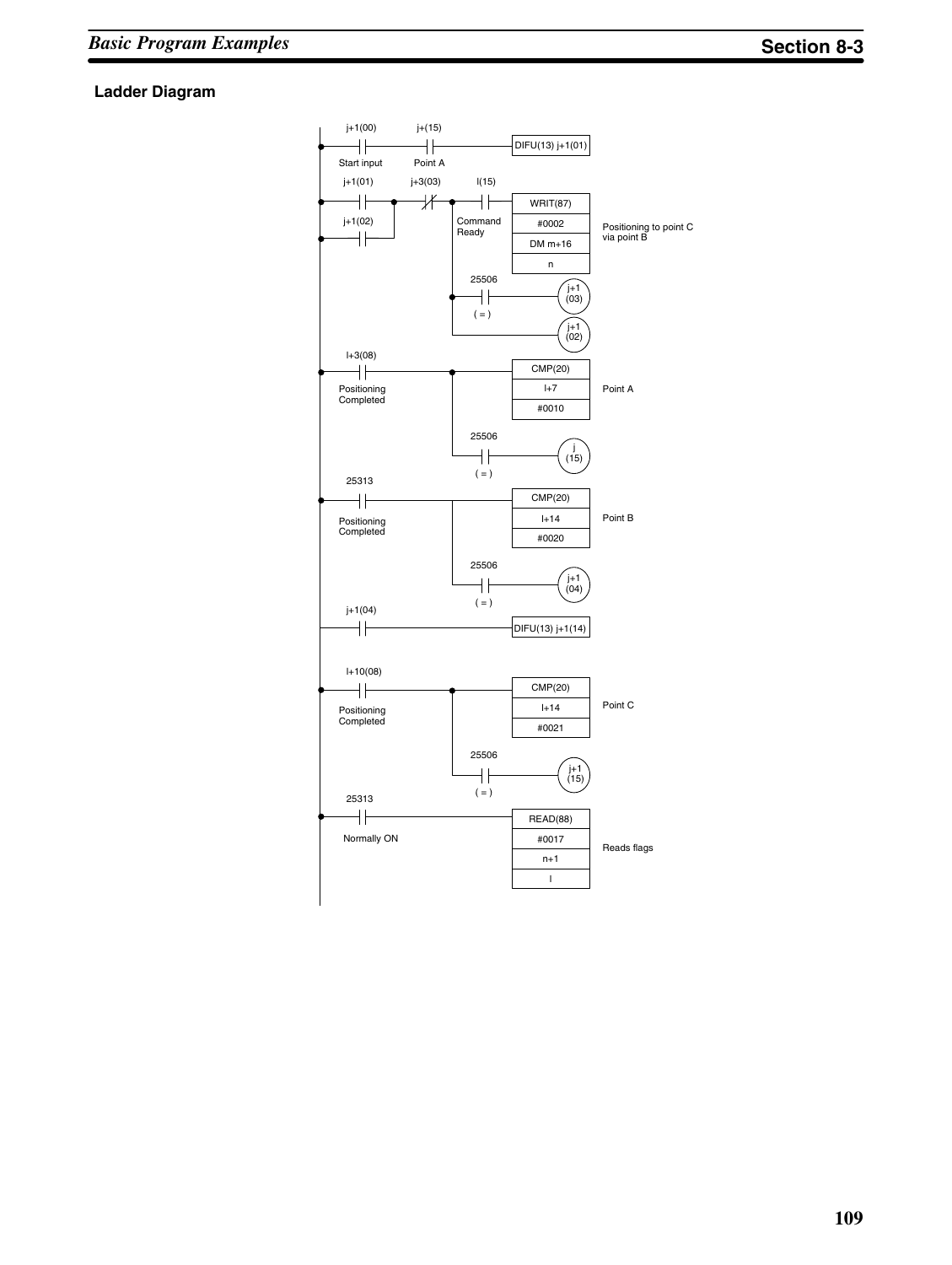#### **Ladder Diagram**

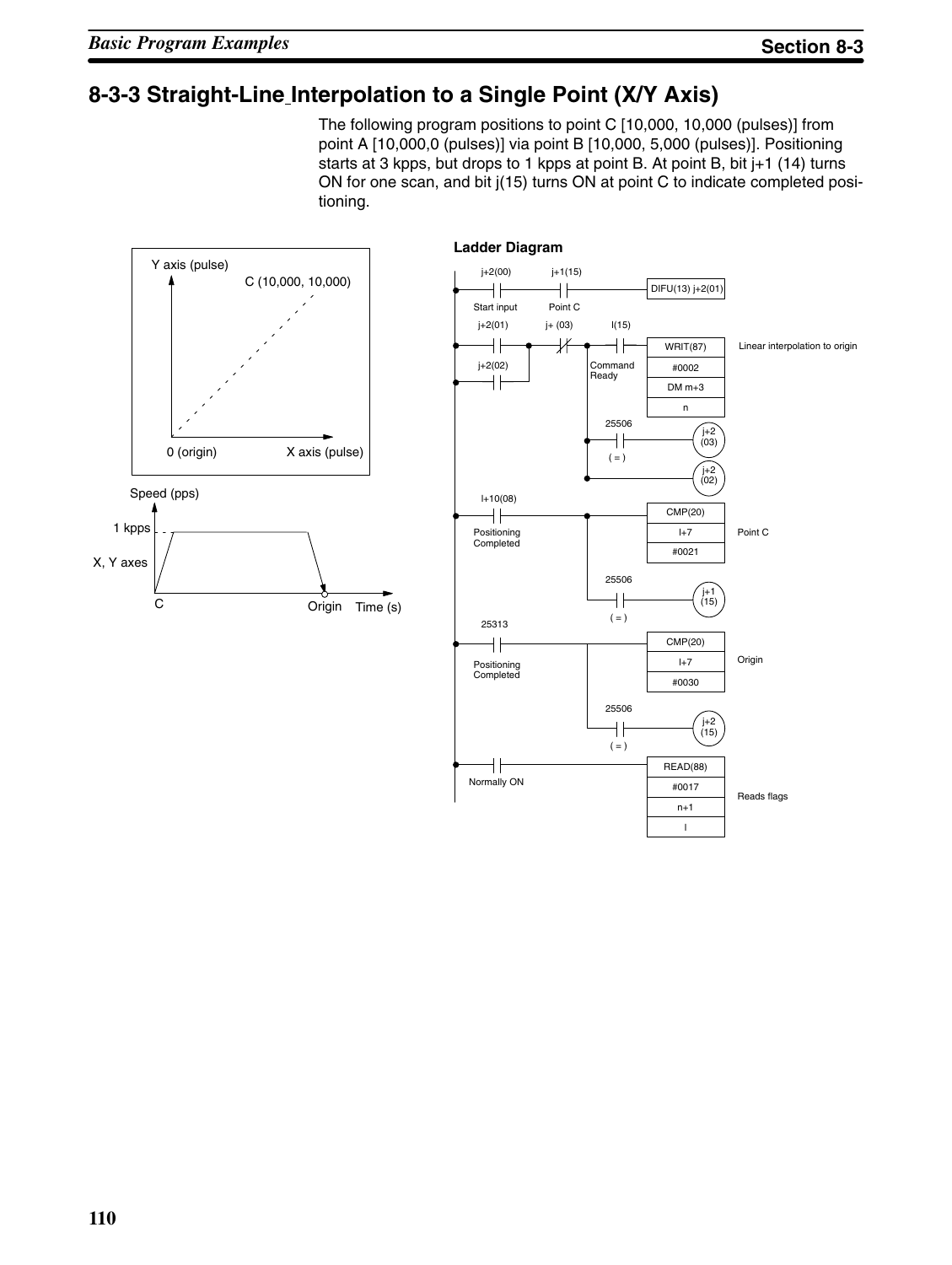### **8-3-3 Straight-Line Interpolation to a Single Point (X/Y Axis)**

The following program positions to point C [10,000, 10,000 (pulses)] from point A [10,000,0 (pulses)] via point B [10,000, 5,000 (pulses)]. Positioning starts at 3 kpps, but drops to 1 kpps at point B. At point B, bit j+1 (14) turns ON for one scan, and bit j(15) turns ON at point C to indicate completed positioning.

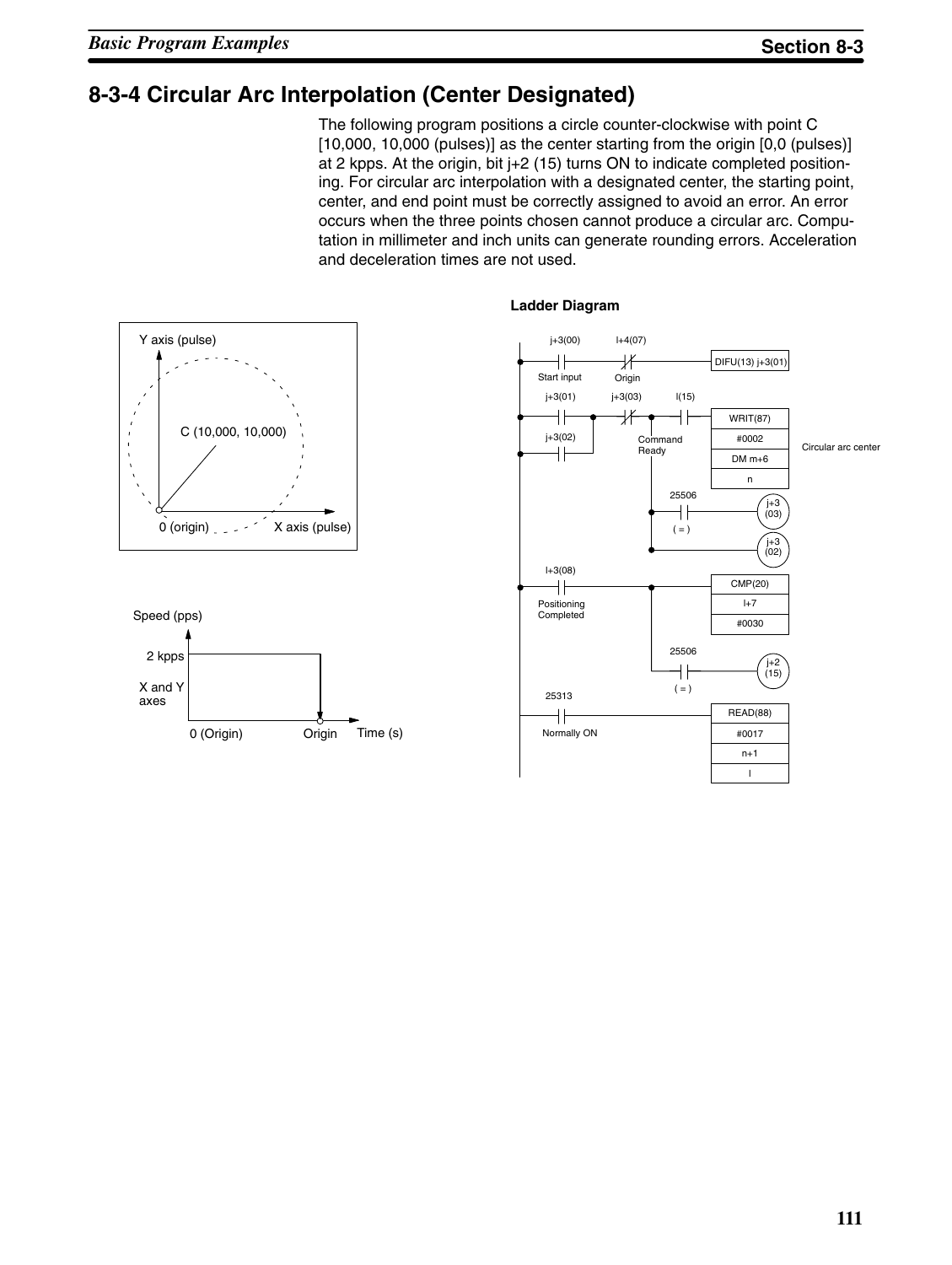### **8-3-4 Circular Arc Interpolation (Center Designated)**

The following program positions a circle counter-clockwise with point C [10,000, 10,000 (pulses)] as the center starting from the origin [0,0 (pulses)] at 2 kpps. At the origin, bit j+2 (15) turns ON to indicate completed positioning. For circular arc interpolation with a designated center, the starting point, center, and end point must be correctly assigned to avoid an error. An error occurs when the three points chosen cannot produce a circular arc. Computation in millimeter and inch units can generate rounding errors. Acceleration and deceleration times are not used.





#### **Ladder Diagram**

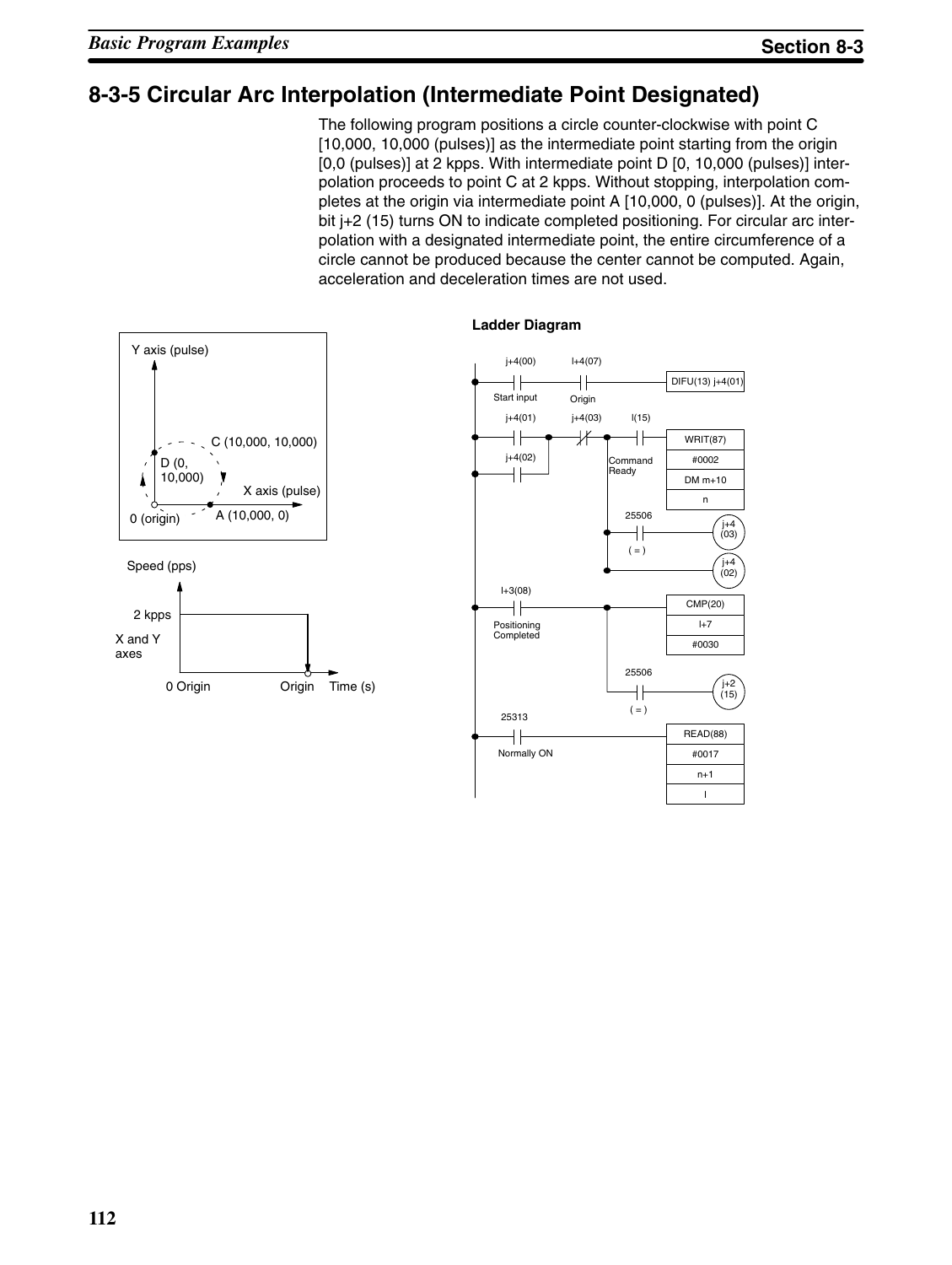### **8-3-5 Circular Arc Interpolation (Intermediate Point Designated)**

The following program positions a circle counter-clockwise with point C [10,000, 10,000 (pulses)] as the intermediate point starting from the origin [0,0 (pulses)] at 2 kpps. With intermediate point D [0, 10,000 (pulses)] interpolation proceeds to point C at 2 kpps. Without stopping, interpolation completes at the origin via intermediate point A [10,000, 0 (pulses)]. At the origin, bit j+2 (15) turns ON to indicate completed positioning. For circular arc interpolation with a designated intermediate point, the entire circumference of a circle cannot be produced because the center cannot be computed. Again, acceleration and deceleration times are not used.



#### **Ladder Diagram**

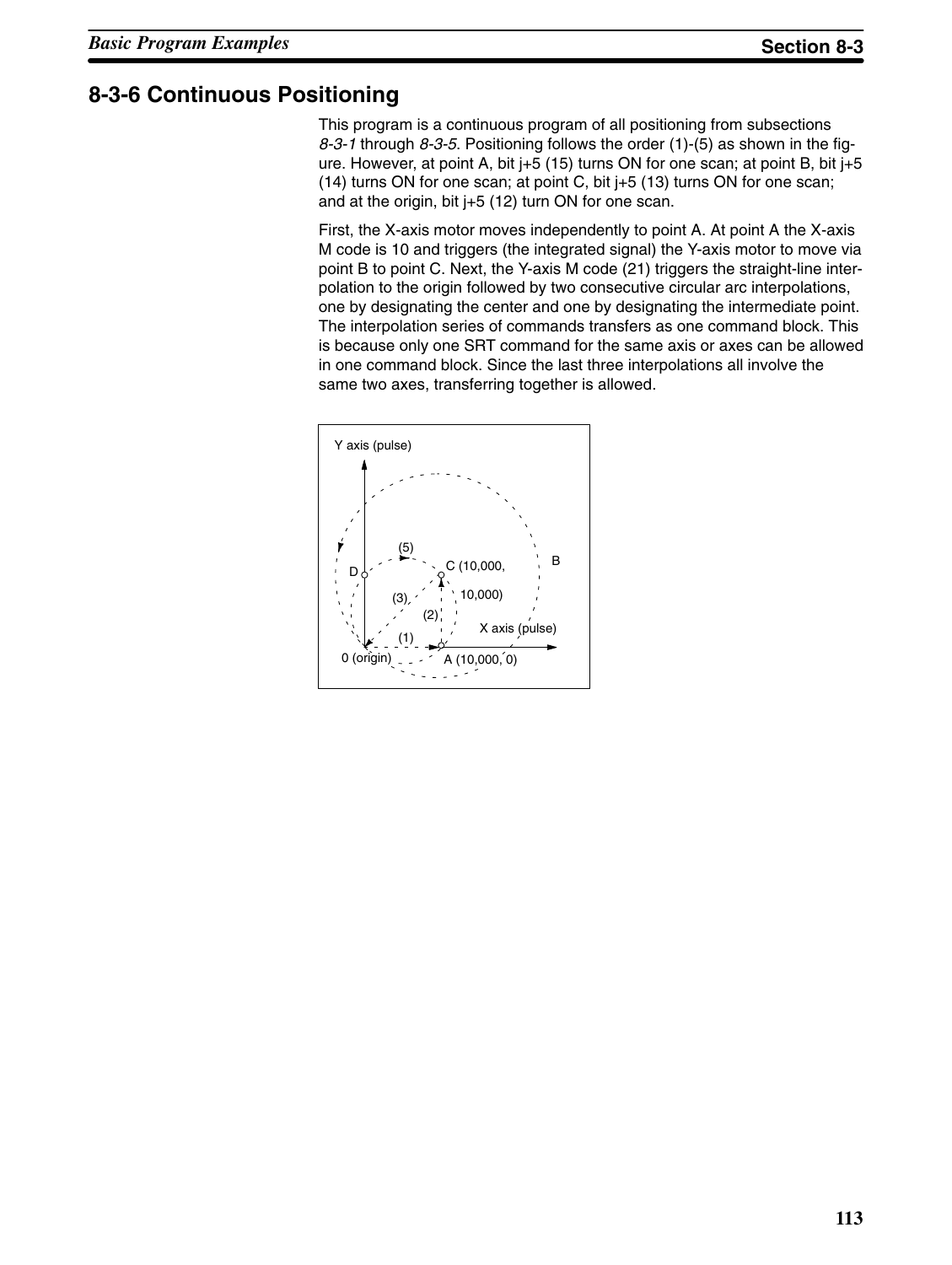### **8-3-6 Continuous Positioning**

This program is a continuous program of all positioning from subsections *8-3-1* through *8-3-5*. Positioning follows the order (1)-(5) as shown in the figure. However, at point A, bit  $+5$  (15) turns ON for one scan; at point B, bit  $+5$ (14) turns ON for one scan; at point C, bit j+5 (13) turns ON for one scan; and at the origin, bit j+5 (12) turn ON for one scan.

First, the X-axis motor moves independently to point A. At point A the X-axis M code is 10 and triggers (the integrated signal) the Y-axis motor to move via point B to point C. Next, the Y-axis M code (21) triggers the straight-line interpolation to the origin followed by two consecutive circular arc interpolations, one by designating the center and one by designating the intermediate point. The interpolation series of commands transfers as one command block. This is because only one SRT command for the same axis or axes can be allowed in one command block. Since the last three interpolations all involve the same two axes, transferring together is allowed.

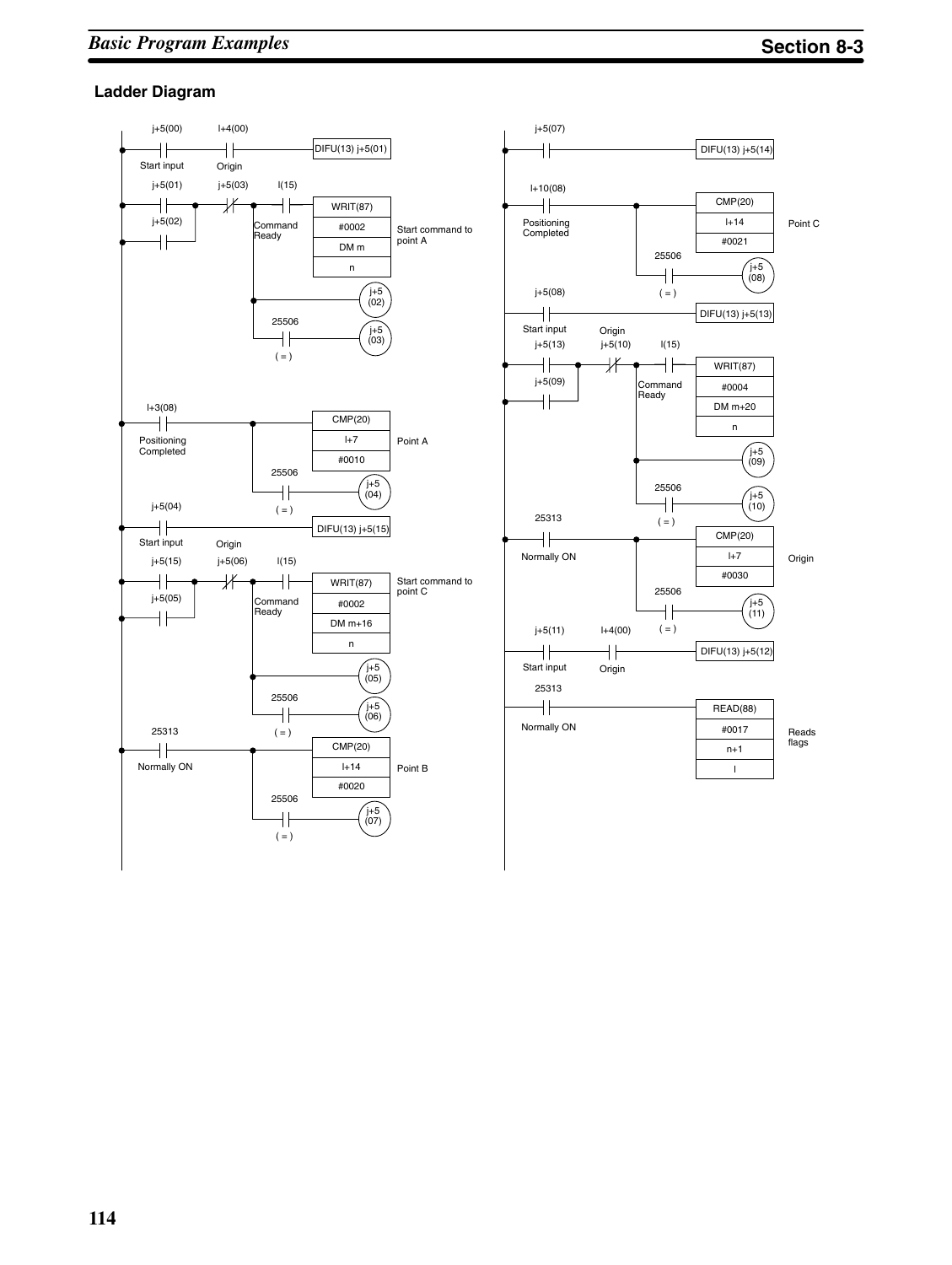#### **Ladder Diagram**

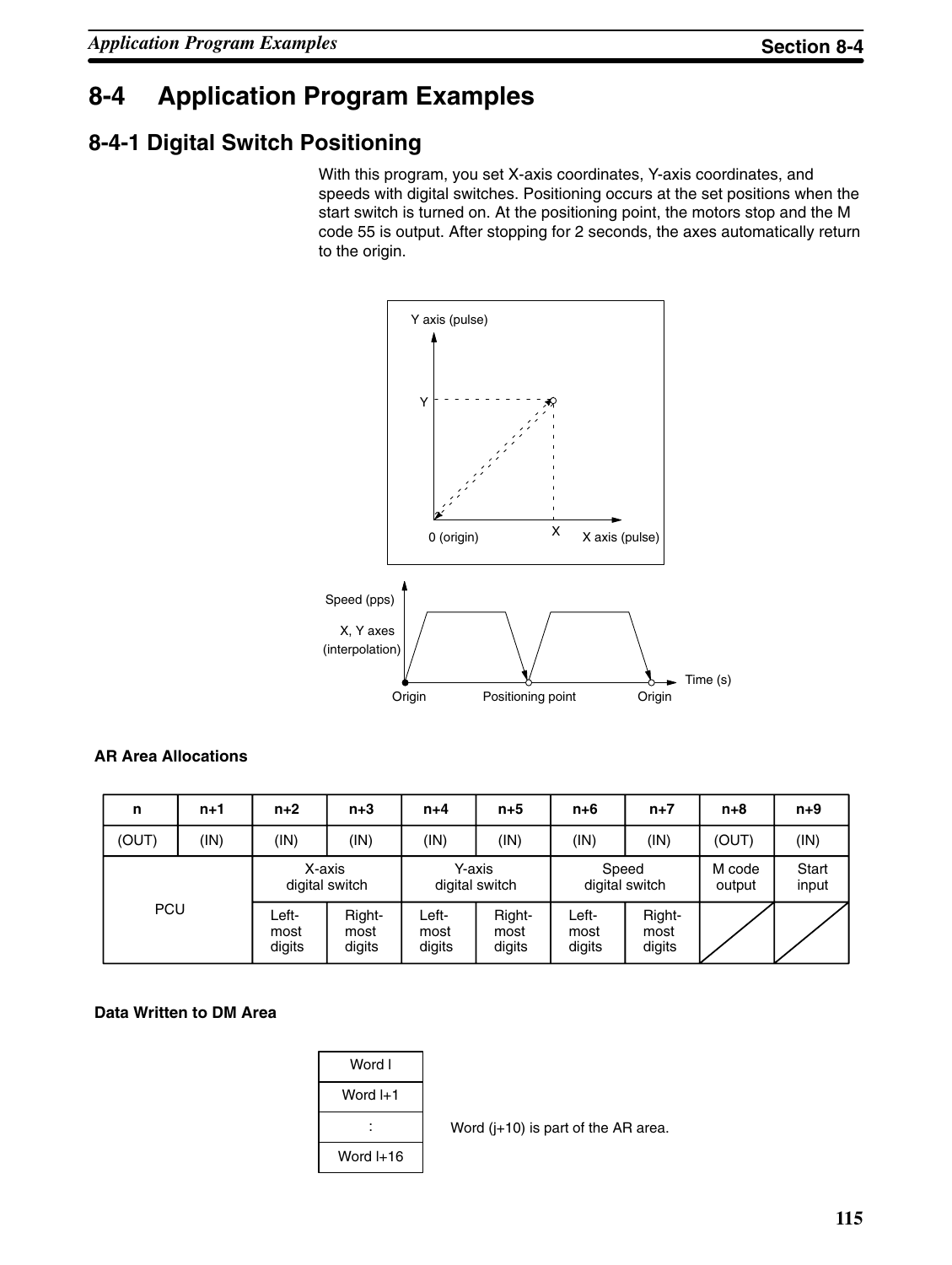## **8-4 Application Program Examples**

### **8-4-1 Digital Switch Positioning**

With this program, you set X-axis coordinates, Y-axis coordinates, and speeds with digital switches. Positioning occurs at the set positions when the start switch is turned on. At the positioning point, the motors stop and the M code 55 is output. After stopping for 2 seconds, the axes automatically return to the origin.



#### **AR Area Allocations**

| n          | $n+1$ | $n+2$                   | $n+3$                    | $n+4$                    | $n+5$                    | $n+6$                   | $n+7$                    | $n+8$            | $n+9$          |
|------------|-------|-------------------------|--------------------------|--------------------------|--------------------------|-------------------------|--------------------------|------------------|----------------|
| (OUT)      | (IN)  | (IN)                    | (IN)                     | (IN)                     | (IN)                     | (IN)                    | (IN)                     | (OUT)            | (IN)           |
|            |       | X-axis                  | digital switch           | Y-axis<br>digital switch |                          | Speed<br>digital switch |                          | M code<br>output | Start<br>input |
| <b>PCU</b> |       | Left-<br>most<br>digits | Right-<br>most<br>digits | Left-<br>most<br>digits  | Right-<br>most<br>digits | Left-<br>most<br>digits | Right-<br>most<br>digits |                  |                |

#### **Data Written to DM Area**



Word (j+10) is part of the AR area.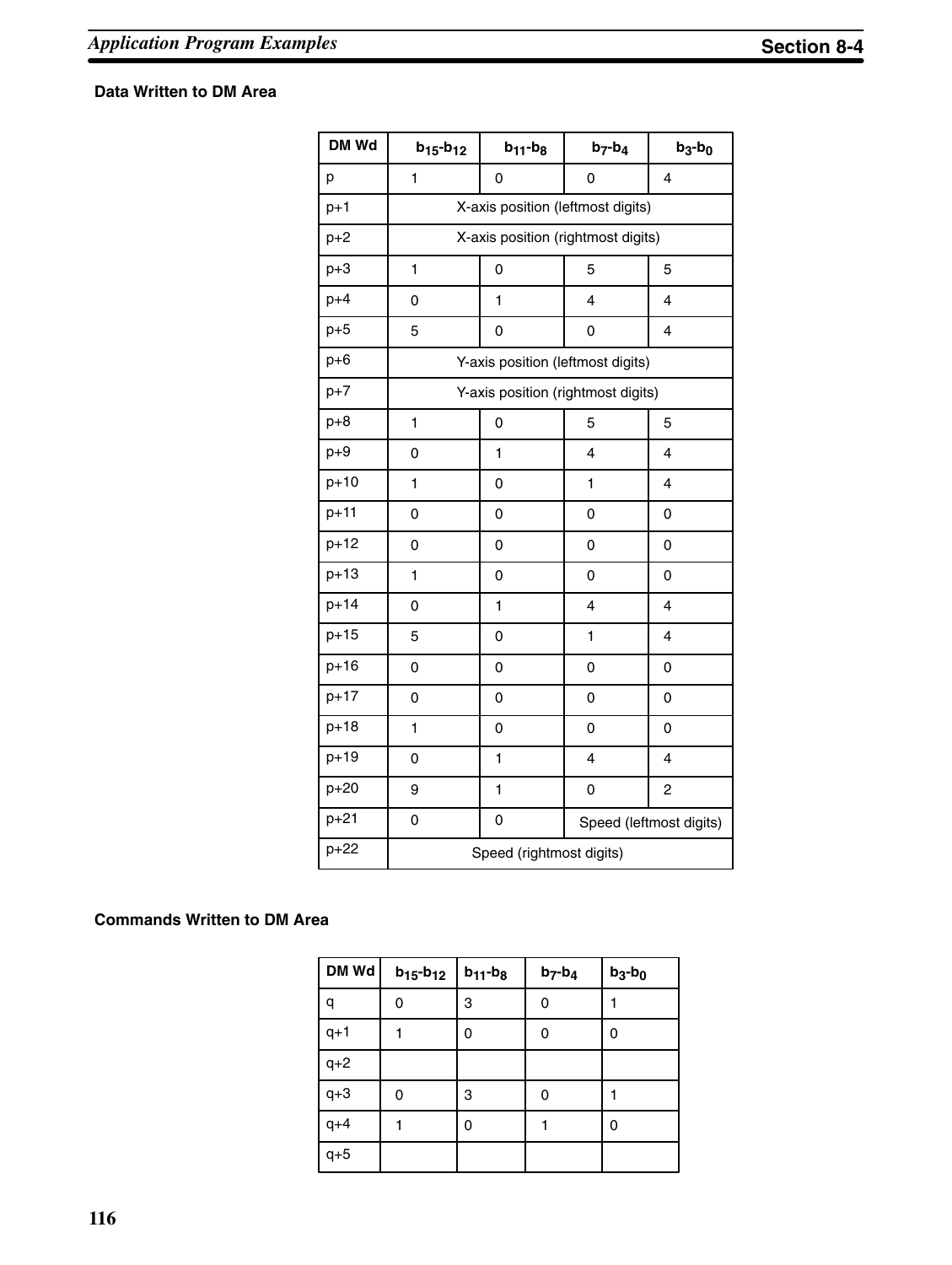#### **Data Written to DM Area**

| DM Wd    | $b_{15} - b_{12}$ | $b_{11}$ - $b_8$                  | $b_7-b_4$                          | $b_3-b_0$               |  |  |  |  |
|----------|-------------------|-----------------------------------|------------------------------------|-------------------------|--|--|--|--|
| p        | $\mathbf{1}$      | 0                                 | 0                                  | $\overline{\mathbf{4}}$ |  |  |  |  |
| $p+1$    |                   | X-axis position (leftmost digits) |                                    |                         |  |  |  |  |
| $p+2$    |                   |                                   | X-axis position (rightmost digits) |                         |  |  |  |  |
| $p+3$    | $\mathbf{1}$      | 0                                 | 5                                  | 5                       |  |  |  |  |
| $p+4$    | 0                 | 1                                 | 4                                  | 4                       |  |  |  |  |
| $p+5$    | 5                 | 0                                 | 0                                  | 4                       |  |  |  |  |
| $p+6$    |                   |                                   | Y-axis position (leftmost digits)  |                         |  |  |  |  |
| $p+7$    |                   |                                   | Y-axis position (rightmost digits) |                         |  |  |  |  |
| $p+8$    | $\mathbf{1}$      | 0                                 | 5                                  | 5                       |  |  |  |  |
| $p+9$    | 0                 | 1                                 | 4                                  | 4                       |  |  |  |  |
| $p+10$   | 1                 | 0                                 | 1                                  | 4                       |  |  |  |  |
| $p + 11$ | 0                 | 0                                 | 0                                  | 0                       |  |  |  |  |
| $p + 12$ | 0                 | 0                                 | 0                                  | 0                       |  |  |  |  |
| $p+13$   | 1                 | 0                                 | 0                                  | 0                       |  |  |  |  |
| $p + 14$ | 0                 | 1                                 | 4                                  | 4                       |  |  |  |  |
| $p+15$   | 5                 | 0                                 | 1                                  | 4                       |  |  |  |  |
| $p+16$   | 0                 | 0                                 | 0                                  | 0                       |  |  |  |  |
| $p + 17$ | 0                 | 0                                 | 0                                  | 0                       |  |  |  |  |
| $p+18$   | 1                 | 0                                 | 0                                  | 0                       |  |  |  |  |
| $p + 19$ | 0                 | 1                                 | $\overline{\mathbf{4}}$            | 4                       |  |  |  |  |
| $p+20$   | 9                 | 1                                 | 0                                  | $\overline{c}$          |  |  |  |  |
| $p + 21$ | 0                 | 0                                 |                                    | Speed (leftmost digits) |  |  |  |  |
| $p+22$   |                   | Speed (rightmost digits)          |                                    |                         |  |  |  |  |

#### **Commands Written to DM Area**

| DM Wd | $b_{15} - b_{12}$ | $b_{11}$ - $b_8$ | $b_7-b_4$ | $b_3-b_0$ |
|-------|-------------------|------------------|-----------|-----------|
| q     | 0                 | 3                | 0         |           |
| $q+1$ |                   | 0                | 0         | 0         |
| $q+2$ |                   |                  |           |           |
| $q+3$ | 0                 | 3                | 0         |           |
| $q+4$ |                   | 0                |           | 0         |
| $q+5$ |                   |                  |           |           |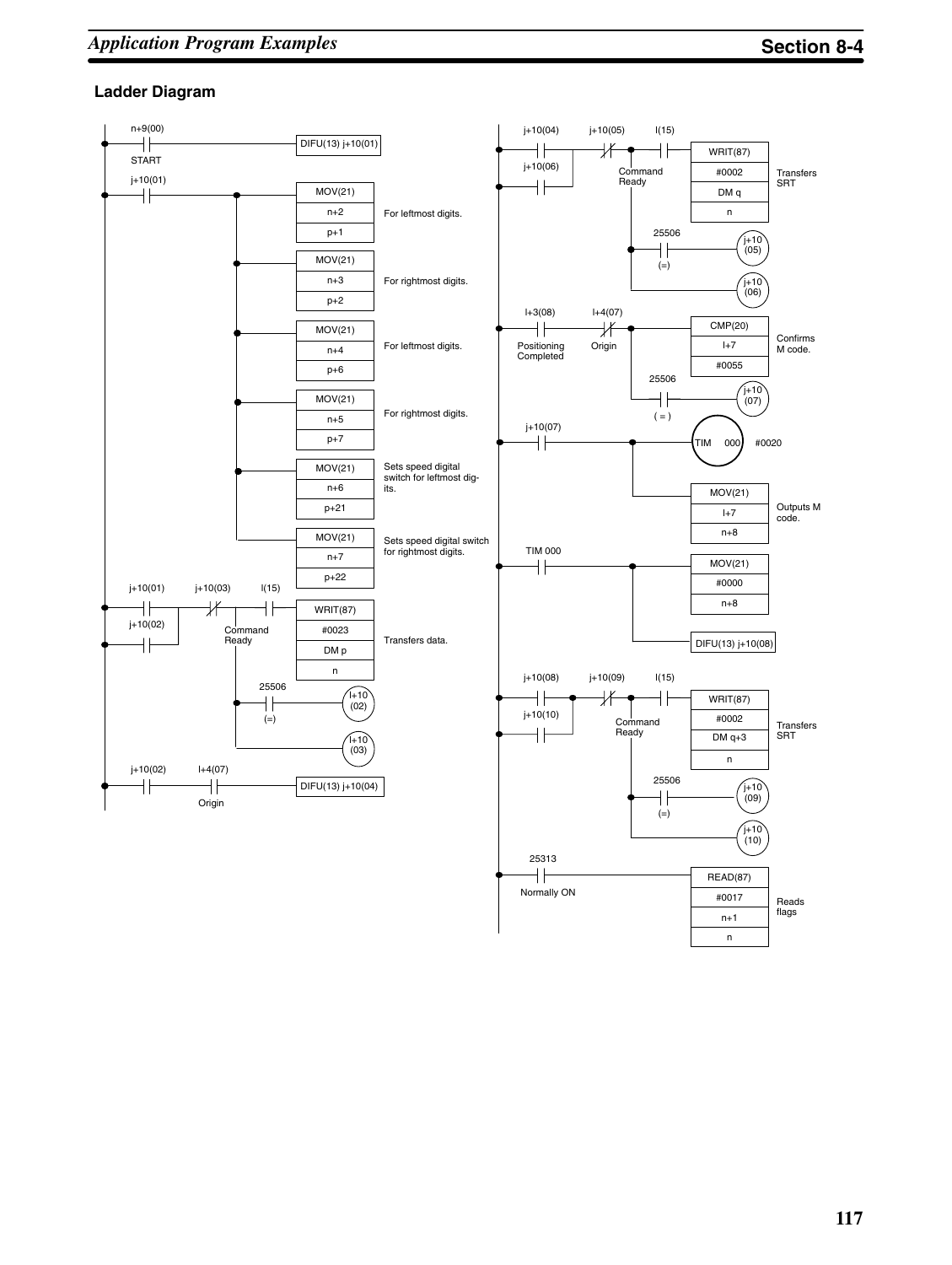#### **Ladder Diagram**

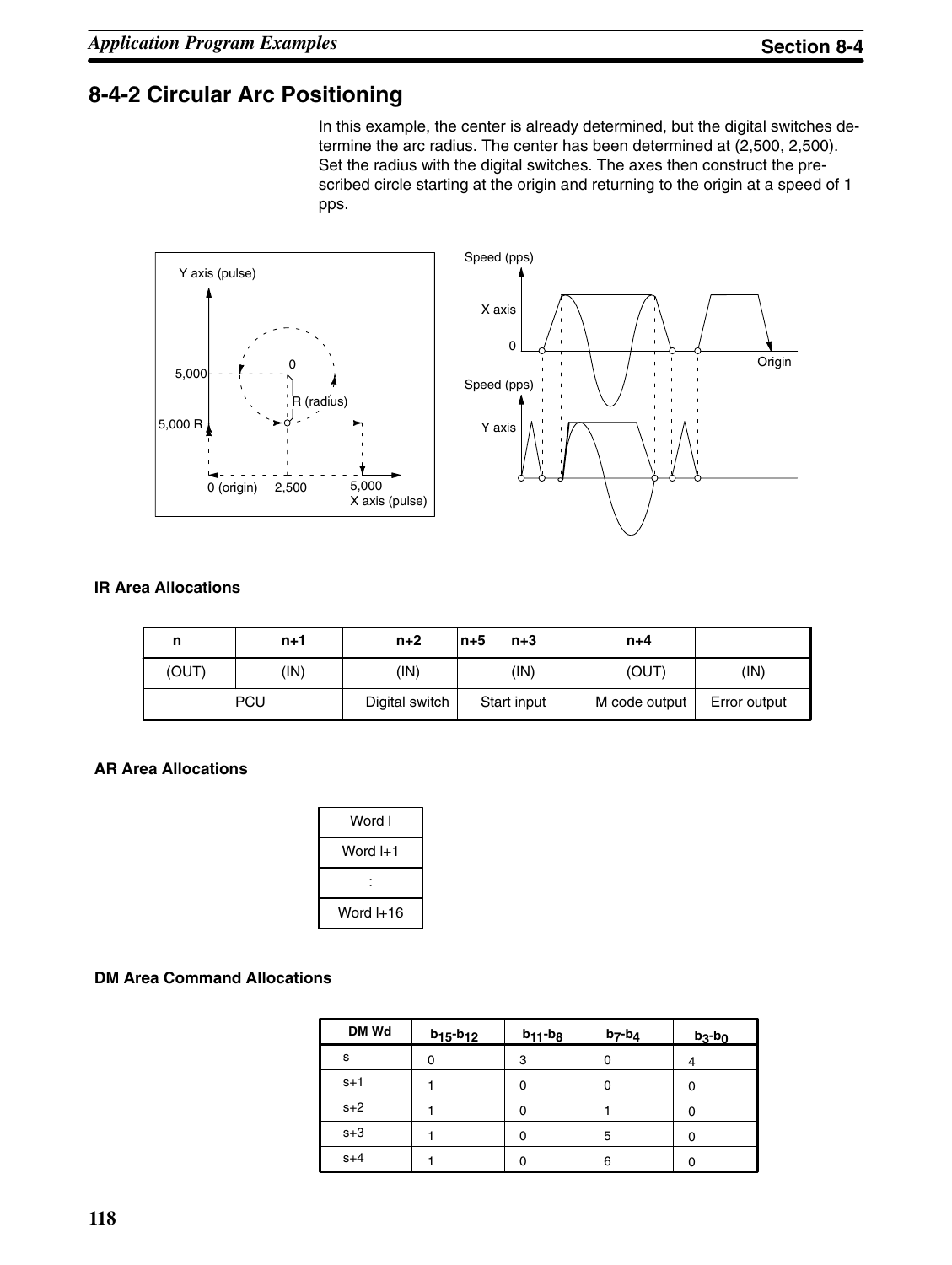### **8-4-2 Circular Arc Positioning**

In this example, the center is already determined, but the digital switches determine the arc radius. The center has been determined at (2,500, 2,500). Set the radius with the digital switches. The axes then construct the prescribed circle starting at the origin and returning to the origin at a speed of 1 pps.



#### **IR Area Allocations**

| n     | n+1  | $n+2$          | ln+5<br>$n+3$ | $n+4$         |              |
|-------|------|----------------|---------------|---------------|--------------|
| (OUT) | (IN) | (IN)           | (IN)          | (OUT)         | (IN)         |
|       | PCU  | Digital switch | Start input   | M code output | Error output |

#### **AR Area Allocations**

| Word I    |  |
|-----------|--|
| Word I+1  |  |
|           |  |
| Word I+16 |  |

#### **DM Area Command Allocations**

| DM Wd | $b_{15} - b_{12}$ | $b_{11}$ - $b_{8}$ | $b_7-b_4$ | $b_3-b_0$ |
|-------|-------------------|--------------------|-----------|-----------|
| s     | 0                 | 3                  | 0         |           |
| $s+1$ |                   | 0                  | 0         |           |
| $s+2$ |                   | 0                  |           |           |
| $s+3$ |                   | 0                  | 5         |           |
| $s+4$ |                   | 0                  | 6         |           |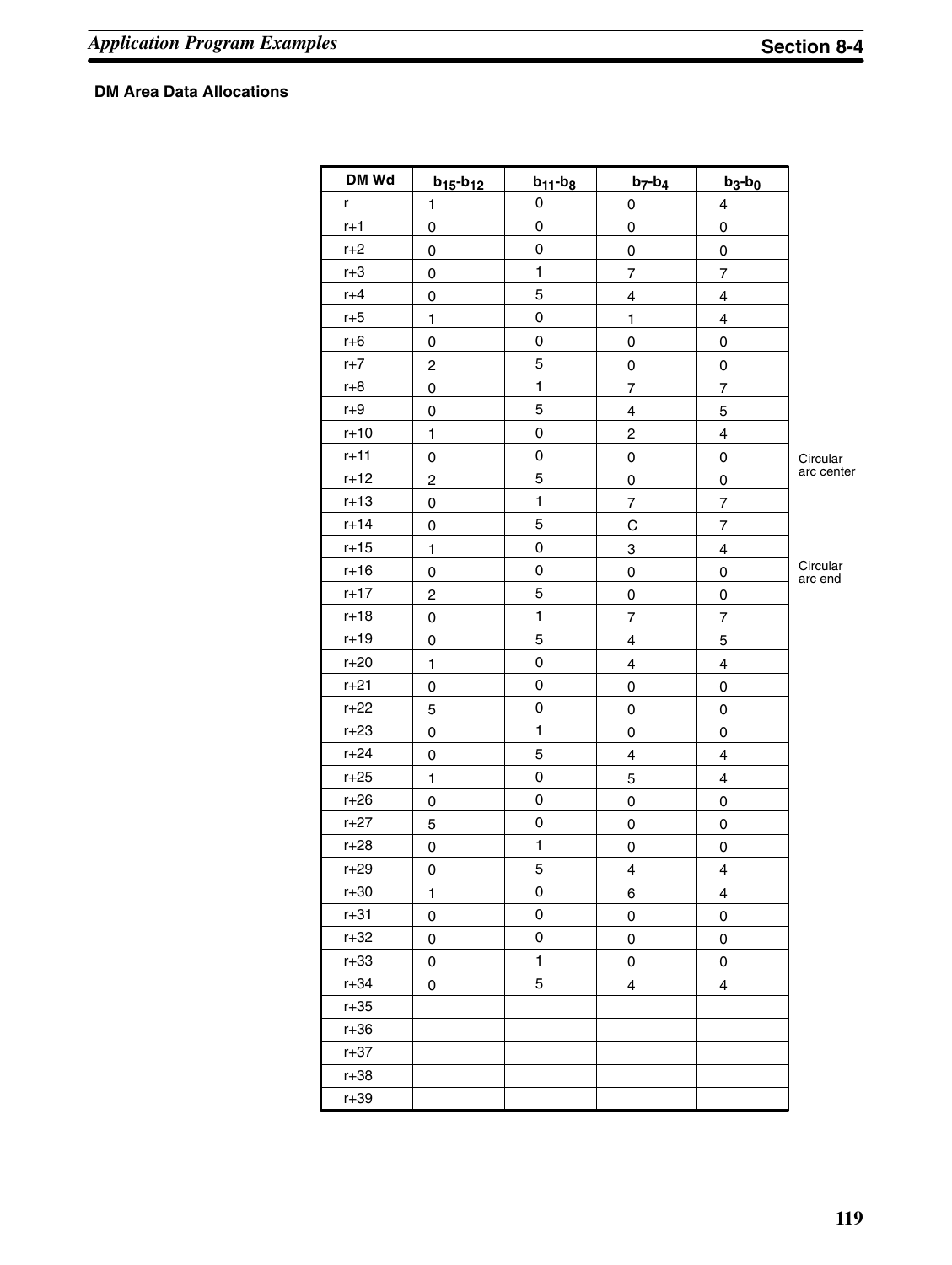### **DM Area Data Allocations**

| DM Wd    | $b_{15} - b_{12}$       | $b_{11} - b_8$ | $b_7-b_4$               | $b_3-b_0$                |                     |
|----------|-------------------------|----------------|-------------------------|--------------------------|---------------------|
| r        | $\mathbf{1}$            | 0              | $\mathsf 0$             | $\overline{\mathbf{4}}$  |                     |
| $r+1$    | 0                       | $\mathsf 0$    | $\mathsf 0$             | $\mathsf 0$              |                     |
| $r+2$    | 0                       | 0              | 0                       | 0                        |                     |
| $r+3$    | 0                       | $\mathbf{1}$   | $\overline{7}$          | $\overline{7}$           |                     |
| $r+4$    | $\pmb{0}$               | 5              | $\overline{\mathbf{4}}$ | 4                        |                     |
| $r+5$    | 1                       | 0              | $\mathbf{1}$            | 4                        |                     |
| $r+6$    | 0                       | 0              | 0                       | 0                        |                     |
| $r+7$    | $\overline{\mathbf{c}}$ | 5              | $\mathsf 0$             | 0                        |                     |
| $r+8$    | 0                       | $\mathbf{1}$   | $\overline{7}$          | $\overline{7}$           |                     |
| $r+9$    | 0                       | 5              | $\overline{\mathbf{4}}$ | 5                        |                     |
| $r+10$   | $\mathbf{1}$            | 0              | $\boldsymbol{2}$        | 4                        |                     |
| $r+11$   | 0                       | 0              | 0                       | 0                        | Circular            |
| $r+12$   | $\overline{\mathbf{c}}$ | 5              | $\mathsf 0$             | 0                        | arc center          |
| $r+13$   | $\mathsf 0$             | $\mathbf{1}$   | $\overline{7}$          | $\overline{7}$           |                     |
| $r+14$   | 0                       | 5              | $\mathsf C$             | $\overline{\mathcal{I}}$ |                     |
| $r+15$   | $\mathbf{1}$            | 0              | 3                       | 4                        |                     |
| $r+16$   | 0                       | 0              | 0                       | 0                        | Circular<br>arc end |
| $r + 17$ | $\overline{c}$          | 5              | $\mathsf 0$             | 0                        |                     |
| $r+18$   | $\pmb{0}$               | $\mathbf{1}$   | $\overline{7}$          | $\overline{7}$           |                     |
| $r+19$   | $\mathsf 0$             | 5              | $\overline{\mathbf{4}}$ | 5                        |                     |
| $r+20$   | $\mathbf{1}$            | 0              | $\overline{\mathbf{4}}$ | 4                        |                     |
| $r + 21$ | 0                       | 0              | $\mathsf 0$             | $\mathsf 0$              |                     |
| $r+22$   | 5                       | 0              | $\mathsf 0$             | 0                        |                     |
| $r+23$   | 0                       | $\mathbf{1}$   | $\mathsf 0$             | $\mathsf 0$              |                     |
| $r+24$   | $\mathsf 0$             | 5              | $\overline{\mathbf{4}}$ | 4                        |                     |
| $r+25$   | $\mathbf{1}$            | 0              | 5                       | 4                        |                     |
| $r+26$   | 0                       | $\mathsf 0$    | $\mathsf 0$             | $\mathsf 0$              |                     |
| $r+27$   | 5                       | 0              | 0                       | 0                        |                     |
| $r + 28$ | 0                       | $\mathbf{1}$   | $\mathsf 0$             | $\mathsf 0$              |                     |
| $r + 29$ | 0                       | 5              | $\overline{\mathbf{4}}$ | $\overline{\mathbf{4}}$  |                     |
| $r+30$   | $\mathbf{1}$            | 0              | 6                       | 4                        |                     |
| $r + 31$ | 0                       | 0              | $\mathsf 0$             | 0                        |                     |
| $r+32$   | 0                       | 0              | 0                       | 0                        |                     |
| $r+33$   | 0                       | $\mathbf{1}$   | $\pmb{0}$               | $\mathsf 0$              |                     |
| $r + 34$ | 0                       | 5              | 4                       | 4                        |                     |
| $r+35$   |                         |                |                         |                          |                     |
| $r+36$   |                         |                |                         |                          |                     |
| $r+37$   |                         |                |                         |                          |                     |
| $r+38$   |                         |                |                         |                          |                     |
| $r + 39$ |                         |                |                         |                          |                     |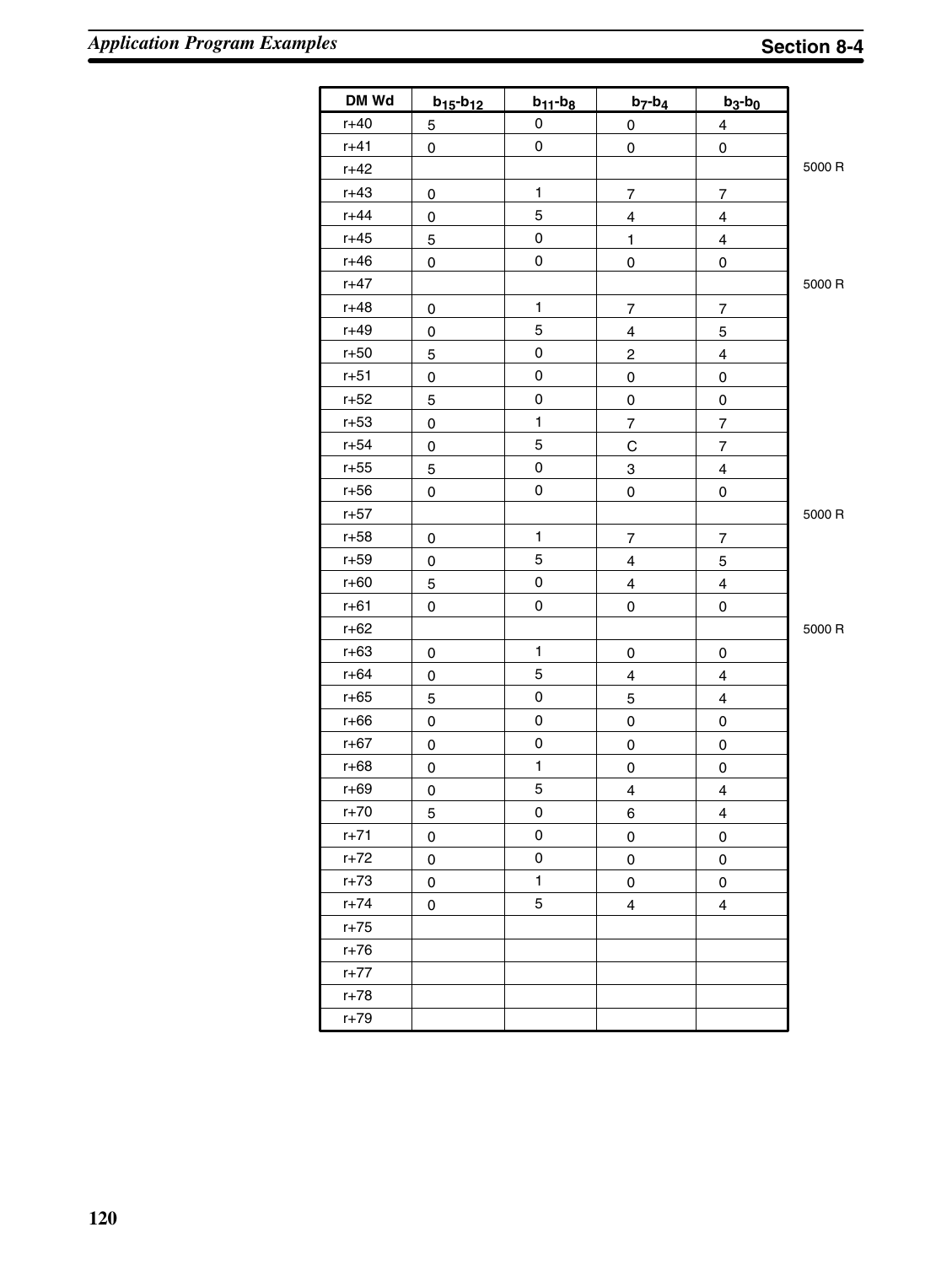| DM Wd    | $b_{15} - b_{12}$ | $b_{11}$ - $b_8$    | $b_7-b_4$               | $b_3-b_0$                |        |
|----------|-------------------|---------------------|-------------------------|--------------------------|--------|
| $r+40$   | 5                 | 0                   | 0                       | $\overline{4}$           |        |
| $r+41$   | 0                 | $\pmb{0}$           | 0                       | $\mathsf 0$              |        |
| $r+42$   |                   |                     |                         |                          | 5000 R |
| $r+43$   | 0                 | $\mathbf{1}$        | 7                       | $\overline{\mathcal{I}}$ |        |
| $r+44$   | 0                 | 5                   | 4                       | $\overline{\mathbf{4}}$  |        |
| $r+45$   | 5                 | $\pmb{0}$           | $\mathbf{1}$            | $\overline{\mathbf{4}}$  |        |
| $r+46$   | 0                 | 0                   | 0                       | 0                        |        |
| $r+47$   |                   |                     |                         |                          | 5000 R |
| $r+48$   | 0                 | $\mathbf{1}$        | 7                       | $\overline{\mathcal{I}}$ |        |
| $r+49$   | 0                 | 5                   | $\overline{\mathbf{4}}$ | 5                        |        |
| $r+50$   | 5                 | $\mathsf 0$         | $\overline{\mathbf{c}}$ | $\overline{\mathbf{4}}$  |        |
| $r+51$   | 0                 | $\mathsf 0$         | 0                       | 0                        |        |
| $r+52$   | 5                 | $\mathsf{O}\xspace$ | $\mathsf{O}\xspace$     | $\mathsf 0$              |        |
| $r+53$   | 0                 | $\mathbf{1}$        | $\overline{7}$          | $\overline{\mathbf{7}}$  |        |
| $r+54$   | 0                 | 5                   | $\mathsf C$             | $\overline{7}$           |        |
| $r+55$   | 5                 | $\mathsf{O}\xspace$ | 3                       | 4                        |        |
| $r+56$   | 0                 | $\mathsf{O}\xspace$ | 0                       | 0                        |        |
| $r+57$   |                   |                     |                         |                          | 5000 R |
| $r+58$   | 0                 | $\mathbf{1}$        | 7                       | $\overline{\mathbf{7}}$  |        |
| $r+59$   | 0                 | 5                   | $\overline{\mathbf{4}}$ | $\mathbf 5$              |        |
| $r+60$   | 5                 | 0                   | $\overline{\mathbf{4}}$ | $\overline{\mathbf{4}}$  |        |
| $r+61$   | 0                 | $\mathsf{O}\xspace$ | 0                       | 0                        |        |
| $r+62$   |                   |                     |                         |                          | 5000 R |
| $r+63$   | 0                 | $\mathbf{1}$        | 0                       | 0                        |        |
| $r + 64$ | 0                 | 5                   | 4                       | $\overline{\mathbf{4}}$  |        |
| $r+65$   | 5                 | 0                   | 5                       | $\overline{\mathbf{4}}$  |        |
| $r + 66$ | 0                 | $\mathsf{O}\xspace$ | 0                       | 0                        |        |
| $r+67$   | 0                 | $\pmb{0}$           | $\pmb{0}$               | $\mathsf 0$              |        |
| $r+68$   | 0                 | $\mathbf{1}$        | 0                       | $\mathsf 0$              |        |
| $r+69$   | 0                 | 5                   | $\overline{\mathbf{4}}$ | $\overline{\mathbf{4}}$  |        |
| $r+70$   | 5                 | 0                   | 6                       | 4                        |        |
| $r + 71$ | 0                 | 0                   | $\mathsf 0$             | 0                        |        |
| $r+72$   | 0                 | 0                   | $\pmb{0}$               | 0                        |        |
| $r+73$   | 0                 | $\mathbf{1}$        | 0                       | 0                        |        |
| $r + 74$ | 0                 | 5                   | 4                       | $\overline{4}$           |        |
| $r+75$   |                   |                     |                         |                          |        |
| $r+76$   |                   |                     |                         |                          |        |
| $r+77$   |                   |                     |                         |                          |        |
| $r+78$   |                   |                     |                         |                          |        |
| $r + 79$ |                   |                     |                         |                          |        |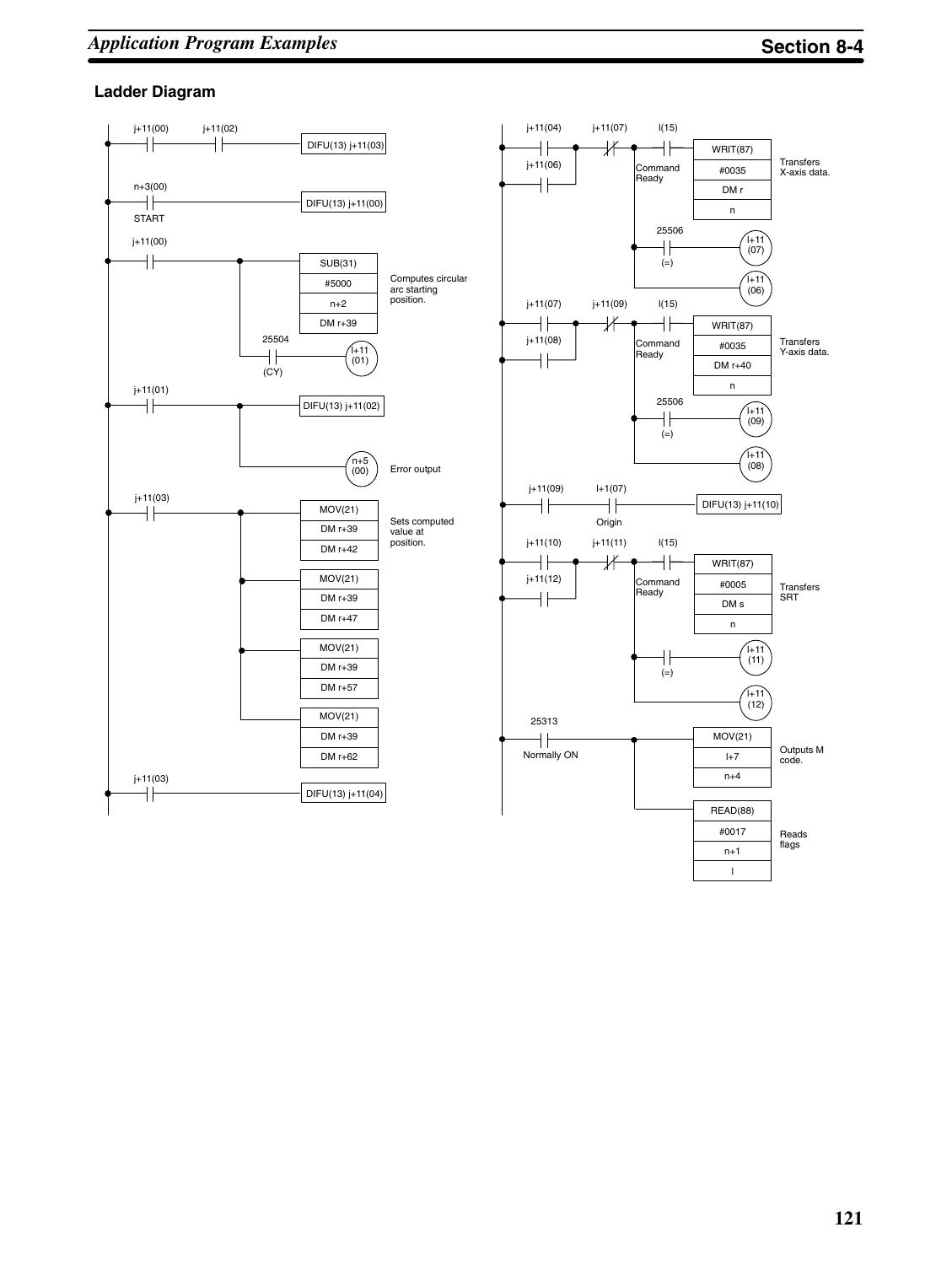#### **Ladder Diagram**



l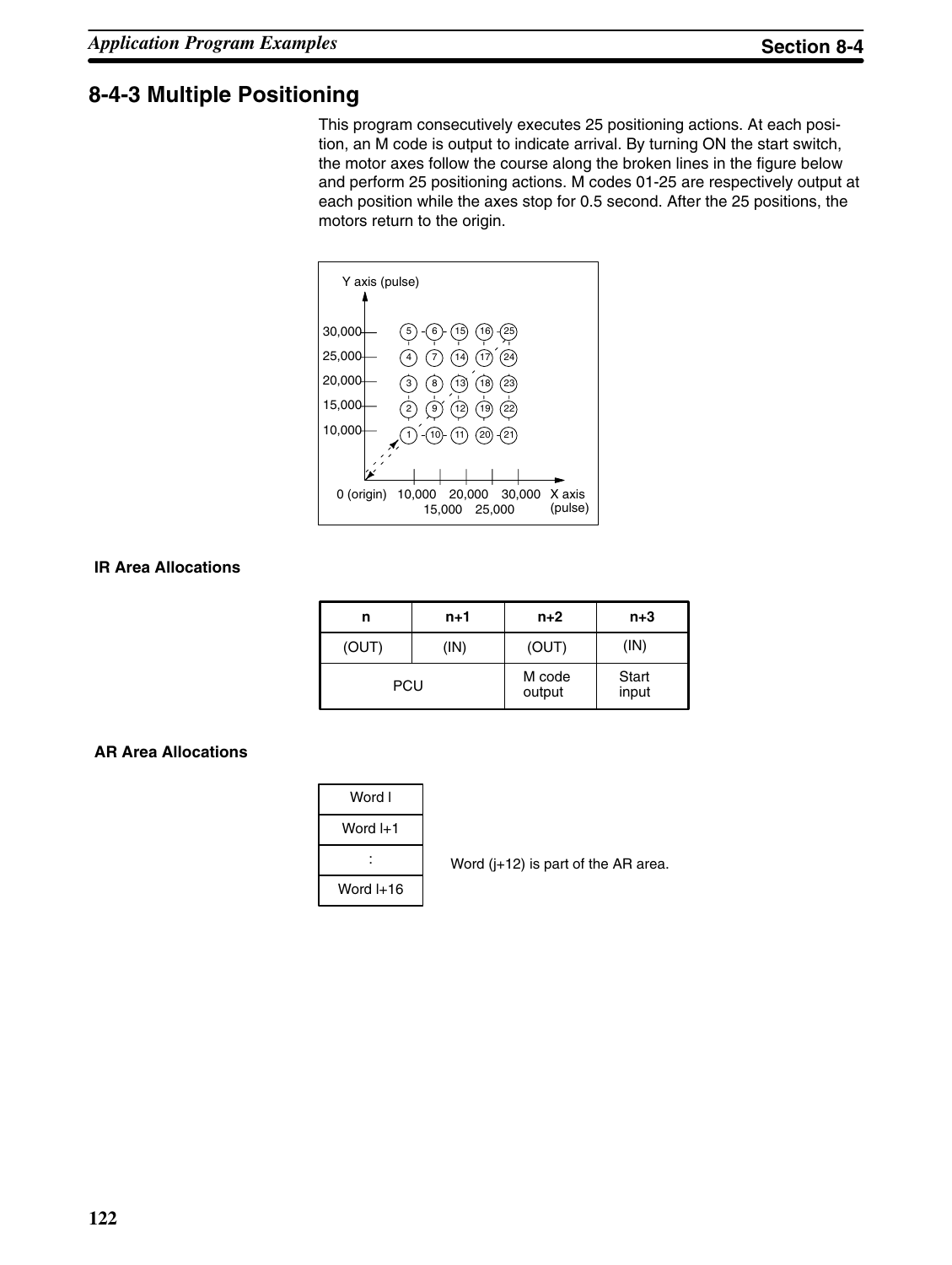### **8-4-3 Multiple Positioning**

This program consecutively executes 25 positioning actions. At each position, an M code is output to indicate arrival. By turning ON the start switch, the motor axes follow the course along the broken lines in the figure below and perform 25 positioning actions. M codes 01-25 are respectively output at each position while the axes stop for 0.5 second. After the 25 positions, the motors return to the origin.



#### **IR Area Allocations**

| n          | $n+1$ | $n+2$            | $n+3$          |
|------------|-------|------------------|----------------|
| (OUT)      | (IN)  | (OUT)            | (IN)           |
| <b>PCU</b> |       | M code<br>output | Start<br>input |

#### **AR Area Allocations**

| Word l    |
|-----------|
| Word I+1  |
|           |
| Word I+16 |

Word (j+12) is part of the AR area.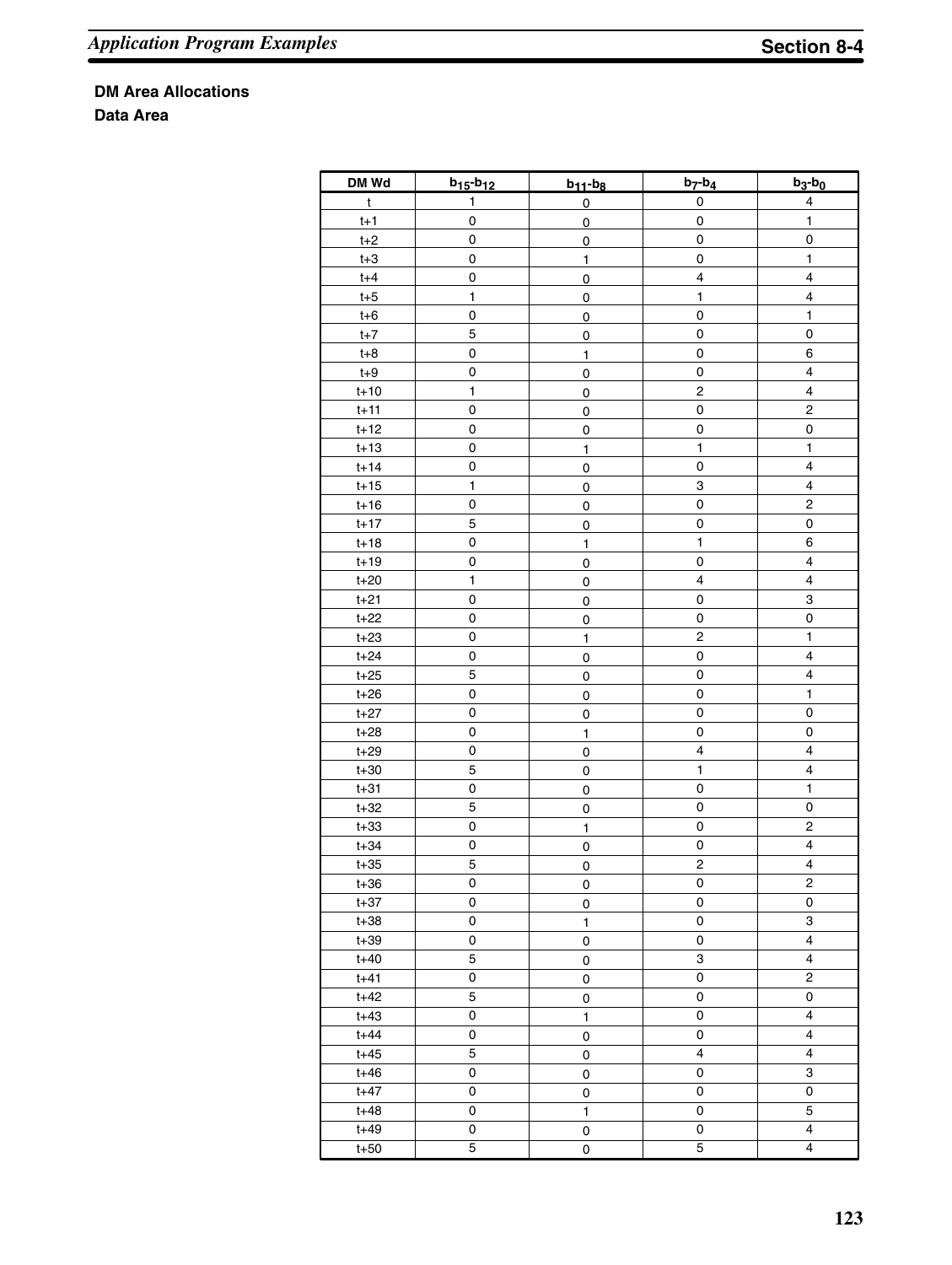**DM Area Allocations**

**Data Area**

| DM Wd    | $b_{15} - b_{12}$   | $b_{11} - b_8$ | $b_7-b_4$               | $b_3-b_0$               |
|----------|---------------------|----------------|-------------------------|-------------------------|
| t        | 1                   | $\pmb{0}$      | $\pmb{0}$               | 4                       |
| $t+1$    | 0                   | $\overline{0}$ | 0                       | 1                       |
| $t+2$    | 0                   | $\overline{0}$ | $\pmb{0}$               | 0                       |
| $t+3$    | 0                   | $\mathbf{1}$   | 0                       | $\mathbf{1}$            |
| $t + 4$  | 0                   | $\overline{0}$ | $\overline{\mathbf{4}}$ | $\overline{\mathbf{4}}$ |
| $t+5$    | $\mathbf{1}$        | 0              | 1                       | $\overline{\mathbf{4}}$ |
| $t+6$    | 0                   | $\pmb{0}$      | 0                       | $\mathbf{1}$            |
| $t+7$    | 5                   | $\mathbf 0$    | 0                       | 0                       |
| $t+8$    | 0                   | $\mathbf{1}$   | 0                       | 6                       |
| $t+9$    | 0                   |                | 0                       | 4                       |
| $t+10$   | $\mathbf{1}$        | $\overline{0}$ | $\mathbf 2$             | 4                       |
| $t+11$   | 0                   | $\overline{0}$ | 0                       | $\overline{\mathbf{c}}$ |
| $t+12$   | 0                   | $\overline{0}$ |                         | 0                       |
|          |                     | 0              | 0                       |                         |
| $t+13$   | 0                   | $\mathbf{1}$   | 1                       | 1                       |
| $t+14$   | 0                   | 0              | 0                       | 4                       |
| $t+15$   | 1                   | 0              | 3                       | 4                       |
| $t+16$   | 0                   | 0              | $\pmb{0}$               | $\overline{\mathbf{c}}$ |
| $t+17$   | 5                   | 0              | 0                       | 0                       |
| $t+18$   | $\mathsf 0$         | $\mathbf{1}$   | 1                       | 6                       |
| $t+19$   | $\mathsf{O}\xspace$ | 0              | $\pmb{0}$               | 4                       |
| $t+20$   | $\mathbf{1}$        | 0              | $\overline{\mathbf{4}}$ | 4                       |
| $t+21$   | $\pmb{0}$           | 0              | $\pmb{0}$               | 3                       |
| $t+22$   | $\pmb{0}$           | 0              | $\mathsf 0$             | $\mathsf 0$             |
| $t + 23$ | $\mathbf 0$         | 1              | $\overline{c}$          | $\mathbf{1}$            |
| $t+24$   | $\pmb{0}$           | 0              | $\pmb{0}$               | 4                       |
| $t+25$   | 5                   | 0              | $\pmb{0}$               | 4                       |
| $t+26$   | $\pmb{0}$           | 0              | $\pmb{0}$               | $\mathbf{1}$            |
| $t+27$   | $\pmb{0}$           | 0              | $\pmb{0}$               | 0                       |
| $t+28$   | 0                   | $\mathbf{1}$   | $\pmb{0}$               | 0                       |
| $t+29$   | 0                   | 0              | $\overline{\mathbf{4}}$ | $\overline{\mathbf{4}}$ |
| $t+30$   | 5                   | 0              | $\mathbf{1}$            | $\overline{\mathbf{4}}$ |
| $t + 31$ | $\mathsf 0$         | $\mathsf 0$    | $\pmb{0}$               | $\mathbf{1}$            |
| $t + 32$ | 5                   | $\mathsf 0$    | $\mathsf{O}\xspace$     | $\mathsf 0$             |
| $t + 33$ | $\mathsf{O}\xspace$ | $\mathbf{1}$   | $\pmb{0}$               | $\overline{c}$          |
|          | 0                   |                | $\mathsf{O}\xspace$     | $\overline{\mathbf{4}}$ |
| $t + 34$ |                     | $\mathsf 0$    |                         | $\overline{\mathbf{4}}$ |
| $t+35$   | 5                   | 0              | $\mathbf 2$             |                         |
| $t+36$   | 0                   | 0              | 0                       | $\overline{c}$          |
| $t + 37$ | 0                   | 0              | 0                       | 0                       |
| $t + 38$ | 0                   | $\mathbf{1}$   | 0                       | 3                       |
| $t+39$   | $\pmb{0}$           | 0              | $\pmb{0}$               | $\overline{\mathbf{4}}$ |
| $t + 40$ | 5                   | 0              | 3                       | $\overline{\mathbf{4}}$ |
| $t + 41$ | 0                   | 0              | $\pmb{0}$               | $\overline{\mathbf{c}}$ |
| $t + 42$ | 5                   | 0              | $\pmb{0}$               | 0                       |
| $t + 43$ | 0                   | $\mathbf{1}$   | 0                       | $\overline{\mathbf{4}}$ |
| $t + 44$ | 0                   | 0              | $\pmb{0}$               | $\overline{\mathbf{4}}$ |
| $t + 45$ | 5                   | 0              | $\overline{\mathbf{4}}$ | $\overline{\mathbf{4}}$ |
| $t + 46$ | 0                   | 0              | 0                       | 3                       |
| $t + 47$ | 0                   | 0              | 0                       | 0                       |
| $t + 48$ | 0                   | $\mathbf{1}$   | 0                       | 5                       |
| $t + 49$ | 0                   | 0              | 0                       | 4                       |
| $t+50$   | 5                   | 0              | $\mathbf 5$             | 4                       |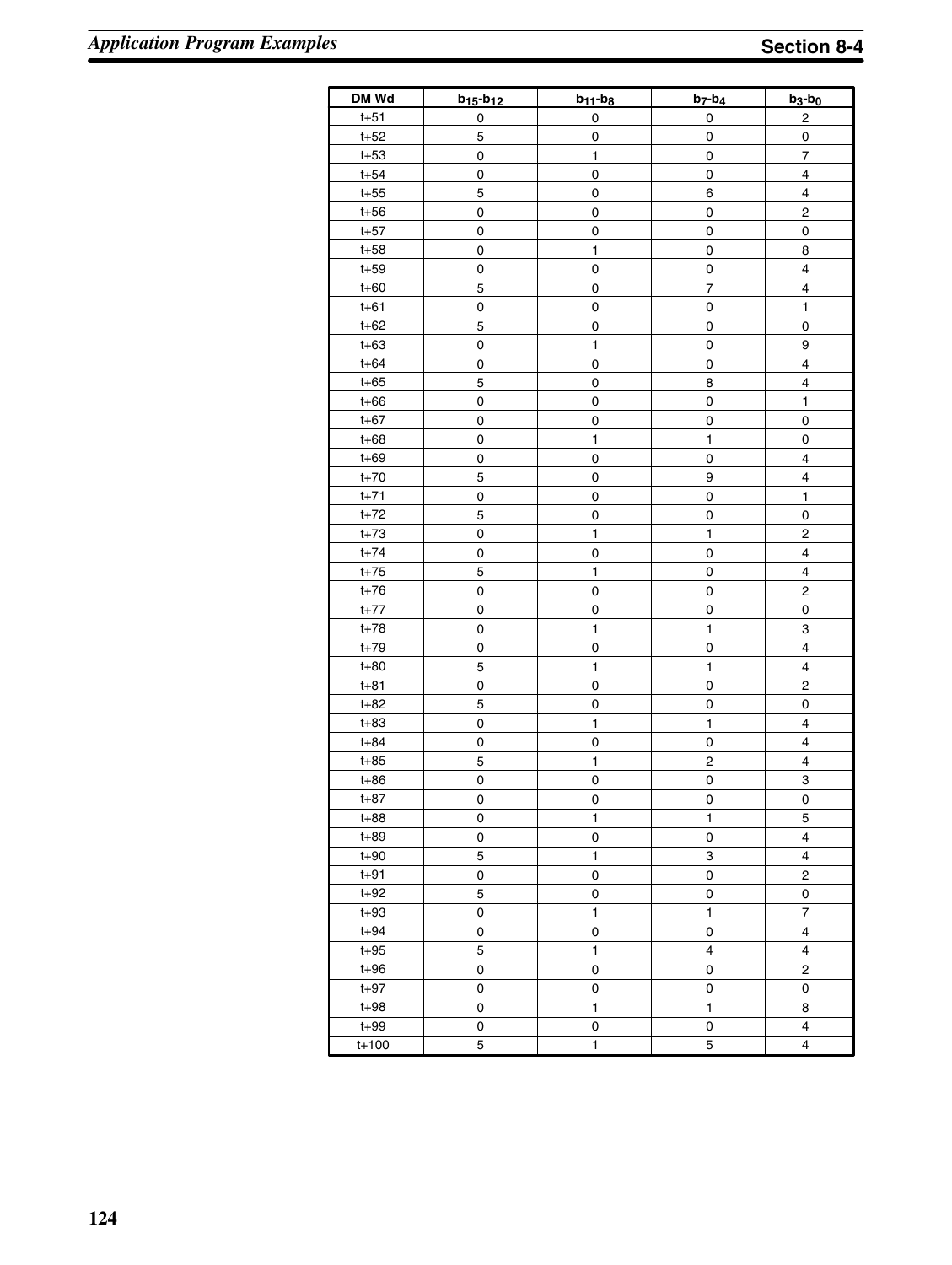| DM Wd     | $b_{15} - b_{12}$   | $b_{11} - b_8$      | $b_7-b_4$    | $b_3-b_0$                |
|-----------|---------------------|---------------------|--------------|--------------------------|
| $t + 51$  | 0                   | 0                   | 0            | 2                        |
| $t+52$    | 5                   | 0                   | 0            | 0                        |
| $t+53$    | 0                   | 1                   | 0            | $\overline{\mathcal{I}}$ |
| $t + 54$  | 0                   | 0                   | $\pmb{0}$    | $\overline{\mathbf{4}}$  |
| $t+55$    | $\mathbf 5$         | 0                   | 6            | $\overline{\mathbf{4}}$  |
| $t+56$    | $\pmb{0}$           | $\mathbf 0$         | $\pmb{0}$    | $\overline{\mathbf{c}}$  |
| $t+57$    | 0                   | 0                   | $\pmb{0}$    | $\overline{0}$           |
| $t+58$    | 0                   | 1                   | $\pmb{0}$    | 8                        |
| $t+59$    | 0                   | 0                   | $\pmb{0}$    | 4                        |
| $t+60$    | 5                   | 0                   | 7            | 4                        |
| $t + 61$  | $\mathsf{O}\xspace$ | 0                   | 0            | 1                        |
| $t + 62$  | 5                   | 0                   | 0            | $\pmb{0}$                |
| $t + 63$  | $\mathsf{O}\xspace$ | $\mathbf{1}$        | $\pmb{0}$    | 9                        |
| $t + 64$  | 0                   | 0                   | 0            | 4                        |
| $t + 65$  | 5                   | 0                   | 8            | 4                        |
| $t + 66$  | $\mathbf 0$         | 0                   | $\pmb{0}$    | $\mathbf{1}$             |
| $t+67$    | $\mathbf 0$         | 0                   | $\pmb{0}$    | $\pmb{0}$                |
| $t + 68$  | $\pmb{0}$           | $\mathbf{1}$        | $\mathbf 1$  | $\pmb{0}$                |
| $t + 69$  | $\mathsf{O}\xspace$ | 0                   | $\mathsf 0$  | 4                        |
| $t+70$    | $\sqrt{5}$          | 0                   | 9            | 4                        |
| $t+71$    | $\mathsf{O}\xspace$ | 0                   | $\pmb{0}$    | $\mathbf{1}$             |
| $t+72$    | 5                   | 0                   | 0            | $\pmb{0}$                |
| $t+73$    | $\mathsf{O}\xspace$ | $\mathbf{1}$        | $\mathbf{1}$ | $\overline{\mathbf{c}}$  |
| $t+74$    | $\pmb{0}$           | 0                   | $\pmb{0}$    | 4                        |
| $t+75$    | $\mathbf 5$         | $\mathbf{1}$        | $\pmb{0}$    | $\overline{\mathbf{4}}$  |
| $t+76$    | $\pmb{0}$           | 0                   | $\pmb{0}$    | $\mathbf 2$              |
| $t+77$    | $\pmb{0}$           | 0                   | $\pmb{0}$    | $\pmb{0}$                |
| $t+78$    | $\pmb{0}$           | $\mathbf{1}$        | $\mathbf{1}$ | 3                        |
| $t+79$    | $\pmb{0}$           | $\mathsf{O}\xspace$ | 0            | $\overline{\mathbf{4}}$  |
| $t + 80$  | $\mathbf 5$         | $\mathbf{1}$        | 1            | $\overline{\mathbf{4}}$  |
| $t + 81$  | $\pmb{0}$           | 0                   | $\mathsf 0$  | $\overline{c}$           |
| $t+82$    | 5                   | 0                   | $\mathsf 0$  | 0                        |
| $t + 83$  | $\pmb{0}$           | $\mathbf{1}$        | $\mathbf{1}$ | $\overline{\mathbf{4}}$  |
| $t + 84$  | $\mathsf{O}\xspace$ | 0                   | $\pmb{0}$    | $\overline{\mathbf{4}}$  |
| $t+85$    | $\mathbf 5$         | 1                   | 2            | 4                        |
| $t+86$    | $\mathsf{O}\xspace$ | 0                   | 0            | 3                        |
| $t + 87$  | 0                   | 0                   | 0            | 0                        |
| $t + 88$  | 0                   | $\mathbf{1}$        | $\mathbf{1}$ | 5                        |
| $t + 89$  | 0                   | 0                   | 0            | 4                        |
| $t + 90$  | 5                   | $\mathbf{1}$        | 3            | 4                        |
| $t + 91$  | 0                   | 0                   | 0            | 2                        |
| $t + 92$  | 5                   | 0                   | 0            | 0                        |
| $t + 93$  | 0                   | 1                   | 1            | 7                        |
| $t + 94$  | 0                   | 0                   | 0            | 4                        |
| $t + 95$  | $\mathbf 5$         | 1                   | 4            | 4                        |
| $t + 96$  | 0                   | 0                   | 0            | 2                        |
| $t + 97$  | 0                   | 0                   | 0            | 0                        |
| $t + 98$  | 0                   | 1                   | 1            | 8                        |
| $t + 99$  | 0                   | 0                   | 0            | 4                        |
| $t + 100$ | 5                   | 1                   | 5            | 4                        |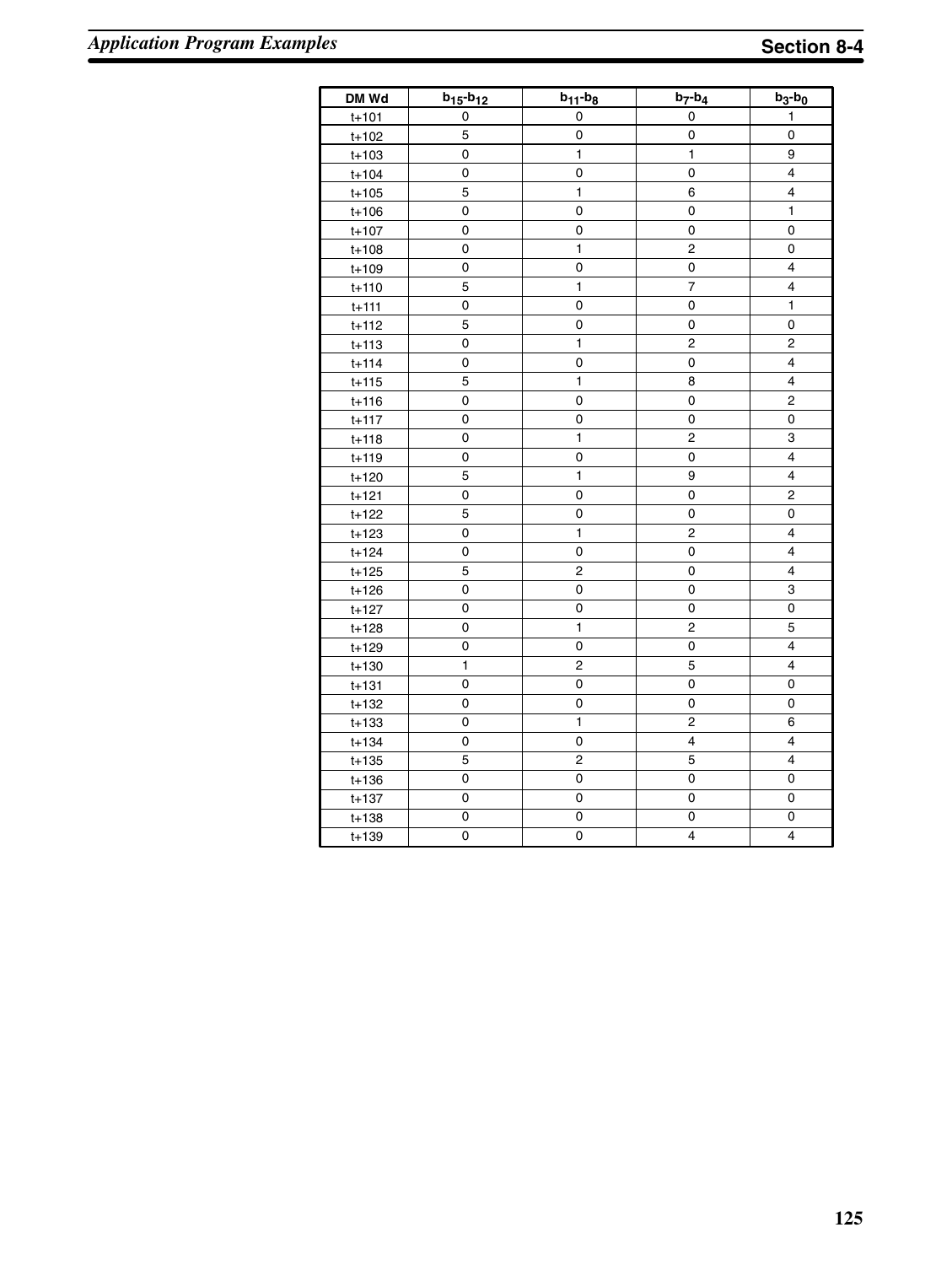| DM Wd     | $b_{15} - b_{12}$ | $b_{11} - b_8$ | $b_7-b_4$               | $b_3-b_0$               |
|-----------|-------------------|----------------|-------------------------|-------------------------|
| $t + 101$ | 0                 | 0              | 0                       | 1                       |
| $t + 102$ | 5                 | 0              | 0                       | 0                       |
| $t + 103$ | 0                 | $\mathbf{1}$   | $\mathbf{1}$            | 9                       |
| $t + 104$ | 0                 | 0              | $\mathsf 0$             | $\overline{\mathbf{4}}$ |
| $t + 105$ | 5                 | $\mathbf{1}$   | 6                       | 4                       |
| $t + 106$ | 0                 | 0              | $\mathsf 0$             | 1                       |
| $t + 107$ | 0                 | 0              | 0                       | 0                       |
| $t + 108$ | 0                 | 1              | $\mathbf 2$             | 0                       |
| $t + 109$ | 0                 | 0              | 0                       | $\overline{\mathbf{4}}$ |
| $t + 110$ | 5                 | $\mathbf{1}$   | $\overline{7}$          | $\overline{\mathbf{4}}$ |
| $t + 111$ | 0                 | 0              | 0                       | $\mathbf{1}$            |
| $t + 112$ | 5                 | 0              | 0                       | 0                       |
| $t + 113$ | 0                 | 1              | 2                       | 2                       |
| $t + 114$ | 0                 | 0              | 0                       | 4                       |
| $t + 115$ | 5                 | 1              | 8                       | 4                       |
| $t + 116$ | 0                 | 0              | 0                       | 2                       |
| $t + 117$ | 0                 | 0              | 0                       | 0                       |
| $t + 118$ | 0                 | 1              | $\overline{c}$          | 3                       |
| $t + 119$ | 0                 | 0              | 0                       | $\overline{\mathbf{4}}$ |
| $t + 120$ | 5                 | $\overline{1}$ | 9                       | 4                       |
| $t + 121$ | 0                 | 0              | 0                       | $\overline{c}$          |
| $t + 122$ | 5                 | 0              | 0                       | 0                       |
| $t + 123$ | 0                 | 1              | $\mathbf 2$             | 4                       |
| $t + 124$ | 0                 | 0              | 0                       | 4                       |
| $t + 125$ | 5                 | $\overline{c}$ | 0                       | $\overline{\mathbf{4}}$ |
| $t + 126$ | 0                 | 0              | 0                       | 3                       |
| t+127     | 0                 | 0              | 0                       | 0                       |
| $t + 128$ | 0                 | $\mathbf{1}$   | 2                       | 5                       |
| $t + 129$ | 0                 | 0              | 0                       | 4                       |
| $t + 130$ | 1                 | 2              | 5                       | 4                       |
| $t + 131$ | 0                 | 0              | $\mathsf 0$             | 0                       |
| $t + 132$ | 0                 | 0              | 0                       | 0                       |
| $t + 133$ | 0                 | 1              | $\overline{c}$          | 6                       |
| $t + 134$ | 0                 | 0              | $\overline{\mathbf{4}}$ | 4                       |
| $t + 135$ | 5                 | $\overline{c}$ | 5                       | $\overline{4}$          |
| $t + 136$ | 0                 | 0              | 0                       | 0                       |
| $t + 137$ | 0                 | 0              | 0                       | 0                       |
| $t + 138$ | 0                 | 0              | 0                       | 0                       |
| $t + 139$ | 0                 | 0              | $\overline{4}$          | 4                       |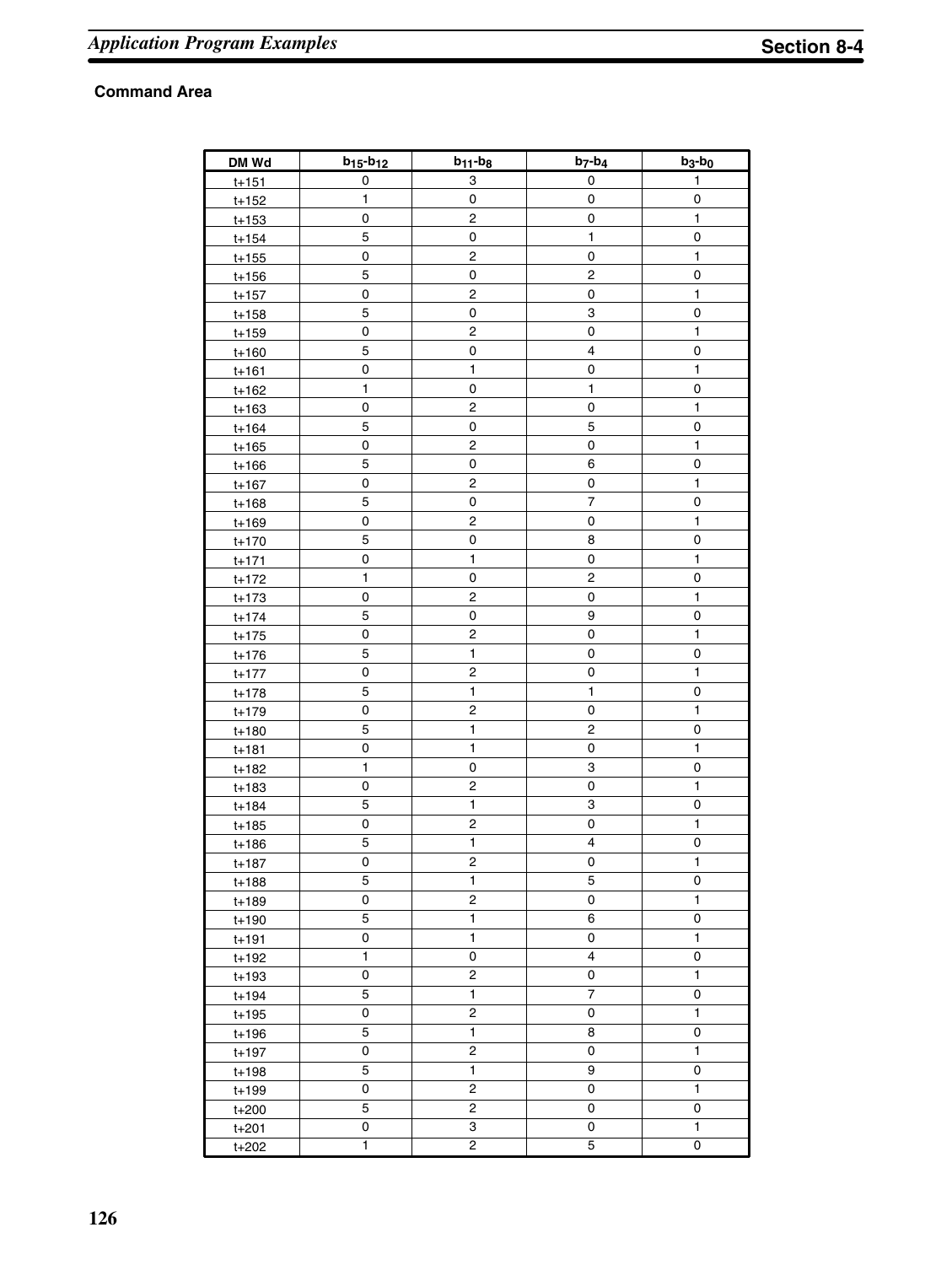| DM Wd     | $b_{15} - b_{12}$   | $b_{11} - b_8$          | $b_7-b_4$      | $b_3-b_0$    |
|-----------|---------------------|-------------------------|----------------|--------------|
| $t + 151$ | $\pmb{0}$           | 3                       | 0              | 1            |
| $t + 152$ | 1                   | 0                       | 0              | 0            |
| $t + 153$ | $\pmb{0}$           | 2                       | 0              | $\mathbf{1}$ |
| $t + 154$ | 5                   | 0                       | 1              | 0            |
| $t + 155$ | 0                   | 2                       | 0              | 1            |
| $t + 156$ | 5                   | 0                       | 2              | 0            |
| $t + 157$ | 0                   | 2                       | 0              | 1            |
| $t + 158$ | 5                   | 0                       | 3              | 0            |
| $t + 159$ | $\pmb{0}$           | 2                       | 0              | 1            |
| $t + 160$ | 5                   | 0                       | 4              | 0            |
| $t + 161$ | 0                   | 1                       | 0              | 1            |
| $t + 162$ | 1                   | 0                       | 1              | 0            |
| $t + 163$ | 0                   | 2                       | 0              | 1            |
| $t + 164$ | 5                   | 0                       | 5              | 0            |
| $t + 165$ | 0                   | 2                       | 0              | 1            |
| $t + 166$ | $\mathbf 5$         | 0                       | 6              | 0            |
| $t + 167$ | 0                   | 2                       | 0              | 1            |
| $t + 168$ | 5                   | 0                       | $\overline{7}$ | $\pmb{0}$    |
| $t + 169$ | 0                   | 2                       | 0              | 1            |
| $t + 170$ | 5                   | 0                       | 8              | 0            |
| $t + 171$ | $\pmb{0}$           | 1                       | 0              | 1            |
| $t + 172$ | 1                   | 0                       | 2              | $\pmb{0}$    |
| $t + 173$ | $\pmb{0}$           | $\mathbf 2$             | 0              | 1            |
| $t + 174$ | 5                   | 0                       | 9              | 0            |
| $t + 175$ | $\mathsf{O}\xspace$ | $\mathbf 2$             | 0              | $\mathbf{1}$ |
| $t + 176$ | 5                   | $\mathbf{1}$            | 0              | $\pmb{0}$    |
| $t + 177$ | $\pmb{0}$           | $\mathbf 2$             | 0              | $\mathbf{1}$ |
| $t + 178$ | 5                   | $\mathbf{1}$            | $\mathbf{1}$   | 0            |
| $t + 179$ | $\mathbf 0$         | $\mathbf 2$             | 0              | $\mathbf{1}$ |
| $t + 180$ | 5                   | $\mathbf{1}$            | 2              | 0            |
| $t + 181$ | 0                   | $\mathbf{1}$            | 0              | $\mathbf{1}$ |
| t+182     | 1                   | 0                       | 3              | 0            |
| $t + 183$ | 0                   | $\mathbf 2$             | 0              | 1            |
| $t + 184$ | 5                   | 1                       | 3              | 0            |
| $t + 185$ | $\pmb{0}$           | $\mathbf 2$             | 0              | $\mathbf{1}$ |
| $t + 186$ | 5                   | $\mathbf{1}$            | 4              | 0            |
| $t + 187$ | 0                   | $\overline{2}$          | 0              | $\mathbf{1}$ |
| t+188     | 5                   | $\mathbf{1}$            | 5              | 0            |
| t+189     | 0                   | 2                       | 0              | $\mathbf{1}$ |
| $t + 190$ | 5                   | 1                       | 6              | 0            |
| $t + 191$ | 0                   | $\mathbf{1}$            | 0              | $\mathbf{1}$ |
| $t + 192$ | 1                   | 0                       | 4              | 0            |
| t+193     | 0                   | 2                       | 0              | $\mathbf{1}$ |
| $t + 194$ | 5                   | $\mathbf{1}$            | $\overline{7}$ | 0            |
| $t + 195$ | 0                   | 2                       | 0              | $\mathbf{1}$ |
| t+196     | 5                   | $\mathbf{1}$            | 8              | 0            |
| $t + 197$ | 0                   | 2                       | 0              | $\mathbf{1}$ |
| t+198     | 5                   | $\overline{\mathbf{1}}$ | 9              | 0            |
| t+199     | 0                   | 2                       | 0              | $\mathbf{1}$ |
| $t + 200$ | 5                   | 2                       | 0              | 0            |
| $t + 201$ | 0                   | 3                       | 0              | $\mathbf{1}$ |
| $t + 202$ | 1                   | $\overline{c}$          | 5              | 0            |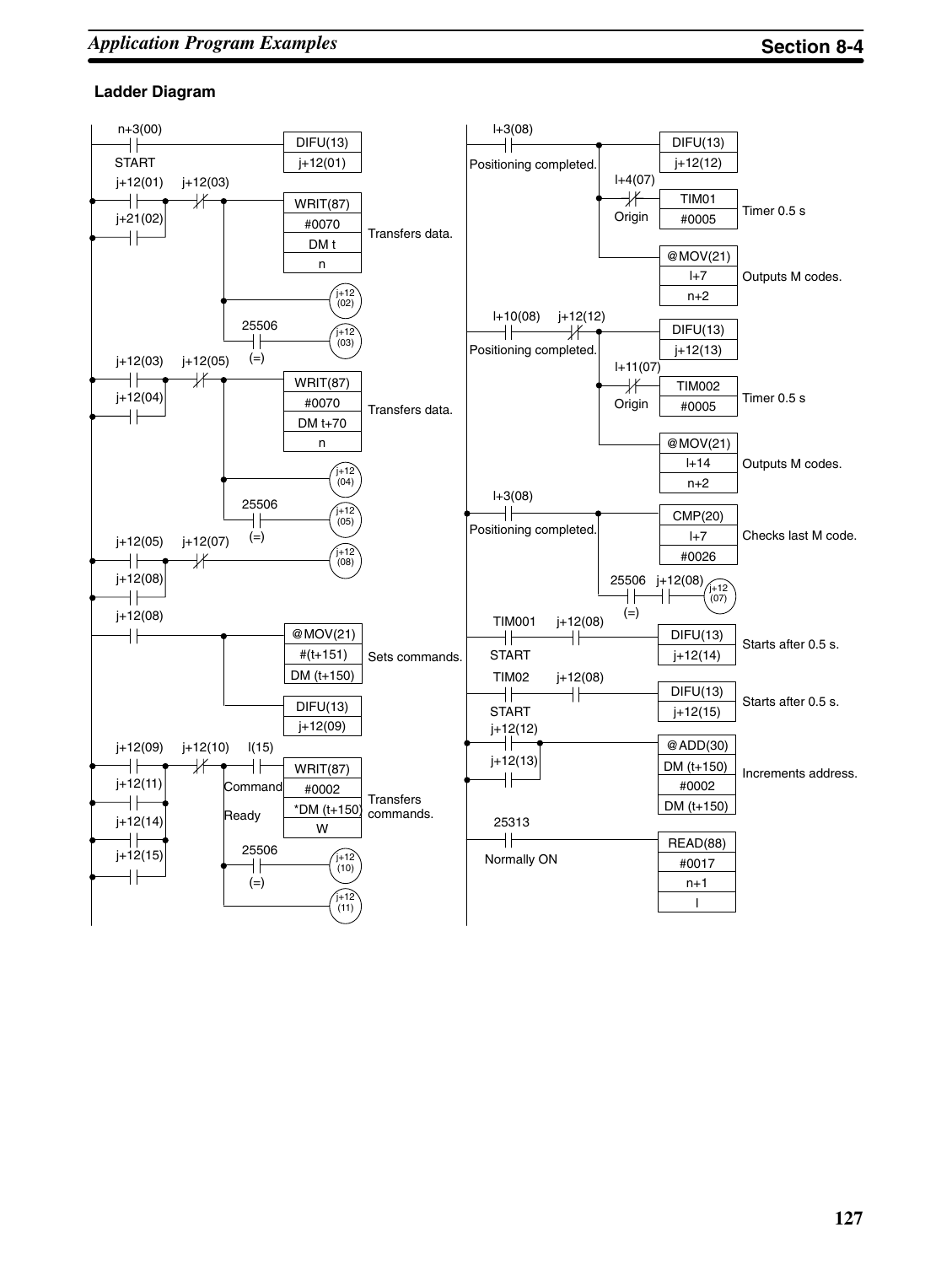### **Ladder Diagram**

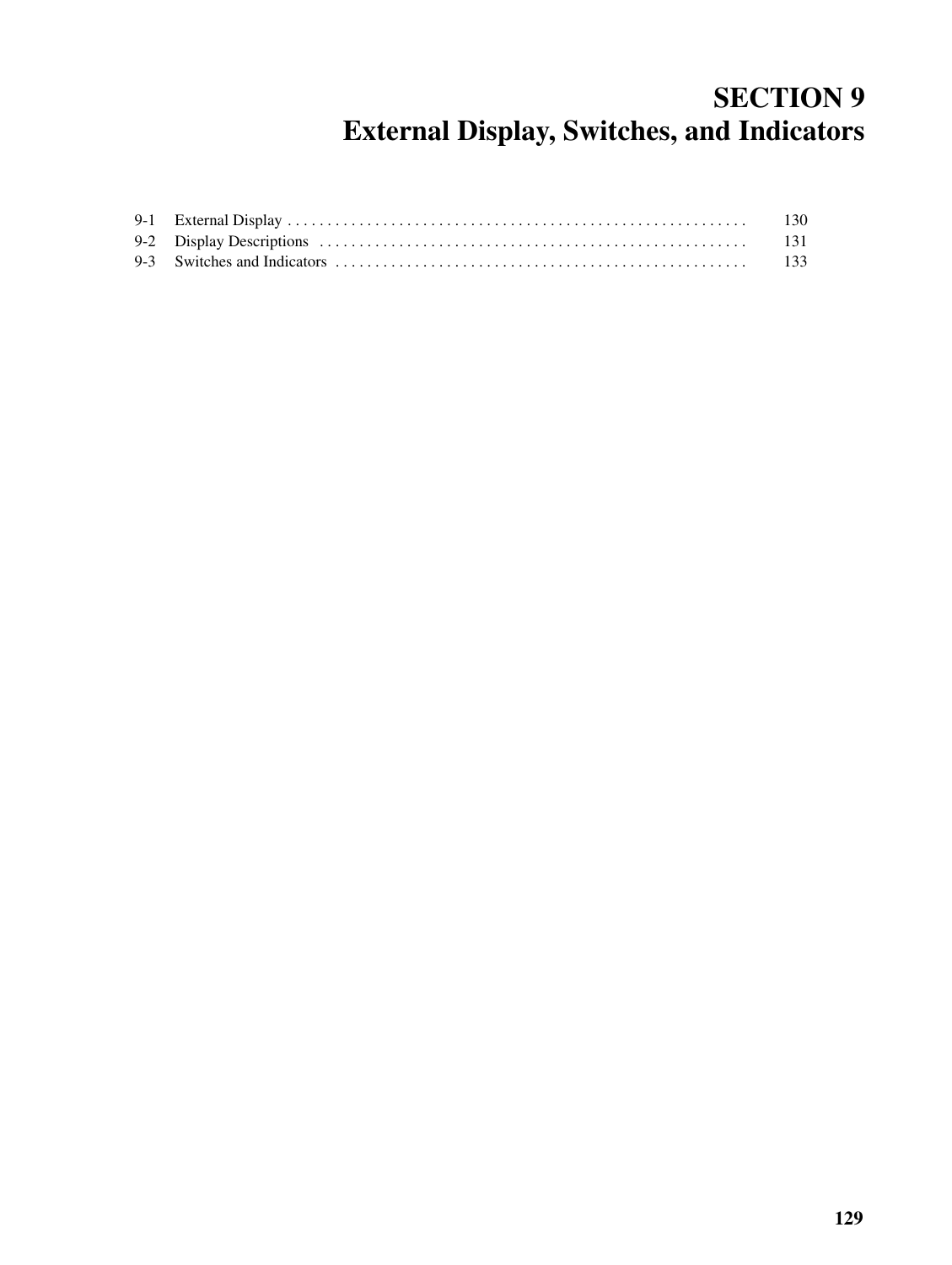# **SECTION 9 External Display, Switches, and Indicators**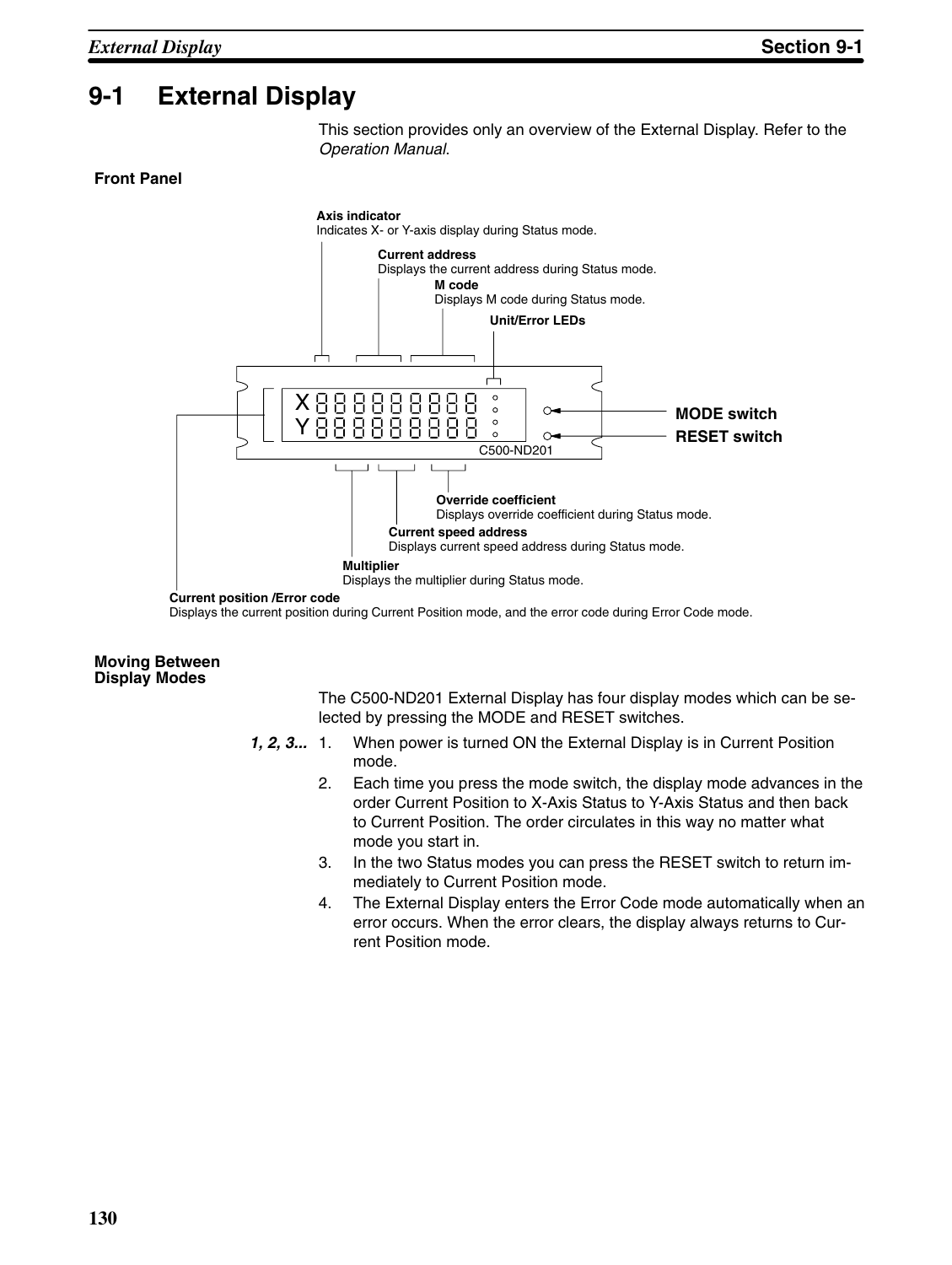### **9-1 External Display**

This section provides only an overview of the External Display. Refer to the *Operation Manual*.

#### **Front Panel**



Displays the current position during Current Position mode, and the error code during Error Code mode.

#### **Moving Between Display Modes**

The C500-ND201 External Display has four display modes which can be selected by pressing the MODE and RESET switches.

- *1, 2, 3...* 1. When power is turned ON the External Display is in Current Position mode.
	- 2. Each time you press the mode switch, the display mode advances in the order Current Position to X-Axis Status to Y-Axis Status and then back to Current Position. The order circulates in this way no matter what mode you start in.
	- 3. In the two Status modes you can press the RESET switch to return immediately to Current Position mode.
	- 4. The External Display enters the Error Code mode automatically when an error occurs. When the error clears, the display always returns to Current Position mode.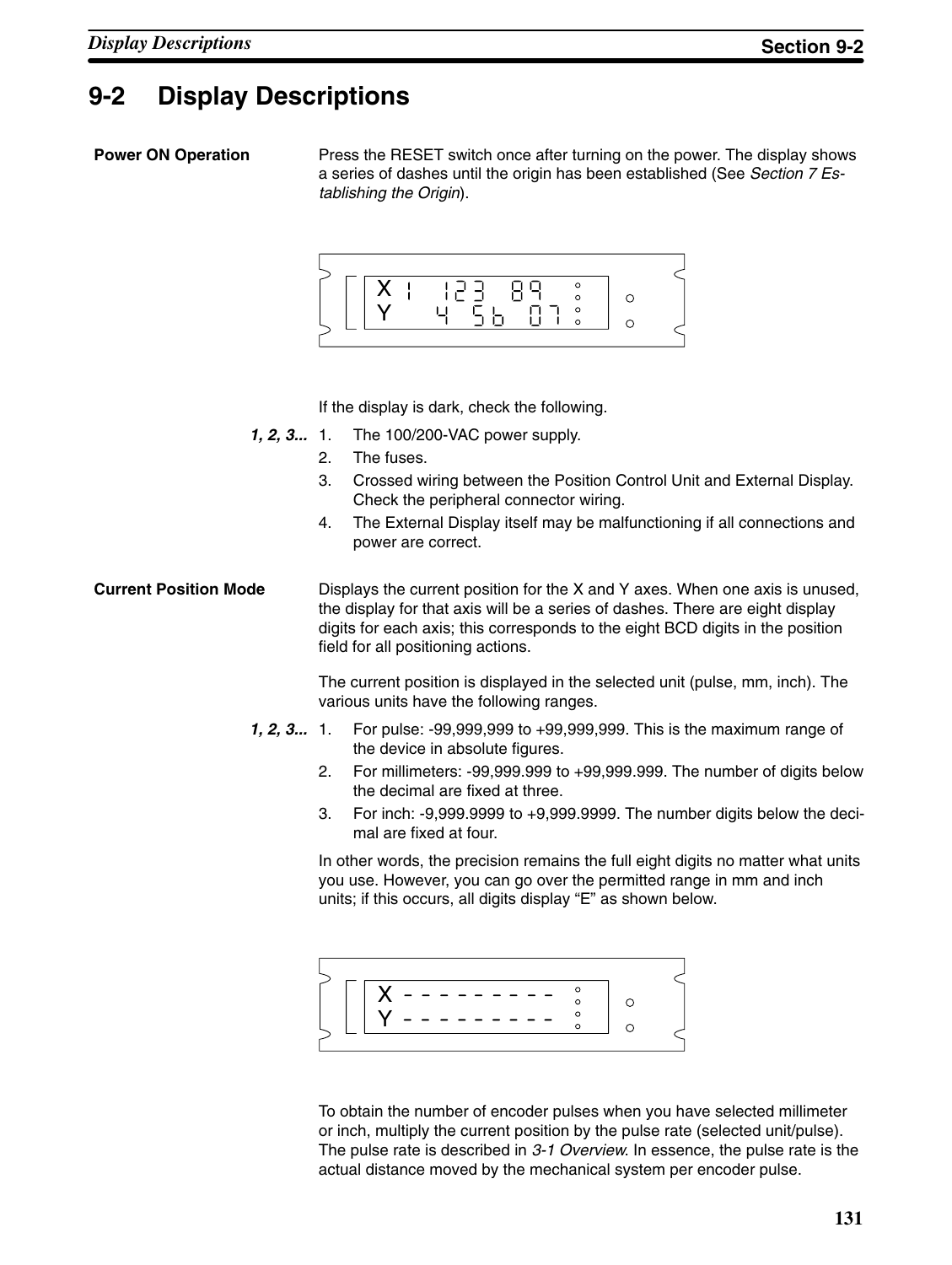### **9-2 Display Descriptions**

#### **Power ON Operation**

Press the RESET switch once after turning on the power. The display shows a series of dashes until the origin has been established (See *Section 7 Establishing the Origin*).



If the display is dark, check the following.

- The 100/200-VAC power supply. *1, 2, 3...*
	- 2. The fuses.
	- 3. Crossed wiring between the Position Control Unit and External Display. Check the peripheral connector wiring.
	- 4. The External Display itself may be malfunctioning if all connections and power are correct.
- Displays the current position for the X and Y axes. When one axis is unused, the display for that axis will be a series of dashes. There are eight display digits for each axis; this corresponds to the eight BCD digits in the position field for all positioning actions. **Current Position Mode**

The current position is displayed in the selected unit (pulse, mm, inch). The various units have the following ranges.

- 1. For pulse: -99,999,999 to +99,999,999. This is the maximum range of the device in absolute figures. *1, 2, 3...*
	- 2. For millimeters: -99,999.999 to +99,999.999. The number of digits below the decimal are fixed at three.
	- 3. For inch: -9,999.9999 to +9,999.9999. The number digits below the decimal are fixed at four.

In other words, the precision remains the full eight digits no matter what units you use. However, you can go over the permitted range in mm and inch units; if this occurs, all digits display "E" as shown below.



To obtain the number of encoder pulses when you have selected millimeter or inch, multiply the current position by the pulse rate (selected unit/pulse). The pulse rate is described in *3-1 Overview*. In essence, the pulse rate is the actual distance moved by the mechanical system per encoder pulse.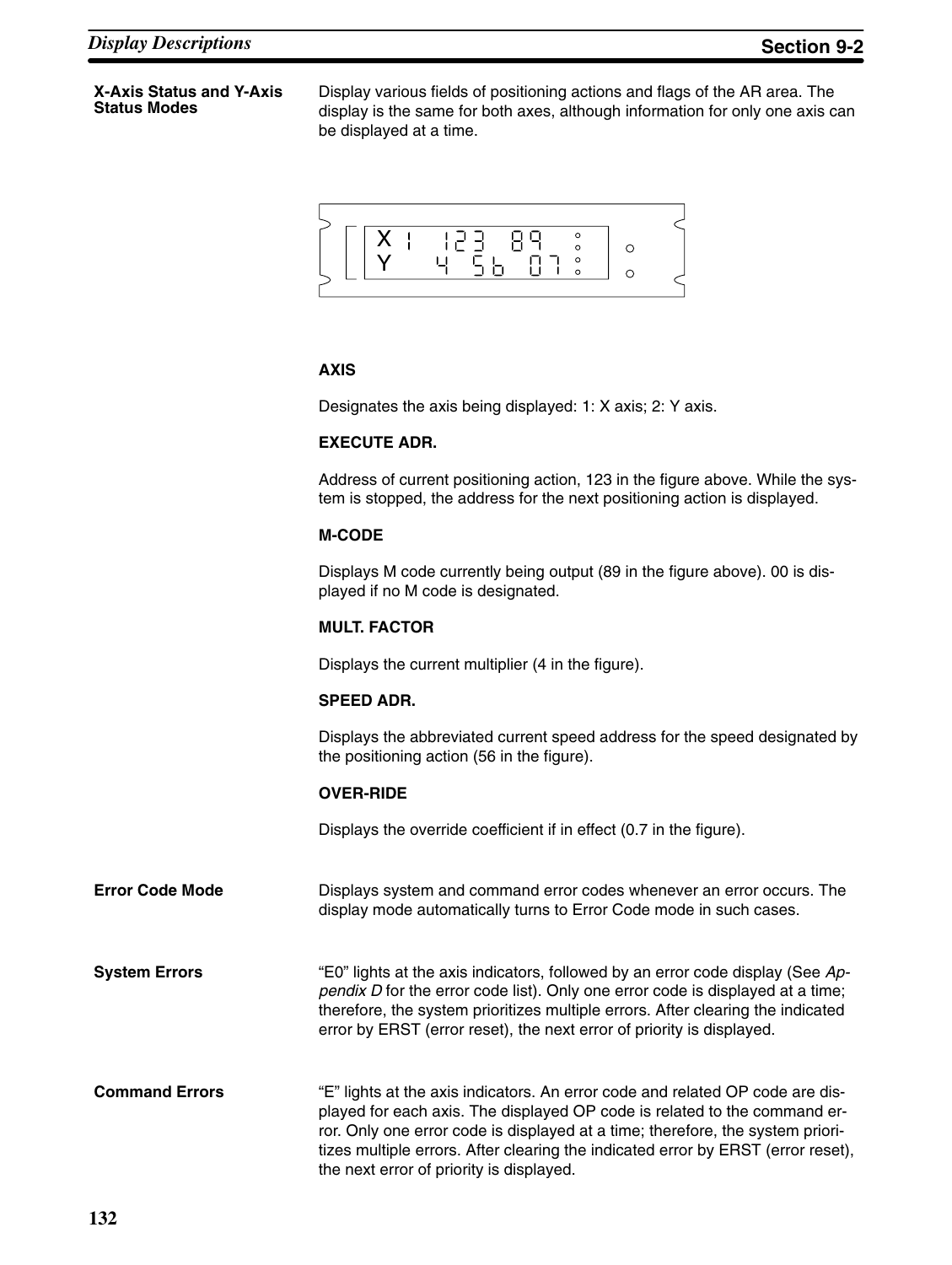#### **X-Axis Status and Y-Axis Status Modes**

Display various fields of positioning actions and flags of the AR area. The display is the same for both axes, although information for only one axis can be displayed at a time.



#### **AXIS**

Designates the axis being displayed: 1: X axis; 2: Y axis.

#### **EXECUTE ADR.**

Address of current positioning action, 123 in the figure above. While the system is stopped, the address for the next positioning action is displayed.

#### **M-CODE**

Displays M code currently being output (89 in the figure above). 00 is displayed if no M code is designated.

#### **MULT. FACTOR**

Displays the current multiplier (4 in the figure).

#### **SPEED ADR.**

Displays the abbreviated current speed address for the speed designated by the positioning action (56 in the figure).

#### **OVER-RIDE**

Displays the override coefficient if in effect (0.7 in the figure).

Displays system and command error codes whenever an error occurs. The display mode automatically turns to Error Code mode in such cases. **Error Code Mode**

"E0" lights at the axis indicators, followed by an error code display (See *Appendix D* for the error code list). Only one error code is displayed at a time; therefore, the system prioritizes multiple errors. After clearing the indicated error by ERST (error reset), the next error of priority is displayed. **System Errors**

"E" lights at the axis indicators. An error code and related OP code are displayed for each axis. The displayed OP code is related to the command error. Only one error code is displayed at a time; therefore, the system prioritizes multiple errors. After clearing the indicated error by ERST (error reset), the next error of priority is displayed. **Command Errors**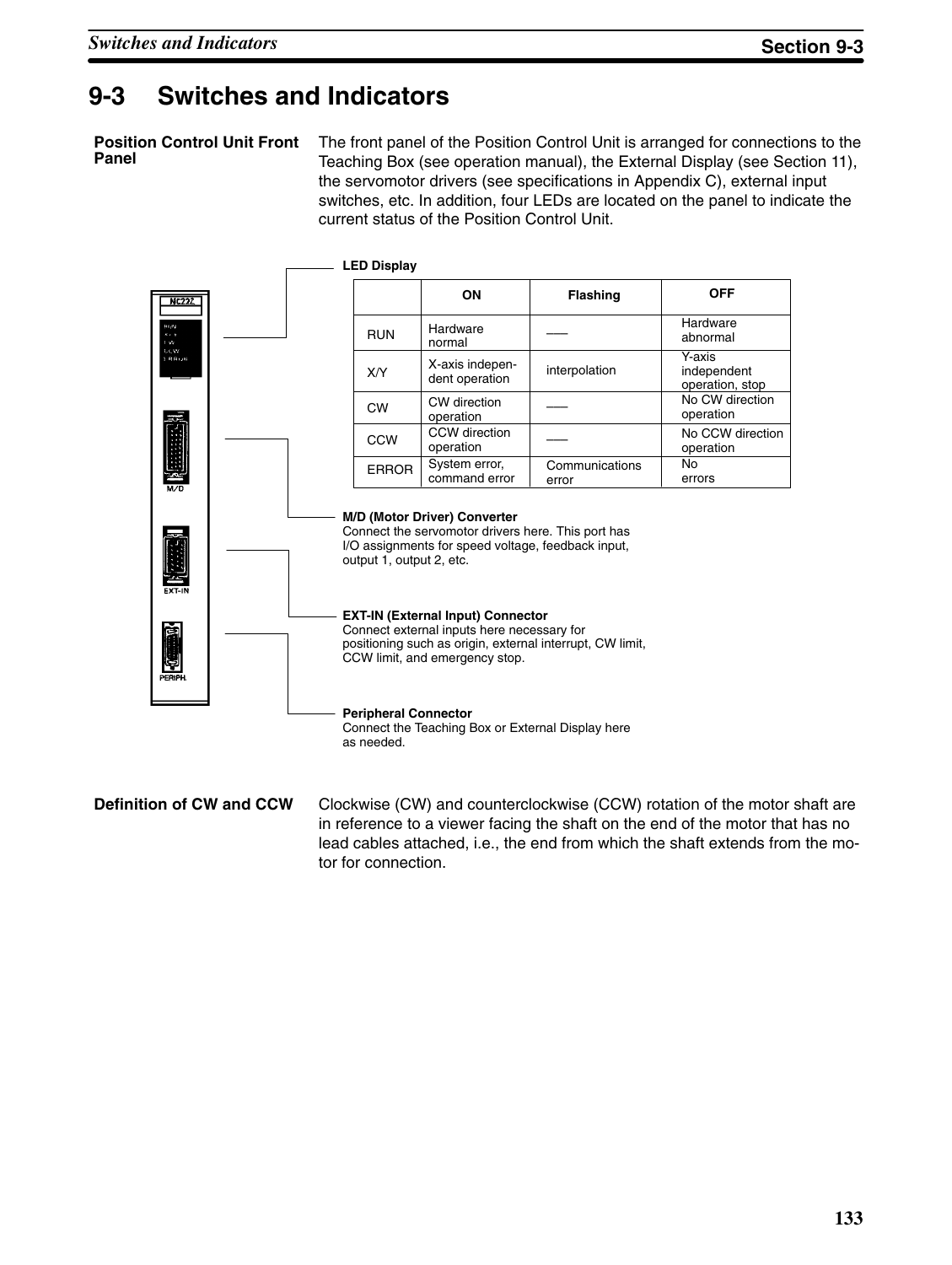### **9-3 Switches and Indicators**

**Position Control Unit Front Panel**

The front panel of the Position Control Unit is arranged for connections to the Teaching Box (see operation manual), the External Display (see Section 11), the servomotor drivers (see specifications in Appendix C), external input switches, etc. In addition, four LEDs are located on the panel to indicate the current status of the Position Control Unit.



Clockwise (CW) and counterclockwise (CCW) rotation of the motor shaft are in reference to a viewer facing the shaft on the end of the motor that has no lead cables attached, i.e., the end from which the shaft extends from the motor for connection. **Definition of CW and CCW**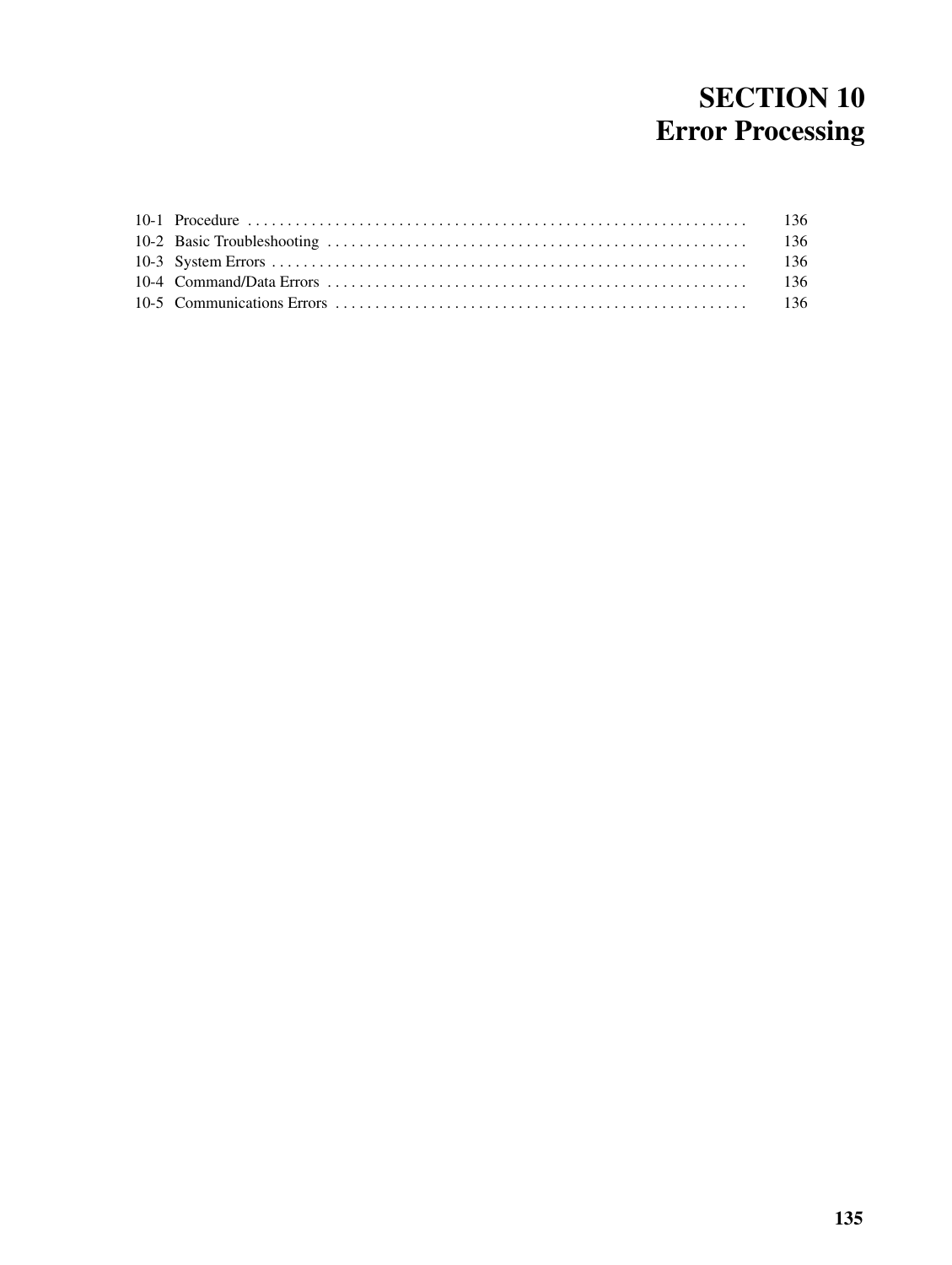# **SECTION 10 Error Processing**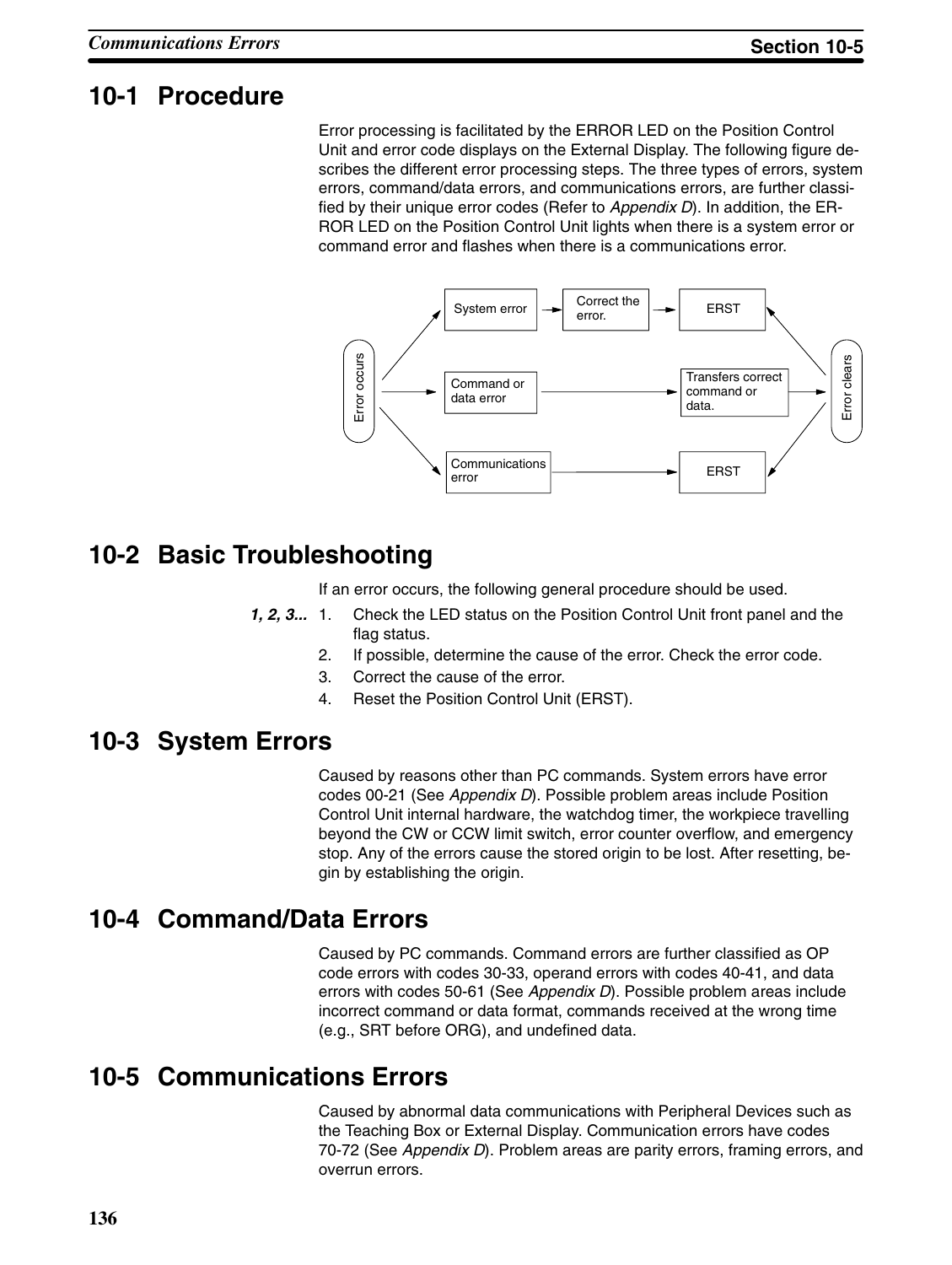### **10-1 Procedure**

Error processing is facilitated by the ERROR LED on the Position Control Unit and error code displays on the External Display. The following figure describes the different error processing steps. The three types of errors, system errors, command/data errors, and communications errors, are further classified by their unique error codes (Refer to *Appendix D*). In addition, the ER-ROR LED on the Position Control Unit lights when there is a system error or command error and flashes when there is a communications error.



## **10-2 Basic Troubleshooting**

If an error occurs, the following general procedure should be used.

- *1, 2, 3...* 1. Check the LED status on the Position Control Unit front panel and the flag status.
	- 2. If possible, determine the cause of the error. Check the error code.
	- 3. Correct the cause of the error.
	- 4. Reset the Position Control Unit (ERST).

### **10-3 System Errors**

Caused by reasons other than PC commands. System errors have error codes 00-21 (See *Appendix D*). Possible problem areas include Position Control Unit internal hardware, the watchdog timer, the workpiece travelling beyond the CW or CCW limit switch, error counter overflow, and emergency stop. Any of the errors cause the stored origin to be lost. After resetting, begin by establishing the origin.

### **10-4 Command/Data Errors**

Caused by PC commands. Command errors are further classified as OP code errors with codes 30-33, operand errors with codes 40-41, and data errors with codes 50-61 (See *Appendix D*). Possible problem areas include incorrect command or data format, commands received at the wrong time (e.g., SRT before ORG), and undefined data.

### **10-5 Communications Errors**

Caused by abnormal data communications with Peripheral Devices such as the Teaching Box or External Display. Communication errors have codes 70-72 (See *Appendix D*). Problem areas are parity errors, framing errors, and overrun errors.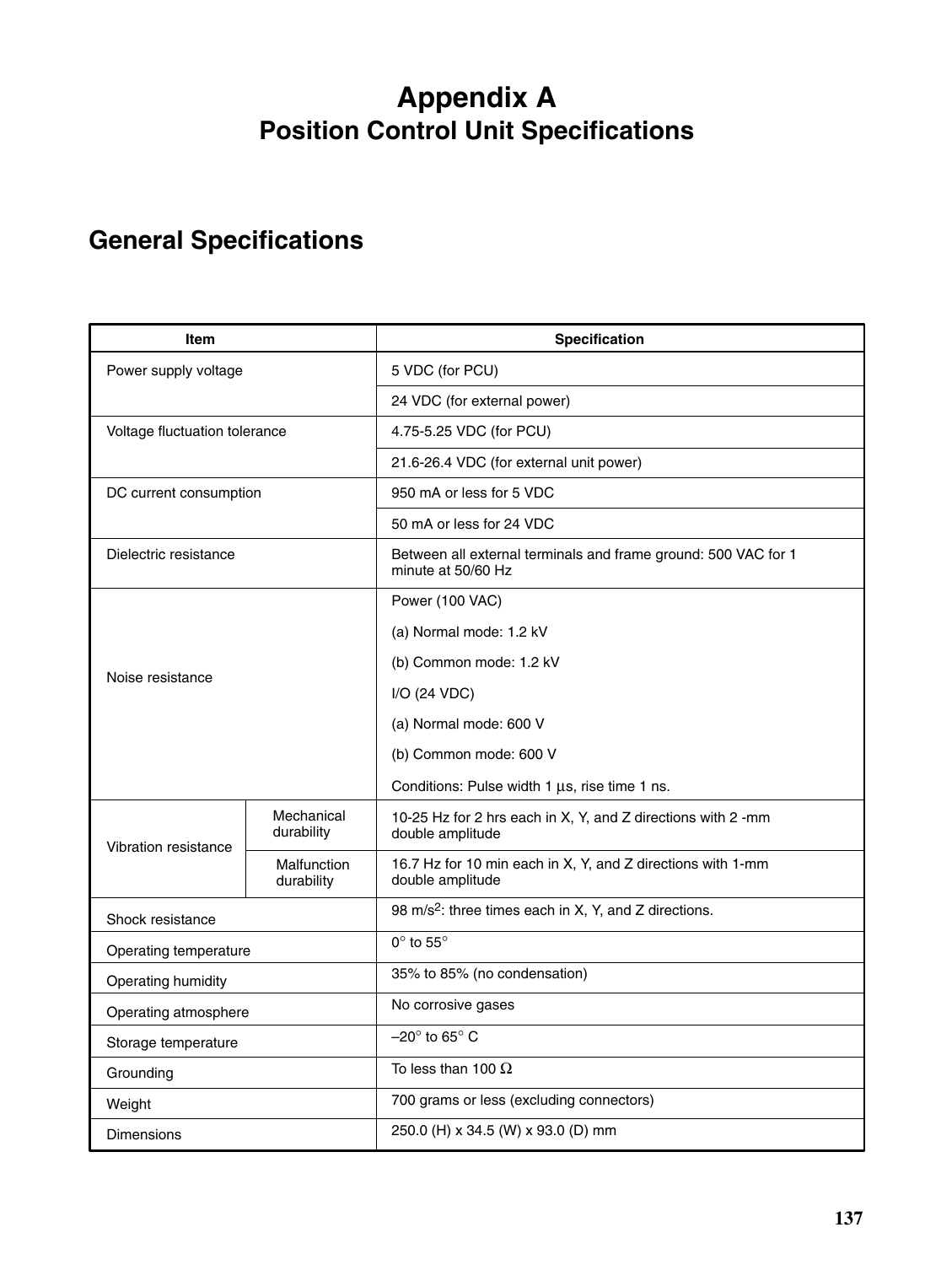# **Appendix A Position Control Unit Specifications**

# **General Specifications**

| <b>Item</b>                   |                           | Specification                                                                        |  |
|-------------------------------|---------------------------|--------------------------------------------------------------------------------------|--|
| Power supply voltage          |                           | 5 VDC (for PCU)                                                                      |  |
|                               |                           | 24 VDC (for external power)                                                          |  |
| Voltage fluctuation tolerance |                           | 4.75-5.25 VDC (for PCU)                                                              |  |
|                               |                           | 21.6-26.4 VDC (for external unit power)                                              |  |
| DC current consumption        |                           | 950 mA or less for 5 VDC                                                             |  |
|                               |                           | 50 mA or less for 24 VDC                                                             |  |
| Dielectric resistance         |                           | Between all external terminals and frame ground: 500 VAC for 1<br>minute at 50/60 Hz |  |
|                               |                           | Power (100 VAC)                                                                      |  |
|                               |                           | (a) Normal mode: 1.2 kV                                                              |  |
|                               |                           | (b) Common mode: 1.2 kV                                                              |  |
| Noise resistance              |                           | I/O (24 VDC)                                                                         |  |
|                               |                           | (a) Normal mode: 600 V                                                               |  |
|                               |                           | (b) Common mode: 600 V                                                               |  |
|                               |                           | Conditions: Pulse width 1 µs, rise time 1 ns.                                        |  |
| Vibration resistance          | Mechanical<br>durability  | 10-25 Hz for 2 hrs each in X, Y, and Z directions with 2 -mm<br>double amplitude     |  |
|                               | Malfunction<br>durability | 16.7 Hz for 10 min each in X, Y, and Z directions with 1-mm<br>double amplitude      |  |
| Shock resistance              |                           | 98 m/s <sup>2</sup> : three times each in X, Y, and Z directions.                    |  |
| Operating temperature         |                           | $0^\circ$ to $55^\circ$                                                              |  |
| Operating humidity            |                           | 35% to 85% (no condensation)                                                         |  |
| Operating atmosphere          |                           | No corrosive gases                                                                   |  |
| Storage temperature           |                           | $-20^\circ$ to 65 $^\circ$ C                                                         |  |
| Grounding                     |                           | To less than 100 $\Omega$                                                            |  |
| Weight                        |                           | 700 grams or less (excluding connectors)                                             |  |
| <b>Dimensions</b>             |                           | 250.0 (H) x 34.5 (W) x 93.0 (D) mm                                                   |  |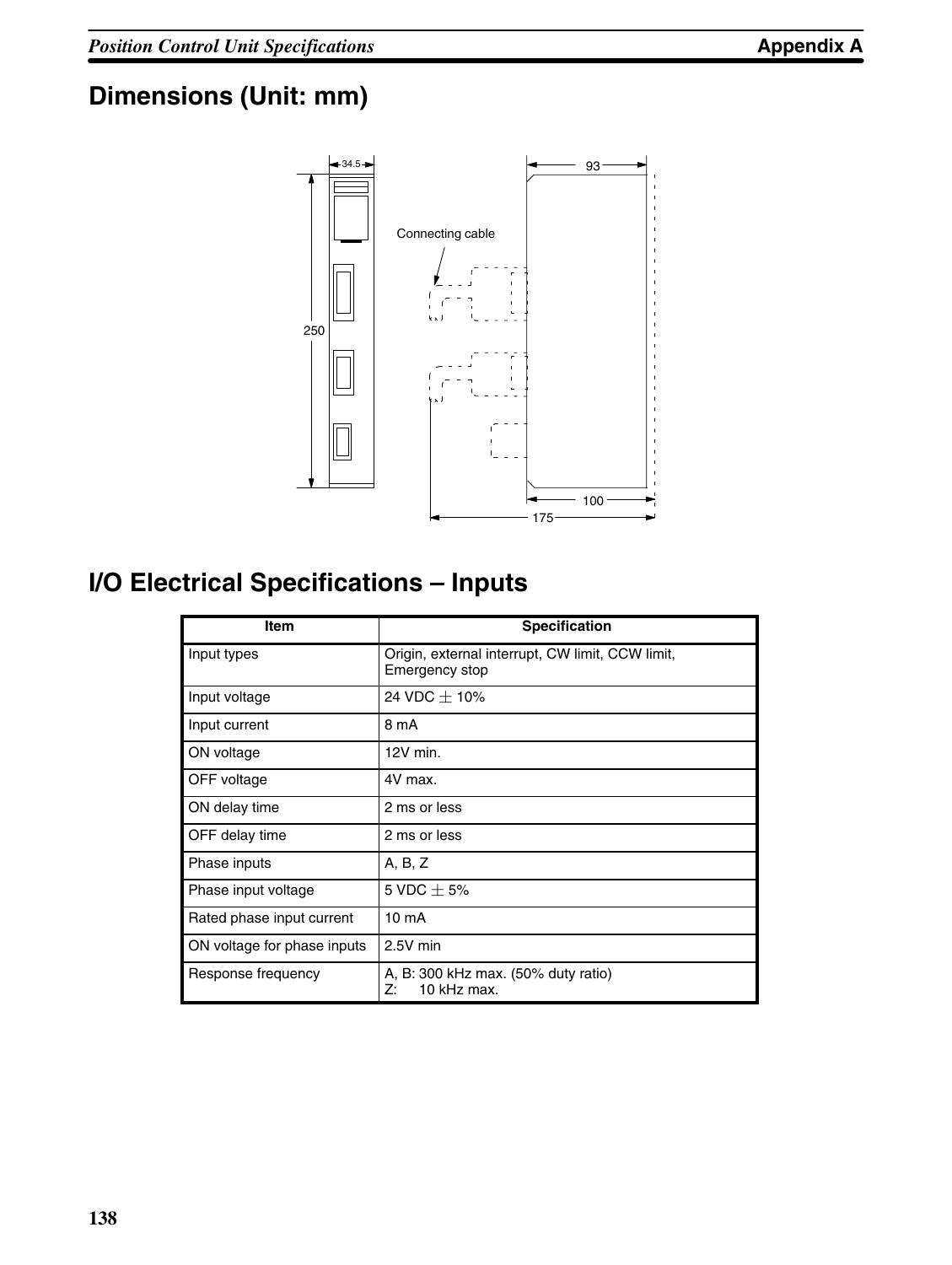# **Dimensions (Unit: mm)**



# **I/O Electrical Specifications – Inputs**

| <b>Item</b>                 | <b>Specification</b>                                               |
|-----------------------------|--------------------------------------------------------------------|
| Input types                 | Origin, external interrupt, CW limit, CCW limit,<br>Emergency stop |
| Input voltage               | 24 VDC $\pm$ 10%                                                   |
| Input current               | 8 mA                                                               |
| ON voltage                  | $12V$ min.                                                         |
| OFF voltage                 | 4V max.                                                            |
| ON delay time               | 2 ms or less                                                       |
| OFF delay time              | 2 ms or less                                                       |
| Phase inputs                | A, B, Z                                                            |
| Phase input voltage         | 5 VDC $+$ 5%                                                       |
| Rated phase input current   | 10 <sub>m</sub> A                                                  |
| ON voltage for phase inputs | 2.5V min                                                           |
| Response frequency          | A, B: 300 kHz max. (50% duty ratio)<br>10 kHz max.<br>Z:           |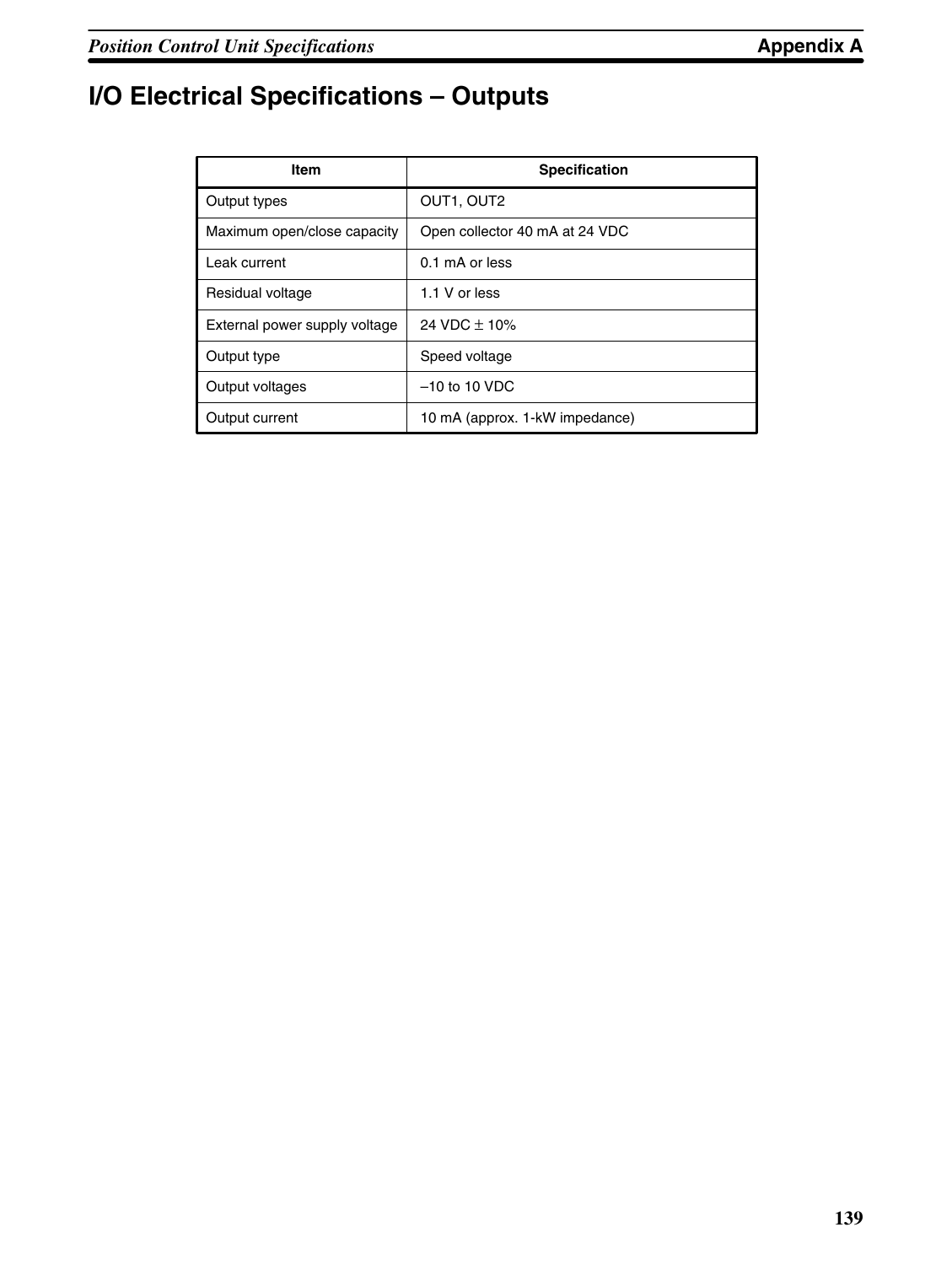# **I/O Electrical Specifications – Outputs**

| <b>Item</b>                   | <b>Specification</b>           |
|-------------------------------|--------------------------------|
| Output types                  | OUT1, OUT2                     |
| Maximum open/close capacity   | Open collector 40 mA at 24 VDC |
| Leak current                  | 0.1 mA or less                 |
| Residual voltage              | 1.1 V or less                  |
| External power supply voltage | $24 \text{ VDC} + 10\%$        |
| Output type                   | Speed voltage                  |
| Output voltages               | $-10$ to 10 VDC                |
| Output current                | 10 mA (approx. 1-kW impedance) |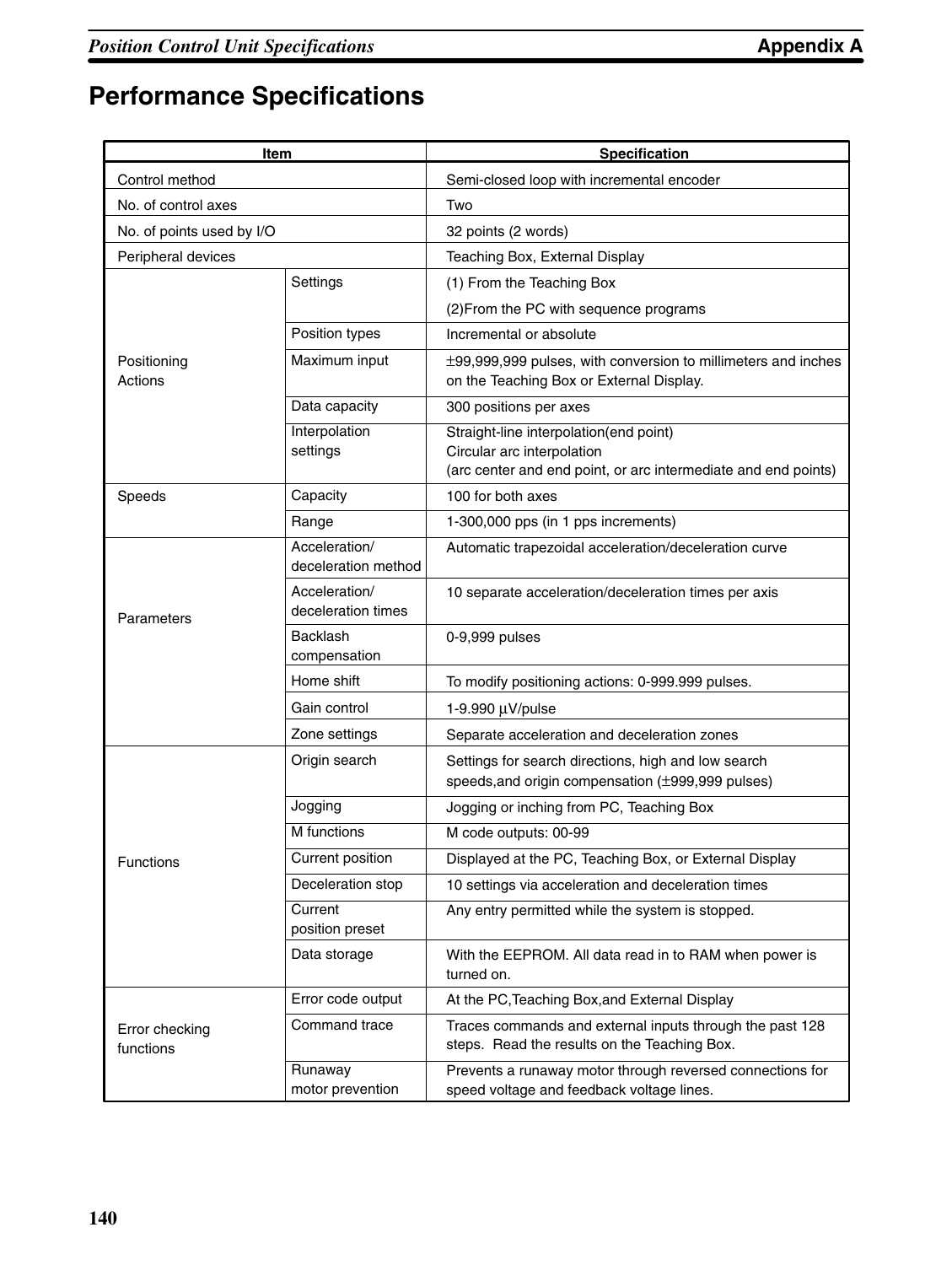# **Performance Specifications**

| Item                        |                                      | <b>Specification</b>                                                                                                                   |
|-----------------------------|--------------------------------------|----------------------------------------------------------------------------------------------------------------------------------------|
| Control method              |                                      | Semi-closed loop with incremental encoder                                                                                              |
| No. of control axes         |                                      | Two                                                                                                                                    |
| No. of points used by I/O   |                                      | 32 points (2 words)                                                                                                                    |
| Peripheral devices          |                                      | Teaching Box, External Display                                                                                                         |
|                             | Settings                             | (1) From the Teaching Box                                                                                                              |
|                             |                                      | (2) From the PC with sequence programs                                                                                                 |
|                             | Position types                       | Incremental or absolute                                                                                                                |
| Positioning<br>Actions      | Maximum input                        | ±99,999,999 pulses, with conversion to millimeters and inches<br>on the Teaching Box or External Display.                              |
|                             | Data capacity                        | 300 positions per axes                                                                                                                 |
|                             | Interpolation<br>settings            | Straight-line interpolation(end point)<br>Circular arc interpolation<br>(arc center and end point, or arc intermediate and end points) |
| Speeds                      | Capacity                             | 100 for both axes                                                                                                                      |
|                             | Range                                | 1-300,000 pps (in 1 pps increments)                                                                                                    |
| Parameters                  | Acceleration/<br>deceleration method | Automatic trapezoidal acceleration/deceleration curve                                                                                  |
|                             | Acceleration/<br>deceleration times  | 10 separate acceleration/deceleration times per axis                                                                                   |
|                             | <b>Backlash</b><br>compensation      | 0-9,999 pulses                                                                                                                         |
|                             | Home shift                           | To modify positioning actions: 0-999.999 pulses.                                                                                       |
|                             | Gain control                         | 1-9.990 µV/pulse                                                                                                                       |
|                             | Zone settings                        | Separate acceleration and deceleration zones                                                                                           |
| <b>Functions</b>            | Origin search                        | Settings for search directions, high and low search                                                                                    |
|                             |                                      | speeds, and origin compensation (±999,999 pulses)                                                                                      |
|                             | Jogging                              | Jogging or inching from PC, Teaching Box                                                                                               |
|                             | M functions                          | M code outputs: 00-99                                                                                                                  |
|                             | Current position                     | Displayed at the PC, Teaching Box, or External Display                                                                                 |
|                             | Deceleration stop                    | 10 settings via acceleration and deceleration times                                                                                    |
|                             | Current<br>position preset           | Any entry permitted while the system is stopped.                                                                                       |
|                             | Data storage                         | With the EEPROM. All data read in to RAM when power is<br>turned on.                                                                   |
| Error checking<br>functions | Error code output                    | At the PC, Teaching Box, and External Display                                                                                          |
|                             | Command trace                        | Traces commands and external inputs through the past 128<br>steps. Read the results on the Teaching Box.                               |
|                             | Runaway<br>motor prevention          | Prevents a runaway motor through reversed connections for<br>speed voltage and feedback voltage lines.                                 |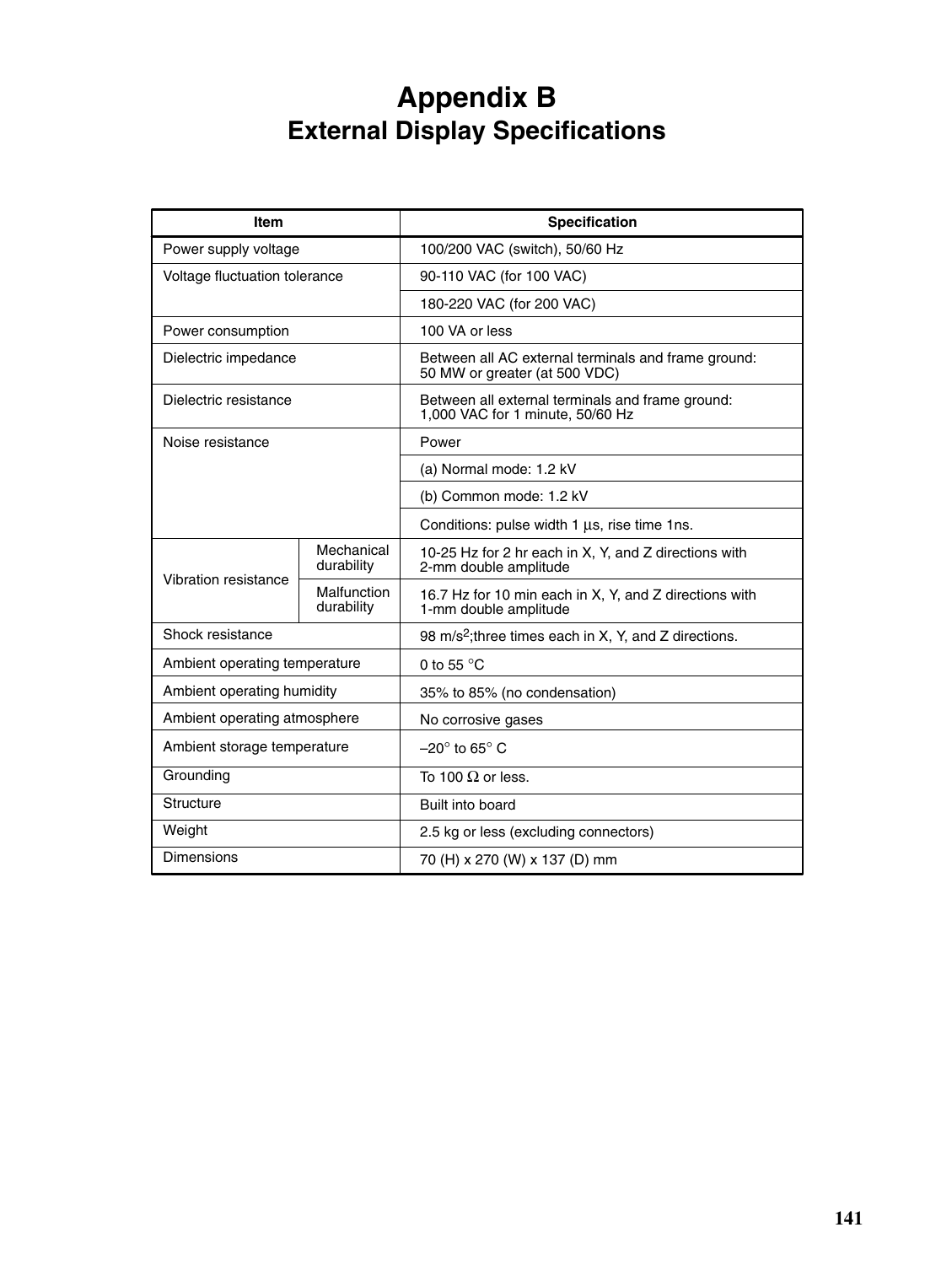# **Appendix B External Display Specifications**

| <b>Item</b>                   |                           | <b>Specification</b>                                                                 |
|-------------------------------|---------------------------|--------------------------------------------------------------------------------------|
| Power supply voltage          |                           | 100/200 VAC (switch), 50/60 Hz                                                       |
| Voltage fluctuation tolerance |                           | 90-110 VAC (for 100 VAC)                                                             |
|                               |                           | 180-220 VAC (for 200 VAC)                                                            |
| Power consumption             |                           | 100 VA or less                                                                       |
| Dielectric impedance          |                           | Between all AC external terminals and frame ground:<br>50 MW or greater (at 500 VDC) |
| Dielectric resistance         |                           | Between all external terminals and frame ground:<br>1,000 VAC for 1 minute, 50/60 Hz |
| Noise resistance              |                           | Power                                                                                |
|                               |                           | (a) Normal mode: 1.2 kV                                                              |
|                               |                           | (b) Common mode: 1.2 kV                                                              |
|                               |                           | Conditions: pulse width 1 µs, rise time 1ns.                                         |
| Vibration resistance          | Mechanical<br>durability  | 10-25 Hz for 2 hr each in X, Y, and Z directions with<br>2-mm double amplitude       |
|                               | Malfunction<br>durability | 16.7 Hz for 10 min each in X, Y, and Z directions with<br>1-mm double amplitude      |
| Shock resistance              |                           | 98 m/s <sup>2</sup> ; three times each in X, Y, and Z directions.                    |
| Ambient operating temperature |                           | 0 to 55 $\degree$ C                                                                  |
| Ambient operating humidity    |                           | 35% to 85% (no condensation)                                                         |
| Ambient operating atmosphere  |                           | No corrosive gases                                                                   |
| Ambient storage temperature   |                           | $-20^\circ$ to 65 $^\circ$ C                                                         |
| Grounding                     |                           | To 100 $\Omega$ or less.                                                             |
| Structure                     |                           | Built into board                                                                     |
| Weight                        |                           | 2.5 kg or less (excluding connectors)                                                |
| Dimensions                    |                           | 70 (H) x 270 (W) x 137 (D) mm                                                        |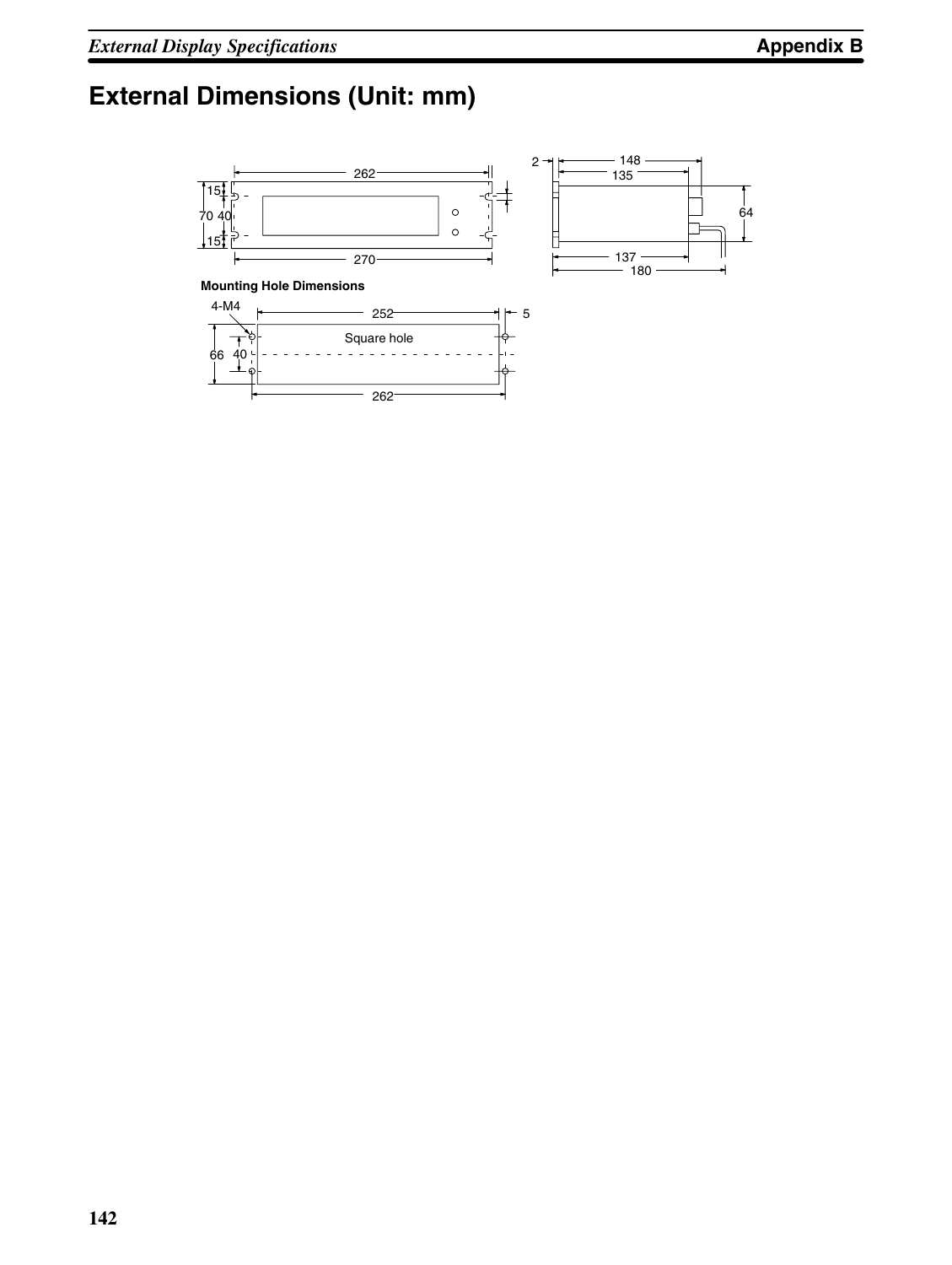# **External Dimensions (Unit: mm)**

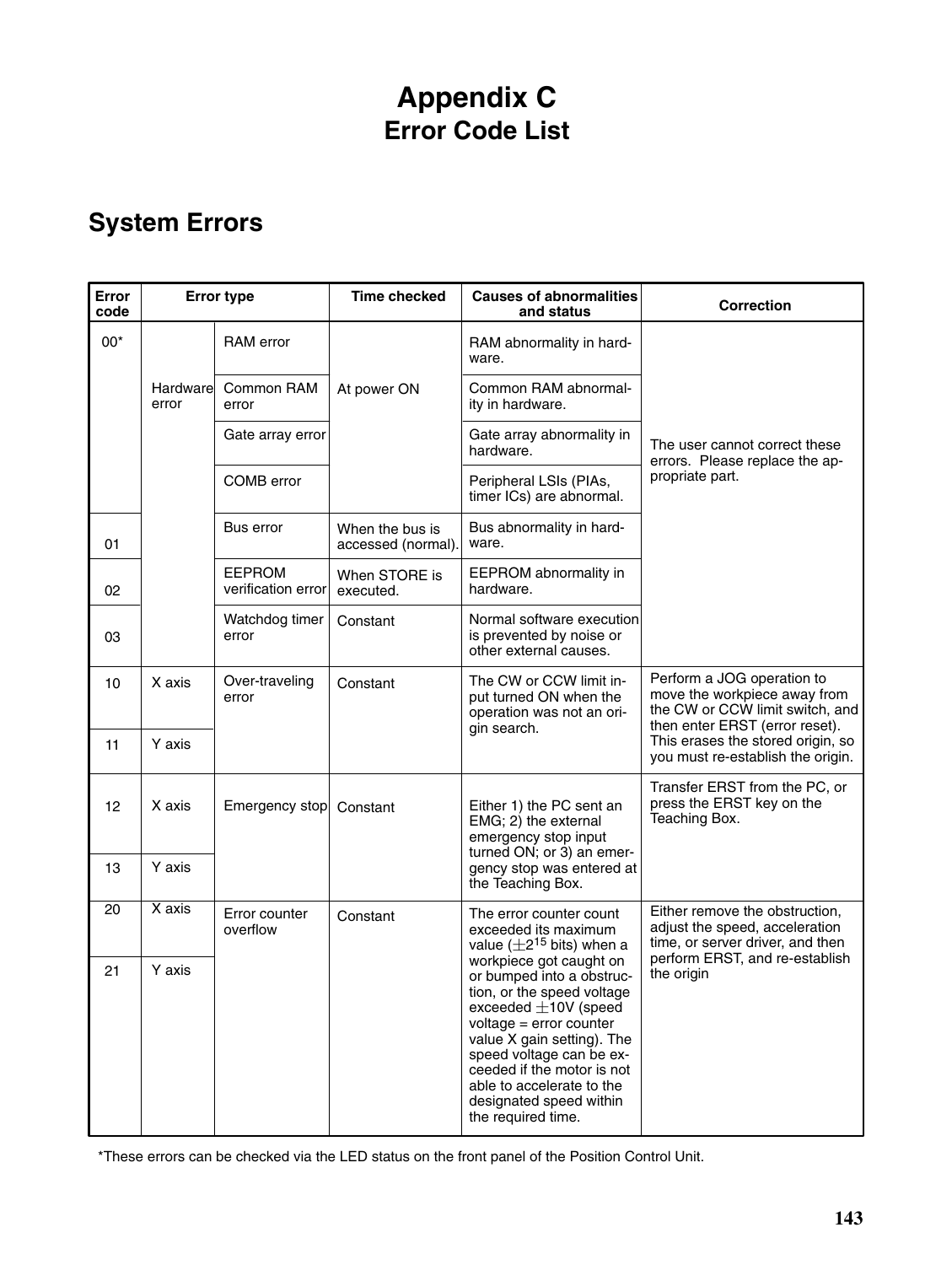# **Appendix C Error Code List**

# **System Errors**

| <b>Error</b><br>code | <b>Error type</b>  |                                     | <b>Time checked</b>                   | <b>Causes of abnormalities</b><br>and status                                                                                                                                                                                                                                                                     | <b>Correction</b>                                                                                                               |
|----------------------|--------------------|-------------------------------------|---------------------------------------|------------------------------------------------------------------------------------------------------------------------------------------------------------------------------------------------------------------------------------------------------------------------------------------------------------------|---------------------------------------------------------------------------------------------------------------------------------|
| $00*$                |                    | <b>RAM</b> error                    |                                       | RAM abnormality in hard-<br>ware.                                                                                                                                                                                                                                                                                |                                                                                                                                 |
|                      | Hardwarel<br>error | Common RAM<br>error                 | At power ON                           | Common RAM abnormal-<br>ity in hardware.                                                                                                                                                                                                                                                                         |                                                                                                                                 |
|                      |                    | Gate array error                    |                                       | Gate array abnormality in<br>hardware.                                                                                                                                                                                                                                                                           | The user cannot correct these<br>errors. Please replace the ap-                                                                 |
|                      |                    | COMB error                          |                                       | Peripheral LSIs (PIAs,<br>timer ICs) are abnormal.                                                                                                                                                                                                                                                               | propriate part.                                                                                                                 |
| 01                   |                    | Bus error                           | When the bus is<br>accessed (normal). | Bus abnormality in hard-<br>ware.                                                                                                                                                                                                                                                                                |                                                                                                                                 |
| 02                   |                    | <b>EEPROM</b><br>verification error | When STORE is<br>executed.            | EEPROM abnormality in<br>hardware.                                                                                                                                                                                                                                                                               |                                                                                                                                 |
| 03                   |                    | Watchdog timer<br>error             | Constant                              | Normal software execution<br>is prevented by noise or<br>other external causes.                                                                                                                                                                                                                                  |                                                                                                                                 |
| 10                   | X axis             | Over-traveling<br>error             | Constant                              | The CW or CCW limit in-<br>put turned ON when the<br>operation was not an ori-<br>gin search.                                                                                                                                                                                                                    | Perform a JOG operation to<br>move the workpiece away from<br>the CW or CCW limit switch, and<br>then enter ERST (error reset). |
| 11                   | Y axis             |                                     |                                       |                                                                                                                                                                                                                                                                                                                  | This erases the stored origin, so<br>you must re-establish the origin.                                                          |
| 12                   | X axis             | Emergency stop                      | Constant                              | Either 1) the PC sent an<br>EMG; 2) the external<br>emergency stop input<br>turned ON; or 3) an emer-                                                                                                                                                                                                            | Transfer ERST from the PC, or<br>press the ERST key on the<br>Teaching Box.                                                     |
| 13                   | Y axis             |                                     |                                       | gency stop was entered at<br>the Teaching Box.                                                                                                                                                                                                                                                                   |                                                                                                                                 |
| 20                   | X axis             | Error counter<br>overflow           | Constant                              | The error counter count<br>exceeded its maximum<br>value $(\pm 2^{15}$ bits) when a                                                                                                                                                                                                                              | Either remove the obstruction,<br>adjust the speed, acceleration<br>time, or server driver, and then                            |
| 21                   | Y axis             |                                     |                                       | workpiece got caught on<br>or bumped into a obstruc-<br>tion, or the speed voltage<br>exceeded $\pm$ 10V (speed<br>voltage = error counter<br>value X gain setting). The<br>speed voltage can be ex-<br>ceeded if the motor is not<br>able to accelerate to the<br>designated speed within<br>the required time. | perform ERST, and re-establish<br>the origin                                                                                    |

\*These errors can be checked via the LED status on the front panel of the Position Control Unit.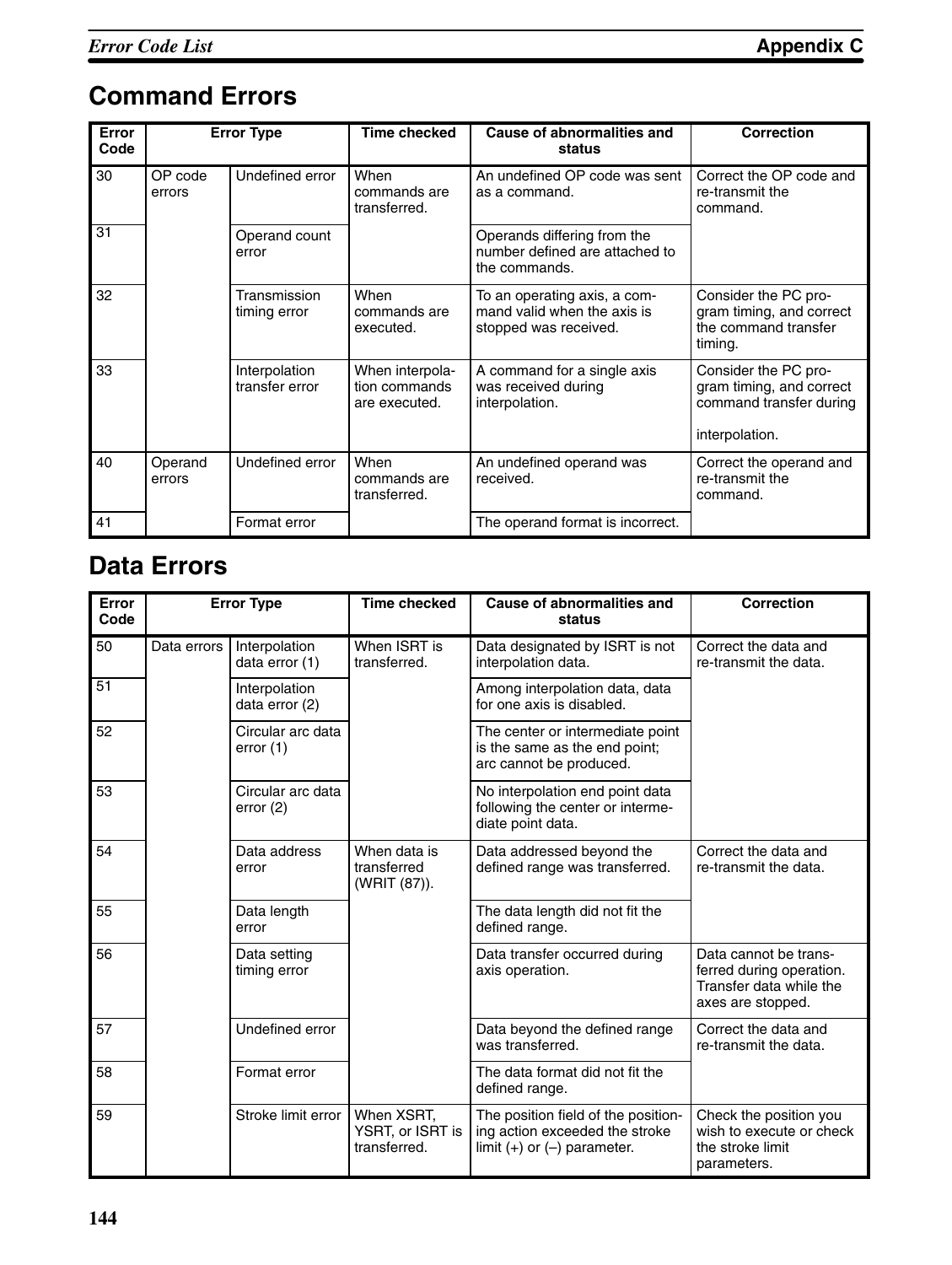# **Command Errors**

| Error<br>Code |                   | <b>Error Type</b>               | <b>Time checked</b>                               | <b>Cause of abnormalities and</b><br>status                                          | <b>Correction</b>                                                                             |  |
|---------------|-------------------|---------------------------------|---------------------------------------------------|--------------------------------------------------------------------------------------|-----------------------------------------------------------------------------------------------|--|
| 30            | OP code<br>errors | Undefined error                 | When<br>commands are<br>transferred.              | An undefined OP code was sent<br>as a command.                                       | Correct the OP code and<br>re-transmit the<br>command.                                        |  |
| 31            |                   | Operand count<br>error          |                                                   | Operands differing from the<br>number defined are attached to<br>the commands.       |                                                                                               |  |
| 32            |                   | Transmission<br>timing error    | When<br>commands are<br>executed.                 | To an operating axis, a com-<br>mand valid when the axis is<br>stopped was received. | Consider the PC pro-<br>gram timing, and correct<br>the command transfer<br>timing.           |  |
| 33            |                   | Interpolation<br>transfer error | When interpola-<br>tion commands<br>are executed. | A command for a single axis<br>was received during<br>interpolation.                 | Consider the PC pro-<br>gram timing, and correct<br>command transfer during<br>interpolation. |  |
| 40            | Operand<br>errors | Undefined error                 | When<br>commands are<br>transferred.              | An undefined operand was<br>received.                                                | Correct the operand and<br>re-transmit the<br>command.                                        |  |
| 41            |                   | Format error                    |                                                   | The operand format is incorrect.                                                     |                                                                                               |  |

### **Data Errors**

| Error<br>Code | <b>Error Type</b> |                                  | <b>Time checked</b>                            | <b>Cause of abnormalities and</b><br>status                                                              | <b>Correction</b>                                                                                 |
|---------------|-------------------|----------------------------------|------------------------------------------------|----------------------------------------------------------------------------------------------------------|---------------------------------------------------------------------------------------------------|
| 50            | Data errors       | Interpolation<br>data error (1)  | When ISRT is<br>transferred.                   | Data designated by ISRT is not<br>interpolation data.                                                    | Correct the data and<br>re-transmit the data.                                                     |
| 51            |                   | Interpolation<br>data error (2)  |                                                | Among interpolation data, data<br>for one axis is disabled.                                              |                                                                                                   |
| 52            |                   | Circular arc data<br>error $(1)$ |                                                | The center or intermediate point<br>is the same as the end point;<br>arc cannot be produced.             |                                                                                                   |
| 53            |                   | Circular arc data<br>error(2)    |                                                | No interpolation end point data<br>following the center or interme-<br>diate point data.                 |                                                                                                   |
| 54            |                   | Data address<br>error            | When data is<br>transferred<br>(WRIT (87)).    | Data addressed beyond the<br>defined range was transferred.                                              | Correct the data and<br>re-transmit the data.                                                     |
| 55            |                   | Data length<br>error             |                                                | The data length did not fit the<br>defined range.                                                        |                                                                                                   |
| 56            |                   | Data setting<br>timing error     |                                                | Data transfer occurred during<br>axis operation.                                                         | Data cannot be trans-<br>ferred during operation.<br>Transfer data while the<br>axes are stopped. |
| 57            |                   | Undefined error                  |                                                | Data beyond the defined range<br>was transferred.                                                        | Correct the data and<br>re-transmit the data.                                                     |
| 58            |                   | Format error                     |                                                | The data format did not fit the<br>defined range.                                                        |                                                                                                   |
| 59            |                   | Stroke limit error               | When XSRT,<br>YSRT, or ISRT is<br>transferred. | The position field of the position-<br>ing action exceeded the stroke<br>limit $(+)$ or $(-)$ parameter. | Check the position you<br>wish to execute or check<br>the stroke limit<br>parameters.             |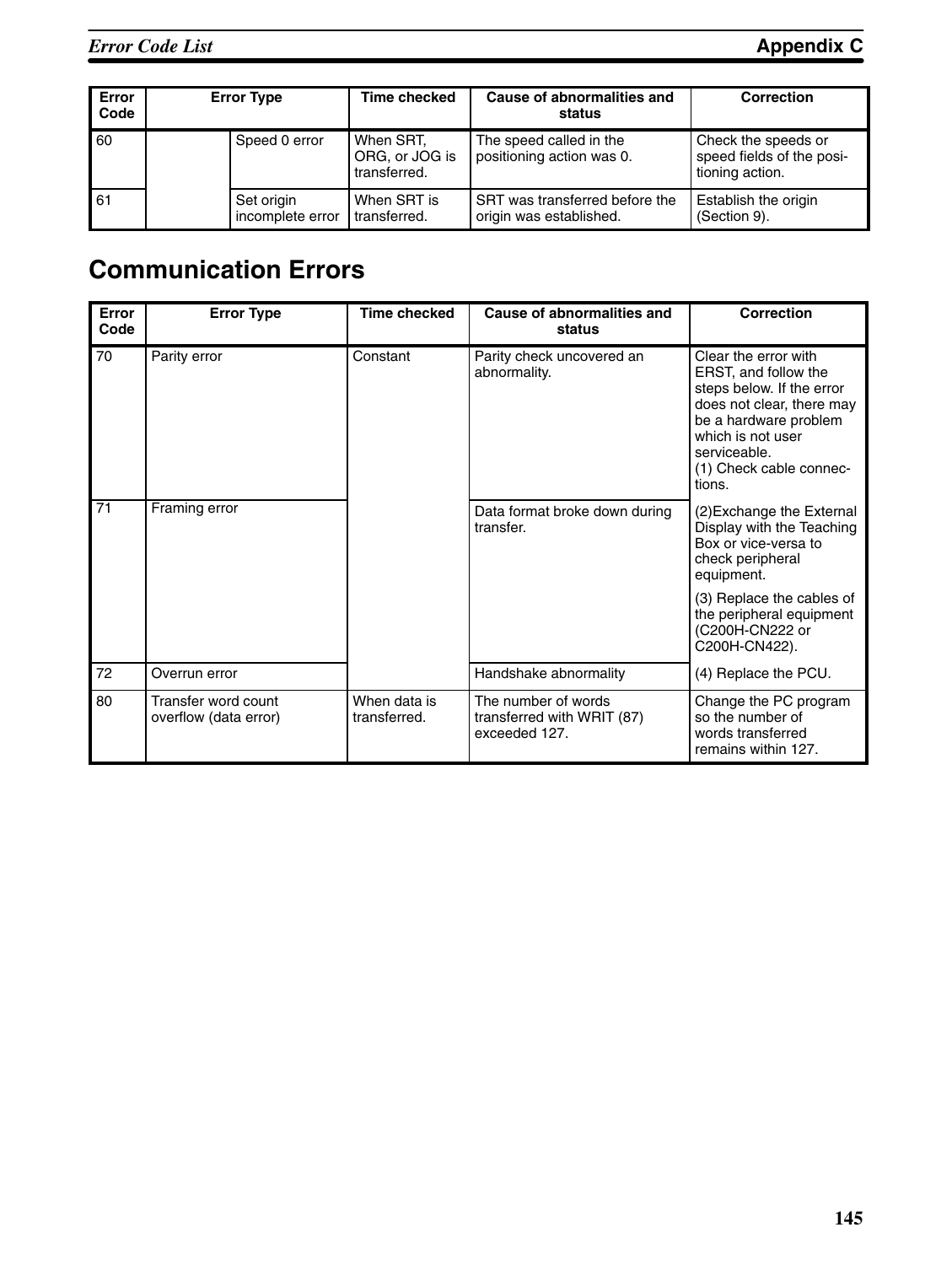| Error<br>Code | <b>Error Type</b>              | <b>Time checked</b>                         | Cause of abnormalities and<br>status                      | Correction                                                          |
|---------------|--------------------------------|---------------------------------------------|-----------------------------------------------------------|---------------------------------------------------------------------|
| 60            | Speed 0 error                  | When SRT,<br>ORG, or JOG is<br>transferred. | The speed called in the<br>positioning action was 0.      | Check the speeds or<br>speed fields of the posi-<br>tioning action. |
| 61            | Set origin<br>incomplete error | When SRT is<br>transferred.                 | SRT was transferred before the<br>origin was established. | Establish the origin<br>(Section 9).                                |

## **Communication Errors**

| Error<br>Code | <b>Error Type</b>                            | <b>Time checked</b>          | Cause of abnormalities and<br>status                               | <b>Correction</b>                                                                                                                                                                                         |
|---------------|----------------------------------------------|------------------------------|--------------------------------------------------------------------|-----------------------------------------------------------------------------------------------------------------------------------------------------------------------------------------------------------|
| 70            | Parity error                                 | Constant                     | Parity check uncovered an<br>abnormality.                          | Clear the error with<br>ERST, and follow the<br>steps below. If the error<br>does not clear, there may<br>be a hardware problem<br>which is not user<br>serviceable.<br>(1) Check cable connec-<br>tions. |
| 71            | Framing error                                |                              | Data format broke down during<br>transfer.                         | (2) Exchange the External<br>Display with the Teaching<br>Box or vice-versa to<br>check peripheral<br>equipment.                                                                                          |
|               |                                              |                              |                                                                    | (3) Replace the cables of<br>the peripheral equipment<br>(C200H-CN222 or<br>C200H-CN422).                                                                                                                 |
| 72            | Overrun error                                |                              | Handshake abnormality                                              | (4) Replace the PCU.                                                                                                                                                                                      |
| 80            | Transfer word count<br>overflow (data error) | When data is<br>transferred. | The number of words<br>transferred with WRIT (87)<br>exceeded 127. | Change the PC program<br>so the number of<br>words transferred<br>remains within 127.                                                                                                                     |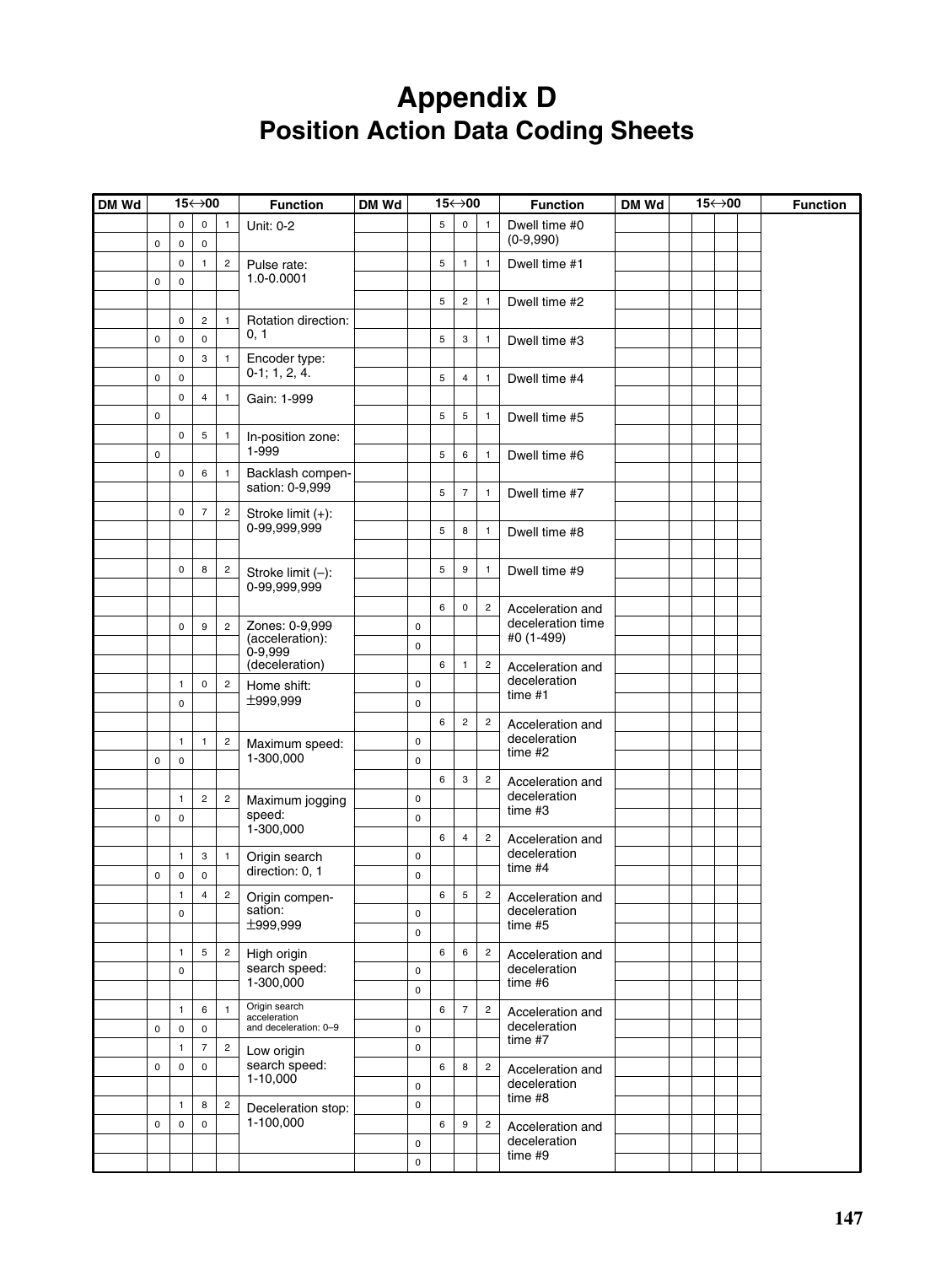## **Appendix D Position Action Data Coding Sheets**

| DM Wd |             |                          | 15←>00                     |                | <b>Function</b>                   | DM Wd |           |             | 15←>00                  |                | <b>Function</b>                       | DM Wd | 15←>00 |  | <b>Function</b> |
|-------|-------------|--------------------------|----------------------------|----------------|-----------------------------------|-------|-----------|-------------|-------------------------|----------------|---------------------------------------|-------|--------|--|-----------------|
|       | $\pmb{0}$   | $\mathbf 0$<br>$\pmb{0}$ | $\mathsf 0$<br>$\mathsf 0$ | $\mathbf{1}$   | Unit: 0-2                         |       |           | 5           | $\mathsf 0$             | $\overline{1}$ | Dwell time #0<br>$(0-9,990)$          |       |        |  |                 |
|       |             | $\pmb{0}$                | $\mathbf{1}$               | $\overline{c}$ | Pulse rate:                       |       |           | $\mathbf 5$ | $\mathbf{1}$            | $\mathbf{1}$   | Dwell time #1                         |       |        |  |                 |
|       | $\pmb{0}$   | $\mathsf 0$              |                            |                | 1.0-0.0001                        |       |           | $\mathbf 5$ | $\sqrt{2}$              | $\mathbf{1}$   | Dwell time #2                         |       |        |  |                 |
|       |             | $\mathsf 0$              | $\overline{c}$             | $\mathbf{1}$   | Rotation direction:               |       |           |             |                         |                |                                       |       |        |  |                 |
|       | $\pmb{0}$   | $\mathbf 0$              | $\mathsf 0$                |                | 0, 1                              |       |           | $\mathbf 5$ | 3                       | $\mathbf{1}$   | Dwell time #3                         |       |        |  |                 |
|       |             | $\pmb{0}$                | 3                          | $\mathbf{1}$   | Encoder type:                     |       |           |             |                         |                |                                       |       |        |  |                 |
|       | $\pmb{0}$   | $\mathsf 0$              |                            |                | $0-1$ ; 1, 2, 4.                  |       |           | $\mathbf 5$ | $\overline{\mathbf{4}}$ | $\mathbf{1}$   | Dwell time #4                         |       |        |  |                 |
|       |             | $\mathsf 0$              | $\overline{4}$             | $\mathbf{1}$   | Gain: 1-999                       |       |           |             |                         |                |                                       |       |        |  |                 |
|       | $\pmb{0}$   |                          |                            |                |                                   |       |           | $\mathbf 5$ | $\mathbf 5$             | $\mathbf{1}$   | Dwell time #5                         |       |        |  |                 |
|       |             | $\mathsf 0$              | 5                          | $\mathbf{1}$   | In-position zone:                 |       |           |             |                         |                |                                       |       |        |  |                 |
|       | $\pmb{0}$   |                          |                            |                | 1-999                             |       |           | $\mathbf 5$ | 6                       | $\mathbf{1}$   | Dwell time #6                         |       |        |  |                 |
|       |             | $\mathsf 0$              | 6                          | $\mathbf{1}$   | Backlash compen-                  |       |           |             |                         |                |                                       |       |        |  |                 |
|       |             |                          |                            |                | sation: 0-9,999                   |       |           | $\mathbf 5$ | $\overline{7}$          | $\mathbf{1}$   | Dwell time #7                         |       |        |  |                 |
|       |             | $\pmb{0}$                | $\overline{7}$             | $\sqrt{2}$     | Stroke limit (+):                 |       |           |             |                         |                |                                       |       |        |  |                 |
|       |             |                          |                            |                | 0-99,999,999                      |       |           | $\mathbf 5$ | 8                       | $\mathbf{1}$   | Dwell time #8                         |       |        |  |                 |
|       |             |                          |                            |                |                                   |       |           |             |                         |                |                                       |       |        |  |                 |
|       |             | $\pmb{0}$                | 8                          | $\sqrt{2}$     | Stroke limit (-):                 |       |           | 5           | $\boldsymbol{9}$        | $\mathbf{1}$   | Dwell time #9                         |       |        |  |                 |
|       |             |                          |                            |                | 0-99,999,999                      |       |           |             |                         |                |                                       |       |        |  |                 |
|       |             |                          |                            |                |                                   |       |           | 6           | $\mathsf 0$             | $\mathbf 2$    | Acceleration and<br>deceleration time |       |        |  |                 |
|       |             | $\pmb{0}$                | $\boldsymbol{9}$           | $\overline{c}$ | Zones: 0-9,999<br>(acceleration): |       | 0         |             |                         |                | #0 (1-499)                            |       |        |  |                 |
|       |             |                          |                            |                | $0 - 9,999$                       |       | $\pmb{0}$ |             |                         |                |                                       |       |        |  |                 |
|       |             | 1                        | $\mathsf 0$                |                | (deceleration)                    |       | $\pmb{0}$ | 6           | $\mathbf{1}$            | $\sqrt{2}$     | Acceleration and<br>deceleration      |       |        |  |                 |
|       |             | $\pmb{0}$                |                            | $\sqrt{2}$     | Home shift:<br>±999,999           |       | $\pmb{0}$ |             |                         |                | time #1                               |       |        |  |                 |
|       |             |                          |                            |                |                                   |       |           | 6           | $\sqrt{2}$              | $\overline{2}$ | Acceleration and                      |       |        |  |                 |
|       |             | $\mathbf{1}$             | $\mathbf{1}$               | $\mathbf 2$    |                                   |       | $\pmb{0}$ |             |                         |                | deceleration                          |       |        |  |                 |
|       | $\pmb{0}$   | $\pmb{0}$                |                            |                | Maximum speed:<br>1-300,000       |       | $\pmb{0}$ |             |                         |                | $time$ #2                             |       |        |  |                 |
|       |             |                          |                            |                |                                   |       |           | 6           | 3                       | $\mathbf 2$    | Acceleration and                      |       |        |  |                 |
|       |             | $\mathbf{1}$             | $\mathbf 2$                | $\mathbf 2$    | Maximum jogging                   |       | $\pmb{0}$ |             |                         |                | deceleration                          |       |        |  |                 |
|       | $\pmb{0}$   | $\mathsf 0$              |                            |                | speed:                            |       | $\pmb{0}$ |             |                         |                | time#3                                |       |        |  |                 |
|       |             |                          |                            |                | 1-300,000                         |       |           | 6           | $\overline{4}$          | $\overline{2}$ | Acceleration and                      |       |        |  |                 |
|       |             | $\mathbf{1}$             | 3                          | $\mathbf{1}$   | Origin search                     |       | $\pmb{0}$ |             |                         |                | deceleration                          |       |        |  |                 |
|       | $\pmb{0}$   | $\pmb{0}$                | $\mathsf 0$                |                | direction: 0, 1                   |       | $\pmb{0}$ |             |                         |                | time #4                               |       |        |  |                 |
|       |             | $\mathbf{1}$             | $\overline{4}$             | $\mathbf 2$    | Origin compen-                    |       |           | 6           | $\,$ 5 $\,$             | $\sqrt{2}$     | Acceleration and                      |       |        |  |                 |
|       |             | $\mathsf 0$              |                            |                | sation:<br>±999.999               |       | 0         |             |                         |                | deceleration                          |       |        |  |                 |
|       |             |                          |                            |                |                                   |       | $\pmb{0}$ |             |                         |                | time#5                                |       |        |  |                 |
|       |             | $\mathbf{1}$             | 5                          | $\overline{c}$ | High origin                       |       |           | 6           | $\,6\,$                 | $\mathbf 2$    | Acceleration and                      |       |        |  |                 |
|       |             | $\mathsf 0$              |                            |                | search speed:<br>1-300,000        |       | $\pmb{0}$ |             |                         |                | deceleration<br>time #6               |       |        |  |                 |
|       |             |                          |                            |                |                                   |       | 0         |             |                         |                |                                       |       |        |  |                 |
|       |             | $\mathbf{1}$             | 6                          | $\mathbf{1}$   | Origin search<br>acceleration     |       |           | 6           | $\overline{7}$          | $\overline{c}$ | Acceleration and                      |       |        |  |                 |
|       | $\mathsf 0$ | $\pmb{0}$                | $\mathsf 0$                |                | and deceleration: 0-9             |       | 0         |             |                         |                | deceleration<br>time #7               |       |        |  |                 |
|       |             | $\mathbf{1}$             | $\overline{7}$             | $\mathbf 2$    | Low origin                        |       | 0         |             |                         |                |                                       |       |        |  |                 |
|       | $\pmb{0}$   | $\mathsf 0$              | $\mathsf 0$                |                | search speed:<br>$1 - 10,000$     |       |           | $\,6\,$     | 8                       | $\mathbf 2$    | Acceleration and<br>deceleration      |       |        |  |                 |
|       |             |                          |                            |                |                                   |       | 0         |             |                         |                | time#8                                |       |        |  |                 |
|       |             | $\mathbf{1}$             | 8                          | $\overline{c}$ | Deceleration stop:<br>1-100,000   |       | 0         |             |                         |                |                                       |       |        |  |                 |
|       | $\pmb{0}$   | $\pmb{0}$                | $\mathsf 0$                |                |                                   |       |           | $\,6\,$     | $\boldsymbol{9}$        | $\overline{c}$ | Acceleration and<br>deceleration      |       |        |  |                 |
|       |             |                          |                            |                |                                   |       | 0<br>0    |             |                         |                | time#9                                |       |        |  |                 |
|       |             |                          |                            |                |                                   |       |           |             |                         |                |                                       |       |        |  |                 |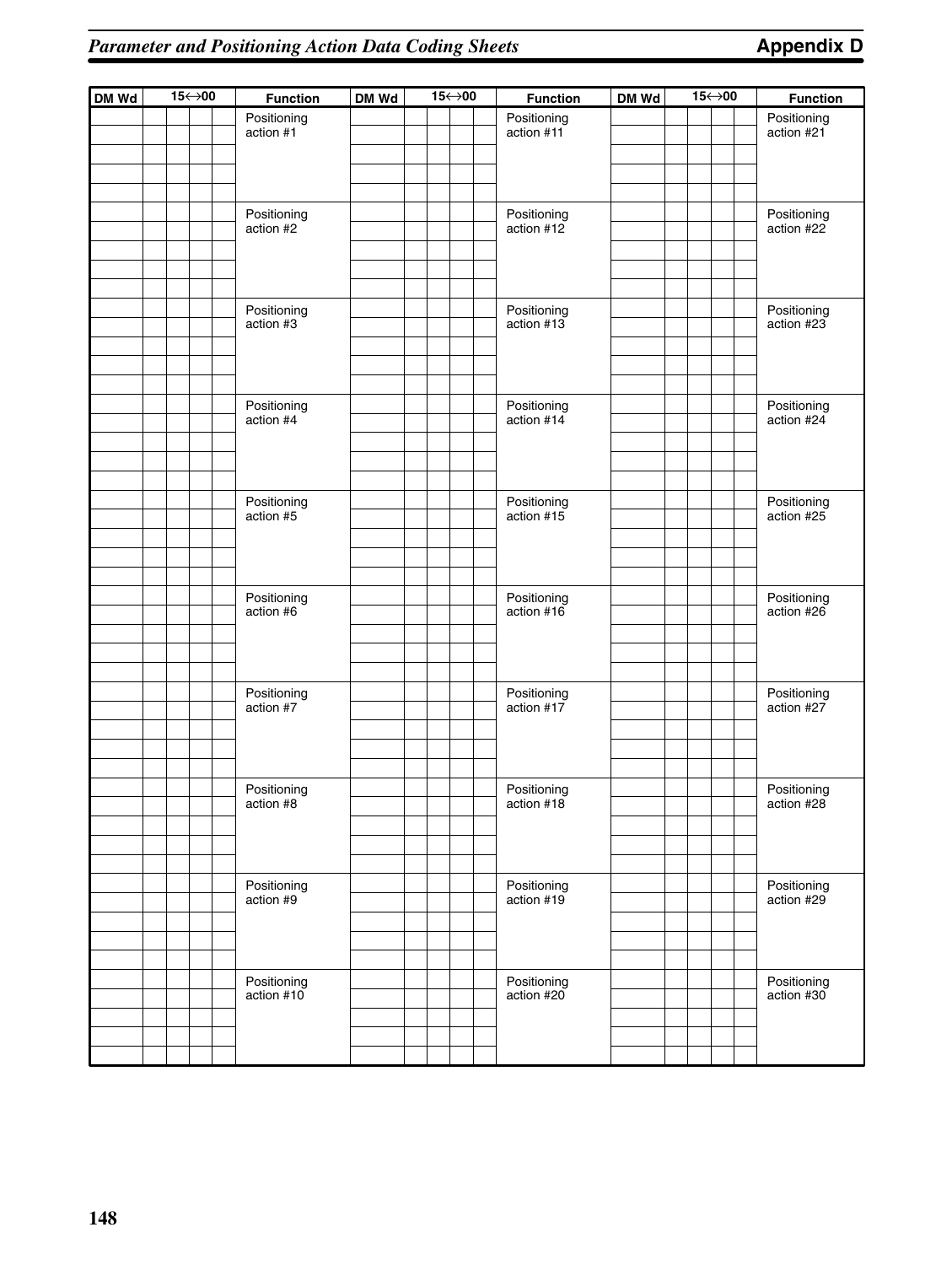| DM Wd |  | 15←>00 | <b>Function</b>           | DM Wd | 15←>00 |  | <b>Function</b>           | DM Wd | 15←>00 |  | <b>Function</b>           |
|-------|--|--------|---------------------------|-------|--------|--|---------------------------|-------|--------|--|---------------------------|
|       |  |        | Positioning<br>action #1  |       |        |  | Positioning<br>action #11 |       |        |  | Positioning<br>action #21 |
|       |  |        |                           |       |        |  |                           |       |        |  |                           |
|       |  |        | Positioning<br>action #2  |       |        |  | Positioning<br>action #12 |       |        |  | Positioning<br>action #22 |
|       |  |        | Positioning<br>action #3  |       |        |  | Positioning<br>action #13 |       |        |  | Positioning<br>action #23 |
|       |  |        | Positioning<br>action #4  |       |        |  | Positioning<br>action #14 |       |        |  | Positioning<br>action #24 |
|       |  |        | Positioning<br>action #5  |       |        |  | Positioning<br>action #15 |       |        |  | Positioning<br>action #25 |
|       |  |        | Positioning<br>action #6  |       |        |  | Positioning<br>action #16 |       |        |  | Positioning<br>action #26 |
|       |  |        | Positioning<br>action #7  |       |        |  | Positioning<br>action #17 |       |        |  | Positioning<br>action #27 |
|       |  |        | Positioning<br>action #8  |       |        |  | Positioning<br>action #18 |       |        |  | Positioning<br>action #28 |
|       |  |        | Positioning<br>action #9  |       |        |  | Positioning<br>action #19 |       |        |  | Positioning<br>action #29 |
|       |  |        | Positioning<br>action #10 |       |        |  | Positioning<br>action #20 |       |        |  | Positioning<br>action #30 |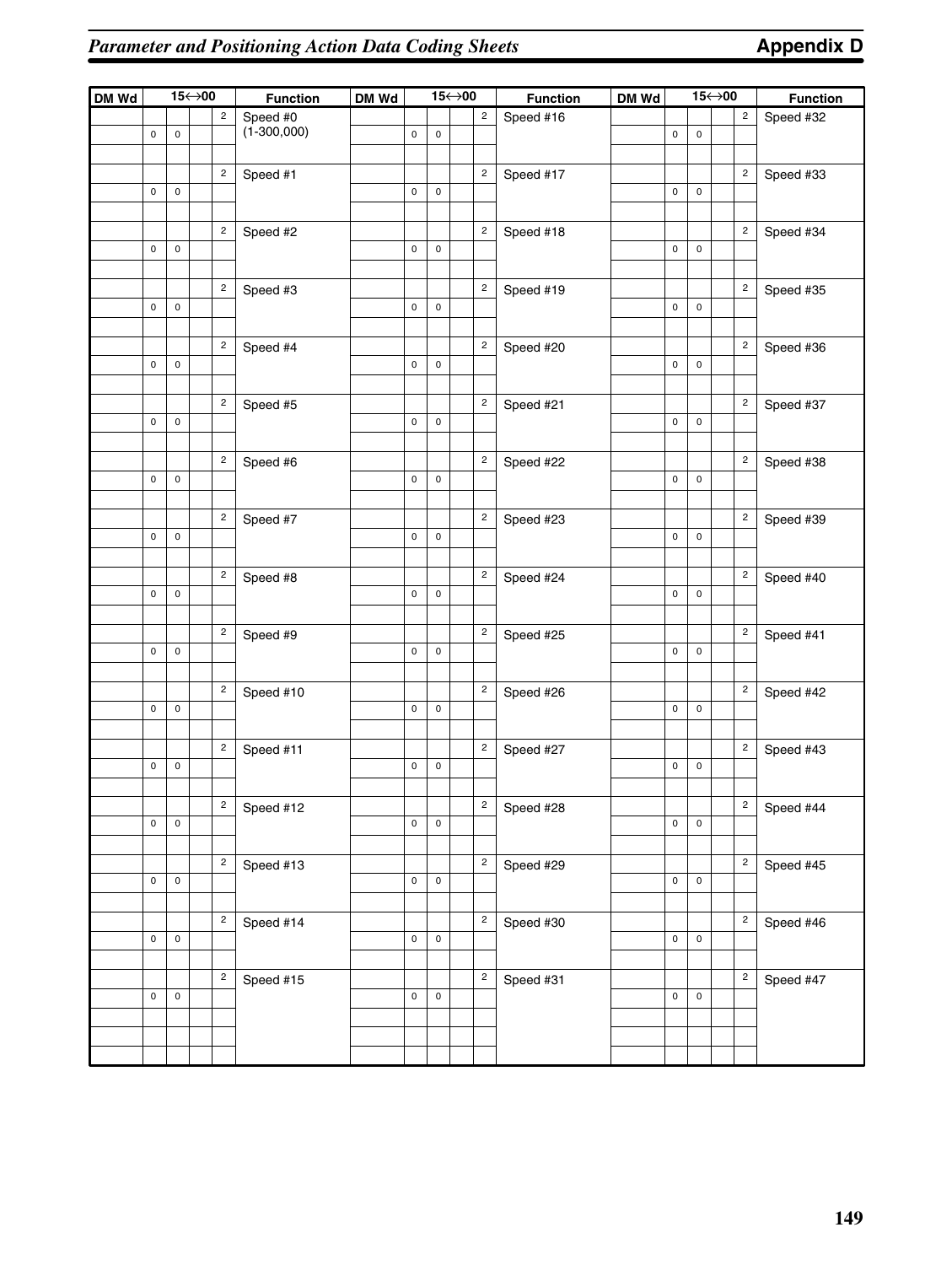| DM Wd |             |           | $15 \leftrightarrow 00$ |                         | <b>Function</b> | DM Wd |             |                     | $15 \leftrightarrow 00$ |                         | <b>Function</b> | DM Wd |             |             | 15←>00 |                | <b>Function</b> |
|-------|-------------|-----------|-------------------------|-------------------------|-----------------|-------|-------------|---------------------|-------------------------|-------------------------|-----------------|-------|-------------|-------------|--------|----------------|-----------------|
|       |             |           |                         | $\overline{c}$          | Speed #0        |       |             |                     |                         | $\overline{c}$          | Speed #16       |       |             |             |        | $\sqrt{2}$     | Speed #32       |
|       | $\mathsf 0$ | $\pmb{0}$ |                         |                         | $(1 - 300,000)$ |       | $\pmb{0}$   | $\pmb{0}$           |                         |                         |                 |       | $\pmb{0}$   | 0           |        |                |                 |
|       |             |           |                         |                         |                 |       |             |                     |                         |                         |                 |       |             |             |        |                |                 |
|       |             |           |                         | $\overline{c}$          | Speed #1        |       |             |                     |                         | $\overline{c}$          | Speed #17       |       |             |             |        | $\overline{c}$ | Speed #33       |
|       | $\mathsf 0$ | $\pmb{0}$ |                         |                         |                 |       | $\mathsf 0$ | $\mathsf 0$         |                         |                         |                 |       | $\mathsf 0$ | 0           |        |                |                 |
|       |             |           |                         |                         |                 |       |             |                     |                         |                         |                 |       |             |             |        |                |                 |
|       |             |           |                         | $\overline{c}$          | Speed #2        |       |             |                     |                         | $\overline{c}$          | Speed #18       |       |             |             |        | $\overline{c}$ | Speed #34       |
|       | $\mathsf 0$ | $\pmb{0}$ |                         |                         |                 |       | $\mathsf 0$ | $\mathsf 0$         |                         |                         |                 |       | $\mathsf 0$ | 0           |        |                |                 |
|       |             |           |                         |                         |                 |       |             |                     |                         |                         |                 |       |             |             |        |                |                 |
|       |             |           |                         | $\overline{c}$          | Speed #3        |       |             |                     |                         | $\overline{c}$          | Speed #19       |       |             |             |        | $\overline{c}$ | Speed #35       |
|       | $\mathsf 0$ | $\pmb{0}$ |                         |                         |                 |       | $\mathsf 0$ | $\mathsf 0$         |                         |                         |                 |       | $\mathsf 0$ | 0           |        |                |                 |
|       |             |           |                         |                         |                 |       |             |                     |                         |                         |                 |       |             |             |        |                |                 |
|       |             |           |                         | $\overline{c}$          | Speed #4        |       |             |                     |                         | $\overline{c}$          | Speed #20       |       |             |             |        | $\overline{c}$ | Speed #36       |
|       | $\mathsf 0$ | $\pmb{0}$ |                         |                         |                 |       | $\pmb{0}$   | $\mathsf 0$         |                         |                         |                 |       | $\mathsf 0$ | 0           |        |                |                 |
|       |             |           |                         |                         |                 |       |             |                     |                         |                         |                 |       |             |             |        |                |                 |
|       |             |           |                         | $\overline{c}$          |                 |       |             |                     |                         | $\overline{c}$          |                 |       |             |             |        | $\overline{c}$ |                 |
|       | $\mathsf 0$ | 0         |                         |                         | Speed #5        |       | $\mathsf 0$ | $\mathsf 0$         |                         |                         | Speed #21       |       | $\mathsf 0$ | 0           |        |                | Speed #37       |
|       |             |           |                         |                         |                 |       |             |                     |                         |                         |                 |       |             |             |        |                |                 |
|       |             |           |                         |                         |                 |       |             |                     |                         |                         |                 |       |             |             |        |                |                 |
|       |             |           |                         | $\overline{c}$          | Speed #6        |       |             |                     |                         | $\overline{c}$          | Speed #22       |       |             |             |        | $\overline{c}$ | Speed #38       |
|       | $\mathsf 0$ | $\pmb{0}$ |                         |                         |                 |       | $\mathsf 0$ | $\mathsf 0$         |                         |                         |                 |       | $\mathsf 0$ | 0           |        |                |                 |
|       |             |           |                         |                         |                 |       |             |                     |                         |                         |                 |       |             |             |        |                |                 |
|       |             |           |                         | $\overline{c}$          | Speed #7        |       |             |                     |                         | $\overline{c}$          | Speed #23       |       |             |             |        | $\overline{c}$ | Speed #39       |
|       | $\mathsf 0$ | $\pmb{0}$ |                         |                         |                 |       | $\pmb{0}$   | $\mathsf 0$         |                         |                         |                 |       | $\pmb{0}$   | 0           |        |                |                 |
|       |             |           |                         |                         |                 |       |             |                     |                         |                         |                 |       |             |             |        |                |                 |
|       |             |           |                         | $\overline{c}$          | Speed #8        |       |             |                     |                         | $\overline{c}$          | Speed #24       |       |             |             |        | $\overline{c}$ | Speed #40       |
|       | $\mathbf 0$ | 0         |                         |                         |                 |       | $\pmb{0}$   | $\mathsf 0$         |                         |                         |                 |       | $\mathsf 0$ | $\mathbf 0$ |        |                |                 |
|       |             |           |                         |                         |                 |       |             |                     |                         |                         |                 |       |             |             |        |                |                 |
|       |             |           |                         | $\mathbf 2$             | Speed #9        |       |             |                     |                         | $\overline{c}$          | Speed #25       |       |             |             |        | $\overline{c}$ | Speed #41       |
|       | $\mathsf 0$ | 0         |                         |                         |                 |       | $\pmb{0}$   | $\mathsf 0$         |                         |                         |                 |       | $\mathsf 0$ | $\mathsf 0$ |        |                |                 |
|       |             |           |                         |                         |                 |       |             |                     |                         |                         |                 |       |             |             |        |                |                 |
|       |             |           |                         | $\mathbf 2$             | Speed #10       |       |             |                     |                         | $\overline{c}$          | Speed #26       |       |             |             |        | $\overline{c}$ | Speed #42       |
|       | $\mathsf 0$ | 0         |                         |                         |                 |       | $\pmb{0}$   | $\mathsf 0$         |                         |                         |                 |       | $\mathsf 0$ | $\mathbf 0$ |        |                |                 |
|       |             |           |                         |                         |                 |       |             |                     |                         |                         |                 |       |             |             |        |                |                 |
|       |             |           |                         | $\mathbf 2$             | Speed #11       |       |             |                     |                         | $\overline{\mathbf{c}}$ | Speed #27       |       |             |             |        | $\overline{c}$ | Speed #43       |
|       | 0           | 0         |                         |                         |                 |       | $\pmb{0}$   | $\mathsf 0$         |                         |                         |                 |       | $\pmb{0}$   | 0           |        |                |                 |
|       |             |           |                         |                         |                 |       |             |                     |                         |                         |                 |       |             |             |        |                |                 |
|       |             |           |                         | $\overline{c}$          | Speed #12       |       |             |                     |                         | $\overline{c}$          | Speed #28       |       |             |             |        | 2              | Speed #44       |
|       | $\mathsf 0$ | $\pmb{0}$ |                         |                         |                 |       | $\pmb{0}$   | $\mathsf 0$         |                         |                         |                 |       | $\pmb{0}$   | $\pmb{0}$   |        |                |                 |
|       |             |           |                         |                         |                 |       |             |                     |                         |                         |                 |       |             |             |        |                |                 |
|       |             |           |                         | $\overline{\mathbf{c}}$ | Speed #13       |       |             |                     |                         | $\overline{\mathbf{c}}$ | Speed #29       |       |             |             |        | $\sqrt{2}$     | Speed #45       |
|       | 0           | $\pmb{0}$ |                         |                         |                 |       | $\pmb{0}$   | $\mathsf 0$         |                         |                         |                 |       | $\mathsf 0$ | $\mathsf 0$ |        |                |                 |
|       |             |           |                         |                         |                 |       |             |                     |                         |                         |                 |       |             |             |        |                |                 |
|       |             |           |                         | $\overline{\mathbf{c}}$ | Speed #14       |       |             |                     |                         | $\overline{\mathbf{c}}$ | Speed #30       |       |             |             |        | $\overline{c}$ | Speed #46       |
|       | 0           | $\pmb{0}$ |                         |                         |                 |       | $\pmb{0}$   | 0                   |                         |                         |                 |       | $\mathsf 0$ | $\mathsf 0$ |        |                |                 |
|       |             |           |                         |                         |                 |       |             |                     |                         |                         |                 |       |             |             |        |                |                 |
|       |             |           |                         | $\overline{c}$          | Speed #15       |       |             |                     |                         | $\overline{\mathbf{c}}$ | Speed #31       |       |             |             |        | $\overline{c}$ | Speed #47       |
|       | $\pmb{0}$   | $\pmb{0}$ |                         |                         |                 |       | $\pmb{0}$   | $\mathsf{O}\xspace$ |                         |                         |                 |       | $\mathsf 0$ | $\mathsf 0$ |        |                |                 |
|       |             |           |                         |                         |                 |       |             |                     |                         |                         |                 |       |             |             |        |                |                 |
|       |             |           |                         |                         |                 |       |             |                     |                         |                         |                 |       |             |             |        |                |                 |
|       |             |           |                         |                         |                 |       |             |                     |                         |                         |                 |       |             |             |        |                |                 |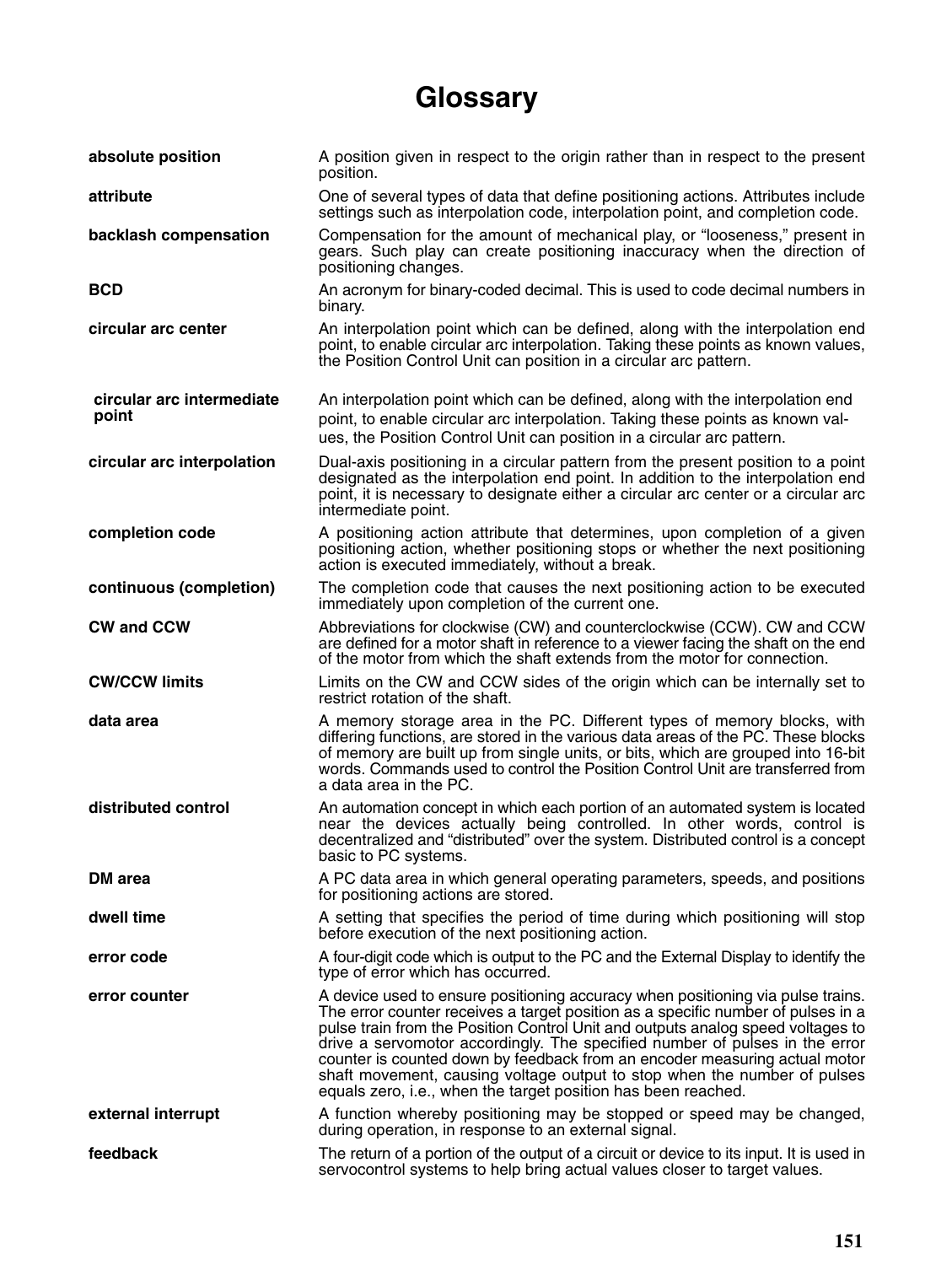# **Glossary**

| absolute position                  | A position given in respect to the origin rather than in respect to the present<br>position.                                                                                                                                                                                                                                                                                                                                                                                                                                                                     |
|------------------------------------|------------------------------------------------------------------------------------------------------------------------------------------------------------------------------------------------------------------------------------------------------------------------------------------------------------------------------------------------------------------------------------------------------------------------------------------------------------------------------------------------------------------------------------------------------------------|
| attribute                          | One of several types of data that define positioning actions. Attributes include<br>settings such as interpolation code, interpolation point, and completion code.                                                                                                                                                                                                                                                                                                                                                                                               |
| backlash compensation              | Compensation for the amount of mechanical play, or "looseness," present in<br>gears. Such play can create positioning inaccuracy when the direction of<br>positioning changes.                                                                                                                                                                                                                                                                                                                                                                                   |
| <b>BCD</b>                         | An acronym for binary-coded decimal. This is used to code decimal numbers in<br>binary.                                                                                                                                                                                                                                                                                                                                                                                                                                                                          |
| circular arc center                | An interpolation point which can be defined, along with the interpolation end<br>point, to enable circular arc interpolation. Taking these points as known values,<br>the Position Control Unit can position in a circular arc pattern.                                                                                                                                                                                                                                                                                                                          |
| circular arc intermediate<br>point | An interpolation point which can be defined, along with the interpolation end<br>point, to enable circular arc interpolation. Taking these points as known val-<br>ues, the Position Control Unit can position in a circular arc pattern.                                                                                                                                                                                                                                                                                                                        |
| circular arc interpolation         | Dual-axis positioning in a circular pattern from the present position to a point<br>designated as the interpolation end point. In addition to the interpolation end<br>point, it is necessary to designate either a circular arc center or a circular arc<br>intermediate point.                                                                                                                                                                                                                                                                                 |
| completion code                    | A positioning action attribute that determines, upon completion of a given<br>positioning action, whether positioning stops or whether the next positioning<br>action is executed immediately, without a break.                                                                                                                                                                                                                                                                                                                                                  |
| continuous (completion)            | The completion code that causes the next positioning action to be executed<br>immediately upon completion of the current one.                                                                                                                                                                                                                                                                                                                                                                                                                                    |
| <b>CW and CCW</b>                  | Abbreviations for clockwise (CW) and counterclockwise (CCW). CW and CCW<br>are defined for a motor shaft in reference to a viewer facing the shaft on the end<br>of the motor from which the shaft extends from the motor for connection.                                                                                                                                                                                                                                                                                                                        |
| <b>CW/CCW limits</b>               | Limits on the CW and CCW sides of the origin which can be internally set to<br>restrict rotation of the shaft.                                                                                                                                                                                                                                                                                                                                                                                                                                                   |
| data area                          | A memory storage area in the PC. Different types of memory blocks, with<br>differing functions, are stored in the various data areas of the PC. These blocks<br>of memory are built up from single units, or bits, which are grouped into 16-bit<br>words. Commands used to control the Position Control Unit are transferred from<br>a data area in the PC.                                                                                                                                                                                                     |
| distributed control                | An automation concept in which each portion of an automated system is located<br>near the devices actually being controlled. In other words, control is<br>decentralized and "distributed" over the system. Distributed control is a concept<br>basic to PC systems.                                                                                                                                                                                                                                                                                             |
| DM area                            | A PC data area in which general operating parameters, speeds, and positions<br>for positioning actions are stored.                                                                                                                                                                                                                                                                                                                                                                                                                                               |
| dwell time                         | A setting that specifies the period of time during which positioning will stop<br>before execution of the next positioning action.                                                                                                                                                                                                                                                                                                                                                                                                                               |
| error code                         | A four-digit code which is output to the PC and the External Display to identify the<br>type of error which has occurred.                                                                                                                                                                                                                                                                                                                                                                                                                                        |
| error counter                      | A device used to ensure positioning accuracy when positioning via pulse trains.<br>The error counter receives a target position as a specific number of pulses in a<br>pulse train from the Position Control Unit and outputs analog speed voltages to<br>drive a servomotor accordingly. The specified number of pulses in the error<br>counter is counted down by feedback from an encoder measuring actual motor<br>shaft movement, causing voltage output to stop when the number of pulses<br>equals zero, i.e., when the target position has been reached. |
| external interrupt                 | A function whereby positioning may be stopped or speed may be changed,<br>during operation, in response to an external signal.                                                                                                                                                                                                                                                                                                                                                                                                                                   |
| feedback                           | The return of a portion of the output of a circuit or device to its input. It is used in<br>servocontrol systems to help bring actual values closer to target values.                                                                                                                                                                                                                                                                                                                                                                                            |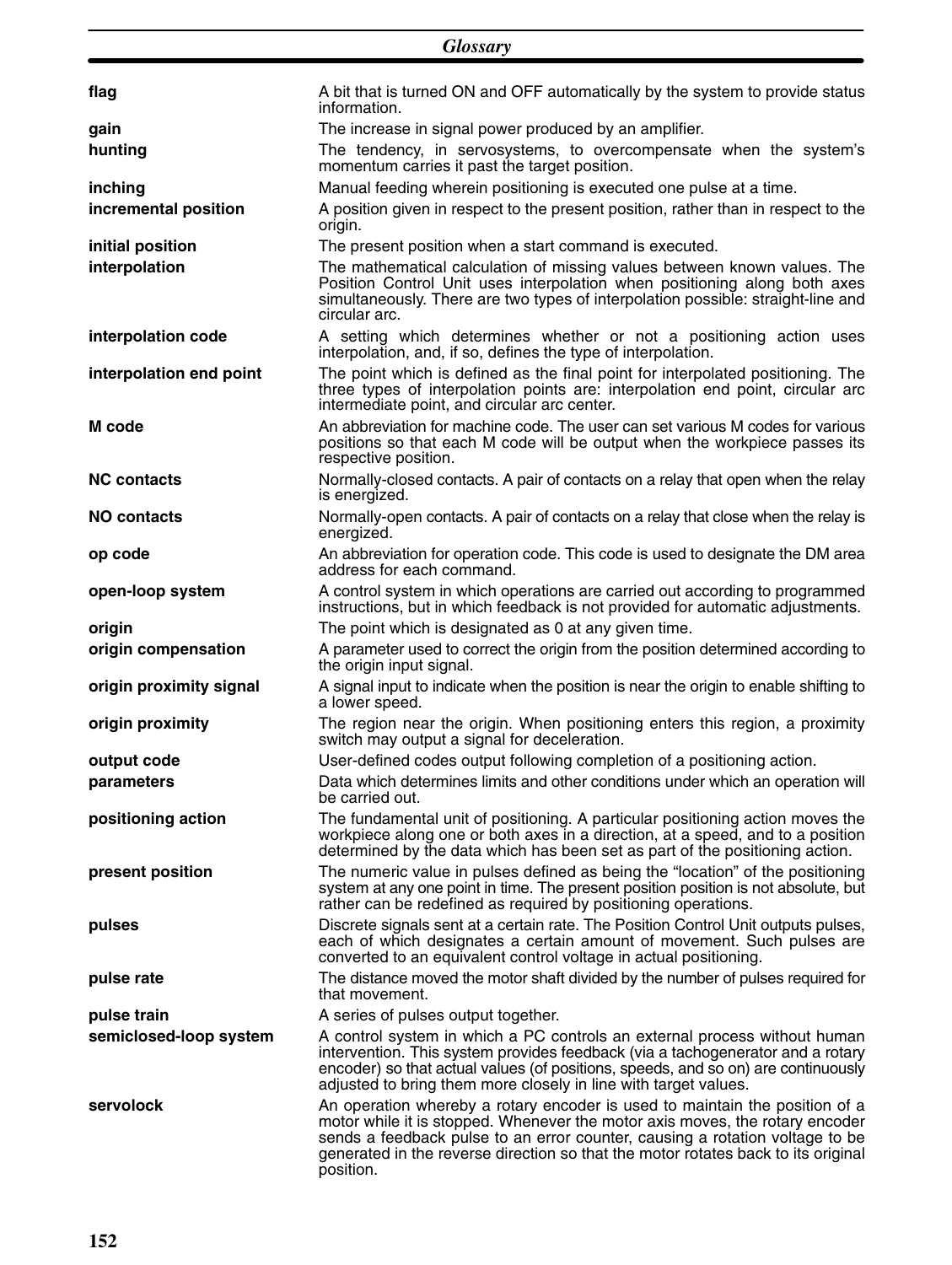|                         | <b>Glossary</b>                                                                                                                                                                                                                                                                                                                               |
|-------------------------|-----------------------------------------------------------------------------------------------------------------------------------------------------------------------------------------------------------------------------------------------------------------------------------------------------------------------------------------------|
|                         |                                                                                                                                                                                                                                                                                                                                               |
| flag                    | A bit that is turned ON and OFF automatically by the system to provide status<br>information.                                                                                                                                                                                                                                                 |
| gain                    | The increase in signal power produced by an amplifier.                                                                                                                                                                                                                                                                                        |
| hunting                 | The tendency, in servosystems, to overcompensate when the system's<br>momentum carries it past the target position.                                                                                                                                                                                                                           |
| inching                 | Manual feeding wherein positioning is executed one pulse at a time.                                                                                                                                                                                                                                                                           |
| incremental position    | A position given in respect to the present position, rather than in respect to the<br>origin.                                                                                                                                                                                                                                                 |
| initial position        | The present position when a start command is executed.                                                                                                                                                                                                                                                                                        |
| interpolation           | The mathematical calculation of missing values between known values. The<br>Position Control Unit uses interpolation when positioning along both axes<br>simultaneously. There are two types of interpolation possible: straight-line and<br>circular arc.                                                                                    |
| interpolation code      | A setting which determines whether or not a positioning action uses<br>interpolation, and, if so, defines the type of interpolation.                                                                                                                                                                                                          |
| interpolation end point | The point which is defined as the final point for interpolated positioning. The<br>three types of interpolation points are: interpolation end point, circular arc<br>intermediate point, and circular arc center.                                                                                                                             |
| M code                  | An abbreviation for machine code. The user can set various M codes for various<br>positions so that each M code will be output when the workpiece passes its<br>respective position.                                                                                                                                                          |
| <b>NC contacts</b>      | Normally-closed contacts. A pair of contacts on a relay that open when the relay<br>is energized.                                                                                                                                                                                                                                             |
| <b>NO contacts</b>      | Normally-open contacts. A pair of contacts on a relay that close when the relay is<br>energized.                                                                                                                                                                                                                                              |
| op code                 | An abbreviation for operation code. This code is used to designate the DM area<br>address for each command.                                                                                                                                                                                                                                   |
| open-loop system        | A control system in which operations are carried out according to programmed<br>instructions, but in which feedback is not provided for automatic adjustments.                                                                                                                                                                                |
| origin                  | The point which is designated as 0 at any given time.                                                                                                                                                                                                                                                                                         |
| origin compensation     | A parameter used to correct the origin from the position determined according to<br>the origin input signal.                                                                                                                                                                                                                                  |
| origin proximity signal | A signal input to indicate when the position is near the origin to enable shifting to<br>a lower speed.                                                                                                                                                                                                                                       |
| origin proximity        | The region near the origin. When positioning enters this region, a proximity<br>switch may output a signal for deceleration.                                                                                                                                                                                                                  |
| output code             | User-defined codes output following completion of a positioning action.                                                                                                                                                                                                                                                                       |
| parameters              | Data which determines limits and other conditions under which an operation will<br>be carried out.                                                                                                                                                                                                                                            |
| positioning action      | The fundamental unit of positioning. A particular positioning action moves the<br>workpiece along one or both axes in a direction, at a speed, and to a position<br>determined by the data which has been set as part of the positioning action.                                                                                              |
| present position        | The numeric value in pulses defined as being the "location" of the positioning<br>system at any one point in time. The present position position is not absolute, but<br>rather can be redefined as required by positioning operations.                                                                                                       |
| pulses                  | Discrete signals sent at a certain rate. The Position Control Unit outputs pulses,<br>each of which designates a certain amount of movement. Such pulses are<br>converted to an equivalent control voltage in actual positioning.                                                                                                             |
| pulse rate              | The distance moved the motor shaft divided by the number of pulses required for<br>that movement.                                                                                                                                                                                                                                             |
| pulse train             | A series of pulses output together.                                                                                                                                                                                                                                                                                                           |
| semiclosed-loop system  | A control system in which a PC controls an external process without human<br>intervention. This system provides feedback (via a tachogenerator and a rotary<br>encoder) so that actual values (of positions, speeds, and so on) are continuously<br>adjusted to bring them more closely in line with target values.                           |
| servolock               | An operation whereby a rotary encoder is used to maintain the position of a<br>motor while it is stopped. Whenever the motor axis moves, the rotary encoder<br>sends a feedback pulse to an error counter, causing a rotation voltage to be<br>generated in the reverse direction so that the motor rotates back to its original<br>position. |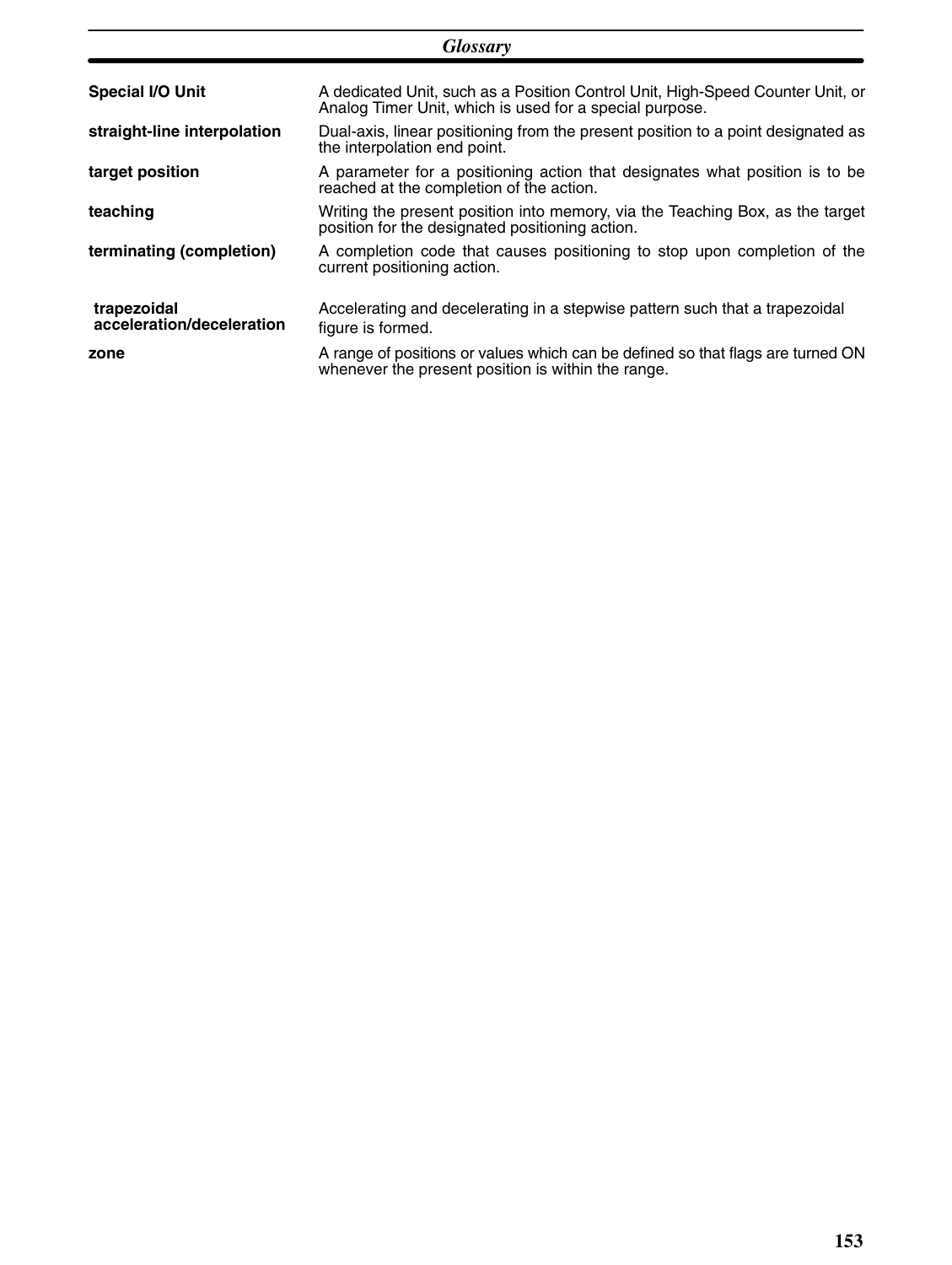|                                          | <b>Glossary</b>                                                                                                                           |
|------------------------------------------|-------------------------------------------------------------------------------------------------------------------------------------------|
| <b>Special I/O Unit</b>                  | A dedicated Unit, such as a Position Control Unit, High-Speed Counter Unit, or<br>Analog Timer Unit, which is used for a special purpose. |
| straight-line interpolation              | Dual-axis, linear positioning from the present position to a point designated as<br>the interpolation end point.                          |
| target position                          | A parameter for a positioning action that designates what position is to be<br>reached at the completion of the action.                   |
| teaching                                 | Writing the present position into memory, via the Teaching Box, as the target<br>position for the designated positioning action.          |
| terminating (completion)                 | A completion code that causes positioning to stop upon completion of the<br>current positioning action.                                   |
| trapezoidal<br>acceleration/deceleration | Accelerating and decelerating in a stepwise pattern such that a trapezoidal<br>figure is formed.                                          |
| zone                                     | A range of positions or values which can be defined so that flags are turned ON<br>whenever the present position is within the range.     |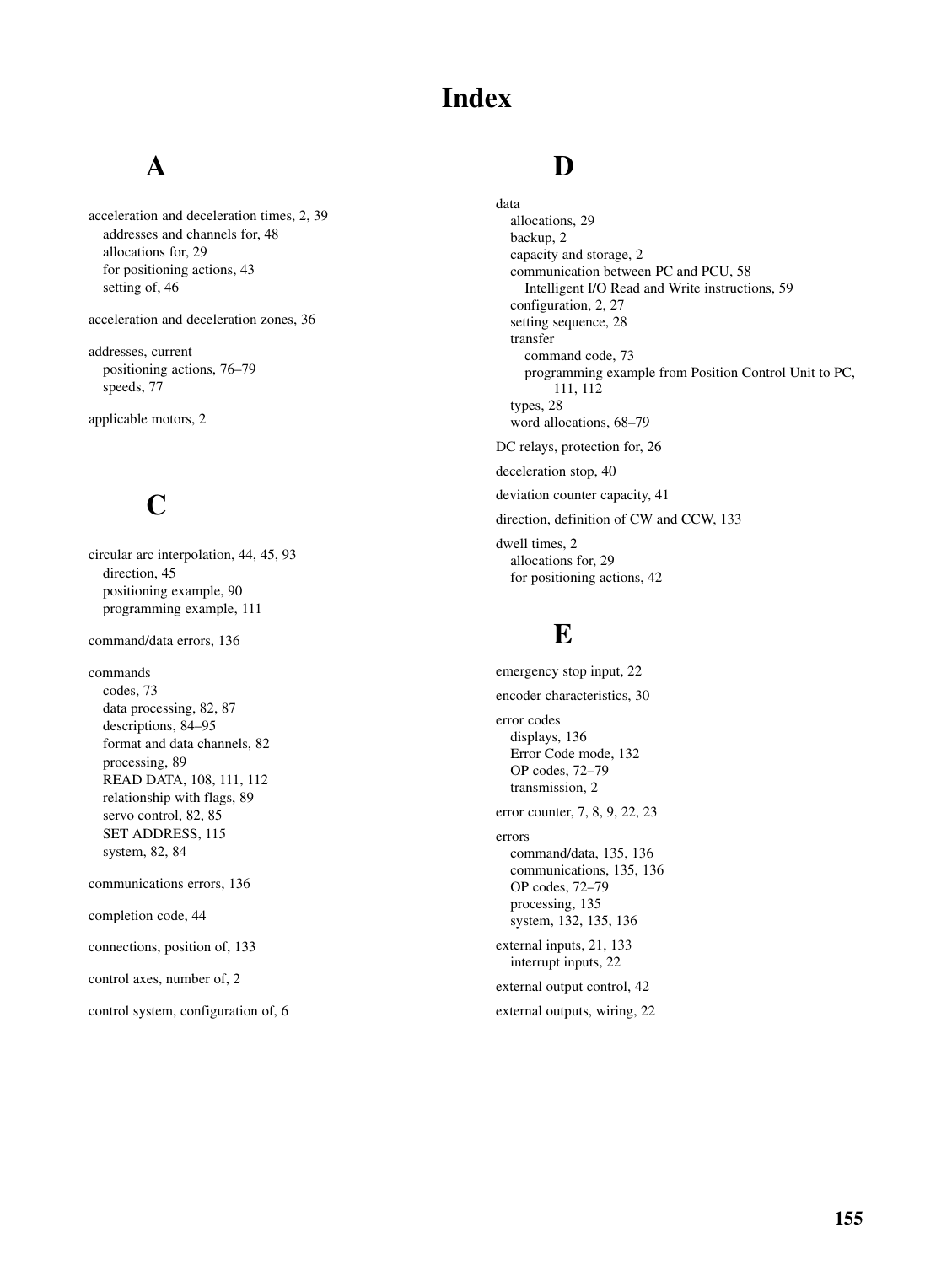### **Index**

### **A**

acceleration and deceleration times, 2, 39 addresses and channels for, 48 allocations for, 29 for positioning actions, 43 setting of, 46

acceleration and deceleration zones, 36

addresses, current positioning actions, 76–79 speeds, 77

applicable motors, 2

# **C**

circular arc interpolation, 44, 45, 93 direction, 45 positioning example, 90 programming example, 111

command/data errors, 136

commands codes, 73 data processing, 82, 87 descriptions, 84–95 format and data channels, 82 processing, 89 READ DATA, 108, 111, 112 relationship with flags, 89 servo control, 82, 85 SET ADDRESS, 115 system, 82, 84

communications errors, 136

completion code, 44

connections, position of, 133

control axes, number of, 2

control system, configuration of, 6

#### **D**

data allocations, 29 backup, 2 capacity and storage, 2 communication between PC and PCU, 58 Intelligent I/O Read and Write instructions, 59 configuration, 2, 27 setting sequence, 28 transfer command code, 73 programming example from Position Control Unit to PC, 111, 112 types, 28 word allocations, 68–79 DC relays, protection for, 26 deceleration stop, 40

deviation counter capacity, 41

direction, definition of CW and CCW, 133

dwell times, 2 allocations for, 29 for positioning actions, 42

#### **E**

emergency stop input, 22 encoder characteristics, 30 error codes displays, 136 Error Code mode, 132 OP codes, 72–79 transmission, 2 error counter, 7, 8, 9, 22, 23 errors command/data, 135, 136 communications, 135, 136 OP codes, 72–79 processing, 135 system, 132, 135, 136 external inputs, 21, 133 interrupt inputs, 22 external output control, 42 external outputs, wiring, 22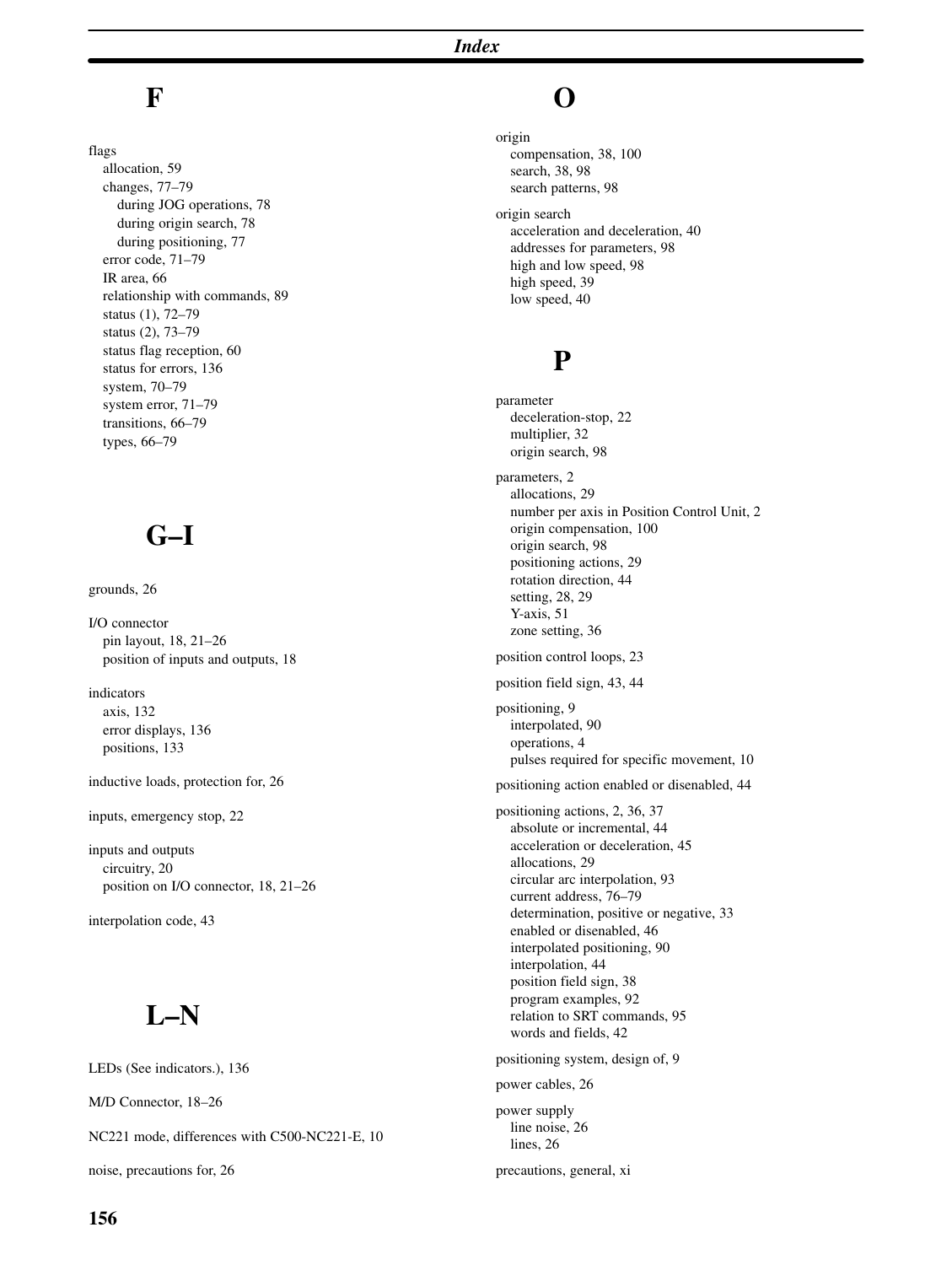### **F**

flags allocation, 59 changes, 77–79 during JOG operations, 78 during origin search, 78 during positioning, 77 error code, 71–79 IR area, 66 relationship with commands, 89 status (1), 72–79 status (2), 73–79 status flag reception, 60 status for errors, 136 system, 70–79 system error, 71–79 transitions, 66–79 types, 66–79

## **G–I**

grounds, 26

I/O connector pin layout, 18, 21–26 position of inputs and outputs, 18

indicators axis, 132 error displays, 136 positions, 133

inductive loads, protection for, 26

inputs, emergency stop, 22

inputs and outputs circuitry, 20 position on I/O connector, 18, 21–26

interpolation code, 43

### **L–N**

LEDs (See indicators.), 136

M/D Connector, 18–26

NC221 mode, differences with C500-NC221-E, 10

noise, precautions for, 26

### **O**

origin compensation, 38, 100 search, 38, 98 search patterns, 98 origin search acceleration and deceleration, 40 addresses for parameters, 98 high and low speed, 98 high speed, 39 low speed, 40

#### **P**

parameter deceleration-stop, 22 multiplier, 32 origin search, 98 parameters, 2 allocations, 29 number per axis in Position Control Unit, 2 origin compensation, 100 origin search, 98 positioning actions, 29 rotation direction, 44 setting, 28, 29 Y-axis, 51 zone setting, 36 position control loops, 23 position field sign, 43, 44 positioning, 9 interpolated, 90 operations, 4 pulses required for specific movement, 10 positioning action enabled or disenabled, 44 positioning actions, 2, 36, 37 absolute or incremental, 44 acceleration or deceleration, 45 allocations, 29 circular arc interpolation, 93 current address, 76–79 determination, positive or negative, 33 enabled or disenabled, 46 interpolated positioning, 90 interpolation, 44 position field sign, 38 program examples, 92 relation to SRT commands, 95

positioning system, design of, 9

words and fields, 42

power cables, 26

power supply line noise, 26 lines, 26

precautions, general, xi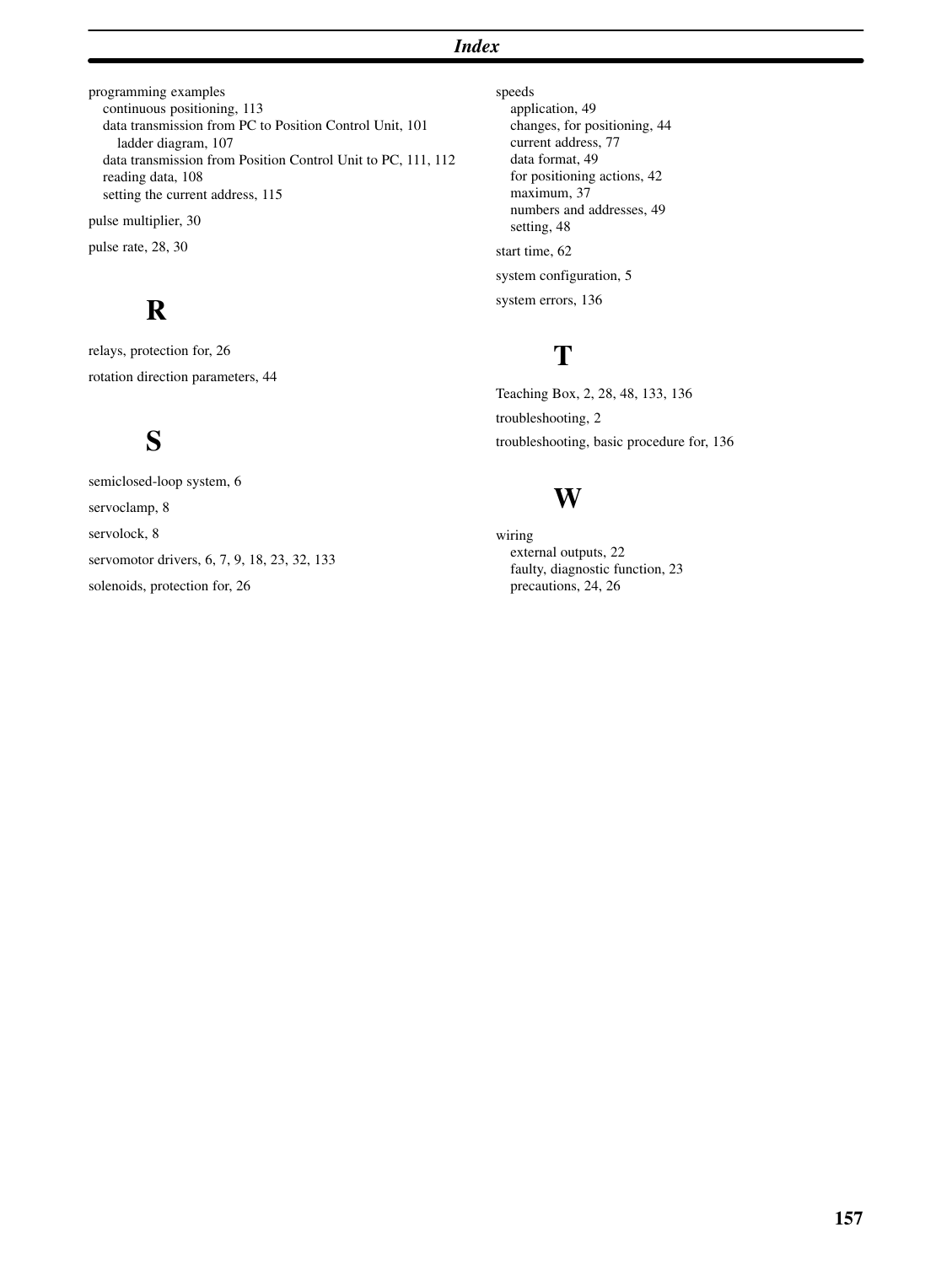#### *Index*

programming examples continuous positioning, 113 data transmission from PC to Position Control Unit, 101 ladder diagram, 107 data transmission from Position Control Unit to PC, 111, 112 reading data, 108 setting the current address, 115 pulse multiplier, 30 pulse rate, 28, 30

### **R**

relays, protection for, 26 rotation direction parameters, 44

# **S**

semiclosed-loop system, 6 servoclamp, 8 servolock, 8 servomotor drivers, 6, 7, 9, 18, 23, 32, 133 solenoids, protection for, 26

speeds application, 49 changes, for positioning, 44 current address, 77 data format, 49 for positioning actions, 42 maximum, 37 numbers and addresses, 49 setting, 48 start time, 62 system configuration, 5 system errors, 136

# **T**

Teaching Box, 2, 28, 48, 133, 136 troubleshooting, 2 troubleshooting, basic procedure for, 136

#### **W**

wiring external outputs, 22 faulty, diagnostic function, 23 precautions, 24, 26